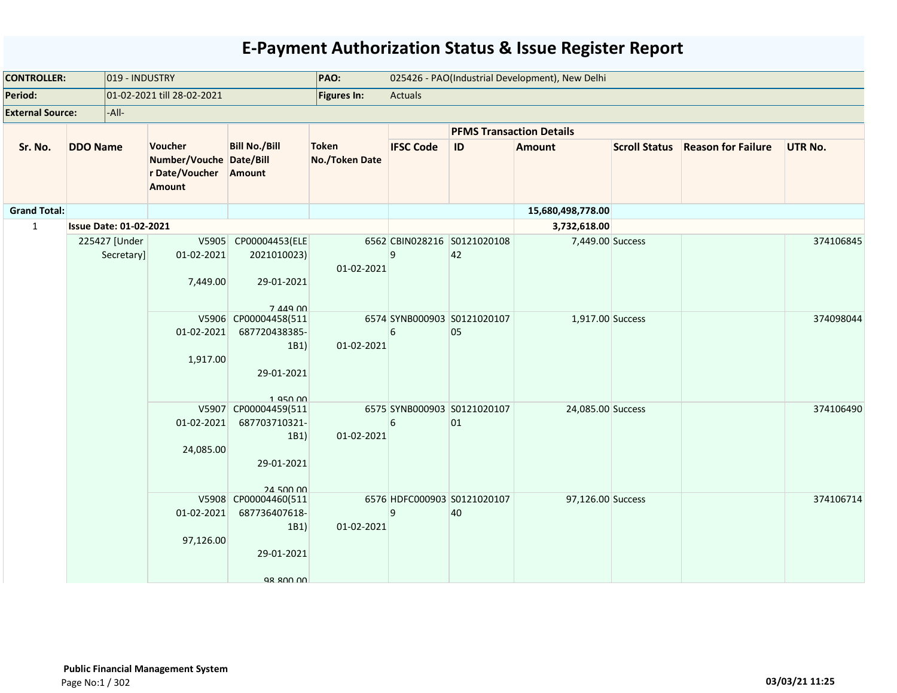| <b>CONTROLLER:</b>      | 019 - INDUSTRY  |                               |                                                                       | PAO:                                                                                  |                                | 025426 - PAO(Industrial Development), New Delhi |                                   |                   |                      |                           |                |  |  |
|-------------------------|-----------------|-------------------------------|-----------------------------------------------------------------------|---------------------------------------------------------------------------------------|--------------------------------|-------------------------------------------------|-----------------------------------|-------------------|----------------------|---------------------------|----------------|--|--|
| Period:                 |                 |                               | 01-02-2021 till 28-02-2021                                            |                                                                                       | <b>Figures In:</b>             | Actuals                                         |                                   |                   |                      |                           |                |  |  |
| <b>External Source:</b> |                 | $-$ All $-$                   |                                                                       |                                                                                       |                                |                                                 |                                   |                   |                      |                           |                |  |  |
|                         |                 |                               |                                                                       |                                                                                       |                                |                                                 | <b>PFMS Transaction Details</b>   |                   |                      |                           |                |  |  |
| Sr. No.                 | <b>DDO Name</b> |                               | Voucher<br>Number/Vouche Date/Bill<br>r Date/Voucher<br><b>Amount</b> | <b>Bill No./Bill</b><br>Amount                                                        | <b>Token</b><br>No./Token Date | <b>IFSC Code</b>                                | ID                                | <b>Amount</b>     | <b>Scroll Status</b> | <b>Reason for Failure</b> | <b>UTR No.</b> |  |  |
| <b>Grand Total:</b>     |                 |                               |                                                                       |                                                                                       |                                |                                                 |                                   | 15,680,498,778.00 |                      |                           |                |  |  |
| $\mathbf{1}$            |                 | <b>Issue Date: 01-02-2021</b> |                                                                       |                                                                                       |                                |                                                 |                                   | 3,732,618.00      |                      |                           |                |  |  |
|                         |                 | 225427 [Under<br>Secretary]   | V5905<br>01-02-2021<br>7,449.00                                       | CP00004453(ELE<br>2021010023)<br>29-01-2021<br>7 449 00                               | 01-02-2021                     | 9                                               | 6562 CBIN028216 S0121020108<br>42 | 7,449.00 Success  |                      |                           | 374106845      |  |  |
|                         |                 |                               | 01-02-2021<br>1,917.00                                                | V5906 CP00004458(511<br>687720438385-<br>1B1)<br>29-01-2021                           | 01-02-2021                     | 6                                               | 6574 SYNB000903 S0121020107<br>05 | 1,917.00 Success  |                      |                           | 374098044      |  |  |
|                         |                 |                               | 01-02-2021<br>24,085.00                                               | 1950.00<br>V5907 CP00004459(511<br>687703710321-<br>1B1)<br>29-01-2021<br>$24$ 500 00 | 01-02-2021                     | 6                                               | 6575 SYNB000903 S0121020107<br>01 | 24,085.00 Success |                      |                           | 374106490      |  |  |
|                         |                 |                               | 01-02-2021<br>97,126.00                                               | V5908 CP00004460(511<br>687736407618-<br>1B1)<br>29-01-2021<br><b>98 800 00</b>       | 01-02-2021                     | 9                                               | 6576 HDFC000903 S0121020107<br>40 | 97,126.00 Success |                      |                           | 374106714      |  |  |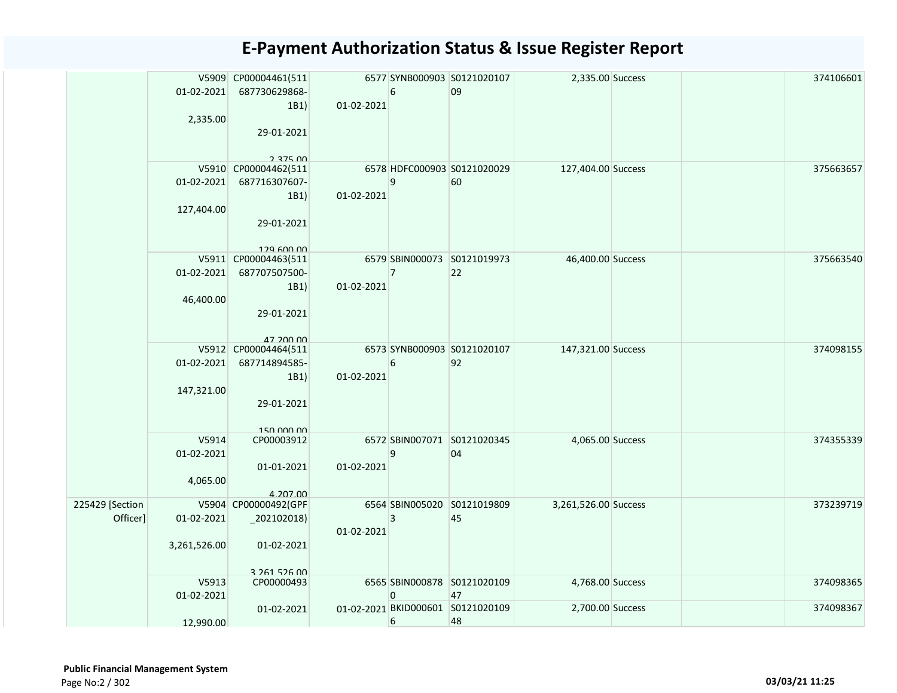|                             | 01-02-2021<br>2,335.00          | V5909 CP00004461(511<br>687730629868-<br>1B1<br>29-01-2021<br>$2.375$ $00$ | 01-02-2021 | 6              | 6577 SYNB000903 S0121020107<br>09       | 2,335.00 Success     |  | 374106601 |
|-----------------------------|---------------------------------|----------------------------------------------------------------------------|------------|----------------|-----------------------------------------|----------------------|--|-----------|
|                             | 01-02-2021<br>127,404.00        | V5910 CP00004462(511<br>687716307607-<br>1B1)<br>29-01-2021<br>129 600 00  | 01-02-2021 | 9              | 6578 HDFC000903 S0121020029<br>60       | 127,404.00 Success   |  | 375663657 |
|                             | 01-02-2021<br>46,400.00         | V5911 CP00004463(511<br>687707507500-<br>1B1)<br>29-01-2021<br>47 200 00   | 01-02-2021 | $\overline{7}$ | 6579 SBIN000073 S0121019973<br>22       | 46,400.00 Success    |  | 375663540 |
|                             | 01-02-2021<br>147,321.00        | V5912 CP00004464(511<br>687714894585-<br>1B1)<br>29-01-2021<br>150 000 00  | 01-02-2021 | 6              | 6573 SYNB000903 S0121020107<br>92       | 147,321.00 Success   |  | 374098155 |
|                             | V5914<br>01-02-2021<br>4,065.00 | CP00003912<br>01-01-2021<br>4.207.00                                       | 01-02-2021 | 9              | 6572 SBIN007071 S0121020345<br>04       | 4,065.00 Success     |  | 374355339 |
| 225429 [Section<br>Officer] | 01-02-2021<br>3,261,526.00      | V5904 CP00000492(GPF<br>$_2$ 02102018)<br>01-02-2021<br>3 261 526 00       | 01-02-2021 | 3              | 6564 SBIN005020 S0121019809<br>45       | 3,261,526.00 Success |  | 373239719 |
|                             | V5913<br>01-02-2021             | CP00000493                                                                 |            | 0              | 6565 SBIN000878 S0121020109<br>47       | 4,768.00 Success     |  | 374098365 |
|                             | 12,990.00                       | 01-02-2021                                                                 |            | 6              | 01-02-2021 BKID000601 S0121020109<br>48 | 2,700.00 Success     |  | 374098367 |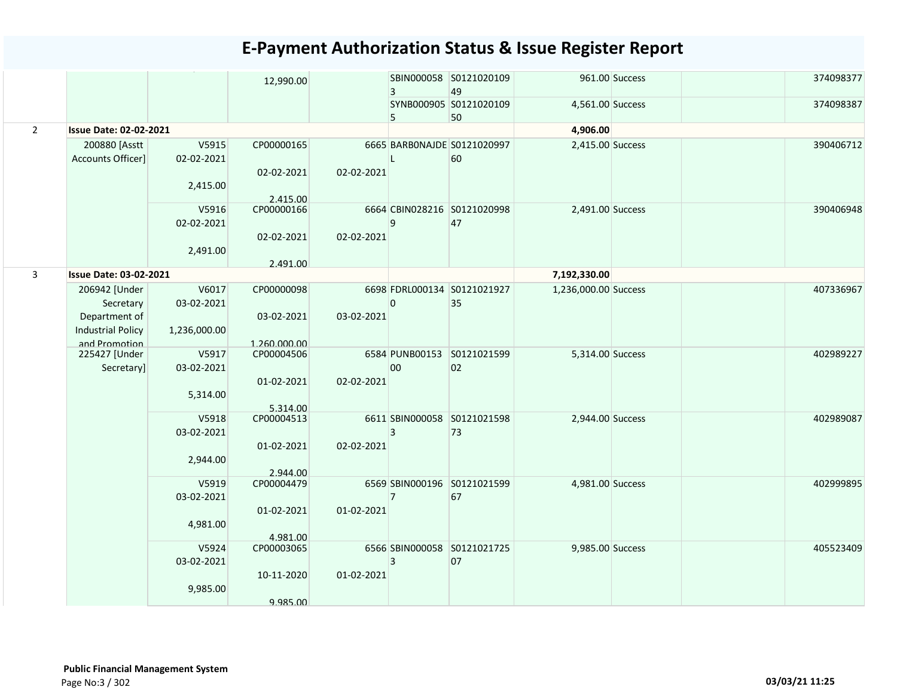|                |                                |              | 12,990.00                  |            | 3              | SBIN000058 S0121020109<br>49 |                      | 961.00 Success | 374098377 |
|----------------|--------------------------------|--------------|----------------------------|------------|----------------|------------------------------|----------------------|----------------|-----------|
|                |                                |              |                            |            | 5              | SYNB000905 S0121020109<br>50 | 4,561.00 Success     |                | 374098387 |
| $\overline{2}$ | <b>Issue Date: 02-02-2021</b>  |              |                            |            |                |                              | 4,906.00             |                |           |
|                | 200880 [Asstt                  | V5915        | CP00000165                 |            |                | 6665 BARBONAJDE S0121020997  | 2,415.00 Success     |                | 390406712 |
|                | Accounts Officer]              | 02-02-2021   |                            |            | Т.             | 60                           |                      |                |           |
|                |                                |              | 02-02-2021                 | 02-02-2021 |                |                              |                      |                |           |
|                |                                | 2,415.00     |                            |            |                |                              |                      |                |           |
|                |                                |              | 2.415.00                   |            |                |                              |                      |                |           |
|                |                                | V5916        | CP00000166                 |            |                | 6664 CBIN028216 S0121020998  | 2,491.00 Success     |                | 390406948 |
|                |                                | 02-02-2021   |                            |            | 9              | 47                           |                      |                |           |
|                |                                |              | 02-02-2021                 | 02-02-2021 |                |                              |                      |                |           |
|                |                                | 2,491.00     |                            |            |                |                              |                      |                |           |
| $\mathbf{3}$   | <b>Issue Date: 03-02-2021</b>  |              | 2.491.00                   |            |                |                              | 7,192,330.00         |                |           |
|                |                                |              |                            |            |                |                              |                      |                |           |
|                | 206942 [Under                  | V6017        | CP00000098                 |            |                | 6698 FDRL000134 S0121021927  | 1,236,000.00 Success |                | 407336967 |
|                | Secretary                      | 03-02-2021   |                            |            | $\overline{0}$ | 35                           |                      |                |           |
|                | Department of                  |              | 03-02-2021                 | 03-02-2021 |                |                              |                      |                |           |
|                | <b>Industrial Policy</b>       | 1,236,000.00 |                            |            |                |                              |                      |                |           |
|                | and Promotion<br>225427 [Under | V5917        | 1.260.000.00<br>CP00004506 |            |                | 6584 PUNB00153 S0121021599   | 5,314.00 Success     |                | 402989227 |
|                | Secretary]                     | 03-02-2021   |                            |            | 00             | 02                           |                      |                |           |
|                |                                |              | 01-02-2021                 | 02-02-2021 |                |                              |                      |                |           |
|                |                                | 5,314.00     |                            |            |                |                              |                      |                |           |
|                |                                |              | 5.314.00                   |            |                |                              |                      |                |           |
|                |                                | V5918        | CP00004513                 |            |                | 6611 SBIN000058 S0121021598  | 2,944.00 Success     |                | 402989087 |
|                |                                | 03-02-2021   |                            |            | $\overline{3}$ | 73                           |                      |                |           |
|                |                                |              | 01-02-2021                 | 02-02-2021 |                |                              |                      |                |           |
|                |                                | 2,944.00     |                            |            |                |                              |                      |                |           |
|                |                                |              | 2.944.00                   |            |                |                              |                      |                |           |
|                |                                | V5919        | CP00004479                 |            |                | 6569 SBIN000196 S0121021599  | 4,981.00 Success     |                | 402999895 |
|                |                                | 03-02-2021   |                            |            | $\overline{7}$ | 67                           |                      |                |           |
|                |                                |              | 01-02-2021                 | 01-02-2021 |                |                              |                      |                |           |
|                |                                | 4,981.00     |                            |            |                |                              |                      |                |           |
|                |                                |              | 4.981.00                   |            |                |                              |                      |                |           |
|                |                                | V5924        | CP00003065                 |            |                | 6566 SBIN000058 S0121021725  | 9,985.00 Success     |                | 405523409 |
|                |                                | 03-02-2021   |                            |            | 3              | 07                           |                      |                |           |
|                |                                |              | 10-11-2020                 | 01-02-2021 |                |                              |                      |                |           |
|                |                                | 9,985.00     |                            |            |                |                              |                      |                |           |
|                |                                |              | 9.985.00                   |            |                |                              |                      |                |           |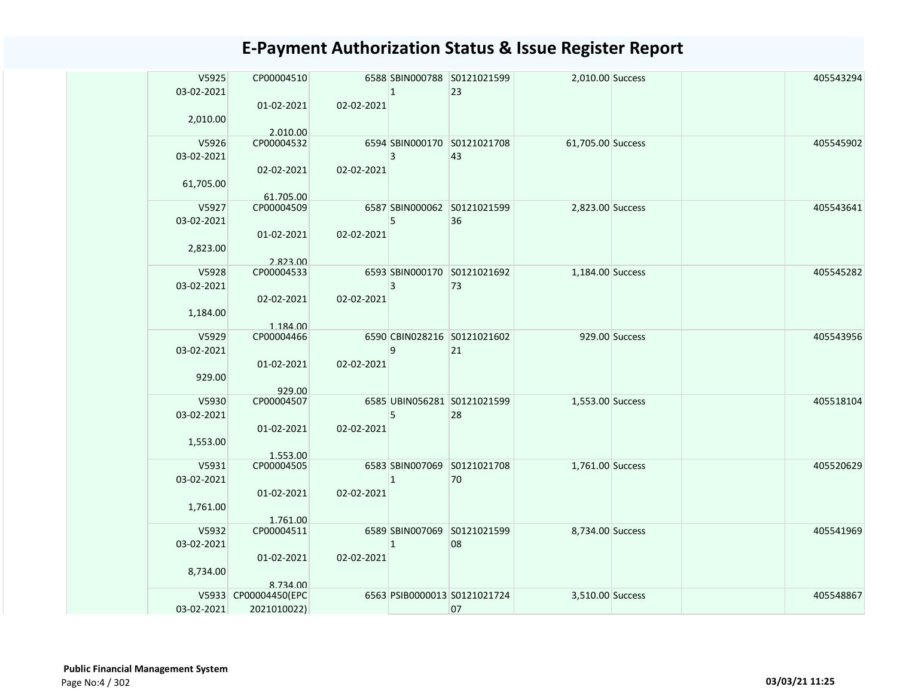| V5925<br>CP00004510<br>6588 SBIN000788 S0121021599<br>2,010.00 Success               | 405543294 |
|--------------------------------------------------------------------------------------|-----------|
| 03-02-2021<br>$\mathbf{1}$<br>23<br>02-02-2021<br>01-02-2021                         |           |
| 2,010.00                                                                             |           |
| 2.010.00                                                                             |           |
| V5926<br>CP00004532<br>6594 SBIN000170 S0121021708<br>61,705.00 Success              | 405545902 |
| 03-02-2021<br>3<br>43                                                                |           |
| 02-02-2021<br>02-02-2021<br>61,705.00                                                |           |
| 61.705.00                                                                            |           |
| CP00004509<br>V5927<br>6587 SBIN000062 S0121021599<br>2,823.00 Success               | 405543641 |
| 36<br>03-02-2021<br>5                                                                |           |
| 01-02-2021<br>02-02-2021                                                             |           |
| 2,823.00                                                                             |           |
| 2.823.00                                                                             |           |
| 6593 SBIN000170 S0121021692<br>V5928<br>CP00004533<br>1,184.00 Success               | 405545282 |
| 3<br>73<br>03-02-2021                                                                |           |
| 02-02-2021<br>02-02-2021                                                             |           |
| 1,184.00                                                                             |           |
| 1.184.00<br>6590 CBIN028216 S0121021602<br>V5929<br>CP00004466<br>929.00 Success     | 405543956 |
| 03-02-2021<br>9<br>21                                                                |           |
| 01-02-2021<br>02-02-2021                                                             |           |
| 929.00                                                                               |           |
| 929.00                                                                               |           |
| V5930<br>CP00004507<br>6585 UBIN056281 S0121021599<br>1,553.00 Success               | 405518104 |
| 5<br>28<br>03-02-2021                                                                |           |
| 01-02-2021<br>02-02-2021                                                             |           |
| 1,553.00                                                                             |           |
| 1.553.00<br>CP00004505<br>6583 SBIN007069 S0121021708<br>V5931<br>1,761.00 Success   | 405520629 |
| 03-02-2021<br>70<br>$\mathbf{1}$                                                     |           |
| 01-02-2021<br>02-02-2021                                                             |           |
| 1,761.00                                                                             |           |
| 1.761.00                                                                             |           |
| V5932<br>CP00004511<br>6589 SBIN007069 S0121021599<br>8,734.00 Success               | 405541969 |
| 03-02-2021<br>$\mathbf{1}$<br>08                                                     |           |
| 01-02-2021<br>02-02-2021                                                             |           |
| 8,734.00                                                                             |           |
| 8.734.00<br>6563 PSIB0000013 S0121021724<br>V5933 CP00004450(EPC<br>3,510.00 Success | 405548867 |
| 03-02-2021<br>2021010022)<br>07                                                      |           |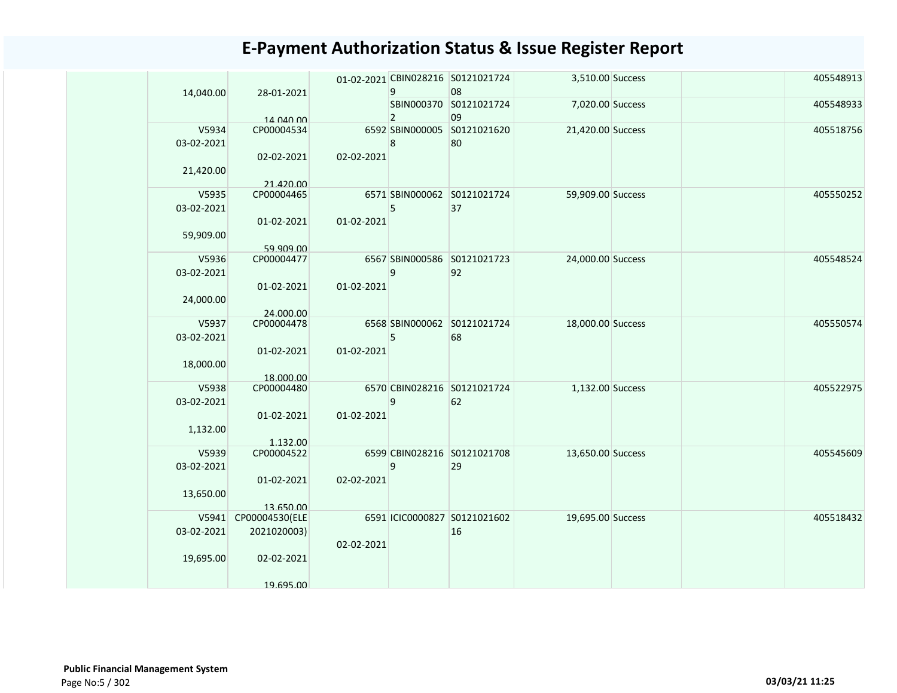| 14,040.00  | 28-01-2021     |            | 9              | 01-02-2021 CBIN028216 S0121021724<br>08 | 3,510.00 Success  |  | 405548913 |
|------------|----------------|------------|----------------|-----------------------------------------|-------------------|--|-----------|
|            | 14 040 00      |            | $\overline{2}$ | SBIN000370 S0121021724<br>09            | 7,020.00 Success  |  | 405548933 |
| V5934      | CP00004534     |            |                | 6592 SBIN000005 S0121021620             | 21,420.00 Success |  | 405518756 |
| 03-02-2021 |                |            |                | 80                                      |                   |  |           |
|            |                |            | 8              |                                         |                   |  |           |
|            | 02-02-2021     | 02-02-2021 |                |                                         |                   |  |           |
| 21,420.00  |                |            |                |                                         |                   |  |           |
|            | 21.420.00      |            |                |                                         |                   |  |           |
| V5935      | CP00004465     |            |                | 6571 SBIN000062 S0121021724             | 59,909.00 Success |  | 405550252 |
| 03-02-2021 |                |            | 5              | 37                                      |                   |  |           |
|            | 01-02-2021     | 01-02-2021 |                |                                         |                   |  |           |
|            |                |            |                |                                         |                   |  |           |
| 59,909.00  |                |            |                |                                         |                   |  |           |
|            | 59.909.00      |            |                |                                         |                   |  |           |
| V5936      | CP00004477     |            |                | 6567 SBIN000586 S0121021723             | 24,000.00 Success |  | 405548524 |
| 03-02-2021 |                |            | 9              | 92                                      |                   |  |           |
|            | 01-02-2021     | 01-02-2021 |                |                                         |                   |  |           |
| 24,000.00  |                |            |                |                                         |                   |  |           |
|            | 24.000.00      |            |                |                                         |                   |  |           |
| V5937      | CP00004478     |            |                | 6568 SBIN000062 S0121021724             | 18,000.00 Success |  | 405550574 |
| 03-02-2021 |                |            | 5              | 68                                      |                   |  |           |
|            |                |            |                |                                         |                   |  |           |
|            | 01-02-2021     | 01-02-2021 |                |                                         |                   |  |           |
| 18,000.00  |                |            |                |                                         |                   |  |           |
|            | 18.000.00      |            |                |                                         |                   |  |           |
| V5938      | CP00004480     |            |                | 6570 CBIN028216 S0121021724             | 1,132.00 Success  |  | 405522975 |
| 03-02-2021 |                |            | 9              | 62                                      |                   |  |           |
|            | 01-02-2021     | 01-02-2021 |                |                                         |                   |  |           |
| 1,132.00   |                |            |                |                                         |                   |  |           |
|            | 1.132.00       |            |                |                                         |                   |  |           |
| V5939      | CP00004522     |            |                | 6599 CBIN028216 S0121021708             | 13,650.00 Success |  | 405545609 |
| 03-02-2021 |                |            | 9              | 29                                      |                   |  |           |
|            |                |            |                |                                         |                   |  |           |
|            | 01-02-2021     | 02-02-2021 |                |                                         |                   |  |           |
| 13,650.00  |                |            |                |                                         |                   |  |           |
|            | 13.650.00      |            |                |                                         |                   |  |           |
| V5941      | CP00004530(ELE |            |                | 6591 ICIC0000827 S0121021602            | 19,695.00 Success |  | 405518432 |
| 03-02-2021 | 2021020003)    |            |                | 16                                      |                   |  |           |
|            |                | 02-02-2021 |                |                                         |                   |  |           |
| 19,695.00  | 02-02-2021     |            |                |                                         |                   |  |           |
|            |                |            |                |                                         |                   |  |           |
|            |                |            |                |                                         |                   |  |           |
|            | 19 695 00      |            |                |                                         |                   |  |           |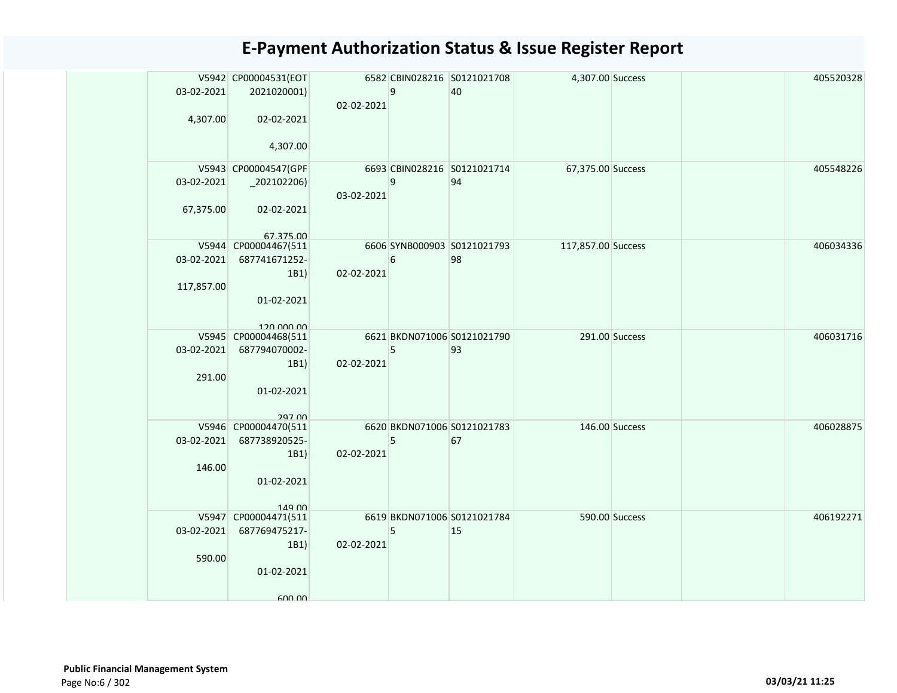|            | V5942 CP00004531(EOT               |            |   | 6582 CBIN028216 S0121021708 | 4,307.00 Success   |                | 405520328 |
|------------|------------------------------------|------------|---|-----------------------------|--------------------|----------------|-----------|
| 03-02-2021 | 2021020001)                        |            | 9 | 40                          |                    |                |           |
|            |                                    | 02-02-2021 |   |                             |                    |                |           |
| 4,307.00   | 02-02-2021                         |            |   |                             |                    |                |           |
|            |                                    |            |   |                             |                    |                |           |
|            | 4,307.00                           |            |   |                             |                    |                |           |
|            | V5943 CP00004547(GPF               |            |   | 6693 CBIN028216 S0121021714 | 67,375.00 Success  |                | 405548226 |
| 03-02-2021 |                                    |            | 9 | 94                          |                    |                |           |
|            |                                    | 03-02-2021 |   |                             |                    |                |           |
| 67,375.00  | 02-02-2021                         |            |   |                             |                    |                |           |
|            |                                    |            |   |                             |                    |                |           |
|            | 67 375 00<br>V5944 CP00004467(511  |            |   | 6606 SYNB000903 S0121021793 | 117,857.00 Success |                | 406034336 |
| 03-02-2021 | 687741671252-                      |            | 6 | 98                          |                    |                |           |
|            | 1B1                                | 02-02-2021 |   |                             |                    |                |           |
| 117,857.00 |                                    |            |   |                             |                    |                |           |
|            | 01-02-2021                         |            |   |                             |                    |                |           |
|            |                                    |            |   |                             |                    |                |           |
|            | 120,000,00<br>V5945 CP00004468(511 |            |   | 6621 BKDN071006 S0121021790 |                    | 291.00 Success | 406031716 |
| 03-02-2021 | 687794070002-                      |            | 5 | 93                          |                    |                |           |
|            | 1B1                                | 02-02-2021 |   |                             |                    |                |           |
| 291.00     |                                    |            |   |                             |                    |                |           |
|            | 01-02-2021                         |            |   |                             |                    |                |           |
|            |                                    |            |   |                             |                    |                |           |
|            | 297 00<br>V5946 CP00004470(511     |            |   | 6620 BKDN071006 S0121021783 |                    | 146.00 Success | 406028875 |
| 03-02-2021 | 687738920525-                      |            | 5 | 67                          |                    |                |           |
|            | 1B1                                | 02-02-2021 |   |                             |                    |                |           |
| 146.00     |                                    |            |   |                             |                    |                |           |
|            | 01-02-2021                         |            |   |                             |                    |                |           |
|            |                                    |            |   |                             |                    |                |           |
|            | 149 00<br>V5947 CP00004471(511     |            |   | 6619 BKDN071006 S0121021784 |                    | 590.00 Success | 406192271 |
| 03-02-2021 | 687769475217-                      |            | 5 | 15                          |                    |                |           |
|            | 1B1                                | 02-02-2021 |   |                             |                    |                |           |
| 590.00     |                                    |            |   |                             |                    |                |           |
|            | 01-02-2021                         |            |   |                             |                    |                |           |
|            |                                    |            |   |                             |                    |                |           |
|            | 600.00                             |            |   |                             |                    |                |           |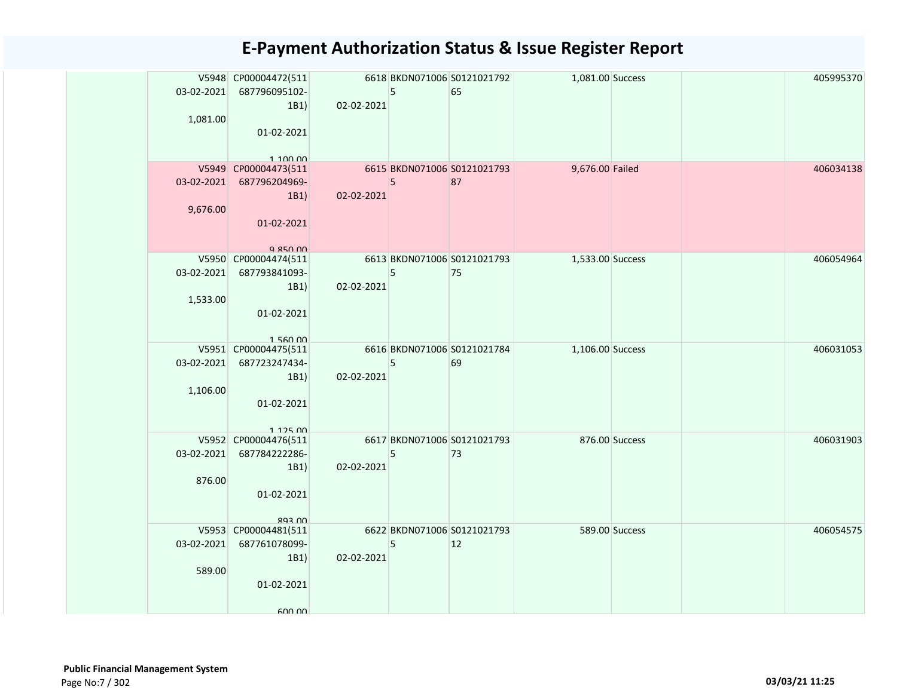| 1,081.00 | V5948 CP00004472(511<br>03-02-2021 687796095102-<br>1B1 | 02-02-2021                                                                                                            | 5 | 6618 BKDN071006 S0121021792<br>65 | 1,081.00 Success |                | 405995370 |
|----------|---------------------------------------------------------|-----------------------------------------------------------------------------------------------------------------------|---|-----------------------------------|------------------|----------------|-----------|
|          | 01-02-2021<br>1.100,00                                  |                                                                                                                       |   |                                   |                  |                |           |
|          | V5949 CP00004473(511<br>03-02-2021 687796204969-        | <b>Contract Contract Contract Contract Contract Contract Contract Contract Contract Contract Contract Contract Co</b> | 5 | 6615 BKDN071006 S0121021793<br>87 | 9,676.00 Failed  |                | 406034138 |
|          | 1B1                                                     | 02-02-2021                                                                                                            |   |                                   |                  |                |           |
| 9,676.00 |                                                         |                                                                                                                       |   |                                   |                  |                |           |
|          | 01-02-2021                                              |                                                                                                                       |   |                                   |                  |                |           |
|          | Q 850 00                                                |                                                                                                                       |   |                                   |                  |                |           |
|          | V5950 CP00004474(511                                    |                                                                                                                       |   | 6613 BKDN071006 S0121021793       | 1,533.00 Success |                | 406054964 |
|          | 03-02-2021 687793841093-<br>1B1                         | $02 - 02 - 2021$                                                                                                      | 5 | 75                                |                  |                |           |
| 1,533.00 |                                                         |                                                                                                                       |   |                                   |                  |                |           |
|          | 01-02-2021                                              |                                                                                                                       |   |                                   |                  |                |           |
|          |                                                         |                                                                                                                       |   |                                   |                  |                |           |
|          | 156000<br>V5951 CP00004475(511                          | 6616 BKDN071006 S0121021784                                                                                           |   |                                   | 1,106.00 Success |                | 406031053 |
|          | 03-02-2021 687723247434-                                |                                                                                                                       | 5 | 69                                |                  |                |           |
|          | 1B1                                                     | 02-02-2021                                                                                                            |   |                                   |                  |                |           |
| 1,106.00 | 01-02-2021                                              |                                                                                                                       |   |                                   |                  |                |           |
|          |                                                         |                                                                                                                       |   |                                   |                  |                |           |
|          | 112500                                                  |                                                                                                                       |   |                                   |                  |                |           |
|          | V5952 CP00004476(511                                    |                                                                                                                       |   | 6617 BKDN071006 S0121021793       |                  | 876.00 Success | 406031903 |
|          | 03-02-2021 687784222286-<br>1B1                         | 02-02-2021                                                                                                            | 5 | 73                                |                  |                |           |
| 876.00   |                                                         |                                                                                                                       |   |                                   |                  |                |           |
|          | 01-02-2021                                              |                                                                                                                       |   |                                   |                  |                |           |
|          | <b>NU 203</b>                                           |                                                                                                                       |   |                                   |                  |                |           |
|          | V5953 CP00004481(511                                    |                                                                                                                       |   | 6622 BKDN071006 S0121021793       |                  | 589.00 Success | 406054575 |
|          | 03-02-2021 687761078099-                                |                                                                                                                       | 5 | 12                                |                  |                |           |
|          | 1B1                                                     | $02 - 02 - 2021$                                                                                                      |   |                                   |                  |                |           |
| 589.00   | 01-02-2021                                              |                                                                                                                       |   |                                   |                  |                |           |
|          |                                                         |                                                                                                                       |   |                                   |                  |                |           |
|          | 600.00                                                  |                                                                                                                       |   |                                   |                  |                |           |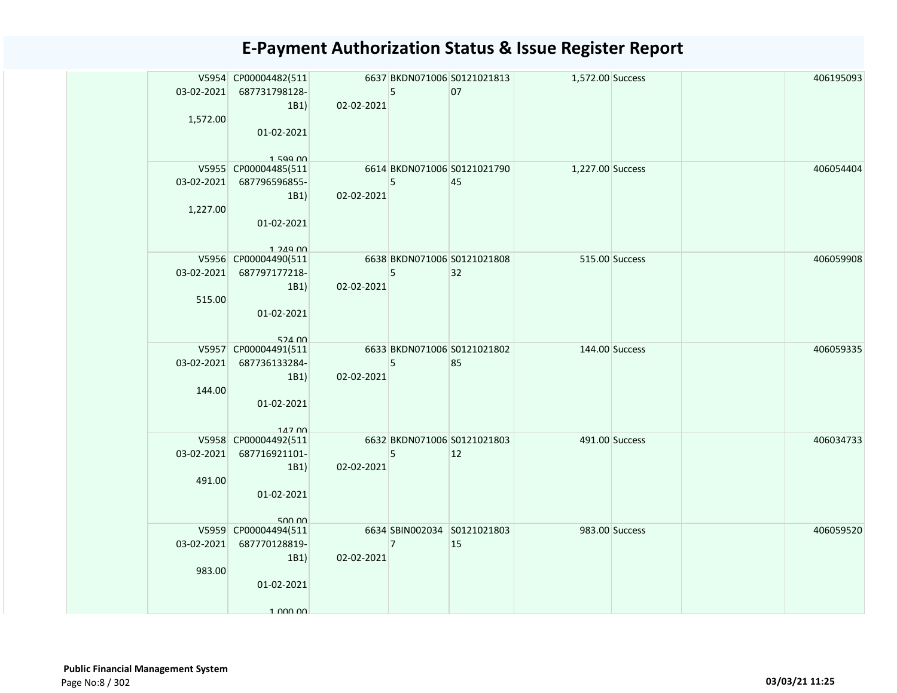| 03-02-2021                   | V5954 CP00004482(511<br>687731798128-<br>1B1                                         | $02 - 02 - 2021$                          | 5              | 6637 BKDN071006 S0121021813<br>07 | 1,572.00 Success |                | 406195093 |
|------------------------------|--------------------------------------------------------------------------------------|-------------------------------------------|----------------|-----------------------------------|------------------|----------------|-----------|
| 1,572.00                     | 01-02-2021                                                                           |                                           |                |                                   |                  |                |           |
| $03 - 02 - 2021$<br>1,227.00 | 159900<br>V5955 CP00004485(511<br>687796596855-<br>1B1<br>01-02-2021<br>$1.249$ $00$ | 02-02-2021                                | 5              | 6614 BKDN071006 S0121021790<br>45 | 1,227.00 Success |                | 406054404 |
| 03-02-2021<br>515.00         | V5956 CP00004490(511<br>687797177218-<br>1B1<br>01-02-2021<br>524 00                 | $02 - 02 - 2021$                          | 5              | 6638 BKDN071006 S0121021808<br>32 |                  | 515.00 Success | 406059908 |
| 03-02-2021<br>144.00         | V5957 CP00004491(511<br>687736133284-<br>1B1<br>01-02-2021<br>14700                  | 6633 BKDN071006 S0121021802<br>02-02-2021 | 5              | 85                                |                  | 144.00 Success | 406059335 |
| 03-02-2021<br>491.00         | V5958 CP00004492(511<br>687716921101-<br>1B1<br>01-02-2021<br>500.00                 | 6632 BKDN071006 S0121021803<br>02-02-2021 | 5              | 12                                |                  | 491.00 Success | 406034733 |
| 03-02-2021<br>983.00         | V5959 CP00004494(511<br>687770128819-<br>1B1)<br>01-02-2021<br>1 000 00              | 02-02-2021                                | $\overline{7}$ | 6634 SBIN002034 S0121021803<br>15 | 983.00 Success   |                | 406059520 |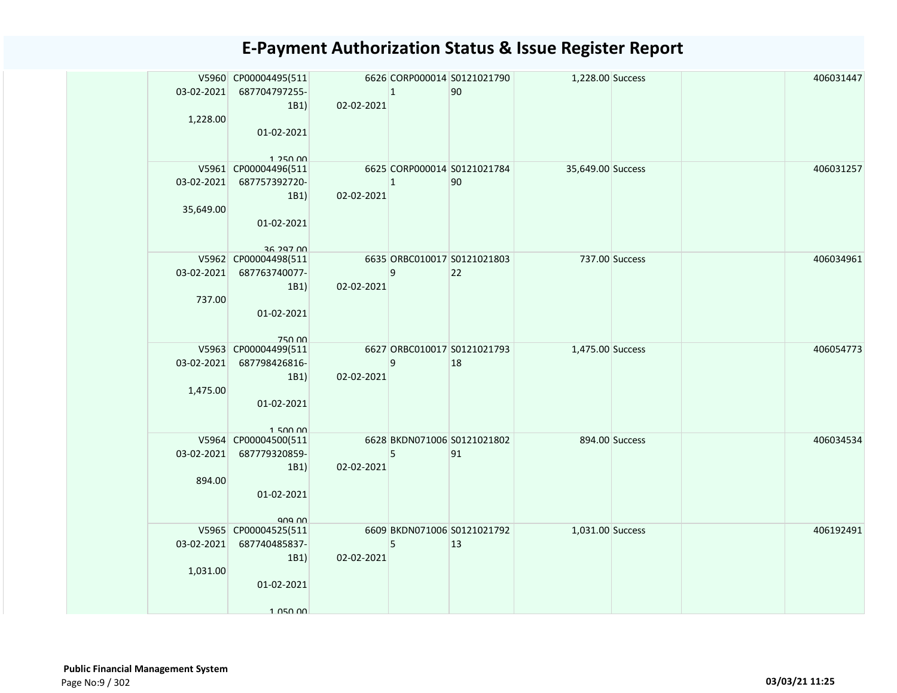|            | V5960 CP00004495(511<br>03-02-2021 687704797255- |            | $ 1\rangle$    | 6626 CORP000014 S0121021790<br>90 | 1,228.00 Success  |  | 406031447 |
|------------|--------------------------------------------------|------------|----------------|-----------------------------------|-------------------|--|-----------|
|            | 1B1)                                             | 02-02-2021 |                |                                   |                   |  |           |
| 1,228.00   |                                                  |            |                |                                   |                   |  |           |
|            | 01-02-2021                                       |            |                |                                   |                   |  |           |
|            |                                                  |            |                |                                   |                   |  |           |
|            | 1 250 00                                         |            |                |                                   |                   |  |           |
|            | V5961 CP00004496(511                             |            |                | 6625 CORP000014 S0121021784       | 35,649.00 Success |  | 406031257 |
| 03-02-2021 | 687757392720-                                    |            | $\overline{1}$ | 90                                |                   |  |           |
|            | 1B1)                                             | 02-02-2021 |                |                                   |                   |  |           |
| 35,649.00  |                                                  |            |                |                                   |                   |  |           |
|            | 01-02-2021                                       |            |                |                                   |                   |  |           |
|            |                                                  |            |                |                                   |                   |  |           |
|            | 36 297 00<br>V5962 CP00004498(511                |            |                | 6635 ORBC010017 S0121021803       | 737.00 Success    |  | 406034961 |
|            | 03-02-2021 687763740077-                         |            | 9              | 22                                |                   |  |           |
|            | 1B1)                                             | 02-02-2021 |                |                                   |                   |  |           |
| 737.00     |                                                  |            |                |                                   |                   |  |           |
|            | 01-02-2021                                       |            |                |                                   |                   |  |           |
|            |                                                  |            |                |                                   |                   |  |           |
|            | <b>750.00</b>                                    |            |                |                                   |                   |  |           |
|            | V5963 CP00004499(511                             |            |                | 6627 ORBC010017 S0121021793       | 1,475.00 Success  |  | 406054773 |
| 03-02-2021 | 687798426816-                                    |            | 9              | 18                                |                   |  |           |
|            | 1B1)                                             | 02-02-2021 |                |                                   |                   |  |           |
| 1,475.00   |                                                  |            |                |                                   |                   |  |           |
|            | 01-02-2021                                       |            |                |                                   |                   |  |           |
|            |                                                  |            |                |                                   |                   |  |           |
|            | 150000                                           |            |                | 6628 BKDN071006 S0121021802       |                   |  |           |
|            | V5964 CP00004500(511                             |            |                |                                   | 894.00 Success    |  | 406034534 |
| 03-02-2021 | 687779320859-                                    |            | 5              | 91                                |                   |  |           |
|            | 1B1)                                             | 02-02-2021 |                |                                   |                   |  |           |
| 894.00     |                                                  |            |                |                                   |                   |  |           |
|            | 01-02-2021                                       |            |                |                                   |                   |  |           |
|            | 909.00                                           |            |                |                                   |                   |  |           |
|            | V5965 CP00004525(511                             |            |                | 6609 BKDN071006 S0121021792       | 1,031.00 Success  |  | 406192491 |
| 03-02-2021 | 687740485837-                                    |            | 5              | $ 13\rangle$                      |                   |  |           |
|            | 1B1)                                             | 02-02-2021 |                |                                   |                   |  |           |
| 1,031.00   |                                                  |            |                |                                   |                   |  |           |
|            | 01-02-2021                                       |            |                |                                   |                   |  |           |
|            |                                                  |            |                |                                   |                   |  |           |
|            | 1 050 00                                         |            |                |                                   |                   |  |           |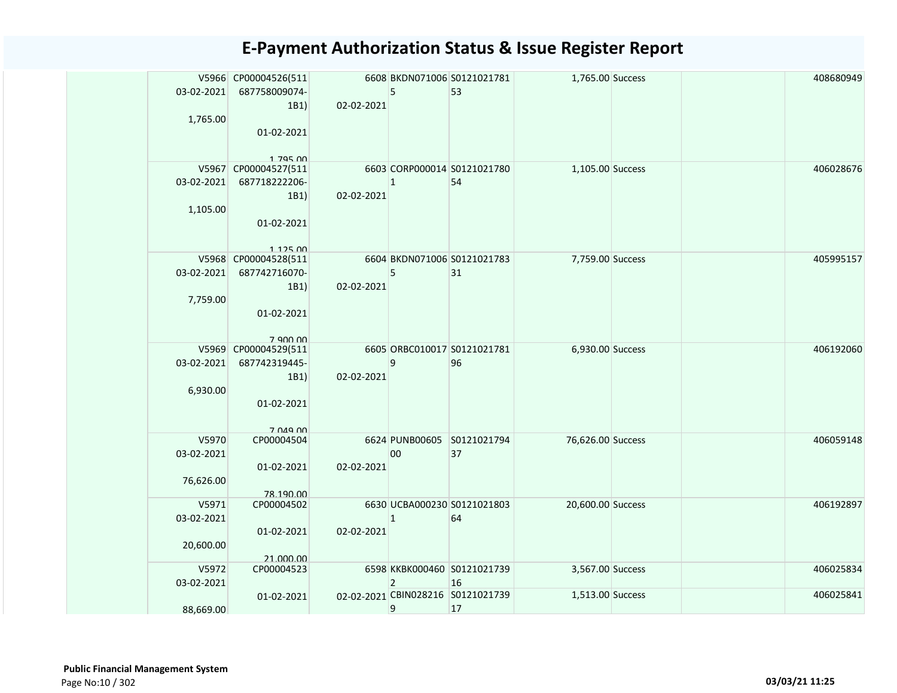| 03-02-2021 | V5966 CP00004526(511<br>687758009074- |            | 5              | 6608 BKDN071006 S0121021781<br>53       | 1,765.00 Success  |  | 408680949 |
|------------|---------------------------------------|------------|----------------|-----------------------------------------|-------------------|--|-----------|
|            | 1B1)                                  | 02-02-2021 |                |                                         |                   |  |           |
| 1,765.00   | 01-02-2021                            |            |                |                                         |                   |  |           |
|            | 1 795 NO                              |            |                |                                         |                   |  |           |
|            | V5967 CP00004527(511                  |            |                | 6603 CORP000014 S0121021780             | 1,105.00 Success  |  | 406028676 |
| 03-02-2021 | 687718222206-                         |            | $\mathbf{1}$   | 54                                      |                   |  |           |
|            | 1B1)                                  | 02-02-2021 |                |                                         |                   |  |           |
| 1,105.00   |                                       |            |                |                                         |                   |  |           |
|            | 01-02-2021                            |            |                |                                         |                   |  |           |
|            | 112500                                |            |                |                                         |                   |  |           |
|            | V5968 CP00004528(511                  |            |                | 6604 BKDN071006 S0121021783             | 7,759.00 Success  |  | 405995157 |
| 03-02-2021 | 687742716070-                         |            | 5              | 31                                      |                   |  |           |
|            | 1B1)                                  | 02-02-2021 |                |                                         |                   |  |           |
| 7,759.00   |                                       |            |                |                                         |                   |  |           |
|            | 01-02-2021                            |            |                |                                         |                   |  |           |
|            | 7 QNO 00                              |            |                |                                         |                   |  |           |
|            | V5969 CP00004529(511                  |            |                | 6605 ORBC010017 S0121021781             | 6,930.00 Success  |  | 406192060 |
| 03-02-2021 | 687742319445-                         |            | 9              | 96                                      |                   |  |           |
|            | 1B1)                                  | 02-02-2021 |                |                                         |                   |  |           |
| 6,930.00   |                                       |            |                |                                         |                   |  |           |
|            | 01-02-2021                            |            |                |                                         |                   |  |           |
|            | 7 049 00                              |            |                |                                         |                   |  |           |
| V5970      | CP00004504                            |            |                | 6624 PUNB00605 S0121021794              | 76,626.00 Success |  | 406059148 |
| 03-02-2021 |                                       |            | 00             | 37                                      |                   |  |           |
|            | 01-02-2021                            | 02-02-2021 |                |                                         |                   |  |           |
| 76,626.00  |                                       |            |                |                                         |                   |  |           |
| V5971      | 78.190.00<br>CP00004502               |            |                | 6630 UCBA000230 S0121021803             | 20,600.00 Success |  | 406192897 |
| 03-02-2021 |                                       |            | $\mathbf{1}$   | 64                                      |                   |  |           |
|            | 01-02-2021                            | 02-02-2021 |                |                                         |                   |  |           |
| 20,600.00  |                                       |            |                |                                         |                   |  |           |
|            | 21.000.00                             |            |                |                                         |                   |  |           |
| V5972      | CP00004523                            |            |                | 6598 KKBK000460 S0121021739             | 3,567.00 Success  |  | 406025834 |
| 03-02-2021 |                                       |            | $\overline{2}$ | 16<br>02-02-2021 CBIN028216 S0121021739 | 1,513.00 Success  |  | 406025841 |
| 88,669.00  | 01-02-2021                            |            | 9              | 17                                      |                   |  |           |
|            |                                       |            |                |                                         |                   |  |           |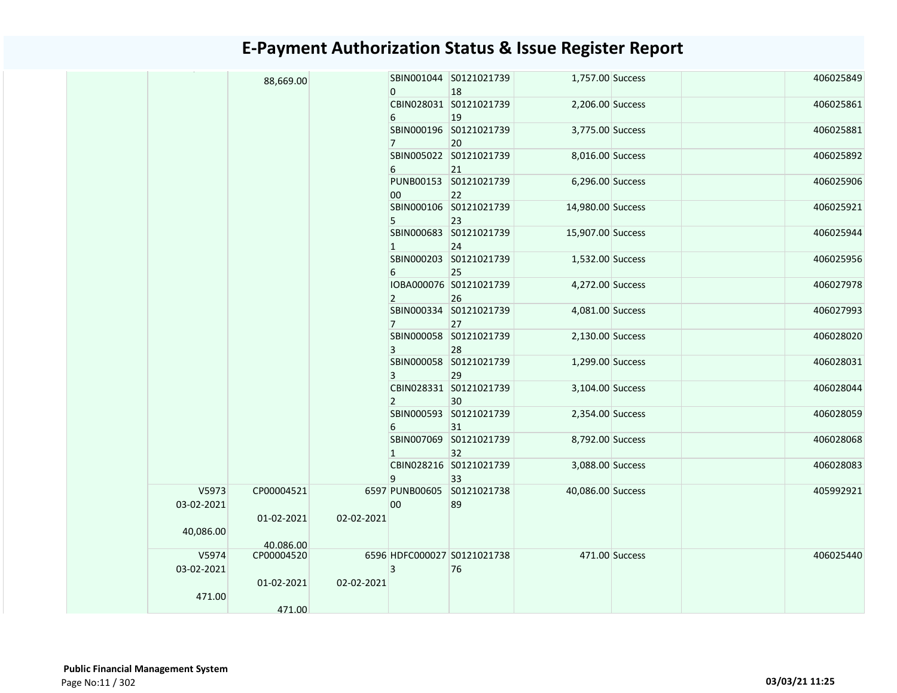|                     | 88,669.00                |            | $\mathbf{0}$   | SBIN001044 S0121021739<br>18      | 1,757.00 Success  |                | 406025849 |
|---------------------|--------------------------|------------|----------------|-----------------------------------|-------------------|----------------|-----------|
|                     |                          |            | 6              | CBIN028031 S0121021739<br>19      | 2,206.00 Success  |                | 406025861 |
|                     |                          |            | $7^{\circ}$    | SBIN000196 S0121021739<br>20      | 3,775.00 Success  |                | 406025881 |
|                     |                          |            | 6              | SBIN005022 S0121021739<br>21      | 8,016.00 Success  |                | 406025892 |
|                     |                          |            | 00             | PUNB00153 S0121021739<br>22       | 6,296.00 Success  |                | 406025906 |
|                     |                          |            | 5              | SBIN000106 S0121021739<br>23      | 14,980.00 Success |                | 406025921 |
|                     |                          |            | $\overline{1}$ | SBIN000683 S0121021739<br>24      | 15,907.00 Success |                | 406025944 |
|                     |                          |            | 6              | SBIN000203 S0121021739<br>25      | 1,532.00 Success  |                | 406025956 |
|                     |                          |            | $\overline{2}$ | IOBA000076 S0121021739<br>26      | 4,272.00 Success  |                | 406027978 |
|                     |                          |            | $\overline{7}$ | SBIN000334 S0121021739<br>27      | 4,081.00 Success  |                | 406027993 |
|                     |                          |            | 3              | SBIN000058 S0121021739<br>28      | 2,130.00 Success  |                | 406028020 |
|                     |                          |            | 3              | SBIN000058 S0121021739<br>29      | 1,299.00 Success  |                | 406028031 |
|                     |                          |            | $\overline{2}$ | CBIN028331 S0121021739<br>30      | 3,104.00 Success  |                | 406028044 |
|                     |                          |            | 6              | SBIN000593 S0121021739<br>31      | 2,354.00 Success  |                | 406028059 |
|                     |                          |            | $\mathbf{1}$   | SBIN007069 S0121021739<br>32      | 8,792.00 Success  |                | 406028068 |
|                     |                          |            | 9              | CBIN028216 S0121021739<br>33      | 3,088.00 Success  |                | 406028083 |
| V5973<br>03-02-2021 | CP00004521<br>01-02-2021 | 02-02-2021 | 00             | 6597 PUNB00605 S0121021738<br>89  | 40,086.00 Success |                | 405992921 |
| 40,086.00           | 40.086.00                |            |                |                                   |                   |                |           |
| V5974<br>03-02-2021 | CP00004520               |            | 3              | 6596 HDFC000027 S0121021738<br>76 |                   | 471.00 Success | 406025440 |
| 471.00              | 01-02-2021               | 02-02-2021 |                |                                   |                   |                |           |
|                     | 471.00                   |            |                |                                   |                   |                |           |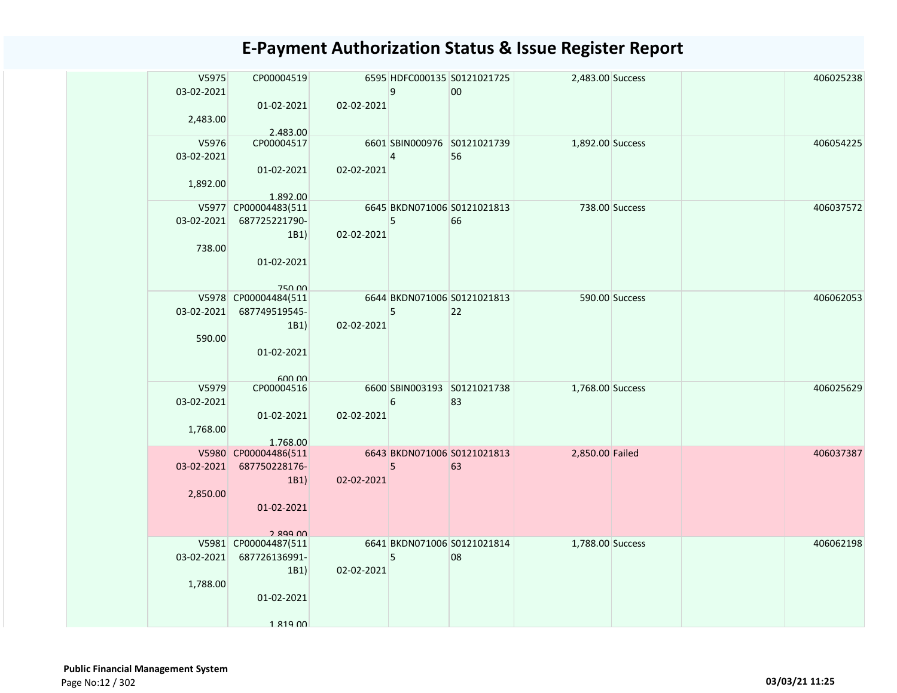| V5975        | CP00004519                       |                  |                | 6595 HDFC000135 S0121021725 | 2,483.00 Success       |                | 406025238 |
|--------------|----------------------------------|------------------|----------------|-----------------------------|------------------------|----------------|-----------|
| 03-02-2021   |                                  |                  | 9              | 00                          |                        |                |           |
|              | $01-02-2021$                     | 02-02-2021       |                |                             |                        |                |           |
| 2,483.00     |                                  |                  |                |                             |                        |                |           |
|              | 2.483.00                         |                  |                |                             |                        |                |           |
| V5976        | CP00004517                       |                  |                | 6601 SBIN000976 S0121021739 | 1,892.00 Success       |                | 406054225 |
| 03-02-2021   |                                  |                  | $\overline{4}$ | 56                          |                        |                |           |
|              | 01-02-2021                       | $02 - 02 - 2021$ |                |                             |                        |                |           |
| 1,892.00     |                                  |                  |                |                             |                        |                |           |
|              | 1.892.00<br>V5977 CP00004483(511 |                  |                | 6645 BKDN071006 S0121021813 |                        | 738.00 Success | 406037572 |
| 03-02-2021   | 687725221790-                    |                  | 5              | 66                          |                        |                |           |
|              | 1B1                              | 02-02-2021       |                |                             |                        |                |           |
| 738.00       |                                  |                  |                |                             |                        |                |           |
|              | 01-02-2021                       |                  |                |                             |                        |                |           |
|              |                                  |                  |                |                             |                        |                |           |
|              | <b>750.00</b>                    |                  |                |                             |                        |                |           |
|              | V5978 CP00004484(511             |                  |                | 6644 BKDN071006 S0121021813 |                        | 590.00 Success | 406062053 |
| $03-02-2021$ | 687749519545-                    |                  | 5              | 22                          |                        |                |           |
|              | 1B1                              | 02-02-2021       |                |                             |                        |                |           |
| 590.00       | 01-02-2021                       |                  |                |                             |                        |                |           |
|              |                                  |                  |                |                             |                        |                |           |
|              | 600.00                           |                  |                |                             |                        |                |           |
| V5979        | CP00004516                       |                  |                | 6600 SBIN003193 S0121021738 | 1,768.00 Success       |                | 406025629 |
| 03-02-2021   |                                  |                  | 6              | 83                          |                        |                |           |
|              | 01-02-2021                       | 02-02-2021       |                |                             |                        |                |           |
| 1,768.00     |                                  |                  |                |                             |                        |                |           |
|              | 1.768.00<br>V5980 CP00004486(511 |                  |                | 6643 BKDN071006 S0121021813 | <b>2,850.00 Failed</b> |                | 406037387 |
|              | 03-02-2021 687750228176-         |                  | 5              | 63                          |                        |                |           |
|              | 1B1)                             | 02-02-2021       |                |                             |                        |                |           |
| 2,850.00     |                                  |                  |                |                             |                        |                |           |
|              | 01-02-2021                       |                  |                |                             |                        |                |           |
|              |                                  |                  |                |                             |                        |                |           |
|              | 2 899 UU                         |                  |                |                             |                        |                |           |
|              | V5981 CP00004487(511             |                  |                | 6641 BKDN071006 S0121021814 | 1,788.00 Success       |                | 406062198 |
| 03-02-2021   | 687726136991-                    |                  | 5              | 08                          |                        |                |           |
|              | 1B1)                             | 02-02-2021       |                |                             |                        |                |           |
| 1,788.00     |                                  |                  |                |                             |                        |                |           |
|              | 01-02-2021                       |                  |                |                             |                        |                |           |
|              | $1.819$ $00$                     |                  |                |                             |                        |                |           |
|              |                                  |                  |                |                             |                        |                |           |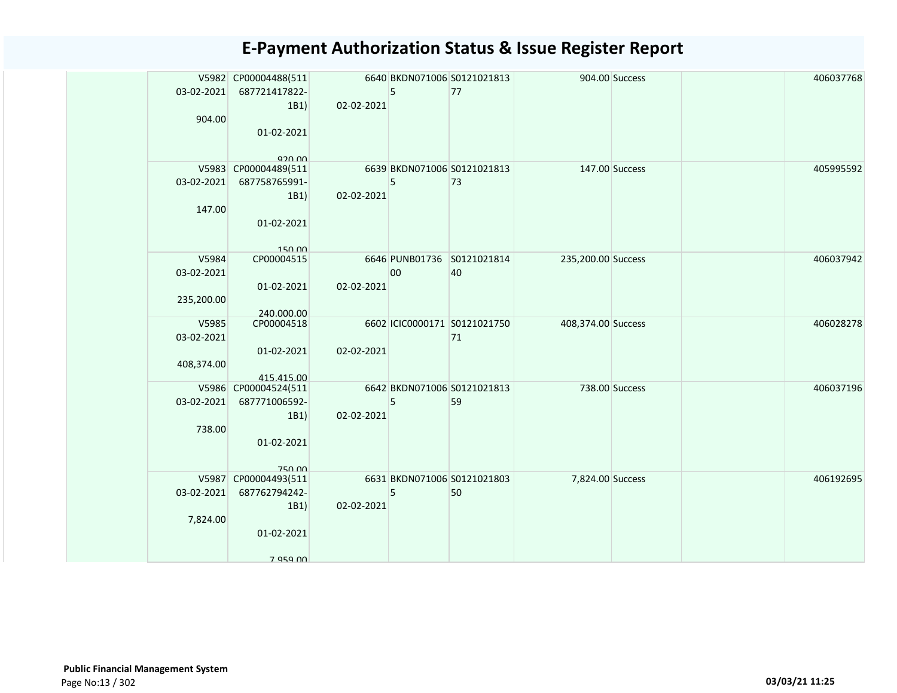|            | V5982 CP00004488(511                  |            |    | 6640 BKDN071006 S0121021813  |                    | 904.00 Success | 406037768 |
|------------|---------------------------------------|------------|----|------------------------------|--------------------|----------------|-----------|
| 03-02-2021 | 687721417822-                         |            | 5  | 77                           |                    |                |           |
|            | 1B1)                                  | 02-02-2021 |    |                              |                    |                |           |
| 904.00     |                                       |            |    |                              |                    |                |           |
|            | 01-02-2021                            |            |    |                              |                    |                |           |
|            |                                       |            |    |                              |                    |                |           |
|            | <b>920 UU</b><br>V5983 CP00004489(511 |            |    | 6639 BKDN071006 S0121021813  |                    | 147.00 Success | 405995592 |
|            | 03-02-2021 687758765991-              |            | 5  | 73                           |                    |                |           |
|            | 1B1)                                  | 02-02-2021 |    |                              |                    |                |           |
| 147.00     |                                       |            |    |                              |                    |                |           |
|            | 01-02-2021                            |            |    |                              |                    |                |           |
|            |                                       |            |    |                              |                    |                |           |
|            | 15000                                 |            |    |                              |                    |                |           |
| V5984      | CP00004515                            |            |    | 6646 PUNB01736 S0121021814   | 235,200.00 Success |                | 406037942 |
| 03-02-2021 |                                       |            | 00 | 40                           |                    |                |           |
|            | 01-02-2021                            | 02-02-2021 |    |                              |                    |                |           |
| 235,200.00 | 240.000.00                            |            |    |                              |                    |                |           |
| V5985      | CP00004518                            |            |    | 6602 ICIC0000171 S0121021750 | 408,374.00 Success |                | 406028278 |
| 03-02-2021 |                                       |            |    | 71                           |                    |                |           |
|            | 01-02-2021                            | 02-02-2021 |    |                              |                    |                |           |
| 408,374.00 |                                       |            |    |                              |                    |                |           |
|            | 415.415.00                            |            |    |                              |                    |                |           |
|            | V5986 CP00004524(511                  |            |    | 6642 BKDN071006 S0121021813  |                    | 738.00 Success | 406037196 |
| 03-02-2021 | 687771006592-                         |            | 5  | 59                           |                    |                |           |
| 738.00     | 1B1)                                  | 02-02-2021 |    |                              |                    |                |           |
|            | 01-02-2021                            |            |    |                              |                    |                |           |
|            |                                       |            |    |                              |                    |                |           |
|            | <b>750.00</b>                         |            |    |                              |                    |                |           |
|            | V5987 CP00004493(511                  |            |    | 6631 BKDN071006 S0121021803  | 7,824.00 Success   |                | 406192695 |
| 03-02-2021 | 687762794242-                         |            | 5  | 50                           |                    |                |           |
|            | 1B1)                                  | 02-02-2021 |    |                              |                    |                |           |
| 7,824.00   |                                       |            |    |                              |                    |                |           |
|            | 01-02-2021                            |            |    |                              |                    |                |           |
|            |                                       |            |    |                              |                    |                |           |
|            | 7 Q5Q NN                              |            |    |                              |                    |                |           |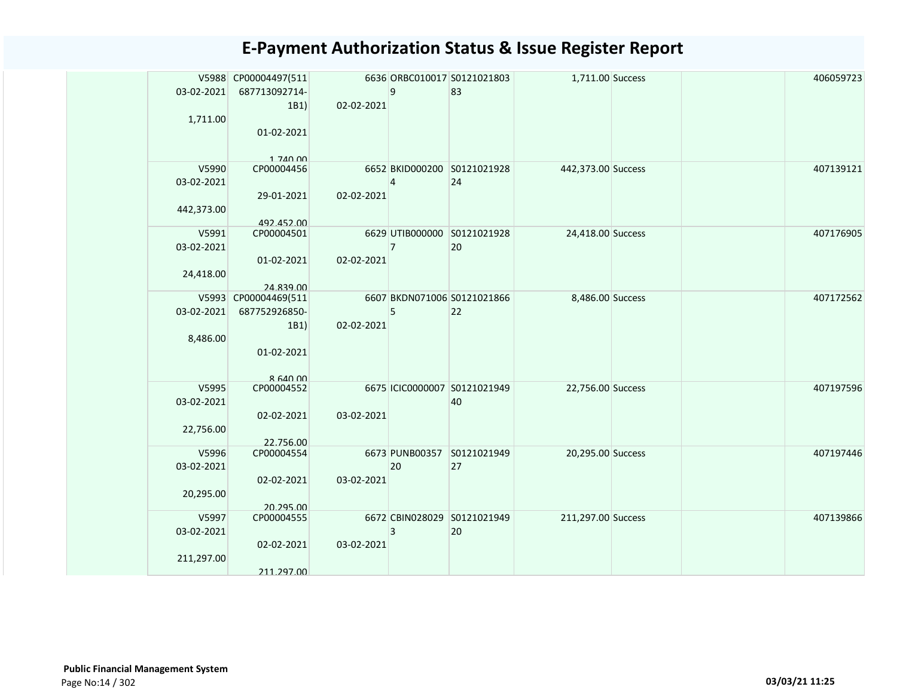|            | V5988 CP00004497(511              |            |                | 6636 ORBC010017 S0121021803  | 1,711.00 Success   |  | 406059723 |
|------------|-----------------------------------|------------|----------------|------------------------------|--------------------|--|-----------|
| 03-02-2021 | 687713092714-                     |            | $\overline{9}$ | 83                           |                    |  |           |
|            | 1B1)                              | 02-02-2021 |                |                              |                    |  |           |
| 1,711.00   |                                   |            |                |                              |                    |  |           |
|            | 01-02-2021                        |            |                |                              |                    |  |           |
|            |                                   |            |                |                              |                    |  |           |
| V5990      | 1,740,00<br>CP00004456            |            |                | 6652 BKID000200 S0121021928  | 442,373.00 Success |  | 407139121 |
| 03-02-2021 |                                   |            | $\overline{4}$ | 24                           |                    |  |           |
|            | 29-01-2021                        | 02-02-2021 |                |                              |                    |  |           |
| 442,373.00 |                                   |            |                |                              |                    |  |           |
|            | 492.452.00                        |            |                |                              |                    |  |           |
| V5991      | CP00004501                        |            |                | 6629 UTIB000000 S0121021928  | 24,418.00 Success  |  | 407176905 |
| 03-02-2021 |                                   |            | $\overline{7}$ | 20                           |                    |  |           |
|            | 01-02-2021                        | 02-02-2021 |                |                              |                    |  |           |
| 24,418.00  |                                   |            |                |                              |                    |  |           |
|            | 24.839.00<br>V5993 CP00004469(511 |            |                | 6607 BKDN071006 S0121021866  | 8,486.00 Success   |  | 407172562 |
| 03-02-2021 | 687752926850-                     |            | 5              | 22                           |                    |  |           |
|            | 1B1)                              | 02-02-2021 |                |                              |                    |  |           |
| 8,486.00   |                                   |            |                |                              |                    |  |           |
|            | 01-02-2021                        |            |                |                              |                    |  |           |
|            |                                   |            |                |                              |                    |  |           |
|            | $R$ 640 00                        |            |                |                              |                    |  |           |
| V5995      | CP00004552                        |            |                | 6675 ICIC0000007 S0121021949 | 22,756.00 Success  |  | 407197596 |
| 03-02-2021 |                                   |            |                | 40                           |                    |  |           |
|            | 02-02-2021                        | 03-02-2021 |                |                              |                    |  |           |
| 22,756.00  |                                   |            |                |                              |                    |  |           |
| V5996      | 22.756.00<br>CP00004554           |            |                | 6673 PUNB00357 S0121021949   | 20,295.00 Success  |  | 407197446 |
| 03-02-2021 |                                   |            | 20             | 27                           |                    |  |           |
|            | 02-02-2021                        | 03-02-2021 |                |                              |                    |  |           |
| 20,295.00  |                                   |            |                |                              |                    |  |           |
|            | 20.295.00                         |            |                |                              |                    |  |           |
| V5997      | CP00004555                        |            |                | 6672 CBIN028029 S0121021949  | 211,297.00 Success |  | 407139866 |
| 03-02-2021 |                                   |            | $\overline{3}$ | 20                           |                    |  |           |
|            | 02-02-2021                        | 03-02-2021 |                |                              |                    |  |           |
| 211,297.00 |                                   |            |                |                              |                    |  |           |
|            | 211.297.00                        |            |                |                              |                    |  |           |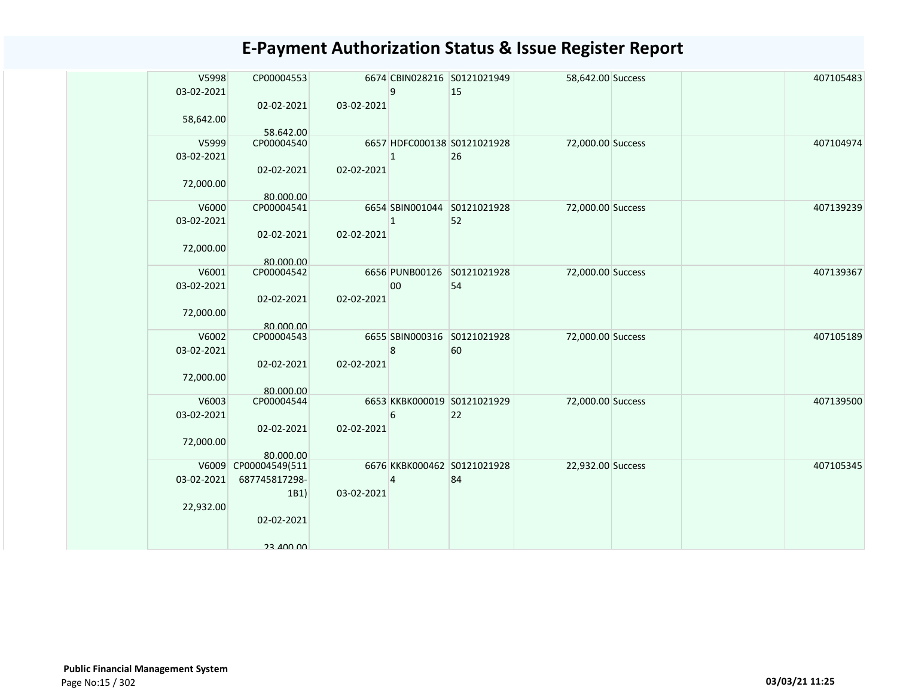| V5998<br>03-02-2021 | CP00004553              |            | $\mathsf{q}$   | 6674 CBIN028216 S0121021949<br>15 | 58,642.00 Success |  | 407105483 |
|---------------------|-------------------------|------------|----------------|-----------------------------------|-------------------|--|-----------|
| 58,642.00           | 02-02-2021<br>58.642.00 | 03-02-2021 |                |                                   |                   |  |           |
| V5999<br>03-02-2021 | CP00004540              |            |                | 6657 HDFC000138 S0121021928<br>26 | 72,000.00 Success |  | 407104974 |
| 72,000.00           | 02-02-2021<br>80.000.00 | 02-02-2021 |                |                                   |                   |  |           |
| V6000<br>03-02-2021 | CP00004541              |            |                | 6654 SBIN001044 S0121021928<br>52 | 72,000.00 Success |  | 407139239 |
| 72,000.00           | 02-02-2021<br>80.000.00 | 02-02-2021 |                |                                   |                   |  |           |
| V6001<br>03-02-2021 | CP00004542              |            | 00             | 6656 PUNB00126 S0121021928<br>54  | 72,000.00 Success |  | 407139367 |
| 72,000.00           | 02-02-2021<br>80.000.00 | 02-02-2021 |                |                                   |                   |  |           |
| V6002<br>03-02-2021 | CP00004543              |            | 8              | 6655 SBIN000316 S0121021928<br>60 | 72,000.00 Success |  | 407105189 |
| 72,000.00           | 02-02-2021<br>80.000.00 | 02-02-2021 |                |                                   |                   |  |           |
| V6003<br>03-02-2021 | CP00004544              |            | 6              | 6653 KKBK000019 S0121021929<br>22 | 72,000.00 Success |  | 407139500 |
| 72,000.00           | 02-02-2021<br>80.000.00 | 02-02-2021 |                |                                   |                   |  |           |
| V6009               | CP00004549(511          |            |                | 6676 KKBK000462 S0121021928       | 22,932.00 Success |  | 407105345 |
| 03-02-2021          | 687745817298-<br>1B1)   | 03-02-2021 | $\overline{4}$ | 84                                |                   |  |           |
| 22,932.00           | 02-02-2021              |            |                |                                   |                   |  |           |
|                     | <b>DU UUF EC</b>        |            |                |                                   |                   |  |           |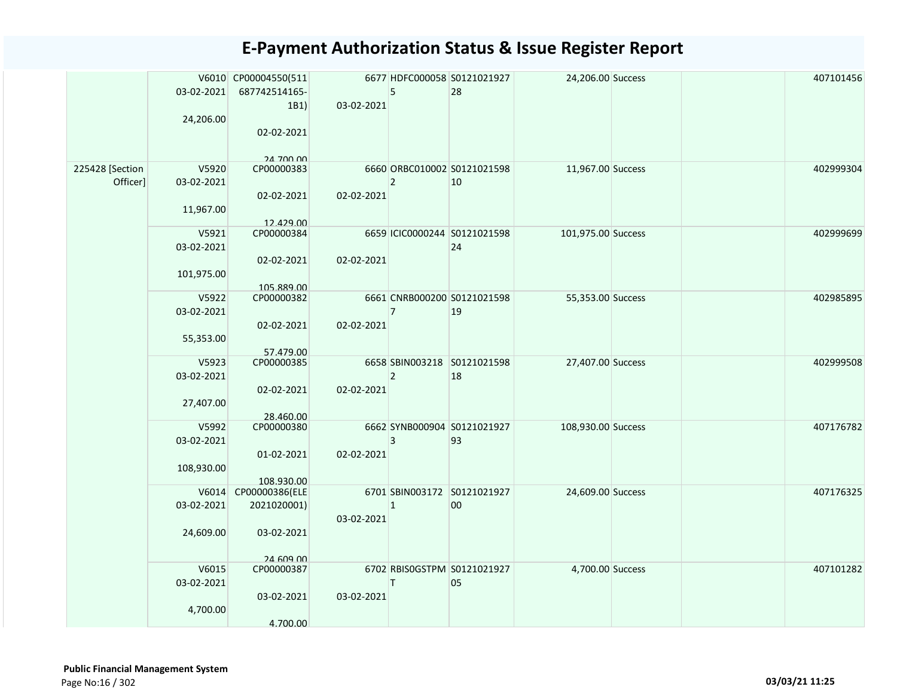|                             | 03-02-2021<br>24,206.00           | V6010 CP00004550(511<br>687742514165-<br>1B1<br>02-02-2021<br>24 700 00 | 03-02-2021 | 5              | 6677 HDFC000058 S0121021927<br>28  | 24,206.00 Success  |  | 407101456 |
|-----------------------------|-----------------------------------|-------------------------------------------------------------------------|------------|----------------|------------------------------------|--------------------|--|-----------|
| 225428 [Section<br>Officer] | V5920<br>03-02-2021<br>11,967.00  | CP00000383<br>02-02-2021<br>12.429.00                                   | 02-02-2021 | $\overline{2}$ | 6660 ORBC010002 S0121021598<br>10  | 11,967.00 Success  |  | 402999304 |
|                             | V5921<br>03-02-2021<br>101,975.00 | CP00000384<br>02-02-2021<br>105.889.00                                  | 02-02-2021 |                | 6659 ICIC0000244 S0121021598<br>24 | 101,975.00 Success |  | 402999699 |
|                             | V5922<br>03-02-2021<br>55,353.00  | CP00000382<br>02-02-2021<br>57.479.00                                   | 02-02-2021 | $\overline{7}$ | 6661 CNRB000200 S0121021598<br>19  | 55,353.00 Success  |  | 402985895 |
|                             | V5923<br>03-02-2021<br>27,407.00  | CP00000385<br>02-02-2021<br>28.460.00                                   | 02-02-2021 | $\overline{2}$ | 6658 SBIN003218 S0121021598<br>18  | 27,407.00 Success  |  | 402999508 |
|                             | V5992<br>03-02-2021<br>108,930.00 | CP00000380<br>01-02-2021<br>108.930.00                                  | 02-02-2021 | $\overline{3}$ | 6662 SYNB000904 S0121021927<br>93  | 108,930.00 Success |  | 407176782 |
|                             | 03-02-2021<br>24,609.00           | V6014 CP00000386(ELE<br>2021020001)<br>03-02-2021                       | 03-02-2021 | $\mathbf{1}$   | 6701 SBIN003172 S0121021927<br>00  | 24,609.00 Success  |  | 407176325 |
|                             | V6015<br>03-02-2021<br>4,700.00   | 24 609 00<br>CP00000387<br>03-02-2021<br>4.700.00                       | 03-02-2021 | T              | 6702 RBISOGSTPM S0121021927<br>05  | 4,700.00 Success   |  | 407101282 |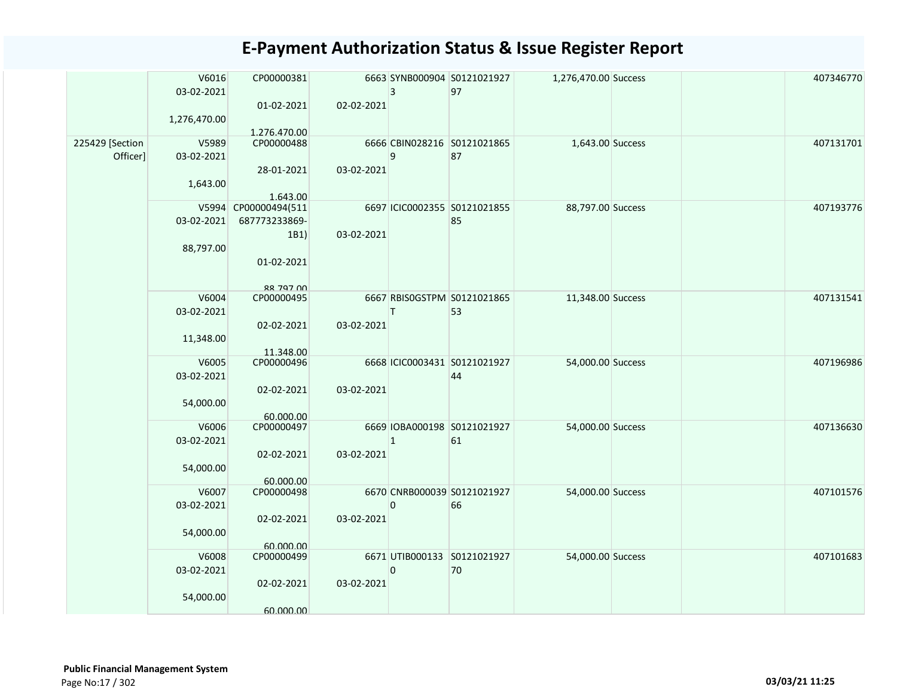|                 | V6016        | CP00000381                 |            |              | 6663 SYNB000904 S0121021927       | 1,276,470.00 Success |  | 407346770 |
|-----------------|--------------|----------------------------|------------|--------------|-----------------------------------|----------------------|--|-----------|
|                 | 03-02-2021   |                            |            | 3            | 97                                |                      |  |           |
|                 |              | 01-02-2021                 | 02-02-2021 |              |                                   |                      |  |           |
|                 | 1,276,470.00 |                            |            |              |                                   |                      |  |           |
| 225429 [Section | V5989        | 1.276.470.00<br>CP00000488 |            |              | 6666 CBIN028216 S0121021865       | 1,643.00 Success     |  | 407131701 |
| Officer]        | 03-02-2021   |                            |            | 9            | 87                                |                      |  |           |
|                 |              | 28-01-2021                 | 03-02-2021 |              |                                   |                      |  |           |
|                 | 1,643.00     |                            |            |              |                                   |                      |  |           |
|                 |              | 1.643.00                   |            |              |                                   |                      |  |           |
|                 |              | V5994 CP00000494(511       |            |              | 6697 ICIC0002355 S0121021855      | 88,797.00 Success    |  | 407193776 |
|                 | 03-02-2021   | 687773233869-              |            |              | 85                                |                      |  |           |
|                 |              | 1B1)                       | 03-02-2021 |              |                                   |                      |  |           |
|                 | 88,797.00    |                            |            |              |                                   |                      |  |           |
|                 |              | 01-02-2021                 |            |              |                                   |                      |  |           |
|                 |              |                            |            |              |                                   |                      |  |           |
|                 |              | 88 797 00                  |            |              |                                   |                      |  |           |
|                 | V6004        | CP00000495                 |            | T            | 6667 RBISOGSTPM S0121021865<br>53 | 11,348.00 Success    |  | 407131541 |
|                 | 03-02-2021   |                            | 03-02-2021 |              |                                   |                      |  |           |
|                 | 11,348.00    | 02-02-2021                 |            |              |                                   |                      |  |           |
|                 |              | 11.348.00                  |            |              |                                   |                      |  |           |
|                 | V6005        | CP00000496                 |            |              | 6668 ICIC0003431 S0121021927      | 54,000.00 Success    |  | 407196986 |
|                 | 03-02-2021   |                            |            |              | 44                                |                      |  |           |
|                 |              | 02-02-2021                 | 03-02-2021 |              |                                   |                      |  |           |
|                 | 54,000.00    |                            |            |              |                                   |                      |  |           |
|                 |              | 60.000.00                  |            |              |                                   |                      |  |           |
|                 | V6006        | CP00000497                 |            |              | 6669 IOBA000198 S0121021927       | 54,000.00 Success    |  | 407136630 |
|                 | 03-02-2021   |                            |            | $\mathbf{1}$ | 61                                |                      |  |           |
|                 |              | 02-02-2021                 | 03-02-2021 |              |                                   |                      |  |           |
|                 | 54,000.00    |                            |            |              |                                   |                      |  |           |
|                 | V6007        | 60.000.00<br>CP00000498    |            |              | 6670 CNRB000039 S0121021927       | 54,000.00 Success    |  | 407101576 |
|                 | 03-02-2021   |                            |            | $\mathbf 0$  | 66                                |                      |  |           |
|                 |              | 02-02-2021                 | 03-02-2021 |              |                                   |                      |  |           |
|                 | 54,000.00    |                            |            |              |                                   |                      |  |           |
|                 |              | 60.000.00                  |            |              |                                   |                      |  |           |
|                 | V6008        | CP00000499                 |            |              | 6671 UTIB000133 S0121021927       | 54,000.00 Success    |  | 407101683 |
|                 | 03-02-2021   |                            |            | 0            | 70                                |                      |  |           |
|                 |              | 02-02-2021                 | 03-02-2021 |              |                                   |                      |  |           |
|                 | 54,000.00    |                            |            |              |                                   |                      |  |           |
|                 |              | 60.000.00                  |            |              |                                   |                      |  |           |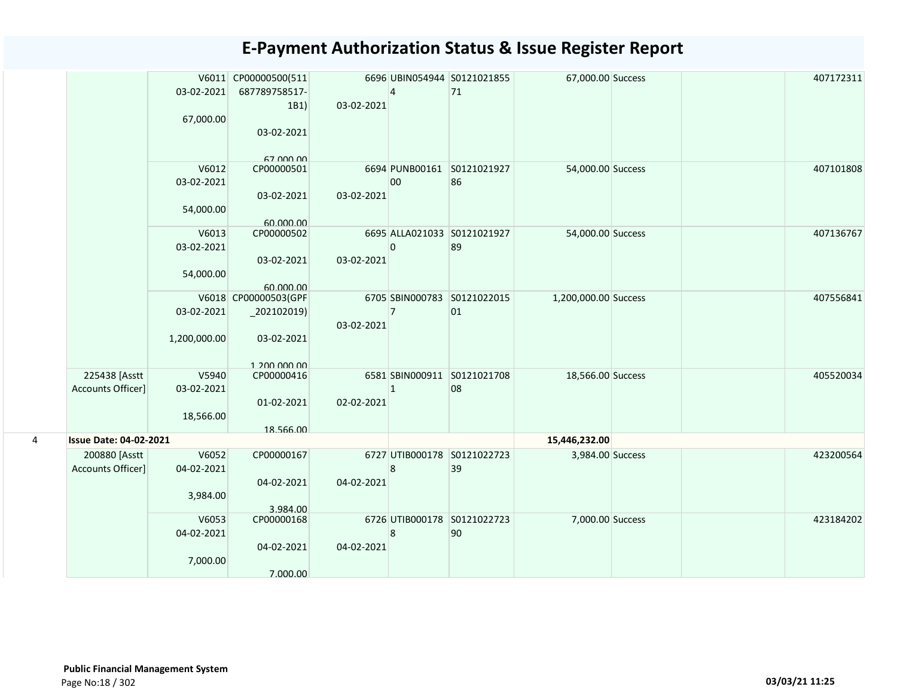|   |                               |              | V6011 CP00000500(511       |            |                | 6696 UBIN054944 S0121021855 | 67,000.00 Success    |  | 407172311 |
|---|-------------------------------|--------------|----------------------------|------------|----------------|-----------------------------|----------------------|--|-----------|
|   |                               | 03-02-2021   | 687789758517-              |            | $\overline{4}$ | 71                          |                      |  |           |
|   |                               |              | 1B1)                       | 03-02-2021 |                |                             |                      |  |           |
|   |                               | 67,000.00    |                            |            |                |                             |                      |  |           |
|   |                               |              | 03-02-2021                 |            |                |                             |                      |  |           |
|   |                               |              |                            |            |                |                             |                      |  |           |
|   |                               | V6012        | 67 000 00<br>CP00000501    |            |                | 6694 PUNB00161 S0121021927  |                      |  | 407101808 |
|   |                               | 03-02-2021   |                            |            | 00             | 86                          | 54,000.00 Success    |  |           |
|   |                               |              | 03-02-2021                 | 03-02-2021 |                |                             |                      |  |           |
|   |                               | 54,000.00    |                            |            |                |                             |                      |  |           |
|   |                               |              | 60.000.00                  |            |                |                             |                      |  |           |
|   |                               | V6013        | CP00000502                 |            |                | 6695 ALLA021033 S0121021927 | 54,000.00 Success    |  | 407136767 |
|   |                               | 03-02-2021   |                            |            | $\Omega$       | 89                          |                      |  |           |
|   |                               |              | 03-02-2021                 | 03-02-2021 |                |                             |                      |  |           |
|   |                               | 54,000.00    |                            |            |                |                             |                      |  |           |
|   |                               |              | 60.000.00                  |            |                |                             |                      |  |           |
|   |                               |              | V6018 CP00000503(GPF       |            |                | 6705 SBIN000783 S0121022015 | 1,200,000.00 Success |  | 407556841 |
|   |                               | 03-02-2021   | $_2$ 02102019)             |            | $\overline{7}$ | 01                          |                      |  |           |
|   |                               |              |                            | 03-02-2021 |                |                             |                      |  |           |
|   |                               | 1,200,000.00 | 03-02-2021                 |            |                |                             |                      |  |           |
|   |                               |              |                            |            |                |                             |                      |  |           |
|   | 225438 [Asstt                 | V5940        | 1 200 000 00<br>CP00000416 |            |                | 6581 SBIN000911 S0121021708 | 18,566.00 Success    |  | 405520034 |
|   | Accounts Officer]             | 03-02-2021   |                            |            | $\mathbf{1}$   | 08                          |                      |  |           |
|   |                               |              | 01-02-2021                 | 02-02-2021 |                |                             |                      |  |           |
|   |                               | 18,566.00    |                            |            |                |                             |                      |  |           |
|   |                               |              | 18.566.00                  |            |                |                             |                      |  |           |
| 4 | <b>Issue Date: 04-02-2021</b> |              |                            |            |                |                             | 15,446,232.00        |  |           |
|   | 200880 [Asstt                 | V6052        | CP00000167                 |            |                | 6727 UTIB000178 S0121022723 | 3,984.00 Success     |  | 423200564 |
|   | Accounts Officer]             | 04-02-2021   |                            |            | 8              | 39                          |                      |  |           |
|   |                               |              | 04-02-2021                 | 04-02-2021 |                |                             |                      |  |           |
|   |                               | 3,984.00     |                            |            |                |                             |                      |  |           |
|   |                               |              | 3.984.00                   |            |                |                             |                      |  |           |
|   |                               | V6053        | CP00000168                 |            | 8              | 6726 UTIB000178 S0121022723 | 7,000.00 Success     |  | 423184202 |
|   |                               | 04-02-2021   | 04-02-2021                 | 04-02-2021 |                | 90                          |                      |  |           |
|   |                               | 7,000.00     |                            |            |                |                             |                      |  |           |
|   |                               |              | 7.000.00                   |            |                |                             |                      |  |           |
|   |                               |              |                            |            |                |                             |                      |  |           |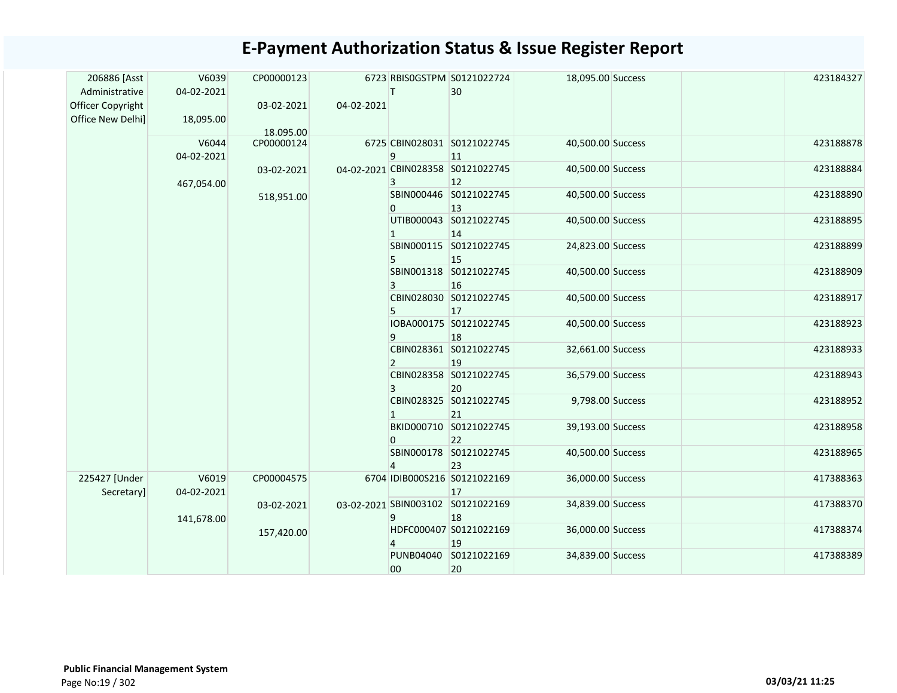| 206886 [Asst<br>Administrative<br>Officer Copyright<br>Office New Delhi] | V6039<br>04-02-2021<br>18,095.00 | CP00000123<br>03-02-2021 | 04-02-2021 |                        | 6723 RBISOGSTPM S0121022724<br>30                 | 18,095.00 Success |  | 423184327 |
|--------------------------------------------------------------------------|----------------------------------|--------------------------|------------|------------------------|---------------------------------------------------|-------------------|--|-----------|
|                                                                          | V6044<br>04-02-2021              | 18.095.00<br>CP00000124  |            | 9                      | 6725 CBIN028031 S0121022745<br> 11                | 40,500.00 Success |  | 423188878 |
|                                                                          | 467,054.00                       | 03-02-2021               |            | 3                      | 04-02-2021 CBIN028358 S0121022745<br>$ 12\rangle$ | 40,500.00 Success |  | 423188884 |
|                                                                          |                                  | 518,951.00               |            | 0                      | SBIN000446 S0121022745<br>13                      | 40,500.00 Success |  | 423188890 |
|                                                                          |                                  |                          |            |                        | UTIB000043 S0121022745<br>14                      | 40,500.00 Success |  | 423188895 |
|                                                                          |                                  |                          |            |                        | SBIN000115 S0121022745<br>15                      | 24,823.00 Success |  | 423188899 |
|                                                                          |                                  |                          |            | 3                      | SBIN001318 S0121022745<br>16                      | 40,500.00 Success |  | 423188909 |
|                                                                          |                                  |                          |            | 5                      | CBIN028030 S0121022745<br>17                      | 40,500.00 Success |  | 423188917 |
|                                                                          |                                  |                          |            | q                      | IOBA000175 S0121022745<br>18                      | 40,500.00 Success |  | 423188923 |
|                                                                          |                                  |                          |            | $\mathcal{P}$          | CBIN028361 S0121022745<br>19                      | 32,661.00 Success |  | 423188933 |
|                                                                          |                                  |                          |            | 3                      | CBIN028358 S0121022745<br>20                      | 36,579.00 Success |  | 423188943 |
|                                                                          |                                  |                          |            |                        | CBIN028325 S0121022745<br>21                      | 9,798.00 Success  |  | 423188952 |
|                                                                          |                                  |                          |            | $\Omega$               | BKID000710 S0121022745<br>22                      | 39,193.00 Success |  | 423188958 |
|                                                                          |                                  |                          |            | $\overline{4}$         | SBIN000178 S0121022745<br>23                      | 40,500.00 Success |  | 423188965 |
| 225427 [Under<br>Secretary]                                              | V6019<br>04-02-2021              | CP00004575               |            |                        | 6704 IDIB000S216 S0121022169<br>17                | 36,000.00 Success |  | 417388363 |
|                                                                          | 141,678.00                       | 03-02-2021               |            | 9                      | 03-02-2021 SBIN003102 S0121022169<br>18           | 34,839.00 Success |  | 417388370 |
|                                                                          |                                  | 157,420.00               |            |                        | HDFC000407 S0121022169<br>19                      | 36,000.00 Success |  | 417388374 |
|                                                                          |                                  |                          |            | <b>PUNB04040</b><br>00 | S0121022169<br>20                                 | 34,839.00 Success |  | 417388389 |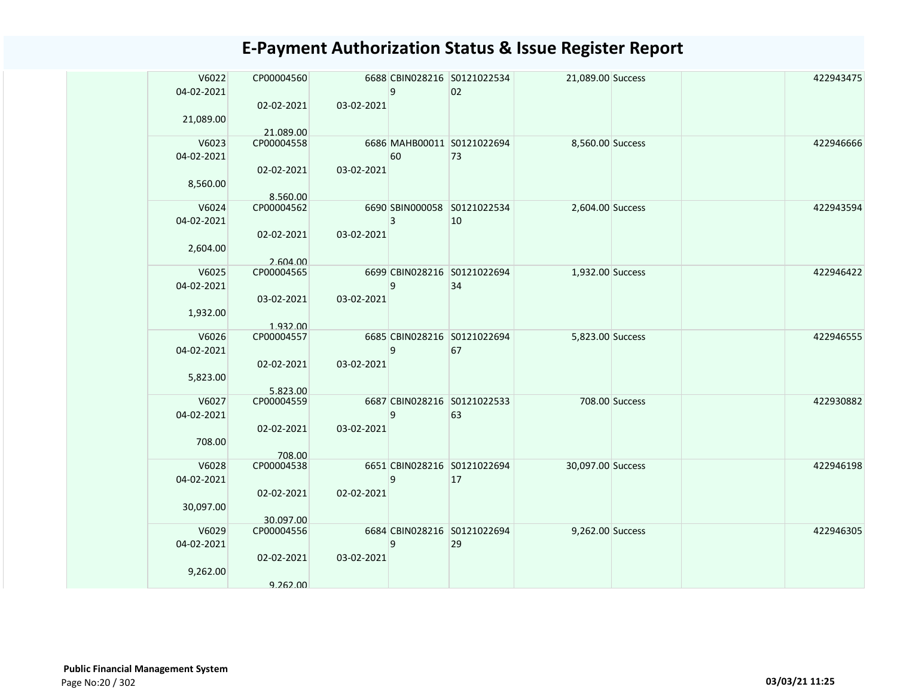| V6022      | CP00004560 |            |              | 6688 CBIN028216 S0121022534 | 21,089.00 Success |                | 422943475 |
|------------|------------|------------|--------------|-----------------------------|-------------------|----------------|-----------|
| 04-02-2021 |            |            | 9            | 02                          |                   |                |           |
|            | 02-02-2021 | 03-02-2021 |              |                             |                   |                |           |
| 21,089.00  |            |            |              |                             |                   |                |           |
|            | 21.089.00  |            |              |                             |                   |                |           |
| V6023      | CP00004558 |            |              | 6686 MAHB00011 S0121022694  | 8,560.00 Success  |                | 422946666 |
| 04-02-2021 |            |            | 60           | 73                          |                   |                |           |
|            | 02-02-2021 | 03-02-2021 |              |                             |                   |                |           |
| 8,560.00   |            |            |              |                             |                   |                |           |
|            | 8.560.00   |            |              |                             |                   |                |           |
| V6024      | CP00004562 |            |              | 6690 SBIN000058 S0121022534 | 2,604.00 Success  |                | 422943594 |
| 04-02-2021 |            |            | 3            | 10                          |                   |                |           |
|            | 02-02-2021 | 03-02-2021 |              |                             |                   |                |           |
| 2,604.00   |            |            |              |                             |                   |                |           |
|            | 2.604.00   |            |              |                             |                   |                |           |
| V6025      | CP00004565 |            |              | 6699 CBIN028216 S0121022694 | 1,932.00 Success  |                | 422946422 |
| 04-02-2021 |            |            | 9            | 34                          |                   |                |           |
|            | 03-02-2021 | 03-02-2021 |              |                             |                   |                |           |
| 1,932.00   |            |            |              |                             |                   |                |           |
|            | 1.932.00   |            |              |                             |                   |                |           |
| V6026      | CP00004557 |            |              | 6685 CBIN028216 S0121022694 | 5,823.00 Success  |                | 422946555 |
| 04-02-2021 |            |            | 9            | 67                          |                   |                |           |
|            | 02-02-2021 | 03-02-2021 |              |                             |                   |                |           |
| 5,823.00   |            |            |              |                             |                   |                |           |
|            | 5.823.00   |            |              |                             |                   |                |           |
| V6027      | CP00004559 |            |              | 6687 CBIN028216 S0121022533 |                   | 708.00 Success | 422930882 |
| 04-02-2021 |            |            | $\mathbf{q}$ | 63                          |                   |                |           |
|            | 02-02-2021 | 03-02-2021 |              |                             |                   |                |           |
| 708.00     |            |            |              |                             |                   |                |           |
|            | 708.00     |            |              |                             |                   |                |           |
| V6028      | CP00004538 |            |              | 6651 CBIN028216 S0121022694 | 30,097.00 Success |                | 422946198 |
| 04-02-2021 |            |            | 9            | 17                          |                   |                |           |
|            | 02-02-2021 | 02-02-2021 |              |                             |                   |                |           |
| 30,097.00  |            |            |              |                             |                   |                |           |
|            | 30.097.00  |            |              |                             |                   |                |           |
| V6029      | CP00004556 |            |              | 6684 CBIN028216 S0121022694 | 9,262.00 Success  |                | 422946305 |
| 04-02-2021 |            |            | 9            | 29                          |                   |                |           |
|            | 02-02-2021 | 03-02-2021 |              |                             |                   |                |           |
| 9,262.00   |            |            |              |                             |                   |                |           |
|            | 9.262.00   |            |              |                             |                   |                |           |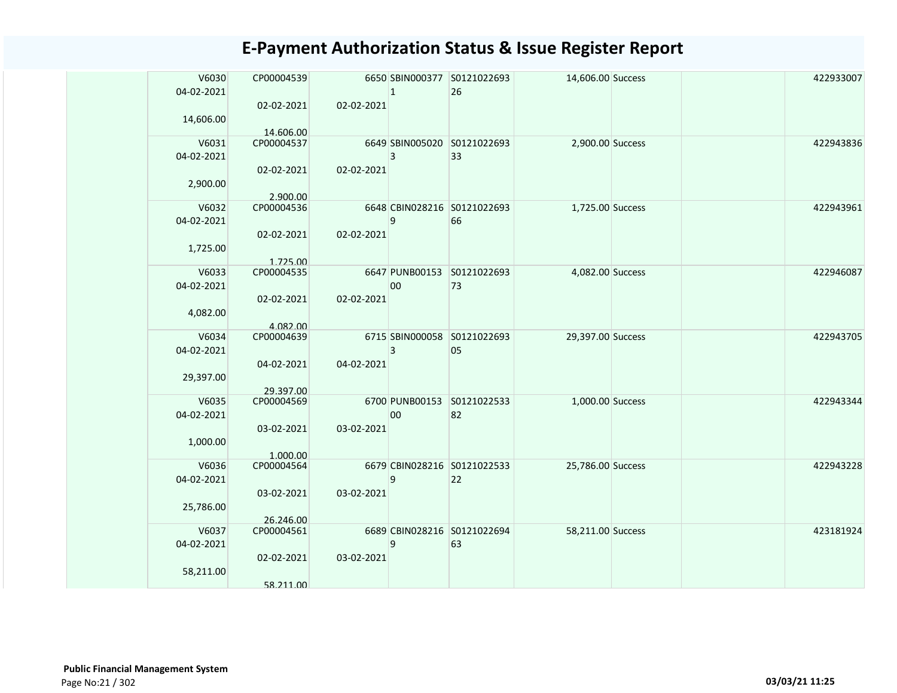| V6030      | CP00004539              |            |              | 6650 SBIN000377 S0121022693 | 14,606.00 Success |  | 422933007 |
|------------|-------------------------|------------|--------------|-----------------------------|-------------------|--|-----------|
| 04-02-2021 |                         |            | $\mathbf{1}$ | 26                          |                   |  |           |
|            | 02-02-2021              | 02-02-2021 |              |                             |                   |  |           |
| 14,606.00  |                         |            |              |                             |                   |  |           |
|            |                         |            |              |                             |                   |  |           |
| V6031      | 14.606.00<br>CP00004537 |            |              | 6649 SBIN005020 S0121022693 |                   |  | 422943836 |
|            |                         |            |              |                             | 2,900.00 Success  |  |           |
| 04-02-2021 |                         |            | 3            | 33                          |                   |  |           |
|            | 02-02-2021              | 02-02-2021 |              |                             |                   |  |           |
| 2,900.00   |                         |            |              |                             |                   |  |           |
|            | 2.900.00                |            |              |                             |                   |  |           |
| V6032      | CP00004536              |            |              | 6648 CBIN028216 S0121022693 | 1,725.00 Success  |  | 422943961 |
| 04-02-2021 |                         |            | 9            | 66                          |                   |  |           |
|            | 02-02-2021              | 02-02-2021 |              |                             |                   |  |           |
|            |                         |            |              |                             |                   |  |           |
| 1,725.00   |                         |            |              |                             |                   |  |           |
|            | 1.725.00                |            |              |                             |                   |  |           |
| V6033      | CP00004535              |            |              | 6647 PUNB00153 S0121022693  | 4,082.00 Success  |  | 422946087 |
| 04-02-2021 |                         |            | 00           | 73                          |                   |  |           |
|            | 02-02-2021              | 02-02-2021 |              |                             |                   |  |           |
| 4,082.00   |                         |            |              |                             |                   |  |           |
|            | 4.082.00                |            |              |                             |                   |  |           |
| V6034      | CP00004639              |            |              | 6715 SBIN000058 S0121022693 | 29,397.00 Success |  | 422943705 |
| 04-02-2021 |                         |            | 3            | 05                          |                   |  |           |
|            | 04-02-2021              | 04-02-2021 |              |                             |                   |  |           |
|            |                         |            |              |                             |                   |  |           |
| 29,397.00  |                         |            |              |                             |                   |  |           |
|            | 29.397.00               |            |              |                             |                   |  |           |
| V6035      | CP00004569              |            |              | 6700 PUNB00153 S0121022533  | 1,000.00 Success  |  | 422943344 |
| 04-02-2021 |                         |            | 00           | 82                          |                   |  |           |
|            | 03-02-2021              | 03-02-2021 |              |                             |                   |  |           |
| 1,000.00   |                         |            |              |                             |                   |  |           |
|            | 1.000.00                |            |              |                             |                   |  |           |
| V6036      | CP00004564              |            |              | 6679 CBIN028216 S0121022533 | 25,786.00 Success |  | 422943228 |
| 04-02-2021 |                         |            | 9            | 22                          |                   |  |           |
|            | 03-02-2021              | 03-02-2021 |              |                             |                   |  |           |
|            |                         |            |              |                             |                   |  |           |
| 25,786.00  |                         |            |              |                             |                   |  |           |
|            | 26.246.00               |            |              |                             |                   |  |           |
| V6037      | CP00004561              |            |              | 6689 CBIN028216 S0121022694 | 58,211.00 Success |  | 423181924 |
| 04-02-2021 |                         |            | 9            | 63                          |                   |  |           |
|            | 02-02-2021              | 03-02-2021 |              |                             |                   |  |           |
| 58,211.00  |                         |            |              |                             |                   |  |           |
|            | 58.211.00               |            |              |                             |                   |  |           |
|            |                         |            |              |                             |                   |  |           |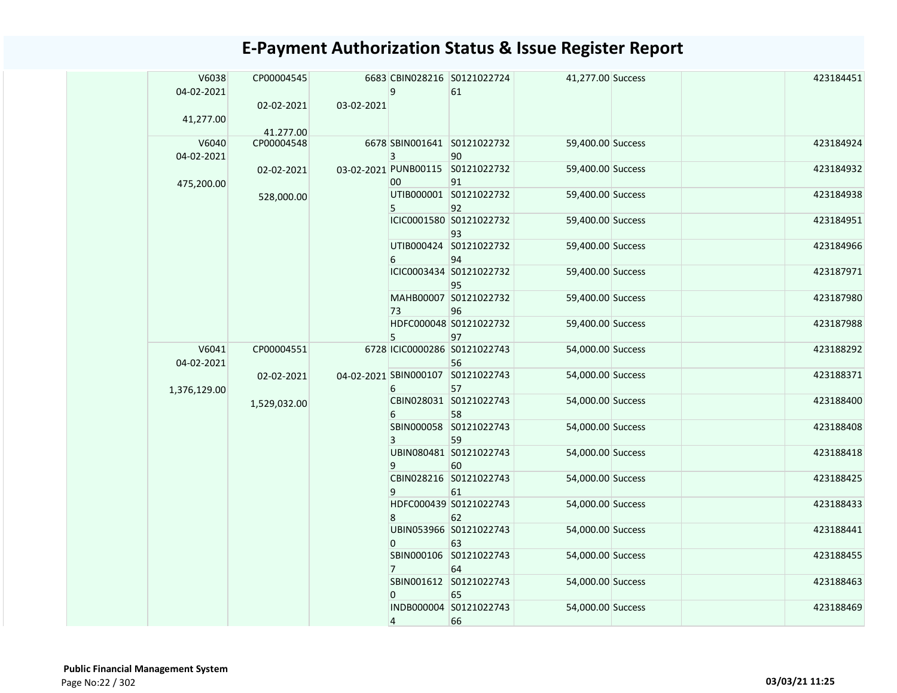|  | V6038<br>04-02-2021 | CP00004545              |            | 9              | 6683 CBIN028216 S0121022724<br>61                      | 41,277.00 Success                      | 423184451              |  |
|--|---------------------|-------------------------|------------|----------------|--------------------------------------------------------|----------------------------------------|------------------------|--|
|  | 41,277.00           | 02-02-2021<br>41.277.00 | 03-02-2021 |                |                                                        |                                        |                        |  |
|  | V6040<br>04-02-2021 | CP00004548              |            | $\overline{3}$ | 6678 SBIN001641 S0121022732<br>90                      | 59,400.00 Success                      | 423184924              |  |
|  | 475,200.00          | 02-02-2021              |            | 00             | 03-02-2021 PUNB00115 S0121022732<br>91                 | 59,400.00 Success                      | 423184932              |  |
|  |                     | 528,000.00              |            | 5              | UTIB000001 S0121022732<br>92                           | 59,400.00 Success                      | 423184938              |  |
|  |                     |                         |            |                | ICIC0001580 S0121022732<br>93                          | 59,400.00 Success                      | 423184951              |  |
|  |                     |                         |            | 6              | UTIB000424 S0121022732<br>94                           | 59,400.00 Success                      | 423184966              |  |
|  |                     |                         |            |                | ICIC0003434 S0121022732<br>95                          | 59,400.00 Success                      | 423187971              |  |
|  |                     |                         |            | 73             | MAHB00007 S0121022732<br>96                            | 59,400.00 Success                      | 423187980              |  |
|  |                     |                         |            | 5              | HDFC000048 S0121022732<br>97                           | 59,400.00 Success                      | 423187988              |  |
|  | V6041<br>04-02-2021 | CP00004551              |            |                | 6728 ICIC0000286 S0121022743<br>56                     | 54,000.00 Success                      | 423188292              |  |
|  | 1,376,129.00        | 02-02-2021              |            | 6              | 04-02-2021 SBIN000107 S0121022743<br>57                | 54,000.00 Success                      | 423188371              |  |
|  |                     | 1,529,032.00            |            | 6              | CBIN028031 S0121022743<br>58                           | 54,000.00 Success                      | 423188400              |  |
|  |                     |                         |            | 3              | SBIN000058 S0121022743<br>59                           | 54,000.00 Success                      | 423188408              |  |
|  |                     |                         |            | 9              | UBIN080481 S0121022743<br>60<br>CBIN028216 S0121022743 | 54,000.00 Success                      | 423188418<br>423188425 |  |
|  |                     |                         |            | 9              | 61<br>HDFC000439 S0121022743                           | 54,000.00 Success<br>54,000.00 Success | 423188433              |  |
|  |                     |                         |            | 8              | 62<br>UBIN053966 S0121022743                           | 54,000.00 Success                      | 423188441              |  |
|  |                     |                         |            | $\mathbf{0}$   | 63<br>SBIN000106 S0121022743                           | 54,000.00 Success                      | 423188455              |  |
|  |                     |                         |            | $\overline{7}$ | 64<br>SBIN001612 S0121022743                           | 54,000.00 Success                      | 423188463              |  |
|  |                     |                         |            | $\overline{0}$ | 65<br>INDB000004 S0121022743                           | 54,000.00 Success                      | 423188469              |  |
|  |                     |                         |            | 4              | 66                                                     |                                        |                        |  |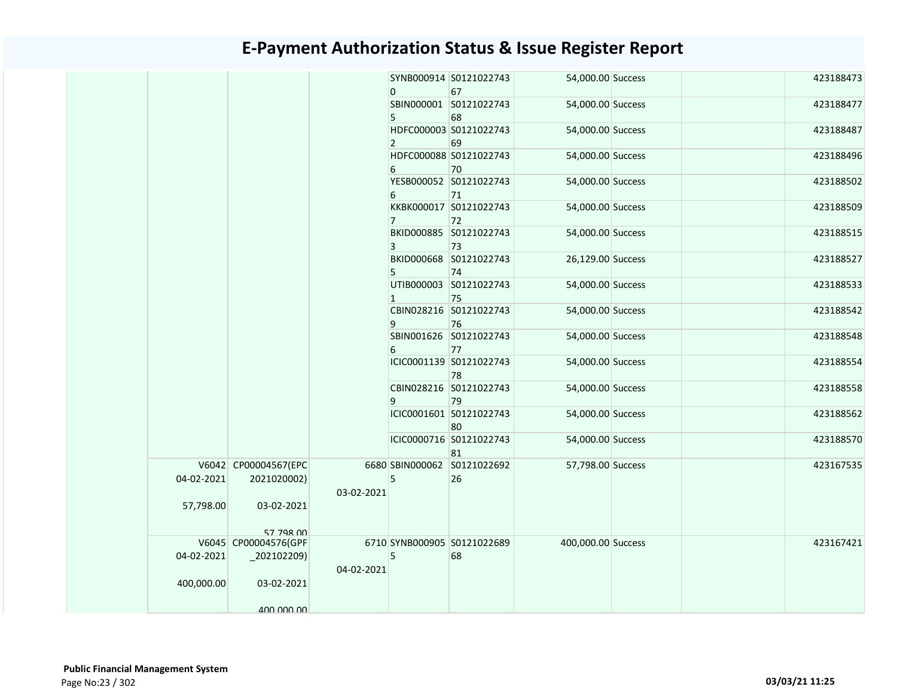|            |                      |            | 0              | SYNB000914 S0121022743<br>67 | 54,000.00 Success  |  | 423188473 |
|------------|----------------------|------------|----------------|------------------------------|--------------------|--|-----------|
|            |                      |            |                | SBIN000001 S0121022743       | 54,000.00 Success  |  | 423188477 |
|            |                      |            |                |                              |                    |  |           |
|            |                      |            | 5              | 68                           |                    |  |           |
|            |                      |            |                | HDFC000003 S0121022743       | 54,000.00 Success  |  | 423188487 |
|            |                      |            | $\overline{2}$ | 69                           |                    |  |           |
|            |                      |            |                | HDFC000088 S0121022743       | 54,000.00 Success  |  | 423188496 |
|            |                      |            | 6              | 70                           |                    |  |           |
|            |                      |            |                | YESB000052 S0121022743       | 54,000.00 Success  |  | 423188502 |
|            |                      |            | 6              | 71                           |                    |  |           |
|            |                      |            |                | KKBK000017 S0121022743       | 54,000.00 Success  |  | 423188509 |
|            |                      |            | $7^{\circ}$    | 72                           |                    |  |           |
|            |                      |            |                | BKID000885 S0121022743       | 54,000.00 Success  |  | 423188515 |
|            |                      |            | 3              | 73                           |                    |  |           |
|            |                      |            |                | BKID000668 S0121022743       | 26,129.00 Success  |  | 423188527 |
|            |                      |            | 5              | 74                           |                    |  |           |
|            |                      |            |                | UTIB000003 S0121022743       | 54,000.00 Success  |  | 423188533 |
|            |                      |            | $\mathbf{1}$   | 75                           |                    |  |           |
|            |                      |            |                | CBIN028216 S0121022743       | 54,000.00 Success  |  | 423188542 |
|            |                      |            | 9              | 76                           |                    |  |           |
|            |                      |            |                | SBIN001626 S0121022743       | 54,000.00 Success  |  | 423188548 |
|            |                      |            | 6              | 77                           |                    |  |           |
|            |                      |            |                | ICIC0001139 S0121022743      | 54,000.00 Success  |  | 423188554 |
|            |                      |            |                | 78                           |                    |  |           |
|            |                      |            |                | CBIN028216 S0121022743       | 54,000.00 Success  |  | 423188558 |
|            |                      |            | 9              | 79                           |                    |  |           |
|            |                      |            |                | ICIC0001601 S0121022743      | 54,000.00 Success  |  | 423188562 |
|            |                      |            |                |                              |                    |  |           |
|            |                      |            |                | 80                           |                    |  |           |
|            |                      |            |                | ICIC0000716 S0121022743      | 54,000.00 Success  |  | 423188570 |
|            |                      |            |                | 81                           |                    |  |           |
|            | V6042 CP00004567(EPC |            |                | 6680 SBIN000062 S0121022692  | 57,798.00 Success  |  | 423167535 |
| 04-02-2021 | 2021020002)          |            | 5              | 26                           |                    |  |           |
|            |                      | 03-02-2021 |                |                              |                    |  |           |
| 57,798.00  | 03-02-2021           |            |                |                              |                    |  |           |
|            |                      |            |                |                              |                    |  |           |
|            | 57 798 00            |            |                |                              |                    |  |           |
|            | V6045 CP00004576(GPF |            |                | 6710 SYNB000905 S0121022689  | 400,000.00 Success |  | 423167421 |
| 04-02-2021 | $_2$ 202102209)      |            | 5              | 68                           |                    |  |           |
|            |                      | 04-02-2021 |                |                              |                    |  |           |
| 400,000.00 | 03-02-2021           |            |                |                              |                    |  |           |
|            |                      |            |                |                              |                    |  |           |
|            | 400,000,00           |            |                |                              |                    |  |           |
|            |                      |            |                |                              |                    |  |           |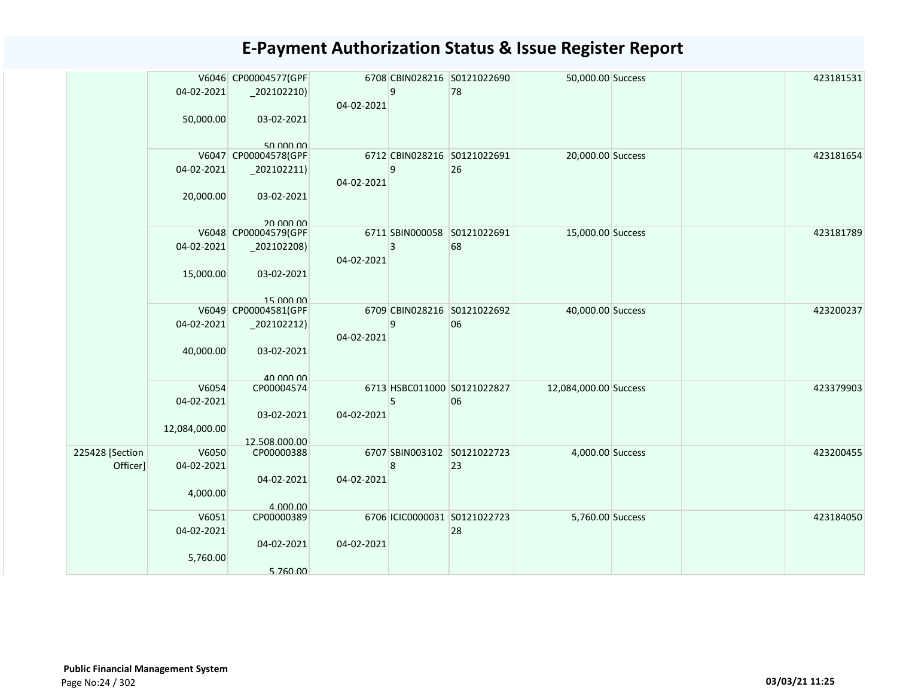|                 |               | V6046 CP00004577(GPF    |            |   | 6708 CBIN028216 S0121022690  | 50,000.00 Success     |  | 423181531 |
|-----------------|---------------|-------------------------|------------|---|------------------------------|-----------------------|--|-----------|
|                 | 04-02-2021    | $-202102210$            |            | 9 | 78                           |                       |  |           |
|                 |               |                         | 04-02-2021 |   |                              |                       |  |           |
|                 | 50,000.00     | 03-02-2021              |            |   |                              |                       |  |           |
|                 |               |                         |            |   |                              |                       |  |           |
|                 |               | 50.000.00               |            |   | 6712 CBIN028216 S0121022691  |                       |  | 423181654 |
|                 |               | V6047 CP00004578(GPF    |            | 9 |                              | 20,000.00 Success     |  |           |
|                 | 04-02-2021    | $_2$ 202102211)         |            |   | 26                           |                       |  |           |
|                 |               |                         | 04-02-2021 |   |                              |                       |  |           |
|                 | 20,000.00     | 03-02-2021              |            |   |                              |                       |  |           |
|                 |               | 20,000,00               |            |   |                              |                       |  |           |
|                 |               | V6048 CP00004579(GPF    |            |   | 6711 SBIN000058 S0121022691  | 15,000.00 Success     |  | 423181789 |
|                 | 04-02-2021    | $_2$ 02102208)          |            | 3 | 68                           |                       |  |           |
|                 |               |                         | 04-02-2021 |   |                              |                       |  |           |
|                 | 15,000.00     | 03-02-2021              |            |   |                              |                       |  |           |
|                 |               |                         |            |   |                              |                       |  |           |
|                 |               | 15,000,00               |            |   |                              |                       |  |           |
|                 |               | V6049 CP00004581(GPF    |            |   | 6709 CBIN028216 S0121022692  | 40,000.00 Success     |  | 423200237 |
|                 | 04-02-2021    | $_202102212)$           |            | 9 | 06                           |                       |  |           |
|                 |               |                         | 04-02-2021 |   |                              |                       |  |           |
|                 | 40,000.00     | 03-02-2021              |            |   |                              |                       |  |           |
|                 |               |                         |            |   |                              |                       |  |           |
|                 | V6054         | 40,000,00<br>CP00004574 |            |   | 6713 HSBC011000 S0121022827  | 12,084,000.00 Success |  | 423379903 |
|                 | 04-02-2021    |                         |            | 5 | 06                           |                       |  |           |
|                 |               | 03-02-2021              | 04-02-2021 |   |                              |                       |  |           |
|                 | 12,084,000.00 |                         |            |   |                              |                       |  |           |
|                 |               | 12.508.000.00           |            |   |                              |                       |  |           |
| 225428 [Section | V6050         | CP00000388              |            |   | 6707 SBIN003102 S0121022723  | 4,000.00 Success      |  | 423200455 |
| Officer]        | 04-02-2021    |                         |            | 8 | 23                           |                       |  |           |
|                 |               | 04-02-2021              | 04-02-2021 |   |                              |                       |  |           |
|                 | 4,000.00      |                         |            |   |                              |                       |  |           |
|                 |               | 4.000.00                |            |   |                              |                       |  |           |
|                 | V6051         | CP00000389              |            |   | 6706 ICIC0000031 S0121022723 | 5,760.00 Success      |  | 423184050 |
|                 | 04-02-2021    |                         |            |   | 28                           |                       |  |           |
|                 |               | 04-02-2021              | 04-02-2021 |   |                              |                       |  |           |
|                 | 5,760.00      |                         |            |   |                              |                       |  |           |
|                 |               | 5.760.00                |            |   |                              |                       |  |           |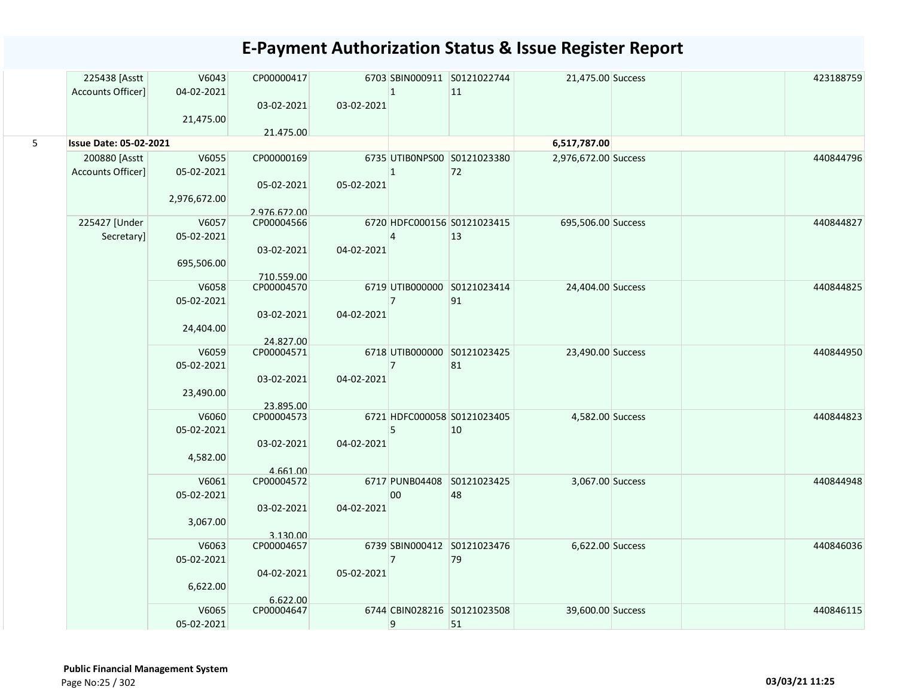|   | 225438 [Asstt<br>Accounts Officer] | V6043<br>04-02-2021 | CP00000417               |            | $\mathbf{1}$   | 6703 SBIN000911 S0121022744<br>11 | 21,475.00 Success    |  | 423188759 |
|---|------------------------------------|---------------------|--------------------------|------------|----------------|-----------------------------------|----------------------|--|-----------|
|   |                                    |                     | 03-02-2021               | 03-02-2021 |                |                                   |                      |  |           |
|   |                                    | 21,475.00           |                          |            |                |                                   |                      |  |           |
|   |                                    |                     | 21.475.00                |            |                |                                   |                      |  |           |
| 5 | <b>Issue Date: 05-02-2021</b>      |                     |                          |            |                |                                   | 6,517,787.00         |  |           |
|   | 200880 [Asstt                      | V6055               | CP00000169               |            |                | 6735 UTIBONPS00 S0121023380       | 2,976,672.00 Success |  | 440844796 |
|   | Accounts Officer]                  | 05-02-2021          |                          |            | $\overline{1}$ | 72                                |                      |  |           |
|   |                                    |                     | 05-02-2021               | 05-02-2021 |                |                                   |                      |  |           |
|   |                                    | 2,976,672.00        |                          |            |                |                                   |                      |  |           |
|   |                                    |                     | 2.976.672.00             |            |                |                                   |                      |  |           |
|   | 225427 [Under                      | V6057               | CP00004566               |            |                | 6720 HDFC000156 S0121023415       | 695,506.00 Success   |  | 440844827 |
|   | Secretary]                         | 05-02-2021          |                          |            | $\overline{4}$ | 13                                |                      |  |           |
|   |                                    |                     | 03-02-2021               | 04-02-2021 |                |                                   |                      |  |           |
|   |                                    | 695,506.00          |                          |            |                |                                   |                      |  |           |
|   |                                    | V6058               | 710.559.00<br>CP00004570 |            |                | 6719 UTIB000000 S0121023414       | 24,404.00 Success    |  | 440844825 |
|   |                                    | 05-02-2021          |                          |            | $\overline{7}$ | 91                                |                      |  |           |
|   |                                    |                     | 03-02-2021               | 04-02-2021 |                |                                   |                      |  |           |
|   |                                    | 24,404.00           |                          |            |                |                                   |                      |  |           |
|   |                                    |                     | 24.827.00                |            |                |                                   |                      |  |           |
|   |                                    | V6059               | CP00004571               |            |                | 6718 UTIB000000 S0121023425       | 23,490.00 Success    |  | 440844950 |
|   |                                    | 05-02-2021          |                          |            | $\overline{7}$ | 81                                |                      |  |           |
|   |                                    |                     | 03-02-2021               | 04-02-2021 |                |                                   |                      |  |           |
|   |                                    | 23,490.00           |                          |            |                |                                   |                      |  |           |
|   |                                    | V6060               | 23.895.00<br>CP00004573  |            |                | 6721 HDFC000058 S0121023405       | 4,582.00 Success     |  | 440844823 |
|   |                                    | 05-02-2021          |                          |            | 5              | 10                                |                      |  |           |
|   |                                    |                     | 03-02-2021               | 04-02-2021 |                |                                   |                      |  |           |
|   |                                    | 4,582.00            |                          |            |                |                                   |                      |  |           |
|   |                                    |                     | 4.661.00                 |            |                |                                   |                      |  |           |
|   |                                    | V6061               | CP00004572               |            |                | 6717 PUNB04408 S0121023425        | 3,067.00 Success     |  | 440844948 |
|   |                                    | 05-02-2021          |                          |            | 00             | 48                                |                      |  |           |
|   |                                    |                     | 03-02-2021               | 04-02-2021 |                |                                   |                      |  |           |
|   |                                    | 3,067.00            |                          |            |                |                                   |                      |  |           |
|   |                                    |                     | 3.130.00                 |            |                |                                   |                      |  | 440846036 |
|   |                                    | V6063               | CP00004657               |            | $\overline{7}$ | 6739 SBIN000412 S0121023476       | 6,622.00 Success     |  |           |
|   |                                    | 05-02-2021          | 04-02-2021               | 05-02-2021 |                | 79                                |                      |  |           |
|   |                                    | 6,622.00            |                          |            |                |                                   |                      |  |           |
|   |                                    |                     | 6.622.00                 |            |                |                                   |                      |  |           |
|   |                                    | V6065               | CP00004647               |            |                | 6744 CBIN028216 S0121023508       | 39,600.00 Success    |  | 440846115 |
|   |                                    | 05-02-2021          |                          |            | 9              | 51                                |                      |  |           |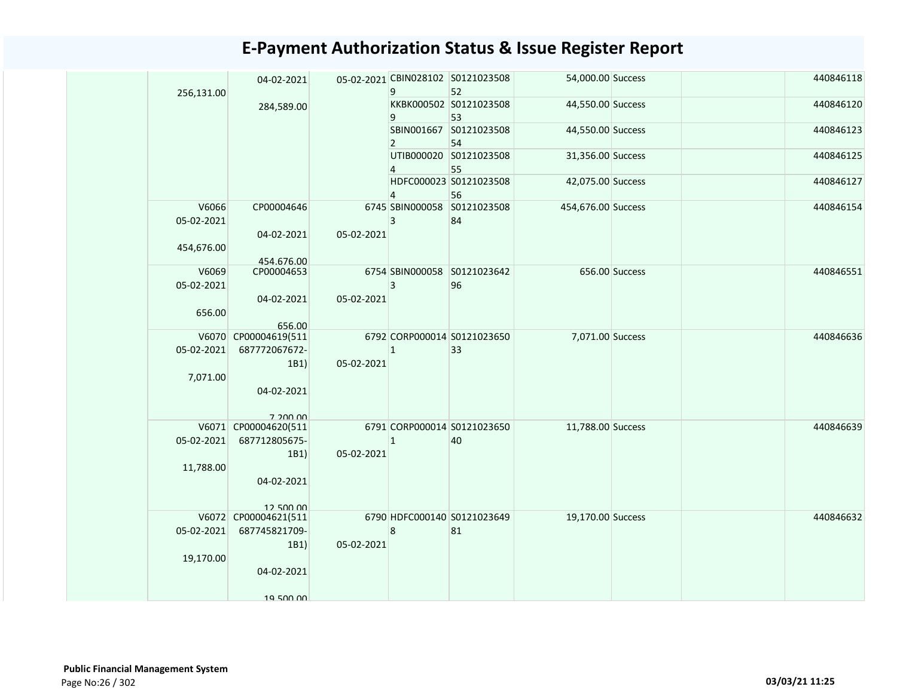| 256,131.00          | 04-02-2021               |            | 9              | 05-02-2021 CBIN028102 S0121023508<br>52 | 54,000.00 Success  |                | 440846118 |
|---------------------|--------------------------|------------|----------------|-----------------------------------------|--------------------|----------------|-----------|
|                     | 284,589.00               |            | 9              | KKBK000502 S0121023508<br>53            | 44,550.00 Success  |                | 440846120 |
|                     |                          |            | $\overline{2}$ | SBIN001667 S0121023508<br>54            | 44,550.00 Success  |                | 440846123 |
|                     |                          |            | 4              | UTIB000020 S0121023508<br>55            | 31,356.00 Success  |                | 440846125 |
|                     |                          |            | $\overline{4}$ | HDFC000023 S0121023508<br>56            | 42,075.00 Success  |                | 440846127 |
| V6066<br>05-02-2021 | CP00004646               |            | 3              | 6745 SBIN000058 S0121023508<br>84       | 454,676.00 Success |                | 440846154 |
| 454,676.00          | 04-02-2021               | 05-02-2021 |                |                                         |                    |                |           |
| V6069<br>05-02-2021 | 454.676.00<br>CP00004653 |            | 3              | 6754 SBIN000058 S0121023642<br>96       |                    | 656.00 Success | 440846551 |
| 656.00              | 04-02-2021<br>656.00     | 05-02-2021 |                |                                         |                    |                |           |
|                     | V6070 CP00004619(511     |            |                | 6792 CORP000014 S0121023650             | 7,071.00 Success   |                | 440846636 |
| 05-02-2021          | 687772067672-            |            | $\mathbf{1}$   | 33                                      |                    |                |           |
|                     | 1B1)                     | 05-02-2021 |                |                                         |                    |                |           |
| 7,071.00            | 04-02-2021               |            |                |                                         |                    |                |           |
|                     | 7 200 00                 |            |                |                                         |                    |                |           |
|                     | V6071 CP00004620(511     |            |                | 6791 CORP000014 S0121023650             | 11,788.00 Success  |                | 440846639 |
| 05-02-2021          | 687712805675-            |            | $ 1\rangle$    | 40                                      |                    |                |           |
| 11,788.00           | 1B1)<br>04-02-2021       | 05-02-2021 |                |                                         |                    |                |           |
|                     | 12.500.00                |            |                |                                         |                    |                |           |
|                     | V6072 CP00004621(511     |            |                | 6790 HDFC000140 S0121023649             | 19,170.00 Success  |                | 440846632 |
| 05-02-2021          | 687745821709-            |            | $\bf 8$        | 81                                      |                    |                |           |
| 19,170.00           | 1B1)                     | 05-02-2021 |                |                                         |                    |                |           |
|                     | 04-02-2021               |            |                |                                         |                    |                |           |
|                     |                          |            |                |                                         |                    |                |           |
|                     | 19 500 00                |            |                |                                         |                    |                |           |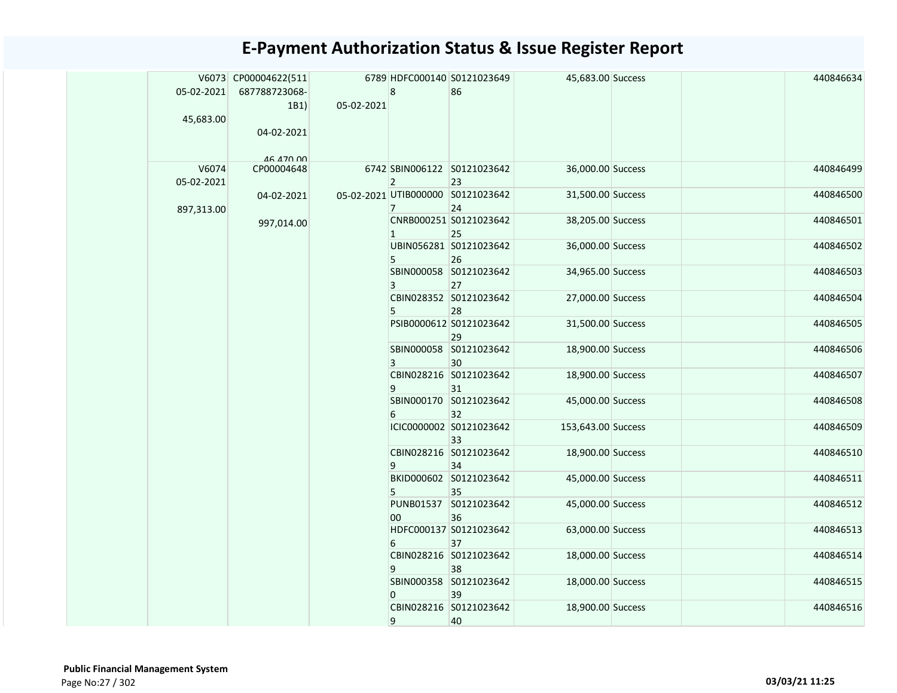|            | V6073 CP00004622(511 |            |                | 6789 HDFC000140 S0121023649             | 45,683.00 Success  |  | 440846634 |
|------------|----------------------|------------|----------------|-----------------------------------------|--------------------|--|-----------|
| 05-02-2021 | 687788723068-        |            | $\bf 8$        | 86                                      |                    |  |           |
|            | 1B1)                 | 05-02-2021 |                |                                         |                    |  |           |
| 45,683.00  |                      |            |                |                                         |                    |  |           |
|            | 04-02-2021           |            |                |                                         |                    |  |           |
|            |                      |            |                |                                         |                    |  |           |
|            | 46 470 00            |            |                |                                         |                    |  |           |
| V6074      | CP00004648           |            |                | 6742 SBIN006122 S0121023642             | 36,000.00 Success  |  | 440846499 |
| 05-02-2021 |                      |            | $2^{\circ}$    | 23                                      |                    |  |           |
| 897,313.00 | 04-02-2021           |            | $\overline{7}$ | 05-02-2021 UTIB000000 S0121023642<br>24 | 31,500.00 Success  |  | 440846500 |
|            | 997,014.00           |            |                | CNRB000251 S0121023642                  | 38,205.00 Success  |  | 440846501 |
|            |                      |            | $\mathbf{1}$   | 25                                      |                    |  |           |
|            |                      |            |                | UBIN056281 S0121023642                  | 36,000.00 Success  |  | 440846502 |
|            |                      |            | 5              | 26                                      |                    |  |           |
|            |                      |            |                | SBIN000058 S0121023642                  | 34,965.00 Success  |  | 440846503 |
|            |                      |            | 3              | 27                                      |                    |  |           |
|            |                      |            |                | CBIN028352 S0121023642                  | 27,000.00 Success  |  | 440846504 |
|            |                      |            | 5              | 28                                      |                    |  |           |
|            |                      |            |                | PSIB0000612 S0121023642<br>29           | 31,500.00 Success  |  | 440846505 |
|            |                      |            |                | SBIN000058 S0121023642                  | 18,900.00 Success  |  | 440846506 |
|            |                      |            | 3              | 30                                      |                    |  |           |
|            |                      |            |                | CBIN028216 S0121023642                  | 18,900.00 Success  |  | 440846507 |
|            |                      |            | 9              | 31                                      |                    |  |           |
|            |                      |            |                | SBIN000170 S0121023642                  | 45,000.00 Success  |  | 440846508 |
|            |                      |            | 6              | 32                                      |                    |  |           |
|            |                      |            |                | ICIC0000002 S0121023642<br>33           | 153,643.00 Success |  | 440846509 |
|            |                      |            |                | CBIN028216 S0121023642                  | 18,900.00 Success  |  | 440846510 |
|            |                      |            | 9              | 34                                      |                    |  |           |
|            |                      |            |                | BKID000602 S0121023642                  | 45,000.00 Success  |  | 440846511 |
|            |                      |            | 5              | 35                                      |                    |  |           |
|            |                      |            |                | PUNB01537 S0121023642                   | 45,000.00 Success  |  | 440846512 |
|            |                      |            | 00             | 36                                      |                    |  |           |
|            |                      |            |                | HDFC000137 S0121023642                  | 63,000.00 Success  |  | 440846513 |
|            |                      |            | 6              | 37                                      |                    |  |           |
|            |                      |            |                | CBIN028216 S0121023642                  | 18,000.00 Success  |  | 440846514 |
|            |                      |            | 9              | 38<br>SBIN000358 S0121023642            |                    |  | 440846515 |
|            |                      |            | $\mathbf{0}$   | 39                                      | 18,000.00 Success  |  |           |
|            |                      |            |                | CBIN028216 S0121023642                  | 18,900.00 Success  |  | 440846516 |
|            |                      |            | 9              | 40                                      |                    |  |           |
|            |                      |            |                |                                         |                    |  |           |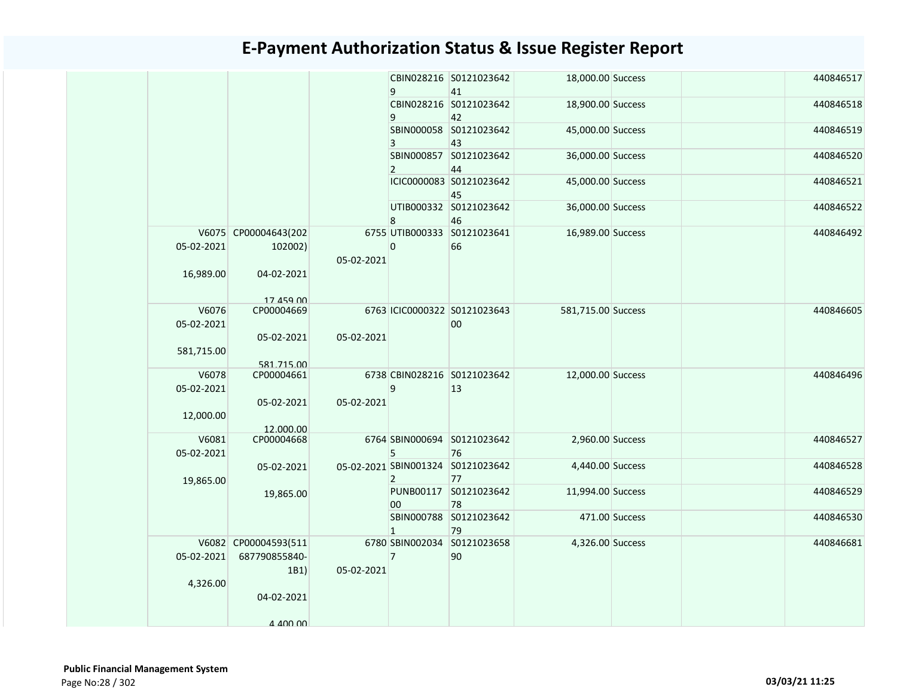|                        |                                                             |            | 9              | CBIN028216 S0121023642<br>41            | 18,000.00 Success  |                | 440846517 |
|------------------------|-------------------------------------------------------------|------------|----------------|-----------------------------------------|--------------------|----------------|-----------|
|                        |                                                             |            | 9              | CBIN028216 S0121023642<br>42            | 18,900.00 Success  |                | 440846518 |
|                        |                                                             |            | 3              | SBIN000058 S0121023642<br>43            | 45,000.00 Success  |                | 440846519 |
|                        |                                                             |            | $\overline{2}$ | SBIN000857 S0121023642<br>44            | 36,000.00 Success  |                | 440846520 |
|                        |                                                             |            |                | ICIC0000083 S0121023642<br>45           | 45,000.00 Success  |                | 440846521 |
|                        |                                                             |            | 8              | UTIB000332 S0121023642<br>46            | 36,000.00 Success  |                | 440846522 |
| 05-02-2021             | V6075 CP00004643(202<br>102002)                             | 05-02-2021 | $\mathbf 0$    | 6755 UTIB000333 S0121023641<br>66       | 16,989.00 Success  |                | 440846492 |
| 16,989.00              | 04-02-2021<br>17 459 00                                     |            |                |                                         |                    |                |           |
| V6076<br>05-02-2021    | CP00004669<br>05-02-2021                                    | 05-02-2021 |                | 6763 ICIC0000322 S0121023643<br>$00\,$  | 581,715.00 Success |                | 440846605 |
| 581,715.00             | 581.715.00                                                  |            |                |                                         |                    |                |           |
| V6078<br>05-02-2021    | CP00004661                                                  |            | $\mathbf{q}$   | 6738 CBIN028216 S0121023642<br>13       | 12,000.00 Success  |                | 440846496 |
| 12,000.00              | 05-02-2021<br>12.000.00                                     | 05-02-2021 |                |                                         |                    |                |           |
| V6081<br>05-02-2021    | CP00004668                                                  |            | 5              | 6764 SBIN000694 S0121023642<br>76       | 2,960.00 Success   |                | 440846527 |
| 19,865.00              | 05-02-2021                                                  |            | $\overline{2}$ | 05-02-2021 SBIN001324 S0121023642<br>77 | 4,440.00 Success   |                | 440846528 |
|                        | 19,865.00                                                   |            | 00             | PUNB00117 S0121023642<br>78             | 11,994.00 Success  |                | 440846529 |
|                        |                                                             |            | $\mathbf{1}$   | SBIN000788 S0121023642<br>79            |                    | 471.00 Success | 440846530 |
| 05-02-2021<br>4,326.00 | V6082 CP00004593(511<br>687790855840-<br>1B1)<br>04-02-2021 | 05-02-2021 | $\overline{7}$ | 6780 SBIN002034 S0121023658<br>90       | 4,326.00 Success   |                | 440846681 |
|                        | A AND 00                                                    |            |                |                                         |                    |                |           |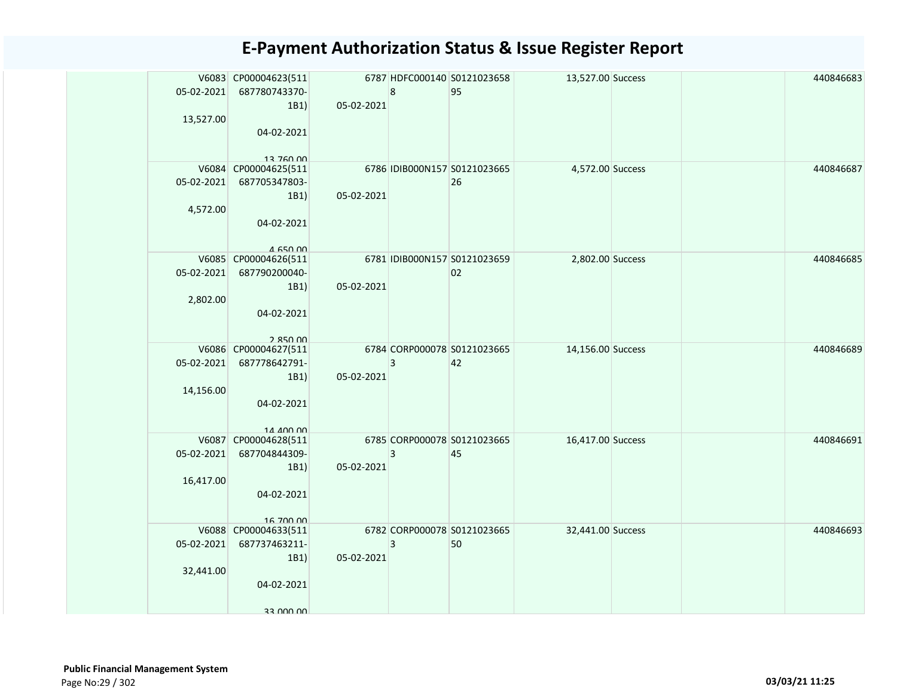|            | V6083 CP00004623(511              |            |                         | 6787 HDFC000140 S0121023658  | 13,527.00 Success |  | 440846683 |
|------------|-----------------------------------|------------|-------------------------|------------------------------|-------------------|--|-----------|
| 05-02-2021 | 687780743370-                     |            | 8                       | 95                           |                   |  |           |
|            | 1B1)                              | 05-02-2021 |                         |                              |                   |  |           |
| 13,527.00  |                                   |            |                         |                              |                   |  |           |
|            | 04-02-2021                        |            |                         |                              |                   |  |           |
|            |                                   |            |                         |                              |                   |  |           |
|            | 13 760 00                         |            |                         |                              |                   |  |           |
|            | V6084 CP00004625(511              |            |                         | 6786 IDIB000N157 S0121023665 | 4,572.00 Success  |  | 440846687 |
| 05-02-2021 | 687705347803-                     |            |                         | 26                           |                   |  |           |
|            | 1B1)                              | 05-02-2021 |                         |                              |                   |  |           |
| 4,572.00   |                                   |            |                         |                              |                   |  |           |
|            | 04-02-2021                        |            |                         |                              |                   |  |           |
|            |                                   |            |                         |                              |                   |  |           |
|            | 4 650 00<br>V6085 CP00004626(511  |            |                         | 6781 IDIB000N157 S0121023659 | 2,802.00 Success  |  | 440846685 |
| 05-02-2021 | 687790200040-                     |            |                         | 02                           |                   |  |           |
|            | 1B1)                              | 05-02-2021 |                         |                              |                   |  |           |
| 2,802.00   |                                   |            |                         |                              |                   |  |           |
|            | 04-02-2021                        |            |                         |                              |                   |  |           |
|            |                                   |            |                         |                              |                   |  |           |
|            | 2.850.00                          |            |                         |                              |                   |  |           |
|            | V6086 CP00004627(511              |            |                         | 6784 CORP000078 S0121023665  | 14,156.00 Success |  | 440846689 |
| 05-02-2021 | 687778642791-                     |            | 3                       | 42                           |                   |  |           |
|            | 1B1)                              | 05-02-2021 |                         |                              |                   |  |           |
| 14,156.00  |                                   |            |                         |                              |                   |  |           |
|            | 04-02-2021                        |            |                         |                              |                   |  |           |
|            |                                   |            |                         |                              |                   |  |           |
|            | 14 400 00                         |            |                         |                              |                   |  |           |
|            | V6087 CP00004628(511              |            |                         | 6785 CORP000078 S0121023665  | 16,417.00 Success |  | 440846691 |
| 05-02-2021 | 687704844309-                     |            | 3                       | 45                           |                   |  |           |
|            | 1B1)                              | 05-02-2021 |                         |                              |                   |  |           |
| 16,417.00  |                                   |            |                         |                              |                   |  |           |
|            | 04-02-2021                        |            |                         |                              |                   |  |           |
|            |                                   |            |                         |                              |                   |  |           |
|            | 16 700 00<br>V6088 CP00004633(511 |            |                         | 6782 CORP000078 S0121023665  | 32,441.00 Success |  | 440846693 |
| 05-02-2021 | 687737463211-                     |            | $\overline{\mathbf{3}}$ | 50                           |                   |  |           |
|            | 1B1)                              | 05-02-2021 |                         |                              |                   |  |           |
| 32,441.00  |                                   |            |                         |                              |                   |  |           |
|            | 04-02-2021                        |            |                         |                              |                   |  |           |
|            |                                   |            |                         |                              |                   |  |           |
|            | 33 UUU UU                         |            |                         |                              |                   |  |           |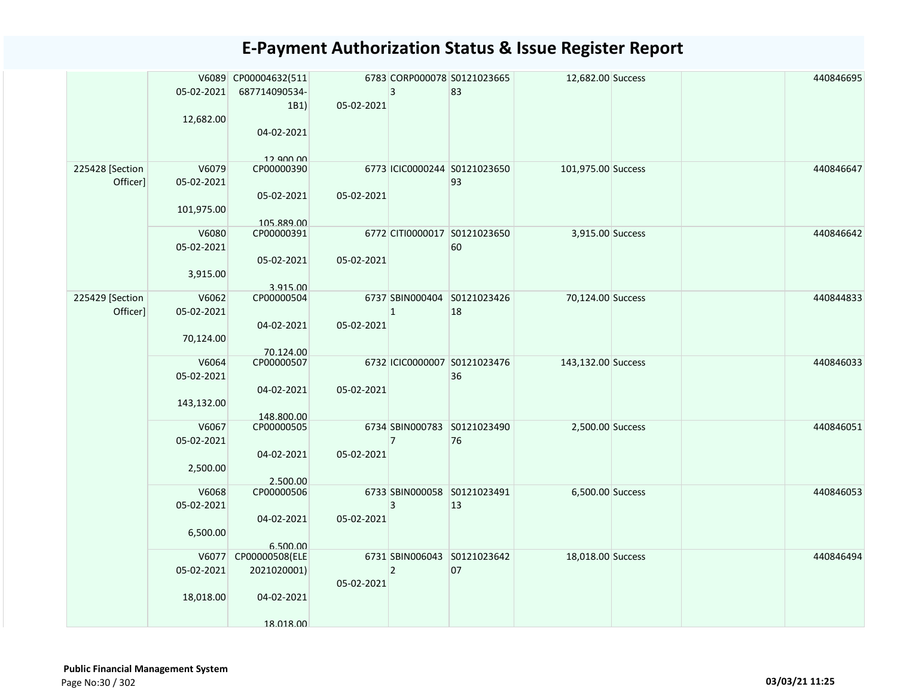|                             | 05-02-2021<br>12,682.00           | V6089 CP00004632(511<br>687714090534-<br>1B1)<br>04-02-2021<br>12 QNO 00 | 05-02-2021 | 3              | 6783 CORP000078 S0121023665<br>83  | 12,682.00 Success  |  | 440846695 |
|-----------------------------|-----------------------------------|--------------------------------------------------------------------------|------------|----------------|------------------------------------|--------------------|--|-----------|
| 225428 [Section<br>Officer] | V6079<br>05-02-2021<br>101,975.00 | CP00000390<br>05-02-2021<br>105.889.00                                   | 05-02-2021 |                | 6773 ICIC0000244 S0121023650<br>93 | 101,975.00 Success |  | 440846647 |
|                             | V6080<br>05-02-2021<br>3,915.00   | CP00000391<br>05-02-2021<br>3.915.00                                     | 05-02-2021 |                | 6772 CITI0000017 S0121023650<br>60 | 3,915.00 Success   |  | 440846642 |
| 225429 [Section<br>Officer] | V6062<br>05-02-2021<br>70,124.00  | CP00000504<br>04-02-2021<br>70.124.00                                    | 05-02-2021 | $\mathbf{1}$   | 6737 SBIN000404 S0121023426<br>18  | 70,124.00 Success  |  | 440844833 |
|                             | V6064<br>05-02-2021<br>143,132.00 | CP00000507<br>04-02-2021<br>148.800.00                                   | 05-02-2021 |                | 6732 ICIC0000007 S0121023476<br>36 | 143,132.00 Success |  | 440846033 |
|                             | V6067<br>05-02-2021<br>2,500.00   | CP00000505<br>04-02-2021<br>2.500.00                                     | 05-02-2021 | $\overline{7}$ | 6734 SBIN000783 S0121023490<br>76  | 2,500.00 Success   |  | 440846051 |
|                             | V6068<br>05-02-2021<br>6,500.00   | CP00000506<br>04-02-2021<br>6.500.00                                     | 05-02-2021 | 3              | 6733 SBIN000058 S0121023491<br>13  | 6,500.00 Success   |  | 440846053 |
|                             | 05-02-2021<br>18,018.00           | V6077 CP00000508(ELE<br>2021020001)<br>04-02-2021<br>18 018 00           | 05-02-2021 | $\overline{2}$ | 6731 SBIN006043 S0121023642<br>07  | 18,018.00 Success  |  | 440846494 |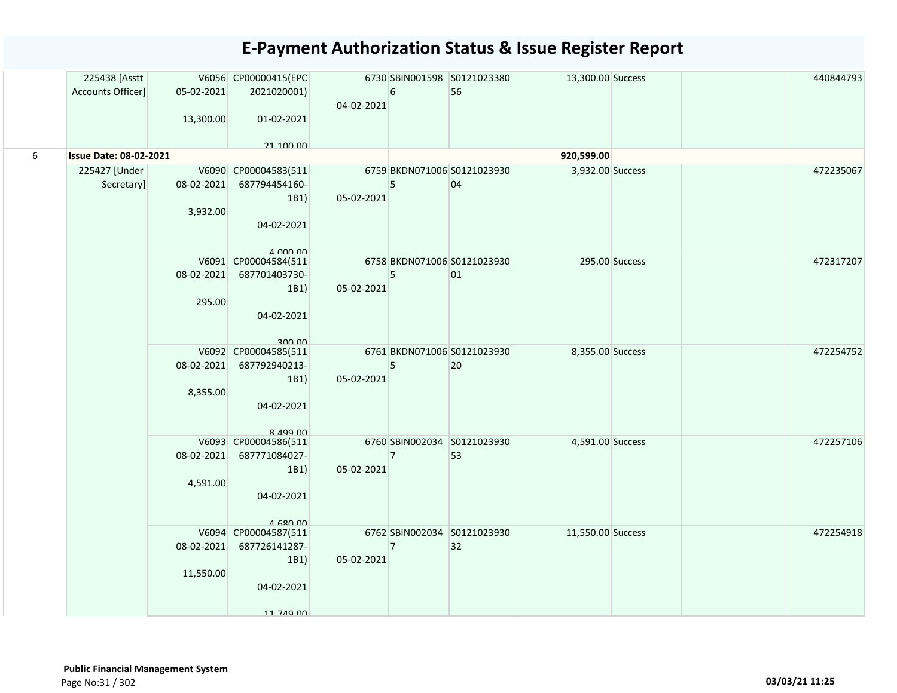|   | 225438 [Asstt                 |            | V6056 CP00000415(EPC           |            |                | 6730 SBIN001598 S0121023380 | 13,300.00 Success |                | 440844793 |
|---|-------------------------------|------------|--------------------------------|------------|----------------|-----------------------------|-------------------|----------------|-----------|
|   | Accounts Officer]             | 05-02-2021 | 2021020001)                    |            | 6              | 56                          |                   |                |           |
|   |                               |            |                                | 04-02-2021 |                |                             |                   |                |           |
|   |                               | 13,300.00  | 01-02-2021                     |            |                |                             |                   |                |           |
|   |                               |            |                                |            |                |                             |                   |                |           |
|   |                               |            | 21 100 00                      |            |                |                             |                   |                |           |
| 6 | <b>Issue Date: 08-02-2021</b> |            |                                |            |                |                             | 920,599.00        |                |           |
|   | 225427 [Under                 |            | V6090 CP00004583(511           |            |                | 6759 BKDN071006 S0121023930 | 3,932.00 Success  |                | 472235067 |
|   | Secretary]                    | 08-02-2021 | 687794454160-                  |            | 5              | 04                          |                   |                |           |
|   |                               |            | 1B1                            | 05-02-2021 |                |                             |                   |                |           |
|   |                               | 3,932.00   |                                |            |                |                             |                   |                |           |
|   |                               |            | 04-02-2021                     |            |                |                             |                   |                |           |
|   |                               |            | $\Lambda$ 000 00               |            |                |                             |                   |                |           |
|   |                               |            | V6091 CP00004584(511           |            |                | 6758 BKDN071006 S0121023930 |                   | 295.00 Success | 472317207 |
|   |                               | 08-02-2021 | 687701403730-                  |            | 5              | 01                          |                   |                |           |
|   |                               |            | 1B1                            | 05-02-2021 |                |                             |                   |                |           |
|   |                               | 295.00     |                                |            |                |                             |                   |                |           |
|   |                               |            | 04-02-2021                     |            |                |                             |                   |                |           |
|   |                               |            |                                |            |                |                             |                   |                |           |
|   |                               |            | 300 UU<br>V6092 CP00004585(511 |            |                | 6761 BKDN071006 S0121023930 | 8,355.00 Success  |                | 472254752 |
|   |                               | 08-02-2021 | 687792940213-                  |            | 5              | 20                          |                   |                |           |
|   |                               |            | 1B1                            | 05-02-2021 |                |                             |                   |                |           |
|   |                               | 8,355.00   |                                |            |                |                             |                   |                |           |
|   |                               |            | 04-02-2021                     |            |                |                             |                   |                |           |
|   |                               |            |                                |            |                |                             |                   |                |           |
|   |                               |            | 8 499 00                       |            |                |                             |                   |                |           |
|   |                               |            | V6093 CP00004586(511           |            |                | 6760 SBIN002034 S0121023930 | 4,591.00 Success  |                | 472257106 |
|   |                               | 08-02-2021 | 687771084027-                  |            | $\overline{7}$ | 53                          |                   |                |           |
|   |                               |            | 1B1                            | 05-02-2021 |                |                             |                   |                |           |
|   |                               | 4,591.00   |                                |            |                |                             |                   |                |           |
|   |                               |            | 04-02-2021                     |            |                |                             |                   |                |           |
|   |                               |            | $4$ 680 00                     |            |                |                             |                   |                |           |
|   |                               |            | V6094 CP00004587(511           |            |                | 6762 SBIN002034 S0121023930 | 11,550.00 Success |                | 472254918 |
|   |                               | 08-02-2021 | 687726141287-                  |            | $\overline{7}$ | 32                          |                   |                |           |
|   |                               |            | 1B1                            | 05-02-2021 |                |                             |                   |                |           |
|   |                               | 11,550.00  |                                |            |                |                             |                   |                |           |
|   |                               |            | 04-02-2021                     |            |                |                             |                   |                |           |
|   |                               |            |                                |            |                |                             |                   |                |           |
|   |                               |            | 11 749 00                      |            |                |                             |                   |                |           |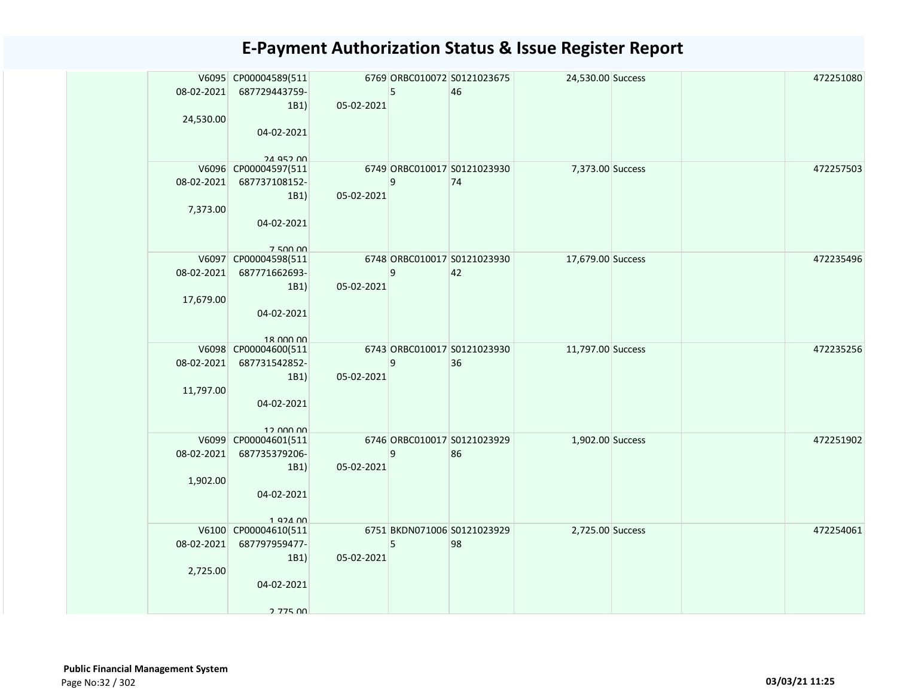|            | V6095 CP00004589(511           |            |   | 6769 ORBC010072 S0121023675 | 24,530.00 Success |  | 472251080 |
|------------|--------------------------------|------------|---|-----------------------------|-------------------|--|-----------|
| 08-02-2021 | 687729443759-                  |            | 5 | 46                          |                   |  |           |
|            | 1B1)                           | 05-02-2021 |   |                             |                   |  |           |
| 24,530.00  |                                |            |   |                             |                   |  |           |
|            | 04-02-2021                     |            |   |                             |                   |  |           |
|            | 24 Q52 00                      |            |   |                             |                   |  |           |
|            | V6096 CP00004597(511           |            |   | 6749 ORBC010017 S0121023930 | 7,373.00 Success  |  | 472257503 |
| 08-02-2021 | 687737108152-                  |            | 9 | 74                          |                   |  |           |
|            | 1B1)                           | 05-02-2021 |   |                             |                   |  |           |
| 7,373.00   |                                |            |   |                             |                   |  |           |
|            | 04-02-2021                     |            |   |                             |                   |  |           |
|            |                                |            |   |                             |                   |  |           |
|            | 750000<br>V6097 CP00004598(511 |            |   | 6748 ORBC010017 S0121023930 | 17,679.00 Success |  | 472235496 |
| 08-02-2021 | 687771662693-                  |            | 9 | 42                          |                   |  |           |
|            | 1B1)                           | 05-02-2021 |   |                             |                   |  |           |
| 17,679.00  |                                |            |   |                             |                   |  |           |
|            | 04-02-2021                     |            |   |                             |                   |  |           |
|            |                                |            |   |                             |                   |  |           |
|            | 18 000 00                      |            |   |                             |                   |  |           |
|            | V6098 CP00004600(511           |            |   | 6743 ORBC010017 S0121023930 | 11,797.00 Success |  | 472235256 |
| 08-02-2021 | 687731542852-                  |            | 9 | 36                          |                   |  |           |
| 11,797.00  | 1B1)                           | 05-02-2021 |   |                             |                   |  |           |
|            | 04-02-2021                     |            |   |                             |                   |  |           |
|            |                                |            |   |                             |                   |  |           |
|            | 12 000 00                      |            |   |                             |                   |  |           |
|            | V6099 CP00004601(511           |            |   | 6746 ORBC010017 S0121023929 | 1,902.00 Success  |  | 472251902 |
| 08-02-2021 | 687735379206-                  |            | 9 | 86                          |                   |  |           |
|            | 1B1)                           | 05-02-2021 |   |                             |                   |  |           |
| 1,902.00   |                                |            |   |                             |                   |  |           |
|            | 04-02-2021                     |            |   |                             |                   |  |           |
|            |                                |            |   |                             |                   |  |           |
|            | V6100 CP00004610(511           |            |   | 6751 BKDN071006 S0121023929 | 2,725.00 Success  |  | 472254061 |
| 08-02-2021 | 687797959477-                  |            | 5 | 98                          |                   |  |           |
|            | 1B1)                           | 05-02-2021 |   |                             |                   |  |           |
| 2,725.00   |                                |            |   |                             |                   |  |           |
|            | 04-02-2021                     |            |   |                             |                   |  |           |
|            |                                |            |   |                             |                   |  |           |
|            | 2 775 00                       |            |   |                             |                   |  |           |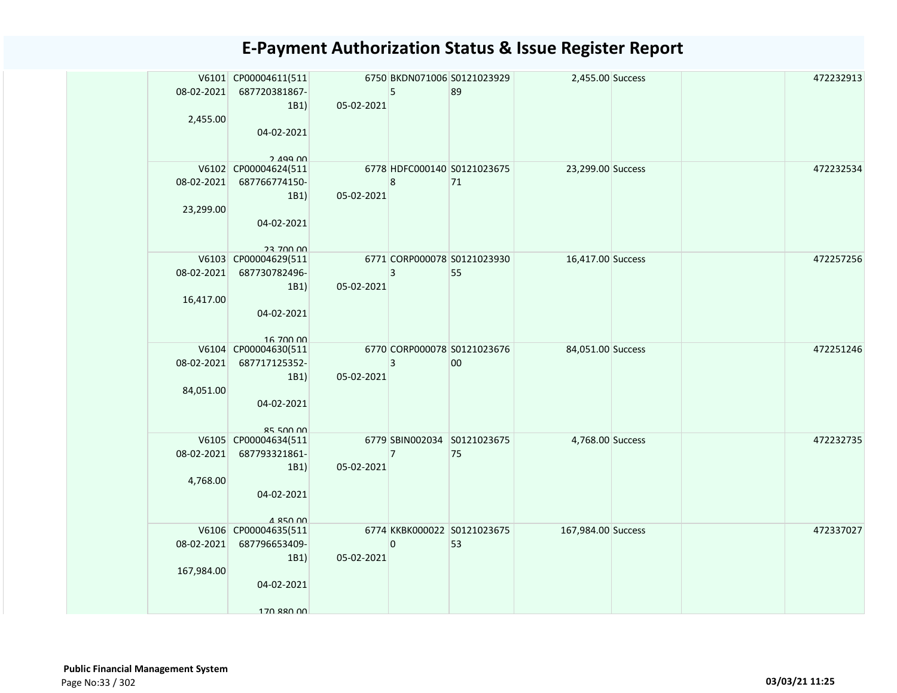|            | V6101 CP00004611(511<br>08-02-2021 687720381867-<br>1B1)<br>2,455.00<br>04-02-2021<br>$2.499$ $00$ | 05-02-2021 | 5              | 6750 BKDN071006 S0121023929<br>89 | 2,455.00 Success   |  | 472232913 |
|------------|----------------------------------------------------------------------------------------------------|------------|----------------|-----------------------------------|--------------------|--|-----------|
|            | V6102 CP00004624(511<br>08-02-2021 687766774150-<br>1B1)<br>23,299.00<br>04-02-2021<br>23 700 DD   | 05-02-2021 | 8              | 6778 HDFC000140 S0121023675<br>71 | 23,299.00 Success  |  | 472232534 |
|            | V6103 CP00004629(511<br>08-02-2021 687730782496-<br>1B1)<br>16,417.00<br>04-02-2021<br>16 700 00   | 05-02-2021 | 3              | 6771 CORP000078 S0121023930<br>55 | 16,417.00 Success  |  | 472257256 |
| 08-02-2021 | V6104 CP00004630(511<br>687717125352-<br>1B1)<br>84,051.00<br>04-02-2021<br>8550000                | 05-02-2021 | 3              | 6770 CORP000078 S0121023676<br>00 | 84,051.00 Success  |  | 472251246 |
| 08-02-2021 | V6105 CP00004634(511<br>687793321861-<br>1B1)<br>4,768.00<br>04-02-2021<br>4 850 00                | 05-02-2021 | $\overline{7}$ | 6779 SBIN002034 S0121023675<br>75 | 4,768.00 Success   |  | 472232735 |
| 167,984.00 | V6106 CP00004635(511<br>08-02-2021 687796653409-<br>1B1)<br>04-02-2021<br>170 880 00               | 05-02-2021 | 0              | 6774 KKBK000022 S0121023675<br>53 | 167,984.00 Success |  | 472337027 |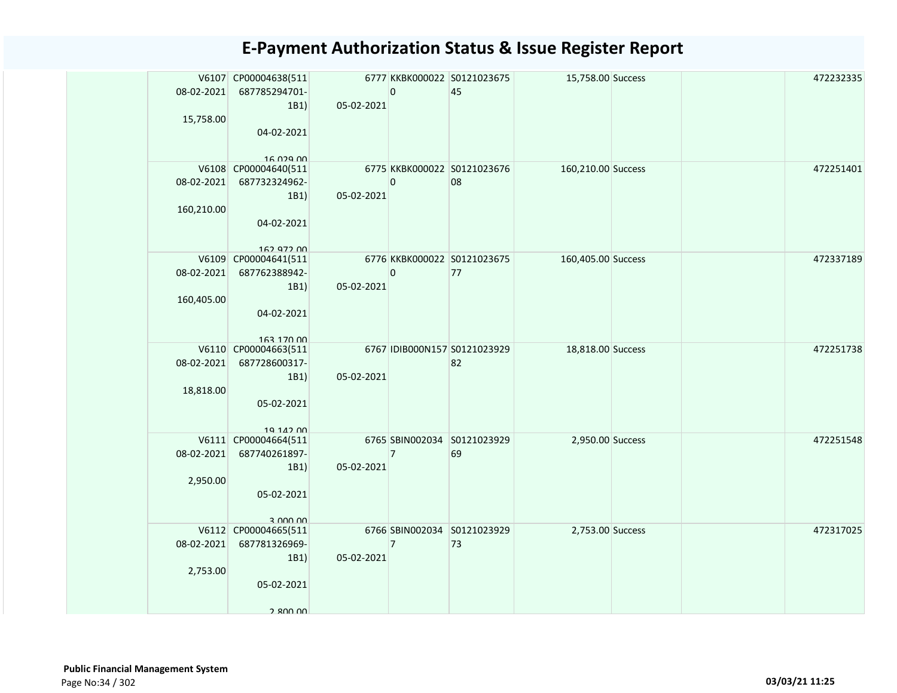| 15,758.00               | V6107 CP00004638(511<br>08-02-2021 687785294701-<br>1B1<br>04-02-2021                             | 05-02-2021 | 0              | 6777 KKBK000022 S0121023675<br>45  | 15,758.00 Success  |  | 472232335 |
|-------------------------|---------------------------------------------------------------------------------------------------|------------|----------------|------------------------------------|--------------------|--|-----------|
| 160,210.00              | 16.029.00<br>V6108 CP00004640(511<br>08-02-2021 687732324962-<br>1B1)<br>04-02-2021<br>162 972 00 | 05-02-2021 | 0              | 6775 KKBK000022 S0121023676<br>08  | 160,210.00 Success |  | 472251401 |
| 160,405.00              | V6109 CP00004641(511<br>08-02-2021 687762388942-<br>1B1)<br>04-02-2021<br>163 170 00              | 05-02-2021 | 0              | 6776 KKBK000022 S0121023675<br>77  | 160,405.00 Success |  | 472337189 |
| 08-02-2021<br>18,818.00 | V6110 CP00004663(511<br>687728600317-<br>1B1)<br>05-02-2021<br>19 142 00                          | 05-02-2021 |                | 6767 IDIB000N157 S0121023929<br>82 | 18,818.00 Success  |  | 472251738 |
| 2,950.00                | V6111 CP00004664(511<br>08-02-2021 687740261897-<br>1B1)<br>05-02-2021<br>3 000 00                | 05-02-2021 | $\overline{7}$ | 6765 SBIN002034 S0121023929<br>69  | 2,950.00 Success   |  | 472251548 |
| 2,753.00                | V6112 CP00004665(511<br>08-02-2021 687781326969-<br>1B1)<br>05-02-2021<br>2 800 00                | 05-02-2021 | $\overline{7}$ | 6766 SBIN002034 S0121023929<br>73  | 2,753.00 Success   |  | 472317025 |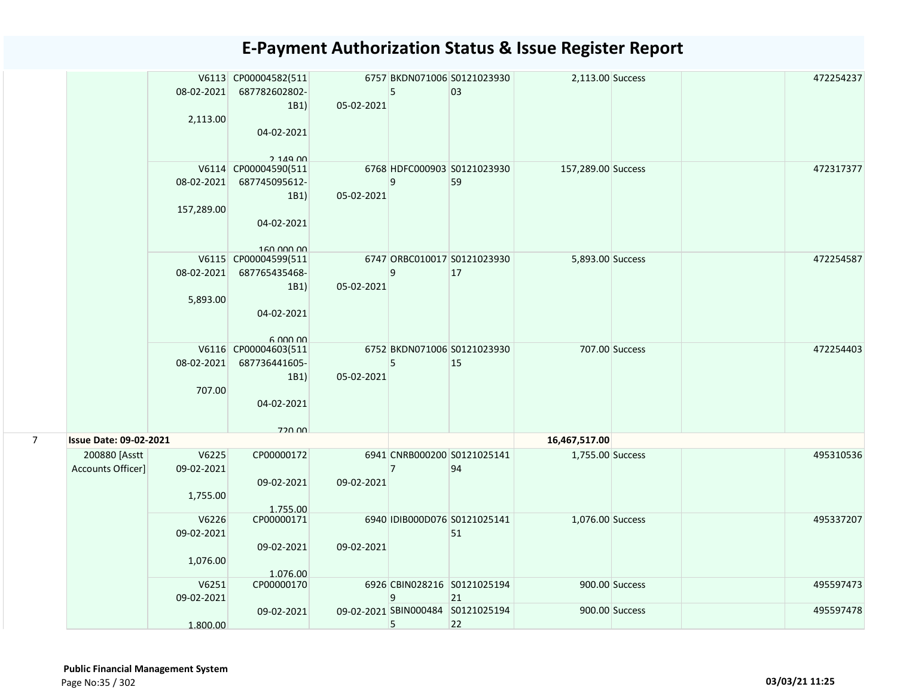|                |                                    | 2,113.00                        | V6113 CP00004582(511<br>08-02-2021 687782602802-<br>1B1)<br>04-02-2021               | 05-02-2021 | 5 | 6757 BKDN071006 S0121023930<br>03       | 2,113.00 Success   |                | 472254237 |
|----------------|------------------------------------|---------------------------------|--------------------------------------------------------------------------------------|------------|---|-----------------------------------------|--------------------|----------------|-----------|
|                |                                    | 08-02-2021<br>157,289.00        | $2.149$ $00$<br>V6114 CP00004590(511<br>687745095612-<br>1B1)<br>04-02-2021          | 05-02-2021 | 9 | 6768 HDFC000903 S0121023930<br>59       | 157,289.00 Success |                | 472317377 |
|                |                                    | 08-02-2021<br>5,893.00          | 160,000,00<br>V6115 CP00004599(511<br>687765435468-<br>1B1)<br>04-02-2021<br>6.00000 | 05-02-2021 | 9 | 6747 ORBC010017 S0121023930<br>17       | 5,893.00 Success   |                | 472254587 |
|                |                                    | 08-02-2021<br>707.00            | V6116 CP00004603(511<br>687736441605-<br>1B1)<br>04-02-2021                          | 05-02-2021 | 5 | 6752 BKDN071006 S0121023930<br>15       |                    | 707.00 Success | 472254403 |
| $\overline{7}$ | <b>Issue Date: 09-02-2021</b>      |                                 | 720 DD                                                                               |            |   |                                         | 16,467,517.00      |                |           |
|                | 200880 [Asstt<br>Accounts Officer] | V6225<br>09-02-2021<br>1,755.00 | CP00000172<br>09-02-2021<br>1.755.00                                                 | 09-02-2021 | 7 | 6941 CNRB000200 S0121025141<br>94       | 1,755.00 Success   |                | 495310536 |
|                |                                    | V6226<br>09-02-2021<br>1,076.00 | CP00000171<br>09-02-2021<br>1.076.00                                                 | 09-02-2021 |   | 6940 IDIB000D076 S0121025141<br>51      | 1,076.00 Success   |                | 495337207 |
|                |                                    | V6251<br>09-02-2021             | CP00000170                                                                           |            | 9 | 6926 CBIN028216 S0121025194<br>21       |                    | 900.00 Success | 495597473 |
|                |                                    | 1.800.00                        | 09-02-2021                                                                           |            | 5 | 09-02-2021 SBIN000484 S0121025194<br>22 |                    | 900.00 Success | 495597478 |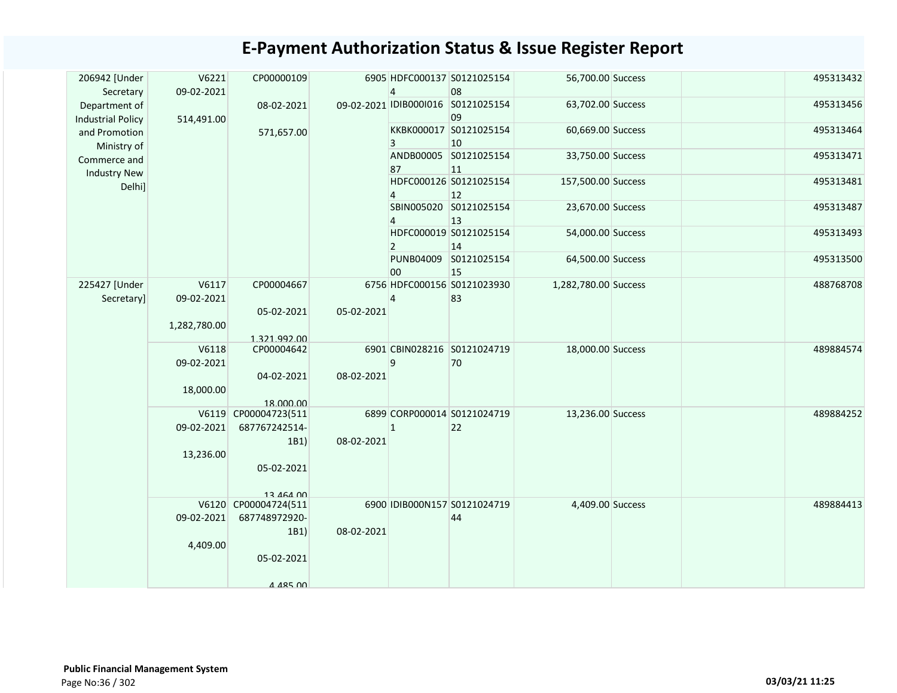| 206942 [Under<br>Secretary                | V6221<br>09-02-2021 | CP00000109                 |            | 4              | 6905 HDFC000137 S0121025154<br>08        | 56,700.00 Success    |  | 495313432 |
|-------------------------------------------|---------------------|----------------------------|------------|----------------|------------------------------------------|----------------------|--|-----------|
| Department of                             |                     | 08-02-2021                 |            |                | 09-02-2021 IDIB000I016 S0121025154<br>09 | 63,702.00 Success    |  | 495313456 |
| <b>Industrial Policy</b><br>and Promotion | 514,491.00          | 571,657.00                 |            | 3              | KKBK000017 S0121025154<br>10             | 60,669.00 Success    |  | 495313464 |
| Ministry of<br>Commerce and               |                     |                            |            | 87             | ANDB00005 S0121025154<br>11              | 33,750.00 Success    |  | 495313471 |
| <b>Industry New</b><br>Delhi]             |                     |                            |            |                | HDFC000126 S0121025154<br>12             | 157,500.00 Success   |  | 495313481 |
|                                           |                     |                            |            |                | SBIN005020 S0121025154<br>13             | 23,670.00 Success    |  | 495313487 |
|                                           |                     |                            |            | $\overline{2}$ | HDFC000019 S0121025154<br>14             | 54,000.00 Success    |  | 495313493 |
|                                           |                     |                            |            | 00             | PUNB04009 S0121025154<br>15              | 64,500.00 Success    |  | 495313500 |
| 225427 [Under                             | V6117               | CP00004667                 |            |                | 6756 HDFC000156 S0121023930              | 1,282,780.00 Success |  | 488768708 |
| Secretary]                                | 09-02-2021          |                            |            | 4              | 83                                       |                      |  |           |
|                                           | 1,282,780.00        | 05-02-2021<br>1.321.992.00 | 05-02-2021 |                |                                          |                      |  |           |
|                                           | V6118               | CP00004642                 |            |                | 6901 CBIN028216 S0121024719              | 18,000.00 Success    |  | 489884574 |
|                                           | 09-02-2021          |                            |            | 9              | 70                                       |                      |  |           |
|                                           |                     | 04-02-2021                 | 08-02-2021 |                |                                          |                      |  |           |
|                                           | 18,000.00           |                            |            |                |                                          |                      |  |           |
|                                           |                     | 18.000.00                  |            |                |                                          |                      |  |           |
|                                           |                     | V6119 CP00004723(511       |            |                | 6899 CORP000014 S0121024719              | 13,236.00 Success    |  | 489884252 |
|                                           | 09-02-2021          | 687767242514-              |            | $\mathbf{1}$   | 22                                       |                      |  |           |
|                                           |                     | 1B1)                       | 08-02-2021 |                |                                          |                      |  |           |
|                                           | 13,236.00           |                            |            |                |                                          |                      |  |           |
|                                           |                     | 05-02-2021                 |            |                |                                          |                      |  |           |
|                                           |                     | 13 464 00                  |            |                |                                          |                      |  |           |
|                                           | V6120               | CP00004724(511             |            |                | 6900 IDIB000N157 S0121024719             | 4,409.00 Success     |  | 489884413 |
|                                           | 09-02-2021          | 687748972920-              |            |                | 44                                       |                      |  |           |
|                                           |                     | 1B1)                       | 08-02-2021 |                |                                          |                      |  |           |
|                                           | 4,409.00            |                            |            |                |                                          |                      |  |           |
|                                           |                     | 05-02-2021                 |            |                |                                          |                      |  |           |
|                                           |                     | 4 485 DO                   |            |                |                                          |                      |  |           |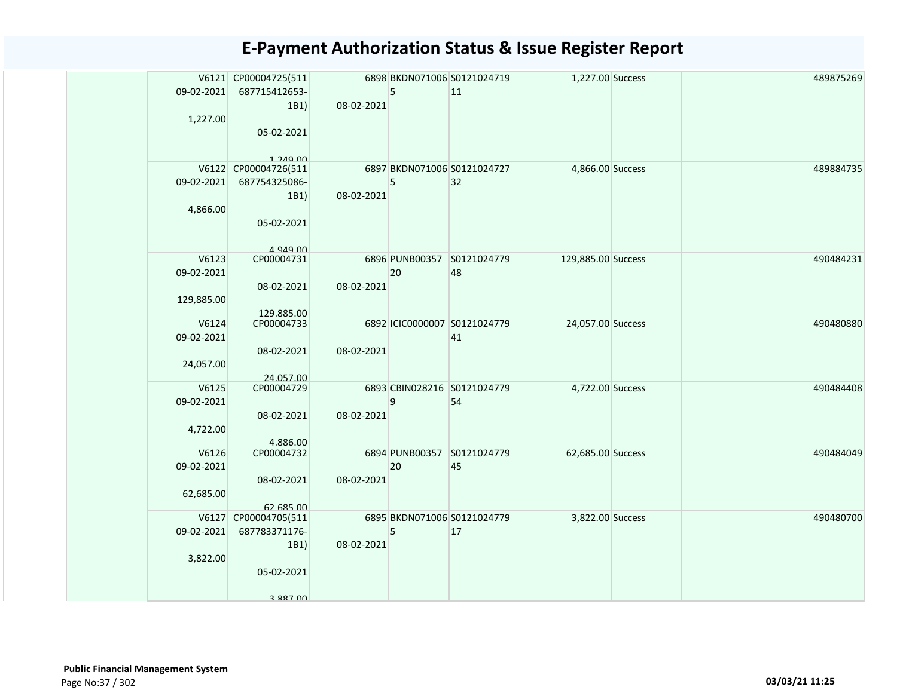|            | V6121 CP00004725(511                  |            |    | 6898 BKDN071006 S0121024719  | 1,227.00 Success   |  | 489875269 |
|------------|---------------------------------------|------------|----|------------------------------|--------------------|--|-----------|
| 09-02-2021 | 687715412653-                         |            | 5  | 11                           |                    |  |           |
|            | 1B1)                                  | 08-02-2021 |    |                              |                    |  |           |
| 1,227.00   |                                       |            |    |                              |                    |  |           |
|            | 05-02-2021                            |            |    |                              |                    |  |           |
|            |                                       |            |    |                              |                    |  |           |
|            | $1.249$ $00$                          |            |    | 6897 BKDN071006 S0121024727  |                    |  | 489884735 |
| 09-02-2021 | V6122 CP00004726(511<br>687754325086- |            | 5  | 32                           | 4,866.00 Success   |  |           |
|            | 1B1)                                  | 08-02-2021 |    |                              |                    |  |           |
| 4,866.00   |                                       |            |    |                              |                    |  |           |
|            | 05-02-2021                            |            |    |                              |                    |  |           |
|            |                                       |            |    |                              |                    |  |           |
|            | $A$ Q $A$ Q $\Omega$                  |            |    |                              |                    |  |           |
| V6123      | CP00004731                            |            |    | 6896 PUNB00357 S0121024779   | 129,885.00 Success |  | 490484231 |
| 09-02-2021 |                                       |            | 20 | 48                           |                    |  |           |
|            | 08-02-2021                            | 08-02-2021 |    |                              |                    |  |           |
| 129,885.00 |                                       |            |    |                              |                    |  |           |
|            | 129.885.00                            |            |    |                              |                    |  |           |
| V6124      | CP00004733                            |            |    | 6892 ICIC0000007 S0121024779 | 24,057.00 Success  |  | 490480880 |
| 09-02-2021 |                                       |            |    | 41                           |                    |  |           |
|            | 08-02-2021                            | 08-02-2021 |    |                              |                    |  |           |
| 24,057.00  |                                       |            |    |                              |                    |  |           |
| V6125      | 24.057.00<br>CP00004729               |            |    | 6893 CBIN028216 S0121024779  | 4,722.00 Success   |  | 490484408 |
| 09-02-2021 |                                       |            | 9  | 54                           |                    |  |           |
|            | 08-02-2021                            | 08-02-2021 |    |                              |                    |  |           |
| 4,722.00   |                                       |            |    |                              |                    |  |           |
|            | 4.886.00                              |            |    |                              |                    |  |           |
| V6126      | CP00004732                            |            |    | 6894 PUNB00357 S0121024779   | 62,685.00 Success  |  | 490484049 |
| 09-02-2021 |                                       |            | 20 | 45                           |                    |  |           |
|            | 08-02-2021                            | 08-02-2021 |    |                              |                    |  |           |
| 62,685.00  |                                       |            |    |                              |                    |  |           |
|            | 62.685.00                             |            |    |                              |                    |  |           |
|            | V6127 CP00004705(511                  |            |    | 6895 BKDN071006 S0121024779  | 3,822.00 Success   |  | 490480700 |
| 09-02-2021 | 687783371176-                         |            | 5  | 17                           |                    |  |           |
|            | 1B1)                                  | 08-02-2021 |    |                              |                    |  |           |
| 3,822.00   |                                       |            |    |                              |                    |  |           |
|            | 05-02-2021                            |            |    |                              |                    |  |           |
|            | 3 887 00                              |            |    |                              |                    |  |           |
|            |                                       |            |    |                              |                    |  |           |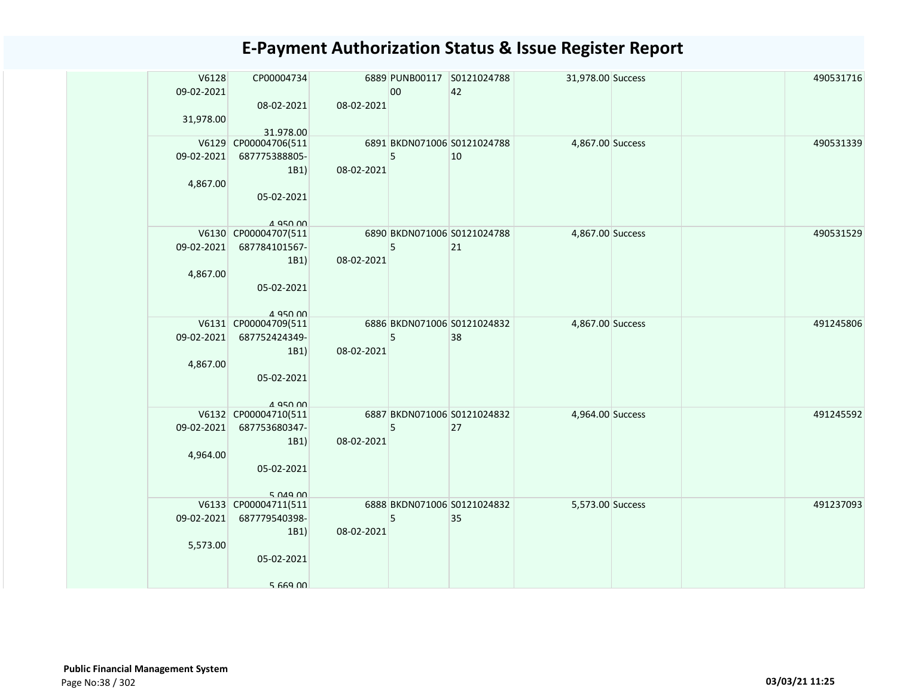| V6128      | CP00004734                        |            |    | 6889 PUNB00117 S0121024788  | 31,978.00 Success |  | 490531716 |
|------------|-----------------------------------|------------|----|-----------------------------|-------------------|--|-----------|
| 09-02-2021 |                                   |            | 00 | 42                          |                   |  |           |
|            | 08-02-2021                        | 08-02-2021 |    |                             |                   |  |           |
| 31,978.00  |                                   |            |    |                             |                   |  |           |
|            | 31.978.00<br>V6129 CP00004706(511 |            |    | 6891 BKDN071006 S0121024788 | 4,867.00 Success  |  | 490531339 |
| 09-02-2021 | 687775388805-                     |            | 5  | 10                          |                   |  |           |
|            | 1B1)                              | 08-02-2021 |    |                             |                   |  |           |
| 4,867.00   |                                   |            |    |                             |                   |  |           |
|            | 05-02-2021                        |            |    |                             |                   |  |           |
|            |                                   |            |    |                             |                   |  |           |
|            | A 950 00                          |            |    |                             |                   |  |           |
|            | V6130 CP00004707(511              |            |    | 6890 BKDN071006 S0121024788 | 4,867.00 Success  |  | 490531529 |
|            | 09-02-2021 687784101567-          |            | 5  | 21                          |                   |  |           |
|            | 1B1)                              | 08-02-2021 |    |                             |                   |  |           |
| 4,867.00   |                                   |            |    |                             |                   |  |           |
|            | 05-02-2021                        |            |    |                             |                   |  |           |
|            | 4 950 00                          |            |    |                             |                   |  |           |
|            | V6131 CP00004709(511              |            |    | 6886 BKDN071006 S0121024832 | 4,867.00 Success  |  | 491245806 |
|            | 09-02-2021 687752424349-          |            | 5  | 38                          |                   |  |           |
|            | 1B1)                              | 08-02-2021 |    |                             |                   |  |           |
| 4,867.00   |                                   |            |    |                             |                   |  |           |
|            | 05-02-2021                        |            |    |                             |                   |  |           |
|            |                                   |            |    |                             |                   |  |           |
|            | 4 950 00                          |            |    |                             |                   |  |           |
|            | V6132 CP00004710(511              |            |    | 6887 BKDN071006 S0121024832 | 4,964.00 Success  |  | 491245592 |
|            | 09-02-2021 687753680347-<br>1B1)  | 08-02-2021 | 5  | 27                          |                   |  |           |
| 4,964.00   |                                   |            |    |                             |                   |  |           |
|            | 05-02-2021                        |            |    |                             |                   |  |           |
|            |                                   |            |    |                             |                   |  |           |
|            | 5.049.00                          |            |    |                             |                   |  |           |
|            | V6133 CP00004711(511              |            |    | 6888 BKDN071006 S0121024832 | 5,573.00 Success  |  | 491237093 |
| 09-02-2021 | 687779540398-                     |            | 5  | 35                          |                   |  |           |
|            | 1B1)                              | 08-02-2021 |    |                             |                   |  |           |
| 5,573.00   |                                   |            |    |                             |                   |  |           |
|            | 05-02-2021                        |            |    |                             |                   |  |           |
|            |                                   |            |    |                             |                   |  |           |
|            | 5 669 00                          |            |    |                             |                   |  |           |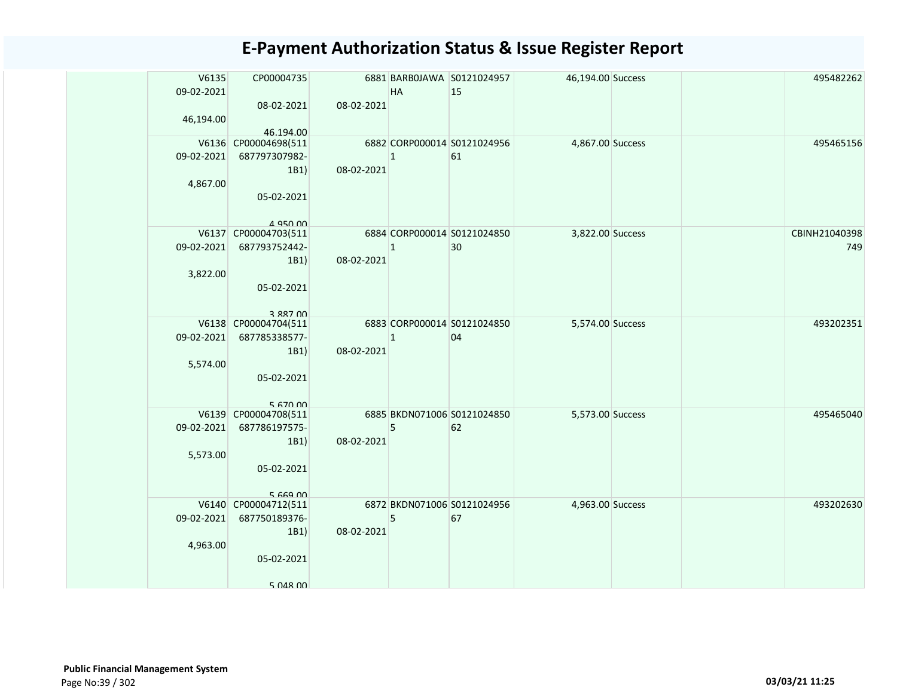| V6135      | CP00004735           |            |              | 6881 BARBOJAWA S0121024957  | 46,194.00 Success |  | 495482262     |
|------------|----------------------|------------|--------------|-----------------------------|-------------------|--|---------------|
| 09-02-2021 |                      |            | <b>HA</b>    | 15                          |                   |  |               |
|            | 08-02-2021           | 08-02-2021 |              |                             |                   |  |               |
| 46,194.00  | 46.194.00            |            |              |                             |                   |  |               |
|            | V6136 CP00004698(511 |            |              | 6882 CORP000014 S0121024956 | 4,867.00 Success  |  | 495465156     |
| 09-02-2021 | 687797307982-        |            | $\mathbf{1}$ | 61                          |                   |  |               |
|            | 1B1)                 | 08-02-2021 |              |                             |                   |  |               |
| 4,867.00   |                      |            |              |                             |                   |  |               |
|            | 05-02-2021           |            |              |                             |                   |  |               |
|            | 4 Q50 00             |            |              |                             |                   |  |               |
|            | V6137 CP00004703(511 |            |              | 6884 CORP000014 S0121024850 | 3,822.00 Success  |  | CBINH21040398 |
| 09-02-2021 | 687793752442-        |            | $\mathbf{1}$ | 30                          |                   |  | 749           |
|            | 1B1)                 | 08-02-2021 |              |                             |                   |  |               |
| 3,822.00   |                      |            |              |                             |                   |  |               |
|            | 05-02-2021           |            |              |                             |                   |  |               |
|            | 3 887 NO             |            |              |                             |                   |  |               |
|            | V6138 CP00004704(511 |            |              | 6883 CORP000014 S0121024850 | 5,574.00 Success  |  | 493202351     |
| 09-02-2021 | 687785338577-        |            | $\mathbf{1}$ | 04                          |                   |  |               |
|            | 1B1)                 | 08-02-2021 |              |                             |                   |  |               |
| 5,574.00   |                      |            |              |                             |                   |  |               |
|            | 05-02-2021           |            |              |                             |                   |  |               |
|            | 5 670 00             |            |              |                             |                   |  |               |
|            | V6139 CP00004708(511 |            |              | 6885 BKDN071006 S0121024850 | 5,573.00 Success  |  | 495465040     |
| 09-02-2021 | 687786197575-        |            | 5            | 62                          |                   |  |               |
|            | 1B1)                 | 08-02-2021 |              |                             |                   |  |               |
| 5,573.00   |                      |            |              |                             |                   |  |               |
|            | 05-02-2021           |            |              |                             |                   |  |               |
|            | $5.669$ $00$         |            |              |                             |                   |  |               |
|            | V6140 CP00004712(511 |            |              | 6872 BKDN071006 S0121024956 | 4,963.00 Success  |  | 493202630     |
| 09-02-2021 | 687750189376-        |            | 5            | 67                          |                   |  |               |
|            | 1B1)                 | 08-02-2021 |              |                             |                   |  |               |
| 4,963.00   |                      |            |              |                             |                   |  |               |
|            | 05-02-2021           |            |              |                             |                   |  |               |
|            | $5$ $048$ $00$       |            |              |                             |                   |  |               |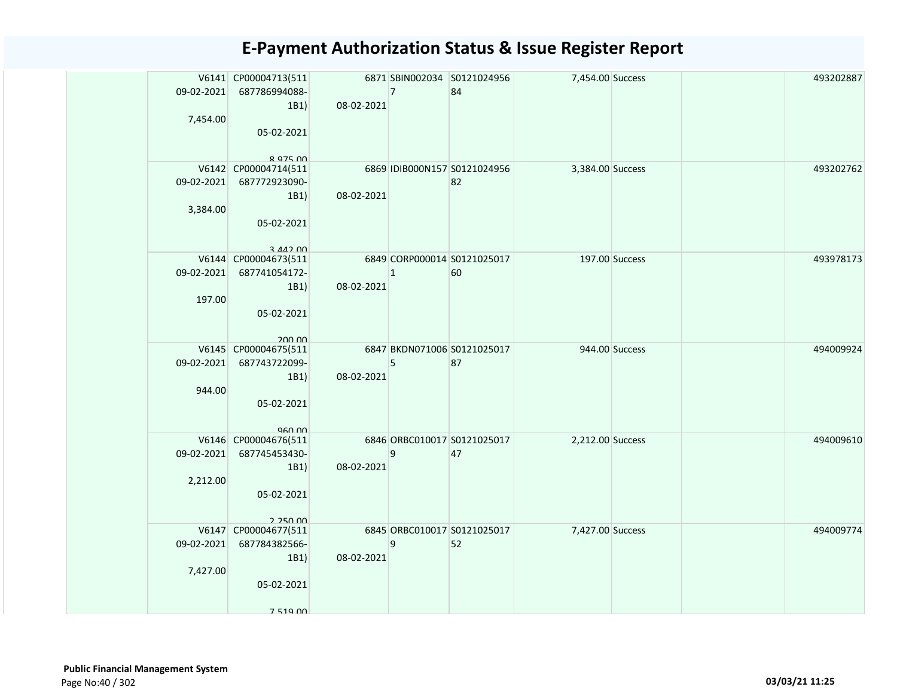| 09-02-2021             | V6141 CP00004713(511<br>687786994088-<br>1B1                                          | 08-02-2021 | $\vert$ 7      | 6871 SBIN002034 S0121024956<br>84  | 7,454.00 Success |                | 493202887 |
|------------------------|---------------------------------------------------------------------------------------|------------|----------------|------------------------------------|------------------|----------------|-----------|
| 7,454.00               | 05-02-2021<br><b>8 975 NO</b>                                                         |            |                |                                    |                  |                |           |
| 09-02-2021<br>3,384.00 | V6142 CP00004714(511<br>687772923090-<br>1B1<br>05-02-2021<br>$3$ $A$ $A$ $2$ $D$ $n$ | 08-02-2021 |                | 6869 IDIB000N157 S0121024956<br>82 | 3,384.00 Success |                | 493202762 |
| 09-02-2021<br>197.00   | V6144 CP00004673(511<br>687741054172-<br>1B1<br>05-02-2021<br>200.00                  | 08-02-2021 | $\overline{1}$ | 6849 CORP000014 S0121025017<br>60  | 197.00 Success   |                | 493978173 |
| 09-02-2021<br>944.00   | V6145 CP00004675(511<br>687743722099-<br>1B1)<br>05-02-2021<br>960.00                 | 08-02-2021 | 5              | 6847 BKDN071006 S0121025017<br>87  |                  | 944.00 Success | 494009924 |
| 09-02-2021<br>2,212.00 | V6146 CP00004676(511<br>687745453430-<br>1B1<br>05-02-2021<br>2.250.00                | 08-02-2021 | 9              | 6846 ORBC010017 S0121025017<br>47  | 2,212.00 Success |                | 494009610 |
| 09-02-2021<br>7,427.00 | V6147 CP00004677(511<br>687784382566-<br>1B1)<br>05-02-2021<br>7 519 NO               | 08-02-2021 | 9              | 6845 ORBC010017 S0121025017<br>52  | 7,427.00 Success |                | 494009774 |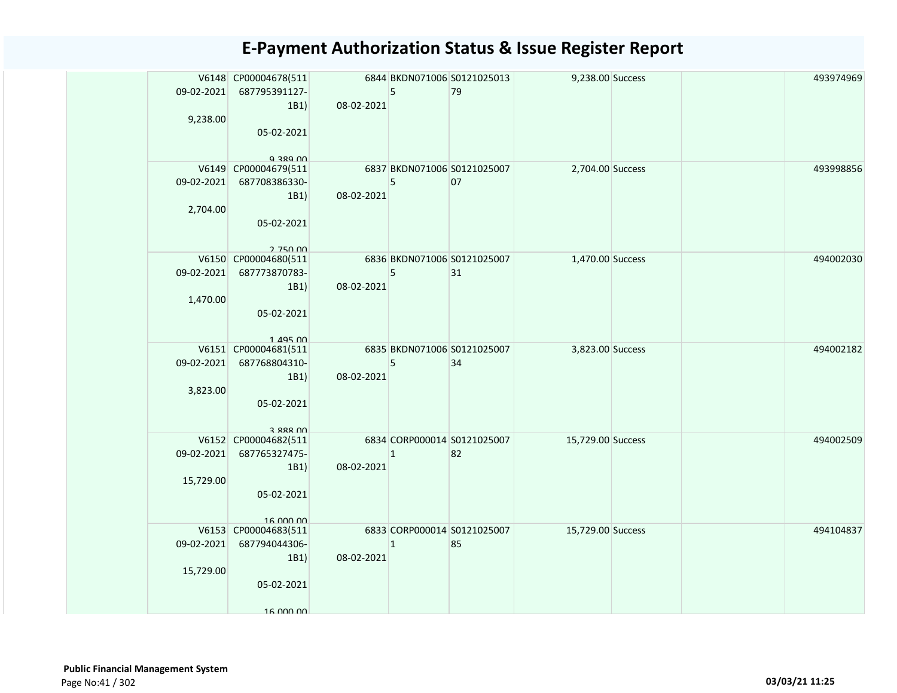| 09-02-2021<br>9,238.00  | V6148 CP00004678(511<br>687795391127-<br>1B1                               | 08-02-2021 | 5              | 6844 BKDN071006 S0121025013<br>79 | 9,238.00 Success  |  | 493974969 |
|-------------------------|----------------------------------------------------------------------------|------------|----------------|-----------------------------------|-------------------|--|-----------|
|                         | 05-02-2021<br>Q 380 UU<br>V6149 CP00004679(511                             |            |                | 6837 BKDN071006 S0121025007       | 2,704.00 Success  |  | 493998856 |
| 09-02-2021<br>2,704.00  | 687708386330-<br>1B1<br>05-02-2021<br>2.750.00                             | 08-02-2021 | 5              | 07                                |                   |  |           |
| 09-02-2021<br>1,470.00  | V6150 CP00004680(511<br>687773870783-<br>1B1<br>05-02-2021<br>$1.495$ $00$ | 08-02-2021 | 5              | 6836 BKDN071006 S0121025007<br>31 | 1,470.00 Success  |  | 494002030 |
| 09-02-2021<br>3,823.00  | V6151 CP00004681(511<br>687768804310-<br>1B1<br>05-02-2021<br>3 888 NO     | 08-02-2021 | 5              | 6835 BKDN071006 S0121025007<br>34 | 3,823.00 Success  |  | 494002182 |
| 09-02-2021<br>15,729.00 | V6152 CP00004682(511<br>687765327475-<br>1B1<br>05-02-2021<br>16.000.00    | 08-02-2021 | $\vert$ 1      | 6834 CORP000014 S0121025007<br>82 | 15,729.00 Success |  | 494002509 |
| 09-02-2021<br>15,729.00 | V6153 CP00004683(511<br>687794044306-<br>1B1<br>05-02-2021<br>16 000 00    | 08-02-2021 | $\overline{1}$ | 6833 CORP000014 S0121025007<br>85 | 15,729.00 Success |  | 494104837 |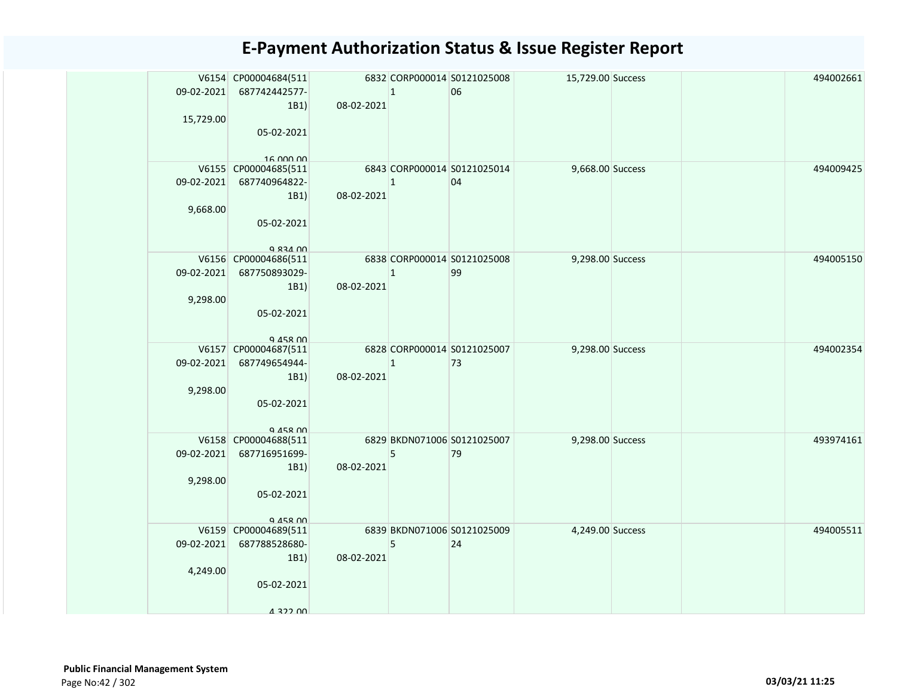|                        | V6154 CP00004684(511<br>09-02-2021 687742442577-                                     |            | $\vert$ 1    | 6832 CORP000014 S0121025008<br>06 | 15,729.00 Success |  | 494002661 |
|------------------------|--------------------------------------------------------------------------------------|------------|--------------|-----------------------------------|-------------------|--|-----------|
| 15,729.00              | 1B1)<br>05-02-2021                                                                   | 08-02-2021 |              |                                   |                   |  |           |
| 09-02-2021<br>9,668.00 | 16.000.00<br>V6155 CP00004685(511<br>687740964822-<br>1B1)<br>05-02-2021<br>Q 834 00 | 08-02-2021 | $\mathbf{1}$ | 6843 CORP000014 S0121025014<br>04 | 9,668.00 Success  |  | 494009425 |
| 9,298.00               | V6156 CP00004686(511<br>09-02-2021 687750893029-<br>1B1)<br>05-02-2021<br>Q 458 00   | 08-02-2021 | $\mathbf{1}$ | 6838 CORP000014 S0121025008<br>99 | 9,298.00 Success  |  | 494005150 |
| 09-02-2021<br>9,298.00 | V6157 CP00004687(511<br>687749654944-<br>1B1)<br>05-02-2021<br>$Q$ $A5R$ $00$        | 08-02-2021 | $\vert$ 1    | 6828 CORP000014 S0121025007<br>73 | 9,298.00 Success  |  | 494002354 |
| 09-02-2021<br>9,298.00 | V6158 CP00004688(511<br>687716951699-<br>1B1)<br>05-02-2021<br>945800                | 08-02-2021 | 5            | 6829 BKDN071006 S0121025007<br>79 | 9,298.00 Success  |  | 493974161 |
| 09-02-2021<br>4,249.00 | V6159 CP00004689(511<br>687788528680-<br>1B1)<br>05-02-2021<br>4 322 OO              | 08-02-2021 | 5            | 6839 BKDN071006 S0121025009<br>24 | 4,249.00 Success  |  | 494005511 |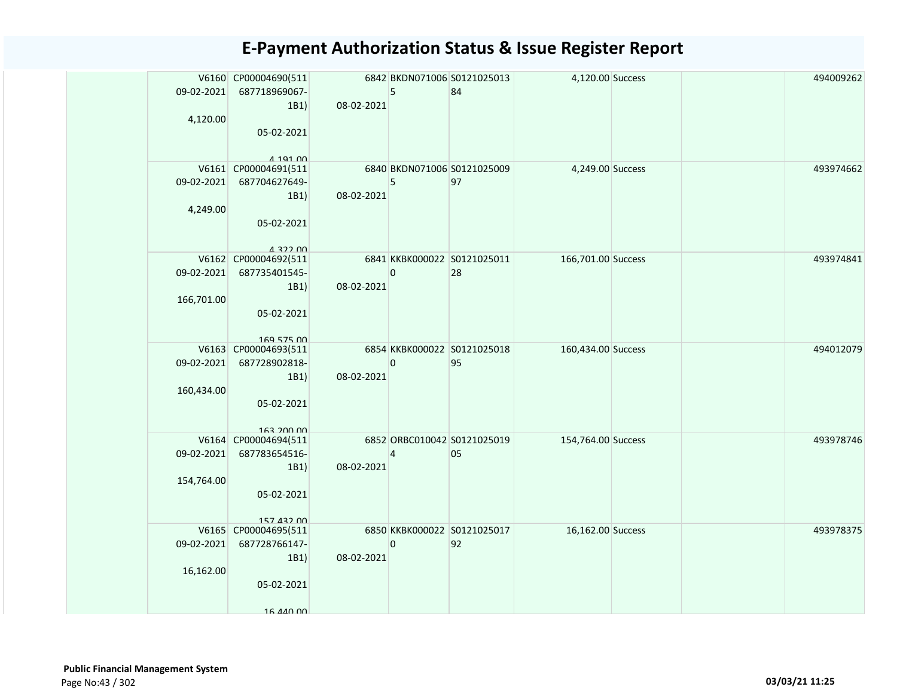|                          | V6160 CP00004690(511<br>09-02-2021<br>687718969067-<br>1B1)                                           | 08-02-2021 | 5           | 6842 BKDN071006 S0121025013<br>84 | 4,120.00 Success   |  | 494009262 |
|--------------------------|-------------------------------------------------------------------------------------------------------|------------|-------------|-----------------------------------|--------------------|--|-----------|
|                          | 4,120.00<br>05-02-2021<br>$A$ 191 $n$                                                                 |            |             |                                   |                    |  |           |
|                          | V6161 CP00004691(511<br>09-02-2021<br>687704627649-<br>1B1)<br>4,249.00<br>05-02-2021<br>$A$ 322 $00$ | 08-02-2021 | 5           | 6840 BKDN071006 S0121025009<br>97 | 4,249.00 Success   |  | 493974662 |
| 166,701.00               | V6162 CP00004692(511<br>09-02-2021 687735401545-<br>1B1)<br>05-02-2021<br>169 575 00                  | 08-02-2021 | $\mathbf 0$ | 6841 KKBK000022 S0121025011<br>28 | 166,701.00 Success |  | 493974841 |
| 09-02-2021<br>160,434.00 | V6163 CP00004693(511<br>687728902818-<br>1B1)<br>05-02-2021<br>163 200 00                             | 08-02-2021 | 0           | 6854 KKBK000022 S0121025018<br>95 | 160,434.00 Success |  | 494012079 |
| 09-02-2021<br>154,764.00 | V6164 CP00004694(511<br>687783654516-<br>1B1)<br>05-02-2021<br>157 432 00                             | 08-02-2021 | 4           | 6852 ORBC010042 S0121025019<br>05 | 154,764.00 Success |  | 493978746 |
|                          | V6165 CP00004695(511<br>09-02-2021 687728766147-<br>1B1)<br>16,162.00<br>05-02-2021<br>16 440 00      | 08-02-2021 | $\mathsf 0$ | 6850 KKBK000022 S0121025017<br>92 | 16,162.00 Success  |  | 493978375 |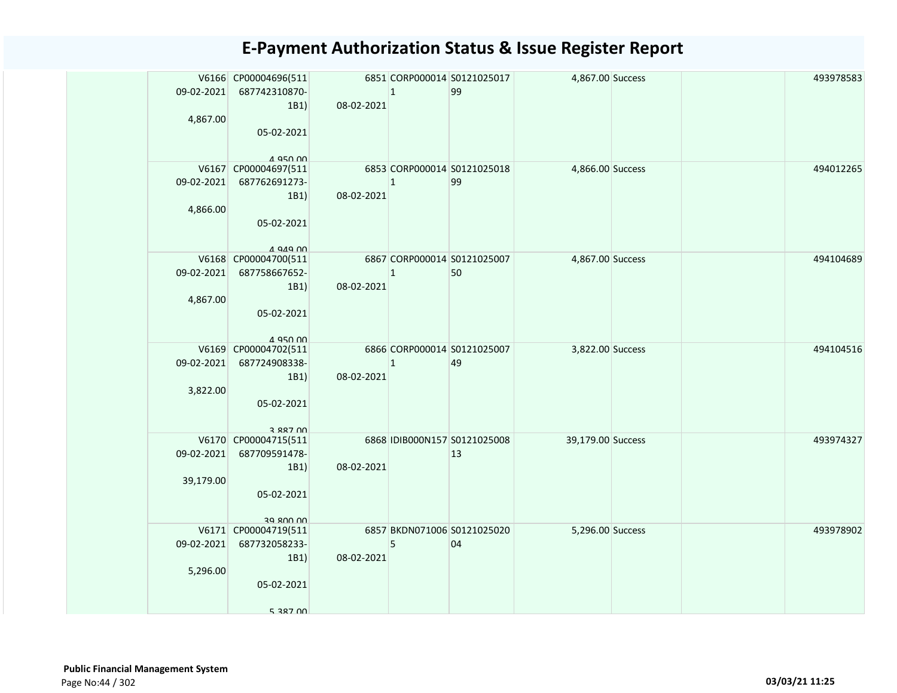| 09-02-2021 687742310870-<br>$\mathbf{1}$<br>99<br>08-02-2021<br>1B1)      |           |
|---------------------------------------------------------------------------|-----------|
|                                                                           |           |
| 4,867.00                                                                  |           |
| 05-02-2021                                                                |           |
|                                                                           |           |
| A 950 00                                                                  |           |
| V6167 CP00004697(511<br>6853 CORP000014 S0121025018<br>4,866.00 Success   | 494012265 |
| 09-02-2021 687762691273-<br>99<br>$\mathbf{1}$                            |           |
| 08-02-2021<br>1B1)<br>4,866.00                                            |           |
| 05-02-2021                                                                |           |
|                                                                           |           |
| $A$ QAQ $\cap$                                                            |           |
| 6867 CORP000014 S0121025007<br>V6168 CP00004700(511<br>4,867.00 Success   | 494104689 |
| 09-02-2021 687758667652-<br>50<br>$\mathbf{1}$                            |           |
| 08-02-2021<br>1B1)                                                        |           |
| 4,867.00<br>05-02-2021                                                    |           |
|                                                                           |           |
| A 950 00                                                                  |           |
| 6866 CORP000014 S0121025007<br>V6169 CP00004702(511<br>3,822.00 Success   | 494104516 |
| 09-02-2021<br>687724908338-<br>$\mathbf{1}$<br>49                         |           |
| 08-02-2021<br>1B1)                                                        |           |
| 3,822.00<br>05-02-2021                                                    |           |
|                                                                           |           |
| 3 887 NO                                                                  |           |
| 6868 IDIB000N157 S0121025008<br>39,179.00 Success<br>V6170 CP00004715(511 | 493974327 |
| 09-02-2021<br>687709591478-<br>13                                         |           |
| 08-02-2021<br>1B1)                                                        |           |
| 39,179.00                                                                 |           |
| 05-02-2021                                                                |           |
| 39 800 00                                                                 |           |
| V6171 CP00004719(511<br>6857 BKDN071006 S0121025020<br>5,296.00 Success   | 493978902 |
| 09-02-2021 687732058233-<br>5<br>04                                       |           |
| 08-02-2021<br>1B1)                                                        |           |
| 5,296.00                                                                  |           |
| 05-02-2021                                                                |           |
| 5 387 00                                                                  |           |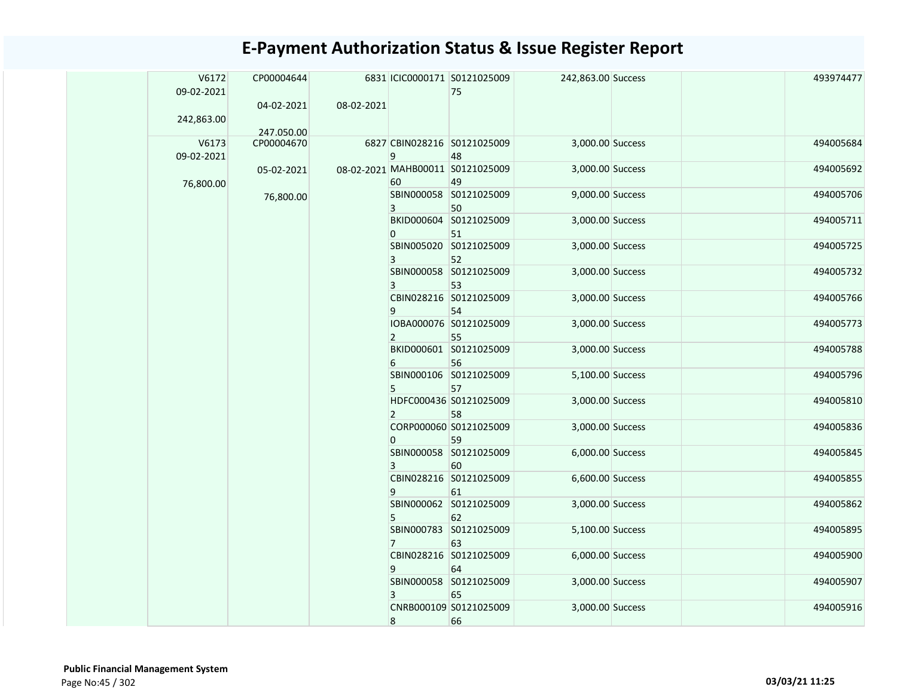|  | V6172<br>09-02-2021 | CP00004644 |            |                | 6831 ICIC0000171 S0121025009<br>75 | 242,863.00 Success |  | 493974477 |
|--|---------------------|------------|------------|----------------|------------------------------------|--------------------|--|-----------|
|  |                     | 04-02-2021 | 08-02-2021 |                |                                    |                    |  |           |
|  | 242,863.00          |            |            |                |                                    |                    |  |           |
|  |                     | 247.050.00 |            |                |                                    |                    |  |           |
|  | V6173               | CP00004670 |            |                | 6827 CBIN028216 S0121025009        | 3,000.00 Success   |  | 494005684 |
|  | 09-02-2021          |            |            | 9              | 48                                 |                    |  |           |
|  |                     | 05-02-2021 |            |                | 08-02-2021 MAHB00011 S0121025009   | 3,000.00 Success   |  | 494005692 |
|  | 76,800.00           |            |            | 60             | 49                                 |                    |  |           |
|  |                     | 76,800.00  |            |                | SBIN000058 S0121025009             | 9,000.00 Success   |  | 494005706 |
|  |                     |            |            | 3              | 50                                 |                    |  |           |
|  |                     |            |            |                | BKID000604 S0121025009             | 3,000.00 Success   |  | 494005711 |
|  |                     |            |            | $\Omega$       | 51                                 |                    |  |           |
|  |                     |            |            |                | SBIN005020 S0121025009             | 3,000.00 Success   |  | 494005725 |
|  |                     |            |            | 3              | 52                                 |                    |  |           |
|  |                     |            |            |                | SBIN000058 S0121025009             | 3,000.00 Success   |  | 494005732 |
|  |                     |            |            | 3              | 53                                 |                    |  |           |
|  |                     |            |            |                | CBIN028216 S0121025009             | 3,000.00 Success   |  | 494005766 |
|  |                     |            |            | 9              | 54                                 |                    |  |           |
|  |                     |            |            |                | IOBA000076 S0121025009             | 3,000.00 Success   |  | 494005773 |
|  |                     |            |            | $\mathbf{2}$   | 55                                 |                    |  |           |
|  |                     |            |            |                | BKID000601 S0121025009             | 3,000.00 Success   |  | 494005788 |
|  |                     |            |            | 6              | 56                                 |                    |  |           |
|  |                     |            |            |                | SBIN000106 S0121025009             | 5,100.00 Success   |  | 494005796 |
|  |                     |            |            | 5              | 57                                 |                    |  |           |
|  |                     |            |            |                | HDFC000436 S0121025009             | 3,000.00 Success   |  | 494005810 |
|  |                     |            |            | $\overline{2}$ | 58                                 |                    |  |           |
|  |                     |            |            |                | CORP000060 S0121025009             | 3,000.00 Success   |  | 494005836 |
|  |                     |            |            | $\Omega$       | 59                                 |                    |  |           |
|  |                     |            |            |                | SBIN000058 S0121025009             | 6,000.00 Success   |  | 494005845 |
|  |                     |            |            | 3              | 60                                 |                    |  |           |
|  |                     |            |            |                | CBIN028216 S0121025009             | 6,600.00 Success   |  | 494005855 |
|  |                     |            |            | 9              | 61                                 |                    |  |           |
|  |                     |            |            |                | SBIN000062 S0121025009             | 3,000.00 Success   |  | 494005862 |
|  |                     |            |            | 5              | 62                                 |                    |  |           |
|  |                     |            |            |                | SBIN000783 S0121025009             | 5,100.00 Success   |  | 494005895 |
|  |                     |            |            | $7^{\circ}$    | 63                                 |                    |  |           |
|  |                     |            |            |                | CBIN028216 S0121025009             | 6,000.00 Success   |  | 494005900 |
|  |                     |            |            | 9              | 64                                 |                    |  |           |
|  |                     |            |            |                | SBIN000058 S0121025009             | 3,000.00 Success   |  | 494005907 |
|  |                     |            |            | 3              | 65                                 |                    |  |           |
|  |                     |            |            |                | CNRB000109 S0121025009             | 3,000.00 Success   |  | 494005916 |
|  |                     |            |            | 8              | 66                                 |                    |  |           |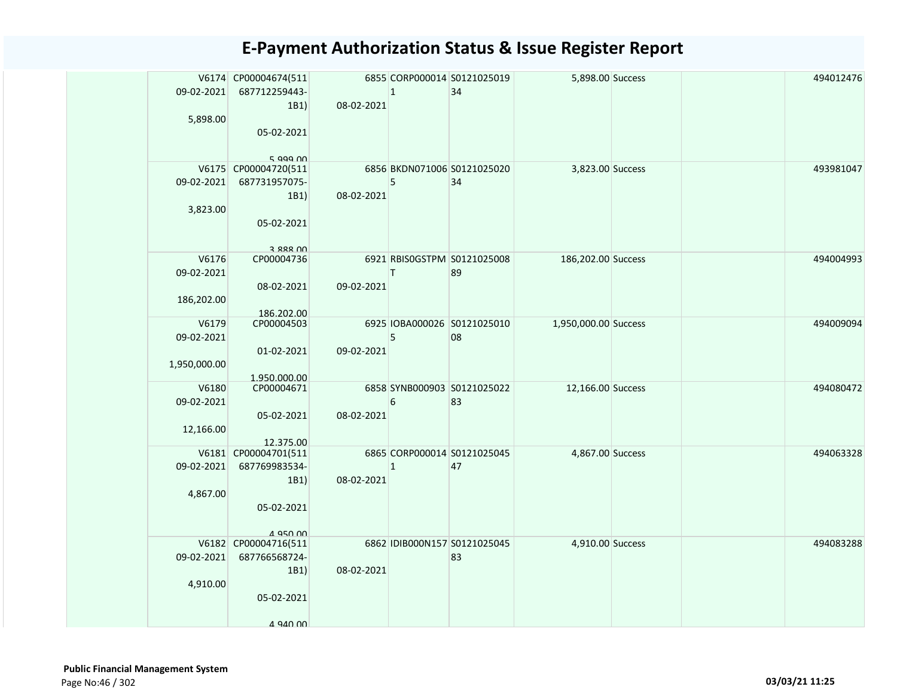|              | V6174 CP00004674(511                            |            |              | 6855 CORP000014 S0121025019  | 5,898.00 Success     |  | 494012476 |
|--------------|-------------------------------------------------|------------|--------------|------------------------------|----------------------|--|-----------|
| 09-02-2021   | 687712259443-                                   |            | $\mathbf{1}$ | 34                           |                      |  |           |
|              | 1B1)                                            | 08-02-2021 |              |                              |                      |  |           |
| 5,898.00     |                                                 |            |              |                              |                      |  |           |
|              | 05-02-2021                                      |            |              |                              |                      |  |           |
|              |                                                 |            |              |                              |                      |  |           |
|              | $5$ aga nn                                      |            |              |                              |                      |  |           |
|              | V6175 CP00004720(511                            |            |              | 6856 BKDN071006 S0121025020  | 3,823.00 Success     |  | 493981047 |
| 09-02-2021   | 687731957075-                                   |            | 5            | 34                           |                      |  |           |
|              | 1B1)                                            | 08-02-2021 |              |                              |                      |  |           |
| 3,823.00     |                                                 |            |              |                              |                      |  |           |
|              | 05-02-2021                                      |            |              |                              |                      |  |           |
|              |                                                 |            |              |                              |                      |  |           |
|              | 3 888 NO                                        |            |              |                              |                      |  |           |
| V6176        | CP00004736                                      |            |              | 6921 RBISOGSTPM S0121025008  | 186,202.00 Success   |  | 494004993 |
| 09-02-2021   |                                                 |            | T.           | 89                           |                      |  |           |
|              | 08-02-2021                                      | 09-02-2021 |              |                              |                      |  |           |
| 186,202.00   |                                                 |            |              |                              |                      |  |           |
| V6179        | 186.202.00<br>CP00004503                        |            |              | 6925 IOBA000026 S0121025010  | 1,950,000.00 Success |  | 494009094 |
| 09-02-2021   |                                                 |            | 5            | 08                           |                      |  |           |
|              | 01-02-2021                                      | 09-02-2021 |              |                              |                      |  |           |
| 1,950,000.00 |                                                 |            |              |                              |                      |  |           |
|              | 1.950.000.00                                    |            |              |                              |                      |  |           |
| V6180        | CP00004671                                      |            |              | 6858 SYNB000903 S0121025022  | 12,166.00 Success    |  | 494080472 |
| 09-02-2021   |                                                 |            | 6            | 83                           |                      |  |           |
|              | 05-02-2021                                      | 08-02-2021 |              |                              |                      |  |           |
| 12,166.00    |                                                 |            |              |                              |                      |  |           |
|              | 12.375.00                                       |            |              |                              |                      |  |           |
|              | V6181 CP00004701(511                            |            |              | 6865 CORP000014 S0121025045  | 4,867.00 Success     |  | 494063328 |
| 09-02-2021   | 687769983534-                                   |            | $\mathbf{1}$ | 47                           |                      |  |           |
|              | 1B1)                                            | 08-02-2021 |              |                              |                      |  |           |
| 4,867.00     |                                                 |            |              |                              |                      |  |           |
|              | 05-02-2021                                      |            |              |                              |                      |  |           |
|              |                                                 |            |              |                              |                      |  |           |
|              | $A$ Q <sub>50</sub> $0$<br>V6182 CP00004716(511 |            |              | 6862 IDIB000N157 S0121025045 | 4,910.00 Success     |  | 494083288 |
| 09-02-2021   | 687766568724-                                   |            |              | 83                           |                      |  |           |
|              | 1B1)                                            | 08-02-2021 |              |                              |                      |  |           |
| 4,910.00     |                                                 |            |              |                              |                      |  |           |
|              | 05-02-2021                                      |            |              |                              |                      |  |           |
|              |                                                 |            |              |                              |                      |  |           |
|              | A QAN NO                                        |            |              |                              |                      |  |           |
|              |                                                 |            |              |                              |                      |  |           |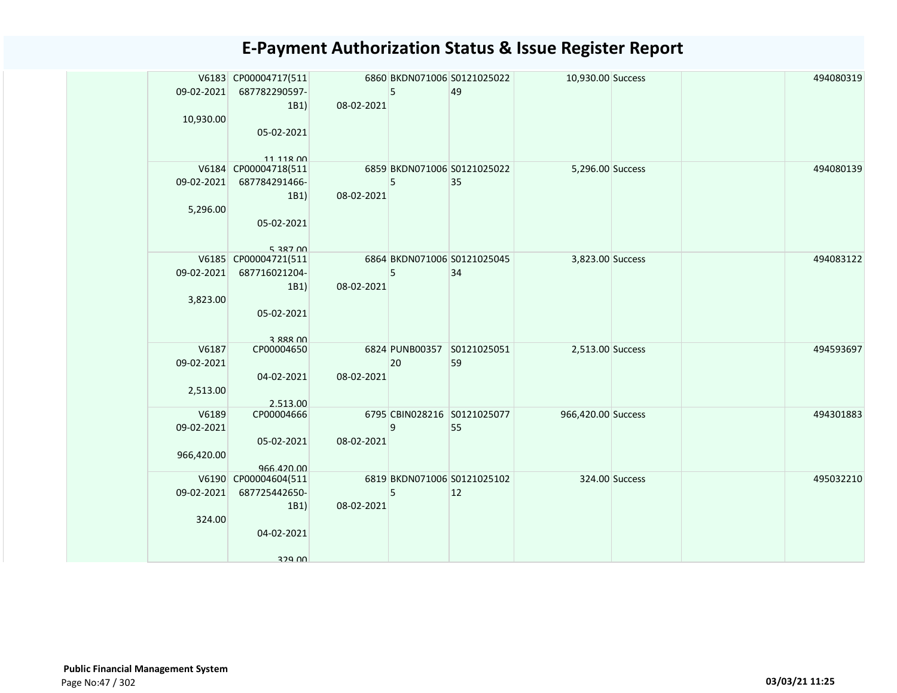| 09-02-2021 | V6183 CP00004717(511<br>687782290597- |            | 5  | 6860 BKDN071006 S0121025022<br>49 | 10,930.00 Success  |                | 494080319 |
|------------|---------------------------------------|------------|----|-----------------------------------|--------------------|----------------|-----------|
|            | 1B1                                   | 08-02-2021 |    |                                   |                    |                |           |
| 10,930.00  |                                       |            |    |                                   |                    |                |           |
|            | 05-02-2021                            |            |    |                                   |                    |                |           |
|            |                                       |            |    |                                   |                    |                |           |
|            | 11 11 R 00                            |            |    |                                   |                    |                |           |
|            | V6184 CP00004718(511                  |            |    | 6859 BKDN071006 S0121025022       | 5,296.00 Success   |                | 494080139 |
| 09-02-2021 | 687784291466-                         |            | 5  | 35                                |                    |                |           |
|            | 1B1)                                  | 08-02-2021 |    |                                   |                    |                |           |
| 5,296.00   |                                       |            |    |                                   |                    |                |           |
|            | 05-02-2021                            |            |    |                                   |                    |                |           |
|            |                                       |            |    |                                   |                    |                |           |
|            | 5 387 00                              |            |    |                                   |                    |                |           |
|            | V6185 CP00004721(511                  |            |    | 6864 BKDN071006 S0121025045       | 3,823.00 Success   |                | 494083122 |
| 09-02-2021 | 687716021204-                         |            | 5  | 34                                |                    |                |           |
|            | 1B1                                   | 08-02-2021 |    |                                   |                    |                |           |
| 3,823.00   |                                       |            |    |                                   |                    |                |           |
|            | 05-02-2021                            |            |    |                                   |                    |                |           |
|            |                                       |            |    |                                   |                    |                |           |
|            | 3 888 NO                              |            |    |                                   |                    |                |           |
| V6187      | CP00004650                            |            |    | 6824 PUNB00357 S0121025051        | 2,513.00 Success   |                | 494593697 |
| 09-02-2021 |                                       |            | 20 | 59                                |                    |                |           |
|            | 04-02-2021                            | 08-02-2021 |    |                                   |                    |                |           |
| 2,513.00   |                                       |            |    |                                   |                    |                |           |
| V6189      | 2.513.00<br>CP00004666                |            |    | 6795 CBIN028216 S0121025077       | 966,420.00 Success |                | 494301883 |
| 09-02-2021 |                                       |            | 9  | 55                                |                    |                |           |
|            | 05-02-2021                            | 08-02-2021 |    |                                   |                    |                |           |
| 966,420.00 |                                       |            |    |                                   |                    |                |           |
|            | 966.420.00                            |            |    |                                   |                    |                |           |
|            | V6190 CP00004604(511                  |            |    | 6819 BKDN071006 S0121025102       |                    | 324.00 Success | 495032210 |
| 09-02-2021 | 687725442650-                         |            | 5  | 12                                |                    |                |           |
|            | 1B1)                                  | 08-02-2021 |    |                                   |                    |                |           |
| 324.00     |                                       |            |    |                                   |                    |                |           |
|            | 04-02-2021                            |            |    |                                   |                    |                |           |
|            |                                       |            |    |                                   |                    |                |           |
|            | 329 UU                                |            |    |                                   |                    |                |           |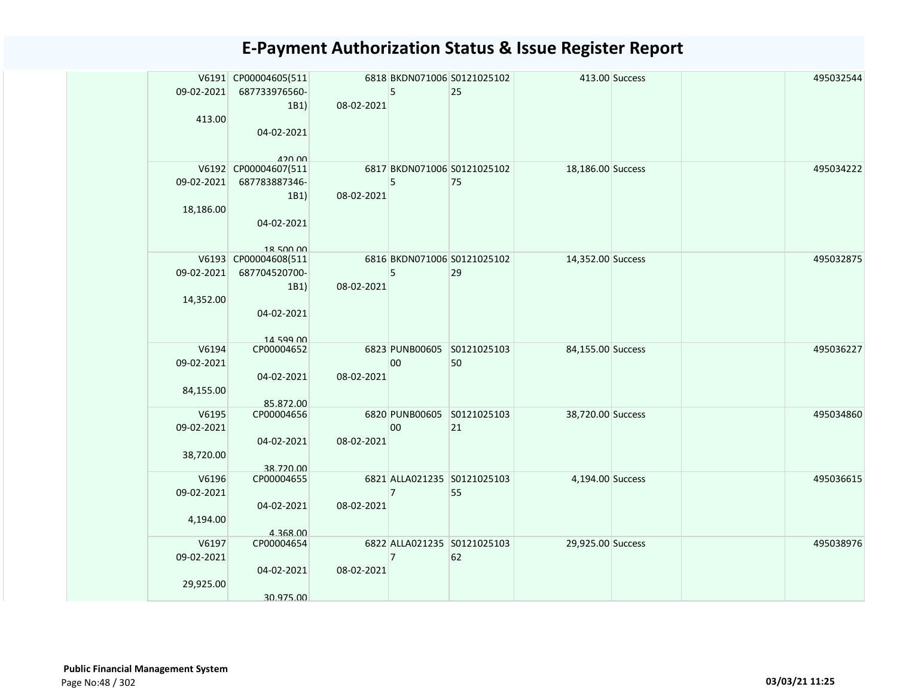|            | V6191 CP00004605(511              |            |                | 6818 BKDN071006 S0121025102 |                   | 413.00 Success | 495032544 |
|------------|-----------------------------------|------------|----------------|-----------------------------|-------------------|----------------|-----------|
| 09-02-2021 | 687733976560-                     |            | 5              | 25                          |                   |                |           |
|            | 1B1)                              | 08-02-2021 |                |                             |                   |                |           |
| 413.00     |                                   |            |                |                             |                   |                |           |
|            | 04-02-2021                        |            |                |                             |                   |                |           |
|            |                                   |            |                |                             |                   |                |           |
|            | 12000                             |            |                |                             |                   |                |           |
|            | V6192 CP00004607(511              |            |                | 6817 BKDN071006 S0121025102 | 18,186.00 Success |                | 495034222 |
| 09-02-2021 | 687783887346-                     |            | 5              | 75                          |                   |                |           |
|            | 1B1)                              | 08-02-2021 |                |                             |                   |                |           |
| 18,186.00  |                                   |            |                |                             |                   |                |           |
|            | 04-02-2021                        |            |                |                             |                   |                |           |
|            |                                   |            |                |                             |                   |                |           |
|            | 18 500 00<br>V6193 CP00004608(511 |            |                | 6816 BKDN071006 S0121025102 | 14,352.00 Success |                | 495032875 |
| 09-02-2021 | 687704520700-                     |            | 5              | 29                          |                   |                |           |
|            | 1B1)                              | 08-02-2021 |                |                             |                   |                |           |
| 14,352.00  |                                   |            |                |                             |                   |                |           |
|            | 04-02-2021                        |            |                |                             |                   |                |           |
|            |                                   |            |                |                             |                   |                |           |
|            | 14 599 00                         |            |                |                             |                   |                |           |
| V6194      | CP00004652                        |            |                | 6823 PUNB00605 S0121025103  | 84,155.00 Success |                | 495036227 |
| 09-02-2021 |                                   |            | 00             | 50                          |                   |                |           |
|            | 04-02-2021                        | 08-02-2021 |                |                             |                   |                |           |
| 84,155.00  |                                   |            |                |                             |                   |                |           |
|            | 85.872.00                         |            |                |                             |                   |                |           |
| V6195      | CP00004656                        |            |                | 6820 PUNB00605 S0121025103  | 38,720.00 Success |                | 495034860 |
| 09-02-2021 |                                   |            | 00             | 21                          |                   |                |           |
|            | 04-02-2021                        | 08-02-2021 |                |                             |                   |                |           |
| 38,720.00  | 38.720.00                         |            |                |                             |                   |                |           |
| V6196      | CP00004655                        |            |                | 6821 ALLA021235 S0121025103 | 4,194.00 Success  |                | 495036615 |
| 09-02-2021 |                                   |            | $\overline{7}$ | 55                          |                   |                |           |
|            | 04-02-2021                        | 08-02-2021 |                |                             |                   |                |           |
| 4,194.00   |                                   |            |                |                             |                   |                |           |
|            | 4.368.00                          |            |                |                             |                   |                |           |
| V6197      | CP00004654                        |            |                | 6822 ALLA021235 S0121025103 | 29,925.00 Success |                | 495038976 |
| 09-02-2021 |                                   |            | $\overline{7}$ | 62                          |                   |                |           |
|            | 04-02-2021                        | 08-02-2021 |                |                             |                   |                |           |
| 29,925.00  |                                   |            |                |                             |                   |                |           |
|            | 30.975.00                         |            |                |                             |                   |                |           |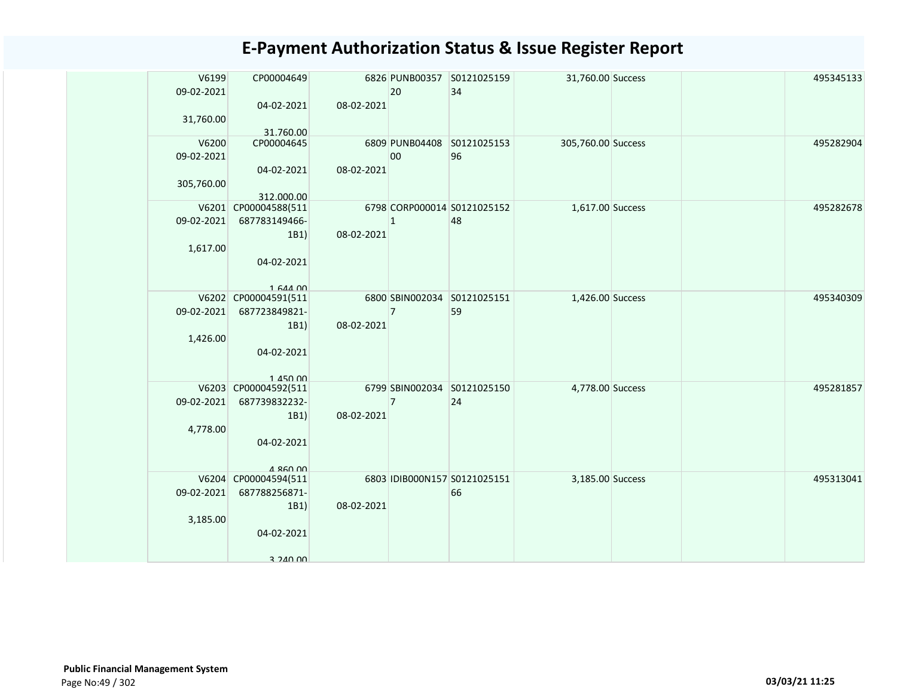| V6199      | CP00004649               |            |                | 6826 PUNB00357 S0121025159   | 31,760.00 Success  |  | 495345133 |
|------------|--------------------------|------------|----------------|------------------------------|--------------------|--|-----------|
| 09-02-2021 |                          |            | 20             | 34                           |                    |  |           |
|            | 04-02-2021               | 08-02-2021 |                |                              |                    |  |           |
| 31,760.00  |                          |            |                |                              |                    |  |           |
| V6200      | 31.760.00<br>CP00004645  |            |                | 6809 PUNB04408 S0121025153   | 305,760.00 Success |  | 495282904 |
| 09-02-2021 |                          |            | 00             | 96                           |                    |  |           |
|            | 04-02-2021               | 08-02-2021 |                |                              |                    |  |           |
| 305,760.00 |                          |            |                |                              |                    |  |           |
|            | 312.000.00               |            |                |                              |                    |  |           |
|            | V6201 CP00004588(511     |            |                | 6798 CORP000014 S0121025152  | 1,617.00 Success   |  | 495282678 |
| 09-02-2021 | 687783149466-            |            | $\vert$ 1      | 48                           |                    |  |           |
|            | 1B1)                     | 08-02-2021 |                |                              |                    |  |           |
| 1,617.00   |                          |            |                |                              |                    |  |           |
|            | 04-02-2021               |            |                |                              |                    |  |           |
|            | 1 644 00                 |            |                |                              |                    |  |           |
|            | V6202 CP00004591(511     |            |                | 6800 SBIN002034 S0121025151  | 1,426.00 Success   |  | 495340309 |
| 09-02-2021 | 687723849821-            |            | $\overline{7}$ | 59                           |                    |  |           |
|            | 1B1)                     | 08-02-2021 |                |                              |                    |  |           |
| 1,426.00   |                          |            |                |                              |                    |  |           |
|            | 04-02-2021               |            |                |                              |                    |  |           |
|            | 1 450 00                 |            |                |                              |                    |  |           |
|            | V6203 CP00004592(511     |            |                | 6799 SBIN002034 S0121025150  | 4,778.00 Success   |  | 495281857 |
| 09-02-2021 | 687739832232-            |            | $\overline{7}$ | 24                           |                    |  |           |
|            | 1B1)                     | 08-02-2021 |                |                              |                    |  |           |
| 4,778.00   |                          |            |                |                              |                    |  |           |
|            | 04-02-2021               |            |                |                              |                    |  |           |
|            | $A$ R <sub>60</sub> 00   |            |                |                              |                    |  |           |
|            | V6204 CP00004594(511     |            |                | 6803 IDIB000N157 S0121025151 | 3,185.00 Success   |  | 495313041 |
|            | 09-02-2021 687788256871- |            |                | 66                           |                    |  |           |
|            | 1B1)                     | 08-02-2021 |                |                              |                    |  |           |
| 3,185.00   |                          |            |                |                              |                    |  |           |
|            | 04-02-2021               |            |                |                              |                    |  |           |
|            | 3 240 00                 |            |                |                              |                    |  |           |
|            |                          |            |                |                              |                    |  |           |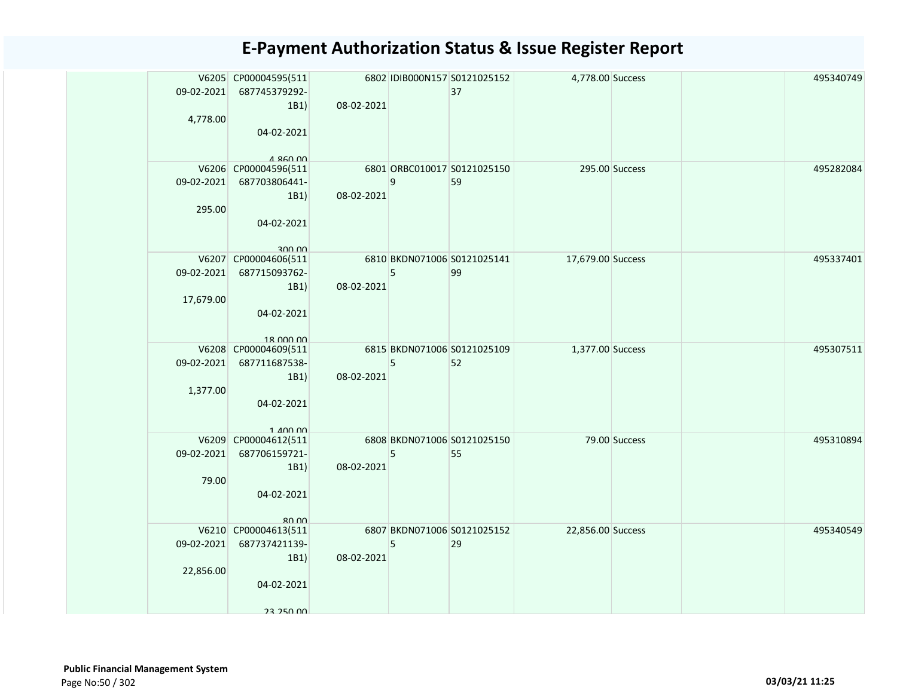|            | V6205 CP00004595(511                           |            |   | 6802 IDIB000N157 S0121025152      | 4,778.00 Success  |               | 495340749 |
|------------|------------------------------------------------|------------|---|-----------------------------------|-------------------|---------------|-----------|
| 09-02-2021 | 687745379292-                                  |            |   | 37                                |                   |               |           |
|            | 1B1)                                           | 08-02-2021 |   |                                   |                   |               |           |
| 4,778.00   |                                                |            |   |                                   |                   |               |           |
|            | 04-02-2021                                     |            |   |                                   |                   |               |           |
|            |                                                |            |   |                                   |                   |               |           |
|            | $A$ R <sub>60</sub> 00<br>V6206 CP00004596(511 |            |   | 6801 ORBC010017 S0121025150       | 295.00 Success    |               | 495282084 |
| 09-02-2021 | 687703806441-                                  |            | 9 | 59                                |                   |               |           |
|            | 1B1)                                           | 08-02-2021 |   |                                   |                   |               |           |
| 295.00     |                                                |            |   |                                   |                   |               |           |
|            | 04-02-2021                                     |            |   |                                   |                   |               |           |
|            |                                                |            |   |                                   |                   |               |           |
|            | ann uu                                         |            |   |                                   |                   |               |           |
| 09-02-2021 | V6207 CP00004606(511<br>687715093762-          |            | 5 | 6810 BKDN071006 S0121025141<br>99 | 17,679.00 Success |               | 495337401 |
|            | 1B1)                                           | 08-02-2021 |   |                                   |                   |               |           |
| 17,679.00  |                                                |            |   |                                   |                   |               |           |
|            | 04-02-2021                                     |            |   |                                   |                   |               |           |
|            |                                                |            |   |                                   |                   |               |           |
|            | 18 000 00                                      |            |   |                                   |                   |               |           |
|            | V6208 CP00004609(511                           |            |   | 6815 BKDN071006 S0121025109       | 1,377.00 Success  |               | 495307511 |
| 09-02-2021 | 687711687538-                                  |            | 5 | 52                                |                   |               |           |
|            | 1B1)                                           | 08-02-2021 |   |                                   |                   |               |           |
| 1,377.00   |                                                |            |   |                                   |                   |               |           |
|            | 04-02-2021                                     |            |   |                                   |                   |               |           |
|            |                                                |            |   |                                   |                   |               |           |
|            | $1$ $100$ $00$<br>V6209 CP00004612(511         |            |   | 6808 BKDN071006 S0121025150       |                   | 79.00 Success | 495310894 |
| 09-02-2021 | 687706159721-                                  |            | 5 | 55                                |                   |               |           |
|            | 1B1)                                           | 08-02-2021 |   |                                   |                   |               |           |
| 79.00      |                                                |            |   |                                   |                   |               |           |
|            | 04-02-2021                                     |            |   |                                   |                   |               |           |
|            |                                                |            |   |                                   |                   |               |           |
|            | 80.00                                          |            |   |                                   |                   |               |           |
| 09-02-2021 | V6210 CP00004613(511                           |            |   | 6807 BKDN071006 S0121025152<br>29 | 22,856.00 Success |               | 495340549 |
|            | 687737421139-<br>1B1)                          | 08-02-2021 | 5 |                                   |                   |               |           |
| 22,856.00  |                                                |            |   |                                   |                   |               |           |
|            | 04-02-2021                                     |            |   |                                   |                   |               |           |
|            |                                                |            |   |                                   |                   |               |           |
|            | 23 250 00                                      |            |   |                                   |                   |               |           |
|            |                                                |            |   |                                   |                   |               |           |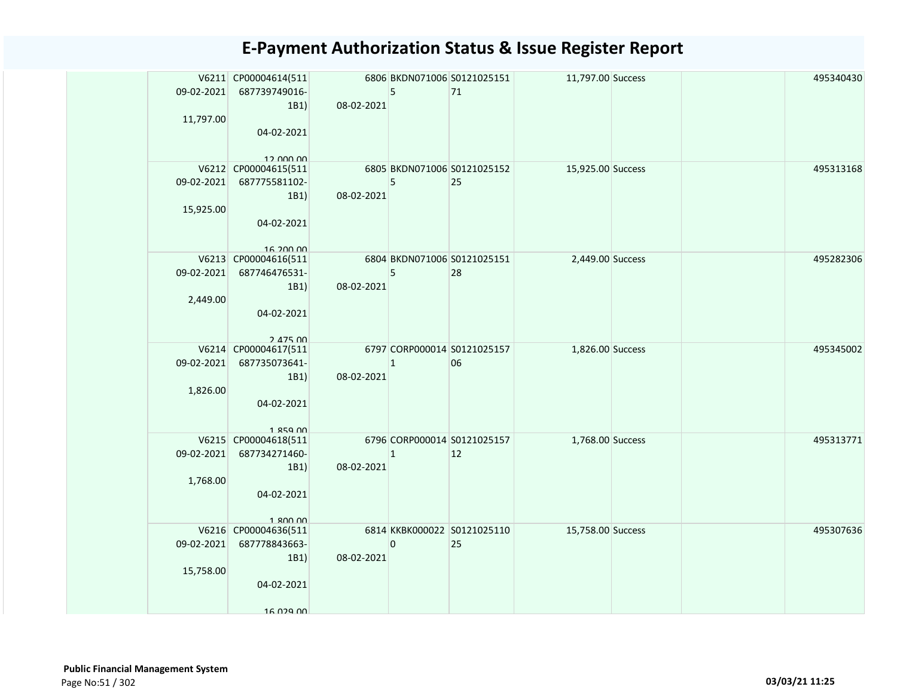|            | V6211 CP00004614(511     |            |                | 6806 BKDN071006 S0121025151 | 11,797.00 Success |  | 495340430 |
|------------|--------------------------|------------|----------------|-----------------------------|-------------------|--|-----------|
|            | 09-02-2021 687739749016- |            | 5              | 71                          |                   |  |           |
| 11,797.00  | 1B1)                     | 08-02-2021 |                |                             |                   |  |           |
|            | 04-02-2021               |            |                |                             |                   |  |           |
|            |                          |            |                |                             |                   |  |           |
|            | 12,000,00                |            |                |                             |                   |  |           |
|            | V6212 CP00004615(511     |            |                | 6805 BKDN071006 S0121025152 | 15,925.00 Success |  | 495313168 |
|            | 09-02-2021 687775581102- |            | 5              | 25                          |                   |  |           |
|            | 1B1)                     | 08-02-2021 |                |                             |                   |  |           |
| 15,925.00  | 04-02-2021               |            |                |                             |                   |  |           |
|            |                          |            |                |                             |                   |  |           |
|            | 16 200 00                |            |                |                             |                   |  |           |
|            | V6213 CP00004616(511     |            |                | 6804 BKDN071006 S0121025151 | 2,449.00 Success  |  | 495282306 |
|            | 09-02-2021 687746476531- |            | 5              | 28                          |                   |  |           |
|            | 1B1)                     | 08-02-2021 |                |                             |                   |  |           |
| 2,449.00   | 04-02-2021               |            |                |                             |                   |  |           |
|            |                          |            |                |                             |                   |  |           |
|            | $2.475$ $00$             |            |                |                             |                   |  |           |
|            | V6214 CP00004617(511     |            |                | 6797 CORP000014 S0121025157 | 1,826.00 Success  |  | 495345002 |
| 09-02-2021 | 687735073641-            |            | $\overline{1}$ | 06                          |                   |  |           |
|            | 1B1)                     | 08-02-2021 |                |                             |                   |  |           |
| 1,826.00   | 04-02-2021               |            |                |                             |                   |  |           |
|            |                          |            |                |                             |                   |  |           |
|            | $1.859$ $00$             |            |                |                             |                   |  |           |
|            | V6215 CP00004618(511     |            |                | 6796 CORP000014 S0121025157 | 1,768.00 Success  |  | 495313771 |
|            | 09-02-2021 687734271460- |            | $\mathbf{1}$   | 12                          |                   |  |           |
| 1,768.00   | 1B1)                     | 08-02-2021 |                |                             |                   |  |           |
|            | 04-02-2021               |            |                |                             |                   |  |           |
|            |                          |            |                |                             |                   |  |           |
|            | 1.800.00                 |            |                |                             |                   |  |           |
|            | V6216 CP00004636(511     |            |                | 6814 KKBK000022 S0121025110 | 15,758.00 Success |  | 495307636 |
|            | 09-02-2021 687778843663- | 08-02-2021 | $\pmb{0}$      | 25                          |                   |  |           |
| 15,758.00  | 1B1)                     |            |                |                             |                   |  |           |
|            | 04-02-2021               |            |                |                             |                   |  |           |
|            |                          |            |                |                             |                   |  |           |
|            | 16 029 00                |            |                |                             |                   |  |           |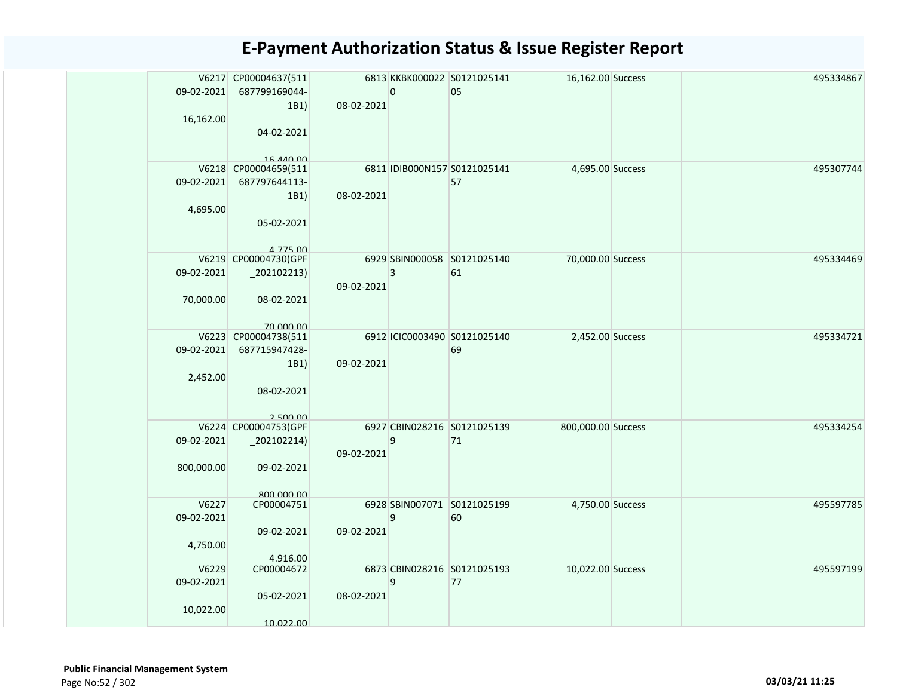|            | V6217 CP00004637(511             |            |              | 6813 KKBK000022 S0121025141  | 16,162.00 Success  |  | 495334867 |
|------------|----------------------------------|------------|--------------|------------------------------|--------------------|--|-----------|
| 09-02-2021 | 687799169044-                    |            | 0            | 05                           |                    |  |           |
|            | 1B1)                             | 08-02-2021 |              |                              |                    |  |           |
| 16,162.00  |                                  |            |              |                              |                    |  |           |
|            | 04-02-2021                       |            |              |                              |                    |  |           |
|            |                                  |            |              |                              |                    |  |           |
|            | 16 440 00                        |            |              |                              |                    |  |           |
|            | V6218 CP00004659(511             |            |              | 6811 IDIB000N157 S0121025141 | 4,695.00 Success   |  | 495307744 |
| 09-02-2021 | 687797644113-                    |            |              | 57                           |                    |  |           |
|            | 1B1)                             | 08-02-2021 |              |                              |                    |  |           |
| 4,695.00   |                                  |            |              |                              |                    |  |           |
|            | 05-02-2021                       |            |              |                              |                    |  |           |
|            |                                  |            |              |                              |                    |  |           |
|            | A 775 00<br>V6219 CP00004730(GPF |            |              | 6929 SBIN000058 S0121025140  | 70,000.00 Success  |  | 495334469 |
| 09-02-2021 | $_202102213)$                    |            | $\mathbf{3}$ | 61                           |                    |  |           |
|            |                                  | 09-02-2021 |              |                              |                    |  |           |
| 70,000.00  | 08-02-2021                       |            |              |                              |                    |  |           |
|            |                                  |            |              |                              |                    |  |           |
|            | 70,000,00                        |            |              |                              |                    |  |           |
|            | V6223 CP00004738(511             |            |              | 6912 ICIC0003490 S0121025140 | 2,452.00 Success   |  | 495334721 |
| 09-02-2021 | 687715947428-                    |            |              | 69                           |                    |  |           |
|            | 1B1)                             | 09-02-2021 |              |                              |                    |  |           |
| 2,452.00   |                                  |            |              |                              |                    |  |           |
|            | 08-02-2021                       |            |              |                              |                    |  |           |
|            |                                  |            |              |                              |                    |  |           |
|            | 2.500,00<br>V6224 CP00004753(GPF |            |              | 6927 CBIN028216 S0121025139  | 800,000.00 Success |  | 495334254 |
| 09-02-2021 | $_2$ 02102214)                   |            | 9            | 71                           |                    |  |           |
|            |                                  | 09-02-2021 |              |                              |                    |  |           |
| 800,000.00 | 09-02-2021                       |            |              |                              |                    |  |           |
|            |                                  |            |              |                              |                    |  |           |
|            | 800,000,00                       |            |              |                              |                    |  |           |
| V6227      | CP00004751                       |            |              | 6928 SBIN007071 S0121025199  | 4,750.00 Success   |  | 495597785 |
| 09-02-2021 |                                  |            | 9            | 60                           |                    |  |           |
|            | 09-02-2021                       | 09-02-2021 |              |                              |                    |  |           |
| 4,750.00   |                                  |            |              |                              |                    |  |           |
|            | 4.916.00                         |            |              |                              |                    |  |           |
| V6229      | CP00004672                       |            |              | 6873 CBIN028216 S0121025193  | 10,022.00 Success  |  | 495597199 |
| 09-02-2021 |                                  |            | 9            | 77                           |                    |  |           |
|            | 05-02-2021                       | 08-02-2021 |              |                              |                    |  |           |
| 10,022.00  | 10.022.00                        |            |              |                              |                    |  |           |
|            |                                  |            |              |                              |                    |  |           |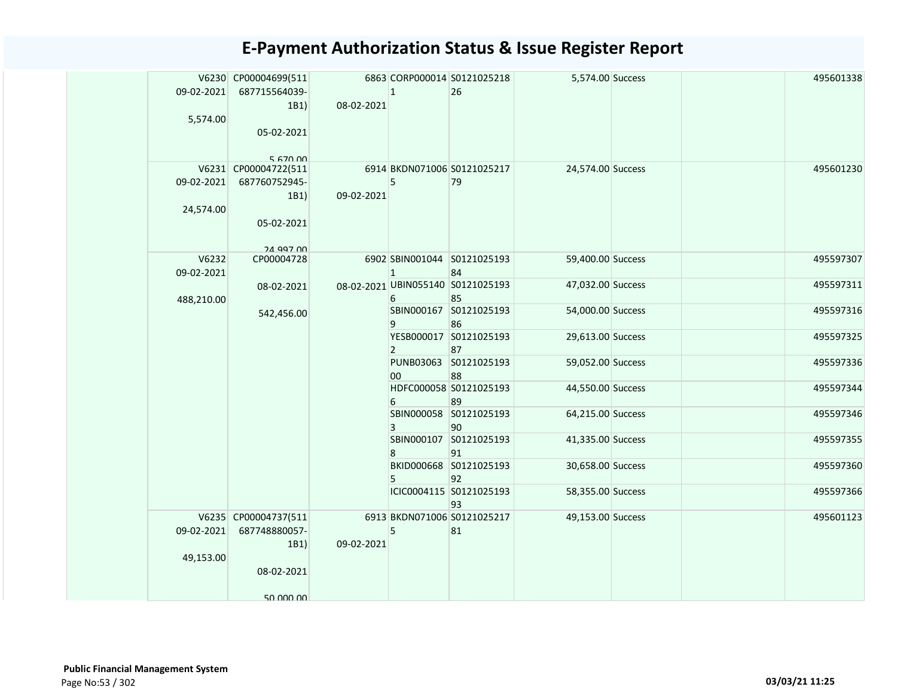|            | V6230 CP00004699(511 |            |              | 6863 CORP000014 S0121025218             | 5,574.00 Success  |  | 495601338 |
|------------|----------------------|------------|--------------|-----------------------------------------|-------------------|--|-----------|
| 09-02-2021 | 687715564039-        |            | $\mathbf{1}$ | 26                                      |                   |  |           |
|            | 1B1)                 | 08-02-2021 |              |                                         |                   |  |           |
| 5,574.00   |                      |            |              |                                         |                   |  |           |
|            | 05-02-2021           |            |              |                                         |                   |  |           |
|            | 5 670 00             |            |              |                                         |                   |  |           |
|            | V6231 CP00004722(511 |            |              | 6914 BKDN071006 S0121025217             | 24,574.00 Success |  | 495601230 |
| 09-02-2021 | 687760752945-        |            | 5            | 79                                      |                   |  |           |
|            | 1B1)                 | 09-02-2021 |              |                                         |                   |  |           |
| 24,574.00  | 05-02-2021           |            |              |                                         |                   |  |           |
|            |                      |            |              |                                         |                   |  |           |
|            | 24 997 00            |            |              |                                         |                   |  |           |
| V6232      | CP00004728           |            |              | 6902 SBIN001044 S0121025193             | 59,400.00 Success |  | 495597307 |
| 09-02-2021 |                      |            | $\mathbf{1}$ | 84<br>08-02-2021 UBIN055140 S0121025193 | 47,032.00 Success |  | 495597311 |
| 488,210.00 | 08-02-2021           |            | 6            | 85                                      |                   |  |           |
|            | 542,456.00           |            |              | SBIN000167 S0121025193                  | 54,000.00 Success |  | 495597316 |
|            |                      |            | 9            | 86                                      |                   |  |           |
|            |                      |            |              | YESB000017 S0121025193                  | 29,613.00 Success |  | 495597325 |
|            |                      |            | 2            | 87<br>PUNB03063 S0121025193             | 59,052.00 Success |  | 495597336 |
|            |                      |            | 00           | 88                                      |                   |  |           |
|            |                      |            |              | HDFC000058 S0121025193                  | 44,550.00 Success |  | 495597344 |
|            |                      |            | 6            | 89                                      |                   |  |           |
|            |                      |            |              | SBIN000058 S0121025193                  | 64,215.00 Success |  | 495597346 |
|            |                      |            | 3            | 90<br>SBIN000107 S0121025193            | 41,335.00 Success |  | 495597355 |
|            |                      |            | 8            | 91                                      |                   |  |           |
|            |                      |            |              | BKID000668 S0121025193                  | 30,658.00 Success |  | 495597360 |
|            |                      |            | 5            | 92                                      |                   |  |           |
|            |                      |            |              | ICIC0004115 S0121025193                 | 58,355.00 Success |  | 495597366 |
|            | V6235 CP00004737(511 |            |              | 93<br>6913 BKDN071006 S0121025217       | 49,153.00 Success |  | 495601123 |
| 09-02-2021 | 687748880057-        |            | 5            | 81                                      |                   |  |           |
|            | 1B1)                 | 09-02-2021 |              |                                         |                   |  |           |
| 49,153.00  |                      |            |              |                                         |                   |  |           |
|            | 08-02-2021           |            |              |                                         |                   |  |           |
|            |                      |            |              |                                         |                   |  |           |
|            | 50.000.00            |            |              |                                         |                   |  |           |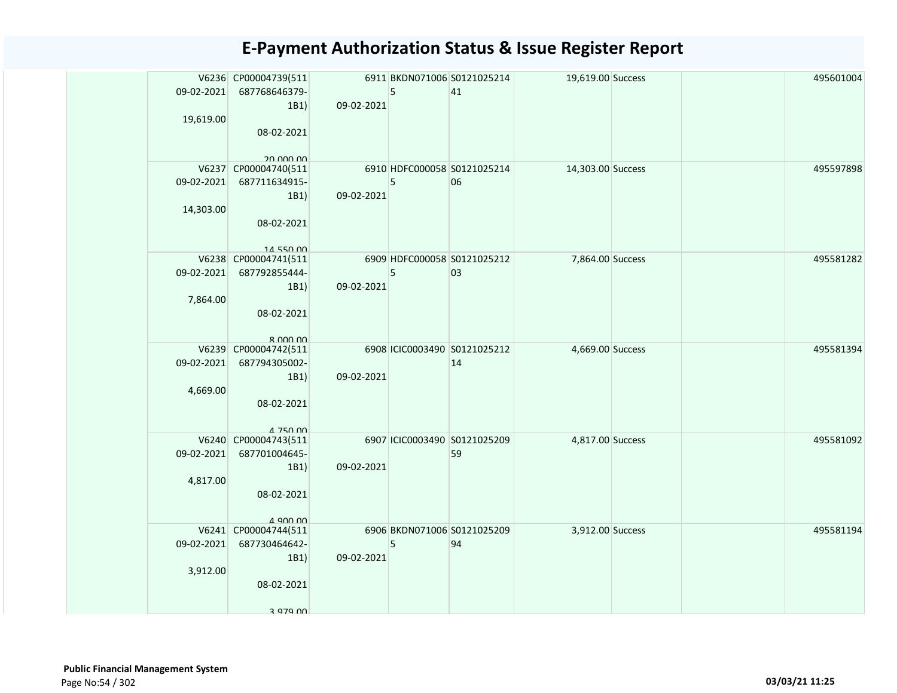|            | V6236 CP00004739(511                    |            |   | 6911 BKDN071006 S0121025214        | 19,619.00 Success |  | 495601004 |
|------------|-----------------------------------------|------------|---|------------------------------------|-------------------|--|-----------|
| 09-02-2021 | 687768646379-                           |            | 5 | 41                                 |                   |  |           |
| 19,619.00  | 1B1)                                    | 09-02-2021 |   |                                    |                   |  |           |
|            | 08-02-2021                              |            |   |                                    |                   |  |           |
|            |                                         |            |   |                                    |                   |  |           |
|            | 20 000 00                               |            |   |                                    |                   |  |           |
|            | V6237 CP00004740(511                    |            |   | 6910 HDFC000058 S0121025214        | 14,303.00 Success |  | 495597898 |
| 09-02-2021 | 687711634915-                           | 09-02-2021 | 5 | 06                                 |                   |  |           |
| 14,303.00  | 1B1)                                    |            |   |                                    |                   |  |           |
|            | 08-02-2021                              |            |   |                                    |                   |  |           |
|            |                                         |            |   |                                    |                   |  |           |
|            | 14 550 00                               |            |   |                                    |                   |  |           |
|            | V6238 CP00004741(511                    |            |   | 6909 HDFC000058 S0121025212        | 7,864.00 Success  |  | 495581282 |
| 09-02-2021 | 687792855444-<br>1B1)                   | 09-02-2021 | 5 | 03                                 |                   |  |           |
| 7,864.00   |                                         |            |   |                                    |                   |  |           |
|            | 08-02-2021                              |            |   |                                    |                   |  |           |
|            |                                         |            |   |                                    |                   |  |           |
|            | $R$ $000$ $00$                          |            |   |                                    |                   |  |           |
| 09-02-2021 | V6239 CP00004742(511                    |            |   | 6908 ICIC0003490 S0121025212<br>14 | 4,669.00 Success  |  | 495581394 |
|            | 687794305002-<br>1B1)                   | 09-02-2021 |   |                                    |                   |  |           |
| 4,669.00   |                                         |            |   |                                    |                   |  |           |
|            | 08-02-2021                              |            |   |                                    |                   |  |           |
|            |                                         |            |   |                                    |                   |  |           |
|            | 4 750 00                                |            |   | 6907 ICIC0003490 S0121025209       | 4,817.00 Success  |  | 495581092 |
| 09-02-2021 | V6240 CP00004743(511<br>687701004645-   |            |   | 59                                 |                   |  |           |
|            | 1B1)                                    | 09-02-2021 |   |                                    |                   |  |           |
| 4,817.00   |                                         |            |   |                                    |                   |  |           |
|            | 08-02-2021                              |            |   |                                    |                   |  |           |
|            |                                         |            |   |                                    |                   |  |           |
|            | $\Delta$ 900 00<br>V6241 CP00004744(511 |            |   | 6906 BKDN071006 S0121025209        | 3,912.00 Success  |  | 495581194 |
| 09-02-2021 | 687730464642-                           |            | 5 | 94                                 |                   |  |           |
|            | 1B1)                                    | 09-02-2021 |   |                                    |                   |  |           |
| 3,912.00   |                                         |            |   |                                    |                   |  |           |
|            | 08-02-2021                              |            |   |                                    |                   |  |           |
|            |                                         |            |   |                                    |                   |  |           |
|            | 3 979 UU                                |            |   |                                    |                   |  |           |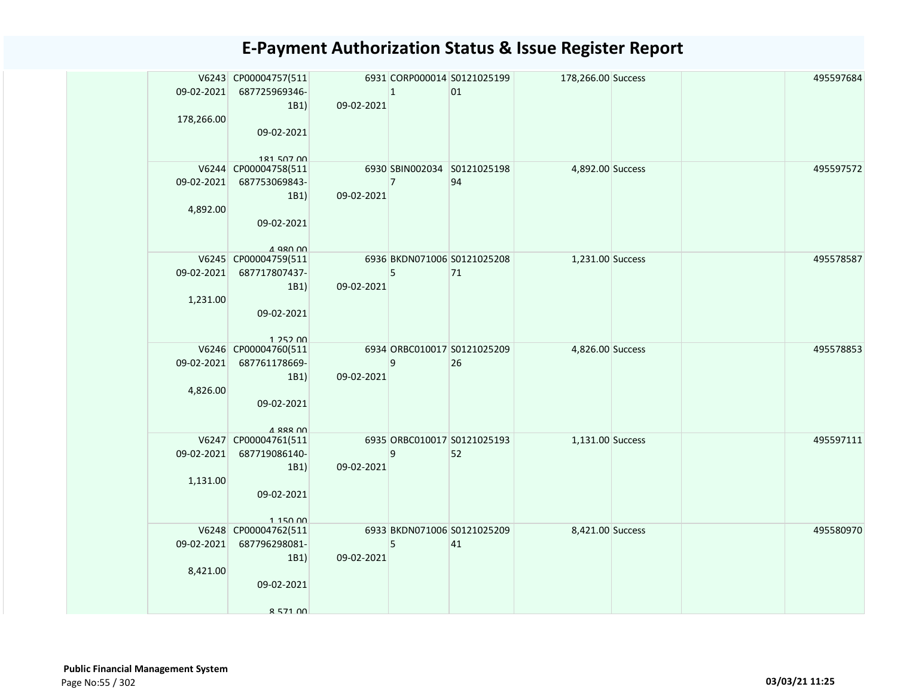| 09-02-2021<br>178,266.00 | V6243 CP00004757(511<br>687725969346-<br>1B1                                                            | 09-02-2021 | $\vert$ 1      | 6931 CORP000014 S0121025199<br>01 | 178,266.00 Success |  | 495597684 |
|--------------------------|---------------------------------------------------------------------------------------------------------|------------|----------------|-----------------------------------|--------------------|--|-----------|
|                          | 09-02-2021<br>181 507 00                                                                                |            |                |                                   |                    |  |           |
| 09-02-2021<br>4,892.00   | V6244 CP00004758(511<br>687753069843-<br>1B1)<br>09-02-2021                                             | 09-02-2021 | $\overline{7}$ | 6930 SBIN002034 S0121025198<br>94 | 4,892.00 Success   |  | 495597572 |
| 09-02-2021<br>1,231.00   | $A$ Q <sub>RO</sub> $n0$<br>V6245 CP00004759(511<br>687717807437-<br>1B1)<br>09-02-2021<br>$1.252$ $00$ | 09-02-2021 | 5              | 6936 BKDN071006 S0121025208<br>71 | 1,231.00 Success   |  | 495578587 |
| 09-02-2021<br>4,826.00   | V6246 CP00004760(511<br>687761178669-<br>1B1)<br>09-02-2021<br>A 888 00                                 | 09-02-2021 | 9              | 6934 ORBC010017 S0121025209<br>26 | 4,826.00 Success   |  | 495578853 |
| 09-02-2021<br>1,131.00   | V6247 CP00004761(511<br>687719086140-<br>1B1)<br>09-02-2021<br>1 150 00                                 | 09-02-2021 | 9              | 6935 ORBC010017 S0121025193<br>52 | 1,131.00 Success   |  | 495597111 |
| 09-02-2021<br>8,421.00   | V6248 CP00004762(511<br>687796298081-<br>1B1)<br>09-02-2021<br>8 571 00                                 | 09-02-2021 | 5              | 6933 BKDN071006 S0121025209<br>41 | 8,421.00 Success   |  | 495580970 |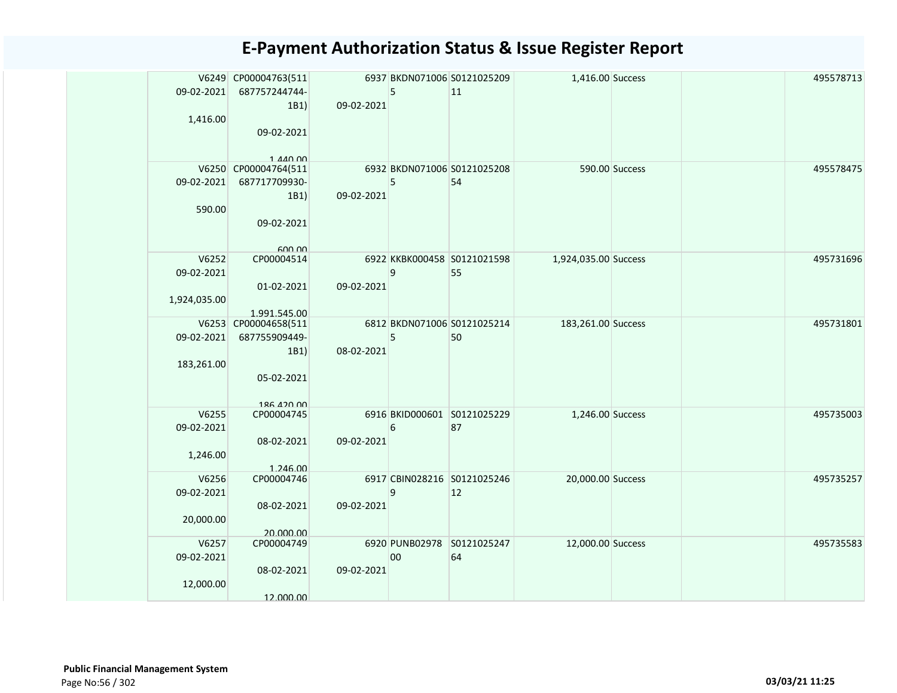|              | V6249 CP00004763(511      |            |    | 6937 BKDN071006 S0121025209 | 1,416.00 Success     |                | 495578713 |
|--------------|---------------------------|------------|----|-----------------------------|----------------------|----------------|-----------|
| 09-02-2021   | 687757244744-             |            | 5  | 11                          |                      |                |           |
|              | 1B1)                      | 09-02-2021 |    |                             |                      |                |           |
| 1,416.00     |                           |            |    |                             |                      |                |           |
|              | 09-02-2021                |            |    |                             |                      |                |           |
|              |                           |            |    |                             |                      |                |           |
|              | $1$ $A$ $A$ $\cap$ $\cap$ |            |    |                             |                      |                |           |
|              | V6250 CP00004764(511      |            |    | 6932 BKDN071006 S0121025208 |                      | 590.00 Success | 495578475 |
| 09-02-2021   | 687717709930-             |            | 5  | 54                          |                      |                |           |
|              | 1B1)                      | 09-02-2021 |    |                             |                      |                |           |
| 590.00       |                           |            |    |                             |                      |                |           |
|              | 09-02-2021                |            |    |                             |                      |                |           |
|              |                           |            |    |                             |                      |                |           |
|              | 600.00                    |            |    |                             |                      |                |           |
| V6252        | CP00004514                |            |    | 6922 KKBK000458 S0121021598 | 1,924,035.00 Success |                | 495731696 |
| 09-02-2021   |                           |            | 9  | 55                          |                      |                |           |
|              | 01-02-2021                | 09-02-2021 |    |                             |                      |                |           |
| 1,924,035.00 |                           |            |    |                             |                      |                |           |
|              | 1.991.545.00              |            |    |                             |                      |                |           |
|              | V6253 CP00004658(511      |            |    | 6812 BKDN071006 S0121025214 | 183,261.00 Success   |                | 495731801 |
| 09-02-2021   | 687755909449-             |            | 5  | 50                          |                      |                |           |
|              | 1B1)                      | 08-02-2021 |    |                             |                      |                |           |
| 183,261.00   |                           |            |    |                             |                      |                |           |
|              | 05-02-2021                |            |    |                             |                      |                |           |
|              |                           |            |    |                             |                      |                |           |
| V6255        | 186 420 00                |            |    | 6916 BKID000601 S0121025229 |                      |                |           |
|              | CP00004745                |            |    |                             | 1,246.00 Success     |                | 495735003 |
| 09-02-2021   |                           |            | 6  | 87                          |                      |                |           |
|              | 08-02-2021                | 09-02-2021 |    |                             |                      |                |           |
| 1,246.00     |                           |            |    |                             |                      |                |           |
| V6256        | 1.246.00<br>CP00004746    |            |    | 6917 CBIN028216 S0121025246 | 20,000.00 Success    |                | 495735257 |
| 09-02-2021   |                           |            | 9  | 12                          |                      |                |           |
|              |                           | 09-02-2021 |    |                             |                      |                |           |
|              | 08-02-2021                |            |    |                             |                      |                |           |
| 20,000.00    |                           |            |    |                             |                      |                |           |
| V6257        | 20.000.00<br>CP00004749   |            |    | 6920 PUNB02978 S0121025247  | 12,000.00 Success    |                | 495735583 |
| 09-02-2021   |                           |            | 00 | 64                          |                      |                |           |
|              | 08-02-2021                | 09-02-2021 |    |                             |                      |                |           |
| 12,000.00    |                           |            |    |                             |                      |                |           |
|              | 12.000.00                 |            |    |                             |                      |                |           |
|              |                           |            |    |                             |                      |                |           |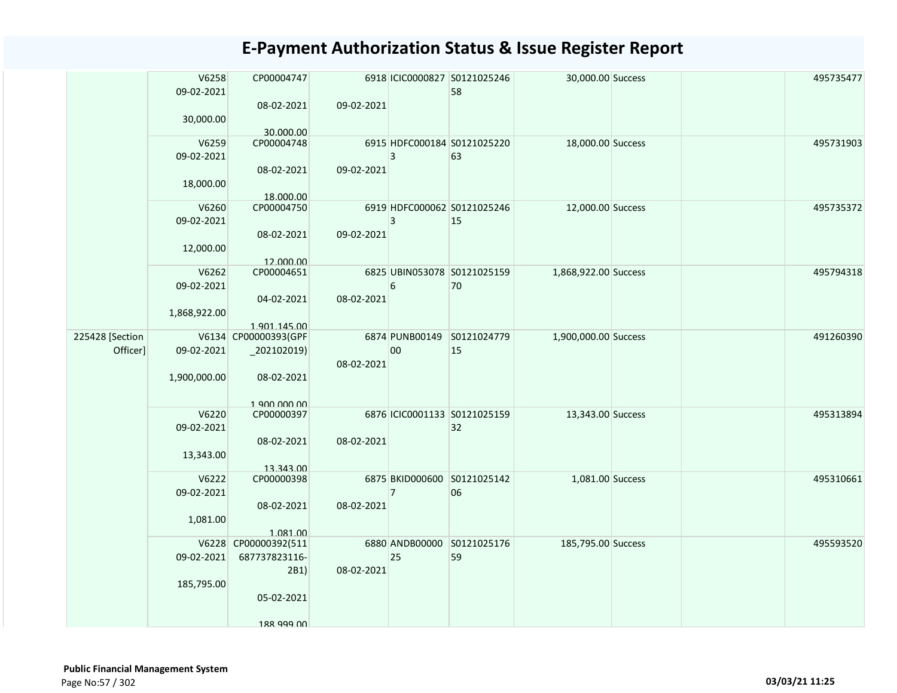|                             | V6258<br>09-02-2021<br>30,000.00    | CP00004747<br>08-02-2021<br>30.000.00                                     | 09-02-2021 |                | 6918 ICIC0000827 S0121025246<br>58 | 30,000.00 Success    |  | 495735477 |
|-----------------------------|-------------------------------------|---------------------------------------------------------------------------|------------|----------------|------------------------------------|----------------------|--|-----------|
|                             | V6259<br>09-02-2021<br>18,000.00    | CP00004748<br>08-02-2021<br>18.000.00                                     | 09-02-2021 | $\overline{3}$ | 6915 HDFC000184 S0121025220<br>63  | 18,000.00 Success    |  | 495731903 |
|                             | V6260<br>09-02-2021<br>12,000.00    | CP00004750<br>08-02-2021<br>12.000.00                                     | 09-02-2021 | 3              | 6919 HDFC000062 S0121025246<br>15  | 12,000.00 Success    |  | 495735372 |
|                             | V6262<br>09-02-2021<br>1,868,922.00 | CP00004651<br>04-02-2021<br>1.901.145.00                                  | 08-02-2021 | 6              | 6825 UBIN053078 S0121025159<br>70  | 1,868,922.00 Success |  | 495794318 |
| 225428 [Section<br>Officer] | 09-02-2021<br>1,900,000.00          | V6134 CP00000393(GPF<br>$_2$ 02102019)<br>08-02-2021                      | 08-02-2021 | 00             | 6874 PUNB00149 S0121024779<br>15   | 1,900,000.00 Success |  | 491260390 |
|                             | V6220<br>09-02-2021<br>13,343.00    | 1 900 000 00<br>CP00000397<br>08-02-2021<br>13.343.00                     | 08-02-2021 |                | 6876 ICIC0001133 S0121025159<br>32 | 13,343.00 Success    |  | 495313894 |
|                             | V6222<br>09-02-2021<br>1,081.00     | CP00000398<br>08-02-2021<br>1.081.00                                      | 08-02-2021 | $\overline{7}$ | 6875 BKID000600 S0121025142<br>06  | 1,081.00 Success     |  | 495310661 |
|                             | 09-02-2021<br>185,795.00            | V6228 CP00000392(511<br>687737823116-<br>2B1)<br>05-02-2021<br>188 999 NO | 08-02-2021 | 25             | 6880 ANDB00000 S0121025176<br>59   | 185,795.00 Success   |  | 495593520 |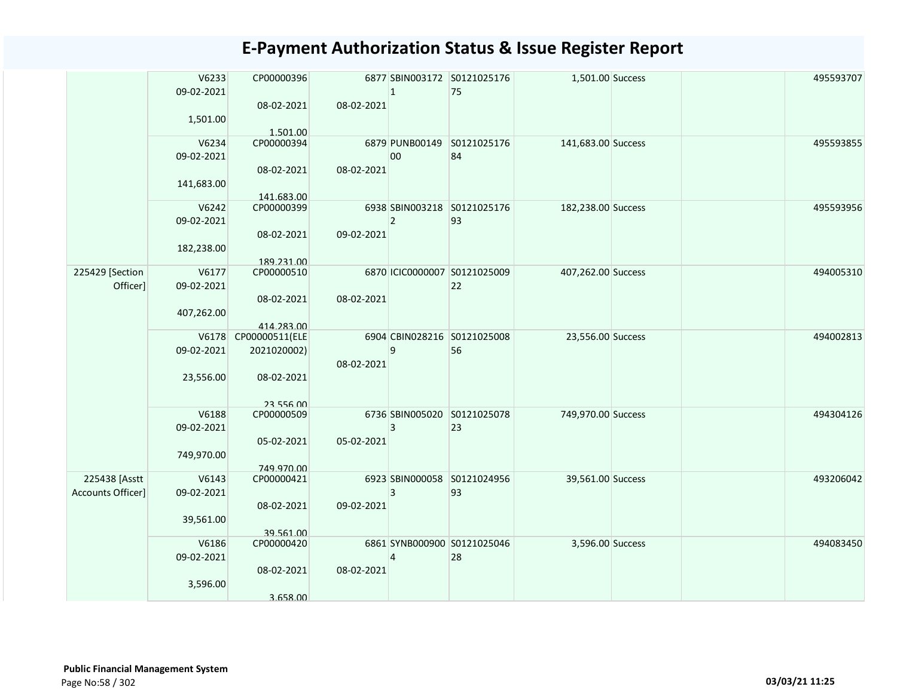|                                           | V6233<br>09-02-2021<br>1,501.00   | CP00000396<br>08-02-2021<br>1.501.00                           | 08-02-2021 | $\mathbf{1}$   | 6877 SBIN003172 S0121025176<br>75  | 1,501.00 Success   |  | 495593707 |
|-------------------------------------------|-----------------------------------|----------------------------------------------------------------|------------|----------------|------------------------------------|--------------------|--|-----------|
|                                           | V6234<br>09-02-2021<br>141,683.00 | CP00000394<br>08-02-2021<br>141.683.00                         | 08-02-2021 | 00             | 6879 PUNB00149 S0121025176<br>84   | 141,683.00 Success |  | 495593855 |
|                                           | V6242<br>09-02-2021<br>182,238.00 | CP00000399<br>08-02-2021<br>189.231.00                         | 09-02-2021 | $\overline{2}$ | 6938 SBIN003218 S0121025176<br>93  | 182,238.00 Success |  | 495593956 |
| 225429 [Section<br>Officer]               | V6177<br>09-02-2021<br>407,262.00 | CP00000510<br>08-02-2021<br>414.283.00                         | 08-02-2021 |                | 6870 ICIC0000007 S0121025009<br>22 | 407,262.00 Success |  | 494005310 |
|                                           | 09-02-2021<br>23,556.00           | V6178 CP00000511(ELE<br>2021020002)<br>08-02-2021<br>23 556 00 | 08-02-2021 | 9              | 6904 CBIN028216 S0121025008<br>56  | 23,556.00 Success  |  | 494002813 |
|                                           | V6188<br>09-02-2021<br>749,970.00 | CP00000509<br>05-02-2021<br>749.970.00                         | 05-02-2021 | 3              | 6736 SBIN005020 S0121025078<br>23  | 749,970.00 Success |  | 494304126 |
| 225438 [Asstt<br><b>Accounts Officer]</b> | V6143<br>09-02-2021<br>39,561.00  | CP00000421<br>08-02-2021<br>39.561.00                          | 09-02-2021 | 3              | 6923 SBIN000058 S0121024956<br>93  | 39,561.00 Success  |  | 493206042 |
|                                           | V6186<br>09-02-2021<br>3,596.00   | CP00000420<br>08-02-2021<br>3.658.00                           | 08-02-2021 | 4              | 6861 SYNB000900 S0121025046<br>28  | 3,596.00 Success   |  | 494083450 |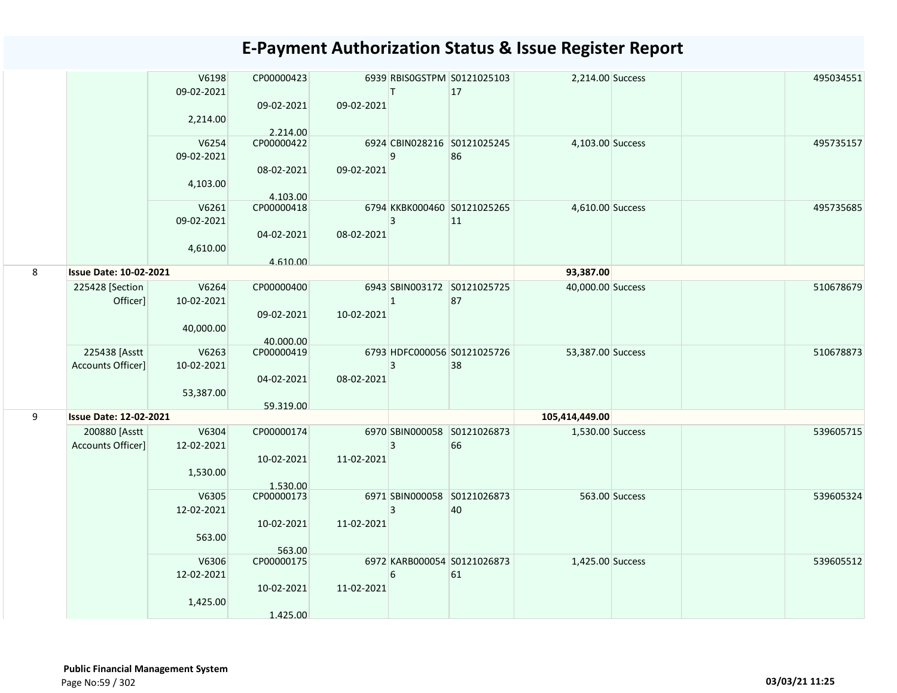|   |                               | V6198<br>09-02-2021 | CP00000423               |            | T              | 6939 RBISOGSTPM S0121025103<br>17 | 2,214.00 Success  |                | 495034551 |
|---|-------------------------------|---------------------|--------------------------|------------|----------------|-----------------------------------|-------------------|----------------|-----------|
|   |                               | 2,214.00            | 09-02-2021<br>2.214.00   | 09-02-2021 |                |                                   |                   |                |           |
|   |                               | V6254<br>09-02-2021 | CP00000422<br>08-02-2021 | 09-02-2021 | 9              | 6924 CBIN028216 S0121025245<br>86 | 4,103.00 Success  |                | 495735157 |
|   |                               | 4,103.00            | 4.103.00                 |            |                |                                   |                   |                |           |
|   |                               | V6261<br>09-02-2021 | CP00000418               |            | 3              | 6794 KKBK000460 S0121025265<br>11 | 4,610.00 Success  |                | 495735685 |
|   |                               | 4,610.00            | 04-02-2021<br>4.610.00   | 08-02-2021 |                |                                   |                   |                |           |
| 8 | <b>Issue Date: 10-02-2021</b> |                     |                          |            |                |                                   | 93,387.00         |                |           |
|   | 225428 [Section<br>Officer]   | V6264<br>10-02-2021 | CP00000400               |            | $\mathbf{1}$   | 6943 SBIN003172 S0121025725<br>87 | 40,000.00 Success |                | 510678679 |
|   |                               | 40,000.00           | 09-02-2021               | 10-02-2021 |                |                                   |                   |                |           |
|   | 225438 [Asstt                 | V6263               | 40.000.00<br>CP00000419  |            |                | 6793 HDFC000056 S0121025726       | 53,387.00 Success |                | 510678873 |
|   | Accounts Officer]             | 10-02-2021          |                          |            | 3              | 38                                |                   |                |           |
|   |                               | 53,387.00           | 04-02-2021               | 08-02-2021 |                |                                   |                   |                |           |
|   |                               |                     | 59.319.00                |            |                |                                   |                   |                |           |
| 9 | <b>Issue Date: 12-02-2021</b> |                     |                          |            |                |                                   | 105,414,449.00    |                |           |
|   | 200880 [Asstt                 | V6304               | CP00000174               |            |                | 6970 SBIN000058 S0121026873       | 1,530.00 Success  |                | 539605715 |
|   | Accounts Officer]             | 12-02-2021          |                          |            | $\overline{3}$ | 66                                |                   |                |           |
|   |                               |                     | 10-02-2021               | 11-02-2021 |                |                                   |                   |                |           |
|   |                               | 1,530.00            |                          |            |                |                                   |                   |                |           |
|   |                               | V6305               | 1.530.00<br>CP00000173   |            |                | 6971 SBIN000058 S0121026873       |                   | 563.00 Success | 539605324 |
|   |                               | 12-02-2021          |                          |            | 3              | 40                                |                   |                |           |
|   |                               |                     | 10-02-2021               | 11-02-2021 |                |                                   |                   |                |           |
|   |                               | 563.00              |                          |            |                |                                   |                   |                |           |
|   |                               | V6306               | 563.00<br>CP00000175     |            |                | 6972 KARB000054 S0121026873       | 1,425.00 Success  |                | 539605512 |
|   |                               | 12-02-2021          |                          |            | 6              | 61                                |                   |                |           |
|   |                               |                     | 10-02-2021               | 11-02-2021 |                |                                   |                   |                |           |
|   |                               | 1,425.00            |                          |            |                |                                   |                   |                |           |
|   |                               |                     | 1.425.00                 |            |                |                                   |                   |                |           |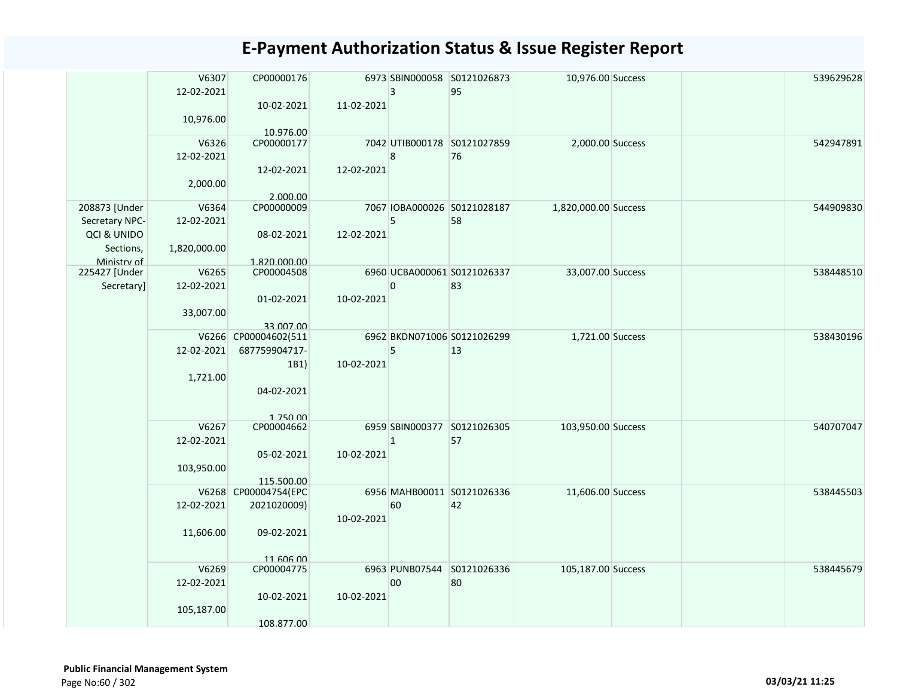|                | V6307<br>12-02-2021 | CP00000176              |            | $\overline{3}$   | 6973 SBIN000058 S0121026873<br>95 | 10,976.00 Success    |  | 539629628 |
|----------------|---------------------|-------------------------|------------|------------------|-----------------------------------|----------------------|--|-----------|
|                | 10,976.00           | 10-02-2021              | 11-02-2021 |                  |                                   |                      |  |           |
|                |                     | 10.976.00               |            |                  |                                   |                      |  |           |
|                | V6326               | CP00000177              |            |                  | 7042 UTIB000178 S0121027859       | 2,000.00 Success     |  | 542947891 |
|                | 12-02-2021          |                         |            | $\boldsymbol{8}$ | 76                                |                      |  |           |
|                |                     | 12-02-2021              | 12-02-2021 |                  |                                   |                      |  |           |
|                | 2,000.00            |                         |            |                  |                                   |                      |  |           |
|                |                     | 2.000.00                |            |                  |                                   |                      |  |           |
| 208873 [Under  | V6364               | CP00000009              |            |                  | 7067 IOBA000026 S0121028187       | 1,820,000.00 Success |  | 544909830 |
| Secretary NPC- | 12-02-2021          |                         |            | 5                | 58                                |                      |  |           |
| QCI & UNIDO    |                     | 08-02-2021              | 12-02-2021 |                  |                                   |                      |  |           |
| Sections,      | 1,820,000.00        |                         |            |                  |                                   |                      |  |           |
| Ministry of    |                     | 1.820.000.00            |            |                  |                                   |                      |  |           |
| 225427 [Under  | V6265               | CP00004508              |            |                  | 6960 UCBA000061 S0121026337       | 33,007.00 Success    |  | 538448510 |
| Secretary]     | 12-02-2021          |                         |            | $\overline{0}$   | 83                                |                      |  |           |
|                |                     | 01-02-2021              | 10-02-2021 |                  |                                   |                      |  |           |
|                | 33,007.00           |                         |            |                  |                                   |                      |  |           |
|                |                     | 33.007.00               |            |                  |                                   |                      |  |           |
|                |                     | V6266 CP00004602(511    |            |                  | 6962 BKDN071006 S0121026299       | 1,721.00 Success     |  | 538430196 |
|                | 12-02-2021          | 687759904717-           |            | 5                | 13                                |                      |  |           |
|                |                     | 1B1)                    | 10-02-2021 |                  |                                   |                      |  |           |
|                | 1,721.00            |                         |            |                  |                                   |                      |  |           |
|                |                     | 04-02-2021              |            |                  |                                   |                      |  |           |
|                |                     |                         |            |                  |                                   |                      |  |           |
|                |                     | 1 750 00                |            |                  |                                   |                      |  |           |
|                | V6267               | CP00004662              |            |                  | 6959 SBIN000377 S0121026305       | 103,950.00 Success   |  | 540707047 |
|                | 12-02-2021          |                         |            | $\mathbf{1}$     | 57                                |                      |  |           |
|                |                     | 05-02-2021              | 10-02-2021 |                  |                                   |                      |  |           |
|                | 103,950.00          |                         |            |                  |                                   |                      |  |           |
|                |                     | 115.500.00              |            |                  |                                   |                      |  |           |
|                |                     | V6268 CP00004754(EPC    |            |                  | 6956 MAHB00011 S0121026336        | 11,606.00 Success    |  | 538445503 |
|                | 12-02-2021          | 2021020009)             |            | 60               | 42                                |                      |  |           |
|                |                     |                         | 10-02-2021 |                  |                                   |                      |  |           |
|                | 11,606.00           | 09-02-2021              |            |                  |                                   |                      |  |           |
|                |                     |                         |            |                  |                                   |                      |  |           |
|                |                     |                         |            |                  |                                   |                      |  |           |
|                | V6269               | 11 606 00<br>CP00004775 |            |                  | 6963 PUNB07544 S0121026336        | 105,187.00 Success   |  | 538445679 |
|                | 12-02-2021          |                         |            | 00               | 80                                |                      |  |           |
|                |                     | 10-02-2021              | 10-02-2021 |                  |                                   |                      |  |           |
|                |                     |                         |            |                  |                                   |                      |  |           |
|                | 105,187.00          |                         |            |                  |                                   |                      |  |           |
|                |                     | 108.877.00              |            |                  |                                   |                      |  |           |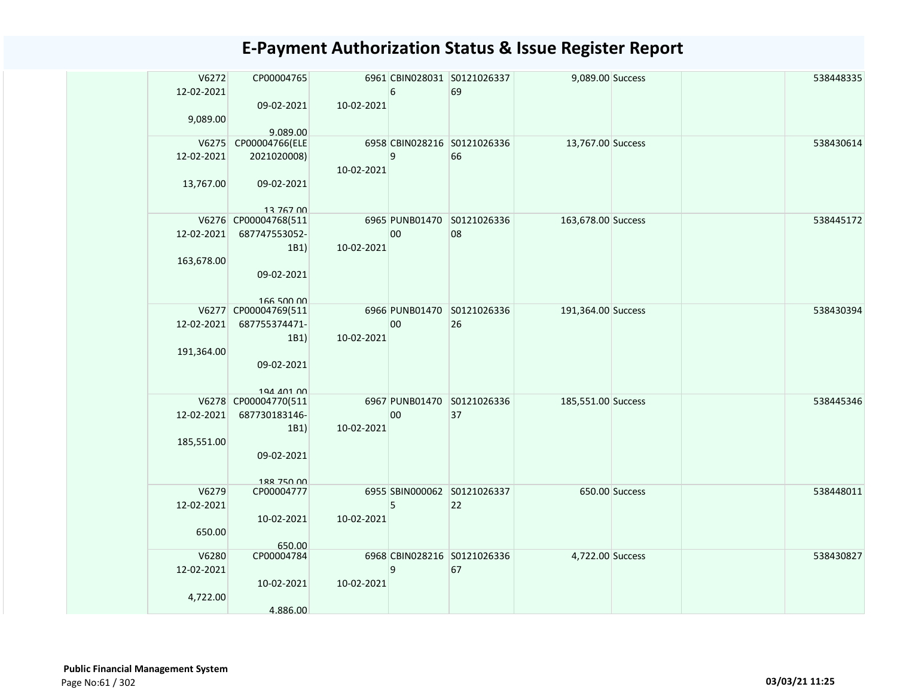| V6272<br>12-02-2021 | CP00004765                 |            | 6  | 6961 CBIN028031 S0121026337<br>69 | 9,089.00 Success   |                | 538448335 |
|---------------------|----------------------------|------------|----|-----------------------------------|--------------------|----------------|-----------|
|                     | 09-02-2021                 | 10-02-2021 |    |                                   |                    |                |           |
| 9,089.00            |                            |            |    |                                   |                    |                |           |
| V6275               | 9.089.00<br>CP00004766(ELE |            |    | 6958 CBIN028216 S0121026336       | 13,767.00 Success  |                | 538430614 |
| 12-02-2021          | 2021020008)                |            | 9  | 66                                |                    |                |           |
|                     |                            | 10-02-2021 |    |                                   |                    |                |           |
| 13,767.00           | 09-02-2021                 |            |    |                                   |                    |                |           |
|                     | 13 767 00                  |            |    |                                   |                    |                |           |
|                     | V6276 CP00004768(511       |            |    | 6965 PUNB01470 S0121026336        | 163,678.00 Success |                | 538445172 |
| 12-02-2021          | 687747553052-              |            | 00 | 08                                |                    |                |           |
|                     | 1B1)                       | 10-02-2021 |    |                                   |                    |                |           |
| 163,678.00          |                            |            |    |                                   |                    |                |           |
|                     | 09-02-2021                 |            |    |                                   |                    |                |           |
|                     | 166 500 00                 |            |    |                                   |                    |                |           |
|                     | V6277 CP00004769(511       |            |    | 6966 PUNB01470 S0121026336        | 191,364.00 Success |                | 538430394 |
| 12-02-2021          | 687755374471-              |            | 00 | 26                                |                    |                |           |
|                     | 1B1)                       | 10-02-2021 |    |                                   |                    |                |           |
| 191,364.00          |                            |            |    |                                   |                    |                |           |
|                     | 09-02-2021                 |            |    |                                   |                    |                |           |
|                     | 194 401 00                 |            |    |                                   |                    |                |           |
|                     | V6278 CP00004770(511       |            |    | 6967 PUNB01470 S0121026336        | 185,551.00 Success |                | 538445346 |
| 12-02-2021          | 687730183146-              |            | 00 | 37                                |                    |                |           |
|                     | 1B1)                       | 10-02-2021 |    |                                   |                    |                |           |
| 185,551.00          |                            |            |    |                                   |                    |                |           |
|                     | 09-02-2021                 |            |    |                                   |                    |                |           |
|                     | 188 750 00                 |            |    |                                   |                    |                |           |
| V6279               | CP00004777                 |            |    | 6955 SBIN000062 S0121026337       |                    | 650.00 Success | 538448011 |
| 12-02-2021          |                            |            | 5  | 22                                |                    |                |           |
|                     | 10-02-2021                 | 10-02-2021 |    |                                   |                    |                |           |
| 650.00              |                            |            |    |                                   |                    |                |           |
| V6280               | 650.00<br>CP00004784       |            |    | 6968 CBIN028216 S0121026336       | 4,722.00 Success   |                | 538430827 |
| 12-02-2021          |                            |            | 9  | 67                                |                    |                |           |
|                     | 10-02-2021                 | 10-02-2021 |    |                                   |                    |                |           |
| 4,722.00            |                            |            |    |                                   |                    |                |           |
|                     | 4.886.00                   |            |    |                                   |                    |                |           |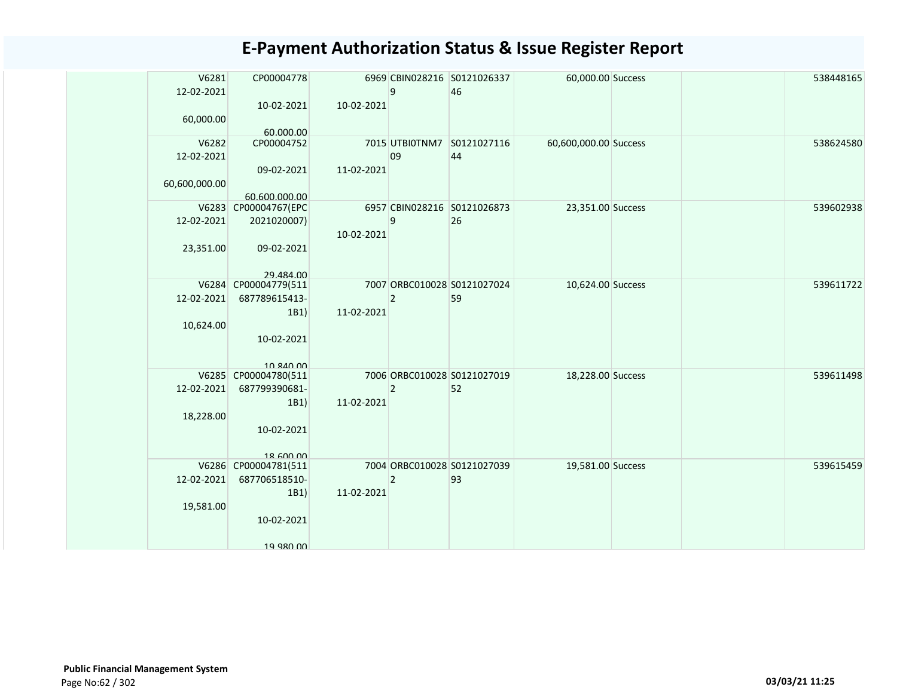| 10-02-2021<br>10-02-2021<br>60,000.00<br>60.000.00<br>V6282<br>CP00004752<br>7015 UTBI0TNM7 S0121027116<br>60,600,000.00 Success<br>538624580<br>44<br>12-02-2021<br>09<br>11-02-2021<br>09-02-2021<br>60,600,000.00<br>60.600.000.00<br>V6283 CP00004767(EPC<br>6957 CBIN028216 S0121026873<br>539602938<br>23,351.00 Success<br>12-02-2021<br>2021020007)<br>9<br>26<br>10-02-2021<br>23,351.00<br>09-02-2021<br>29 484 00<br>CP00004779(511<br>7007 ORBC010028 S0121027024<br>539611722<br>V6284<br>10,624.00 Success<br>12-02-2021<br>687789615413-<br>$\overline{2}$<br>59<br>1B1)<br>11-02-2021<br>10,624.00<br>10-02-2021<br>10 840 00<br>V6285 CP00004780(511<br>7006 ORBC010028 S0121027019<br>18,228.00 Success<br>539611498<br>12-02-2021<br>687799390681-<br>$\overline{2}$<br>52<br>1B1<br>11-02-2021<br>18,228.00<br>10-02-2021<br>$18$ 600 00<br>7004 ORBC010028 S0121027039<br>539615459<br>V6286 CP00004781(511<br>19,581.00 Success<br>12-02-2021<br>687706518510-<br>93<br>$\overline{2}$<br>11-02-2021<br>1B1<br>19,581.00<br>10-02-2021 | V6281<br>12-02-2021 | CP00004778 | q | 6969 CBIN028216 S0121026337<br>46 | 60,000.00 Success |  | 538448165 |
|--------------------------------------------------------------------------------------------------------------------------------------------------------------------------------------------------------------------------------------------------------------------------------------------------------------------------------------------------------------------------------------------------------------------------------------------------------------------------------------------------------------------------------------------------------------------------------------------------------------------------------------------------------------------------------------------------------------------------------------------------------------------------------------------------------------------------------------------------------------------------------------------------------------------------------------------------------------------------------------------------------------------------------------------------------------|---------------------|------------|---|-----------------------------------|-------------------|--|-----------|
|                                                                                                                                                                                                                                                                                                                                                                                                                                                                                                                                                                                                                                                                                                                                                                                                                                                                                                                                                                                                                                                              |                     |            |   |                                   |                   |  |           |
|                                                                                                                                                                                                                                                                                                                                                                                                                                                                                                                                                                                                                                                                                                                                                                                                                                                                                                                                                                                                                                                              |                     |            |   |                                   |                   |  |           |
|                                                                                                                                                                                                                                                                                                                                                                                                                                                                                                                                                                                                                                                                                                                                                                                                                                                                                                                                                                                                                                                              |                     |            |   |                                   |                   |  |           |
|                                                                                                                                                                                                                                                                                                                                                                                                                                                                                                                                                                                                                                                                                                                                                                                                                                                                                                                                                                                                                                                              |                     |            |   |                                   |                   |  |           |
|                                                                                                                                                                                                                                                                                                                                                                                                                                                                                                                                                                                                                                                                                                                                                                                                                                                                                                                                                                                                                                                              |                     |            |   |                                   |                   |  |           |
|                                                                                                                                                                                                                                                                                                                                                                                                                                                                                                                                                                                                                                                                                                                                                                                                                                                                                                                                                                                                                                                              |                     |            |   |                                   |                   |  |           |
|                                                                                                                                                                                                                                                                                                                                                                                                                                                                                                                                                                                                                                                                                                                                                                                                                                                                                                                                                                                                                                                              |                     |            |   |                                   |                   |  |           |
|                                                                                                                                                                                                                                                                                                                                                                                                                                                                                                                                                                                                                                                                                                                                                                                                                                                                                                                                                                                                                                                              |                     |            |   |                                   |                   |  |           |
|                                                                                                                                                                                                                                                                                                                                                                                                                                                                                                                                                                                                                                                                                                                                                                                                                                                                                                                                                                                                                                                              |                     |            |   |                                   |                   |  |           |
|                                                                                                                                                                                                                                                                                                                                                                                                                                                                                                                                                                                                                                                                                                                                                                                                                                                                                                                                                                                                                                                              |                     |            |   |                                   |                   |  |           |
|                                                                                                                                                                                                                                                                                                                                                                                                                                                                                                                                                                                                                                                                                                                                                                                                                                                                                                                                                                                                                                                              |                     |            |   |                                   |                   |  |           |
|                                                                                                                                                                                                                                                                                                                                                                                                                                                                                                                                                                                                                                                                                                                                                                                                                                                                                                                                                                                                                                                              |                     |            |   |                                   |                   |  |           |
|                                                                                                                                                                                                                                                                                                                                                                                                                                                                                                                                                                                                                                                                                                                                                                                                                                                                                                                                                                                                                                                              |                     |            |   |                                   |                   |  |           |
|                                                                                                                                                                                                                                                                                                                                                                                                                                                                                                                                                                                                                                                                                                                                                                                                                                                                                                                                                                                                                                                              |                     |            |   |                                   |                   |  |           |
|                                                                                                                                                                                                                                                                                                                                                                                                                                                                                                                                                                                                                                                                                                                                                                                                                                                                                                                                                                                                                                                              |                     |            |   |                                   |                   |  |           |
|                                                                                                                                                                                                                                                                                                                                                                                                                                                                                                                                                                                                                                                                                                                                                                                                                                                                                                                                                                                                                                                              |                     |            |   |                                   |                   |  |           |
|                                                                                                                                                                                                                                                                                                                                                                                                                                                                                                                                                                                                                                                                                                                                                                                                                                                                                                                                                                                                                                                              |                     |            |   |                                   |                   |  |           |
| 19 980 00                                                                                                                                                                                                                                                                                                                                                                                                                                                                                                                                                                                                                                                                                                                                                                                                                                                                                                                                                                                                                                                    |                     |            |   |                                   |                   |  |           |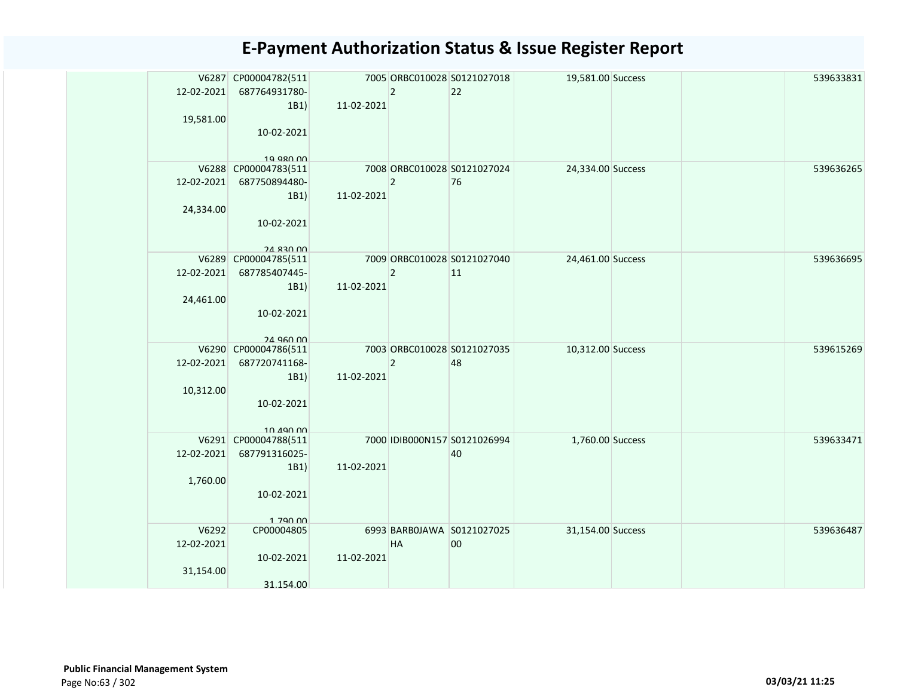| 12-02-2021 | V6287 CP00004782(511<br>687764931780- |            | $\overline{2}$ | 7005 ORBC010028 S0121027018<br>22 | 19,581.00 Success |  | 539633831 |
|------------|---------------------------------------|------------|----------------|-----------------------------------|-------------------|--|-----------|
|            | 1B1                                   | 11-02-2021 |                |                                   |                   |  |           |
| 19,581.00  |                                       |            |                |                                   |                   |  |           |
|            | 10-02-2021                            |            |                |                                   |                   |  |           |
|            |                                       |            |                |                                   |                   |  |           |
|            | 19 980 00<br>V6288 CP00004783(511     |            |                | 7008 ORBC010028 S0121027024       | 24,334.00 Success |  | 539636265 |
| 12-02-2021 | 687750894480-                         |            | $\overline{2}$ | 76                                |                   |  |           |
|            | 1B1)                                  | 11-02-2021 |                |                                   |                   |  |           |
| 24,334.00  |                                       |            |                |                                   |                   |  |           |
|            | 10-02-2021                            |            |                |                                   |                   |  |           |
|            |                                       |            |                |                                   |                   |  |           |
|            | 24 830 00<br>V6289 CP00004785(511     |            |                | 7009 ORBC010028 S0121027040       | 24,461.00 Success |  | 539636695 |
| 12-02-2021 | 687785407445-                         |            | $\overline{2}$ | 11                                |                   |  |           |
|            | 1B1)                                  | 11-02-2021 |                |                                   |                   |  |           |
| 24,461.00  |                                       |            |                |                                   |                   |  |           |
|            | 10-02-2021                            |            |                |                                   |                   |  |           |
|            |                                       |            |                |                                   |                   |  |           |
|            | 24 Q60 00<br>V6290 CP00004786(511     |            |                | 7003 ORBC010028 S0121027035       | 10,312.00 Success |  | 539615269 |
| 12-02-2021 | 687720741168-                         |            | $\overline{2}$ | 48                                |                   |  |           |
|            | 1B1)                                  | 11-02-2021 |                |                                   |                   |  |           |
| 10,312.00  |                                       |            |                |                                   |                   |  |           |
|            | 10-02-2021                            |            |                |                                   |                   |  |           |
|            |                                       |            |                |                                   |                   |  |           |
|            | 10 490 00<br>V6291 CP00004788(511     |            |                | 7000 IDIB000N157 S0121026994      | 1,760.00 Success  |  | 539633471 |
| 12-02-2021 | 687791316025-                         |            |                | 40                                |                   |  |           |
|            | 1B1)                                  | 11-02-2021 |                |                                   |                   |  |           |
| 1,760.00   |                                       |            |                |                                   |                   |  |           |
|            | 10-02-2021                            |            |                |                                   |                   |  |           |
|            |                                       |            |                |                                   |                   |  |           |
| V6292      | 1 790 00<br>CP00004805                |            |                | 6993 BARBOJAWA S0121027025        | 31,154.00 Success |  | 539636487 |
| 12-02-2021 |                                       |            | HA             | 00                                |                   |  |           |
|            | 10-02-2021                            | 11-02-2021 |                |                                   |                   |  |           |
| 31,154.00  |                                       |            |                |                                   |                   |  |           |
|            | 31.154.00                             |            |                |                                   |                   |  |           |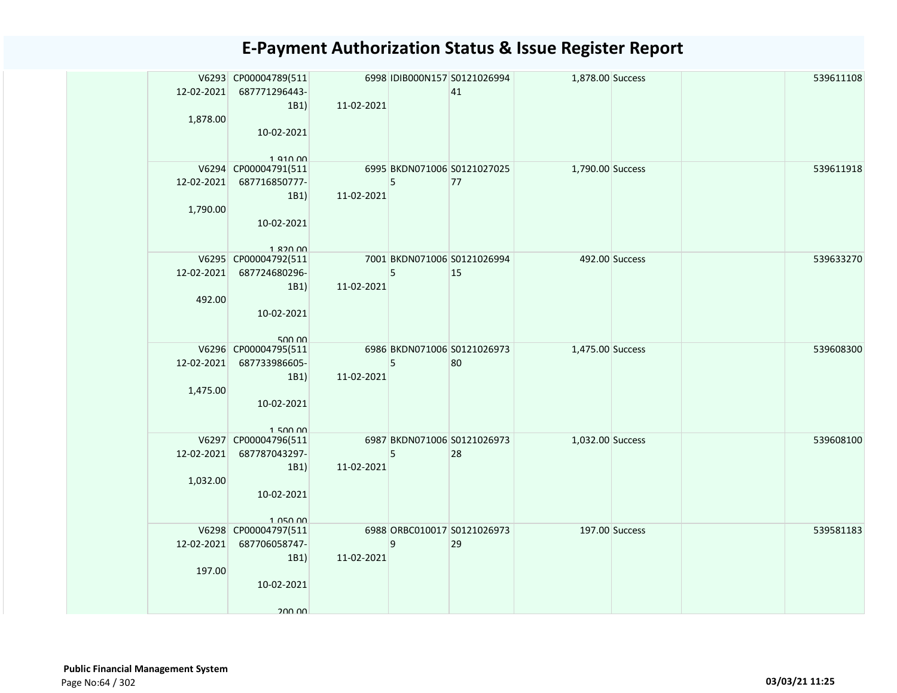|            | V6293 CP00004789(511                  |            |   | 6998 IDIB000N157 S0121026994      | 1,878.00 Success |  | 539611108 |
|------------|---------------------------------------|------------|---|-----------------------------------|------------------|--|-----------|
| 12-02-2021 | 687771296443-                         |            |   | 41                                |                  |  |           |
|            | 1B1                                   | 11-02-2021 |   |                                   |                  |  |           |
| 1,878.00   |                                       |            |   |                                   |                  |  |           |
|            | 10-02-2021                            |            |   |                                   |                  |  |           |
|            | $1$ Q10 $0$                           |            |   |                                   |                  |  |           |
|            | V6294 CP00004791(511                  |            |   | 6995 BKDN071006 S0121027025       | 1,790.00 Success |  | 539611918 |
|            | 12-02-2021 687716850777-              |            | 5 | 77                                |                  |  |           |
|            | 1B1                                   | 11-02-2021 |   |                                   |                  |  |           |
| 1,790.00   |                                       |            |   |                                   |                  |  |           |
|            | 10-02-2021                            |            |   |                                   |                  |  |           |
|            |                                       |            |   |                                   |                  |  |           |
|            | 1.820.00<br>V6295 CP00004792(511      |            |   | 7001 BKDN071006 S0121026994       | 492.00 Success   |  | 539633270 |
|            | 12-02-2021 687724680296-              |            | 5 | 15                                |                  |  |           |
|            | 1B1)                                  | 11-02-2021 |   |                                   |                  |  |           |
| 492.00     |                                       |            |   |                                   |                  |  |           |
|            | 10-02-2021                            |            |   |                                   |                  |  |           |
|            |                                       |            |   |                                   |                  |  |           |
|            | 500.00                                |            |   |                                   |                  |  |           |
| 12-02-2021 | V6296 CP00004795(511<br>687733986605- |            |   | 6986 BKDN071006 S0121026973<br>80 | 1,475.00 Success |  | 539608300 |
|            | 1B1                                   | 11-02-2021 | 5 |                                   |                  |  |           |
| 1,475.00   |                                       |            |   |                                   |                  |  |           |
|            | 10-02-2021                            |            |   |                                   |                  |  |           |
|            |                                       |            |   |                                   |                  |  |           |
|            | 15000                                 |            |   |                                   |                  |  |           |
|            | V6297 CP00004796(511                  |            |   | 6987 BKDN071006 S0121026973       | 1,032.00 Success |  | 539608100 |
| 12-02-2021 | 687787043297-                         |            | 5 | 28                                |                  |  |           |
| 1,032.00   | 1B1                                   | 11-02-2021 |   |                                   |                  |  |           |
|            | 10-02-2021                            |            |   |                                   |                  |  |           |
|            |                                       |            |   |                                   |                  |  |           |
|            | 1 050 00                              |            |   |                                   |                  |  |           |
|            | V6298 CP00004797(511                  |            |   | 6988 ORBC010017 S0121026973       | 197.00 Success   |  | 539581183 |
|            | 12-02-2021 687706058747-              |            | 9 | 29                                |                  |  |           |
|            | 1B1)                                  | 11-02-2021 |   |                                   |                  |  |           |
| 197.00     |                                       |            |   |                                   |                  |  |           |
|            | 10-02-2021                            |            |   |                                   |                  |  |           |
|            | 200.00                                |            |   |                                   |                  |  |           |
|            |                                       |            |   |                                   |                  |  |           |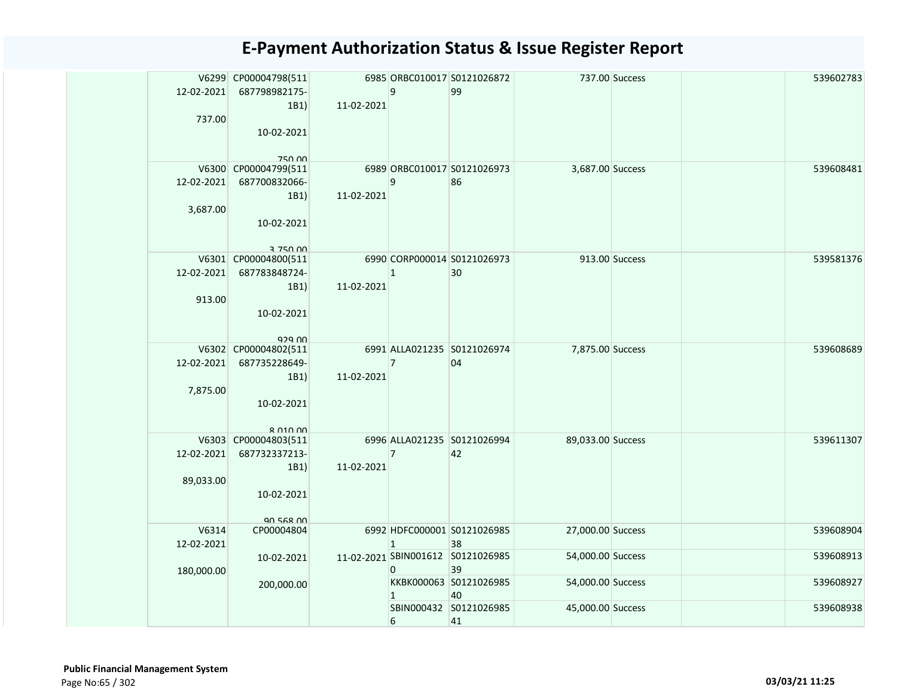| 12-02-2021<br>737.00    | V6299 CP00004798(511<br>687798982175-<br>1B1)<br>10-02-2021<br>750 00         | 11-02-2021 | 9              | 6985 ORBC010017 S0121026872<br>99       |                   | 737.00 Success | 539602783 |
|-------------------------|-------------------------------------------------------------------------------|------------|----------------|-----------------------------------------|-------------------|----------------|-----------|
| 12-02-2021<br>3,687.00  | V6300 CP00004799(511<br>687700832066-<br>1B1)<br>10-02-2021<br>3 750 00       | 11-02-2021 | 9              | 6989 ORBC010017 S0121026973<br>86       | 3,687.00 Success  |                | 539608481 |
| 12-02-2021<br>913.00    | V6301 CP00004800(511<br>687783848724-<br>1B1)<br>10-02-2021<br>929.00         | 11-02-2021 | $\mathbf{1}$   | 6990 CORP000014 S0121026973<br>30       |                   | 913.00 Success | 539581376 |
| 12-02-2021<br>7,875.00  | V6302 CP00004802(511<br>687735228649-<br>1B1)<br>10-02-2021<br>$R$ $010$ $00$ | 11-02-2021 | $\overline{7}$ | 6991 ALLA021235 S0121026974<br>04       | 7,875.00 Success  |                | 539608689 |
| 12-02-2021<br>89,033.00 | V6303 CP00004803(511<br>687732337213-<br>1B1)<br>10-02-2021<br>90 568 00      | 11-02-2021 | $\overline{7}$ | 6996 ALLA021235 S0121026994<br>42       | 89,033.00 Success |                | 539611307 |
| V6314<br>12-02-2021     | CP00004804                                                                    |            | $\mathbf{1}$   | 6992 HDFC000001 S0121026985<br>38       | 27,000.00 Success |                | 539608904 |
| 180,000.00              | 10-02-2021                                                                    |            | $\Omega$       | 11-02-2021 SBIN001612 S0121026985<br>39 | 54,000.00 Success |                | 539608913 |
|                         | 200,000.00                                                                    |            | $\mathbf{1}$   | KKBK000063 S0121026985<br>40            | 54,000.00 Success |                | 539608927 |
|                         |                                                                               |            | 6              | SBIN000432 S0121026985<br>41            | 45,000.00 Success |                | 539608938 |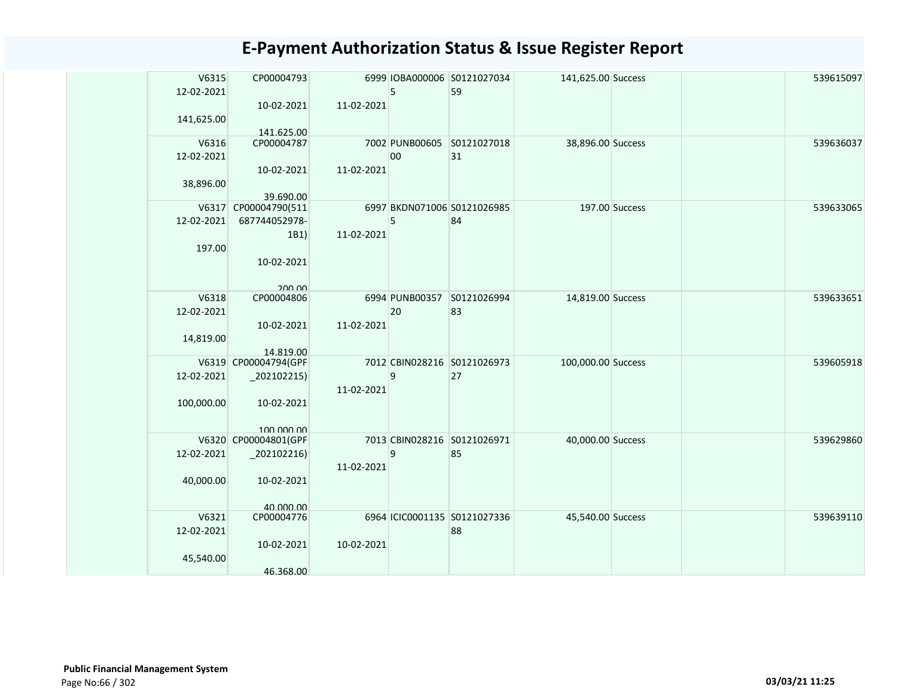| V6315      | CP00004793               |            |    | 6999 IOBA000006 S0121027034  | 141,625.00 Success |                | 539615097 |
|------------|--------------------------|------------|----|------------------------------|--------------------|----------------|-----------|
| 12-02-2021 |                          |            | 5  | 59                           |                    |                |           |
|            | 10-02-2021               | 11-02-2021 |    |                              |                    |                |           |
|            |                          |            |    |                              |                    |                |           |
| 141,625.00 |                          |            |    |                              |                    |                |           |
| V6316      | 141.625.00<br>CP00004787 |            |    | 7002 PUNB00605 S0121027018   | 38,896.00 Success  |                | 539636037 |
| 12-02-2021 |                          |            | 00 | 31                           |                    |                |           |
|            |                          |            |    |                              |                    |                |           |
|            | 10-02-2021               | 11-02-2021 |    |                              |                    |                |           |
| 38,896.00  |                          |            |    |                              |                    |                |           |
|            | 39.690.00                |            |    |                              |                    |                |           |
|            | V6317 CP00004790(511     |            |    | 6997 BKDN071006 S0121026985  |                    | 197.00 Success | 539633065 |
| 12-02-2021 | 687744052978-            |            | 5  | 84                           |                    |                |           |
|            | 1B1)                     | 11-02-2021 |    |                              |                    |                |           |
| 197.00     |                          |            |    |                              |                    |                |           |
|            | 10-02-2021               |            |    |                              |                    |                |           |
|            |                          |            |    |                              |                    |                |           |
|            | 200.00                   |            |    |                              |                    |                |           |
| V6318      | CP00004806               |            |    | 6994 PUNB00357 S0121026994   | 14,819.00 Success  |                | 539633651 |
| 12-02-2021 |                          |            | 20 | 83                           |                    |                |           |
|            | 10-02-2021               | 11-02-2021 |    |                              |                    |                |           |
| 14,819.00  |                          |            |    |                              |                    |                |           |
|            | 14.819.00                |            |    |                              |                    |                |           |
|            | V6319 CP00004794(GPF     |            |    | 7012 CBIN028216 S0121026973  | 100,000.00 Success |                | 539605918 |
| 12-02-2021 | $_2$ 02102215)           |            | 9  | 27                           |                    |                |           |
|            |                          | 11-02-2021 |    |                              |                    |                |           |
| 100,000.00 | 10-02-2021               |            |    |                              |                    |                |           |
|            |                          |            |    |                              |                    |                |           |
|            | 100,000,00               |            |    |                              |                    |                |           |
|            | V6320 CP00004801(GPF     |            |    | 7013 CBIN028216 S0121026971  | 40,000.00 Success  |                | 539629860 |
| 12-02-2021 | $_2$ 02102216)           |            | 9  | 85                           |                    |                |           |
|            |                          | 11-02-2021 |    |                              |                    |                |           |
|            |                          |            |    |                              |                    |                |           |
| 40,000.00  | 10-02-2021               |            |    |                              |                    |                |           |
|            |                          |            |    |                              |                    |                |           |
| V6321      | 40,000,00<br>CP00004776  |            |    | 6964 ICIC0001135 S0121027336 | 45,540.00 Success  |                | 539639110 |
|            |                          |            |    |                              |                    |                |           |
| 12-02-2021 |                          |            |    | 88                           |                    |                |           |
|            | 10-02-2021               | 10-02-2021 |    |                              |                    |                |           |
| 45,540.00  |                          |            |    |                              |                    |                |           |
|            | 46.368.00                |            |    |                              |                    |                |           |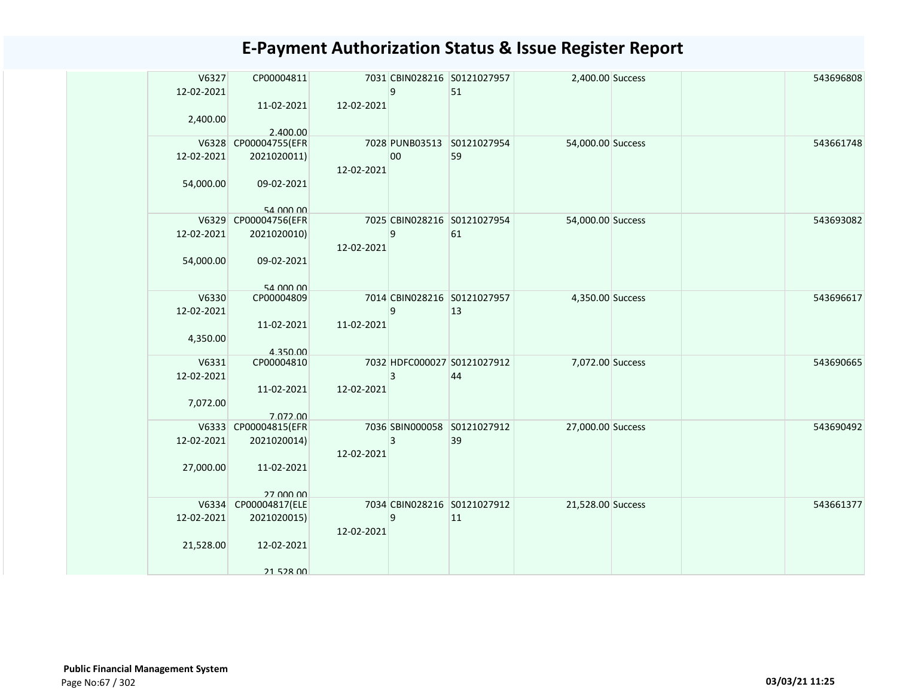| V6327<br>12-02-2021<br>2,400.00 | CP00004811<br>11-02-2021<br>2.400.00 | 12-02-2021 | 9              | 7031 CBIN028216 S0121027957<br>51 | 2,400.00 Success  |  | 543696808 |
|---------------------------------|--------------------------------------|------------|----------------|-----------------------------------|-------------------|--|-----------|
|                                 | V6328 CP00004755(EFR                 |            |                | 7028 PUNB03513 S0121027954        | 54,000.00 Success |  | 543661748 |
| 12-02-2021<br>54,000.00         | 2021020011)<br>09-02-2021            | 12-02-2021 | 00             | 59                                |                   |  |           |
|                                 |                                      |            |                |                                   |                   |  |           |
|                                 | 54 000 00                            |            |                |                                   |                   |  |           |
|                                 | V6329 CP00004756(EFR                 |            |                | 7025 CBIN028216 S0121027954       | 54,000.00 Success |  | 543693082 |
| 12-02-2021<br>54,000.00         | 2021020010)<br>09-02-2021            | 12-02-2021 | 9              | 61                                |                   |  |           |
|                                 | 54 000 00                            |            |                |                                   |                   |  |           |
| V6330                           | CP00004809                           |            |                | 7014 CBIN028216 S0121027957       | 4,350.00 Success  |  | 543696617 |
| 12-02-2021<br>4,350.00          | 11-02-2021                           | 11-02-2021 | 9              | 13                                |                   |  |           |
| V6331                           | 4.350.00<br>CP00004810               |            |                | 7032 HDFC000027 S0121027912       | 7,072.00 Success  |  | 543690665 |
| 12-02-2021<br>7,072.00          | 11-02-2021                           | 12-02-2021 | 3              | 44                                |                   |  |           |
|                                 | 7.072.00                             |            |                |                                   |                   |  |           |
|                                 | V6333 CP00004815(EFR                 |            |                | 7036 SBIN000058 S0121027912       | 27,000.00 Success |  | 543690492 |
| 12-02-2021                      | 2021020014)                          | 12-02-2021 | $\overline{3}$ | 39                                |                   |  |           |
| 27,000.00                       | 11-02-2021<br>27,000,00              |            |                |                                   |                   |  |           |
|                                 | V6334 CP00004817(ELE                 |            |                | 7034 CBIN028216 S0121027912       | 21,528.00 Success |  | 543661377 |
| 12-02-2021                      | 2021020015)                          | 12-02-2021 | 9              | $ 11\rangle$                      |                   |  |           |
| 21,528.00                       | 12-02-2021                           |            |                |                                   |                   |  |           |
|                                 | 21 528 00                            |            |                |                                   |                   |  |           |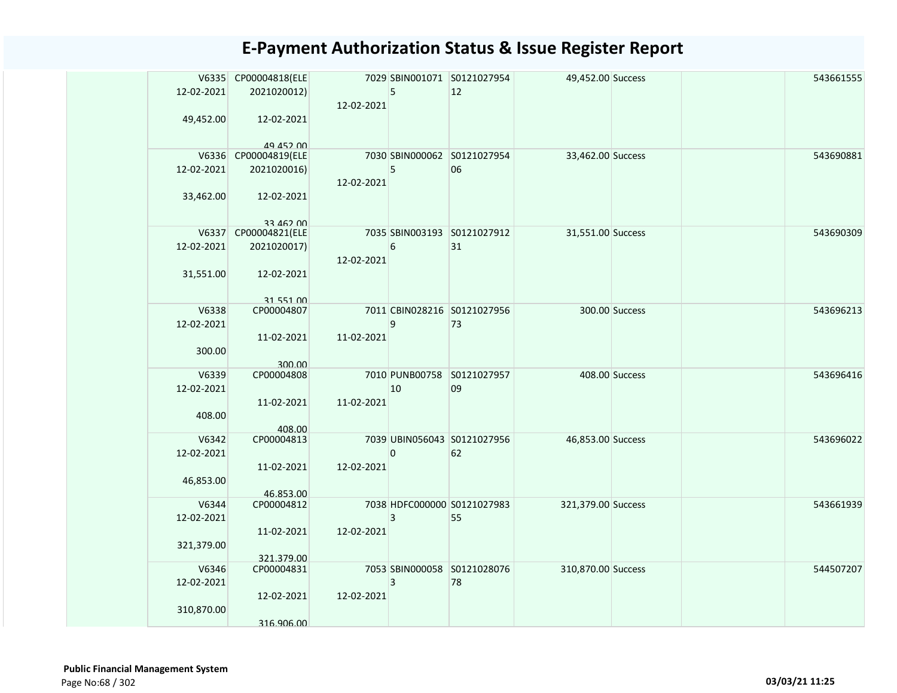|            | V6335 CP00004818(ELE     |            |    | 7029 SBIN001071 S0121027954 | 49,452.00 Success  |                | 543661555 |
|------------|--------------------------|------------|----|-----------------------------|--------------------|----------------|-----------|
| 12-02-2021 | 2021020012)              | 12-02-2021 | 5  | 12                          |                    |                |           |
| 49,452.00  | 12-02-2021               |            |    |                             |                    |                |           |
|            | 49 452 00                |            |    |                             |                    |                |           |
|            | V6336 CP00004819(ELE     |            |    | 7030 SBIN000062 S0121027954 | 33,462.00 Success  |                | 543690881 |
| 12-02-2021 | 2021020016)              | 12-02-2021 | 5  | 06                          |                    |                |           |
| 33,462.00  | 12-02-2021               |            |    |                             |                    |                |           |
|            | 33 462 00                |            |    |                             |                    |                |           |
|            | V6337 CP00004821(ELE     |            |    | 7035 SBIN003193 S0121027912 | 31,551.00 Success  |                | 543690309 |
| 12-02-2021 | 2021020017)              | 12-02-2021 | 6  | 31                          |                    |                |           |
| 31,551.00  | 12-02-2021               |            |    |                             |                    |                |           |
|            | 31 551 00                |            |    |                             |                    |                |           |
| V6338      | CP00004807               |            |    | 7011 CBIN028216 S0121027956 |                    | 300.00 Success | 543696213 |
| 12-02-2021 |                          |            | 9  | 73                          |                    |                |           |
|            | 11-02-2021               | 11-02-2021 |    |                             |                    |                |           |
| 300.00     |                          |            |    |                             |                    |                |           |
|            | 300.00                   |            |    |                             |                    |                |           |
| V6339      | CP00004808               |            |    | 7010 PUNB00758 S0121027957  |                    | 408.00 Success | 543696416 |
| 12-02-2021 |                          |            | 10 | 09                          |                    |                |           |
|            | 11-02-2021               | 11-02-2021 |    |                             |                    |                |           |
| 408.00     |                          |            |    |                             |                    |                |           |
|            | 408.00                   |            |    |                             |                    |                |           |
| V6342      | CP00004813               |            |    | 7039 UBIN056043 S0121027956 | 46,853.00 Success  |                | 543696022 |
| 12-02-2021 |                          |            | 0  | 62                          |                    |                |           |
|            | 11-02-2021               | 12-02-2021 |    |                             |                    |                |           |
| 46,853.00  |                          |            |    |                             |                    |                |           |
|            | 46.853.00                |            |    |                             |                    |                |           |
| V6344      | CP00004812               |            |    | 7038 HDFC000000 S0121027983 | 321,379.00 Success |                | 543661939 |
| 12-02-2021 |                          |            | 3  | 55                          |                    |                |           |
|            | 11-02-2021               | 12-02-2021 |    |                             |                    |                |           |
|            |                          |            |    |                             |                    |                |           |
| 321,379.00 |                          |            |    |                             |                    |                |           |
| V6346      | 321.379.00<br>CP00004831 |            |    | 7053 SBIN000058 S0121028076 | 310,870.00 Success |                | 544507207 |
| 12-02-2021 |                          |            | 3  | 78                          |                    |                |           |
|            |                          |            |    |                             |                    |                |           |
|            | 12-02-2021               | 12-02-2021 |    |                             |                    |                |           |
| 310,870.00 |                          |            |    |                             |                    |                |           |
|            | 316.906.00               |            |    |                             |                    |                |           |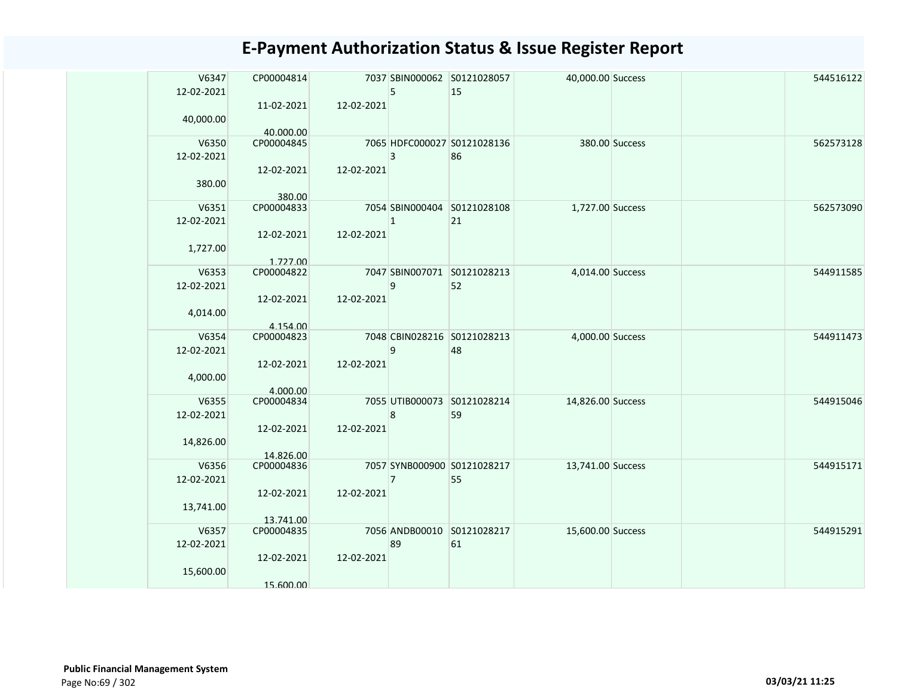| V6347      | CP00004814 |            |                | 7037 SBIN000062 S0121028057 | 40,000.00 Success |                | 544516122 |
|------------|------------|------------|----------------|-----------------------------|-------------------|----------------|-----------|
| 12-02-2021 |            |            | 5              | 15                          |                   |                |           |
|            | 11-02-2021 | 12-02-2021 |                |                             |                   |                |           |
| 40,000.00  |            |            |                |                             |                   |                |           |
|            | 40.000.00  |            |                |                             |                   |                |           |
| V6350      | CP00004845 |            |                | 7065 HDFC000027 S0121028136 |                   | 380.00 Success | 562573128 |
| 12-02-2021 |            |            | 3              | 86                          |                   |                |           |
|            | 12-02-2021 | 12-02-2021 |                |                             |                   |                |           |
| 380.00     | 380.00     |            |                |                             |                   |                |           |
| V6351      | CP00004833 |            |                | 7054 SBIN000404 S0121028108 | 1,727.00 Success  |                | 562573090 |
| 12-02-2021 |            |            | $\mathbf{1}$   | 21                          |                   |                |           |
|            | 12-02-2021 | 12-02-2021 |                |                             |                   |                |           |
| 1,727.00   |            |            |                |                             |                   |                |           |
|            | 1.727.00   |            |                |                             |                   |                |           |
| V6353      | CP00004822 |            |                | 7047 SBIN007071 S0121028213 | 4,014.00 Success  |                | 544911585 |
| 12-02-2021 |            |            | 9              | 52                          |                   |                |           |
|            | 12-02-2021 | 12-02-2021 |                |                             |                   |                |           |
| 4,014.00   | 4.154.00   |            |                |                             |                   |                |           |
| V6354      | CP00004823 |            |                | 7048 CBIN028216 S0121028213 | 4,000.00 Success  |                | 544911473 |
| 12-02-2021 |            |            | 9              | 48                          |                   |                |           |
|            | 12-02-2021 | 12-02-2021 |                |                             |                   |                |           |
| 4,000.00   |            |            |                |                             |                   |                |           |
|            | 4.000.00   |            |                |                             |                   |                |           |
| V6355      | CP00004834 |            |                | 7055 UTIB000073 S0121028214 | 14,826.00 Success |                | 544915046 |
| 12-02-2021 |            |            | 8              | 59                          |                   |                |           |
| 14,826.00  | 12-02-2021 | 12-02-2021 |                |                             |                   |                |           |
|            | 14.826.00  |            |                |                             |                   |                |           |
| V6356      | CP00004836 |            |                | 7057 SYNB000900 S0121028217 | 13,741.00 Success |                | 544915171 |
| 12-02-2021 |            |            | $\overline{7}$ | 55                          |                   |                |           |
|            | 12-02-2021 | 12-02-2021 |                |                             |                   |                |           |
| 13,741.00  |            |            |                |                             |                   |                |           |
|            | 13.741.00  |            |                |                             |                   |                |           |
| V6357      | CP00004835 |            | 89             | 7056 ANDB00010 S0121028217  | 15,600.00 Success |                | 544915291 |
| 12-02-2021 | 12-02-2021 | 12-02-2021 |                | 61                          |                   |                |           |
| 15,600.00  |            |            |                |                             |                   |                |           |
|            | 15.600.00  |            |                |                             |                   |                |           |
|            |            |            |                |                             |                   |                |           |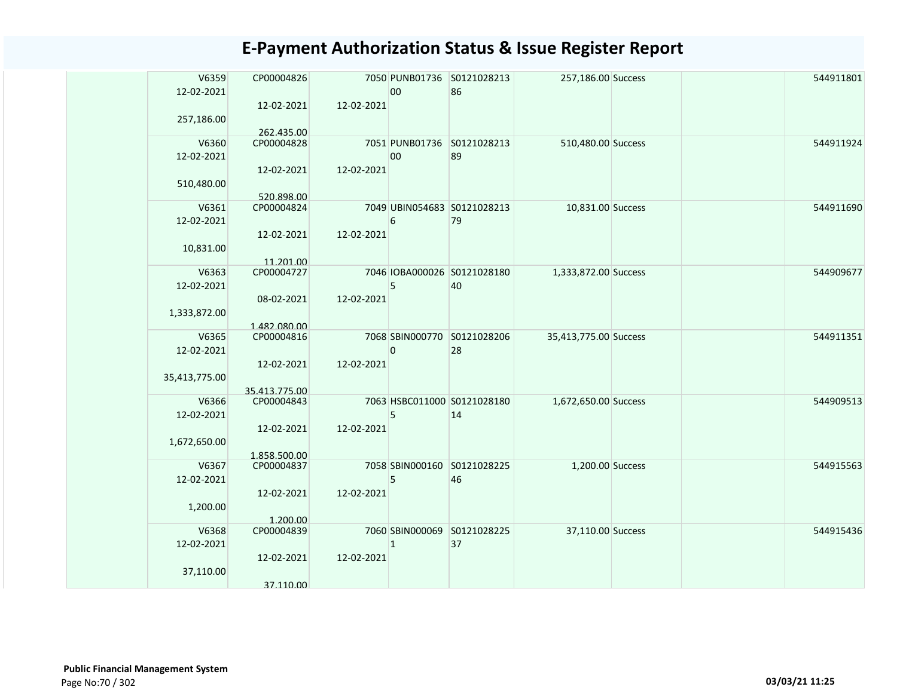| V6359               | CP00004826               |            |              | 7050 PUNB01736 S0121028213        | 257,186.00 Success    |  | 544911801 |
|---------------------|--------------------------|------------|--------------|-----------------------------------|-----------------------|--|-----------|
| 12-02-2021          |                          | 12-02-2021 | 00           | 86                                |                       |  |           |
| 257,186.00          | 12-02-2021               |            |              |                                   |                       |  |           |
|                     | 262.435.00               |            |              |                                   |                       |  |           |
| V6360               | CP00004828               |            |              | 7051 PUNB01736 S0121028213        | 510,480.00 Success    |  | 544911924 |
| 12-02-2021          |                          |            | 00           | 89                                |                       |  |           |
|                     | 12-02-2021               | 12-02-2021 |              |                                   |                       |  |           |
| 510,480.00          |                          |            |              |                                   |                       |  |           |
| V6361               | 520.898.00<br>CP00004824 |            |              | 7049 UBIN054683 S0121028213       | 10,831.00 Success     |  | 544911690 |
| 12-02-2021          |                          |            | 6            | 79                                |                       |  |           |
|                     | 12-02-2021               | 12-02-2021 |              |                                   |                       |  |           |
| 10,831.00           |                          |            |              |                                   |                       |  |           |
|                     | 11.201.00                |            |              |                                   |                       |  |           |
| V6363<br>12-02-2021 | CP00004727               |            | 5            | 7046 IOBA000026 S0121028180<br>40 | 1,333,872.00 Success  |  | 544909677 |
|                     | 08-02-2021               | 12-02-2021 |              |                                   |                       |  |           |
| 1,333,872.00        |                          |            |              |                                   |                       |  |           |
|                     | 1.482.080.00             |            |              |                                   |                       |  |           |
| V6365               | CP00004816               |            |              | 7068 SBIN000770 S0121028206       | 35,413,775.00 Success |  | 544911351 |
| 12-02-2021          |                          |            | $\pmb{0}$    | 28                                |                       |  |           |
| 35,413,775.00       | 12-02-2021               | 12-02-2021 |              |                                   |                       |  |           |
|                     | 35.413.775.00            |            |              |                                   |                       |  |           |
| V6366               | CP00004843               |            |              | 7063 HSBC011000 S0121028180       | 1,672,650.00 Success  |  | 544909513 |
| 12-02-2021          |                          |            | 5            | 14                                |                       |  |           |
|                     | 12-02-2021               | 12-02-2021 |              |                                   |                       |  |           |
| 1,672,650.00        | 1.858.500.00             |            |              |                                   |                       |  |           |
| V6367               | CP00004837               |            |              | 7058 SBIN000160 S0121028225       | 1,200.00 Success      |  | 544915563 |
| 12-02-2021          |                          |            | 5            | 46                                |                       |  |           |
|                     | 12-02-2021               | 12-02-2021 |              |                                   |                       |  |           |
| 1,200.00            |                          |            |              |                                   |                       |  |           |
| V6368               | 1.200.00<br>CP00004839   |            |              | 7060 SBIN000069 S0121028225       | 37,110.00 Success     |  | 544915436 |
| 12-02-2021          |                          |            | $\mathbf{1}$ | 37                                |                       |  |           |
|                     | 12-02-2021               | 12-02-2021 |              |                                   |                       |  |           |
| 37,110.00           |                          |            |              |                                   |                       |  |           |
|                     | 37.110.00                |            |              |                                   |                       |  |           |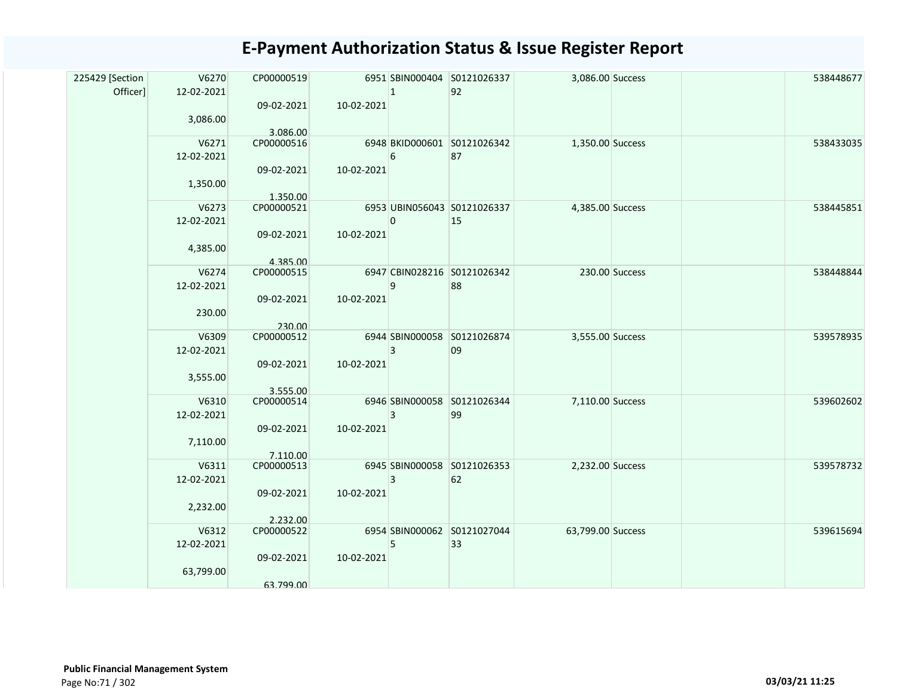| 225429 [Section<br>Officer] | V6270<br>12-02-2021<br>3,086.00  | CP00000519<br>09-02-2021                         | 10-02-2021 | $\mathbf{1}$ | 6951 SBIN000404 S0121026337<br>92 | 3,086.00 Success  |                | 538448677 |
|-----------------------------|----------------------------------|--------------------------------------------------|------------|--------------|-----------------------------------|-------------------|----------------|-----------|
|                             | V6271<br>12-02-2021<br>1,350.00  | 3.086.00<br>CP00000516<br>09-02-2021             | 10-02-2021 | 6            | 6948 BKID000601 S0121026342<br>87 | 1,350.00 Success  |                | 538433035 |
|                             | V6273<br>12-02-2021<br>4,385.00  | 1.350.00<br>CP00000521<br>09-02-2021<br>4.385.00 | 10-02-2021 | 0            | 6953 UBIN056043 S0121026337<br>15 | 4,385.00 Success  |                | 538445851 |
|                             | V6274<br>12-02-2021<br>230.00    | CP00000515<br>09-02-2021<br>230.00               | 10-02-2021 | 9            | 6947 CBIN028216 S0121026342<br>88 |                   | 230.00 Success | 538448844 |
|                             | V6309<br>12-02-2021<br>3,555.00  | CP00000512<br>09-02-2021<br>3.555.00             | 10-02-2021 | 3            | 6944 SBIN000058 S0121026874<br>09 | 3,555.00 Success  |                | 539578935 |
|                             | V6310<br>12-02-2021<br>7,110.00  | CP00000514<br>09-02-2021<br>7.110.00             | 10-02-2021 | 3            | 6946 SBIN000058 S0121026344<br>99 | 7,110.00 Success  |                | 539602602 |
|                             | V6311<br>12-02-2021<br>2,232.00  | CP00000513<br>09-02-2021<br>2.232.00             | 10-02-2021 | 3            | 6945 SBIN000058 S0121026353<br>62 | 2,232.00 Success  |                | 539578732 |
|                             | V6312<br>12-02-2021<br>63,799.00 | CP00000522<br>09-02-2021<br>63.799.00            | 10-02-2021 | 5            | 6954 SBIN000062 S0121027044<br>33 | 63,799.00 Success |                | 539615694 |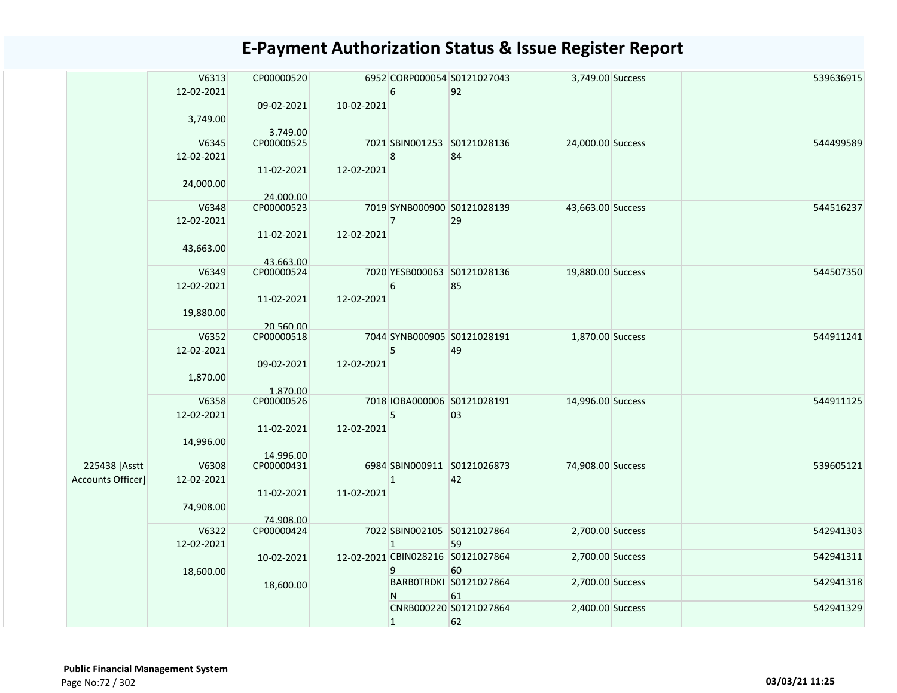|                                    | V6313<br>12-02-2021 | CP00000520<br>09-02-2021 | 10-02-2021 | 6              | 6952 CORP000054 S0121027043<br>92       | 3,749.00 Success  | 539636915 |
|------------------------------------|---------------------|--------------------------|------------|----------------|-----------------------------------------|-------------------|-----------|
|                                    | 3,749.00            | 3.749.00                 |            |                |                                         |                   |           |
|                                    | V6345<br>12-02-2021 | CP00000525               |            | 8              | 7021 SBIN001253 S0121028136<br>84       | 24,000.00 Success | 544499589 |
|                                    | 24,000.00           | 11-02-2021<br>24.000.00  | 12-02-2021 |                |                                         |                   |           |
|                                    | V6348<br>12-02-2021 | CP00000523<br>11-02-2021 | 12-02-2021 | $\overline{7}$ | 7019 SYNB000900 S0121028139<br>29       | 43,663.00 Success | 544516237 |
|                                    | 43,663.00           | 43.663.00                |            |                |                                         |                   |           |
|                                    | V6349<br>12-02-2021 | CP00000524<br>11-02-2021 | 12-02-2021 | 6              | 7020 YESB000063 S0121028136<br>85       | 19,880.00 Success | 544507350 |
|                                    | 19,880.00           | 20.560.00                |            |                |                                         |                   |           |
|                                    | V6352<br>12-02-2021 | CP00000518<br>09-02-2021 | 12-02-2021 | 5              | 7044 SYNB000905 S0121028191<br>49       | 1,870.00 Success  | 544911241 |
|                                    | 1,870.00            | 1.870.00                 |            |                |                                         |                   |           |
|                                    | V6358<br>12-02-2021 | CP00000526               |            | 5              | 7018 IOBA000006 S0121028191<br>03       | 14,996.00 Success | 544911125 |
|                                    | 14,996.00           | 11-02-2021<br>14.996.00  | 12-02-2021 |                |                                         |                   |           |
| 225438 [Asstt<br>Accounts Officer] | V6308<br>12-02-2021 | CP00000431               |            | $\mathbf{1}$   | 6984 SBIN000911 S0121026873<br>42       | 74,908.00 Success | 539605121 |
|                                    | 74,908.00           | 11-02-2021<br>74.908.00  | 11-02-2021 |                |                                         |                   |           |
|                                    | V6322<br>12-02-2021 | CP00000424               |            | $\mathbf{1}$   | 7022 SBIN002105 S0121027864<br>59       | 2,700.00 Success  | 542941303 |
|                                    | 18,600.00           | 10-02-2021               |            | 9              | 12-02-2021 CBIN028216 S0121027864<br>60 | 2,700.00 Success  | 542941311 |
|                                    |                     | 18,600.00                |            | N              | BARBOTRDKI S0121027864<br>61            | 2,700.00 Success  | 542941318 |
|                                    |                     |                          |            | $\mathbf{1}$   | CNRB000220 S0121027864<br>62            | 2,400.00 Success  | 542941329 |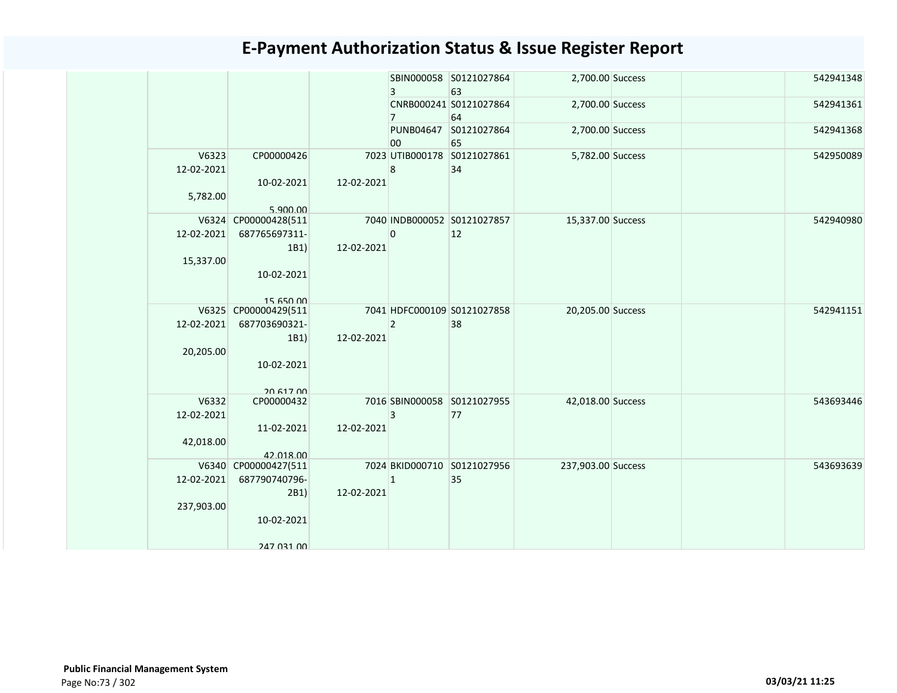|                                  |                                                                           |            | $\overline{3}$ | SBIN000058 S0121027864<br>63      | 2,700.00 Success   |  | 542941348 |
|----------------------------------|---------------------------------------------------------------------------|------------|----------------|-----------------------------------|--------------------|--|-----------|
|                                  |                                                                           |            | $\overline{7}$ | CNRB000241 S0121027864<br>64      | 2,700.00 Success   |  | 542941361 |
|                                  |                                                                           |            | 00             | PUNB04647 S0121027864<br>65       | 2,700.00 Success   |  | 542941368 |
| V6323<br>12-02-2021<br>5,782.00  | CP00000426<br>10-02-2021<br>5.900.00                                      | 12-02-2021 | 8              | 7023 UTIB000178 S0121027861<br>34 | 5,782.00 Success   |  | 542950089 |
| 12-02-2021<br>15,337.00          | V6324 CP00000428(511<br>687765697311-<br>1B1)<br>10-02-2021<br>15 650 00  | 12-02-2021 | $\mathbf{0}$   | 7040 INDB000052 S0121027857<br>12 | 15,337.00 Success  |  | 542940980 |
| 12-02-2021<br>20,205.00          | V6325 CP00000429(511<br>687703690321-<br>1B1)<br>10-02-2021               | 12-02-2021 | $\overline{2}$ | 7041 HDFC000109 S0121027858<br>38 | 20,205.00 Success  |  | 542941151 |
| V6332<br>12-02-2021<br>42,018.00 | 20.617.00<br>CP00000432<br>11-02-2021<br>42.018.00                        | 12-02-2021 | $\overline{3}$ | 7016 SBIN000058 S0121027955<br>77 | 42,018.00 Success  |  | 543693446 |
| 12-02-2021<br>237,903.00         | V6340 CP00000427(511<br>687790740796-<br>2B1)<br>10-02-2021<br>247 031 00 | 12-02-2021 | $\mathbf{1}$   | 7024 BKID000710 S0121027956<br>35 | 237,903.00 Success |  | 543693639 |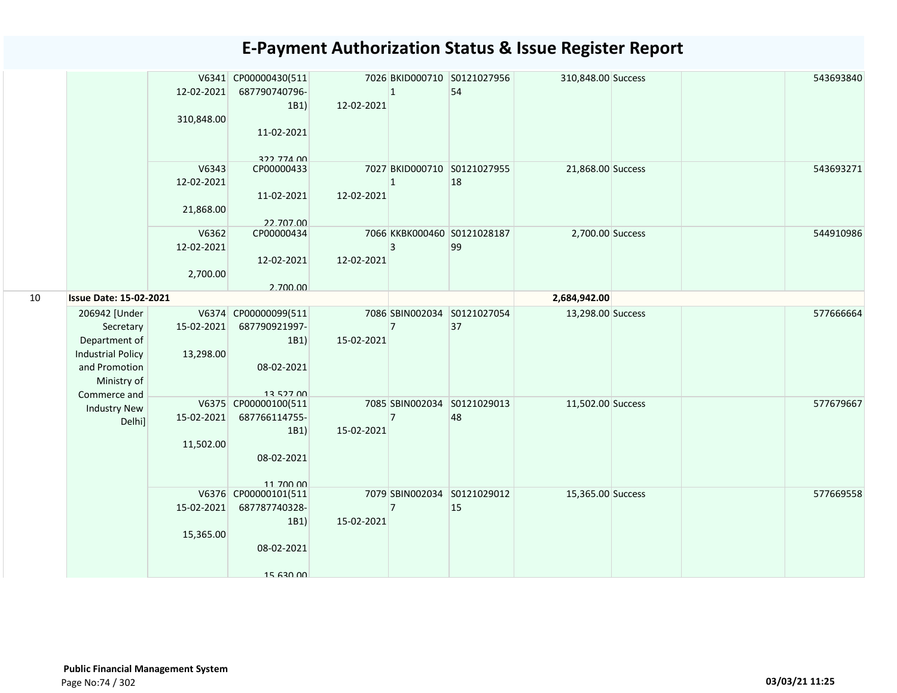|    |                                                                                                                         | 12-02-2021<br>310,848.00         | V6341 CP00000430(511<br>687790740796-<br>1B1)<br>11-02-2021              | 12-02-2021 | $\vert$ 1      | 7026 BKID000710 S0121027956<br>54 | 310,848.00 Success |  | 543693840 |
|----|-------------------------------------------------------------------------------------------------------------------------|----------------------------------|--------------------------------------------------------------------------|------------|----------------|-----------------------------------|--------------------|--|-----------|
|    |                                                                                                                         | V6343<br>12-02-2021<br>21,868.00 | 222 774 00<br>CP00000433<br>11-02-2021<br>22.707.00                      | 12-02-2021 | $\mathbf{1}$   | 7027 BKID000710 S0121027955<br>18 | 21,868.00 Success  |  | 543693271 |
|    |                                                                                                                         | V6362<br>12-02-2021<br>2,700.00  | CP00000434<br>12-02-2021<br>2.700.00                                     | 12-02-2021 | 3              | 7066 KKBK000460 S0121028187<br>99 | 2,700.00 Success   |  | 544910986 |
| 10 | <b>Issue Date: 15-02-2021</b>                                                                                           |                                  |                                                                          |            |                |                                   | 2,684,942.00       |  |           |
|    | 206942 [Under<br>Secretary<br>Department of<br><b>Industrial Policy</b><br>and Promotion<br>Ministry of<br>Commerce and | 15-02-2021<br>13,298.00          | V6374 CP00000099(511<br>687790921997-<br>1B1)<br>08-02-2021<br>13 527 00 | 15-02-2021 | $\overline{7}$ | 7086 SBIN002034 S0121027054<br>37 | 13,298.00 Success  |  | 577666664 |
|    | <b>Industry New</b><br>Delhi]                                                                                           | 15-02-2021<br>11,502.00          | V6375 CP00000100(511<br>687766114755-<br>1B1)<br>08-02-2021<br>11 700 00 | 15-02-2021 | $\overline{7}$ | 7085 SBIN002034 S0121029013<br>48 | 11,502.00 Success  |  | 577679667 |
|    |                                                                                                                         | 15-02-2021<br>15,365.00          | V6376 CP00000101(511<br>687787740328-<br>1B1)<br>08-02-2021<br>15 630 00 | 15-02-2021 | $\overline{7}$ | 7079 SBIN002034 S0121029012<br>15 | 15,365.00 Success  |  | 577669558 |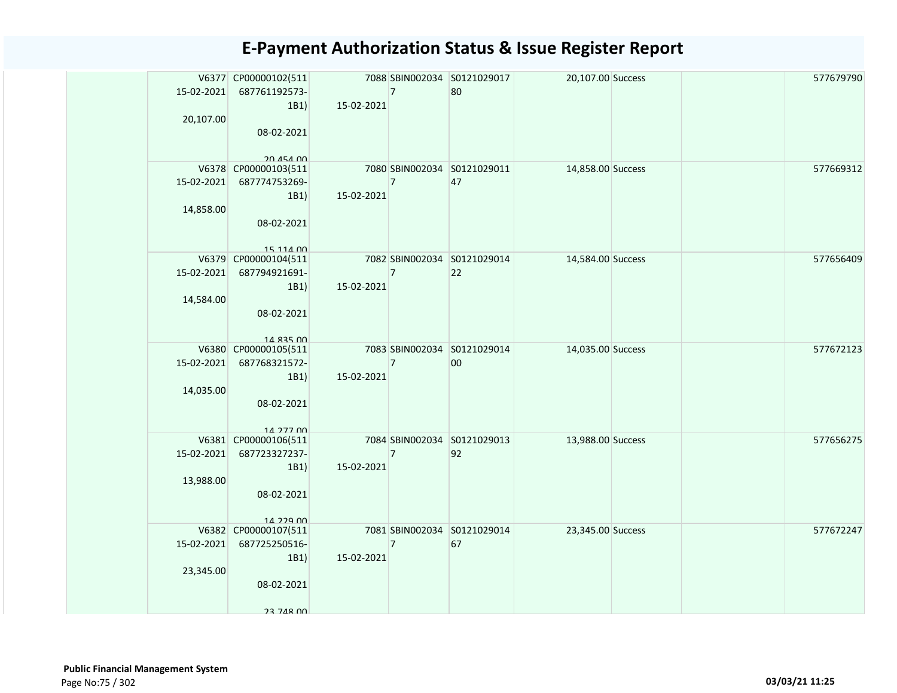| 20,107.00  | V6377 CP00000102(511<br>15-02-2021 687761192573-<br>1B1) | 15-02-2021 | $\overline{7}$ | 7088 SBIN002034 S0121029017<br>80 | 20,107.00 Success |  | 577679790 |
|------------|----------------------------------------------------------|------------|----------------|-----------------------------------|-------------------|--|-----------|
|            | 08-02-2021<br>20 454 00                                  |            |                |                                   |                   |  |           |
|            | V6378 CP00000103(511                                     |            |                | 7080 SBIN002034 S0121029011       | 14,858.00 Success |  | 577669312 |
|            | 15-02-2021 687774753269-<br>1B1)                         | 15-02-2021 | $\overline{7}$ | 47                                |                   |  |           |
| 14,858.00  |                                                          |            |                |                                   |                   |  |           |
|            | 08-02-2021                                               |            |                |                                   |                   |  |           |
|            | 15 114 00<br>V6379 CP00000104(511                        |            |                | 7082 SBIN002034 S0121029014       | 14,584.00 Success |  | 577656409 |
|            | 15-02-2021 687794921691-                                 |            | $\overline{7}$ | 22                                |                   |  |           |
|            | 1B1)                                                     | 15-02-2021 |                |                                   |                   |  |           |
| 14,584.00  | 08-02-2021                                               |            |                |                                   |                   |  |           |
|            |                                                          |            |                |                                   |                   |  |           |
|            | 14 835 00<br>V6380 CP00000105(511                        |            |                | 7083 SBIN002034 S0121029014       | 14,035.00 Success |  | 577672123 |
| 15-02-2021 | 687768321572-                                            |            | $\overline{7}$ | 00                                |                   |  |           |
|            | 1B1)                                                     | 15-02-2021 |                |                                   |                   |  |           |
| 14,035.00  |                                                          |            |                |                                   |                   |  |           |
|            | 08-02-2021                                               |            |                |                                   |                   |  |           |
|            | 14 277 00                                                |            |                |                                   |                   |  |           |
| 15-02-2021 | V6381 CP00000106(511<br>687723327237-                    |            | $\overline{7}$ | 7084 SBIN002034 S0121029013<br>92 | 13,988.00 Success |  | 577656275 |
|            | 1B1)                                                     | 15-02-2021 |                |                                   |                   |  |           |
| 13,988.00  |                                                          |            |                |                                   |                   |  |           |
|            | 08-02-2021                                               |            |                |                                   |                   |  |           |
|            | 14 229 00                                                |            |                |                                   |                   |  |           |
|            | V6382 CP00000107(511                                     |            |                | 7081 SBIN002034 S0121029014       | 23,345.00 Success |  | 577672247 |
|            | 15-02-2021 687725250516-                                 | 15-02-2021 | $\overline{7}$ | 67                                |                   |  |           |
| 23,345.00  | 1B1)                                                     |            |                |                                   |                   |  |           |
|            | 08-02-2021                                               |            |                |                                   |                   |  |           |
|            |                                                          |            |                |                                   |                   |  |           |
|            | 23 748 00                                                |            |                |                                   |                   |  |           |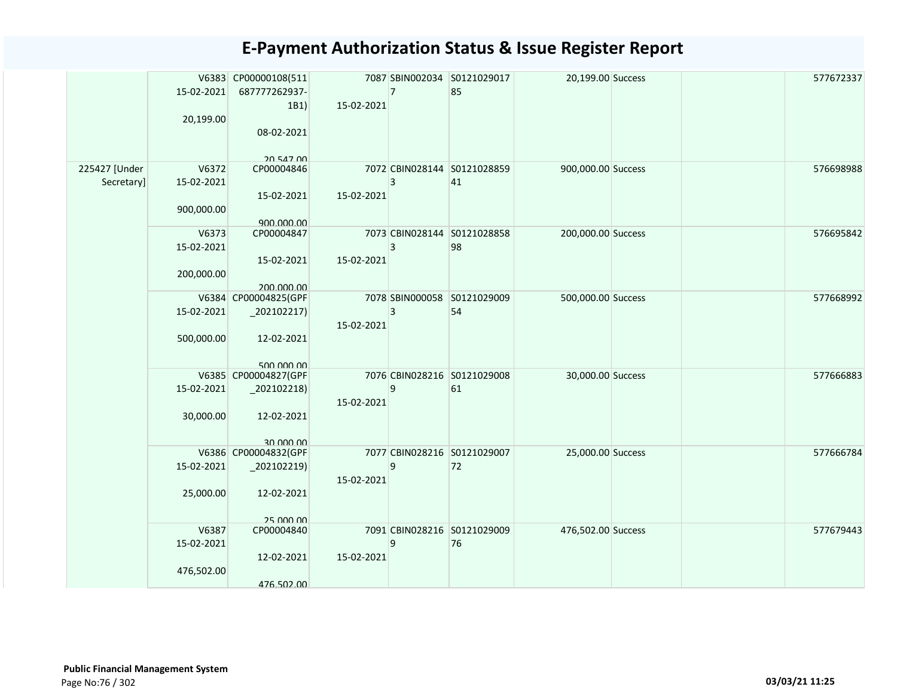|               | 15-02-2021<br>20,199.00 | V6383 CP00000108(511<br>687777262937-<br>1B1)<br>08-02-2021 | 15-02-2021 | $\overline{7}$ | 7087 SBIN002034 S0121029017<br>85 | 20,199.00 Success  |  | 577672337 |
|---------------|-------------------------|-------------------------------------------------------------|------------|----------------|-----------------------------------|--------------------|--|-----------|
| 225427 [Under | V6372                   | 20 547 00<br>CP00004846                                     |            |                | 7072 CBIN028144 S0121028859       | 900,000.00 Success |  | 576698988 |
| Secretary]    | 15-02-2021              |                                                             |            | 3              | 41                                |                    |  |           |
|               | 900,000.00              | 15-02-2021<br>900.000.00                                    | 15-02-2021 |                |                                   |                    |  |           |
|               | V6373                   | CP00004847                                                  |            |                | 7073 CBIN028144 S0121028858       | 200,000.00 Success |  | 576695842 |
|               | 15-02-2021              |                                                             |            | 3              | 98                                |                    |  |           |
|               | 200,000.00              | 15-02-2021                                                  | 15-02-2021 |                |                                   |                    |  |           |
|               |                         | 200.000.00<br>V6384 CP00004825(GPF                          |            |                | 7078 SBIN000058 S0121029009       | 500,000.00 Success |  | 577668992 |
|               | 15-02-2021              | $_2$ 202102217)                                             | 15-02-2021 | 3              | 54                                |                    |  |           |
|               | 500,000.00              | 12-02-2021                                                  |            |                |                                   |                    |  |           |
|               |                         | 500,000,00<br>V6385 CP00004827(GPF                          |            |                | 7076 CBIN028216 S0121029008       | 30,000.00 Success  |  | 577666883 |
|               | 15-02-2021              | $_2$ 02102218)                                              |            | 9              | 61                                |                    |  |           |
|               | 30,000.00               | 12-02-2021                                                  | 15-02-2021 |                |                                   |                    |  |           |
|               |                         |                                                             |            |                |                                   |                    |  |           |
|               |                         | 30,000,00<br>V6386 CP00004832(GPF                           |            |                | 7077 CBIN028216 S0121029007       | 25,000.00 Success  |  | 577666784 |
|               | 15-02-2021              | $_2$ 02102219)                                              |            | 9              | 72                                |                    |  |           |
|               |                         |                                                             | 15-02-2021 |                |                                   |                    |  |           |
|               | 25,000.00               | 12-02-2021                                                  |            |                |                                   |                    |  |           |
|               |                         | 25,000,00                                                   |            |                |                                   |                    |  |           |
|               | V6387                   | CP00004840                                                  |            |                | 7091 CBIN028216 S0121029009       | 476,502.00 Success |  | 577679443 |
|               | 15-02-2021              |                                                             |            | 9              | 76                                |                    |  |           |
|               | 476,502.00              | 12-02-2021                                                  | 15-02-2021 |                |                                   |                    |  |           |
|               |                         | 476.502.00                                                  |            |                |                                   |                    |  |           |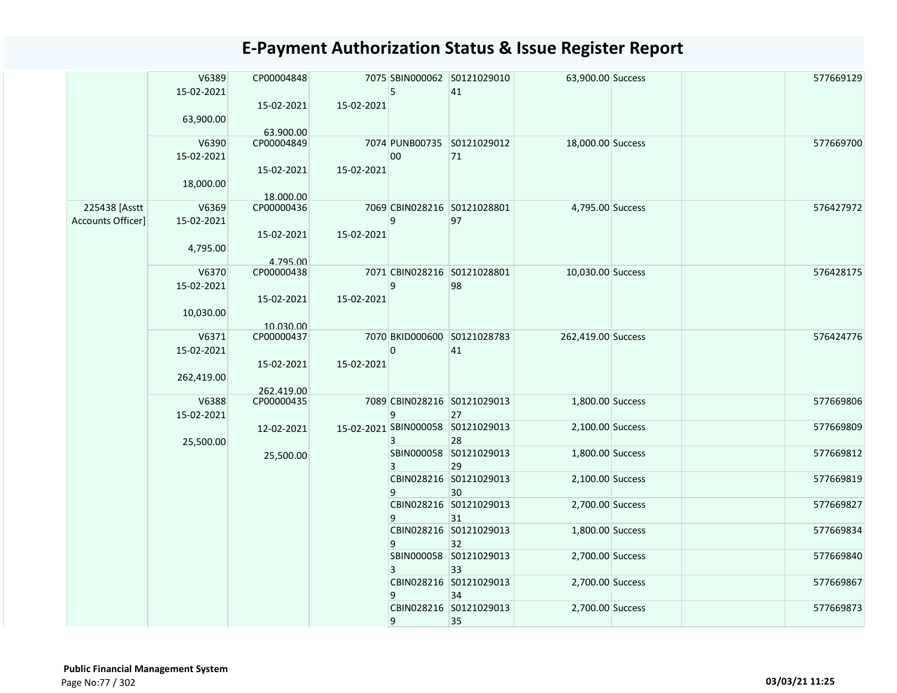|                   | V6389               | CP00004848              |            |              | 7075 SBIN000062 S0121029010       | 63,900.00 Success  | 577669129 |
|-------------------|---------------------|-------------------------|------------|--------------|-----------------------------------|--------------------|-----------|
|                   | 15-02-2021          | 15-02-2021              | 15-02-2021 | 5            | 41                                |                    |           |
|                   | 63,900.00           |                         |            |              |                                   |                    |           |
|                   | V6390               | 63.900.00<br>CP00004849 |            |              | 7074 PUNB00735 S0121029012        | 18,000.00 Success  | 577669700 |
|                   | 15-02-2021          |                         |            | 00           | 71                                |                    |           |
|                   |                     | 15-02-2021              | 15-02-2021 |              |                                   |                    |           |
|                   | 18,000.00           |                         |            |              |                                   |                    |           |
| 225438 [Asstt     | V6369               | 18.000.00<br>CP00000436 |            |              | 7069 CBIN028216 S0121028801       | 4,795.00 Success   | 576427972 |
| Accounts Officer] | 15-02-2021          |                         |            | 9            | 97                                |                    |           |
|                   |                     | 15-02-2021              | 15-02-2021 |              |                                   |                    |           |
|                   | 4,795.00            | 4.795.00                |            |              |                                   |                    |           |
|                   | V6370               | CP00000438              |            |              | 7071 CBIN028216 S0121028801       | 10,030.00 Success  | 576428175 |
|                   | 15-02-2021          |                         |            | 9            | 98                                |                    |           |
|                   | 10,030.00           | 15-02-2021              | 15-02-2021 |              |                                   |                    |           |
|                   |                     | 10.030.00               |            |              |                                   |                    |           |
|                   | V6371               | CP00000437              |            |              | 7070 BKID000600 S0121028783       | 262,419.00 Success | 576424776 |
|                   | 15-02-2021          | 15-02-2021              | 15-02-2021 | $\mathbf{0}$ | 41                                |                    |           |
|                   | 262,419.00          |                         |            |              |                                   |                    |           |
|                   |                     | 262.419.00              |            |              |                                   |                    |           |
|                   | V6388<br>15-02-2021 | CP00000435              |            | 9            | 7089 CBIN028216 S0121029013<br>27 | 1,800.00 Success   | 577669806 |
|                   |                     | 12-02-2021              |            |              | 15-02-2021 SBIN000058 S0121029013 | 2,100.00 Success   | 577669809 |
|                   | 25,500.00           |                         |            | 3            | 28                                |                    |           |
|                   |                     | 25,500.00               |            | 3            | SBIN000058 S0121029013<br>29      | 1,800.00 Success   | 577669812 |
|                   |                     |                         |            |              | CBIN028216 S0121029013            | 2,100.00 Success   | 577669819 |
|                   |                     |                         |            | 9            | 30                                |                    |           |
|                   |                     |                         |            | 9            | CBIN028216 S0121029013<br>31      | 2,700.00 Success   | 577669827 |
|                   |                     |                         |            |              | CBIN028216 S0121029013            | 1,800.00 Success   | 577669834 |
|                   |                     |                         |            | 9            | 32                                |                    |           |
|                   |                     |                         |            | 3            | SBIN000058 S0121029013<br>33      | 2,700.00 Success   | 577669840 |
|                   |                     |                         |            |              | CBIN028216 S0121029013            | 2,700.00 Success   | 577669867 |
|                   |                     |                         |            | 9            | 34                                |                    |           |
|                   |                     |                         |            | 9            | CBIN028216 S0121029013<br>35      | 2,700.00 Success   | 577669873 |
|                   |                     |                         |            |              |                                   |                    |           |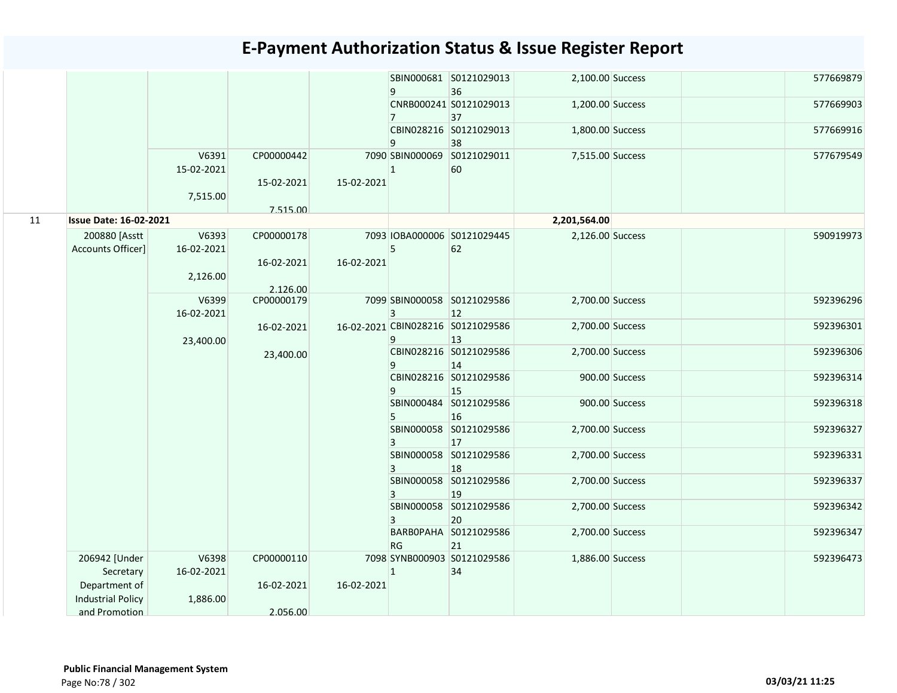|    |                               |            |            |            | 9              | SBIN000681 S0121029013<br>36      | 2,100.00 Success |                | 577669879 |
|----|-------------------------------|------------|------------|------------|----------------|-----------------------------------|------------------|----------------|-----------|
|    |                               |            |            |            |                | CNRB000241 S0121029013            | 1,200.00 Success |                | 577669903 |
|    |                               |            |            |            | $\overline{7}$ | 37<br>CBIN028216 S0121029013      |                  |                | 577669916 |
|    |                               |            |            |            | 9              | 38                                | 1,800.00 Success |                |           |
|    |                               | V6391      | CP00000442 |            |                | 7090 SBIN000069 S0121029011       | 7,515.00 Success |                | 577679549 |
|    |                               | 15-02-2021 |            |            | $\mathbf{1}$   | 60                                |                  |                |           |
|    |                               |            | 15-02-2021 | 15-02-2021 |                |                                   |                  |                |           |
|    |                               | 7,515.00   |            |            |                |                                   |                  |                |           |
|    |                               |            | 7.515.00   |            |                |                                   |                  |                |           |
| 11 | <b>Issue Date: 16-02-2021</b> |            |            |            |                |                                   | 2,201,564.00     |                |           |
|    | 200880 [Asstt                 | V6393      | CP00000178 |            |                | 7093 IOBA000006 S0121029445       | 2,126.00 Success |                | 590919973 |
|    | Accounts Officer]             | 16-02-2021 | 16-02-2021 | 16-02-2021 | 5              | 62                                |                  |                |           |
|    |                               | 2,126.00   |            |            |                |                                   |                  |                |           |
|    |                               |            | 2.126.00   |            |                |                                   |                  |                |           |
|    |                               | V6399      | CP00000179 |            |                | 7099 SBIN000058 S0121029586       | 2,700.00 Success |                | 592396296 |
|    |                               | 16-02-2021 |            |            | 3              | 12                                |                  |                |           |
|    |                               |            | 16-02-2021 |            |                | 16-02-2021 CBIN028216 S0121029586 | 2,700.00 Success |                | 592396301 |
|    |                               | 23,400.00  |            |            | 9              | 13<br>CBIN028216 S0121029586      | 2,700.00 Success |                | 592396306 |
|    |                               |            | 23,400.00  |            | 9              | 14                                |                  |                |           |
|    |                               |            |            |            |                | CBIN028216 S0121029586            |                  | 900.00 Success | 592396314 |
|    |                               |            |            |            | 9              | 15                                |                  |                |           |
|    |                               |            |            |            |                | SBIN000484 S0121029586            |                  | 900.00 Success | 592396318 |
|    |                               |            |            |            | 5              | 16                                |                  |                | 592396327 |
|    |                               |            |            |            |                | SBIN000058 S0121029586<br>17      | 2,700.00 Success |                |           |
|    |                               |            |            |            |                | SBIN000058 S0121029586            | 2,700.00 Success |                | 592396331 |
|    |                               |            |            |            | 3              | 18                                |                  |                |           |
|    |                               |            |            |            |                | SBIN000058 S0121029586            | 2,700.00 Success |                | 592396337 |
|    |                               |            |            |            | 3              | 19                                |                  |                |           |
|    |                               |            |            |            |                | SBIN000058 S0121029586            | 2,700.00 Success |                | 592396342 |
|    |                               |            |            |            |                | 20<br>BARBOPAHA S0121029586       | 2,700.00 Success |                | 592396347 |
|    |                               |            |            |            | RG             | 21                                |                  |                |           |
|    | 206942 [Under                 | V6398      | CP00000110 |            |                | 7098 SYNB000903 S0121029586       | 1,886.00 Success |                | 592396473 |
|    | Secretary                     | 16-02-2021 |            |            | $\mathbf{1}$   | 34                                |                  |                |           |
|    | Department of                 |            | 16-02-2021 | 16-02-2021 |                |                                   |                  |                |           |
|    | <b>Industrial Policy</b>      | 1,886.00   |            |            |                |                                   |                  |                |           |
|    | and Promotion                 |            | 2.056.00   |            |                |                                   |                  |                |           |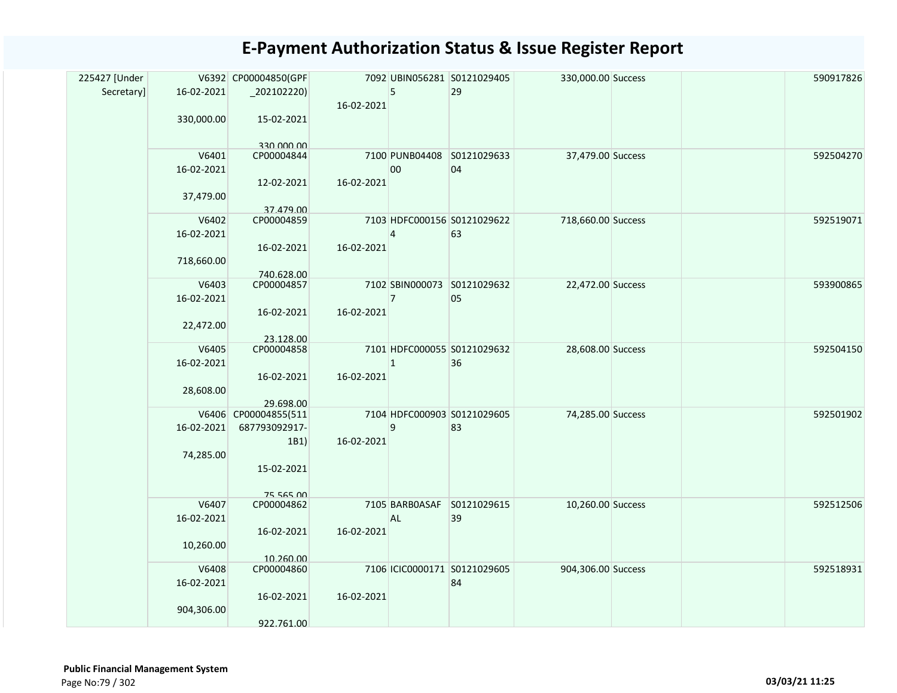| 225427 [Under |                     | V6392 CP00004850(GPF    |            |                | 7092 UBIN056281 S0121029405  | 330,000.00 Success |  | 590917826 |
|---------------|---------------------|-------------------------|------------|----------------|------------------------------|--------------------|--|-----------|
| Secretary]    | 16-02-2021          | $_2$ 02102220)          |            | 5              | 29                           |                    |  |           |
|               |                     |                         | 16-02-2021 |                |                              |                    |  |           |
|               | 330,000.00          | 15-02-2021              |            |                |                              |                    |  |           |
|               |                     |                         |            |                |                              |                    |  |           |
|               |                     | an uuu utt              |            |                |                              |                    |  |           |
|               | V6401               | CP00004844              |            | 7100 PUNB04408 | S0121029633                  | 37,479.00 Success  |  | 592504270 |
|               | 16-02-2021          |                         |            | $00\,$         | 04                           |                    |  |           |
|               |                     | 12-02-2021              | 16-02-2021 |                |                              |                    |  |           |
|               | 37,479.00           |                         |            |                |                              |                    |  |           |
|               |                     | 37.479.00               |            |                |                              |                    |  |           |
|               | V6402               | CP00004859              |            |                | 7103 HDFC000156 S0121029622  | 718,660.00 Success |  | 592519071 |
|               | 16-02-2021          |                         |            | 4              | 63                           |                    |  |           |
|               |                     | 16-02-2021              | 16-02-2021 |                |                              |                    |  |           |
|               | 718,660.00          |                         |            |                |                              |                    |  |           |
|               |                     | 740.628.00              |            |                | 7102 SBIN000073 S0121029632  |                    |  | 593900865 |
|               | V6403<br>16-02-2021 | CP00004857              |            | $\overline{7}$ | 05                           | 22,472.00 Success  |  |           |
|               |                     |                         |            |                |                              |                    |  |           |
|               |                     | 16-02-2021              | 16-02-2021 |                |                              |                    |  |           |
|               | 22,472.00           |                         |            |                |                              |                    |  |           |
|               | V6405               | 23.128.00<br>CP00004858 |            |                | 7101 HDFC000055 S0121029632  | 28,608.00 Success  |  | 592504150 |
|               | 16-02-2021          |                         |            | $\mathbf{1}$   | 36                           |                    |  |           |
|               |                     | 16-02-2021              | 16-02-2021 |                |                              |                    |  |           |
|               | 28,608.00           |                         |            |                |                              |                    |  |           |
|               |                     | 29.698.00               |            |                |                              |                    |  |           |
|               |                     | V6406 CP00004855(511    |            |                | 7104 HDFC000903 S0121029605  | 74,285.00 Success  |  | 592501902 |
|               | 16-02-2021          | 687793092917-           |            | 9              | 83                           |                    |  |           |
|               |                     | 1B1)                    | 16-02-2021 |                |                              |                    |  |           |
|               | 74,285.00           |                         |            |                |                              |                    |  |           |
|               |                     | 15-02-2021              |            |                |                              |                    |  |           |
|               |                     |                         |            |                |                              |                    |  |           |
|               |                     | 75 565 00               |            |                |                              |                    |  |           |
|               | V6407               | CP00004862              |            |                | 7105 BARBOASAF S0121029615   | 10,260.00 Success  |  | 592512506 |
|               | 16-02-2021          |                         |            | <b>AL</b>      | 39                           |                    |  |           |
|               |                     | 16-02-2021              | 16-02-2021 |                |                              |                    |  |           |
|               | 10,260.00           |                         |            |                |                              |                    |  |           |
|               |                     | 10.260.00               |            |                |                              |                    |  |           |
|               | V6408               | CP00004860              |            |                | 7106 ICIC0000171 S0121029605 | 904,306.00 Success |  | 592518931 |
|               | 16-02-2021          |                         |            |                | 84                           |                    |  |           |
|               |                     | 16-02-2021              | 16-02-2021 |                |                              |                    |  |           |
|               | 904,306.00          |                         |            |                |                              |                    |  |           |
|               |                     | 922.761.00              |            |                |                              |                    |  |           |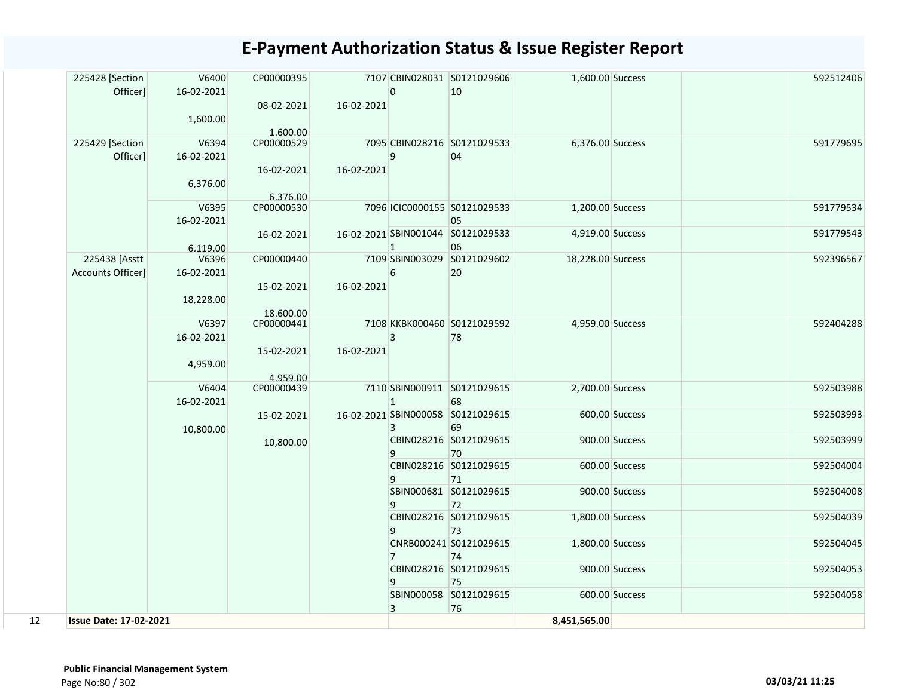| 225428 [Section               | V6400      | CP00000395              |            |                | 7107 CBIN028031 S0121029606       | 1,600.00 Success  |                | 592512406 |
|-------------------------------|------------|-------------------------|------------|----------------|-----------------------------------|-------------------|----------------|-----------|
| Officer]                      | 16-02-2021 |                         |            | 0              | 10                                |                   |                |           |
|                               |            | 08-02-2021              | 16-02-2021 |                |                                   |                   |                |           |
|                               | 1,600.00   |                         |            |                |                                   |                   |                |           |
| 225429 [Section               | V6394      | 1.600.00<br>CP00000529  |            |                | 7095 CBIN028216 S0121029533       | 6,376.00 Success  |                | 591779695 |
| Officer]                      | 16-02-2021 |                         |            | 9              | 04                                |                   |                |           |
|                               |            | 16-02-2021              | 16-02-2021 |                |                                   |                   |                |           |
|                               | 6,376.00   |                         |            |                |                                   |                   |                |           |
|                               |            | 6.376.00                |            |                |                                   |                   |                |           |
|                               | V6395      | CP00000530              |            |                | 7096 ICIC0000155 S0121029533      | 1,200.00 Success  |                | 591779534 |
|                               | 16-02-2021 |                         |            |                | 05                                |                   |                |           |
|                               |            | 16-02-2021              |            |                | 16-02-2021 SBIN001044 S0121029533 | 4,919.00 Success  |                | 591779543 |
|                               | 6.119.00   |                         |            | $\mathbf{1}$   | 06                                |                   |                |           |
| 225438 [Asstt                 | V6396      | CP00000440              |            |                | 7109 SBIN003029 S0121029602       | 18,228.00 Success |                | 592396567 |
| Accounts Officer]             | 16-02-2021 |                         |            | 6              | 20                                |                   |                |           |
|                               |            | 15-02-2021              | 16-02-2021 |                |                                   |                   |                |           |
|                               | 18,228.00  |                         |            |                |                                   |                   |                |           |
|                               | V6397      | 18.600.00<br>CP00000441 |            |                | 7108 KKBK000460 S0121029592       | 4,959.00 Success  |                | 592404288 |
|                               | 16-02-2021 |                         |            | 3              | 78                                |                   |                |           |
|                               |            | 15-02-2021              | 16-02-2021 |                |                                   |                   |                |           |
|                               | 4,959.00   |                         |            |                |                                   |                   |                |           |
|                               |            | 4.959.00                |            |                |                                   |                   |                |           |
|                               | V6404      | CP00000439              |            |                | 7110 SBIN000911 S0121029615       | 2,700.00 Success  |                | 592503988 |
|                               | 16-02-2021 |                         |            | $\mathbf{1}$   | 68                                |                   |                |           |
|                               |            | 15-02-2021              |            |                | 16-02-2021 SBIN000058 S0121029615 |                   | 600.00 Success | 592503993 |
|                               | 10,800.00  |                         |            | 3              | 69                                |                   |                |           |
|                               |            | 10,800.00               |            |                | CBIN028216 S0121029615            |                   | 900.00 Success | 592503999 |
|                               |            |                         |            | 9              | 70<br>CBIN028216 S0121029615      |                   | 600.00 Success | 592504004 |
|                               |            |                         |            | 9              | 71                                |                   |                |           |
|                               |            |                         |            |                | SBIN000681 S0121029615            |                   | 900.00 Success | 592504008 |
|                               |            |                         |            | 9              | 72                                |                   |                |           |
|                               |            |                         |            |                | CBIN028216 S0121029615            | 1,800.00 Success  |                | 592504039 |
|                               |            |                         |            | 9              | 73                                |                   |                |           |
|                               |            |                         |            |                | CNRB000241 S0121029615            | 1,800.00 Success  |                | 592504045 |
|                               |            |                         |            | $\overline{7}$ | 74                                |                   |                |           |
|                               |            |                         |            |                | CBIN028216 S0121029615            |                   | 900.00 Success | 592504053 |
|                               |            |                         |            | 9              | 75                                |                   |                |           |
|                               |            |                         |            |                | SBIN000058 S0121029615            |                   | 600.00 Success | 592504058 |
| 12                            |            |                         |            | 3              | 76                                | 8,451,565.00      |                |           |
| <b>Issue Date: 17-02-2021</b> |            |                         |            |                |                                   |                   |                |           |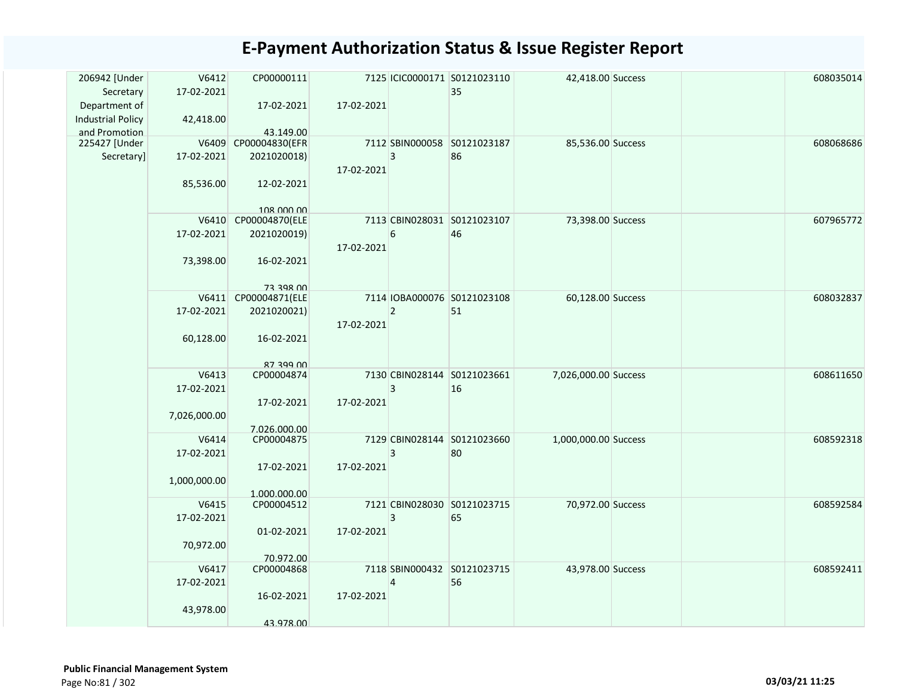| 206942 [Under<br>Secretary<br>Department of | V6412<br>17-02-2021 | CP00000111<br>17-02-2021          | 17-02-2021 |                | 7125 ICIC0000171 S0121023110<br>35 | 42,418.00 Success    |  | 608035014 |
|---------------------------------------------|---------------------|-----------------------------------|------------|----------------|------------------------------------|----------------------|--|-----------|
| <b>Industrial Policy</b><br>and Promotion   | 42,418.00           | 43.149.00                         |            |                |                                    |                      |  |           |
| 225427 [Under                               |                     | V6409 CP00004830(EFR              |            |                | 7112 SBIN000058 S0121023187        | 85,536.00 Success    |  | 608068686 |
| Secretary]                                  | 17-02-2021          | 2021020018)                       |            | $\overline{3}$ | 86                                 |                      |  |           |
|                                             | 85,536.00           | 12-02-2021<br>108 000 00          | 17-02-2021 |                |                                    |                      |  |           |
|                                             |                     | V6410 CP00004870(ELE              |            |                | 7113 CBIN028031 S0121023107        | 73,398.00 Success    |  | 607965772 |
|                                             | 17-02-2021          | 2021020019)                       | 17-02-2021 | 6              | 46                                 |                      |  |           |
|                                             | 73,398.00           | 16-02-2021                        |            |                |                                    |                      |  |           |
|                                             |                     | 73 398 00<br>V6411 CP00004871(ELE |            |                | 7114 IOBA000076 S0121023108        | 60,128.00 Success    |  | 608032837 |
|                                             | 17-02-2021          | 2021020021)                       |            | $\overline{2}$ | 51                                 |                      |  |           |
|                                             | 60,128.00           | 16-02-2021                        | 17-02-2021 |                |                                    |                      |  |           |
|                                             |                     | 87 399 00                         |            |                |                                    |                      |  |           |
|                                             | V6413               | CP00004874                        |            |                | 7130 CBIN028144 S0121023661        | 7,026,000.00 Success |  | 608611650 |
|                                             | 17-02-2021          |                                   |            | 3              | 16                                 |                      |  |           |
|                                             |                     | 17-02-2021                        | 17-02-2021 |                |                                    |                      |  |           |
|                                             | 7,026,000.00        | 7.026.000.00                      |            |                |                                    |                      |  |           |
|                                             | V6414<br>17-02-2021 | CP00004875                        |            | 3              | 7129 CBIN028144 S0121023660<br>80  | 1,000,000.00 Success |  | 608592318 |
|                                             |                     | 17-02-2021                        | 17-02-2021 |                |                                    |                      |  |           |
|                                             | 1,000,000.00        |                                   |            |                |                                    |                      |  |           |
|                                             |                     | 1.000.000.00                      |            |                |                                    |                      |  |           |
|                                             | V6415               | CP00004512                        |            |                | 7121 CBIN028030 S0121023715        | 70,972.00 Success    |  | 608592584 |
|                                             | 17-02-2021          |                                   |            | $\overline{3}$ | 65                                 |                      |  |           |
|                                             |                     | 01-02-2021                        | 17-02-2021 |                |                                    |                      |  |           |
|                                             | 70,972.00           | 70.972.00                         |            |                |                                    |                      |  |           |
|                                             | V6417               | CP00004868                        |            |                | 7118 SBIN000432 S0121023715        | 43,978.00 Success    |  | 608592411 |
|                                             | 17-02-2021          |                                   |            | 4              | 56                                 |                      |  |           |
|                                             |                     | 16-02-2021                        | 17-02-2021 |                |                                    |                      |  |           |
|                                             | 43,978.00           |                                   |            |                |                                    |                      |  |           |
|                                             |                     | 43.978.00                         |            |                |                                    |                      |  |           |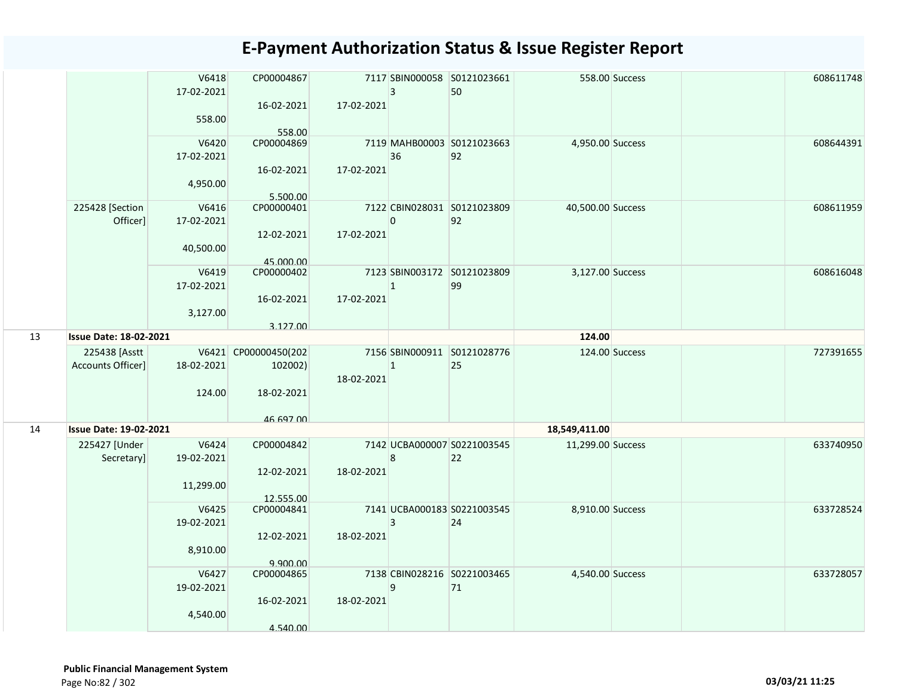|    |                                    | V6418<br>17-02-2021<br>558.00    | CP00004867<br>16-02-2021<br>558.00            | 17-02-2021 | $\overline{3}$ | 7117 SBIN000058 S0121023661<br>50 |                   | 558.00 Success | 608611748 |
|----|------------------------------------|----------------------------------|-----------------------------------------------|------------|----------------|-----------------------------------|-------------------|----------------|-----------|
|    |                                    | V6420<br>17-02-2021<br>4,950.00  | CP00004869<br>16-02-2021<br>5.500.00          | 17-02-2021 | 36             | 7119 MAHB00003 S0121023663<br>92  | 4,950.00 Success  |                | 608644391 |
|    | 225428 [Section<br>Officer]        | V6416<br>17-02-2021<br>40,500.00 | CP00000401<br>12-02-2021<br>45.000.00         | 17-02-2021 | $\overline{0}$ | 7122 CBIN028031 S0121023809<br>92 | 40,500.00 Success |                | 608611959 |
|    |                                    | V6419<br>17-02-2021<br>3,127.00  | CP00000402<br>16-02-2021<br>3.127.00          | 17-02-2021 | $\mathbf{1}$   | 7123 SBIN003172 S0121023809<br>99 | 3,127.00 Success  |                | 608616048 |
| 13 | <b>Issue Date: 18-02-2021</b>      |                                  |                                               |            |                |                                   | 124.00            |                |           |
|    | 225438 [Asstt<br>Accounts Officer] | 18-02-2021<br>124.00             | V6421 CP00000450(202<br>102002)<br>18-02-2021 | 18-02-2021 | $\overline{1}$ | 7156 SBIN000911 S0121028776<br>25 |                   | 124.00 Success | 727391655 |
| 14 | <b>Issue Date: 19-02-2021</b>      |                                  | 46 697 00                                     |            |                |                                   | 18,549,411.00     |                |           |
|    | 225427 [Under<br>Secretary]        | V6424<br>19-02-2021<br>11,299.00 | CP00004842<br>12-02-2021<br>12.555.00         | 18-02-2021 | 8              | 7142 UCBA000007 S0221003545<br>22 | 11,299.00 Success |                | 633740950 |
|    |                                    | V6425<br>19-02-2021<br>8,910.00  | CP00004841<br>12-02-2021<br>9.900.00          | 18-02-2021 | $\overline{3}$ | 7141 UCBA000183 S0221003545<br>24 | 8,910.00 Success  |                | 633728524 |
|    |                                    | V6427<br>19-02-2021<br>4,540.00  | CP00004865<br>16-02-2021<br>4.540.00          | 18-02-2021 | 9              | 7138 CBIN028216 S0221003465<br>71 | 4,540.00 Success  |                | 633728057 |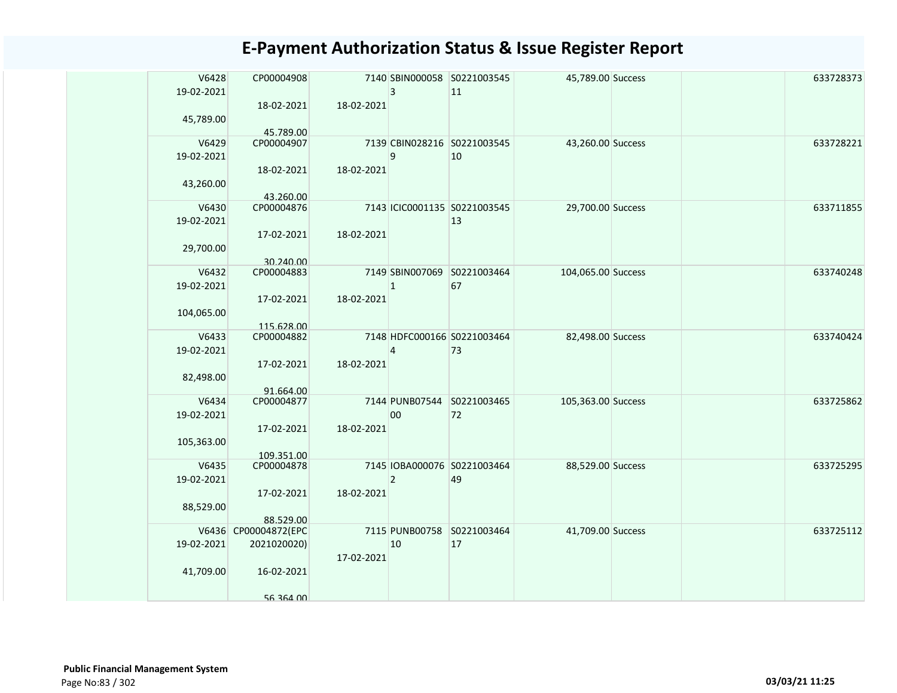| V6428<br>19-02-2021 | CP00004908              |            | 3              | 7140 SBIN000058 S0221003545<br>11 | 45,789.00 Success  |  | 633728373 |
|---------------------|-------------------------|------------|----------------|-----------------------------------|--------------------|--|-----------|
| 45,789.00           | 18-02-2021<br>45.789.00 | 18-02-2021 |                |                                   |                    |  |           |
| V6429               | CP00004907              |            |                | 7139 CBIN028216 S0221003545       | 43,260.00 Success  |  | 633728221 |
| 19-02-2021          |                         |            | 9              | 10                                |                    |  |           |
|                     |                         |            |                |                                   |                    |  |           |
| 43,260.00           | 18-02-2021              | 18-02-2021 |                |                                   |                    |  |           |
|                     | 43.260.00               |            |                |                                   |                    |  |           |
| V6430               | CP00004876              |            |                | 7143 ICIC0001135 S0221003545      | 29,700.00 Success  |  | 633711855 |
| 19-02-2021          |                         |            |                | 13                                |                    |  |           |
|                     | 17-02-2021              | 18-02-2021 |                |                                   |                    |  |           |
| 29,700.00           |                         |            |                |                                   |                    |  |           |
|                     | 30.240.00               |            |                |                                   |                    |  |           |
| V6432               | CP00004883              |            |                | 7149 SBIN007069 S0221003464       | 104,065.00 Success |  | 633740248 |
| 19-02-2021          |                         |            | $\mathbf{1}$   | 67                                |                    |  |           |
|                     | 17-02-2021              | 18-02-2021 |                |                                   |                    |  |           |
|                     |                         |            |                |                                   |                    |  |           |
| 104,065.00          |                         |            |                |                                   |                    |  |           |
|                     | 115.628.00              |            |                |                                   |                    |  |           |
| V6433               | CP00004882              |            |                | 7148 HDFC000166 S0221003464       | 82,498.00 Success  |  | 633740424 |
| 19-02-2021          |                         |            | $\Delta$       | 73                                |                    |  |           |
|                     | 17-02-2021              | 18-02-2021 |                |                                   |                    |  |           |
| 82,498.00           |                         |            |                |                                   |                    |  |           |
|                     | 91.664.00               |            |                |                                   |                    |  |           |
| V6434               | CP00004877              |            |                | 7144 PUNB07544 S0221003465        | 105,363.00 Success |  | 633725862 |
| 19-02-2021          |                         |            | 00             | 72                                |                    |  |           |
|                     | 17-02-2021              | 18-02-2021 |                |                                   |                    |  |           |
| 105,363.00          |                         |            |                |                                   |                    |  |           |
|                     | 109.351.00              |            |                |                                   |                    |  |           |
| V6435               | CP00004878              |            |                | 7145 IOBA000076 S0221003464       | 88,529.00 Success  |  | 633725295 |
| 19-02-2021          |                         |            | $\overline{2}$ | 49                                |                    |  |           |
|                     |                         |            |                |                                   |                    |  |           |
|                     | 17-02-2021              | 18-02-2021 |                |                                   |                    |  |           |
| 88,529.00           |                         |            |                |                                   |                    |  |           |
|                     | 88.529.00               |            |                |                                   |                    |  |           |
|                     | V6436 CP00004872(EPC    |            |                | 7115 PUNB00758 S0221003464        | 41,709.00 Success  |  | 633725112 |
| 19-02-2021          | 2021020020)             |            | 10             | 17                                |                    |  |           |
|                     |                         | 17-02-2021 |                |                                   |                    |  |           |
| 41,709.00           | 16-02-2021              |            |                |                                   |                    |  |           |
|                     |                         |            |                |                                   |                    |  |           |
|                     | 56 364 00               |            |                |                                   |                    |  |           |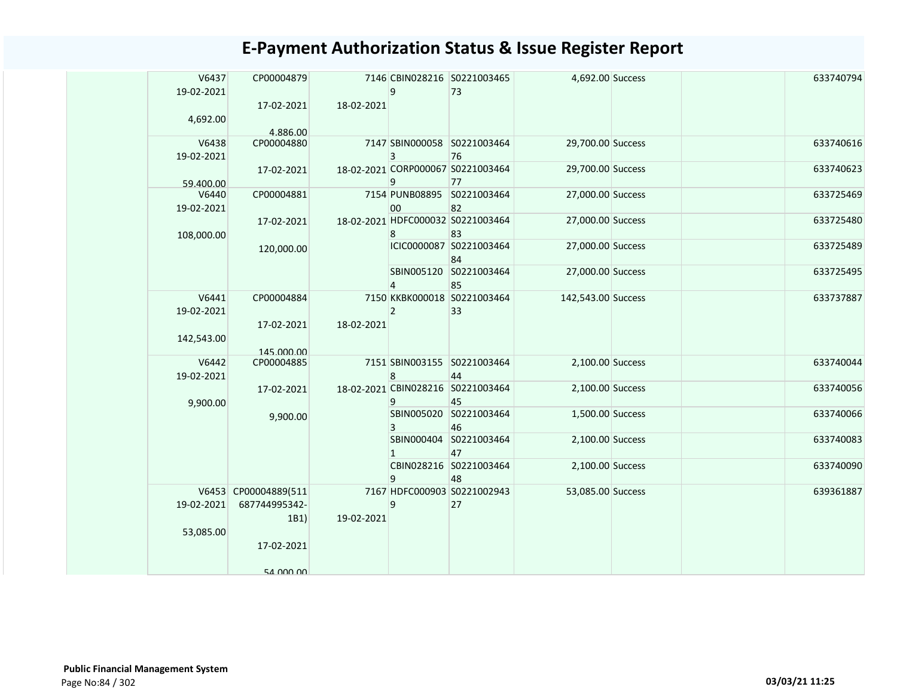| V6437<br>19-02-2021 | CP00004879<br>17-02-2021              | 18-02-2021 | q              | 7146 CBIN028216 S0221003465<br>73       | 4,692.00 Success   |  | 633740794 |
|---------------------|---------------------------------------|------------|----------------|-----------------------------------------|--------------------|--|-----------|
| 4,692.00            | 4.886.00                              |            |                |                                         |                    |  |           |
| V6438<br>19-02-2021 | CP00004880                            |            | 3              | 7147 SBIN000058 S0221003464<br>76       | 29,700.00 Success  |  | 633740616 |
| 59.400.00           | 17-02-2021                            |            | 9              | 18-02-2021 CORP000067 S0221003464<br>77 | 29,700.00 Success  |  | 633740623 |
| V6440<br>19-02-2021 | CP00004881                            |            | 00             | 7154 PUNB08895 S0221003464<br>82        | 27,000.00 Success  |  | 633725469 |
| 108,000.00          | 17-02-2021                            |            | 8              | 18-02-2021 HDFC000032 S0221003464<br>83 | 27,000.00 Success  |  | 633725480 |
|                     | 120,000.00                            |            |                | ICIC0000087 S0221003464<br>84           | 27,000.00 Success  |  | 633725489 |
|                     |                                       |            | $\overline{4}$ | SBIN005120 S0221003464<br>85            | 27,000.00 Success  |  | 633725495 |
| V6441<br>19-02-2021 | CP00004884<br>17-02-2021              | 18-02-2021 | $\overline{2}$ | 7150 KKBK000018 S0221003464<br>33       | 142,543.00 Success |  | 633737887 |
| 142,543.00          | 145.000.00                            |            |                |                                         |                    |  |           |
| V6442<br>19-02-2021 | CP00004885                            |            | 8              | 7151 SBIN003155 S0221003464<br>44       | 2,100.00 Success   |  | 633740044 |
| 9,900.00            | 17-02-2021                            |            | q              | 18-02-2021 CBIN028216 S0221003464<br>45 | 2,100.00 Success   |  | 633740056 |
|                     | 9,900.00                              |            |                | SBIN005020 S0221003464<br>46            | 1,500.00 Success   |  | 633740066 |
|                     |                                       |            |                | SBIN000404 S0221003464<br>47            | 2,100.00 Success   |  | 633740083 |
|                     |                                       |            | 9              | CBIN028216 S0221003464<br>48            | 2,100.00 Success   |  | 633740090 |
| 19-02-2021          | V6453 CP00004889(511<br>687744995342- |            | 9              | 7167 HDFC000903 S0221002943<br>27       | 53,085.00 Success  |  | 639361887 |
| 53,085.00           | 1B1)                                  | 19-02-2021 |                |                                         |                    |  |           |
|                     | 17-02-2021                            |            |                |                                         |                    |  |           |
|                     | 54 000 00                             |            |                |                                         |                    |  |           |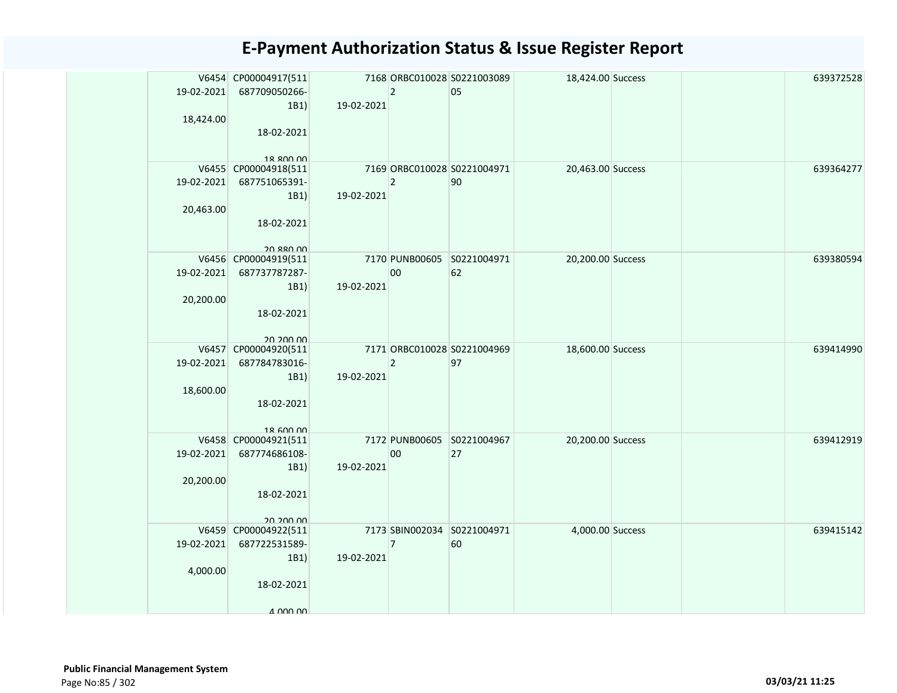|            | V6454 CP00004917(511              |            |                | 7168 ORBC010028 S0221003089 | 18,424.00 Success |  | 639372528 |
|------------|-----------------------------------|------------|----------------|-----------------------------|-------------------|--|-----------|
| 19-02-2021 | 687709050266-                     |            | $ 2\rangle$    | 05                          |                   |  |           |
|            | 1B1)                              | 19-02-2021 |                |                             |                   |  |           |
| 18,424.00  |                                   |            |                |                             |                   |  |           |
|            | 18-02-2021                        |            |                |                             |                   |  |           |
|            |                                   |            |                |                             |                   |  |           |
|            | 18 ROO OO<br>V6455 CP00004918(511 |            |                | 7169 ORBC010028 S0221004971 | 20,463.00 Success |  | 639364277 |
| 19-02-2021 | 687751065391-                     |            | $\overline{2}$ | 90                          |                   |  |           |
|            | 1B1)                              | 19-02-2021 |                |                             |                   |  |           |
| 20,463.00  |                                   |            |                |                             |                   |  |           |
|            | 18-02-2021                        |            |                |                             |                   |  |           |
|            |                                   |            |                |                             |                   |  |           |
|            | 20 880 00                         |            |                |                             |                   |  |           |
|            | V6456 CP00004919(511              |            |                | 7170 PUNB00605 S0221004971  | 20,200.00 Success |  | 639380594 |
| 19-02-2021 | 687737787287-                     |            | 00             | 62                          |                   |  |           |
| 20,200.00  | 1B1)                              | 19-02-2021 |                |                             |                   |  |           |
|            | 18-02-2021                        |            |                |                             |                   |  |           |
|            |                                   |            |                |                             |                   |  |           |
|            | 20 200 00                         |            |                |                             |                   |  |           |
|            | V6457 CP00004920(511              |            |                | 7171 ORBC010028 S0221004969 | 18,600.00 Success |  | 639414990 |
| 19-02-2021 | 687784783016-                     |            | $\overline{2}$ | 97                          |                   |  |           |
|            | 1B1)                              | 19-02-2021 |                |                             |                   |  |           |
| 18,600.00  |                                   |            |                |                             |                   |  |           |
|            | 18-02-2021                        |            |                |                             |                   |  |           |
|            | 18 600 00                         |            |                |                             |                   |  |           |
|            | V6458 CP00004921(511              |            |                | 7172 PUNB00605 S0221004967  | 20,200.00 Success |  | 639412919 |
| 19-02-2021 | 687774686108-                     |            | 00             | 27                          |                   |  |           |
|            | 1B1)                              | 19-02-2021 |                |                             |                   |  |           |
| 20,200.00  |                                   |            |                |                             |                   |  |           |
|            | 18-02-2021                        |            |                |                             |                   |  |           |
|            |                                   |            |                |                             |                   |  |           |
|            | 20 200 00<br>V6459 CP00004922(511 |            |                | 7173 SBIN002034 S0221004971 | 4,000.00 Success  |  | 639415142 |
| 19-02-2021 | 687722531589-                     |            | 7              | 60                          |                   |  |           |
|            | 1B1)                              | 19-02-2021 |                |                             |                   |  |           |
| 4,000.00   |                                   |            |                |                             |                   |  |           |
|            | 18-02-2021                        |            |                |                             |                   |  |           |
|            |                                   |            |                |                             |                   |  |           |
|            | 4 000 00                          |            |                |                             |                   |  |           |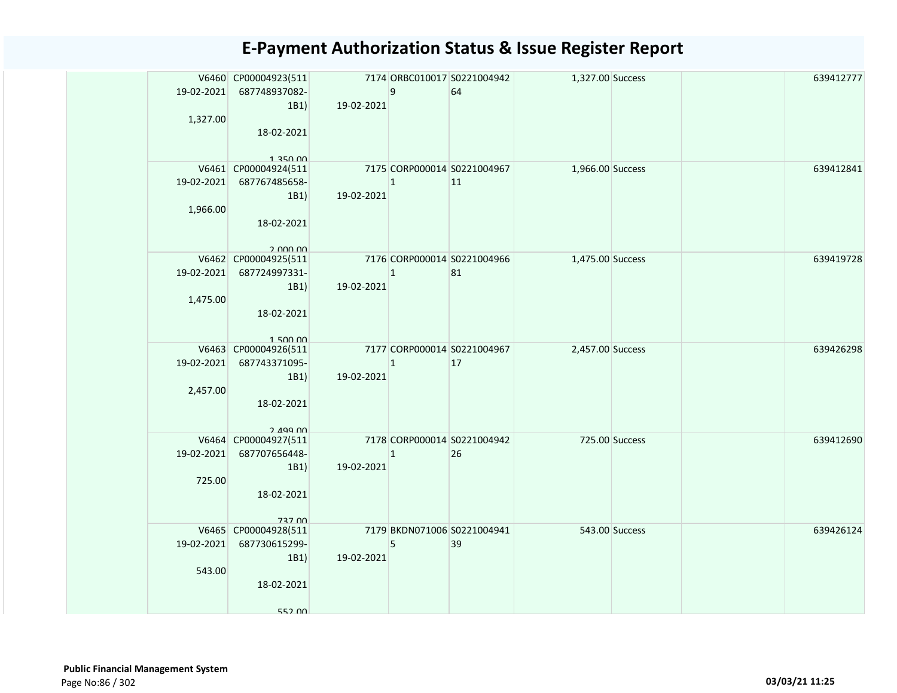| 1,327.00 | V6460 CP00004923(511<br>19-02-2021 687748937082-<br>1B1<br>18-02-2021                         | 19-02-2021                                | 9           | 7174 ORBC010017 S0221004942<br>64 | 1,327.00 Success       |  | 639412777 |
|----------|-----------------------------------------------------------------------------------------------|-------------------------------------------|-------------|-----------------------------------|------------------------|--|-----------|
| 1,966.00 | 1 350 DD<br>V6461 CP00004924(511<br>19-02-2021 687767485658-<br>1B1<br>18-02-2021<br>2.000.00 | 7175 CORP000014 S0221004967<br>19-02-2021 | $ 1\rangle$ | $ 11\rangle$                      | 1,966.00 Success       |  | 639412841 |
| 1,475.00 | V6462 CP00004925(511<br>19-02-2021 687724997331-<br>1B1<br>18-02-2021<br>150000               | 7176 CORP000014 S0221004966<br>19-02-2021 | $ 1\rangle$ | 81                                | 1,475.00 Success       |  | 639419728 |
| 2,457.00 | V6463 CP00004926(511<br>19-02-2021 687743371095-<br>1B1<br>18-02-2021<br>$2.499$ nn           | 7177 CORP000014 S0221004967<br>19-02-2021 | $ 1\rangle$ | 17                                | 2,457.00 Success       |  | 639426298 |
| 725.00   | V6464 CP00004927(511<br>19-02-2021 687707656448-<br>1B1<br>18-02-2021<br>737 00               | 7178 CORP000014 S0221004942<br>19-02-2021 | 1           | 26                                | <b>725.00 Success</b>  |  | 639412690 |
| 543.00   | V6465 CP00004928(511<br>19-02-2021 687730615299-<br>1B1<br>18-02-2021<br>552 00               | 7179 BKDN071006 S0221004941<br>19-02-2021 | 5           | 39                                | Example 543.00 Success |  | 639426124 |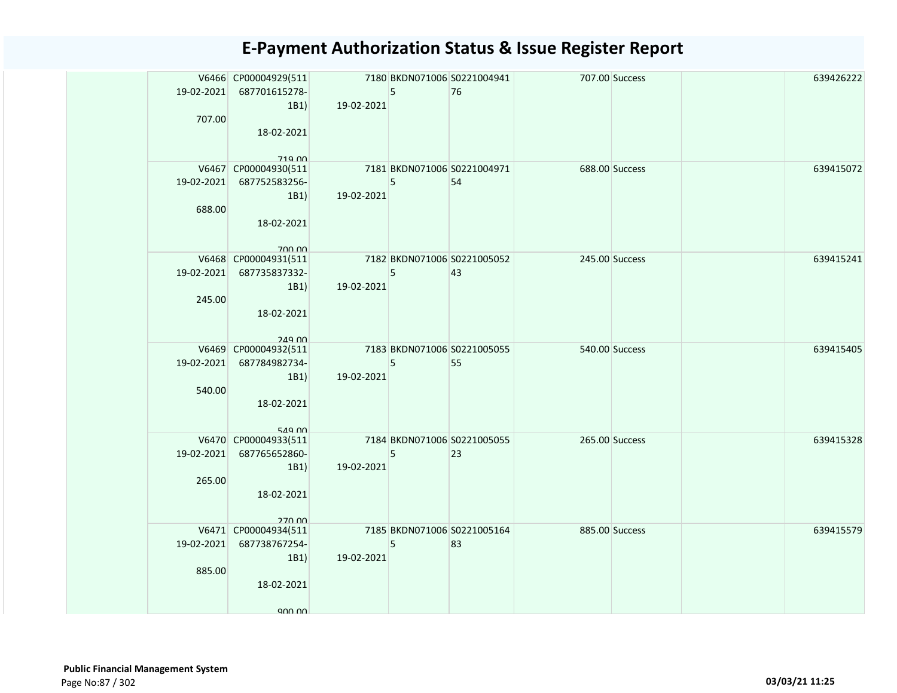| 707.00 | V6466 CP00004929(511<br>19-02-2021 687701615278-<br>1B1<br>18-02-2021<br>719 00         | 19-02-2021                                | 5 <sup>5</sup> | 7180 BKDN071006 S0221004941<br>76 | 707.00 Success                 |                | 639426222 |
|--------|-----------------------------------------------------------------------------------------|-------------------------------------------|----------------|-----------------------------------|--------------------------------|----------------|-----------|
| 688.00 | V6467 CP00004930(511<br>19-02-2021 687752583256-<br>1B1<br>18-02-2021<br>700.00         | 7181 BKDN071006 S0221004971<br>19-02-2021 | 5 <sup>5</sup> | 54                                | 688.00 Success                 |                | 639415072 |
| 245.00 | V6468 CP00004931(511<br>19-02-2021 687735837332-<br>1B1)<br>18-02-2021<br><b>249.00</b> | 19-02-2021                                | 5              | 7182 BKDN071006 S0221005052<br>43 | <b>245.00 Success</b>          |                | 639415241 |
| 540.00 | V6469 CP00004932(511<br>19-02-2021 687784982734-<br>1B1<br>18-02-2021<br>549 00         | 19-02-2021                                | 5              | 7183 BKDN071006 S0221005055<br>55 |                                | 540.00 Success | 639415405 |
| 265.00 | V6470 CP00004933(511<br>19-02-2021 687765652860-<br>1B1)<br>18-02-2021<br>27000         | 7184 BKDN071006 S0221005055<br>19-02-2021 | 5              | 23                                | 265.00 Success                 |                | 639415328 |
| 885.00 | V6471 CP00004934(511<br>19-02-2021 687738767254-<br>1B1)<br>18-02-2021<br>900,00        | 7185 BKDN071006 S0221005164<br>19-02-2021 | 5 <sup>5</sup> | 83                                | <b>Example 2885.00 Success</b> |                | 639415579 |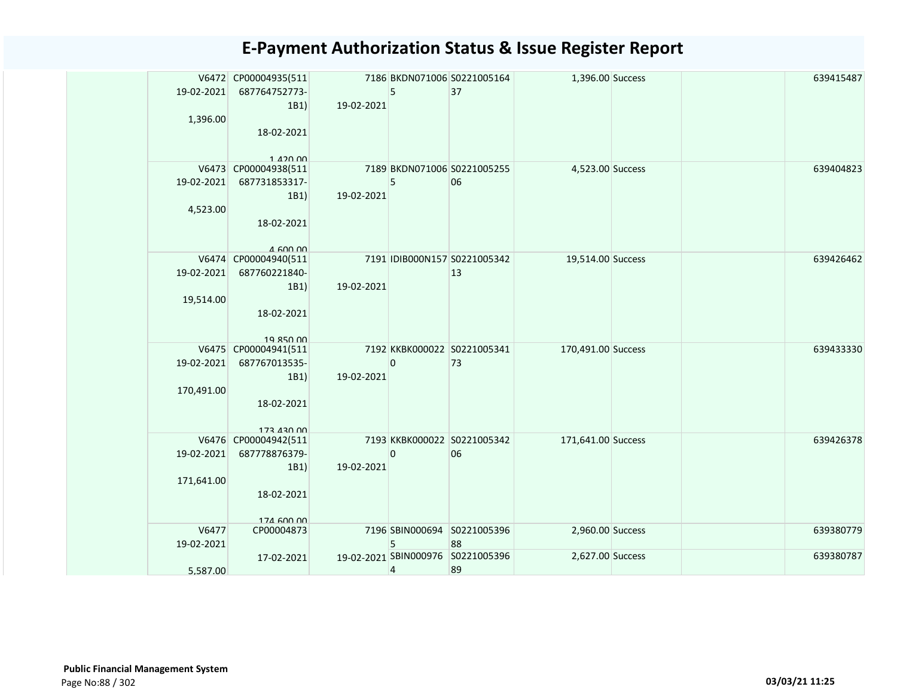| 19-02-2021<br>1,396.00   | V6472 CP00004935(511<br>687764752773-<br>1B1)<br>18-02-2021<br>$1.420$ $00$ | 19-02-2021 | 5                       | 7186 BKDN071006 S0221005164<br>37       | 1,396.00 Success   |  | 639415487 |
|--------------------------|-----------------------------------------------------------------------------|------------|-------------------------|-----------------------------------------|--------------------|--|-----------|
| 19-02-2021<br>4,523.00   | V6473 CP00004938(511<br>687731853317-<br>1B1)<br>18-02-2021<br>$A$ 600 00   | 19-02-2021 | 5                       | 7189 BKDN071006 S0221005255<br>06       | 4,523.00 Success   |  | 639404823 |
| 19-02-2021<br>19,514.00  | V6474 CP00004940(511<br>687760221840-<br>1B1)<br>18-02-2021<br>19 850 00    | 19-02-2021 |                         | 7191 IDIB000N157 S0221005342<br>13      | 19,514.00 Success  |  | 639426462 |
| 19-02-2021<br>170,491.00 | V6475 CP00004941(511<br>687767013535-<br>1B1)<br>18-02-2021<br>173 430 00   | 19-02-2021 | $\bf{0}$                | 7192 KKBK000022 S0221005341<br>73       | 170,491.00 Success |  | 639433330 |
| 19-02-2021<br>171,641.00 | V6476 CP00004942(511<br>687778876379-<br>1B1)<br>18-02-2021<br>174 600 00   | 19-02-2021 | $\overline{0}$          | 7193 KKBK000022 S0221005342<br>06       | 171,641.00 Success |  | 639426378 |
| V6477<br>19-02-2021      | CP00004873                                                                  |            | 5                       | 7196 SBIN000694 S0221005396<br>88       | 2,960.00 Success   |  | 639380779 |
| 5.587.00                 | 17-02-2021                                                                  |            | $\overline{\mathbf{r}}$ | 19-02-2021 SBIN000976 S0221005396<br>89 | 2,627.00 Success   |  | 639380787 |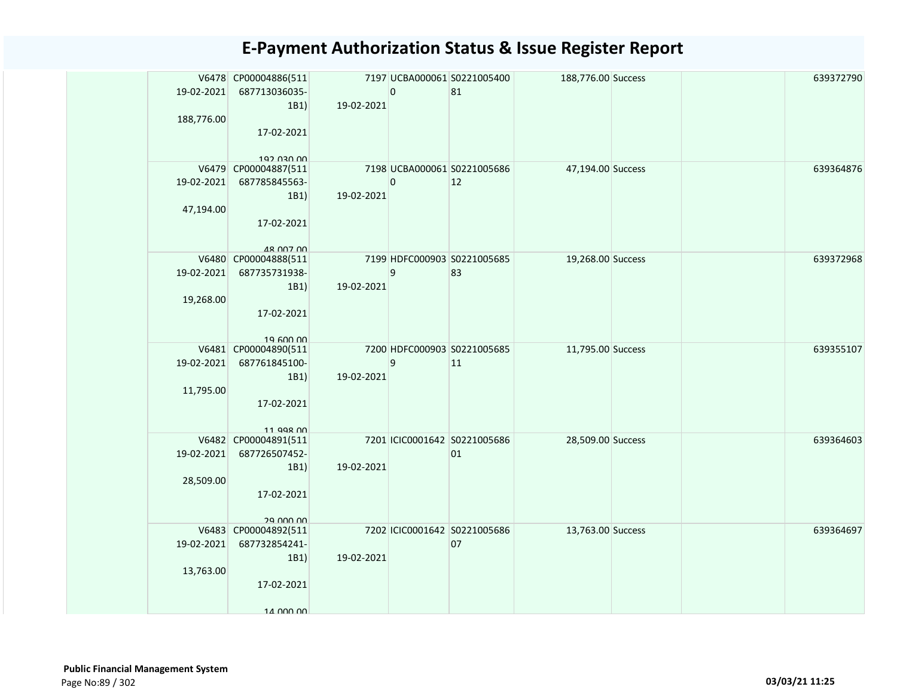|            | V6478 CP00004886(511              |            |                | 7197 UCBA000061 S0221005400  | 188,776.00 Success |  | 639372790 |
|------------|-----------------------------------|------------|----------------|------------------------------|--------------------|--|-----------|
| 19-02-2021 | 687713036035-<br>1B1)             | 19-02-2021 | $\overline{0}$ | 81                           |                    |  |           |
| 188,776.00 |                                   |            |                |                              |                    |  |           |
|            | 17-02-2021                        |            |                |                              |                    |  |           |
|            |                                   |            |                |                              |                    |  |           |
|            | 192 030 00                        |            |                |                              |                    |  |           |
|            | V6479 CP00004887(511              |            |                | 7198 UCBA000061 S0221005686  | 47,194.00 Success  |  | 639364876 |
| 19-02-2021 | 687785845563-                     |            | $\overline{0}$ | 12                           |                    |  |           |
|            | 1B1)                              | 19-02-2021 |                |                              |                    |  |           |
| 47,194.00  | 17-02-2021                        |            |                |                              |                    |  |           |
|            |                                   |            |                |                              |                    |  |           |
|            | <b>48 007 00</b>                  |            |                |                              |                    |  |           |
|            | V6480 CP00004888(511              |            |                | 7199 HDFC000903 S0221005685  | 19,268.00 Success  |  | 639372968 |
| 19-02-2021 | 687735731938-                     |            | 9              | 83                           |                    |  |           |
|            | 1B1)                              | 19-02-2021 |                |                              |                    |  |           |
| 19,268.00  |                                   |            |                |                              |                    |  |           |
|            | 17-02-2021                        |            |                |                              |                    |  |           |
|            | 19.600.00                         |            |                |                              |                    |  |           |
|            | V6481 CP00004890(511              |            |                | 7200 HDFC000903 S0221005685  | 11,795.00 Success  |  | 639355107 |
| 19-02-2021 | 687761845100-                     |            | 9              | 11                           |                    |  |           |
|            | 1B1)                              | 19-02-2021 |                |                              |                    |  |           |
| 11,795.00  |                                   |            |                |                              |                    |  |           |
|            | 17-02-2021                        |            |                |                              |                    |  |           |
|            | 11 QQR 00                         |            |                |                              |                    |  |           |
|            | V6482 CP00004891(511              |            |                | 7201 ICIC0001642 S0221005686 | 28,509.00 Success  |  | 639364603 |
| 19-02-2021 | 687726507452-                     |            |                | 01                           |                    |  |           |
|            | 1B1)                              | 19-02-2021 |                |                              |                    |  |           |
| 28,509.00  |                                   |            |                |                              |                    |  |           |
|            | 17-02-2021                        |            |                |                              |                    |  |           |
|            |                                   |            |                |                              |                    |  |           |
|            | 29 000 00<br>V6483 CP00004892(511 |            |                | 7202 ICIC0001642 S0221005686 | 13,763.00 Success  |  | 639364697 |
| 19-02-2021 | 687732854241-                     |            |                | 07                           |                    |  |           |
|            | 1B1)                              | 19-02-2021 |                |                              |                    |  |           |
| 13,763.00  |                                   |            |                |                              |                    |  |           |
|            | 17-02-2021                        |            |                |                              |                    |  |           |
|            |                                   |            |                |                              |                    |  |           |
|            | 14 000 00                         |            |                |                              |                    |  |           |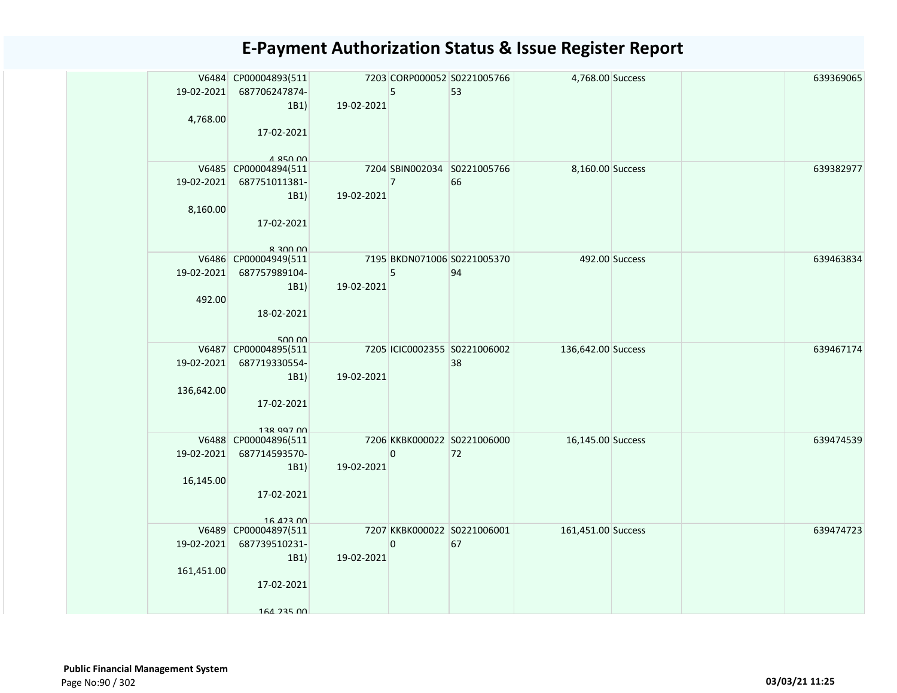| 19-02-2021<br>4,768.00   | V6484 CP00004893(511<br>687706247874-<br>1B1)<br>17-02-2021               | 19-02-2021 | 5              | 7203 CORP000052 S0221005766<br>53  | 4,768.00 Success   |                | 639369065 |
|--------------------------|---------------------------------------------------------------------------|------------|----------------|------------------------------------|--------------------|----------------|-----------|
| 19-02-2021               | 4 850 00<br>V6485 CP00004894(511<br>687751011381-                         |            | $\overline{7}$ | 7204 SBIN002034 S0221005766<br>66  | 8,160.00 Success   |                | 639382977 |
| 8,160.00                 | 1B1)<br>17-02-2021<br>$R$ 200 00                                          | 19-02-2021 |                |                                    |                    |                |           |
| 19-02-2021<br>492.00     | V6486 CP00004949(511<br>687757989104-<br>1B1)<br>18-02-2021<br>500.00     | 19-02-2021 | 5              | 7195 BKDN071006 S0221005370<br>94  |                    | 492.00 Success | 639463834 |
| 19-02-2021<br>136,642.00 | V6487 CP00004895(511<br>687719330554-<br>1B1)<br>17-02-2021<br>138 997 00 | 19-02-2021 |                | 7205 ICIC0002355 S0221006002<br>38 | 136,642.00 Success |                | 639467174 |
| 19-02-2021<br>16,145.00  | V6488 CP00004896(511<br>687714593570-<br>1B1)<br>17-02-2021<br>16 423 00  | 19-02-2021 | 0              | 7206 KKBK000022 S0221006000<br>72  | 16,145.00 Success  |                | 639474539 |
| 19-02-2021<br>161,451.00 | V6489 CP00004897(511<br>687739510231-<br>1B1)<br>17-02-2021<br>164 235 00 | 19-02-2021 | 0              | 7207 KKBK000022 S0221006001<br>67  | 161,451.00 Success |                | 639474723 |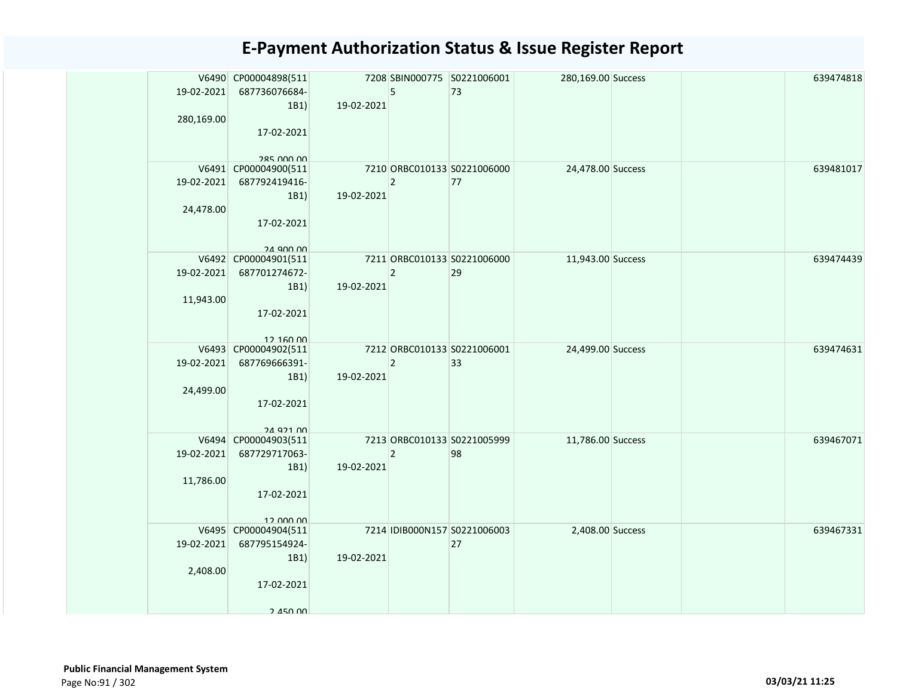| 19-02-2021<br>280,169.00 | V6490 CP00004898(511<br>687736076684-<br>1B1)<br>17-02-2021<br>285 000 00 | 19-02-2021 | 5              | 7208 SBIN000775 S0221006001<br>73  | 280,169.00 Success |  | 639474818 |
|--------------------------|---------------------------------------------------------------------------|------------|----------------|------------------------------------|--------------------|--|-----------|
| 19-02-2021<br>24,478.00  | V6491 CP00004900(511<br>687792419416-<br>1B1)<br>17-02-2021<br>24 Q00 00  | 19-02-2021 | $\overline{2}$ | 7210 ORBC010133 S0221006000<br>77  | 24,478.00 Success  |  | 639481017 |
| 19-02-2021<br>11,943.00  | V6492 CP00004901(511<br>687701274672-<br>1B1)<br>17-02-2021<br>12,160,00  | 19-02-2021 | $\overline{2}$ | 7211 ORBC010133 S0221006000<br>29  | 11,943.00 Success  |  | 639474439 |
| 19-02-2021<br>24,499.00  | V6493 CP00004902(511<br>687769666391-<br>1B1)<br>17-02-2021<br>24 921 00  | 19-02-2021 | $\overline{2}$ | 7212 ORBC010133 S0221006001<br>33  | 24,499.00 Success  |  | 639474631 |
| 19-02-2021<br>11,786.00  | V6494 CP00004903(511<br>687729717063-<br>1B1)<br>17-02-2021<br>12.000.00  | 19-02-2021 | $\mathbf 2$    | 7213 ORBC010133 S0221005999<br>98  | 11,786.00 Success  |  | 639467071 |
| 19-02-2021<br>2,408.00   | V6495 CP00004904(511<br>687795154924-<br>1B1)<br>17-02-2021<br>2.450,00   | 19-02-2021 |                | 7214 IDIB000N157 S0221006003<br>27 | 2,408.00 Success   |  | 639467331 |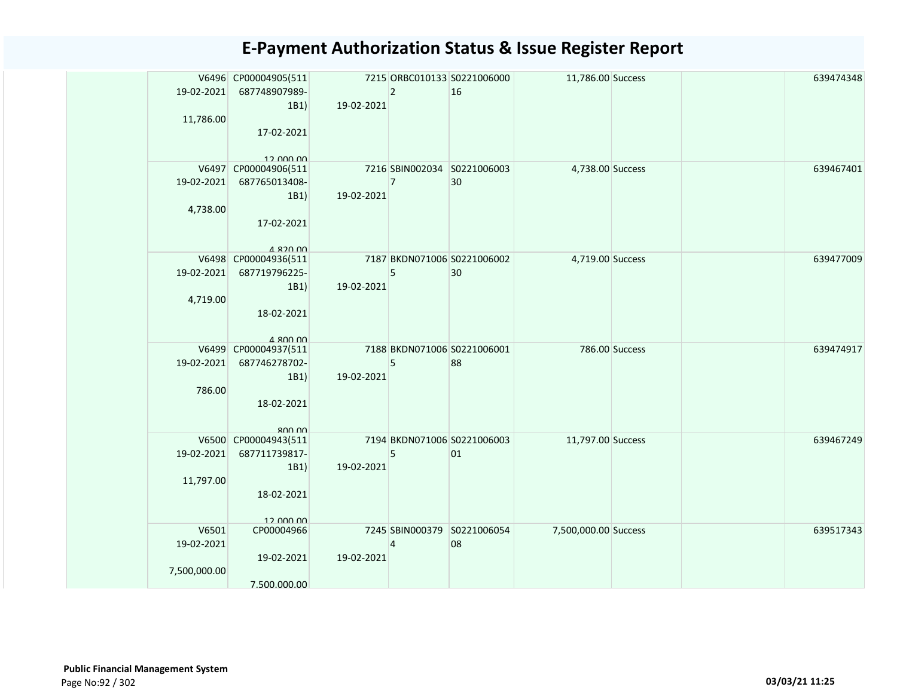| 19-02-2021<br>11,786.00             | V6496 CP00004905(511<br>687748907989-<br>1B1)<br>17-02-2021<br>$12$ $000$ $00$   | 19-02-2021 | $\overline{2}$ | 7215 ORBC010133 S0221006000<br>16 | 11,786.00 Success    |  | 639474348 |
|-------------------------------------|----------------------------------------------------------------------------------|------------|----------------|-----------------------------------|----------------------|--|-----------|
| 19-02-2021<br>4,738.00              | V6497 CP00004906(511<br>687765013408-<br>1B1)<br>17-02-2021<br>$A$ 820 $0$       | 19-02-2021 | $\overline{7}$ | 7216 SBIN002034 S0221006003<br>30 | 4,738.00 Success     |  | 639467401 |
| 19-02-2021<br>4,719.00              | V6498 CP00004936(511<br>687719796225-<br>1B1)<br>18-02-2021<br>$A$ <b>ROO OO</b> | 19-02-2021 | 5              | 7187 BKDN071006 S0221006002<br>30 | 4,719.00 Success     |  | 639477009 |
| 19-02-2021<br>786.00                | V6499 CP00004937(511<br>687746278702-<br>1B1)<br>18-02-2021<br>$R$ $O$ $O$ $O$   | 19-02-2021 | 5              | 7188 BKDN071006 S0221006001<br>88 | 786.00 Success       |  | 639474917 |
| 19-02-2021<br>11,797.00             | V6500 CP00004943(511<br>687711739817-<br>1B1)<br>18-02-2021<br>12 000 00         | 19-02-2021 | 5              | 7194 BKDN071006 S0221006003<br>01 | 11,797.00 Success    |  | 639467249 |
| V6501<br>19-02-2021<br>7,500,000.00 | CP00004966<br>19-02-2021<br>7.500.000.00                                         | 19-02-2021 | 4              | 7245 SBIN000379 S0221006054<br>08 | 7,500,000.00 Success |  | 639517343 |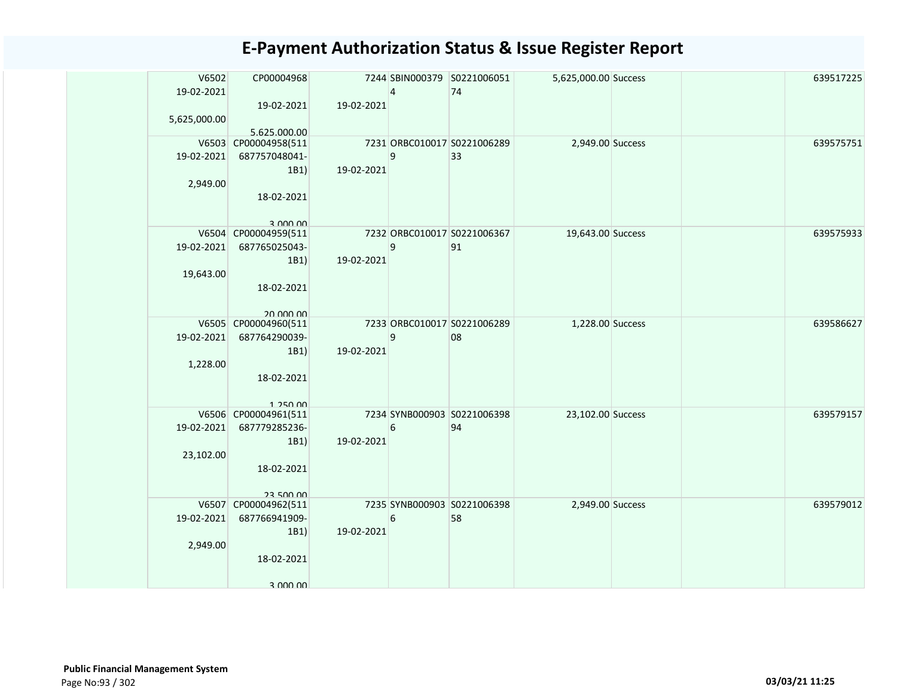| V6502<br>19-02-2021 | CP00004968                           |            | $\overline{4}$ | 7244 SBIN000379 S0221006051<br>74 | 5,625,000.00 Success |  | 639517225 |
|---------------------|--------------------------------------|------------|----------------|-----------------------------------|----------------------|--|-----------|
|                     | 19-02-2021                           | 19-02-2021 |                |                                   |                      |  |           |
| 5,625,000.00        |                                      |            |                |                                   |                      |  |           |
|                     | 5.625.000.00<br>V6503 CP00004958(511 |            |                | 7231 ORBC010017 S0221006289       | 2,949.00 Success     |  | 639575751 |
| 19-02-2021          | 687757048041-                        |            | 9              | 33                                |                      |  |           |
|                     | 1B1                                  | 19-02-2021 |                |                                   |                      |  |           |
| 2,949.00            |                                      |            |                |                                   |                      |  |           |
|                     | 18-02-2021                           |            |                |                                   |                      |  |           |
|                     | 3.000.00                             |            |                |                                   |                      |  |           |
|                     | V6504 CP00004959(511                 |            |                | 7232 ORBC010017 S0221006367       | 19,643.00 Success    |  | 639575933 |
| 19-02-2021          | 687765025043-                        |            | 9              | 91                                |                      |  |           |
| 19,643.00           | 1B1                                  | 19-02-2021 |                |                                   |                      |  |           |
|                     | 18-02-2021                           |            |                |                                   |                      |  |           |
|                     |                                      |            |                |                                   |                      |  |           |
|                     | 20 000 00<br>V6505 CP00004960(511    |            |                | 7233 ORBC010017 S0221006289       | 1,228.00 Success     |  | 639586627 |
| 19-02-2021          | 687764290039-                        |            | 9              | 08                                |                      |  |           |
|                     | 1B1)                                 | 19-02-2021 |                |                                   |                      |  |           |
| 1,228.00            |                                      |            |                |                                   |                      |  |           |
|                     | 18-02-2021                           |            |                |                                   |                      |  |           |
|                     | 1 250 00                             |            |                |                                   |                      |  |           |
|                     | V6506 CP00004961(511                 |            |                | 7234 SYNB000903 S0221006398       | 23,102.00 Success    |  | 639579157 |
| 19-02-2021          | 687779285236-<br>1B1)                | 19-02-2021 | 6              | 94                                |                      |  |           |
| 23,102.00           |                                      |            |                |                                   |                      |  |           |
|                     | 18-02-2021                           |            |                |                                   |                      |  |           |
|                     |                                      |            |                |                                   |                      |  |           |
|                     | 23 500 00<br>V6507 CP00004962(511    |            |                | 7235 SYNB000903 S0221006398       | 2,949.00 Success     |  | 639579012 |
| 19-02-2021          | 687766941909-                        |            | 6              | 58                                |                      |  |           |
|                     | 1B1)                                 | 19-02-2021 |                |                                   |                      |  |           |
| 2,949.00            |                                      |            |                |                                   |                      |  |           |
|                     | 18-02-2021                           |            |                |                                   |                      |  |           |
|                     | 3 UUU UU                             |            |                |                                   |                      |  |           |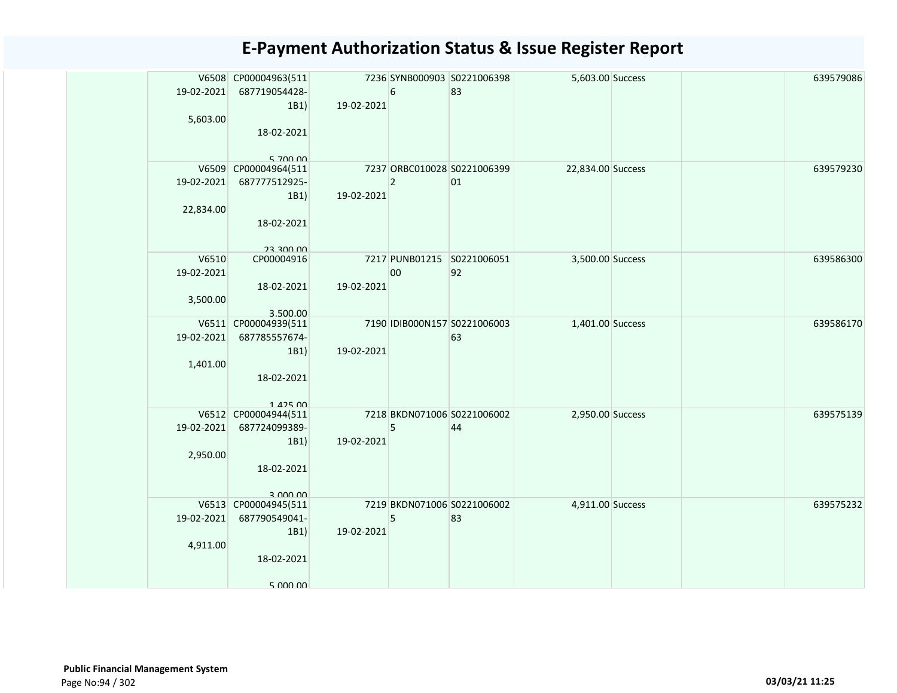| 19-02-2021<br>5,603.00          | V6508 CP00004963(511<br>687719054428-<br>1B1)<br>18-02-2021                                  | 19-02-2021 | $\boldsymbol{6}$ | 7236 SYNB000903 S0221006398<br>83  | 5,603.00 Success  |  | 639579086 |
|---------------------------------|----------------------------------------------------------------------------------------------|------------|------------------|------------------------------------|-------------------|--|-----------|
| 19-02-2021<br>22,834.00         | 5,700,00<br>V6509 CP00004964(511<br>687777512925-<br>1B1)<br>18-02-2021                      | 19-02-2021 | $\overline{2}$   | 7237 ORBC010028 S0221006399<br>01  | 22,834.00 Success |  | 639579230 |
| V6510<br>19-02-2021<br>3,500.00 | <b>UU UUE EC</b><br>CP00004916<br>18-02-2021<br>3.500.00                                     | 19-02-2021 | 00               | 7217 PUNB01215 S0221006051<br>92   | 3,500.00 Success  |  | 639586300 |
| 19-02-2021<br>1,401.00          | V6511 CP00004939(511<br>687785557674-<br>1B1)<br>18-02-2021                                  | 19-02-2021 |                  | 7190 IDIB000N157 S0221006003<br>63 | 1,401.00 Success  |  | 639586170 |
| 2,950.00                        | 142500<br>V6512 CP00004944(511<br>19-02-2021 687724099389-<br>1B1)<br>18-02-2021<br>3 000 00 | 19-02-2021 | 5                | 7218 BKDN071006 S0221006002<br>44  | 2,950.00 Success  |  | 639575139 |
| 19-02-2021<br>4,911.00          | V6513 CP00004945(511<br>687790549041-<br>1B1)<br>18-02-2021<br>5.000,00                      | 19-02-2021 | 5                | 7219 BKDN071006 S0221006002<br>83  | 4,911.00 Success  |  | 639575232 |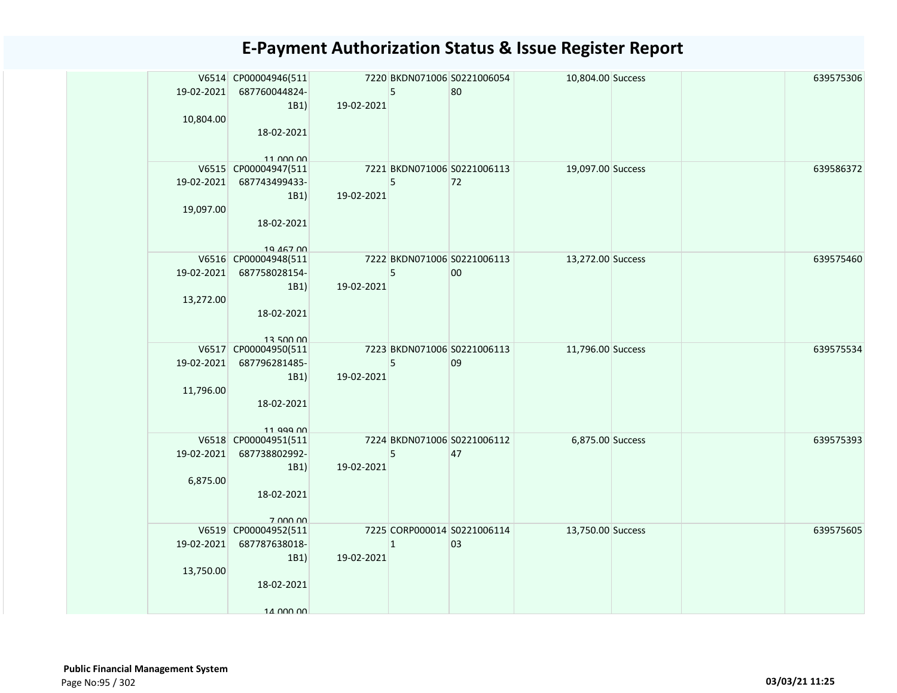| 19-02-2021 | V6514 CP00004946(511<br>687760044824-            |            | 5           | 7220 BKDN071006 S0221006054<br>80 | 10,804.00 Success |  | 639575306 |
|------------|--------------------------------------------------|------------|-------------|-----------------------------------|-------------------|--|-----------|
| 10,804.00  | 1B1                                              | 19-02-2021 |             |                                   |                   |  |           |
|            | 18-02-2021                                       |            |             |                                   |                   |  |           |
|            | 11 000 00                                        |            |             |                                   |                   |  |           |
|            | V6515 CP00004947(511<br>19-02-2021 687743499433- |            | 5           | 7221 BKDN071006 S0221006113<br>72 | 19,097.00 Success |  | 639586372 |
|            | 1B1)                                             | 19-02-2021 |             |                                   |                   |  |           |
| 19,097.00  |                                                  |            |             |                                   |                   |  |           |
|            | 18-02-2021                                       |            |             |                                   |                   |  |           |
|            |                                                  |            |             |                                   |                   |  |           |
|            | 19 467 00                                        |            |             |                                   |                   |  |           |
|            | V6516 CP00004948(511                             |            |             | 7222 BKDN071006 S0221006113       | 13,272.00 Success |  | 639575460 |
|            | 19-02-2021 687758028154-                         |            | 5           | 00                                |                   |  |           |
|            | 1B1)                                             | 19-02-2021 |             |                                   |                   |  |           |
| 13,272.00  |                                                  |            |             |                                   |                   |  |           |
|            | 18-02-2021                                       |            |             |                                   |                   |  |           |
|            | 13 500 00                                        |            |             |                                   |                   |  |           |
|            | V6517 CP00004950(511                             |            |             | 7223 BKDN071006 S0221006113       | 11,796.00 Success |  | 639575534 |
| 19-02-2021 | 687796281485-                                    |            | 5           | 09                                |                   |  |           |
|            | 1B1)                                             | 19-02-2021 |             |                                   |                   |  |           |
| 11,796.00  |                                                  |            |             |                                   |                   |  |           |
|            | 18-02-2021                                       |            |             |                                   |                   |  |           |
|            | 11 999 00                                        |            |             |                                   |                   |  |           |
|            | V6518 CP00004951(511                             |            |             | 7224 BKDN071006 S0221006112       | 6,875.00 Success  |  | 639575393 |
| 19-02-2021 | 687738802992-                                    |            | 5           | 47                                |                   |  |           |
|            | 1B1)                                             | 19-02-2021 |             |                                   |                   |  |           |
| 6,875.00   |                                                  |            |             |                                   |                   |  |           |
|            | 18-02-2021                                       |            |             |                                   |                   |  |           |
|            | 7 000 00                                         |            |             |                                   |                   |  |           |
|            | V6519 CP00004952(511                             |            |             | 7225 CORP000014 S0221006114       | 13,750.00 Success |  | 639575605 |
| 19-02-2021 | 687787638018-                                    |            | $\mathbf 1$ | 03                                |                   |  |           |
|            | 1B1)                                             | 19-02-2021 |             |                                   |                   |  |           |
| 13,750.00  |                                                  |            |             |                                   |                   |  |           |
|            | 18-02-2021                                       |            |             |                                   |                   |  |           |
|            | 14 000 00                                        |            |             |                                   |                   |  |           |
|            |                                                  |            |             |                                   |                   |  |           |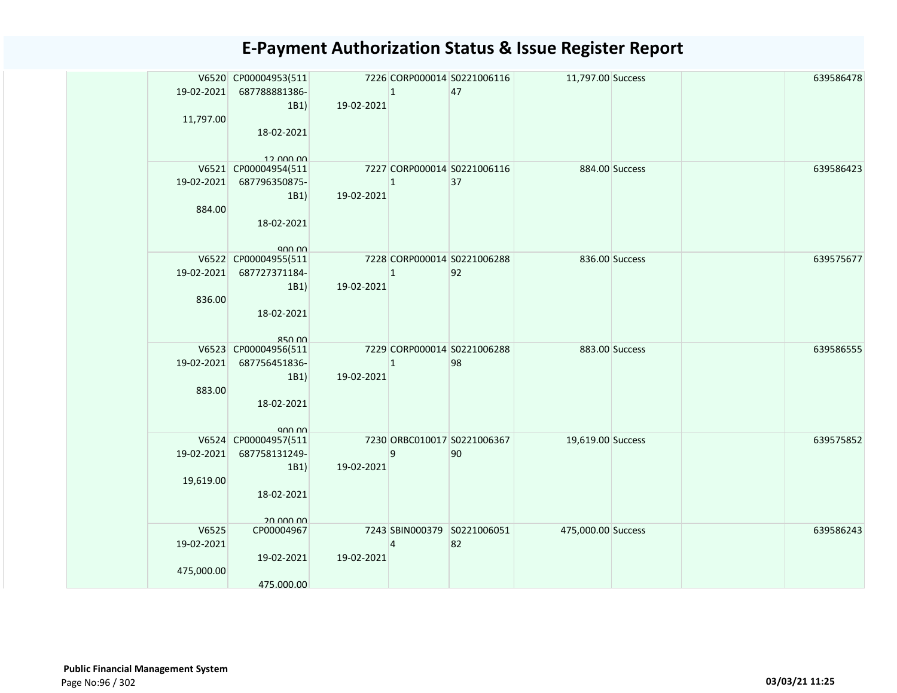|            | V6520 CP00004953(511    |            |                | 7226 CORP000014 S0221006116 | 11,797.00 Success  |                | 639586478 |
|------------|-------------------------|------------|----------------|-----------------------------|--------------------|----------------|-----------|
| 19-02-2021 | 687788881386-           |            | $\overline{1}$ | 47                          |                    |                |           |
|            | 1B1                     | 19-02-2021 |                |                             |                    |                |           |
| 11,797.00  |                         |            |                |                             |                    |                |           |
|            | 18-02-2021              |            |                |                             |                    |                |           |
|            |                         |            |                |                             |                    |                |           |
|            | 12 000 00               |            |                |                             |                    |                |           |
|            | V6521 CP00004954(511    |            |                | 7227 CORP000014 S0221006116 |                    | 884.00 Success | 639586423 |
| 19-02-2021 | 687796350875-           |            | $\mathbf{1}$   | 37                          |                    |                |           |
|            | 1B1)                    | 19-02-2021 |                |                             |                    |                |           |
| 884.00     |                         |            |                |                             |                    |                |           |
|            | 18-02-2021              |            |                |                             |                    |                |           |
|            |                         |            |                |                             |                    |                |           |
|            | V6522 CP00004955(511    |            |                | 7228 CORP000014 S0221006288 |                    | 836.00 Success | 639575677 |
| 19-02-2021 | 687727371184-           |            | $\mathbf{1}$   | 92                          |                    |                |           |
|            | 1B1)                    | 19-02-2021 |                |                             |                    |                |           |
| 836.00     |                         |            |                |                             |                    |                |           |
|            | 18-02-2021              |            |                |                             |                    |                |           |
|            |                         |            |                |                             |                    |                |           |
|            | $R5$ $\cap$             |            |                |                             |                    |                |           |
|            | V6523 CP00004956(511    |            |                | 7229 CORP000014 S0221006288 |                    | 883.00 Success | 639586555 |
| 19-02-2021 | 687756451836-           |            | $\mathbf{1}$   | 98                          |                    |                |           |
|            | 1B1)                    | 19-02-2021 |                |                             |                    |                |           |
| 883.00     |                         |            |                |                             |                    |                |           |
|            | 18-02-2021              |            |                |                             |                    |                |           |
|            |                         |            |                |                             |                    |                |           |
|            |                         |            |                |                             |                    |                |           |
|            | V6524 CP00004957(511    |            |                | 7230 ORBC010017 S0221006367 | 19,619.00 Success  |                | 639575852 |
| 19-02-2021 | 687758131249-           |            | 9              | 90                          |                    |                |           |
|            | 1B1)                    | 19-02-2021 |                |                             |                    |                |           |
| 19,619.00  |                         |            |                |                             |                    |                |           |
|            | 18-02-2021              |            |                |                             |                    |                |           |
|            |                         |            |                |                             |                    |                |           |
| V6525      | 20 000 00<br>CP00004967 |            |                | 7243 SBIN000379 S0221006051 | 475,000.00 Success |                | 639586243 |
| 19-02-2021 |                         |            | $\Delta$       | 82                          |                    |                |           |
|            | 19-02-2021              | 19-02-2021 |                |                             |                    |                |           |
| 475,000.00 |                         |            |                |                             |                    |                |           |
|            | 475.000.00              |            |                |                             |                    |                |           |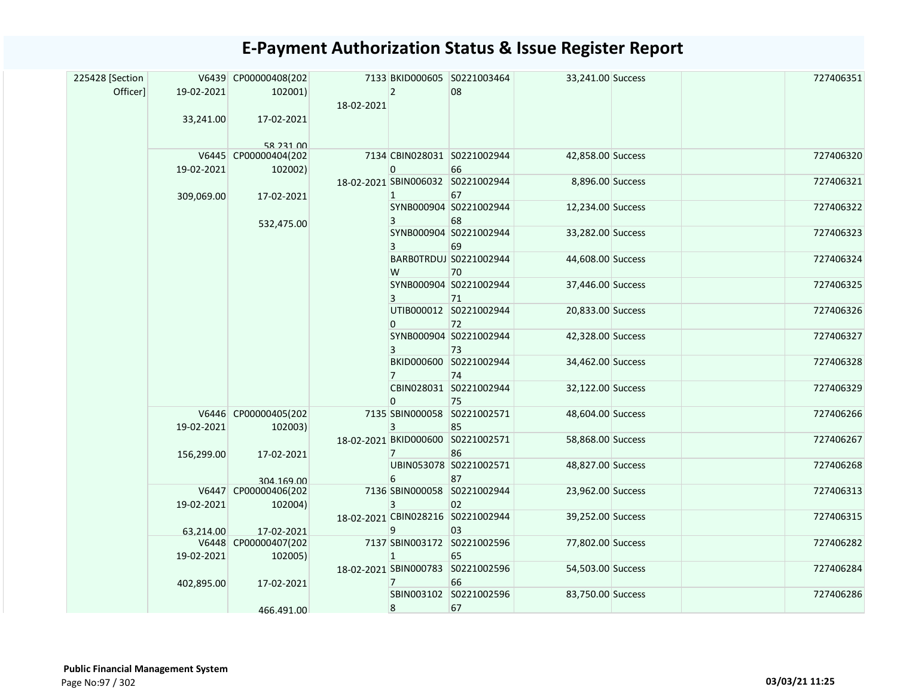| Officer]<br>19-02-2021<br>$2^{\circ}$<br>08<br>102001)<br>18-02-2021<br>17-02-2021<br>33,241.00<br>58 231 00<br>727406320<br>V6445 CP00000404(202<br>7134 CBIN028031 S0221002944<br>42,858.00 Success<br>19-02-2021<br>$\mathbf{0}$<br>66<br>102002)<br>18-02-2021 SBIN006032 S0221002944<br>8,896.00 Success<br>67<br>$\mathbf{1}$<br>309,069.00<br>17-02-2021<br>SYNB000904 S0221002944<br>727406322<br>12,234.00 Success<br>68<br>$\overline{3}$<br>532,475.00<br>727406323<br>SYNB000904 S0221002944<br>33,282.00 Success<br>69<br>3<br>BARB0TRDUJ S0221002944<br>44,608.00 Success<br>W<br>70<br>SYNB000904 S0221002944<br>727406325<br>37,446.00 Success<br>3<br>71<br>UTIB000012 S0221002944<br>727406326<br>20,833.00 Success<br>$\mathbf{0}$<br>72<br>SYNB000904 S0221002944<br>42,328.00 Success<br>3<br>73<br>BKID000600 S0221002944<br>727406328<br>34,462.00 Success<br>74<br>$7^{\circ}$<br>CBIN028031 S0221002944<br>32,122.00 Success<br>75<br>$\Omega$<br>V6446 CP00000405(202<br>7135 SBIN000058 S0221002571<br>48,604.00 Success<br>727406266<br>19-02-2021<br>102003)<br>3<br>85<br>18-02-2021 BKID000600 S0221002571<br>727406267<br>58,868.00 Success<br>86<br>156,299.00<br>17-02-2021<br>$7^{\circ}$<br>UBIN053078 S0221002571<br>48,827.00 Success<br>6<br>87<br>304 169 00<br>727406313<br>V6447 CP00000406(202<br>7136 SBIN000058 S0221002944<br>23,962.00 Success<br>19-02-2021<br>102004)<br>3<br>02<br>18-02-2021 CBIN028216 S0221002944<br>727406315<br>39,252.00 Success<br>9<br>03<br>63.214.00<br>17-02-2021<br>7137 SBIN003172 S0221002596<br>V6448 CP00000407(202<br>77,802.00 Success<br>19-02-2021<br>102005)<br>$\mathbf{1}$<br>65<br>18-02-2021 SBIN000783 S0221002596<br>727406284<br>54,503.00 Success<br>66<br>17-02-2021<br>$\overline{7}$<br>402,895.00<br>SBIN003102 S0221002596<br>727406286<br>83,750.00 Success<br>67<br>8<br>466.491.00 |  | 225428 [Section |  | V6439 CP00000408(202 |  | 7133 BKID000605 S0221003464 | 33,241.00 Success |  | 727406351 |  |
|-------------------------------------------------------------------------------------------------------------------------------------------------------------------------------------------------------------------------------------------------------------------------------------------------------------------------------------------------------------------------------------------------------------------------------------------------------------------------------------------------------------------------------------------------------------------------------------------------------------------------------------------------------------------------------------------------------------------------------------------------------------------------------------------------------------------------------------------------------------------------------------------------------------------------------------------------------------------------------------------------------------------------------------------------------------------------------------------------------------------------------------------------------------------------------------------------------------------------------------------------------------------------------------------------------------------------------------------------------------------------------------------------------------------------------------------------------------------------------------------------------------------------------------------------------------------------------------------------------------------------------------------------------------------------------------------------------------------------------------------------------------------------------------------------------------------------------------------------------------------------------------------|--|-----------------|--|----------------------|--|-----------------------------|-------------------|--|-----------|--|
|                                                                                                                                                                                                                                                                                                                                                                                                                                                                                                                                                                                                                                                                                                                                                                                                                                                                                                                                                                                                                                                                                                                                                                                                                                                                                                                                                                                                                                                                                                                                                                                                                                                                                                                                                                                                                                                                                           |  |                 |  |                      |  |                             |                   |  |           |  |
|                                                                                                                                                                                                                                                                                                                                                                                                                                                                                                                                                                                                                                                                                                                                                                                                                                                                                                                                                                                                                                                                                                                                                                                                                                                                                                                                                                                                                                                                                                                                                                                                                                                                                                                                                                                                                                                                                           |  |                 |  |                      |  |                             |                   |  |           |  |
|                                                                                                                                                                                                                                                                                                                                                                                                                                                                                                                                                                                                                                                                                                                                                                                                                                                                                                                                                                                                                                                                                                                                                                                                                                                                                                                                                                                                                                                                                                                                                                                                                                                                                                                                                                                                                                                                                           |  |                 |  |                      |  |                             |                   |  |           |  |
|                                                                                                                                                                                                                                                                                                                                                                                                                                                                                                                                                                                                                                                                                                                                                                                                                                                                                                                                                                                                                                                                                                                                                                                                                                                                                                                                                                                                                                                                                                                                                                                                                                                                                                                                                                                                                                                                                           |  |                 |  |                      |  |                             |                   |  |           |  |
|                                                                                                                                                                                                                                                                                                                                                                                                                                                                                                                                                                                                                                                                                                                                                                                                                                                                                                                                                                                                                                                                                                                                                                                                                                                                                                                                                                                                                                                                                                                                                                                                                                                                                                                                                                                                                                                                                           |  |                 |  |                      |  |                             |                   |  |           |  |
|                                                                                                                                                                                                                                                                                                                                                                                                                                                                                                                                                                                                                                                                                                                                                                                                                                                                                                                                                                                                                                                                                                                                                                                                                                                                                                                                                                                                                                                                                                                                                                                                                                                                                                                                                                                                                                                                                           |  |                 |  |                      |  |                             |                   |  | 727406321 |  |
|                                                                                                                                                                                                                                                                                                                                                                                                                                                                                                                                                                                                                                                                                                                                                                                                                                                                                                                                                                                                                                                                                                                                                                                                                                                                                                                                                                                                                                                                                                                                                                                                                                                                                                                                                                                                                                                                                           |  |                 |  |                      |  |                             |                   |  |           |  |
|                                                                                                                                                                                                                                                                                                                                                                                                                                                                                                                                                                                                                                                                                                                                                                                                                                                                                                                                                                                                                                                                                                                                                                                                                                                                                                                                                                                                                                                                                                                                                                                                                                                                                                                                                                                                                                                                                           |  |                 |  |                      |  |                             |                   |  |           |  |
|                                                                                                                                                                                                                                                                                                                                                                                                                                                                                                                                                                                                                                                                                                                                                                                                                                                                                                                                                                                                                                                                                                                                                                                                                                                                                                                                                                                                                                                                                                                                                                                                                                                                                                                                                                                                                                                                                           |  |                 |  |                      |  |                             |                   |  |           |  |
|                                                                                                                                                                                                                                                                                                                                                                                                                                                                                                                                                                                                                                                                                                                                                                                                                                                                                                                                                                                                                                                                                                                                                                                                                                                                                                                                                                                                                                                                                                                                                                                                                                                                                                                                                                                                                                                                                           |  |                 |  |                      |  |                             |                   |  |           |  |
|                                                                                                                                                                                                                                                                                                                                                                                                                                                                                                                                                                                                                                                                                                                                                                                                                                                                                                                                                                                                                                                                                                                                                                                                                                                                                                                                                                                                                                                                                                                                                                                                                                                                                                                                                                                                                                                                                           |  |                 |  |                      |  |                             |                   |  | 727406324 |  |
|                                                                                                                                                                                                                                                                                                                                                                                                                                                                                                                                                                                                                                                                                                                                                                                                                                                                                                                                                                                                                                                                                                                                                                                                                                                                                                                                                                                                                                                                                                                                                                                                                                                                                                                                                                                                                                                                                           |  |                 |  |                      |  |                             |                   |  |           |  |
|                                                                                                                                                                                                                                                                                                                                                                                                                                                                                                                                                                                                                                                                                                                                                                                                                                                                                                                                                                                                                                                                                                                                                                                                                                                                                                                                                                                                                                                                                                                                                                                                                                                                                                                                                                                                                                                                                           |  |                 |  |                      |  |                             |                   |  |           |  |
|                                                                                                                                                                                                                                                                                                                                                                                                                                                                                                                                                                                                                                                                                                                                                                                                                                                                                                                                                                                                                                                                                                                                                                                                                                                                                                                                                                                                                                                                                                                                                                                                                                                                                                                                                                                                                                                                                           |  |                 |  |                      |  |                             |                   |  |           |  |
|                                                                                                                                                                                                                                                                                                                                                                                                                                                                                                                                                                                                                                                                                                                                                                                                                                                                                                                                                                                                                                                                                                                                                                                                                                                                                                                                                                                                                                                                                                                                                                                                                                                                                                                                                                                                                                                                                           |  |                 |  |                      |  |                             |                   |  |           |  |
|                                                                                                                                                                                                                                                                                                                                                                                                                                                                                                                                                                                                                                                                                                                                                                                                                                                                                                                                                                                                                                                                                                                                                                                                                                                                                                                                                                                                                                                                                                                                                                                                                                                                                                                                                                                                                                                                                           |  |                 |  |                      |  |                             |                   |  | 727406327 |  |
|                                                                                                                                                                                                                                                                                                                                                                                                                                                                                                                                                                                                                                                                                                                                                                                                                                                                                                                                                                                                                                                                                                                                                                                                                                                                                                                                                                                                                                                                                                                                                                                                                                                                                                                                                                                                                                                                                           |  |                 |  |                      |  |                             |                   |  |           |  |
|                                                                                                                                                                                                                                                                                                                                                                                                                                                                                                                                                                                                                                                                                                                                                                                                                                                                                                                                                                                                                                                                                                                                                                                                                                                                                                                                                                                                                                                                                                                                                                                                                                                                                                                                                                                                                                                                                           |  |                 |  |                      |  |                             |                   |  |           |  |
|                                                                                                                                                                                                                                                                                                                                                                                                                                                                                                                                                                                                                                                                                                                                                                                                                                                                                                                                                                                                                                                                                                                                                                                                                                                                                                                                                                                                                                                                                                                                                                                                                                                                                                                                                                                                                                                                                           |  |                 |  |                      |  |                             |                   |  | 727406329 |  |
|                                                                                                                                                                                                                                                                                                                                                                                                                                                                                                                                                                                                                                                                                                                                                                                                                                                                                                                                                                                                                                                                                                                                                                                                                                                                                                                                                                                                                                                                                                                                                                                                                                                                                                                                                                                                                                                                                           |  |                 |  |                      |  |                             |                   |  |           |  |
|                                                                                                                                                                                                                                                                                                                                                                                                                                                                                                                                                                                                                                                                                                                                                                                                                                                                                                                                                                                                                                                                                                                                                                                                                                                                                                                                                                                                                                                                                                                                                                                                                                                                                                                                                                                                                                                                                           |  |                 |  |                      |  |                             |                   |  |           |  |
|                                                                                                                                                                                                                                                                                                                                                                                                                                                                                                                                                                                                                                                                                                                                                                                                                                                                                                                                                                                                                                                                                                                                                                                                                                                                                                                                                                                                                                                                                                                                                                                                                                                                                                                                                                                                                                                                                           |  |                 |  |                      |  |                             |                   |  |           |  |
|                                                                                                                                                                                                                                                                                                                                                                                                                                                                                                                                                                                                                                                                                                                                                                                                                                                                                                                                                                                                                                                                                                                                                                                                                                                                                                                                                                                                                                                                                                                                                                                                                                                                                                                                                                                                                                                                                           |  |                 |  |                      |  |                             |                   |  |           |  |
|                                                                                                                                                                                                                                                                                                                                                                                                                                                                                                                                                                                                                                                                                                                                                                                                                                                                                                                                                                                                                                                                                                                                                                                                                                                                                                                                                                                                                                                                                                                                                                                                                                                                                                                                                                                                                                                                                           |  |                 |  |                      |  |                             |                   |  | 727406268 |  |
|                                                                                                                                                                                                                                                                                                                                                                                                                                                                                                                                                                                                                                                                                                                                                                                                                                                                                                                                                                                                                                                                                                                                                                                                                                                                                                                                                                                                                                                                                                                                                                                                                                                                                                                                                                                                                                                                                           |  |                 |  |                      |  |                             |                   |  |           |  |
|                                                                                                                                                                                                                                                                                                                                                                                                                                                                                                                                                                                                                                                                                                                                                                                                                                                                                                                                                                                                                                                                                                                                                                                                                                                                                                                                                                                                                                                                                                                                                                                                                                                                                                                                                                                                                                                                                           |  |                 |  |                      |  |                             |                   |  |           |  |
|                                                                                                                                                                                                                                                                                                                                                                                                                                                                                                                                                                                                                                                                                                                                                                                                                                                                                                                                                                                                                                                                                                                                                                                                                                                                                                                                                                                                                                                                                                                                                                                                                                                                                                                                                                                                                                                                                           |  |                 |  |                      |  |                             |                   |  |           |  |
|                                                                                                                                                                                                                                                                                                                                                                                                                                                                                                                                                                                                                                                                                                                                                                                                                                                                                                                                                                                                                                                                                                                                                                                                                                                                                                                                                                                                                                                                                                                                                                                                                                                                                                                                                                                                                                                                                           |  |                 |  |                      |  |                             |                   |  |           |  |
|                                                                                                                                                                                                                                                                                                                                                                                                                                                                                                                                                                                                                                                                                                                                                                                                                                                                                                                                                                                                                                                                                                                                                                                                                                                                                                                                                                                                                                                                                                                                                                                                                                                                                                                                                                                                                                                                                           |  |                 |  |                      |  |                             |                   |  | 727406282 |  |
|                                                                                                                                                                                                                                                                                                                                                                                                                                                                                                                                                                                                                                                                                                                                                                                                                                                                                                                                                                                                                                                                                                                                                                                                                                                                                                                                                                                                                                                                                                                                                                                                                                                                                                                                                                                                                                                                                           |  |                 |  |                      |  |                             |                   |  |           |  |
|                                                                                                                                                                                                                                                                                                                                                                                                                                                                                                                                                                                                                                                                                                                                                                                                                                                                                                                                                                                                                                                                                                                                                                                                                                                                                                                                                                                                                                                                                                                                                                                                                                                                                                                                                                                                                                                                                           |  |                 |  |                      |  |                             |                   |  |           |  |
|                                                                                                                                                                                                                                                                                                                                                                                                                                                                                                                                                                                                                                                                                                                                                                                                                                                                                                                                                                                                                                                                                                                                                                                                                                                                                                                                                                                                                                                                                                                                                                                                                                                                                                                                                                                                                                                                                           |  |                 |  |                      |  |                             |                   |  |           |  |
|                                                                                                                                                                                                                                                                                                                                                                                                                                                                                                                                                                                                                                                                                                                                                                                                                                                                                                                                                                                                                                                                                                                                                                                                                                                                                                                                                                                                                                                                                                                                                                                                                                                                                                                                                                                                                                                                                           |  |                 |  |                      |  |                             |                   |  |           |  |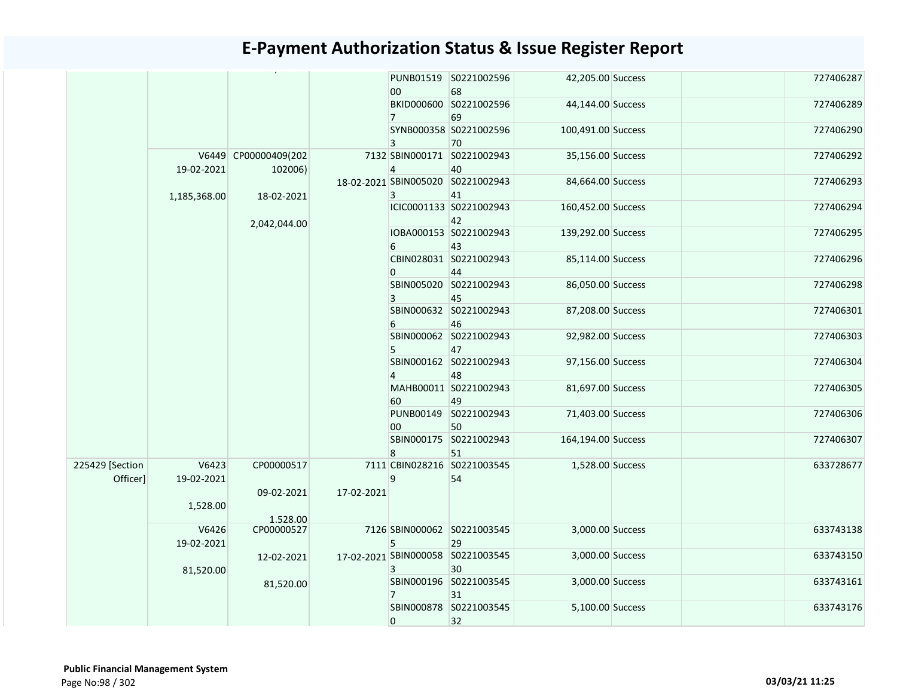|                             |                     |                                 |            | 00 <sup>1</sup> | PUNB01519 S0221002596<br>68             | 42,205.00 Success  |  | 727406287 |
|-----------------------------|---------------------|---------------------------------|------------|-----------------|-----------------------------------------|--------------------|--|-----------|
|                             |                     |                                 |            | 7 <sup>7</sup>  | BKID000600 S0221002596<br>69            | 44,144.00 Success  |  | 727406289 |
|                             |                     |                                 |            | 3               | SYNB000358 S0221002596<br>70            | 100,491.00 Success |  | 727406290 |
|                             | 19-02-2021          | V6449 CP00000409(202<br>102006) |            | $\overline{4}$  | 7132 SBIN000171 S0221002943<br>40       | 35,156.00 Success  |  | 727406292 |
|                             | 1,185,368.00        | 18-02-2021                      |            | 3               | 18-02-2021 SBIN005020 S0221002943<br>41 | 84,664.00 Success  |  | 727406293 |
|                             |                     | 2,042,044.00                    |            |                 | ICIC0001133 S0221002943<br>42           | 160,452.00 Success |  | 727406294 |
|                             |                     |                                 |            | 6               | IOBA000153 S0221002943<br>43            | 139,292.00 Success |  | 727406295 |
|                             |                     |                                 |            | $\mathbf{0}$    | CBIN028031 S0221002943<br>44            | 85,114.00 Success  |  | 727406296 |
|                             |                     |                                 |            | $\mathbf{3}$    | SBIN005020 S0221002943<br>45            | 86,050.00 Success  |  | 727406298 |
|                             |                     |                                 |            | 6               | SBIN000632 S0221002943<br>46            | 87,208.00 Success  |  | 727406301 |
|                             |                     |                                 |            | 5               | SBIN000062 S0221002943<br>47            | 92,982.00 Success  |  | 727406303 |
|                             |                     |                                 |            | $\overline{4}$  | SBIN000162 S0221002943<br>48            | 97,156.00 Success  |  | 727406304 |
|                             |                     |                                 |            | 60              | MAHB00011 S0221002943<br>49             | 81,697.00 Success  |  | 727406305 |
|                             |                     |                                 |            | 00              | PUNB00149 S0221002943<br>50             | 71,403.00 Success  |  | 727406306 |
|                             |                     |                                 |            | 8               | SBIN000175 S0221002943<br>51            | 164,194.00 Success |  | 727406307 |
| 225429 [Section<br>Officer] | V6423<br>19-02-2021 | CP00000517                      |            | 9               | 7111 CBIN028216 S0221003545<br>54       | 1,528.00 Success   |  | 633728677 |
|                             | 1,528.00            | 09-02-2021                      | 17-02-2021 |                 |                                         |                    |  |           |
|                             |                     | 1.528.00                        |            |                 |                                         |                    |  |           |
|                             | V6426<br>19-02-2021 | CP00000527                      |            | 5               | 7126 SBIN000062 S0221003545<br>29       | 3,000.00 Success   |  | 633743138 |
|                             | 81,520.00           | 12-02-2021                      |            | 3               | 17-02-2021 SBIN000058 S0221003545<br>30 | 3,000.00 Success   |  | 633743150 |
|                             |                     | 81,520.00                       |            | $\overline{7}$  | SBIN000196 S0221003545<br>31            | 3,000.00 Success   |  | 633743161 |
|                             |                     |                                 |            | $\mathbf{0}$    | SBIN000878 S0221003545<br>32            | 5,100.00 Success   |  | 633743176 |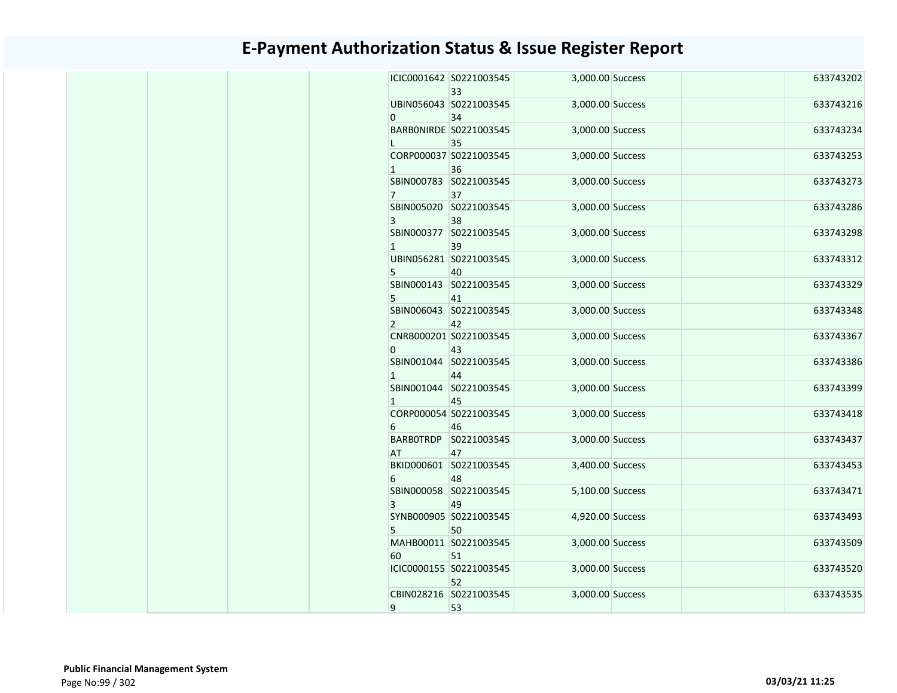|                | ICIC0001642 S0221003545<br>33 | 3,000.00 Success | 633743202 |
|----------------|-------------------------------|------------------|-----------|
| 0              | UBIN056043 S0221003545<br>34  | 3,000.00 Success | 633743216 |
| L              | BARBONIRDE S0221003545<br>35  | 3,000.00 Success | 633743234 |
| $\mathbf{1}$   | CORP000037 S0221003545<br>36  | 3,000.00 Success | 633743253 |
| $\overline{7}$ | SBIN000783 S0221003545<br>37  | 3,000.00 Success | 633743273 |
| 3              | SBIN005020 S0221003545<br>38  | 3,000.00 Success | 633743286 |
| $\mathbf{1}$   | SBIN000377 S0221003545<br>39  | 3,000.00 Success | 633743298 |
| 5              | UBIN056281 S0221003545<br>40  | 3,000.00 Success | 633743312 |
| 5              | SBIN000143 S0221003545<br>41  | 3,000.00 Success | 633743329 |
| $\mathbf{2}$   | SBIN006043 S0221003545<br>42  | 3,000.00 Success | 633743348 |
| 0              | CNRB000201 S0221003545<br>43  | 3,000.00 Success | 633743367 |
| $\mathbf{1}$   | SBIN001044 S0221003545<br>44  | 3,000.00 Success | 633743386 |
| $\mathbf{1}$   | SBIN001044 S0221003545<br>45  | 3,000.00 Success | 633743399 |
| 6              | CORP000054 S0221003545<br>46  | 3,000.00 Success | 633743418 |
| AT             | BARBOTRDP S0221003545<br>47   | 3,000.00 Success | 633743437 |
| 6              | BKID000601 S0221003545<br>48  | 3,400.00 Success | 633743453 |
| 3              | SBIN000058 S0221003545<br>49  | 5,100.00 Success | 633743471 |
| 5              | SYNB000905 S0221003545<br>50  | 4,920.00 Success | 633743493 |
| 60             | MAHB00011 S0221003545<br>51   | 3,000.00 Success | 633743509 |
|                | ICIC0000155 S0221003545<br>52 | 3,000.00 Success | 633743520 |
|                | CBIN028216 S0221003545        | 3,000.00 Success | 633743535 |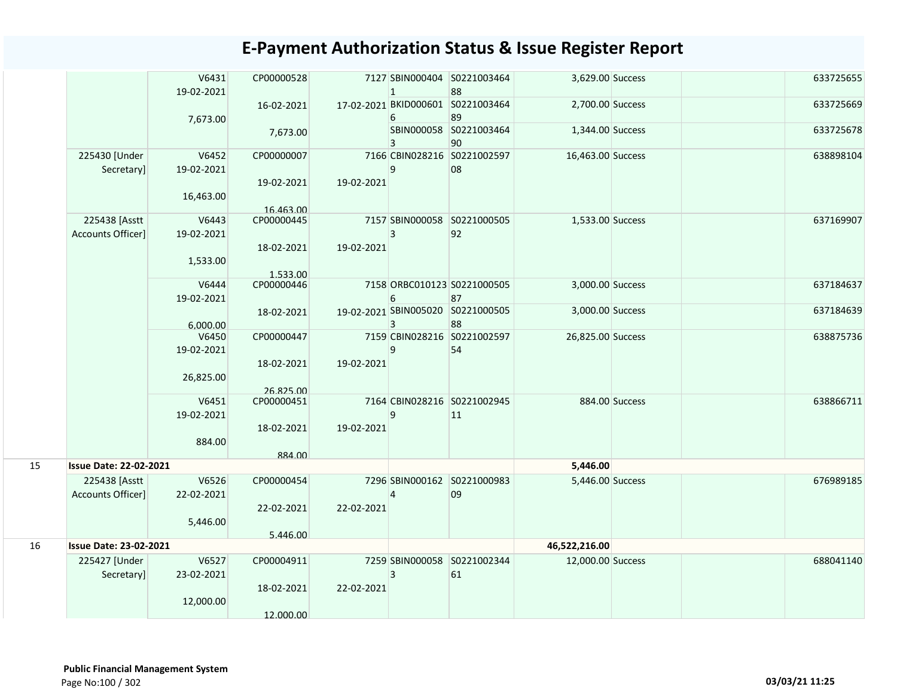|    |                               | V6431<br>19-02-2021 | CP00000528              |            | $\mathbf{1}$    | 7127 SBIN000404 S0221003464<br>88       | 3,629.00 Success  |                | 633725655 |
|----|-------------------------------|---------------------|-------------------------|------------|-----------------|-----------------------------------------|-------------------|----------------|-----------|
|    |                               |                     | 16-02-2021              |            |                 | 17-02-2021 BKID000601 S0221003464       | 2,700.00 Success  |                | 633725669 |
|    |                               | 7,673.00            |                         |            | 6               | 89                                      |                   |                |           |
|    |                               |                     | 7,673.00                |            | 3               | SBIN000058 S0221003464<br>90            | 1,344.00 Success  |                | 633725678 |
|    | 225430 [Under                 | V6452               | CP00000007              |            |                 | 7166 CBIN028216 S0221002597             | 16,463.00 Success |                | 638898104 |
|    | Secretary]                    | 19-02-2021          |                         |            | 9               | 08                                      |                   |                |           |
|    |                               |                     | 19-02-2021              | 19-02-2021 |                 |                                         |                   |                |           |
|    |                               | 16,463.00           |                         |            |                 |                                         |                   |                |           |
|    | 225438 [Asstt                 |                     | 16.463.00<br>CP00000445 |            |                 | 7157 SBIN000058 S0221000505             |                   |                | 637169907 |
|    | Accounts Officer]             | V6443<br>19-02-2021 |                         |            | 3               | 92                                      | 1,533.00 Success  |                |           |
|    |                               |                     | 18-02-2021              | 19-02-2021 |                 |                                         |                   |                |           |
|    |                               | 1,533.00            |                         |            |                 |                                         |                   |                |           |
|    |                               |                     | 1.533.00                |            |                 |                                         |                   |                |           |
|    |                               | V6444               | CP00000446              |            |                 | 7158 ORBC010123 S0221000505             | 3,000.00 Success  |                | 637184637 |
|    |                               | 19-02-2021          |                         |            | 6               | 87                                      |                   |                |           |
|    |                               |                     | 18-02-2021              |            | 3               | 19-02-2021 SBIN005020 S0221000505<br>88 | 3,000.00 Success  |                | 637184639 |
|    |                               | 6.000.00<br>V6450   | CP00000447              |            |                 | 7159 CBIN028216 S0221002597             | 26,825.00 Success |                | 638875736 |
|    |                               | 19-02-2021          |                         |            | 9               | 54                                      |                   |                |           |
|    |                               |                     | 18-02-2021              | 19-02-2021 |                 |                                         |                   |                |           |
|    |                               | 26,825.00           |                         |            |                 |                                         |                   |                |           |
|    |                               |                     | 26.825.00               |            |                 |                                         |                   |                |           |
|    |                               | V6451               | CP00000451              |            |                 | 7164 CBIN028216 S0221002945             |                   | 884.00 Success | 638866711 |
|    |                               | 19-02-2021          | 18-02-2021              | 19-02-2021 | 9               | 11                                      |                   |                |           |
|    |                               | 884.00              |                         |            |                 |                                         |                   |                |           |
|    |                               |                     | 884.00                  |            |                 |                                         |                   |                |           |
| 15 | <b>Issue Date: 22-02-2021</b> |                     |                         |            |                 |                                         | 5,446.00          |                |           |
|    | 225438 [Asstt                 | V6526               | CP00000454              |            |                 | 7296 SBIN000162 S0221000983             | 5,446.00 Success  |                | 676989185 |
|    | Accounts Officer]             | 22-02-2021          |                         |            | 4               | 09                                      |                   |                |           |
|    |                               |                     | 22-02-2021              | 22-02-2021 |                 |                                         |                   |                |           |
|    |                               | 5,446.00            |                         |            |                 |                                         |                   |                |           |
| 16 | <b>Issue Date: 23-02-2021</b> |                     | 5.446.00                |            |                 |                                         | 46,522,216.00     |                |           |
|    | 225427 [Under                 | V6527               | CP00004911              |            | 7259 SBIN000058 | S0221002344                             | 12,000.00 Success |                | 688041140 |
|    | Secretary]                    | 23-02-2021          |                         |            | 3               | 61                                      |                   |                |           |
|    |                               |                     | 18-02-2021              | 22-02-2021 |                 |                                         |                   |                |           |
|    |                               | 12,000.00           |                         |            |                 |                                         |                   |                |           |
|    |                               |                     | 12.000.00               |            |                 |                                         |                   |                |           |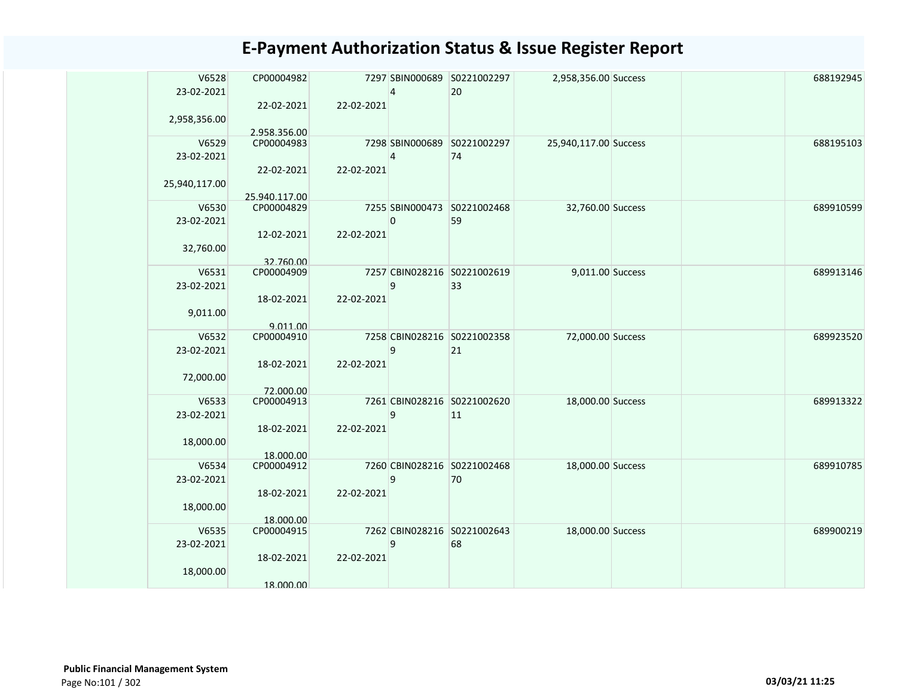| V6528               | CP00004982                 |            |                | 7297 SBIN000689 S0221002297 | 2,958,356.00 Success  |  | 688192945 |
|---------------------|----------------------------|------------|----------------|-----------------------------|-----------------------|--|-----------|
| 23-02-2021          |                            |            | 4              | 20                          |                       |  |           |
|                     | 22-02-2021                 | 22-02-2021 |                |                             |                       |  |           |
| 2,958,356.00        |                            |            |                |                             |                       |  |           |
| V6529               | 2.958.356.00<br>CP00004983 |            |                | 7298 SBIN000689 S0221002297 | 25,940,117.00 Success |  | 688195103 |
| 23-02-2021          |                            |            | 4              | 74                          |                       |  |           |
|                     | 22-02-2021                 | 22-02-2021 |                |                             |                       |  |           |
| 25,940,117.00       |                            |            |                |                             |                       |  |           |
|                     | 25.940.117.00              |            |                |                             |                       |  |           |
| V6530               | CP00004829                 |            |                | 7255 SBIN000473 S0221002468 | 32,760.00 Success     |  | 689910599 |
| 23-02-2021          |                            |            | $\overline{0}$ | 59                          |                       |  |           |
|                     | 12-02-2021                 | 22-02-2021 |                |                             |                       |  |           |
| 32,760.00           |                            |            |                |                             |                       |  |           |
|                     | 32.760.00                  |            |                | 7257 CBIN028216 S0221002619 |                       |  | 689913146 |
| V6531<br>23-02-2021 | CP00004909                 |            | 9              | 33                          | 9,011.00 Success      |  |           |
|                     | 18-02-2021                 | 22-02-2021 |                |                             |                       |  |           |
| 9,011.00            |                            |            |                |                             |                       |  |           |
|                     | 9.011.00                   |            |                |                             |                       |  |           |
| V6532               | CP00004910                 |            |                | 7258 CBIN028216 S0221002358 | 72,000.00 Success     |  | 689923520 |
| 23-02-2021          |                            |            | 9              | 21                          |                       |  |           |
|                     | 18-02-2021                 | 22-02-2021 |                |                             |                       |  |           |
| 72,000.00           |                            |            |                |                             |                       |  |           |
| V6533               | 72.000.00<br>CP00004913    |            |                | 7261 CBIN028216 S0221002620 | 18,000.00 Success     |  | 689913322 |
| 23-02-2021          |                            |            | 9              | 11                          |                       |  |           |
|                     | 18-02-2021                 | 22-02-2021 |                |                             |                       |  |           |
| 18,000.00           |                            |            |                |                             |                       |  |           |
|                     | 18.000.00                  |            |                |                             |                       |  |           |
| V6534               | CP00004912                 |            |                | 7260 CBIN028216 S0221002468 | 18,000.00 Success     |  | 689910785 |
| 23-02-2021          |                            |            | 9              | 70                          |                       |  |           |
|                     | 18-02-2021                 | 22-02-2021 |                |                             |                       |  |           |
| 18,000.00           |                            |            |                |                             |                       |  |           |
| V6535               | 18.000.00<br>CP00004915    |            |                | 7262 CBIN028216 S0221002643 | 18,000.00 Success     |  | 689900219 |
| 23-02-2021          |                            |            | $\mathsf g$    | 68                          |                       |  |           |
|                     | 18-02-2021                 | 22-02-2021 |                |                             |                       |  |           |
| 18,000.00           |                            |            |                |                             |                       |  |           |
|                     | 18.000.00                  |            |                |                             |                       |  |           |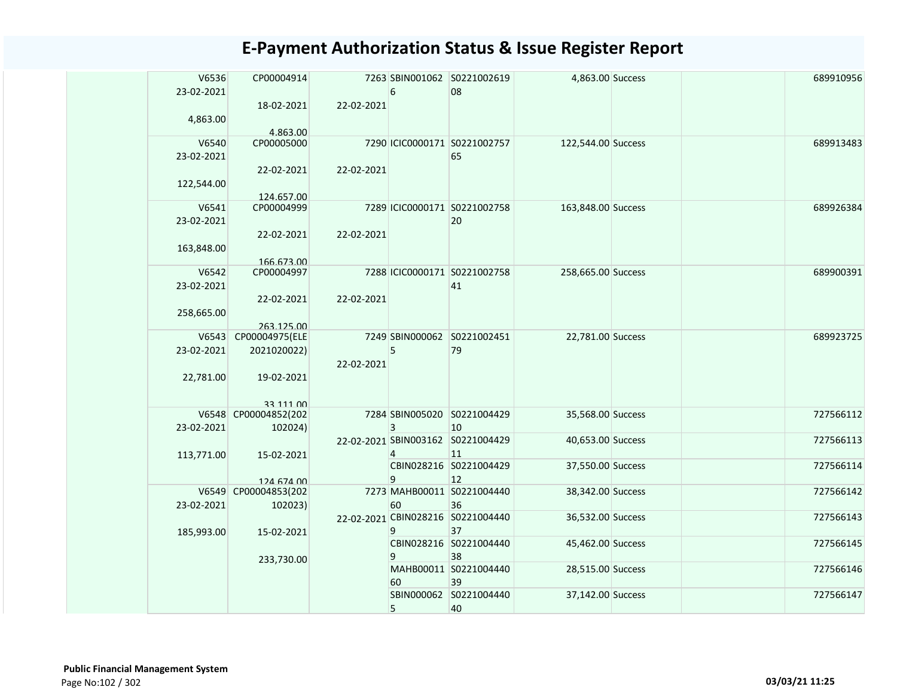| V6536      | CP00004914           |            |    | 7263 SBIN001062 S0221002619       | 4,863.00 Success   |  | 689910956 |
|------------|----------------------|------------|----|-----------------------------------|--------------------|--|-----------|
|            |                      |            |    |                                   |                    |  |           |
| 23-02-2021 |                      |            | 6  | 08                                |                    |  |           |
|            | 18-02-2021           | 22-02-2021 |    |                                   |                    |  |           |
| 4,863.00   |                      |            |    |                                   |                    |  |           |
|            | 4.863.00             |            |    |                                   |                    |  |           |
| V6540      | CP00005000           |            |    | 7290 ICIC0000171 S0221002757      | 122,544.00 Success |  | 689913483 |
| 23-02-2021 |                      |            |    | 65                                |                    |  |           |
|            | 22-02-2021           | 22-02-2021 |    |                                   |                    |  |           |
|            |                      |            |    |                                   |                    |  |           |
| 122,544.00 |                      |            |    |                                   |                    |  |           |
|            | 124.657.00           |            |    |                                   |                    |  |           |
| V6541      | CP00004999           |            |    | 7289 ICIC0000171 S0221002758      | 163,848.00 Success |  | 689926384 |
| 23-02-2021 |                      |            |    | 20                                |                    |  |           |
|            | 22-02-2021           | 22-02-2021 |    |                                   |                    |  |           |
| 163,848.00 |                      |            |    |                                   |                    |  |           |
|            | 166.673.00           |            |    |                                   |                    |  |           |
| V6542      | CP00004997           |            |    | 7288 ICIC0000171 S0221002758      | 258,665.00 Success |  | 689900391 |
| 23-02-2021 |                      |            |    | 41                                |                    |  |           |
|            | 22-02-2021           | 22-02-2021 |    |                                   |                    |  |           |
|            |                      |            |    |                                   |                    |  |           |
| 258,665.00 |                      |            |    |                                   |                    |  |           |
|            | 263.125.00           |            |    | 7249 SBIN000062 S0221002451       |                    |  | 689923725 |
| V6543      | CP00004975(ELE       |            |    |                                   | 22,781.00 Success  |  |           |
| 23-02-2021 | 2021020022)          |            | 5  | 79                                |                    |  |           |
|            |                      | 22-02-2021 |    |                                   |                    |  |           |
| 22,781.00  | 19-02-2021           |            |    |                                   |                    |  |           |
|            |                      |            |    |                                   |                    |  |           |
|            | 33 111 00            |            |    |                                   |                    |  |           |
|            | V6548 CP00004852(202 |            |    | 7284 SBIN005020 S0221004429       | 35,568.00 Success  |  | 727566112 |
| 23-02-2021 | 102024)              |            | 3  | 10                                |                    |  |           |
|            |                      |            |    | 22-02-2021 SBIN003162 S0221004429 | 40,653.00 Success  |  | 727566113 |
| 113,771.00 | 15-02-2021           |            | 4  | 11                                |                    |  |           |
|            |                      |            |    | CBIN028216 S0221004429            | 37,550.00 Success  |  | 727566114 |
|            | 124 674 00           |            | 9  | 12                                |                    |  |           |
|            | V6549 CP00004853(202 |            |    | 7273 MAHB00011 S0221004440        | 38,342.00 Success  |  | 727566142 |
| 23-02-2021 | 102023)              |            | 60 | 36                                |                    |  |           |
|            |                      |            |    | 22-02-2021 CBIN028216 S0221004440 | 36,532.00 Success  |  | 727566143 |
|            |                      |            |    |                                   |                    |  |           |
| 185,993.00 | 15-02-2021           |            | 9  | 37                                |                    |  | 727566145 |
|            |                      |            |    | CBIN028216 S0221004440            | 45,462.00 Success  |  |           |
|            | 233,730.00           |            | 9  | 38                                |                    |  |           |
|            |                      |            |    | MAHB00011 S0221004440             | 28,515.00 Success  |  | 727566146 |
|            |                      |            | 60 | 39                                |                    |  |           |
|            |                      |            |    | SBIN000062 S0221004440            | 37,142.00 Success  |  | 727566147 |
|            |                      |            | 5  | 40                                |                    |  |           |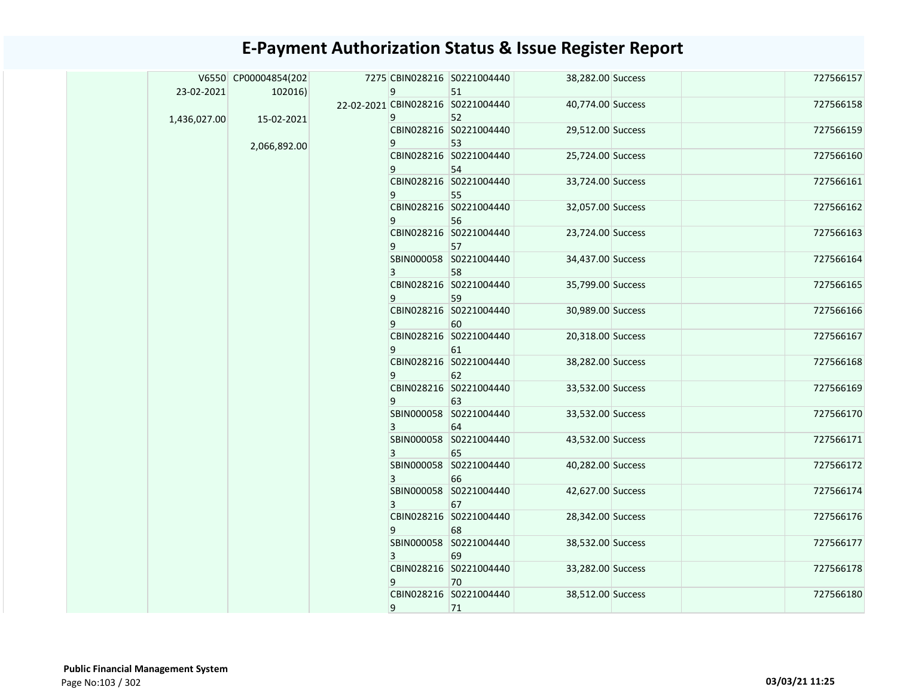|              | V6550 CP00004854(202 |              | 7275 CBIN028216 S0221004440       | 38,282.00 Success |  | 727566157 |
|--------------|----------------------|--------------|-----------------------------------|-------------------|--|-----------|
| 23-02-2021   | 102016               | 9            | 51                                |                   |  |           |
|              |                      |              | 22-02-2021 CBIN028216 S0221004440 | 40,774.00 Success |  | 727566158 |
| 1,436,027.00 | 15-02-2021           | 9            | 52                                |                   |  |           |
|              |                      |              | CBIN028216 S0221004440            | 29,512.00 Success |  | 727566159 |
|              | 2,066,892.00         | 9            | 53                                |                   |  |           |
|              |                      |              | CBIN028216 S0221004440            | 25,724.00 Success |  | 727566160 |
|              |                      | 9            | 54                                |                   |  |           |
|              |                      |              | CBIN028216 S0221004440            | 33,724.00 Success |  | 727566161 |
|              |                      | 9            | 55                                |                   |  |           |
|              |                      |              | CBIN028216 S0221004440            | 32,057.00 Success |  | 727566162 |
|              |                      | 9            | 56                                |                   |  |           |
|              |                      |              | CBIN028216 S0221004440            | 23,724.00 Success |  | 727566163 |
|              |                      | 9            | 57                                |                   |  |           |
|              |                      |              | SBIN000058 S0221004440            | 34,437.00 Success |  | 727566164 |
|              |                      | $\mathbf{3}$ | 58                                |                   |  |           |
|              |                      |              | CBIN028216 S0221004440            | 35,799.00 Success |  | 727566165 |
|              |                      | 9            | 59                                |                   |  |           |
|              |                      |              | CBIN028216 S0221004440            | 30,989.00 Success |  | 727566166 |
|              |                      | 9            | 60                                |                   |  |           |
|              |                      |              | CBIN028216 S0221004440            | 20,318.00 Success |  | 727566167 |
|              |                      | 9            | 61                                |                   |  |           |
|              |                      |              | CBIN028216 S0221004440            | 38,282.00 Success |  | 727566168 |
|              |                      | 9            | 62<br>CBIN028216 S0221004440      | 33,532.00 Success |  | 727566169 |
|              |                      | 9            |                                   |                   |  |           |
|              |                      |              | 63<br>SBIN000058 S0221004440      | 33,532.00 Success |  | 727566170 |
|              |                      | $\mathbf{3}$ | 64                                |                   |  |           |
|              |                      |              | SBIN000058 S0221004440            | 43,532.00 Success |  | 727566171 |
|              |                      | $\mathbf{3}$ | 65                                |                   |  |           |
|              |                      |              | SBIN000058 S0221004440            | 40,282.00 Success |  | 727566172 |
|              |                      | 3            | 66                                |                   |  |           |
|              |                      |              | SBIN000058 S0221004440            | 42,627.00 Success |  | 727566174 |
|              |                      | 3            | 67                                |                   |  |           |
|              |                      |              | CBIN028216 S0221004440            | 28,342.00 Success |  | 727566176 |
|              |                      | 9            | 68                                |                   |  |           |
|              |                      |              | SBIN000058 S0221004440            | 38,532.00 Success |  | 727566177 |
|              |                      | $\mathbf{3}$ | 69                                |                   |  |           |
|              |                      |              | CBIN028216 S0221004440            | 33,282.00 Success |  | 727566178 |
|              |                      | 9            | 70                                |                   |  |           |
|              |                      |              | CBIN028216 S0221004440            | 38,512.00 Success |  | 727566180 |
|              |                      | 9            | 71                                |                   |  |           |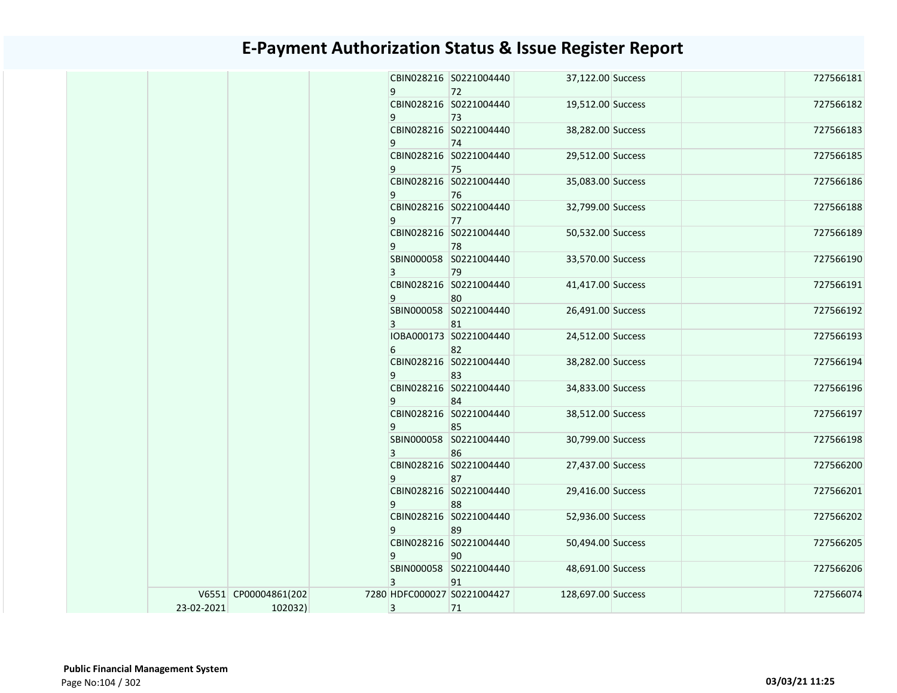|            |                      |   | CBIN028216 S0221004440       | 37,122.00 Success  |  | 727566181 |
|------------|----------------------|---|------------------------------|--------------------|--|-----------|
|            |                      | 9 | 72                           |                    |  |           |
|            |                      |   | CBIN028216 S0221004440       | 19,512.00 Success  |  | 727566182 |
|            |                      | 9 | 73<br>CBIN028216 S0221004440 |                    |  | 727566183 |
|            |                      |   |                              | 38,282.00 Success  |  |           |
|            |                      | 9 | 74<br>CBIN028216 S0221004440 |                    |  | 727566185 |
|            |                      | 9 |                              | 29,512.00 Success  |  |           |
|            |                      |   | 75<br>CBIN028216 S0221004440 | 35,083.00 Success  |  | 727566186 |
|            |                      | 9 | 76                           |                    |  |           |
|            |                      |   | CBIN028216 S0221004440       | 32,799.00 Success  |  | 727566188 |
|            |                      | 9 | 77                           |                    |  |           |
|            |                      |   | CBIN028216 S0221004440       | 50,532.00 Success  |  | 727566189 |
|            |                      | 9 | 78                           |                    |  |           |
|            |                      |   | SBIN000058 S0221004440       | 33,570.00 Success  |  | 727566190 |
|            |                      | 3 | 79                           |                    |  |           |
|            |                      |   | CBIN028216 S0221004440       | 41,417.00 Success  |  | 727566191 |
|            |                      | 9 | 80                           |                    |  |           |
|            |                      |   | SBIN000058 S0221004440       | 26,491.00 Success  |  | 727566192 |
|            |                      | 3 | 81                           |                    |  |           |
|            |                      |   | IOBA000173 S0221004440       | 24,512.00 Success  |  | 727566193 |
|            |                      | 6 | 82                           |                    |  |           |
|            |                      |   | CBIN028216 S0221004440       | 38,282.00 Success  |  | 727566194 |
|            |                      | 9 | 83                           |                    |  |           |
|            |                      |   | CBIN028216 S0221004440       | 34,833.00 Success  |  | 727566196 |
|            |                      | 9 | 84                           |                    |  |           |
|            |                      |   | CBIN028216 S0221004440       | 38,512.00 Success  |  | 727566197 |
|            |                      | 9 | 85                           |                    |  |           |
|            |                      |   | SBIN000058 S0221004440       | 30,799.00 Success  |  | 727566198 |
|            |                      | 3 | 86                           |                    |  |           |
|            |                      |   | CBIN028216 S0221004440       | 27,437.00 Success  |  | 727566200 |
|            |                      | 9 | 87                           |                    |  |           |
|            |                      |   | CBIN028216 S0221004440       | 29,416.00 Success  |  | 727566201 |
|            |                      | 9 | 88                           |                    |  |           |
|            |                      |   | CBIN028216 S0221004440       | 52,936.00 Success  |  | 727566202 |
|            |                      | 9 | 89                           |                    |  |           |
|            |                      |   | CBIN028216 S0221004440       | 50,494.00 Success  |  | 727566205 |
|            |                      | 9 | 90                           |                    |  |           |
|            |                      |   | SBIN000058 S0221004440       | 48,691.00 Success  |  | 727566206 |
|            |                      | 3 | 91                           |                    |  |           |
|            | V6551 CP00004861(202 |   | 7280 HDFC000027 S0221004427  | 128,697.00 Success |  | 727566074 |
| 23-02-2021 | 102032)              | 3 | 71                           |                    |  |           |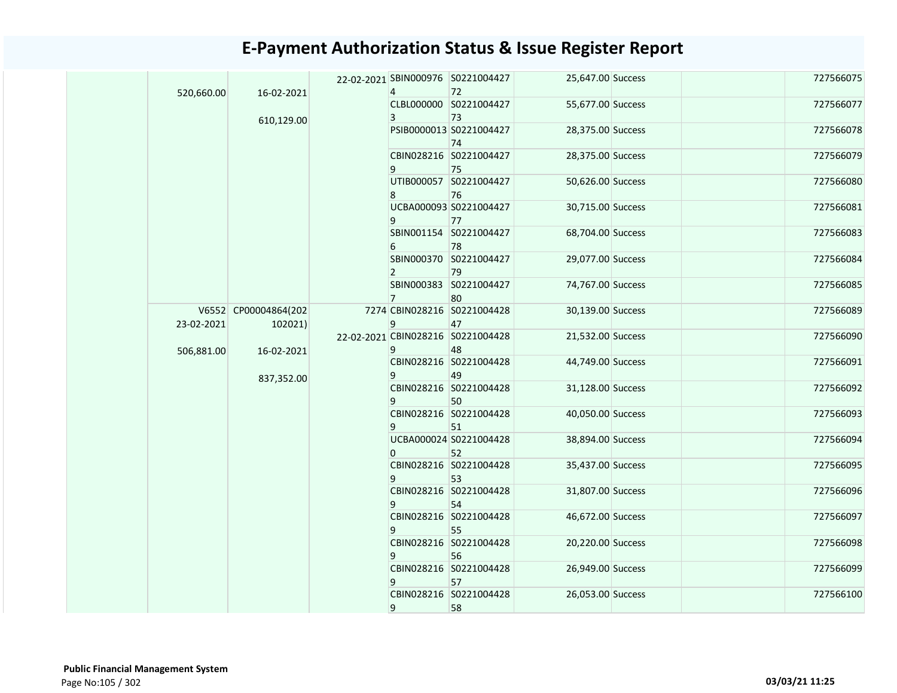| 520,660.00<br>16-02-2021 |                      | 4                                 | 22-02-2021 SBIN000976 S0221004427<br>72 | 25,647.00 Success            |                        | 727566075         |           |           |  |                        |                   |  |           |  |  |  |  |  |  |    |  |  |  |
|--------------------------|----------------------|-----------------------------------|-----------------------------------------|------------------------------|------------------------|-------------------|-----------|-----------|--|------------------------|-------------------|--|-----------|--|--|--|--|--|--|----|--|--|--|
|                          |                      |                                   |                                         | CLBL000000 S0221004427       | 55,677.00 Success      |                   | 727566077 |           |  |                        |                   |  |           |  |  |  |  |  |  |    |  |  |  |
|                          | 610,129.00           |                                   | 3                                       | 73                           |                        |                   |           |           |  |                        |                   |  |           |  |  |  |  |  |  |    |  |  |  |
|                          |                      |                                   |                                         | PSIB0000013 S0221004427      | 28,375.00 Success      |                   | 727566078 |           |  |                        |                   |  |           |  |  |  |  |  |  |    |  |  |  |
|                          |                      |                                   |                                         | 74                           |                        |                   |           |           |  |                        |                   |  |           |  |  |  |  |  |  |    |  |  |  |
|                          |                      |                                   |                                         | CBIN028216 S0221004427       | 28,375.00 Success      |                   | 727566079 |           |  |                        |                   |  |           |  |  |  |  |  |  |    |  |  |  |
|                          |                      |                                   | 9                                       | 75                           |                        |                   |           |           |  |                        |                   |  |           |  |  |  |  |  |  |    |  |  |  |
|                          |                      |                                   |                                         | UTIB000057 S0221004427       | 50,626.00 Success      |                   | 727566080 |           |  |                        |                   |  |           |  |  |  |  |  |  |    |  |  |  |
|                          |                      |                                   | 8                                       | 76                           |                        |                   |           |           |  |                        |                   |  |           |  |  |  |  |  |  |    |  |  |  |
|                          |                      |                                   |                                         | UCBA000093 S0221004427<br>77 | 30,715.00 Success      |                   | 727566081 |           |  |                        |                   |  |           |  |  |  |  |  |  |    |  |  |  |
|                          |                      |                                   | 9                                       | SBIN001154 S0221004427       | 68,704.00 Success      |                   | 727566083 |           |  |                        |                   |  |           |  |  |  |  |  |  |    |  |  |  |
|                          |                      |                                   | 6                                       | 78                           |                        |                   |           |           |  |                        |                   |  |           |  |  |  |  |  |  |    |  |  |  |
|                          |                      |                                   |                                         | SBIN000370 S0221004427       | 29,077.00 Success      |                   | 727566084 |           |  |                        |                   |  |           |  |  |  |  |  |  |    |  |  |  |
|                          |                      |                                   | $\mathbf{2}$                            | 79                           |                        |                   |           |           |  |                        |                   |  |           |  |  |  |  |  |  |    |  |  |  |
|                          |                      |                                   |                                         | SBIN000383 S0221004427       | 74,767.00 Success      |                   | 727566085 |           |  |                        |                   |  |           |  |  |  |  |  |  |    |  |  |  |
|                          |                      | 22-02-2021 CBIN028216 S0221004428 | $\overline{7}$                          | 80                           |                        |                   |           |           |  |                        |                   |  |           |  |  |  |  |  |  |    |  |  |  |
|                          | V6552 CP00004864(202 |                                   |                                         | 7274 CBIN028216 S0221004428  | 30,139.00 Success      |                   | 727566089 |           |  |                        |                   |  |           |  |  |  |  |  |  |    |  |  |  |
| 23-02-2021               | 102021)              |                                   |                                         | 9                            | 47                     | 21,532.00 Success |           | 727566090 |  |                        |                   |  |           |  |  |  |  |  |  |    |  |  |  |
| 506,881.00               | 16-02-2021           |                                   |                                         |                              | 9                      | 48                |           |           |  |                        |                   |  |           |  |  |  |  |  |  |    |  |  |  |
|                          |                      |                                   |                                         |                              | CBIN028216 S0221004428 | 44,749.00 Success |           | 727566091 |  |                        |                   |  |           |  |  |  |  |  |  |    |  |  |  |
|                          | 837,352.00           |                                   |                                         | 9                            | 49                     |                   |           |           |  |                        |                   |  |           |  |  |  |  |  |  |    |  |  |  |
|                          |                      |                                   |                                         | CBIN028216 S0221004428       | 31,128.00 Success      |                   | 727566092 |           |  |                        |                   |  |           |  |  |  |  |  |  |    |  |  |  |
|                          |                      |                                   | 9                                       | 50                           |                        |                   |           |           |  |                        |                   |  |           |  |  |  |  |  |  |    |  |  |  |
|                          |                      |                                   |                                         | CBIN028216 S0221004428       | 40,050.00 Success      |                   | 727566093 |           |  |                        |                   |  |           |  |  |  |  |  |  |    |  |  |  |
|                          |                      |                                   | 9                                       | 51<br>UCBA000024 S0221004428 | 38,894.00 Success      |                   | 727566094 |           |  |                        |                   |  |           |  |  |  |  |  |  |    |  |  |  |
|                          |                      |                                   | 0                                       | 52                           |                        |                   |           |           |  |                        |                   |  |           |  |  |  |  |  |  |    |  |  |  |
|                          |                      |                                   |                                         | CBIN028216 S0221004428       | 35,437.00 Success      |                   | 727566095 |           |  |                        |                   |  |           |  |  |  |  |  |  |    |  |  |  |
|                          |                      |                                   | 9                                       | 53                           |                        |                   |           |           |  |                        |                   |  |           |  |  |  |  |  |  |    |  |  |  |
|                          |                      |                                   |                                         | CBIN028216 S0221004428       | 31,807.00 Success      |                   | 727566096 |           |  |                        |                   |  |           |  |  |  |  |  |  |    |  |  |  |
|                          |                      | 9<br>9<br>9<br>9                  |                                         | 54                           |                        |                   |           |           |  |                        |                   |  |           |  |  |  |  |  |  |    |  |  |  |
|                          |                      |                                   |                                         | CBIN028216 S0221004428       | 46,672.00 Success      |                   | 727566097 |           |  |                        |                   |  |           |  |  |  |  |  |  |    |  |  |  |
|                          |                      |                                   |                                         | 55<br>CBIN028216 S0221004428 |                        |                   | 727566098 |           |  |                        |                   |  |           |  |  |  |  |  |  |    |  |  |  |
|                          |                      |                                   |                                         | 56                           | 20,220.00 Success      |                   |           |           |  |                        |                   |  |           |  |  |  |  |  |  |    |  |  |  |
|                          |                      |                                   |                                         | CBIN028216 S0221004428       | 26,949.00 Success      |                   | 727566099 |           |  |                        |                   |  |           |  |  |  |  |  |  |    |  |  |  |
|                          |                      |                                   |                                         |                              |                        |                   |           |           |  |                        |                   |  |           |  |  |  |  |  |  | 57 |  |  |  |
|                          |                      |                                   |                                         |                              |                        |                   |           |           |  | CBIN028216 S0221004428 | 26,053.00 Success |  | 727566100 |  |  |  |  |  |  |    |  |  |  |
|                          |                      |                                   |                                         | 58                           |                        |                   |           |           |  |                        |                   |  |           |  |  |  |  |  |  |    |  |  |  |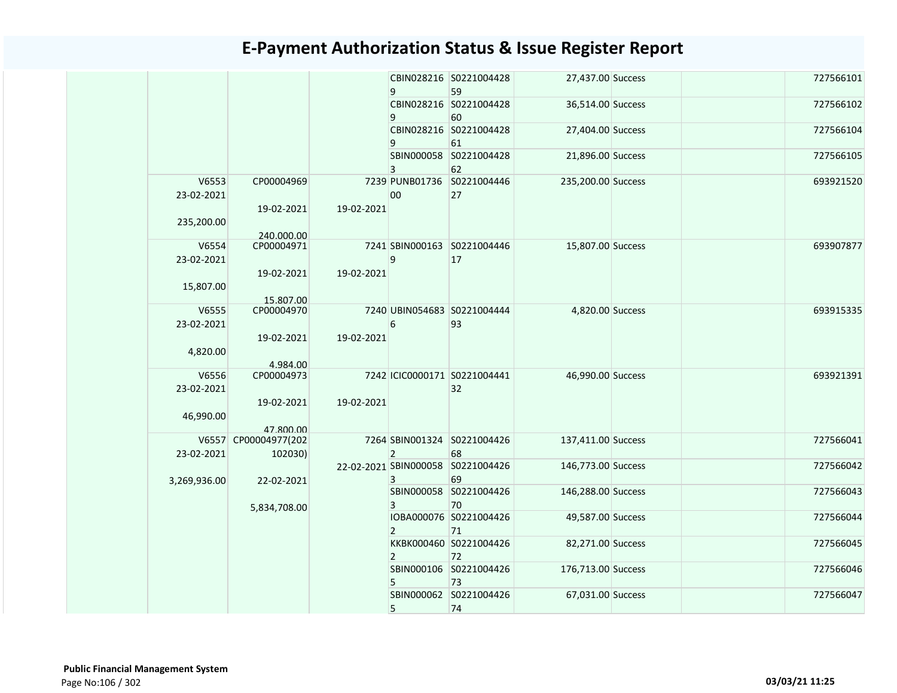|                     |                                 |            | 9              | CBIN028216 S0221004428<br>59            | 27,437.00 Success  |  | 727566101 |
|---------------------|---------------------------------|------------|----------------|-----------------------------------------|--------------------|--|-----------|
|                     |                                 |            | 9              | CBIN028216 S0221004428<br>60            | 36,514.00 Success  |  | 727566102 |
|                     |                                 |            | 9              | CBIN028216 S0221004428<br>61            | 27,404.00 Success  |  | 727566104 |
|                     |                                 |            | 3              | SBIN000058 S0221004428<br>62            | 21,896.00 Success  |  | 727566105 |
| V6553<br>23-02-2021 | CP00004969                      |            | 00             | 7239 PUNB01736 S0221004446<br>27        | 235,200.00 Success |  | 693921520 |
| 235,200.00          | 19-02-2021<br>240.000.00        | 19-02-2021 |                |                                         |                    |  |           |
| V6554<br>23-02-2021 | CP00004971                      |            | 9              | 7241 SBIN000163 S0221004446<br>17       | 15,807.00 Success  |  | 693907877 |
| 15,807.00           | 19-02-2021<br>15.807.00         | 19-02-2021 |                |                                         |                    |  |           |
| V6555<br>23-02-2021 | CP00004970                      |            | 6              | 7240 UBIN054683 S0221004444<br>93       | 4,820.00 Success   |  | 693915335 |
| 4,820.00            | 19-02-2021<br>4.984.00          | 19-02-2021 |                |                                         |                    |  |           |
| V6556<br>23-02-2021 | CP00004973                      |            |                | 7242 ICIC0000171 S0221004441<br>32      | 46,990.00 Success  |  | 693921391 |
| 46,990.00           | 19-02-2021<br>47.800.00         | 19-02-2021 |                |                                         |                    |  |           |
| 23-02-2021          | V6557 CP00004977(202<br>102030) |            | $\overline{2}$ | 7264 SBIN001324 S0221004426<br>68       | 137,411.00 Success |  | 727566041 |
| 3,269,936.00        | 22-02-2021                      |            | 3              | 22-02-2021 SBIN000058 S0221004426<br>69 | 146,773.00 Success |  | 727566042 |
|                     | 5,834,708.00                    |            | 3              | SBIN000058 S0221004426<br>70            | 146,288.00 Success |  | 727566043 |
|                     |                                 |            | $\overline{2}$ | IOBA000076 S0221004426<br>71            | 49,587.00 Success  |  | 727566044 |
|                     |                                 |            | $\overline{2}$ | KKBK000460 S0221004426<br>72            | 82,271.00 Success  |  | 727566045 |
|                     |                                 |            | 5              | SBIN000106 S0221004426<br>73            | 176,713.00 Success |  | 727566046 |
|                     |                                 |            | 5              | SBIN000062 S0221004426<br>74            | 67,031.00 Success  |  | 727566047 |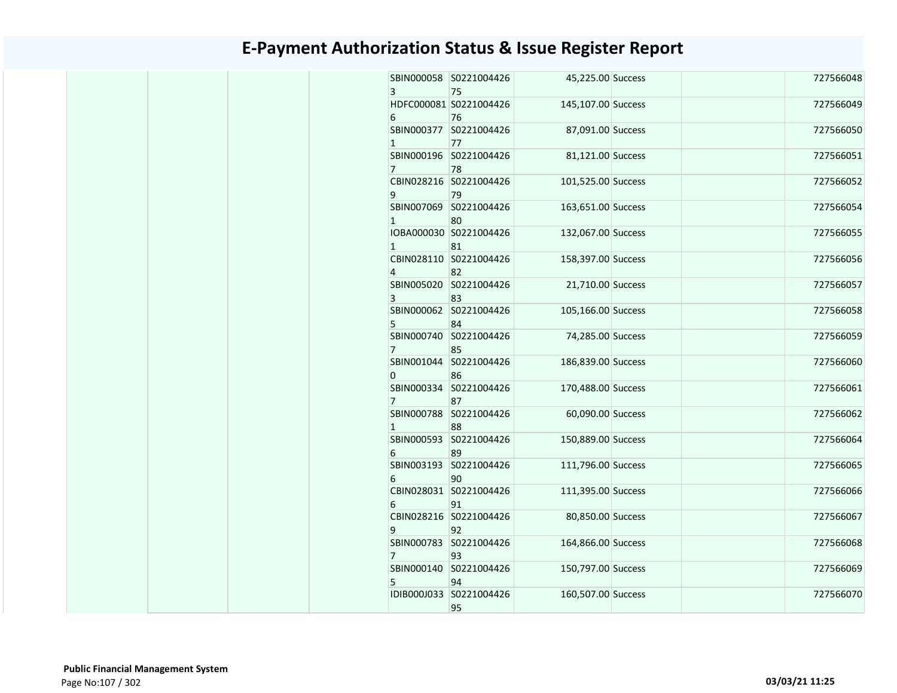|  | $\overline{3}$ | SBIN000058 S0221004426<br>75  | 45,225.00 Success  | 727566048 |
|--|----------------|-------------------------------|--------------------|-----------|
|  | 6              | HDFC000081 S0221004426<br>76  | 145,107.00 Success | 727566049 |
|  | $\mathbf{1}$   | SBIN000377 S0221004426<br>77  | 87,091.00 Success  | 727566050 |
|  | $7^{\circ}$    | SBIN000196 S0221004426<br>78  | 81,121.00 Success  | 727566051 |
|  | 9              | CBIN028216 S0221004426<br>79  | 101,525.00 Success | 727566052 |
|  | $\mathbf{1}$   | SBIN007069 S0221004426<br>80  | 163,651.00 Success | 727566054 |
|  | $\mathbf{1}$   | IOBA000030 S0221004426<br>81  | 132,067.00 Success | 727566055 |
|  | $\overline{4}$ | CBIN028110 S0221004426<br>82  | 158,397.00 Success | 727566056 |
|  | 3              | SBIN005020 S0221004426<br>83  | 21,710.00 Success  | 727566057 |
|  | 5 <sup>1</sup> | SBIN000062 S0221004426<br>84  | 105,166.00 Success | 727566058 |
|  | $7^{\circ}$    | SBIN000740 S0221004426<br>85  | 74,285.00 Success  | 727566059 |
|  | $\Omega$       | SBIN001044 S0221004426<br>86  | 186,839.00 Success | 727566060 |
|  | 7 <sup>7</sup> | SBIN000334 S0221004426<br>87  | 170,488.00 Success | 727566061 |
|  | $\mathbf{1}$   | SBIN000788 S0221004426<br>88  | 60,090.00 Success  | 727566062 |
|  | 6              | SBIN000593 S0221004426<br>89  | 150,889.00 Success | 727566064 |
|  | 6              | SBIN003193 S0221004426<br>90  | 111,796.00 Success | 727566065 |
|  | 6              | CBIN028031 S0221004426<br>91  | 111,395.00 Success | 727566066 |
|  | 9              | CBIN028216 S0221004426<br>92  | 80,850.00 Success  | 727566067 |
|  | 7 <sup>1</sup> | SBIN000783 S0221004426<br>93  | 164,866.00 Success | 727566068 |
|  | 5              | SBIN000140 S0221004426<br>94  | 150,797.00 Success | 727566069 |
|  |                | IDIB000J033 S0221004426<br>95 | 160,507.00 Success | 727566070 |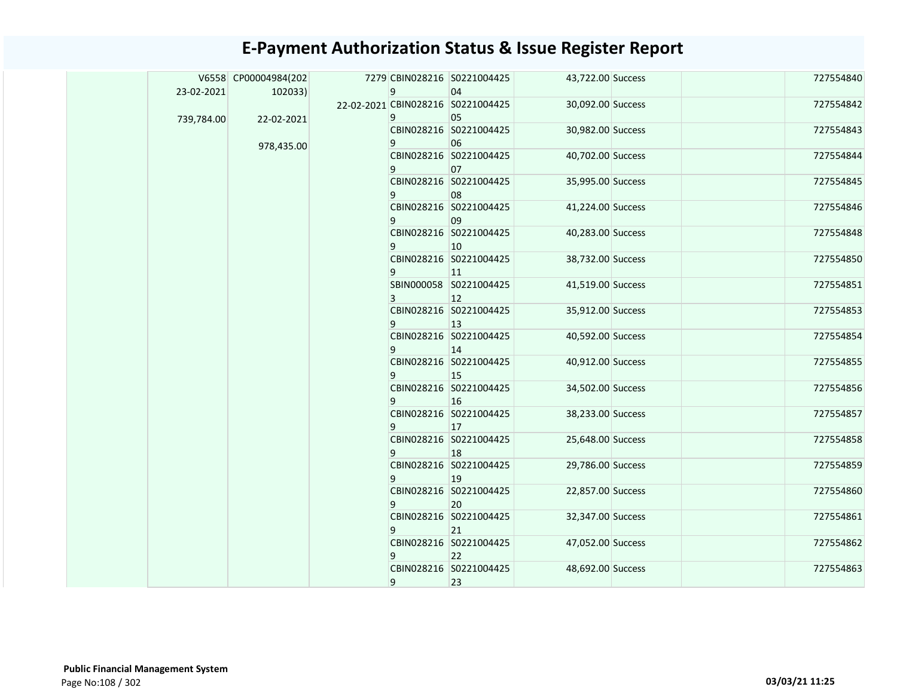|            | V6558 CP00004984(202 | 7279 CBIN028216 S0221004425       |                        | 43,722.00 Success | 727554840 |
|------------|----------------------|-----------------------------------|------------------------|-------------------|-----------|
| 23-02-2021 | 102033               | 9                                 | 04                     |                   |           |
|            |                      | 22-02-2021 CBIN028216 S0221004425 |                        | 30,092.00 Success | 727554842 |
| 739,784.00 | 22-02-2021           | 9                                 | 05                     |                   |           |
|            |                      |                                   | CBIN028216 S0221004425 | 30,982.00 Success | 727554843 |
|            | 978,435.00           | 9                                 | 06                     |                   |           |
|            |                      |                                   | CBIN028216 S0221004425 | 40,702.00 Success | 727554844 |
|            |                      | 9                                 | 07                     |                   |           |
|            |                      |                                   | CBIN028216 S0221004425 | 35,995.00 Success | 727554845 |
|            |                      | 9                                 | 08                     |                   |           |
|            |                      |                                   | CBIN028216 S0221004425 | 41,224.00 Success | 727554846 |
|            |                      | 9                                 | 09                     |                   |           |
|            |                      |                                   | CBIN028216 S0221004425 | 40,283.00 Success | 727554848 |
|            |                      | 9                                 | 10 <sup>°</sup>        |                   |           |
|            |                      |                                   | CBIN028216 S0221004425 | 38,732.00 Success | 727554850 |
|            |                      | 9                                 | $ 11\rangle$           |                   |           |
|            |                      |                                   | SBIN000058 S0221004425 | 41,519.00 Success | 727554851 |
|            |                      | 3                                 | $ 12\rangle$           |                   |           |
|            |                      |                                   | CBIN028216 S0221004425 | 35,912.00 Success | 727554853 |
|            |                      | 9                                 | $ 13\rangle$           |                   |           |
|            |                      |                                   | CBIN028216 S0221004425 | 40,592.00 Success | 727554854 |
|            |                      | 9                                 | 14                     |                   |           |
|            |                      |                                   | CBIN028216 S0221004425 | 40,912.00 Success | 727554855 |
|            |                      | 9                                 | 15                     |                   |           |
|            |                      |                                   | CBIN028216 S0221004425 | 34,502.00 Success | 727554856 |
|            |                      | 9                                 | 16                     |                   |           |
|            |                      |                                   | CBIN028216 S0221004425 | 38,233.00 Success | 727554857 |
|            |                      | 9                                 | <b>17</b>              |                   |           |
|            |                      |                                   | CBIN028216 S0221004425 | 25,648.00 Success | 727554858 |
|            |                      | 9                                 | 18                     |                   |           |
|            |                      |                                   | CBIN028216 S0221004425 | 29,786.00 Success | 727554859 |
|            |                      | 9                                 | $ 19\rangle$           |                   |           |
|            |                      |                                   | CBIN028216 S0221004425 | 22,857.00 Success | 727554860 |
|            |                      | 9                                 | 20                     |                   |           |
|            |                      |                                   | CBIN028216 S0221004425 | 32,347.00 Success | 727554861 |
|            |                      | 9                                 | 21                     |                   |           |
|            |                      |                                   | CBIN028216 S0221004425 | 47,052.00 Success | 727554862 |
|            |                      | 9                                 | 22                     |                   |           |
|            |                      |                                   | CBIN028216 S0221004425 | 48,692.00 Success | 727554863 |
|            |                      | 9                                 | 23                     |                   |           |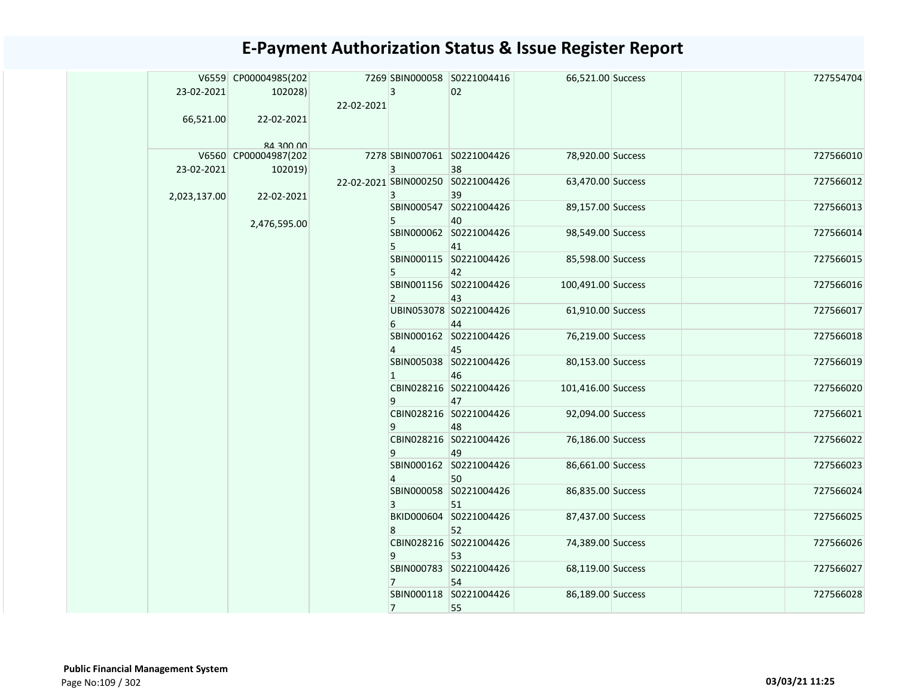|  | 23-02-2021   | V6559 CP00004985(202<br>102028) |            | $\overline{3}$ | 7269 SBIN000058 S0221004416<br>02       | 66,521.00 Success  | 727554704 |
|--|--------------|---------------------------------|------------|----------------|-----------------------------------------|--------------------|-----------|
|  |              |                                 | 22-02-2021 |                |                                         |                    |           |
|  | 66,521.00    | 22-02-2021                      |            |                |                                         |                    |           |
|  |              | <b>00 002 BR</b>                |            |                |                                         |                    |           |
|  | 23-02-2021   | V6560 CP00004987(202<br>102019) |            | 3              | 7278 SBIN007061 S0221004426<br>38       | 78,920.00 Success  | 727566010 |
|  | 2,023,137.00 | 22-02-2021                      |            | 3              | 22-02-2021 SBIN000250 S0221004426<br>39 | 63,470.00 Success  | 727566012 |
|  |              |                                 |            | 5              | SBIN000547 S0221004426<br>40            | 89,157.00 Success  | 727566013 |
|  |              | 2,476,595.00                    |            |                | SBIN000062 S0221004426                  | 98,549.00 Success  | 727566014 |
|  |              |                                 |            | 5              | 41                                      |                    |           |
|  |              |                                 |            | 5              | SBIN000115 S0221004426<br>42            | 85,598.00 Success  | 727566015 |
|  |              |                                 |            | $\overline{2}$ | SBIN001156 S0221004426<br>43            | 100,491.00 Success | 727566016 |
|  |              |                                 |            | 6              | UBIN053078 S0221004426<br>44            | 61,910.00 Success  | 727566017 |
|  |              |                                 |            | $\overline{4}$ | SBIN000162 S0221004426<br>45            | 76,219.00 Success  | 727566018 |
|  |              |                                 |            | $\mathbf{1}$   | SBIN005038 S0221004426<br>46            | 80,153.00 Success  | 727566019 |
|  |              |                                 |            | 9 <sup>1</sup> | CBIN028216 S0221004426<br>47            | 101,416.00 Success | 727566020 |
|  |              |                                 |            | 9              | CBIN028216 S0221004426<br>48            | 92,094.00 Success  | 727566021 |
|  |              |                                 |            | 9              | CBIN028216 S0221004426<br>49            | 76,186.00 Success  | 727566022 |
|  |              |                                 |            | $\overline{4}$ | SBIN000162 S0221004426<br>50            | 86,661.00 Success  | 727566023 |
|  |              |                                 |            | 3              | SBIN000058 S0221004426<br>51            | 86,835.00 Success  | 727566024 |
|  |              |                                 |            | 8              | BKID000604 S0221004426<br>52            | 87,437.00 Success  | 727566025 |
|  |              |                                 |            | 9              | CBIN028216 S0221004426<br>53            | 74,389.00 Success  | 727566026 |
|  |              |                                 |            | $7^{\circ}$    | SBIN000783 S0221004426<br>54            | 68,119.00 Success  | 727566027 |
|  |              |                                 |            | $7^{\circ}$    | SBIN000118 S0221004426<br>55            | 86,189.00 Success  | 727566028 |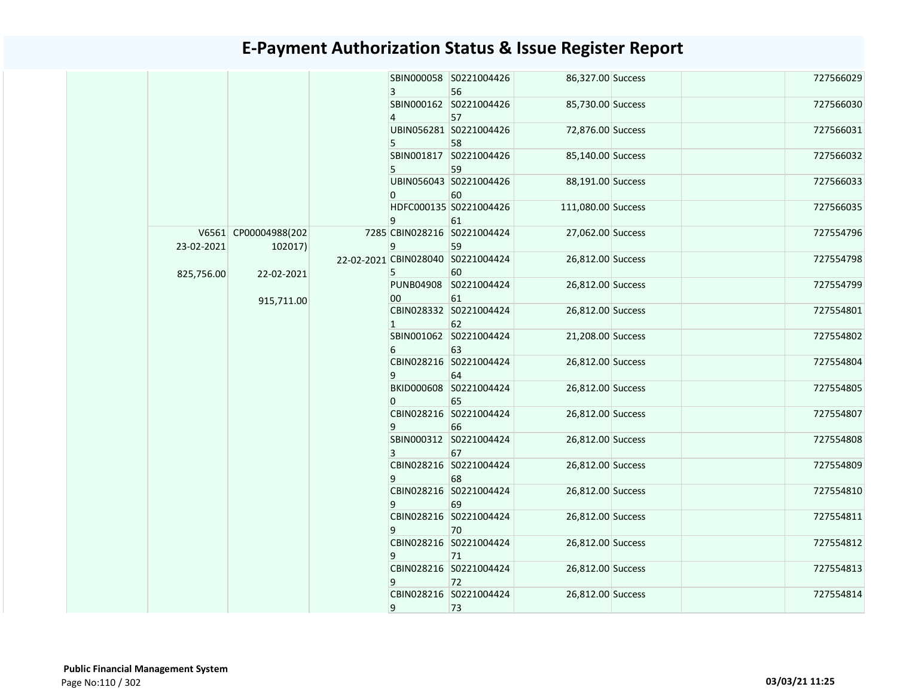|  |            |                      |   |                | SBIN000058 S0221004426            | 86,327.00 Success  | 727566029 |  |  |  |  |  |  |  |  |  |  |  |  |  |  |                        |                   |           |
|--|------------|----------------------|---|----------------|-----------------------------------|--------------------|-----------|--|--|--|--|--|--|--|--|--|--|--|--|--|--|------------------------|-------------------|-----------|
|  |            |                      |   | 3              | 56<br>SBIN000162 S0221004426      | 85,730.00 Success  | 727566030 |  |  |  |  |  |  |  |  |  |  |  |  |  |  |                        |                   |           |
|  |            |                      |   | $\overline{4}$ | 57                                |                    |           |  |  |  |  |  |  |  |  |  |  |  |  |  |  |                        |                   |           |
|  |            |                      |   |                | UBIN056281 S0221004426            | 72,876.00 Success  | 727566031 |  |  |  |  |  |  |  |  |  |  |  |  |  |  |                        |                   |           |
|  |            |                      |   | 5              | 58                                |                    |           |  |  |  |  |  |  |  |  |  |  |  |  |  |  |                        |                   |           |
|  |            |                      |   |                | SBIN001817 S0221004426            | 85,140.00 Success  | 727566032 |  |  |  |  |  |  |  |  |  |  |  |  |  |  |                        |                   |           |
|  |            |                      |   | 5              | 59                                |                    |           |  |  |  |  |  |  |  |  |  |  |  |  |  |  |                        |                   |           |
|  |            |                      |   |                | UBIN056043 S0221004426            | 88,191.00 Success  | 727566033 |  |  |  |  |  |  |  |  |  |  |  |  |  |  |                        |                   |           |
|  |            |                      |   | $\Omega$       | 60                                |                    |           |  |  |  |  |  |  |  |  |  |  |  |  |  |  |                        |                   |           |
|  |            |                      |   |                | HDFC000135 S0221004426            | 111,080.00 Success | 727566035 |  |  |  |  |  |  |  |  |  |  |  |  |  |  |                        |                   |           |
|  |            |                      |   | 9              | 61                                |                    |           |  |  |  |  |  |  |  |  |  |  |  |  |  |  |                        |                   |           |
|  |            | V6561 CP00004988(202 |   |                | 7285 CBIN028216 S0221004424       | 27,062.00 Success  | 727554796 |  |  |  |  |  |  |  |  |  |  |  |  |  |  |                        |                   |           |
|  | 23-02-2021 | 102017)              |   | 9              | 59                                |                    |           |  |  |  |  |  |  |  |  |  |  |  |  |  |  |                        |                   |           |
|  | 825,756.00 |                      |   |                | 22-02-2021 CBIN028040 S0221004424 | 26,812.00 Success  | 727554798 |  |  |  |  |  |  |  |  |  |  |  |  |  |  |                        |                   |           |
|  |            | 22-02-2021           |   | 5              | 60                                |                    |           |  |  |  |  |  |  |  |  |  |  |  |  |  |  |                        |                   |           |
|  |            |                      |   |                | PUNB04908 S0221004424             | 26,812.00 Success  | 727554799 |  |  |  |  |  |  |  |  |  |  |  |  |  |  |                        |                   |           |
|  |            | 915,711.00           |   | 00             | 61                                |                    |           |  |  |  |  |  |  |  |  |  |  |  |  |  |  |                        |                   |           |
|  |            |                      |   |                | CBIN028332 S0221004424            | 26,812.00 Success  | 727554801 |  |  |  |  |  |  |  |  |  |  |  |  |  |  |                        |                   |           |
|  |            |                      |   | $\mathbf{1}$   | 62                                |                    |           |  |  |  |  |  |  |  |  |  |  |  |  |  |  |                        |                   |           |
|  |            |                      |   |                | SBIN001062 S0221004424            | 21,208.00 Success  | 727554802 |  |  |  |  |  |  |  |  |  |  |  |  |  |  |                        |                   |           |
|  |            |                      |   | 6              | 63                                |                    |           |  |  |  |  |  |  |  |  |  |  |  |  |  |  |                        |                   |           |
|  |            |                      |   |                | CBIN028216 S0221004424            | 26,812.00 Success  | 727554804 |  |  |  |  |  |  |  |  |  |  |  |  |  |  |                        |                   |           |
|  |            |                      |   |                | 9                                 | 64                 |           |  |  |  |  |  |  |  |  |  |  |  |  |  |  |                        |                   |           |
|  |            |                      |   |                | BKID000608 S0221004424            | 26,812.00 Success  | 727554805 |  |  |  |  |  |  |  |  |  |  |  |  |  |  |                        |                   |           |
|  |            |                      |   | $\mathbf{0}$   | 65                                |                    |           |  |  |  |  |  |  |  |  |  |  |  |  |  |  |                        |                   |           |
|  |            |                      |   |                | CBIN028216 S0221004424            | 26,812.00 Success  | 727554807 |  |  |  |  |  |  |  |  |  |  |  |  |  |  |                        |                   |           |
|  |            |                      |   | 9              | 66                                |                    |           |  |  |  |  |  |  |  |  |  |  |  |  |  |  |                        |                   |           |
|  |            |                      |   |                | SBIN000312 S0221004424            | 26,812.00 Success  | 727554808 |  |  |  |  |  |  |  |  |  |  |  |  |  |  |                        |                   |           |
|  |            |                      |   | 3              | 67                                |                    |           |  |  |  |  |  |  |  |  |  |  |  |  |  |  |                        |                   |           |
|  |            |                      |   |                | CBIN028216 S0221004424            | 26,812.00 Success  | 727554809 |  |  |  |  |  |  |  |  |  |  |  |  |  |  |                        |                   |           |
|  |            |                      |   | 9              | 68                                |                    |           |  |  |  |  |  |  |  |  |  |  |  |  |  |  |                        |                   |           |
|  |            |                      |   |                | CBIN028216 S0221004424            | 26,812.00 Success  | 727554810 |  |  |  |  |  |  |  |  |  |  |  |  |  |  |                        |                   |           |
|  |            |                      |   | 9              | 69                                |                    |           |  |  |  |  |  |  |  |  |  |  |  |  |  |  |                        |                   |           |
|  |            |                      |   |                | CBIN028216 S0221004424            | 26,812.00 Success  | 727554811 |  |  |  |  |  |  |  |  |  |  |  |  |  |  |                        |                   |           |
|  |            |                      |   | 9              | 70                                |                    |           |  |  |  |  |  |  |  |  |  |  |  |  |  |  |                        |                   |           |
|  |            |                      |   |                | CBIN028216 S0221004424            | 26,812.00 Success  | 727554812 |  |  |  |  |  |  |  |  |  |  |  |  |  |  |                        |                   |           |
|  |            |                      |   | 9              | 71                                |                    |           |  |  |  |  |  |  |  |  |  |  |  |  |  |  |                        |                   |           |
|  |            |                      | 9 |                |                                   |                    |           |  |  |  |  |  |  |  |  |  |  |  |  |  |  | CBIN028216 S0221004424 | 26,812.00 Success | 727554813 |
|  |            |                      |   |                |                                   |                    |           |  |  |  |  |  |  |  |  |  |  |  |  |  |  |                        |                   |           |
|  |            |                      |   |                | CBIN028216 S0221004424            | 26,812.00 Success  | 727554814 |  |  |  |  |  |  |  |  |  |  |  |  |  |  |                        |                   |           |
|  |            |                      |   | 9              | 73                                |                    |           |  |  |  |  |  |  |  |  |  |  |  |  |  |  |                        |                   |           |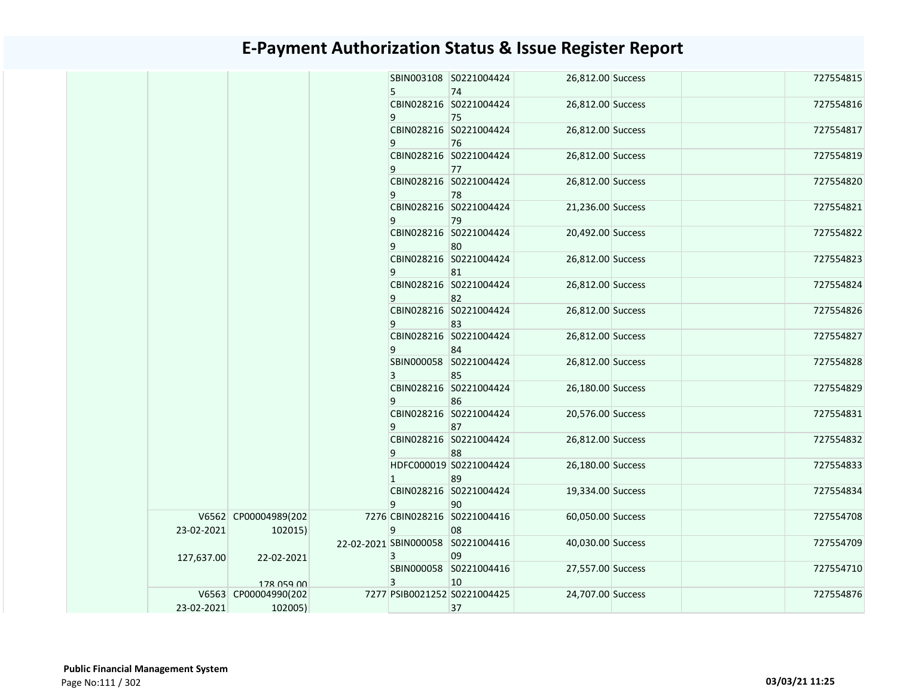|  |            |                      | 5. | SBIN003108 S0221004424<br>74      | 26,812.00 Success |  | 727554815 |
|--|------------|----------------------|----|-----------------------------------|-------------------|--|-----------|
|  |            |                      |    | CBIN028216 S0221004424            | 26,812.00 Success |  | 727554816 |
|  |            |                      | 9  | 75                                |                   |  |           |
|  |            |                      |    | CBIN028216 S0221004424            | 26,812.00 Success |  | 727554817 |
|  |            |                      | 9  | 76                                |                   |  |           |
|  |            |                      |    | CBIN028216 S0221004424            | 26,812.00 Success |  | 727554819 |
|  |            |                      | 9  | 77                                |                   |  |           |
|  |            |                      |    | CBIN028216 S0221004424            | 26,812.00 Success |  | 727554820 |
|  |            |                      | 9  | 78                                |                   |  |           |
|  |            |                      |    | CBIN028216 S0221004424            | 21,236.00 Success |  | 727554821 |
|  |            |                      | 9  | 79                                |                   |  |           |
|  |            |                      |    | CBIN028216 S0221004424            | 20,492.00 Success |  | 727554822 |
|  |            |                      | 9  | 80                                |                   |  |           |
|  |            |                      |    | CBIN028216 S0221004424            | 26,812.00 Success |  | 727554823 |
|  |            |                      | 9  | 81                                |                   |  |           |
|  |            |                      |    | CBIN028216 S0221004424            | 26,812.00 Success |  | 727554824 |
|  |            |                      | 9  | 82                                |                   |  |           |
|  |            |                      |    | CBIN028216 S0221004424            | 26,812.00 Success |  | 727554826 |
|  |            |                      | 9  | 83                                |                   |  |           |
|  |            |                      |    | CBIN028216 S0221004424            | 26,812.00 Success |  | 727554827 |
|  |            |                      | 9  | 84                                |                   |  |           |
|  |            |                      |    | SBIN000058 S0221004424            | 26,812.00 Success |  | 727554828 |
|  |            |                      | 3  | 85                                |                   |  |           |
|  |            |                      |    | CBIN028216 S0221004424            | 26,180.00 Success |  | 727554829 |
|  |            |                      | 9  | 86                                |                   |  |           |
|  |            |                      |    | CBIN028216 S0221004424            | 20,576.00 Success |  | 727554831 |
|  |            |                      | 9  | 87                                |                   |  |           |
|  |            |                      |    | CBIN028216 S0221004424            | 26,812.00 Success |  | 727554832 |
|  |            |                      | 9  | 88                                |                   |  |           |
|  |            |                      |    | HDFC000019 S0221004424            | 26,180.00 Success |  | 727554833 |
|  |            |                      | 1  | 89                                |                   |  |           |
|  |            |                      |    | CBIN028216 S0221004424            | 19,334.00 Success |  | 727554834 |
|  |            |                      | 9  | 90                                |                   |  |           |
|  |            | V6562 CP00004989(202 |    | 7276 CBIN028216 S0221004416       | 60,050.00 Success |  | 727554708 |
|  | 23-02-2021 | 102015)              | 9  | 08                                |                   |  |           |
|  |            |                      |    | 22-02-2021 SBIN000058 S0221004416 | 40,030.00 Success |  | 727554709 |
|  | 127,637.00 | 22-02-2021           | 3  | 09                                |                   |  |           |
|  |            |                      |    | SBIN000058 S0221004416            | 27,557.00 Success |  | 727554710 |
|  |            | 178 059 00           | 3  | 10                                |                   |  |           |
|  |            | V6563 CP00004990(202 |    | 7277 PSIB0021252 S0221004425      | 24,707.00 Success |  | 727554876 |
|  | 23-02-2021 | 102005)              |    | 37                                |                   |  |           |
|  |            |                      |    |                                   |                   |  |           |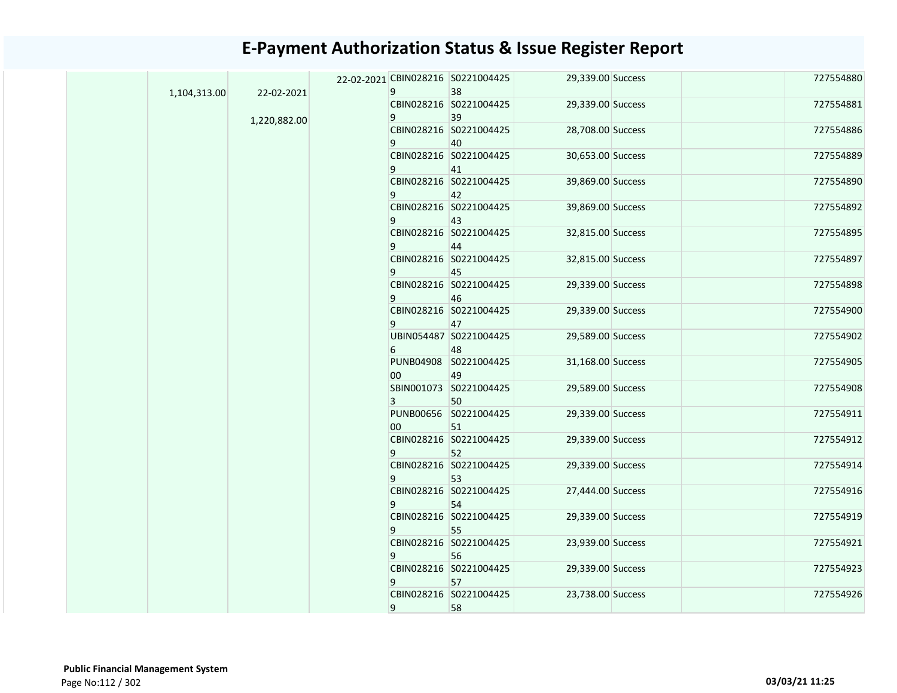|              | 22-02-2021   | 22-02-2021 CBIN028216 S0221004425<br>9 | 38                           | 29,339.00 Success | 727554880 |
|--------------|--------------|----------------------------------------|------------------------------|-------------------|-----------|
| 1,104,313.00 |              |                                        | CBIN028216 S0221004425       | 29,339.00 Success | 727554881 |
|              | 1,220,882.00 | 9                                      | 39                           |                   |           |
|              |              |                                        | CBIN028216 S0221004425       | 28,708.00 Success | 727554886 |
|              |              | 9                                      | 40                           |                   |           |
|              |              |                                        | CBIN028216 S0221004425       | 30,653.00 Success | 727554889 |
|              |              | 9                                      | 41                           |                   |           |
|              |              |                                        | CBIN028216 S0221004425       | 39,869.00 Success | 727554890 |
|              |              | 9                                      | 42                           |                   |           |
|              |              |                                        | CBIN028216 S0221004425       | 39,869.00 Success | 727554892 |
|              |              | 9                                      | 43                           |                   |           |
|              |              |                                        | CBIN028216 S0221004425       | 32,815.00 Success | 727554895 |
|              |              | 9                                      | 44                           |                   |           |
|              |              |                                        | CBIN028216 S0221004425       | 32,815.00 Success | 727554897 |
|              |              | 9                                      | 45                           |                   |           |
|              |              |                                        | CBIN028216 S0221004425       | 29,339.00 Success | 727554898 |
|              |              | 9                                      | 46<br>CBIN028216 S0221004425 |                   |           |
|              |              | 9                                      | 47                           | 29,339.00 Success | 727554900 |
|              |              |                                        | UBIN054487 S0221004425       | 29,589.00 Success | 727554902 |
|              |              | 6                                      | 48                           |                   |           |
|              |              |                                        | PUNB04908 S0221004425        | 31,168.00 Success | 727554905 |
|              |              | 00                                     | 49                           |                   |           |
|              |              |                                        | SBIN001073 S0221004425       | 29,589.00 Success | 727554908 |
|              |              | 3                                      | 50                           |                   |           |
|              |              |                                        | PUNB00656 S0221004425        | 29,339.00 Success | 727554911 |
|              |              | 00                                     | 51                           |                   |           |
|              |              |                                        | CBIN028216 S0221004425       | 29,339.00 Success | 727554912 |
|              |              | 9                                      | 52                           |                   |           |
|              |              |                                        | CBIN028216 S0221004425       | 29,339.00 Success | 727554914 |
|              |              | 9                                      | 53                           |                   |           |
|              |              |                                        | CBIN028216 S0221004425       | 27,444.00 Success | 727554916 |
|              |              | 9                                      | 54                           |                   |           |
|              |              |                                        | CBIN028216 S0221004425       | 29,339.00 Success | 727554919 |
|              |              | 9                                      | 55                           |                   |           |
|              |              |                                        | CBIN028216 S0221004425       | 23,939.00 Success | 727554921 |
|              |              | 9                                      | 56                           |                   |           |
|              |              |                                        | CBIN028216 S0221004425       | 29,339.00 Success | 727554923 |
|              |              | 9                                      | 57                           |                   |           |
|              |              |                                        | CBIN028216 S0221004425       | 23,738.00 Success | 727554926 |
|              |              | 9                                      | 58                           |                   |           |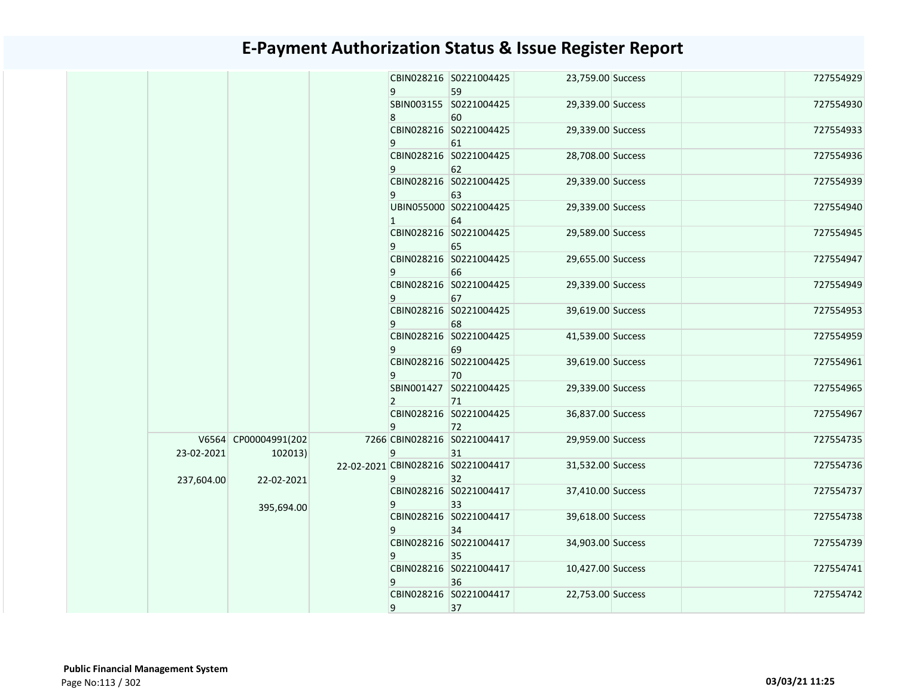|  |            |                      | 9              | CBIN028216 S0221004425<br>59      | 23,759.00 Success |  | 727554929 |
|--|------------|----------------------|----------------|-----------------------------------|-------------------|--|-----------|
|  |            |                      |                | SBIN003155 S0221004425            | 29,339.00 Success |  | 727554930 |
|  |            |                      | 8              | 60                                |                   |  |           |
|  |            |                      |                | CBIN028216 S0221004425            | 29,339.00 Success |  | 727554933 |
|  |            |                      | 9              | 61                                |                   |  |           |
|  |            |                      |                | CBIN028216 S0221004425            | 28,708.00 Success |  | 727554936 |
|  |            |                      | 9              | 62                                |                   |  |           |
|  |            |                      |                | CBIN028216 S0221004425            | 29,339.00 Success |  | 727554939 |
|  |            |                      | 9              | 63                                |                   |  |           |
|  |            |                      |                | UBIN055000 S0221004425            | 29,339.00 Success |  | 727554940 |
|  |            |                      | $\mathbf{1}$   | 64<br>CBIN028216 S0221004425      | 29,589.00 Success |  | 727554945 |
|  |            |                      | 9              | 65                                |                   |  |           |
|  |            |                      |                | CBIN028216 S0221004425            | 29,655.00 Success |  | 727554947 |
|  |            |                      | 9              | 66                                |                   |  |           |
|  |            |                      |                | CBIN028216 S0221004425            | 29,339.00 Success |  | 727554949 |
|  |            |                      | 9              | 67                                |                   |  |           |
|  |            |                      |                | CBIN028216 S0221004425            | 39,619.00 Success |  | 727554953 |
|  |            |                      | 9              | 68                                |                   |  |           |
|  |            |                      |                | CBIN028216 S0221004425            | 41,539.00 Success |  | 727554959 |
|  |            |                      | 9              | 69                                |                   |  |           |
|  |            |                      |                | CBIN028216 S0221004425            | 39,619.00 Success |  | 727554961 |
|  |            |                      | 9              | 70                                |                   |  |           |
|  |            |                      |                | SBIN001427 S0221004425            | 29,339.00 Success |  | 727554965 |
|  |            |                      | $\overline{2}$ | 71<br>CBIN028216 S0221004425      | 36,837.00 Success |  | 727554967 |
|  |            |                      | 9              | 72                                |                   |  |           |
|  |            | V6564 CP00004991(202 |                | 7266 CBIN028216 S0221004417       | 29,959.00 Success |  | 727554735 |
|  | 23-02-2021 | 102013               | 9              | 31                                |                   |  |           |
|  |            |                      |                | 22-02-2021 CBIN028216 S0221004417 | 31,532.00 Success |  | 727554736 |
|  | 237,604.00 | 22-02-2021           | 9              | 32                                |                   |  |           |
|  |            |                      |                | CBIN028216 S0221004417            | 37,410.00 Success |  | 727554737 |
|  |            | 395,694.00           | 9              | 33                                |                   |  |           |
|  |            |                      |                | CBIN028216 S0221004417            | 39,618.00 Success |  | 727554738 |
|  |            |                      | 9              | 34                                |                   |  |           |
|  |            |                      |                | CBIN028216 S0221004417            | 34,903.00 Success |  | 727554739 |
|  |            |                      | 9              | 35                                |                   |  |           |
|  |            |                      |                | CBIN028216 S0221004417<br>36      | 10,427.00 Success |  | 727554741 |
|  |            |                      | 9              | CBIN028216 S0221004417            | 22,753.00 Success |  | 727554742 |
|  |            |                      | 9              | 37                                |                   |  |           |
|  |            |                      |                |                                   |                   |  |           |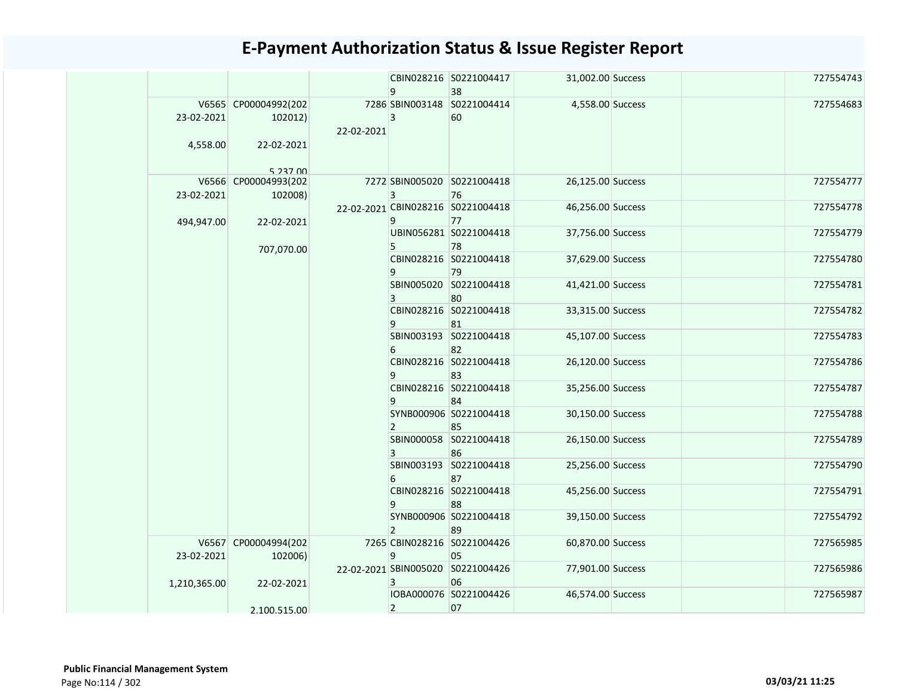|                        |                                                           |            | 9              | CBIN028216 S0221004417<br>38            | 31,002.00 Success |  | 727554743 |
|------------------------|-----------------------------------------------------------|------------|----------------|-----------------------------------------|-------------------|--|-----------|
| 23-02-2021<br>4,558.00 | V6565 CP00004992(202<br>102012)<br>22-02-2021<br>5 237 00 | 22-02-2021 | 3              | 7286 SBIN003148 S0221004414<br>60       | 4,558.00 Success  |  | 727554683 |
| 23-02-2021             | V6566 CP00004993(202<br>102008)                           |            | 3              | 7272 SBIN005020 S0221004418<br>76       | 26,125.00 Success |  | 727554777 |
| 494,947.00             | 22-02-2021                                                |            | 9              | 22-02-2021 CBIN028216 S0221004418<br>77 | 46,256.00 Success |  | 727554778 |
|                        | 707,070.00                                                |            | 5              | UBIN056281 S0221004418<br>78            | 37,756.00 Success |  | 727554779 |
|                        |                                                           |            | 9              | CBIN028216 S0221004418<br>79            | 37,629.00 Success |  | 727554780 |
|                        |                                                           |            | 3              | SBIN005020 S0221004418<br>80            | 41,421.00 Success |  | 727554781 |
|                        |                                                           |            | 9              | CBIN028216 S0221004418<br>81            | 33,315.00 Success |  | 727554782 |
|                        |                                                           |            | 6              | SBIN003193 S0221004418<br>82            | 45,107.00 Success |  | 727554783 |
|                        |                                                           |            | 9              | CBIN028216 S0221004418<br>83            | 26,120.00 Success |  | 727554786 |
|                        |                                                           |            | 9              | CBIN028216 S0221004418<br>84            | 35,256.00 Success |  | 727554787 |
|                        |                                                           |            | $\overline{2}$ | SYNB000906 S0221004418<br>85            | 30,150.00 Success |  | 727554788 |
|                        |                                                           |            | 3              | SBIN000058 S0221004418<br>86            | 26,150.00 Success |  | 727554789 |
|                        |                                                           |            | 6              | SBIN003193 S0221004418<br>87            | 25,256.00 Success |  | 727554790 |
|                        |                                                           |            | 9              | CBIN028216 S0221004418<br>88            | 45,256.00 Success |  | 727554791 |
|                        |                                                           |            | $\overline{2}$ | SYNB000906 S0221004418<br>89            | 39,150.00 Success |  | 727554792 |
| 23-02-2021             | V6567 CP00004994(202<br>102006)                           |            | 9              | 7265 CBIN028216 S0221004426<br>05       | 60,870.00 Success |  | 727565985 |
| 1,210,365.00           | 22-02-2021                                                |            | 3              | 22-02-2021 SBIN005020 S0221004426<br>06 | 77,901.00 Success |  | 727565986 |
|                        | 2.100.515.00                                              |            | $\overline{2}$ | IOBA000076 S0221004426<br>07            | 46,574.00 Success |  | 727565987 |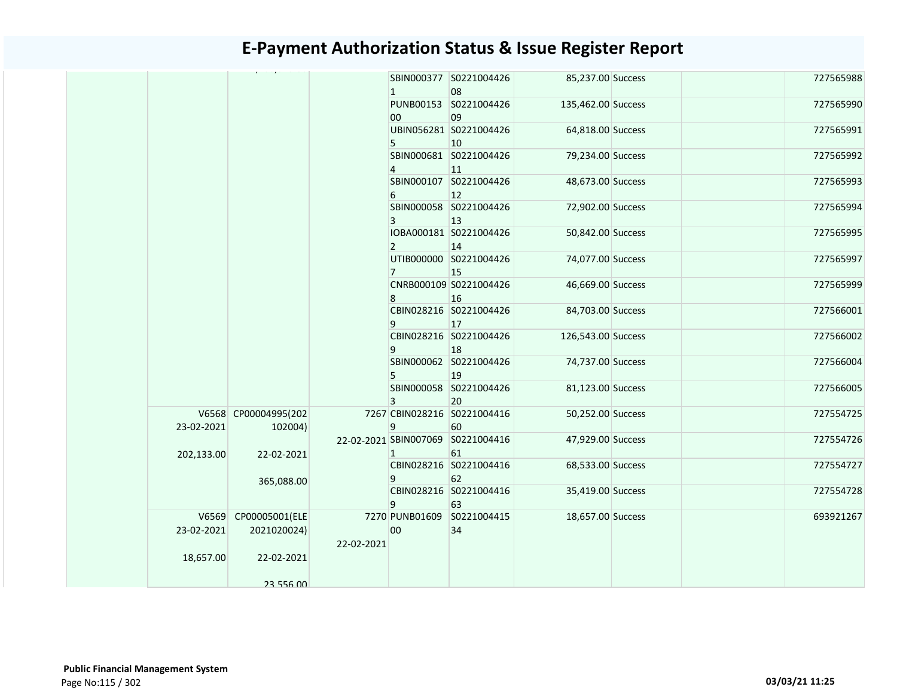|            |                                     |            | $\mathbf{1}$   | SBIN000377 S0221004426<br>08            | 85,237.00 Success  |  | 727565988 |
|------------|-------------------------------------|------------|----------------|-----------------------------------------|--------------------|--|-----------|
|            |                                     |            | 00             | PUNB00153 S0221004426<br>09             | 135,462.00 Success |  | 727565990 |
|            |                                     |            | 5              | UBIN056281 S0221004426<br>10            | 64,818.00 Success  |  | 727565991 |
|            |                                     |            | $\overline{4}$ | SBIN000681 S0221004426<br>11            | 79,234.00 Success  |  | 727565992 |
|            |                                     |            | 6              | SBIN000107 S0221004426<br>12            | 48,673.00 Success  |  | 727565993 |
|            |                                     |            | 3              | SBIN000058 S0221004426<br>13            | 72,902.00 Success  |  | 727565994 |
|            |                                     |            | $\overline{2}$ | IOBA000181 S0221004426<br>14            | 50,842.00 Success  |  | 727565995 |
|            |                                     |            | 7              | UTIB000000 S0221004426<br>15            | 74,077.00 Success  |  | 727565997 |
|            |                                     |            | 8              | CNRB000109 S0221004426<br>16            | 46,669.00 Success  |  | 727565999 |
|            |                                     |            | 9              | CBIN028216 S0221004426<br>17            | 84,703.00 Success  |  | 727566001 |
|            |                                     |            | 9              | CBIN028216 S0221004426<br>18            | 126,543.00 Success |  | 727566002 |
|            |                                     |            | 5              | SBIN000062 S0221004426<br>19            | 74,737.00 Success  |  | 727566004 |
|            |                                     |            | 3              | SBIN000058 S0221004426<br>20            | 81,123.00 Success  |  | 727566005 |
| 23-02-2021 | V6568 CP00004995(202<br>102004)     |            | 9              | 7267 CBIN028216 S0221004416<br>60       | 50,252.00 Success  |  | 727554725 |
| 202,133.00 | 22-02-2021                          |            | 1              | 22-02-2021 SBIN007069 S0221004416<br>61 | 47,929.00 Success  |  | 727554726 |
|            | 365,088.00                          |            | 9              | CBIN028216 S0221004416<br>62            | 68,533.00 Success  |  | 727554727 |
|            |                                     |            | 9              | CBIN028216 S0221004416<br>63            | 35,419.00 Success  |  | 727554728 |
| 23-02-2021 | V6569 CP00005001(ELE<br>2021020024) | 22-02-2021 | 00             | 7270 PUNB01609 S0221004415<br>34        | 18,657.00 Success  |  | 693921267 |
| 18,657.00  | 22-02-2021<br>23 556 00             |            |                |                                         |                    |  |           |
|            |                                     |            |                |                                         |                    |  |           |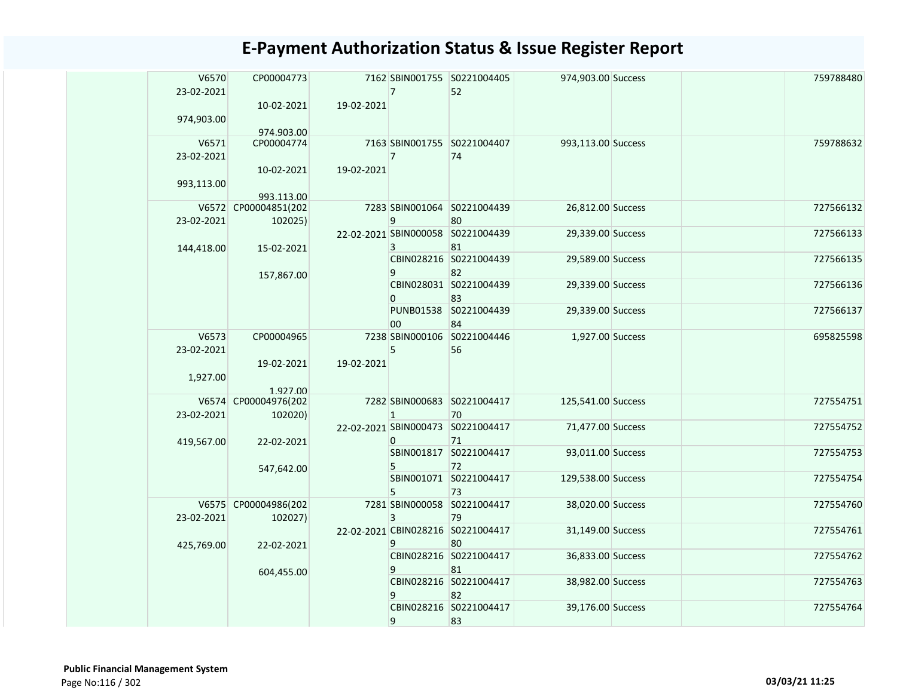| V6570<br>23-02-2021 | CP00004773               |            | $\overline{7}$ | 7162 SBIN001755 S0221004405<br>52       | 974,903.00 Success |  | 759788480 |
|---------------------|--------------------------|------------|----------------|-----------------------------------------|--------------------|--|-----------|
|                     | 10-02-2021               | 19-02-2021 |                |                                         |                    |  |           |
| 974,903.00          |                          |            |                |                                         |                    |  |           |
| V6571               | 974.903.00<br>CP00004774 |            |                | 7163 SBIN001755 S0221004407             | 993,113.00 Success |  | 759788632 |
| 23-02-2021          |                          |            | $\overline{7}$ | 74                                      |                    |  |           |
|                     | 10-02-2021               | 19-02-2021 |                |                                         |                    |  |           |
| 993,113.00          |                          |            |                |                                         |                    |  |           |
|                     | 993.113.00               |            |                |                                         |                    |  |           |
|                     | V6572 CP00004851(202     |            |                | 7283 SBIN001064 S0221004439             | 26,812.00 Success  |  | 727566132 |
| 23-02-2021          | 102025)                  |            | 9              | 80<br>22-02-2021 SBIN000058 S0221004439 | 29,339.00 Success  |  | 727566133 |
| 144,418.00          | 15-02-2021               |            | 3              | 81                                      |                    |  |           |
|                     |                          |            |                | CBIN028216 S0221004439                  | 29,589.00 Success  |  | 727566135 |
|                     | 157,867.00               |            | 9              | 82                                      |                    |  |           |
|                     |                          |            |                | CBIN028031 S0221004439                  | 29,339.00 Success  |  | 727566136 |
|                     |                          |            | $\Omega$       | 83<br>PUNB01538 S0221004439             | 29,339.00 Success  |  | 727566137 |
|                     |                          |            | 00             | 84                                      |                    |  |           |
| V6573               | CP00004965               |            |                | 7238 SBIN000106 S0221004446             | 1,927.00 Success   |  | 695825598 |
| 23-02-2021          |                          |            | 5              | 56                                      |                    |  |           |
|                     | 19-02-2021               | 19-02-2021 |                |                                         |                    |  |           |
| 1,927.00            | 1.927.00                 |            |                |                                         |                    |  |           |
|                     | V6574 CP00004976(202     |            |                | 7282 SBIN000683 S0221004417             | 125,541.00 Success |  | 727554751 |
| 23-02-2021          | 102020)                  |            | $\mathbf{1}$   | 70                                      |                    |  |           |
|                     |                          |            |                | 22-02-2021 SBIN000473 S0221004417       | 71,477.00 Success  |  | 727554752 |
| 419,567.00          | 22-02-2021               |            | $\Omega$       | 71                                      |                    |  |           |
|                     |                          |            |                | SBIN001817 S0221004417                  | 93,011.00 Success  |  | 727554753 |
|                     | 547,642.00               |            | 5              | 72<br>SBIN001071 S0221004417            | 129,538.00 Success |  | 727554754 |
|                     |                          |            | 5              | 73                                      |                    |  |           |
|                     | V6575 CP00004986(202     |            |                | 7281 SBIN000058 S0221004417             | 38,020.00 Success  |  | 727554760 |
| 23-02-2021          | 102027)                  |            | 3              | 79                                      |                    |  |           |
|                     |                          |            |                | 22-02-2021 CBIN028216 S0221004417       | 31,149.00 Success  |  | 727554761 |
| 425,769.00          | 22-02-2021               |            | 9              | 80<br>CBIN028216 S0221004417            | 36,833.00 Success  |  | 727554762 |
|                     |                          |            | 9              | 81                                      |                    |  |           |
|                     | 604,455.00               |            |                | CBIN028216 S0221004417                  | 38,982.00 Success  |  | 727554763 |
|                     |                          |            | 9              | 82                                      |                    |  |           |
|                     |                          |            |                | CBIN028216 S0221004417                  | 39,176.00 Success  |  | 727554764 |
|                     |                          |            | 9              | 83                                      |                    |  |           |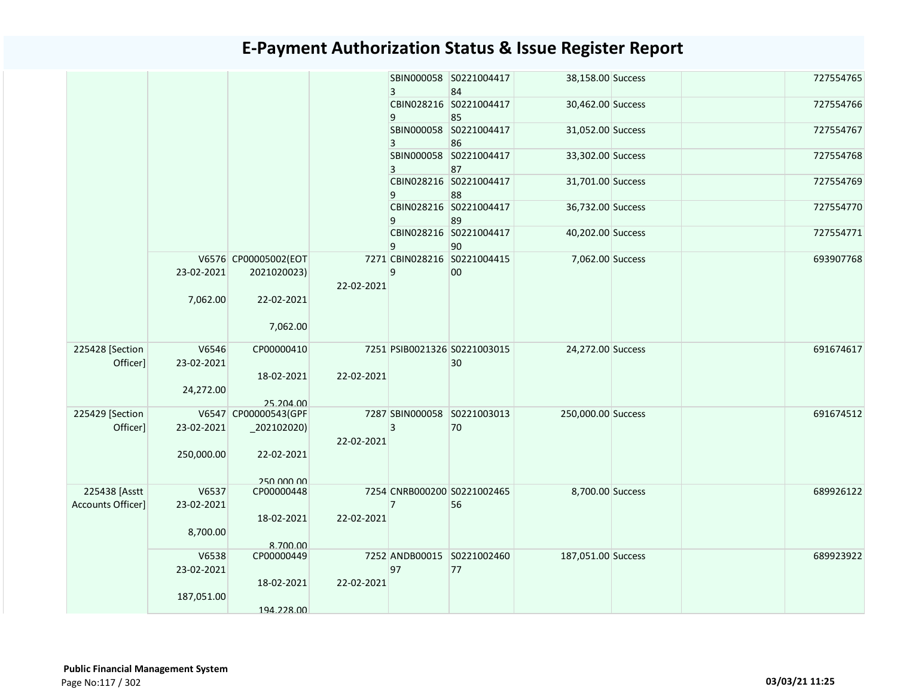|                   |            |                                     |            | $\overline{3}$ | SBIN000058 S0221004417<br>84      | 38,158.00 Success  |  | 727554765 |
|-------------------|------------|-------------------------------------|------------|----------------|-----------------------------------|--------------------|--|-----------|
|                   |            |                                     |            | 9              | CBIN028216 S0221004417<br>85      | 30,462.00 Success  |  | 727554766 |
|                   |            |                                     |            | 3              | SBIN000058 S0221004417<br>86      | 31,052.00 Success  |  | 727554767 |
|                   |            |                                     |            | 3              | SBIN000058 S0221004417<br>87      | 33,302.00 Success  |  | 727554768 |
|                   |            |                                     |            | 9              | CBIN028216 S0221004417<br>88      | 31,701.00 Success  |  | 727554769 |
|                   |            |                                     |            | 9              | CBIN028216 S0221004417<br>89      | 36,732.00 Success  |  | 727554770 |
|                   |            |                                     |            | 9              | CBIN028216 S0221004417<br>90      | 40,202.00 Success  |  | 727554771 |
|                   | 23-02-2021 | V6576 CP00005002(EOT<br>2021020023) | 22-02-2021 | 9              | 7271 CBIN028216 S0221004415<br>00 | 7,062.00 Success   |  | 693907768 |
|                   | 7,062.00   | 22-02-2021                          |            |                |                                   |                    |  |           |
|                   |            | 7,062.00                            |            |                |                                   |                    |  |           |
| 225428 [Section   | V6546      | CP00000410                          |            |                | 7251 PSIB0021326 S0221003015      | 24,272.00 Success  |  | 691674617 |
| Officer]          | 23-02-2021 |                                     |            |                | 30                                |                    |  |           |
|                   |            | 18-02-2021                          | 22-02-2021 |                |                                   |                    |  |           |
|                   | 24,272.00  |                                     |            |                |                                   |                    |  |           |
|                   |            | 25.204.00                           |            |                |                                   |                    |  |           |
| 225429 [Section   |            | V6547 CP00000543(GPF                |            |                | 7287 SBIN000058 S0221003013       | 250,000.00 Success |  | 691674512 |
| Officer]          | 23-02-2021 | $_2$ 02102020)                      |            | 3              | 70                                |                    |  |           |
|                   |            |                                     | 22-02-2021 |                |                                   |                    |  |           |
|                   | 250,000.00 | 22-02-2021                          |            |                |                                   |                    |  |           |
|                   |            | 250.000.00                          |            |                |                                   |                    |  |           |
| 225438 [Asstt     | V6537      | CP00000448                          |            |                | 7254 CNRB000200 S0221002465       | 8,700.00 Success   |  | 689926122 |
| Accounts Officer] | 23-02-2021 |                                     |            | $\overline{7}$ | 56                                |                    |  |           |
|                   |            | 18-02-2021                          | 22-02-2021 |                |                                   |                    |  |           |
|                   | 8,700.00   |                                     |            |                |                                   |                    |  |           |
|                   |            | 8.700.00                            |            |                |                                   |                    |  |           |
|                   | V6538      | CP00000449                          |            |                | 7252 ANDB00015 S0221002460        | 187,051.00 Success |  | 689923922 |
|                   | 23-02-2021 |                                     |            | 97             | 77                                |                    |  |           |
|                   |            | 18-02-2021                          | 22-02-2021 |                |                                   |                    |  |           |
|                   | 187,051.00 |                                     |            |                |                                   |                    |  |           |
|                   |            | 194.228.00                          |            |                |                                   |                    |  |           |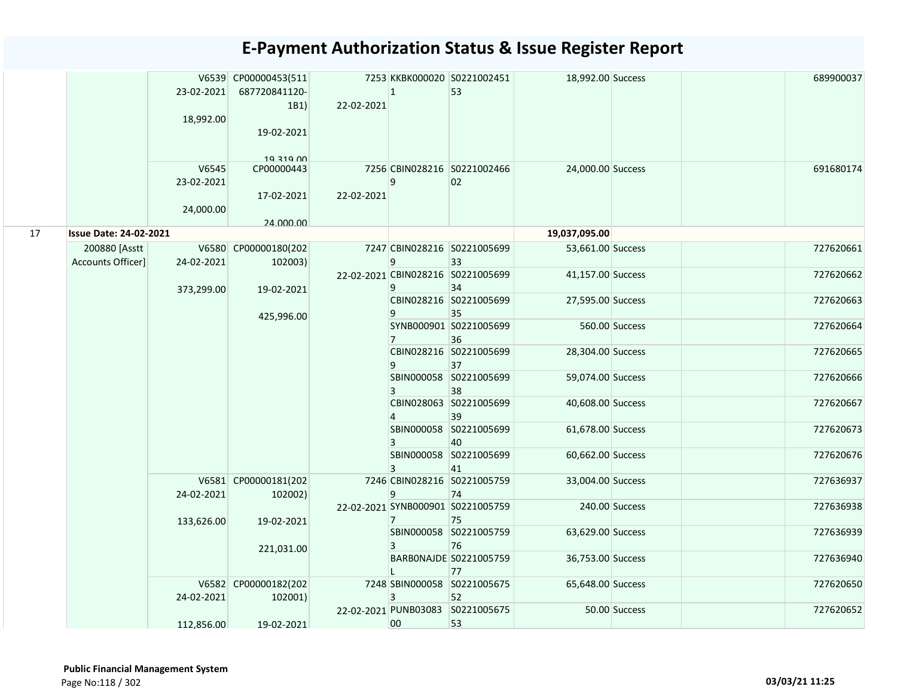|    |                                    | 23-02-2021<br>18,992.00          | V6539 CP00000453(511<br>687720841120-<br>1B1<br>19-02-2021 | 22-02-2021 | $\mathbf{1}$   | 7253 KKBK000020 S0221002451<br>53       | 18,992.00 Success |                | 689900037 |
|----|------------------------------------|----------------------------------|------------------------------------------------------------|------------|----------------|-----------------------------------------|-------------------|----------------|-----------|
|    |                                    | V6545<br>23-02-2021<br>24,000.00 | 10 210 00<br>CP00000443<br>17-02-2021<br>24.000.00         | 22-02-2021 | 9              | 7256 CBIN028216 S0221002466<br>02       | 24,000.00 Success |                | 691680174 |
| 17 | <b>Issue Date: 24-02-2021</b>      |                                  |                                                            |            |                |                                         | 19,037,095.00     |                |           |
|    | 200880 [Asstt<br>Accounts Officer] | 24-02-2021                       | V6580 CP00000180(202<br>102003)                            |            | 9              | 7247 CBIN028216 S0221005699<br>33       | 53,661.00 Success |                | 727620661 |
|    |                                    | 373,299.00                       | 19-02-2021                                                 |            | 9              | 22-02-2021 CBIN028216 S0221005699<br>34 | 41,157.00 Success |                | 727620662 |
|    |                                    |                                  | 425,996.00                                                 |            | 9              | CBIN028216 S0221005699<br>35            | 27,595.00 Success |                | 727620663 |
|    |                                    |                                  |                                                            |            | $\overline{7}$ | SYNB000901 S0221005699<br>36            |                   | 560.00 Success | 727620664 |
|    |                                    |                                  |                                                            |            | 9              | CBIN028216 S0221005699<br>37            | 28,304.00 Success |                | 727620665 |
|    |                                    |                                  |                                                            |            | 3              | SBIN000058 S0221005699<br>38            | 59,074.00 Success |                | 727620666 |
|    |                                    |                                  |                                                            |            | 4              | CBIN028063 S0221005699<br>39            | 40,608.00 Success |                | 727620667 |
|    |                                    |                                  |                                                            |            | 3              | SBIN000058 S0221005699<br>40            | 61,678.00 Success |                | 727620673 |
|    |                                    |                                  |                                                            |            | 3              | SBIN000058 S0221005699<br>41            | 60,662.00 Success |                | 727620676 |
|    |                                    | 24-02-2021                       | V6581 CP00000181(202<br>102002)                            |            | 9              | 7246 CBIN028216 S0221005759<br>74       | 33,004.00 Success |                | 727636937 |
|    |                                    | 133,626.00                       | 19-02-2021                                                 |            | 7              | 22-02-2021 SYNB000901 S0221005759<br>75 |                   | 240.00 Success | 727636938 |
|    |                                    |                                  | 221,031.00                                                 |            | 3              | SBIN000058 S0221005759<br>76            | 63,629.00 Success |                | 727636939 |
|    |                                    |                                  |                                                            |            |                | BARBONAJDE S0221005759<br>77            | 36,753.00 Success |                | 727636940 |
|    |                                    | 24-02-2021                       | V6582 CP00000182(202<br>102001)                            |            | 3              | 7248 SBIN000058 S0221005675<br>52       | 65,648.00 Success |                | 727620650 |
|    |                                    | 112,856.00                       | 19-02-2021                                                 |            | 00             | 22-02-2021 PUNB03083 S0221005675<br>53  |                   | 50.00 Success  | 727620652 |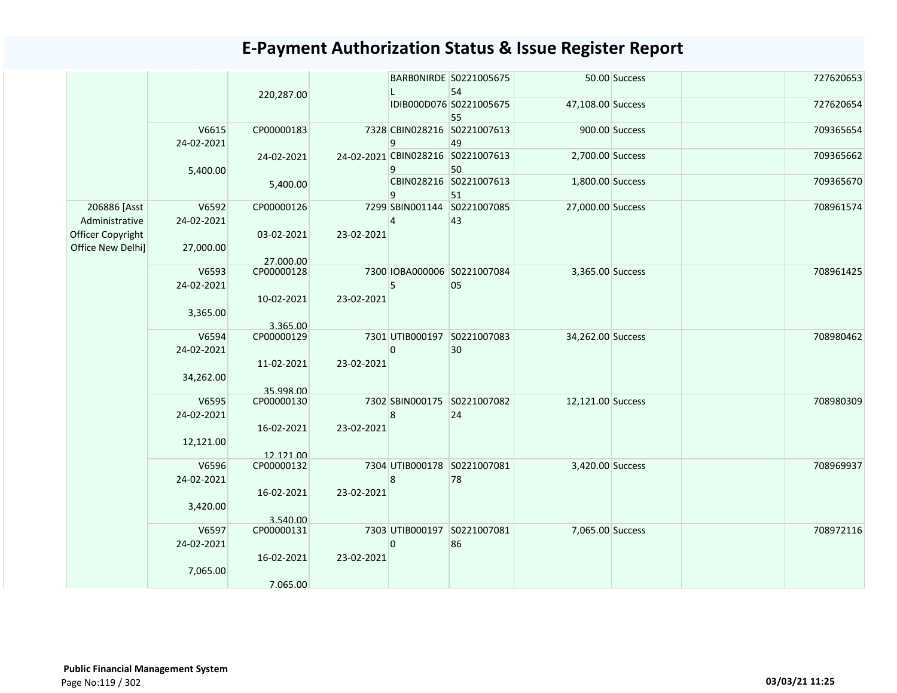|                                        |                     |                         |            |              | BARBONIRDE S0221005675<br>54            |                   | 50.00 Success  | 727620653 |
|----------------------------------------|---------------------|-------------------------|------------|--------------|-----------------------------------------|-------------------|----------------|-----------|
|                                        |                     | 220,287.00              |            |              | IDIB000D076 S0221005675<br>55           | 47,108.00 Success |                | 727620654 |
|                                        | V6615<br>24-02-2021 | CP00000183              |            | 9            | 7328 CBIN028216 S0221007613<br>49       |                   | 900.00 Success | 709365654 |
|                                        | 5,400.00            | 24-02-2021              |            | 9            | 24-02-2021 CBIN028216 S0221007613<br>50 | 2,700.00 Success  |                | 709365662 |
|                                        |                     | 5,400.00                |            | 9            | CBIN028216 S0221007613<br>51            | 1,800.00 Success  |                | 709365670 |
| 206886 [Asst<br>Administrative         | V6592<br>24-02-2021 | CP00000126              |            | 4            | 7299 SBIN001144 S0221007085<br>43       | 27,000.00 Success |                | 708961574 |
| Officer Copyright<br>Office New Delhi] | 27,000.00           | 03-02-2021<br>27.000.00 | 23-02-2021 |              |                                         |                   |                |           |
|                                        | V6593<br>24-02-2021 | CP00000128              |            | 5            | 7300 IOBA000006 S0221007084<br>05       | 3,365.00 Success  |                | 708961425 |
|                                        | 3,365.00            | 10-02-2021<br>3.365.00  | 23-02-2021 |              |                                         |                   |                |           |
|                                        | V6594<br>24-02-2021 | CP00000129              |            | $\mathbf{0}$ | 7301 UTIB000197 S0221007083<br>30       | 34,262.00 Success |                | 708980462 |
|                                        | 34,262.00           | 11-02-2021<br>35.998.00 | 23-02-2021 |              |                                         |                   |                |           |
|                                        | V6595<br>24-02-2021 | CP00000130              |            | 8            | 7302 SBIN000175 S0221007082<br>24       | 12,121.00 Success |                | 708980309 |
|                                        | 12,121.00           | 16-02-2021<br>12.121.00 | 23-02-2021 |              |                                         |                   |                |           |
|                                        | V6596<br>24-02-2021 | CP00000132              |            | 8            | 7304 UTIB000178 S0221007081<br>78       | 3,420.00 Success  |                | 708969937 |
|                                        | 3,420.00            | 16-02-2021<br>3.540.00  | 23-02-2021 |              |                                         |                   |                |           |
|                                        | V6597<br>24-02-2021 | CP00000131              |            | $\mathbf{0}$ | 7303 UTIB000197 S0221007081<br>86       | 7,065.00 Success  |                | 708972116 |
|                                        | 7,065.00            | 16-02-2021<br>7.065.00  | 23-02-2021 |              |                                         |                   |                |           |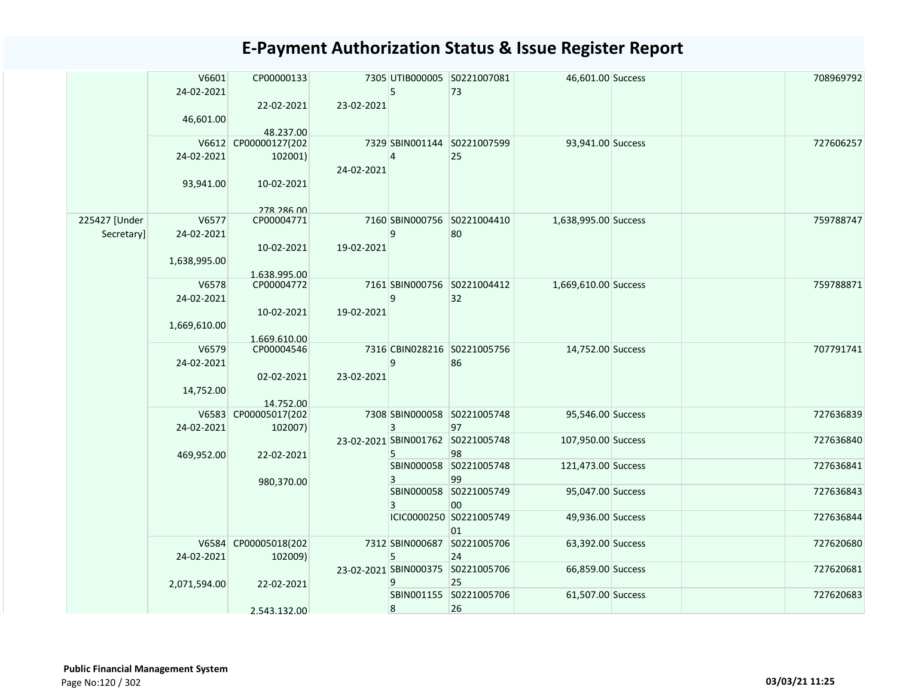|                             | V6601<br>24-02-2021     | CP00000133                        |            | 5      | 7305 UTIB000005 S0221007081<br>73       | 46,601.00 Success    | 708969792 |
|-----------------------------|-------------------------|-----------------------------------|------------|--------|-----------------------------------------|----------------------|-----------|
|                             | 46,601.00               | 22-02-2021                        | 23-02-2021 |        |                                         |                      |           |
|                             |                         | 48.237.00<br>V6612 CP00000127(202 |            |        | 7329 SBIN001144 S0221007599             | 93,941.00 Success    | 727606257 |
|                             | 24-02-2021<br>93,941.00 | 102001)<br>10-02-2021             | 24-02-2021 | 4      | 25                                      |                      |           |
|                             |                         | 278 286 00                        |            |        |                                         |                      |           |
| 225427 [Under<br>Secretary] | V6577<br>24-02-2021     | CP00004771                        |            | 9      | 7160 SBIN000756 S0221004410<br>80       | 1,638,995.00 Success | 759788747 |
|                             | 1,638,995.00            | 10-02-2021<br>1.638.995.00        | 19-02-2021 |        |                                         |                      |           |
|                             | V6578<br>24-02-2021     | CP00004772                        |            | 9      | 7161 SBIN000756 S0221004412<br>32       | 1,669,610.00 Success | 759788871 |
|                             | 1,669,610.00            | 10-02-2021                        | 19-02-2021 |        |                                         |                      |           |
|                             | V6579<br>24-02-2021     | 1.669.610.00<br>CP00004546        |            | 9      | 7316 CBIN028216 S0221005756<br>86       | 14,752.00 Success    | 707791741 |
|                             | 14,752.00               | 02-02-2021                        | 23-02-2021 |        |                                         |                      |           |
|                             |                         | 14.752.00<br>V6583 CP00005017(202 |            |        | 7308 SBIN000058 S0221005748             | 95,546.00 Success    | 727636839 |
|                             | 24-02-2021              | 102007)                           |            | 3      | 97<br>23-02-2021 SBIN001762 S0221005748 | 107,950.00 Success   | 727636840 |
|                             | 469,952.00              | 22-02-2021                        |            | 5<br>3 | 98<br>SBIN000058 S0221005748<br>99      | 121,473.00 Success   | 727636841 |
|                             |                         | 980,370.00                        |            | 3      | SBIN000058 S0221005749<br>00            | 95,047.00 Success    | 727636843 |
|                             |                         |                                   |            |        | ICIC0000250 S0221005749<br>01           | 49,936.00 Success    | 727636844 |
|                             | 24-02-2021              | V6584 CP00005018(202<br>102009)   |            | 5      | 7312 SBIN000687 S0221005706<br>24       | 63,392.00 Success    | 727620680 |
|                             | 2,071,594.00            | 22-02-2021                        |            | 9      | 23-02-2021 SBIN000375 S0221005706<br>25 | 66,859.00 Success    | 727620681 |
|                             |                         | 2.543.132.00                      |            | 8      | SBIN001155 S0221005706<br>26            | 61,507.00 Success    | 727620683 |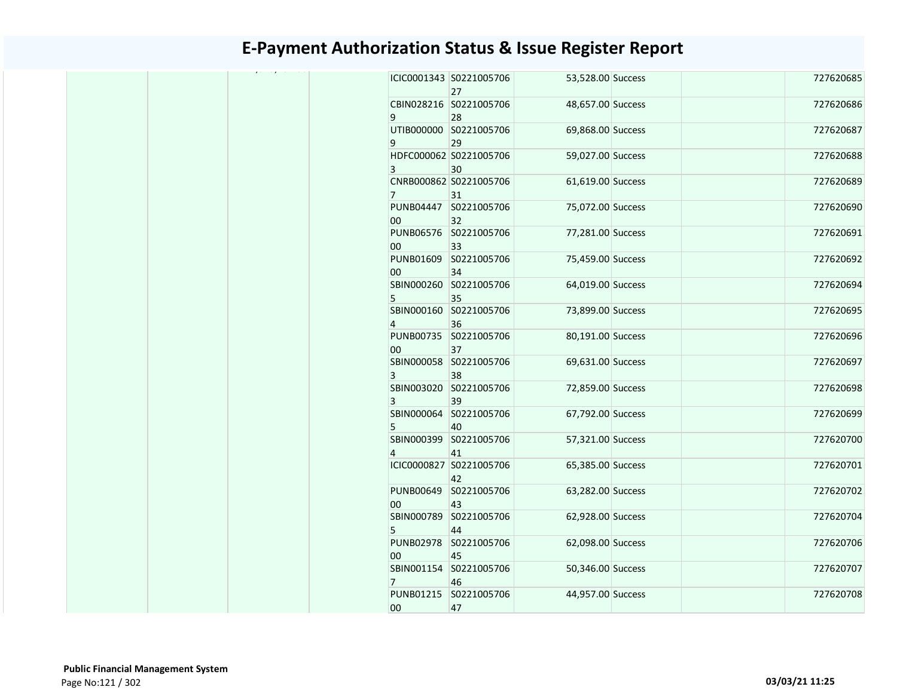| . - , - - - . - | ICIC0001343 S0221005706<br>27 | 53,528.00 Success |  | 727620685 |
|-----------------|-------------------------------|-------------------|--|-----------|
| 9               | CBIN028216 S0221005706<br>28  | 48,657.00 Success |  | 727620686 |
| 9               | UTIB000000 S0221005706<br>29  | 69,868.00 Success |  | 727620687 |
| 3               | HDFC000062 S0221005706<br>30  | 59,027.00 Success |  | 727620688 |
| 7 <sup>1</sup>  | CNRB000862 S0221005706<br>31  | 61,619.00 Success |  | 727620689 |
| 00              | PUNB04447 S0221005706<br>32   | 75,072.00 Success |  | 727620690 |
| 00              | PUNB06576 S0221005706<br>33   | 77,281.00 Success |  | 727620691 |
| 00              | PUNB01609 S0221005706<br>34   | 75,459.00 Success |  | 727620692 |
| 5               | SBIN000260 S0221005706<br>35  | 64,019.00 Success |  | 727620694 |
| $\overline{4}$  | SBIN000160 S0221005706<br>36  | 73,899.00 Success |  | 727620695 |
| 00              | PUNB00735 S0221005706<br>37   | 80,191.00 Success |  | 727620696 |
| 3               | SBIN000058 S0221005706<br>38  | 69,631.00 Success |  | 727620697 |
| 3               | SBIN003020 S0221005706<br>39  | 72,859.00 Success |  | 727620698 |
| 5               | SBIN000064 S0221005706<br>40  | 67,792.00 Success |  | 727620699 |
| $\overline{4}$  | SBIN000399 S0221005706<br>41  | 57,321.00 Success |  | 727620700 |
|                 | ICIC0000827 S0221005706<br>42 | 65,385.00 Success |  | 727620701 |
| 00              | PUNB00649 S0221005706<br>43   | 63,282.00 Success |  | 727620702 |
| 5 <sup>1</sup>  | SBIN000789 S0221005706<br>44  | 62,928.00 Success |  | 727620704 |
| 00              | PUNB02978 S0221005706<br>45   | 62,098.00 Success |  | 727620706 |
| $7^{\circ}$     | SBIN001154 S0221005706<br>46  | 50,346.00 Success |  | 727620707 |
| 00              | PUNB01215 S0221005706<br>47   | 44,957.00 Success |  | 727620708 |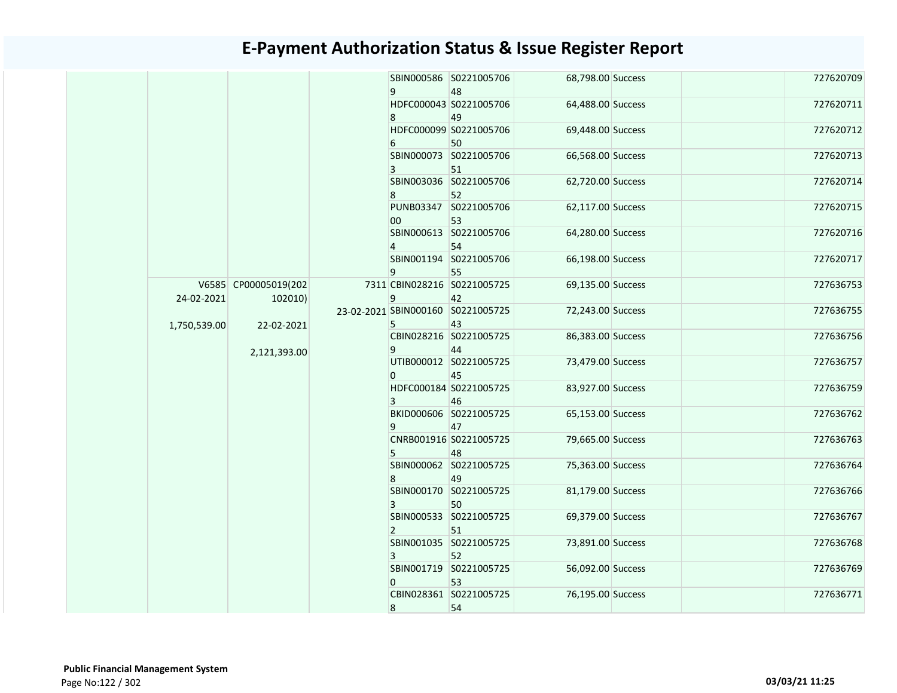|              |                                 |  | 9              | SBIN000586 S0221005706<br>48      | 68,798.00 Success                       | 727620709         |           |
|--------------|---------------------------------|--|----------------|-----------------------------------|-----------------------------------------|-------------------|-----------|
|              |                                 |  | 8              | HDFC000043 S0221005706<br>49      | 64,488.00 Success                       | 727620711         |           |
|              |                                 |  | 6              | HDFC000099 S0221005706<br>50      | 69,448.00 Success                       | 727620712         |           |
|              |                                 |  | $\mathbf{3}$   | SBIN000073 S0221005706<br>51      | 66,568.00 Success                       | 727620713         |           |
|              |                                 |  | 8              | SBIN003036 S0221005706<br>52      | 62,720.00 Success                       | 727620714         |           |
|              |                                 |  | 00             | PUNB03347 S0221005706<br>53       | 62,117.00 Success                       | 727620715         |           |
|              |                                 |  | $\overline{4}$ | SBIN000613 S0221005706<br>54      | 64,280.00 Success                       | 727620716         |           |
|              |                                 |  | 9              | SBIN001194 S0221005706<br>55      | 66,198.00 Success                       | 727620717         |           |
| 24-02-2021   | V6585 CP00005019(202<br>102010) |  | 9              | 7311 CBIN028216 S0221005725<br>42 | 69,135.00 Success                       | 727636753         |           |
| 1,750,539.00 | 22-02-2021                      |  |                | 5                                 | 23-02-2021 SBIN000160 S0221005725<br>43 | 72,243.00 Success | 727636755 |
|              | 2,121,393.00                    |  | 9              | CBIN028216 S0221005725<br>44      | 86,383.00 Success                       | 727636756         |           |
|              |                                 |  | 0              | UTIB000012 S0221005725<br>45      | 73,479.00 Success                       | 727636757         |           |
|              |                                 |  | $\overline{3}$ | HDFC000184 S0221005725<br>46      | 83,927.00 Success                       | 727636759         |           |
|              |                                 |  | 9              | BKID000606 S0221005725<br>47      | 65,153.00 Success                       | 727636762         |           |
|              |                                 |  |                | 5                                 | CNRB001916 S0221005725<br>48            | 79,665.00 Success | 727636763 |
|              |                                 |  | 8              | SBIN000062 S0221005725<br>49      | 75,363.00 Success                       | 727636764         |           |
|              |                                 |  | 3              | SBIN000170 S0221005725<br>50      | 81,179.00 Success                       | 727636766         |           |
|              |                                 |  | $\overline{2}$ | SBIN000533 S0221005725<br>51      | 69,379.00 Success                       | 727636767         |           |
|              |                                 |  | 3              | SBIN001035 S0221005725<br>52      | 73,891.00 Success                       | 727636768         |           |
|              |                                 |  | 0              | SBIN001719 S0221005725<br>53      | 56,092.00 Success                       | 727636769         |           |
|              |                                 |  | 8              | CBIN028361 S0221005725<br>54      | 76,195.00 Success                       | 727636771         |           |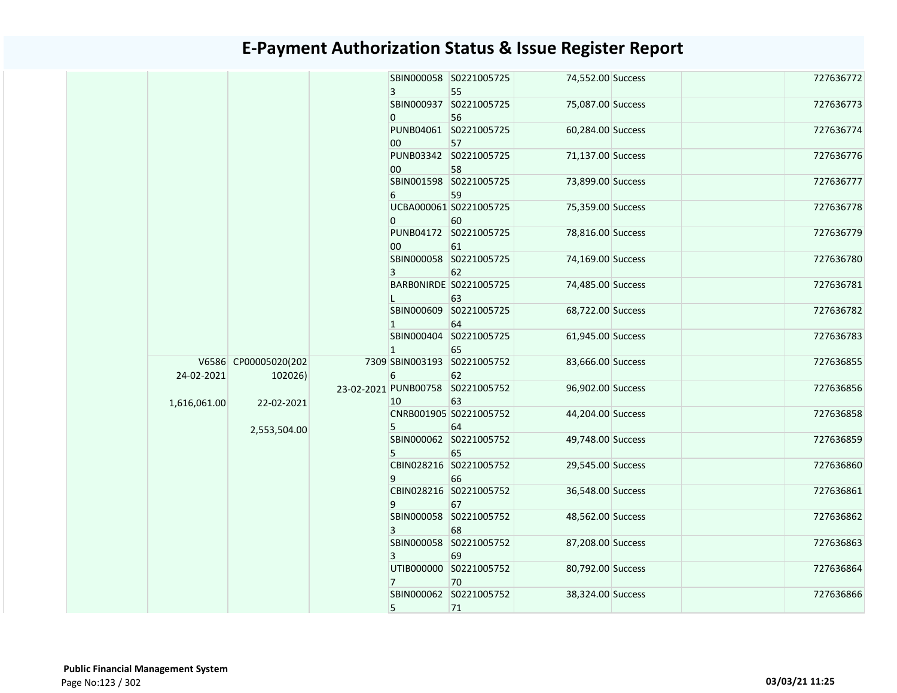|  |              |                      |  | 3              | SBIN000058 S0221005725<br>55      | 74,552.00 Success      | 727636772         |              |    |    |  |   |    |  |  |                        |                   |           |  |  |  |  |  |   |    |  |                        |                   |           |  |  |  |  |  |    |  |  |
|--|--------------|----------------------|--|----------------|-----------------------------------|------------------------|-------------------|--------------|----|----|--|---|----|--|--|------------------------|-------------------|-----------|--|--|--|--|--|---|----|--|------------------------|-------------------|-----------|--|--|--|--|--|----|--|--|
|  |              |                      |  |                | SBIN000937 S0221005725            | 75,087.00 Success      | 727636773         |              |    |    |  |   |    |  |  |                        |                   |           |  |  |  |  |  |   |    |  |                        |                   |           |  |  |  |  |  |    |  |  |
|  |              |                      |  | 0              | 56                                |                        |                   |              |    |    |  |   |    |  |  |                        |                   |           |  |  |  |  |  |   |    |  |                        |                   |           |  |  |  |  |  |    |  |  |
|  |              |                      |  |                | PUNB04061 S0221005725             | 60,284.00 Success      | 727636774         |              |    |    |  |   |    |  |  |                        |                   |           |  |  |  |  |  |   |    |  |                        |                   |           |  |  |  |  |  |    |  |  |
|  |              |                      |  | 00             | 57                                |                        |                   |              |    |    |  |   |    |  |  |                        |                   |           |  |  |  |  |  |   |    |  |                        |                   |           |  |  |  |  |  |    |  |  |
|  |              |                      |  |                | PUNB03342 S0221005725             | 71,137.00 Success      | 727636776         |              |    |    |  |   |    |  |  |                        |                   |           |  |  |  |  |  |   |    |  |                        |                   |           |  |  |  |  |  |    |  |  |
|  |              |                      |  | 00             | 58                                |                        |                   |              |    |    |  |   |    |  |  |                        |                   |           |  |  |  |  |  |   |    |  |                        |                   |           |  |  |  |  |  |    |  |  |
|  |              |                      |  |                | SBIN001598 S0221005725            | 73,899.00 Success      | 727636777         |              |    |    |  |   |    |  |  |                        |                   |           |  |  |  |  |  |   |    |  |                        |                   |           |  |  |  |  |  |    |  |  |
|  |              |                      |  | 6              | 59                                |                        |                   |              |    |    |  |   |    |  |  |                        |                   |           |  |  |  |  |  |   |    |  |                        |                   |           |  |  |  |  |  |    |  |  |
|  |              |                      |  | $\overline{0}$ | UCBA000061 S0221005725            | 75,359.00 Success      | 727636778         |              |    |    |  |   |    |  |  |                        |                   |           |  |  |  |  |  |   |    |  |                        |                   |           |  |  |  |  |  |    |  |  |
|  |              |                      |  |                | 60<br>PUNB04172 S0221005725       | 78,816.00 Success      | 727636779         |              |    |    |  |   |    |  |  |                        |                   |           |  |  |  |  |  |   |    |  |                        |                   |           |  |  |  |  |  |    |  |  |
|  |              |                      |  | $00\,$         | 61                                |                        |                   |              |    |    |  |   |    |  |  |                        |                   |           |  |  |  |  |  |   |    |  |                        |                   |           |  |  |  |  |  |    |  |  |
|  |              |                      |  |                |                                   | SBIN000058 S0221005725 | 74,169.00 Success | 727636780    |    |    |  |   |    |  |  |                        |                   |           |  |  |  |  |  |   |    |  |                        |                   |           |  |  |  |  |  |    |  |  |
|  |              |                      |  |                |                                   |                        |                   | $\mathbf{3}$ | 62 |    |  |   |    |  |  |                        |                   |           |  |  |  |  |  |   |    |  |                        |                   |           |  |  |  |  |  |    |  |  |
|  |              |                      |  |                | BARBONIRDE S0221005725            | 74,485.00 Success      | 727636781         |              |    |    |  |   |    |  |  |                        |                   |           |  |  |  |  |  |   |    |  |                        |                   |           |  |  |  |  |  |    |  |  |
|  |              |                      |  |                |                                   |                        | 63                |              |    |    |  |   |    |  |  |                        |                   |           |  |  |  |  |  |   |    |  |                        |                   |           |  |  |  |  |  |    |  |  |
|  |              |                      |  |                | SBIN000609 S0221005725            | 68,722.00 Success      | 727636782         |              |    |    |  |   |    |  |  |                        |                   |           |  |  |  |  |  |   |    |  |                        |                   |           |  |  |  |  |  |    |  |  |
|  |              |                      |  | 1              | 64                                |                        |                   |              |    |    |  |   |    |  |  |                        |                   |           |  |  |  |  |  |   |    |  |                        |                   |           |  |  |  |  |  |    |  |  |
|  |              |                      |  |                | SBIN000404 S0221005725            | 61,945.00 Success      | 727636783         |              |    |    |  |   |    |  |  |                        |                   |           |  |  |  |  |  |   |    |  |                        |                   |           |  |  |  |  |  |    |  |  |
|  |              | V6586 CP00005020(202 |  | $\mathbf{1}$   | 65<br>7309 SBIN003193 S0221005752 | 83,666.00 Success      | 727636855         |              |    |    |  |   |    |  |  |                        |                   |           |  |  |  |  |  |   |    |  |                        |                   |           |  |  |  |  |  |    |  |  |
|  | 24-02-2021   | 102026)              |  | 6              | 62                                |                        |                   |              |    |    |  |   |    |  |  |                        |                   |           |  |  |  |  |  |   |    |  |                        |                   |           |  |  |  |  |  |    |  |  |
|  |              |                      |  |                | 23-02-2021 PUNB00758 S0221005752  | 96,902.00 Success      | 727636856         |              |    |    |  |   |    |  |  |                        |                   |           |  |  |  |  |  |   |    |  |                        |                   |           |  |  |  |  |  |    |  |  |
|  | 1,616,061.00 | 22-02-2021           |  | 10             | 63                                |                        |                   |              |    |    |  |   |    |  |  |                        |                   |           |  |  |  |  |  |   |    |  |                        |                   |           |  |  |  |  |  |    |  |  |
|  |              |                      |  |                | CNRB001905 S0221005752            | 44,204.00 Success      | 727636858         |              |    |    |  |   |    |  |  |                        |                   |           |  |  |  |  |  |   |    |  |                        |                   |           |  |  |  |  |  |    |  |  |
|  |              | 2,553,504.00         |  |                |                                   |                        |                   |              |    |    |  | 5 | 64 |  |  |                        |                   |           |  |  |  |  |  |   |    |  |                        |                   |           |  |  |  |  |  |    |  |  |
|  |              |                      |  |                |                                   |                        |                   |              |    |    |  |   |    |  |  | SBIN000062 S0221005752 | 49,748.00 Success | 727636859 |  |  |  |  |  |   |    |  |                        |                   |           |  |  |  |  |  |    |  |  |
|  |              |                      |  |                |                                   |                        |                   |              |    |    |  |   |    |  |  |                        |                   |           |  |  |  |  |  | 5 | 65 |  |                        |                   |           |  |  |  |  |  |    |  |  |
|  |              |                      |  |                |                                   |                        |                   |              |    |    |  |   |    |  |  |                        |                   |           |  |  |  |  |  |   |    |  | CBIN028216 S0221005752 | 29,545.00 Success | 727636860 |  |  |  |  |  |    |  |  |
|  |              |                      |  |                |                                   |                        |                   |              | 9  | 66 |  |   |    |  |  |                        |                   |           |  |  |  |  |  |   |    |  |                        |                   |           |  |  |  |  |  |    |  |  |
|  |              |                      |  |                | CBIN028216 S0221005752            | 36,548.00 Success      | 727636861         |              |    |    |  |   |    |  |  |                        |                   |           |  |  |  |  |  |   |    |  |                        |                   |           |  |  |  |  |  |    |  |  |
|  |              |                      |  | 9              | 67<br>SBIN000058 S0221005752      | 48,562.00 Success      | 727636862         |              |    |    |  |   |    |  |  |                        |                   |           |  |  |  |  |  |   |    |  |                        |                   |           |  |  |  |  |  |    |  |  |
|  |              |                      |  | 3              | 68                                |                        |                   |              |    |    |  |   |    |  |  |                        |                   |           |  |  |  |  |  |   |    |  |                        |                   |           |  |  |  |  |  |    |  |  |
|  |              |                      |  |                | SBIN000058 S0221005752            | 87,208.00 Success      | 727636863         |              |    |    |  |   |    |  |  |                        |                   |           |  |  |  |  |  |   |    |  |                        |                   |           |  |  |  |  |  |    |  |  |
|  |              |                      |  | 3              | 69                                |                        |                   |              |    |    |  |   |    |  |  |                        |                   |           |  |  |  |  |  |   |    |  |                        |                   |           |  |  |  |  |  |    |  |  |
|  |              |                      |  |                | UTIB000000 S0221005752            | 80,792.00 Success      | 727636864         |              |    |    |  |   |    |  |  |                        |                   |           |  |  |  |  |  |   |    |  |                        |                   |           |  |  |  |  |  |    |  |  |
|  |              |                      |  | $7^{\circ}$    |                                   |                        |                   |              |    |    |  |   |    |  |  |                        |                   |           |  |  |  |  |  |   |    |  |                        |                   |           |  |  |  |  |  | 70 |  |  |
|  |              |                      |  |                | SBIN000062 S0221005752            | 38,324.00 Success      | 727636866         |              |    |    |  |   |    |  |  |                        |                   |           |  |  |  |  |  |   |    |  |                        |                   |           |  |  |  |  |  |    |  |  |
|  |              |                      |  | 5              | 71                                |                        |                   |              |    |    |  |   |    |  |  |                        |                   |           |  |  |  |  |  |   |    |  |                        |                   |           |  |  |  |  |  |    |  |  |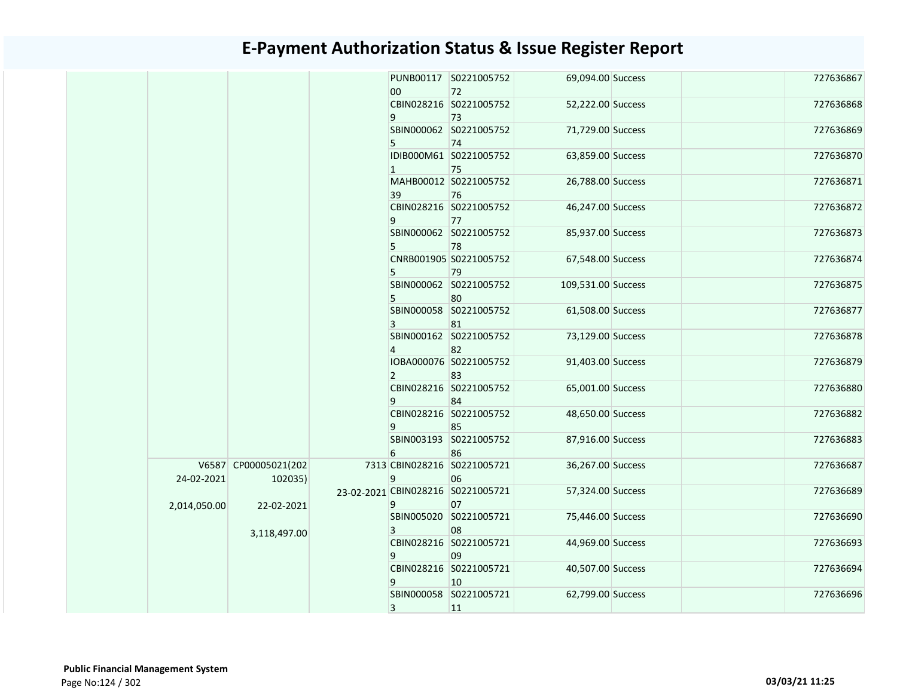|              |                      |                | PUNB00117 S0221005752             | 69,094.00 Success  |  | 727636867 |
|--------------|----------------------|----------------|-----------------------------------|--------------------|--|-----------|
|              |                      | 00             | 72<br>CBIN028216 S0221005752      |                    |  | 727636868 |
|              |                      |                |                                   | 52,222.00 Success  |  |           |
|              |                      | 9              | 73                                |                    |  |           |
|              |                      |                | SBIN000062 S0221005752            | 71,729.00 Success  |  | 727636869 |
|              |                      | 5              | 74                                |                    |  |           |
|              |                      |                | IDIB000M61 S0221005752            | 63,859.00 Success  |  | 727636870 |
|              |                      | $\vert$ 1      | 75                                |                    |  |           |
|              |                      |                | MAHB00012 S0221005752             | 26,788.00 Success  |  | 727636871 |
|              |                      | 39             | 76                                |                    |  |           |
|              |                      |                | CBIN028216 S0221005752            | 46,247.00 Success  |  | 727636872 |
|              |                      | 9              | 77                                |                    |  |           |
|              |                      |                | SBIN000062 S0221005752            | 85,937.00 Success  |  | 727636873 |
|              |                      | 5              | 78                                |                    |  |           |
|              |                      |                | CNRB001905 S0221005752            | 67,548.00 Success  |  | 727636874 |
|              |                      | 5              | 79                                |                    |  |           |
|              |                      |                | SBIN000062 S0221005752            | 109,531.00 Success |  | 727636875 |
|              |                      | 5              | 80                                |                    |  |           |
|              |                      |                | SBIN000058 S0221005752            | 61,508.00 Success  |  | 727636877 |
|              |                      | 3              | 81                                |                    |  |           |
|              |                      |                | SBIN000162 S0221005752            | 73,129.00 Success  |  | 727636878 |
|              |                      | $\overline{4}$ | 82                                |                    |  |           |
|              |                      |                | IOBA000076 S0221005752            | 91,403.00 Success  |  | 727636879 |
|              |                      | $\overline{2}$ | 83                                |                    |  |           |
|              |                      |                | CBIN028216 S0221005752            | 65,001.00 Success  |  | 727636880 |
|              |                      | 9              | 84                                |                    |  |           |
|              |                      |                | CBIN028216 S0221005752            | 48,650.00 Success  |  | 727636882 |
|              |                      | 9              | 85                                |                    |  |           |
|              |                      |                | SBIN003193 S0221005752            | 87,916.00 Success  |  | 727636883 |
|              |                      | 6              | 86                                |                    |  |           |
|              | V6587 CP00005021(202 |                | 7313 CBIN028216 S0221005721       | 36,267.00 Success  |  | 727636687 |
| 24-02-2021   | 102035)              | 9              | 06                                |                    |  |           |
|              |                      |                | 23-02-2021 CBIN028216 S0221005721 | 57,324.00 Success  |  | 727636689 |
|              |                      | 9              | 07                                |                    |  |           |
| 2,014,050.00 | 22-02-2021           |                | SBIN005020 S0221005721            | 75,446.00 Success  |  | 727636690 |
|              |                      |                |                                   |                    |  |           |
|              | 3,118,497.00         | 3              | 08<br>CBIN028216 S0221005721      |                    |  | 727636693 |
|              |                      |                | 09                                | 44,969.00 Success  |  |           |
|              |                      | 9              |                                   |                    |  |           |
|              |                      |                | CBIN028216 S0221005721            | 40,507.00 Success  |  | 727636694 |
|              |                      | 9              | 10                                |                    |  |           |
|              |                      |                | SBIN000058 S0221005721            | 62,799.00 Success  |  | 727636696 |
|              |                      | 3              | 11                                |                    |  |           |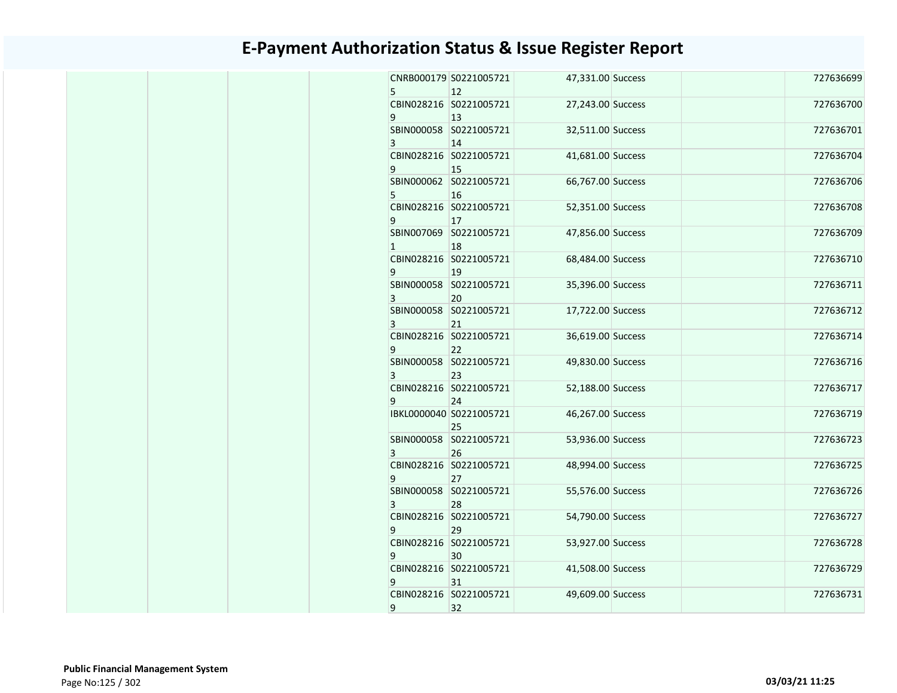| 5              | CNRB000179 S0221005721<br>12  | 47,331.00 Success | 727636699 |
|----------------|-------------------------------|-------------------|-----------|
| 9              | CBIN028216 S0221005721<br>13  | 27,243.00 Success | 727636700 |
| 3              | SBIN000058 S0221005721<br>14  | 32,511.00 Success | 727636701 |
| 9              | CBIN028216 S0221005721<br>15  | 41,681.00 Success | 727636704 |
| 5              | SBIN000062 S0221005721<br>16  | 66,767.00 Success | 727636706 |
| 9              | CBIN028216 S0221005721<br>17  | 52,351.00 Success | 727636708 |
| $\mathbf{1}$   | SBIN007069 S0221005721<br>18  | 47,856.00 Success | 727636709 |
| 9              | CBIN028216 S0221005721<br>19  | 68,484.00 Success | 727636710 |
| 3              | SBIN000058 S0221005721<br>20  | 35,396.00 Success | 727636711 |
| 3              | SBIN000058 S0221005721<br>21  | 17,722.00 Success | 727636712 |
| 9              | CBIN028216 S0221005721<br>22  | 36,619.00 Success | 727636714 |
| 3              | SBIN000058 S0221005721<br>23  | 49,830.00 Success | 727636716 |
| 9              | CBIN028216 S0221005721<br>24  | 52,188.00 Success | 727636717 |
|                | IBKL0000040 S0221005721<br>25 | 46,267.00 Success | 727636719 |
| $\overline{3}$ | SBIN000058 S0221005721<br>26  | 53,936.00 Success | 727636723 |
| 9              | CBIN028216 S0221005721<br>27  | 48,994.00 Success | 727636725 |
| 3              | SBIN000058 S0221005721<br>28  | 55,576.00 Success | 727636726 |
| 9              | CBIN028216 S0221005721<br>29  | 54,790.00 Success | 727636727 |
| 9              | CBIN028216 S0221005721<br>30  | 53,927.00 Success | 727636728 |
| 9              | CBIN028216 S0221005721<br>31  | 41,508.00 Success | 727636729 |
|                | CBIN028216 S0221005721<br>32  | 49,609.00 Success | 727636731 |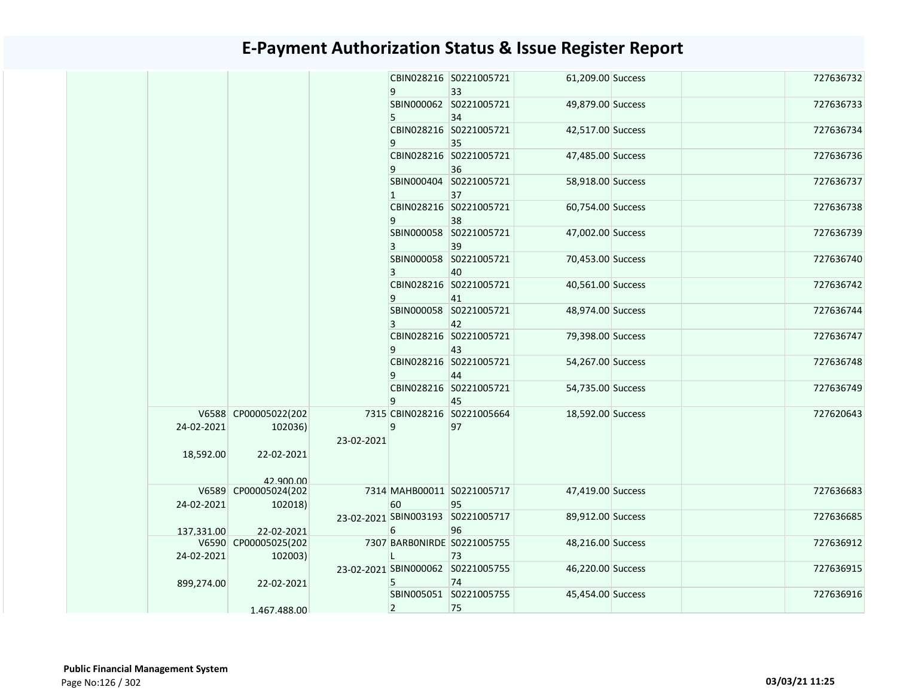|  |            |                      |            |                | CBIN028216 S0221005721            | 61,209.00 Success |  | 727636732 |
|--|------------|----------------------|------------|----------------|-----------------------------------|-------------------|--|-----------|
|  |            |                      |            | 9              | 33<br>SBIN000062 S0221005721      |                   |  | 727636733 |
|  |            |                      |            | 5              | 34                                | 49,879.00 Success |  |           |
|  |            |                      |            |                | CBIN028216 S0221005721            | 42,517.00 Success |  | 727636734 |
|  |            |                      |            | 9              | 35                                |                   |  |           |
|  |            |                      |            |                | CBIN028216 S0221005721            | 47,485.00 Success |  | 727636736 |
|  |            |                      |            |                |                                   |                   |  |           |
|  |            |                      |            | 9              | 36<br>SBIN000404 S0221005721      |                   |  | 727636737 |
|  |            |                      |            |                |                                   | 58,918.00 Success |  |           |
|  |            |                      |            | 1              | 37                                |                   |  |           |
|  |            |                      |            |                | CBIN028216 S0221005721            | 60,754.00 Success |  | 727636738 |
|  |            |                      |            | 9              | 38                                |                   |  |           |
|  |            |                      |            |                | SBIN000058 S0221005721            | 47,002.00 Success |  | 727636739 |
|  |            |                      |            | 3              | 39                                |                   |  |           |
|  |            |                      |            |                | SBIN000058 S0221005721            | 70,453.00 Success |  | 727636740 |
|  |            |                      |            | 3              | 40                                |                   |  |           |
|  |            |                      |            |                | CBIN028216 S0221005721            | 40,561.00 Success |  | 727636742 |
|  |            |                      |            | 9              | 41                                |                   |  |           |
|  |            |                      |            |                | SBIN000058 S0221005721            | 48,974.00 Success |  | 727636744 |
|  |            |                      |            | 3              | 42                                |                   |  |           |
|  |            |                      |            |                | CBIN028216 S0221005721            | 79,398.00 Success |  | 727636747 |
|  |            |                      |            | 9              | 43                                |                   |  |           |
|  |            |                      |            |                | CBIN028216 S0221005721            | 54,267.00 Success |  | 727636748 |
|  |            |                      |            | 9              | 44                                |                   |  |           |
|  |            |                      |            |                | CBIN028216 S0221005721            | 54,735.00 Success |  | 727636749 |
|  |            |                      |            | 9              | 45                                |                   |  |           |
|  |            | V6588 CP00005022(202 |            |                | 7315 CBIN028216 S0221005664       | 18,592.00 Success |  | 727620643 |
|  | 24-02-2021 | 102036)              |            | 9              | 97                                |                   |  |           |
|  |            |                      | 23-02-2021 |                |                                   |                   |  |           |
|  | 18,592.00  | 22-02-2021           |            |                |                                   |                   |  |           |
|  |            |                      |            |                |                                   |                   |  |           |
|  |            | 42,900,00            |            |                |                                   |                   |  |           |
|  |            | V6589 CP00005024(202 |            |                | 7314 MAHB00011 S0221005717        | 47,419.00 Success |  | 727636683 |
|  | 24-02-2021 | 102018)              |            | 60             | 95                                |                   |  |           |
|  |            |                      |            |                | 23-02-2021 SBIN003193 S0221005717 | 89,912.00 Success |  | 727636685 |
|  | 137.331.00 | 22-02-2021           |            | 6              | 96                                |                   |  |           |
|  |            | V6590 CP00005025(202 |            |                | 7307 BARBONIRDE S0221005755       | 48,216.00 Success |  | 727636912 |
|  | 24-02-2021 | 102003)              |            | L              | 73                                |                   |  |           |
|  |            |                      |            |                | 23-02-2021 SBIN000062 S0221005755 | 46,220.00 Success |  | 727636915 |
|  | 899,274.00 | 22-02-2021           |            | 5              | 74                                |                   |  |           |
|  |            |                      |            |                | SBIN005051 S0221005755            | 45,454.00 Success |  | 727636916 |
|  |            | 1.467.488.00         |            | $\overline{2}$ | 75                                |                   |  |           |
|  |            |                      |            |                |                                   |                   |  |           |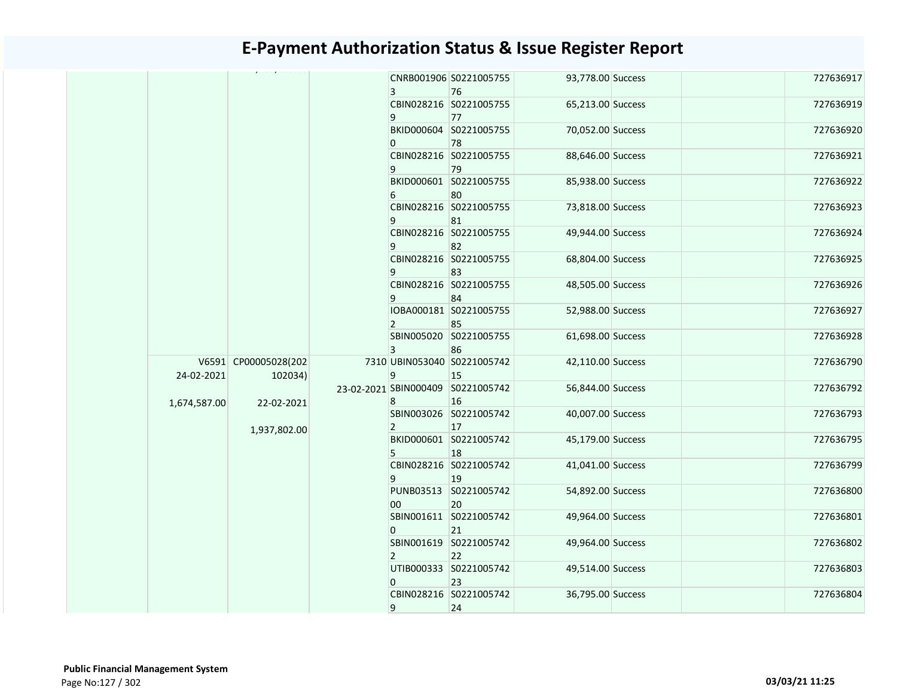|              |                                 | $\overline{3}$ | CNRB001906 S0221005755<br>76            | 93,778.00 Success |  | 727636917 |
|--------------|---------------------------------|----------------|-----------------------------------------|-------------------|--|-----------|
|              |                                 | 9              | CBIN028216 S0221005755<br>77            | 65,213.00 Success |  | 727636919 |
|              |                                 | $\overline{0}$ | BKID000604 S0221005755<br>78            | 70,052.00 Success |  | 727636920 |
|              |                                 | 9              | CBIN028216 S0221005755<br>79            | 88,646.00 Success |  | 727636921 |
|              |                                 | 6              | BKID000601 S0221005755<br>80            | 85,938.00 Success |  | 727636922 |
|              |                                 | 9              | CBIN028216 S0221005755<br>81            | 73,818.00 Success |  | 727636923 |
|              |                                 | 9              | CBIN028216 S0221005755<br>82            | 49,944.00 Success |  | 727636924 |
|              |                                 | 9              | CBIN028216 S0221005755<br>83            | 68,804.00 Success |  | 727636925 |
|              |                                 | 9              | CBIN028216 S0221005755<br>84            | 48,505.00 Success |  | 727636926 |
|              |                                 | $\overline{2}$ | IOBA000181 S0221005755<br>85            | 52,988.00 Success |  | 727636927 |
|              |                                 | 3              | SBIN005020 S0221005755<br>86            | 61,698.00 Success |  | 727636928 |
| 24-02-2021   | V6591 CP00005028(202<br>102034) | 9              | 7310 UBIN053040 S0221005742<br>15       | 42,110.00 Success |  | 727636790 |
| 1,674,587.00 | 22-02-2021                      | 8              | 23-02-2021 SBIN000409 S0221005742<br>16 | 56,844.00 Success |  | 727636792 |
|              | 1,937,802.00                    | $\overline{2}$ | SBIN003026 S0221005742<br>17            | 40,007.00 Success |  | 727636793 |
|              |                                 | 5              | BKID000601 S0221005742<br>18            | 45,179.00 Success |  | 727636795 |
|              |                                 | 9              | CBIN028216 S0221005742<br>19            | 41,041.00 Success |  | 727636799 |
|              |                                 | 00             | PUNB03513 S0221005742<br>20             | 54,892.00 Success |  | 727636800 |
|              |                                 | $\overline{0}$ | SBIN001611 S0221005742<br>21            | 49,964.00 Success |  | 727636801 |
|              |                                 | $\overline{2}$ | SBIN001619 S0221005742<br>22            | 49,964.00 Success |  | 727636802 |
|              |                                 | $\overline{0}$ | UTIB000333 S0221005742<br>23            | 49,514.00 Success |  | 727636803 |
|              |                                 | 9              | CBIN028216 S0221005742<br>24            | 36,795.00 Success |  | 727636804 |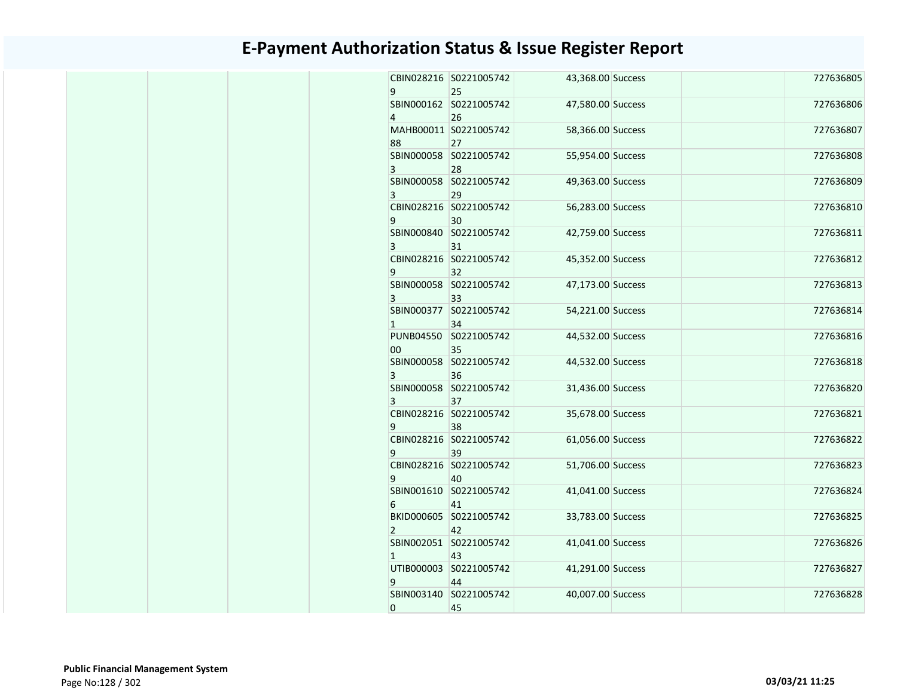| 9              | CBIN028216 S0221005742<br>25 | 43,368.00 Success | 727636805 |
|----------------|------------------------------|-------------------|-----------|
| 4              | SBIN000162 S0221005742<br>26 | 47,580.00 Success | 727636806 |
| 88             | MAHB00011 S0221005742<br>27  | 58,366.00 Success | 727636807 |
| $\overline{3}$ | SBIN000058 S0221005742<br>28 | 55,954.00 Success | 727636808 |
| 3              | SBIN000058 S0221005742<br>29 | 49,363.00 Success | 727636809 |
| 9              | CBIN028216 S0221005742<br>30 | 56,283.00 Success | 727636810 |
| 3              | SBIN000840 S0221005742<br>31 | 42,759.00 Success | 727636811 |
| 9              | CBIN028216 S0221005742<br>32 | 45,352.00 Success | 727636812 |
| 3              | SBIN000058 S0221005742<br>33 | 47,173.00 Success | 727636813 |
| $\mathbf{1}$   | SBIN000377 S0221005742<br>34 | 54,221.00 Success | 727636814 |
| 00             | PUNB04550 S0221005742<br>35  | 44,532.00 Success | 727636816 |
| 3              | SBIN000058 S0221005742<br>36 | 44,532.00 Success | 727636818 |
| 3              | SBIN000058 S0221005742<br>37 | 31,436.00 Success | 727636820 |
| 9              | CBIN028216 S0221005742<br>38 | 35,678.00 Success | 727636821 |
| 9              | CBIN028216 S0221005742<br>39 | 61,056.00 Success | 727636822 |
| 9              | CBIN028216 S0221005742<br>40 | 51,706.00 Success | 727636823 |
| 6              | SBIN001610 S0221005742<br>41 | 41,041.00 Success | 727636824 |
| $\overline{2}$ | BKID000605 S0221005742<br>42 | 33,783.00 Success | 727636825 |
| $\mathbf{1}$   | SBIN002051 S0221005742<br>43 | 41,041.00 Success | 727636826 |
| 9              | UTIB000003 S0221005742<br>44 | 41,291.00 Success | 727636827 |
| 0              | SBIN003140 S0221005742<br>45 | 40,007.00 Success | 727636828 |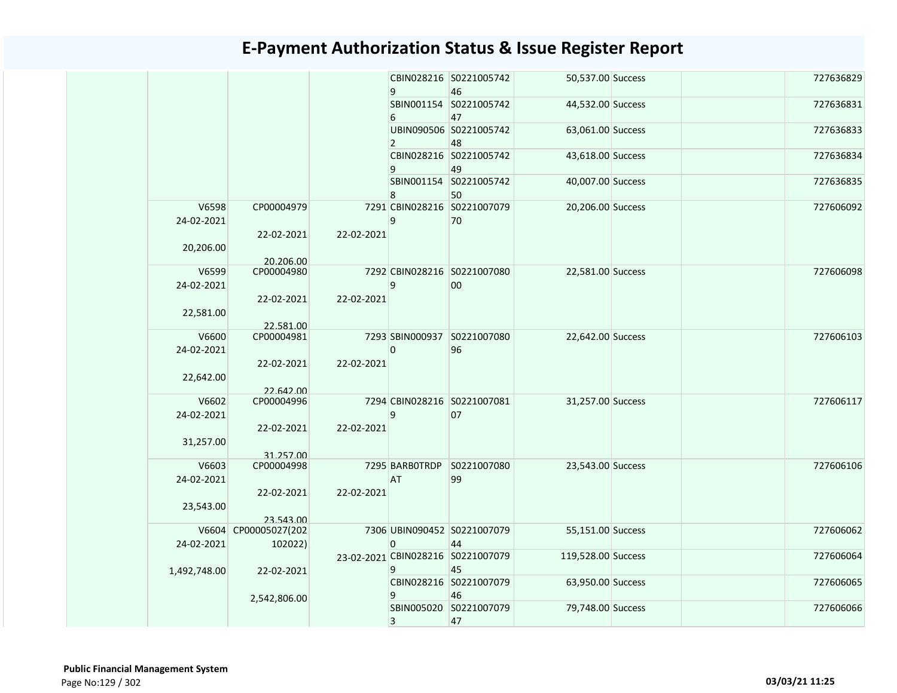|                     |                         |            | 9              | CBIN028216 S0221005742<br>46            | 50,537.00 Success  |  | 727636829 |
|---------------------|-------------------------|------------|----------------|-----------------------------------------|--------------------|--|-----------|
|                     |                         |            | 6              | SBIN001154 S0221005742<br>47            | 44,532.00 Success  |  | 727636831 |
|                     |                         |            | $\overline{2}$ | UBIN090506 S0221005742<br>48            | 63,061.00 Success  |  | 727636833 |
|                     |                         |            | 9              | CBIN028216 S0221005742<br>49            | 43,618.00 Success  |  | 727636834 |
|                     |                         |            | 8              | SBIN001154 S0221005742<br>50            | 40,007.00 Success  |  | 727636835 |
| V6598<br>24-02-2021 | CP00004979              |            | 9              | 7291 CBIN028216 S0221007079<br>70       | 20,206.00 Success  |  | 727606092 |
| 20,206.00           | 22-02-2021<br>20.206.00 | 22-02-2021 |                |                                         |                    |  |           |
| V6599<br>24-02-2021 | CP00004980              |            | 9              | 7292 CBIN028216 S0221007080<br>00       | 22,581.00 Success  |  | 727606098 |
| 22,581.00           | 22-02-2021<br>22.581.00 | 22-02-2021 |                |                                         |                    |  |           |
| V6600<br>24-02-2021 | CP00004981              |            | 0              | 7293 SBIN000937 S0221007080<br>96       | 22,642.00 Success  |  | 727606103 |
| 22,642.00           | 22-02-2021<br>22.642.00 | 22-02-2021 |                |                                         |                    |  |           |
| V6602<br>24-02-2021 | CP00004996              |            | 9              | 7294 CBIN028216 S0221007081<br>07       | 31,257.00 Success  |  | 727606117 |
| 31,257.00           | 22-02-2021              | 22-02-2021 |                |                                         |                    |  |           |
| V6603               | 31.257.00               |            | 7295 BARBOTRDP | S0221007080                             |                    |  | 727606106 |
| 24-02-2021          | CP00004998              | 22-02-2021 | AT             | 99                                      | 23,543.00 Success  |  |           |
| 23,543.00           | 22-02-2021<br>23.543.00 |            |                |                                         |                    |  |           |
|                     | V6604 CP00005027(202    |            |                | 7306 UBIN090452 S0221007079             | 55,151.00 Success  |  | 727606062 |
| 24-02-2021          | 102022)                 |            | $\mathbf{0}$   | 44                                      |                    |  |           |
| 1,492,748.00        | 22-02-2021              |            | 9              | 23-02-2021 CBIN028216 S0221007079<br>45 | 119,528.00 Success |  | 727606064 |
|                     | 2,542,806.00            |            | 9              | CBIN028216 S0221007079<br>46            | 63,950.00 Success  |  | 727606065 |
|                     |                         |            | 3              | SBIN005020 S0221007079<br>47            | 79,748.00 Success  |  | 727606066 |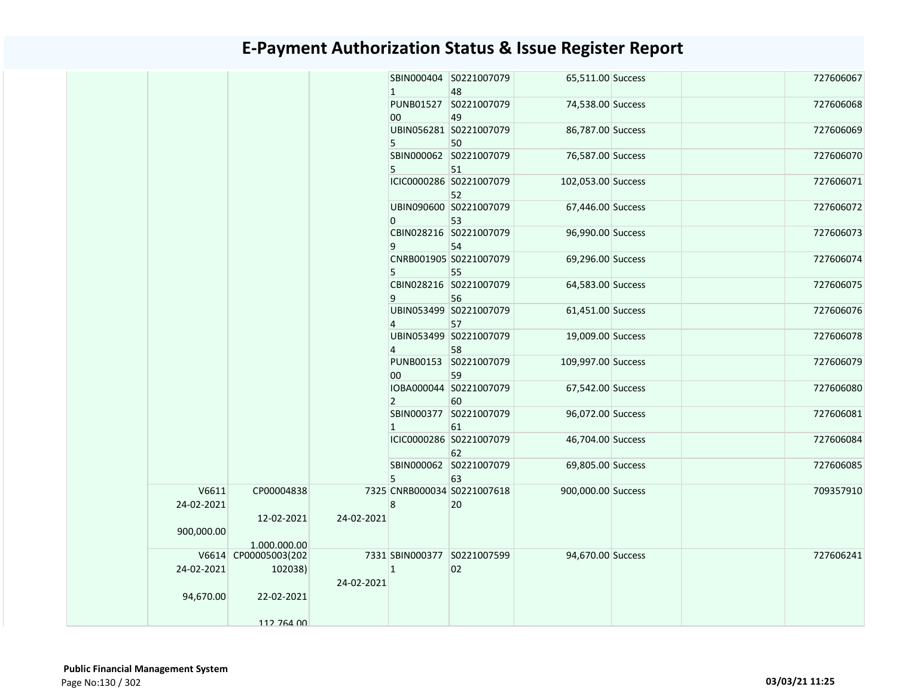|  |            |                      |            |                 | SBIN000404 S0221007079      | 65,511.00 Success  |  | 727606067 |
|--|------------|----------------------|------------|-----------------|-----------------------------|--------------------|--|-----------|
|  |            |                      |            | $\mathbf{1}$    | 48                          |                    |  |           |
|  |            |                      |            |                 | PUNB01527 S0221007079       | 74,538.00 Success  |  | 727606068 |
|  |            |                      |            | 00 <sub>o</sub> | 49                          |                    |  |           |
|  |            |                      |            |                 | UBIN056281 S0221007079      | 86,787.00 Success  |  | 727606069 |
|  |            |                      |            | 5               | 50                          |                    |  |           |
|  |            |                      |            |                 | SBIN000062 S0221007079      | 76,587.00 Success  |  | 727606070 |
|  |            |                      |            | 5               | 51                          |                    |  |           |
|  |            |                      |            |                 | ICIC0000286 S0221007079     | 102,053.00 Success |  | 727606071 |
|  |            |                      |            |                 | 52                          |                    |  |           |
|  |            |                      |            |                 | UBIN090600 S0221007079      | 67,446.00 Success  |  | 727606072 |
|  |            |                      |            | 0               | 53                          |                    |  |           |
|  |            |                      |            |                 | CBIN028216 S0221007079      | 96,990.00 Success  |  | 727606073 |
|  |            |                      |            | 9               | 54                          |                    |  |           |
|  |            |                      |            |                 | CNRB001905 S0221007079      | 69,296.00 Success  |  | 727606074 |
|  |            |                      |            | 5               | 55                          |                    |  |           |
|  |            |                      |            |                 | CBIN028216 S0221007079      | 64,583.00 Success  |  | 727606075 |
|  |            |                      |            | 9               | 56                          |                    |  |           |
|  |            |                      |            |                 | UBIN053499 S0221007079      | 61,451.00 Success  |  | 727606076 |
|  |            |                      |            | $\overline{4}$  | 57                          |                    |  |           |
|  |            |                      |            |                 | UBIN053499 S0221007079      | 19,009.00 Success  |  | 727606078 |
|  |            |                      |            | $\overline{4}$  | 58                          |                    |  |           |
|  |            |                      |            |                 | PUNB00153 S0221007079       | 109,997.00 Success |  | 727606079 |
|  |            |                      |            | 00 <sub>1</sub> | 59                          |                    |  |           |
|  |            |                      |            |                 | IOBA000044 S0221007079      | 67,542.00 Success  |  | 727606080 |
|  |            |                      |            | $2^{\circ}$     | 60                          |                    |  |           |
|  |            |                      |            |                 | SBIN000377 S0221007079      | 96,072.00 Success  |  | 727606081 |
|  |            |                      |            | $\mathbf{1}$    | 61                          |                    |  |           |
|  |            |                      |            |                 | ICIC0000286 S0221007079     | 46,704.00 Success  |  | 727606084 |
|  |            |                      |            |                 | 62                          |                    |  |           |
|  |            |                      |            |                 | SBIN000062 S0221007079      | 69,805.00 Success  |  | 727606085 |
|  |            |                      |            | 5               | 63                          |                    |  |           |
|  | V6611      | CP00004838           |            |                 | 7325 CNRB000034 S0221007618 | 900,000.00 Success |  | 709357910 |
|  | 24-02-2021 |                      |            | 8               | 20                          |                    |  |           |
|  |            | 12-02-2021           | 24-02-2021 |                 |                             |                    |  |           |
|  | 900,000.00 |                      |            |                 |                             |                    |  |           |
|  |            | 1.000.000.00         |            |                 |                             |                    |  |           |
|  |            | V6614 CP00005003(202 |            |                 | 7331 SBIN000377 S0221007599 | 94,670.00 Success  |  | 727606241 |
|  | 24-02-2021 | 102038)              |            | $\mathbf{1}$    | 02                          |                    |  |           |
|  |            |                      | 24-02-2021 |                 |                             |                    |  |           |
|  | 94,670.00  | 22-02-2021           |            |                 |                             |                    |  |           |
|  |            |                      |            |                 |                             |                    |  |           |
|  |            | 112 764 00           |            |                 |                             |                    |  |           |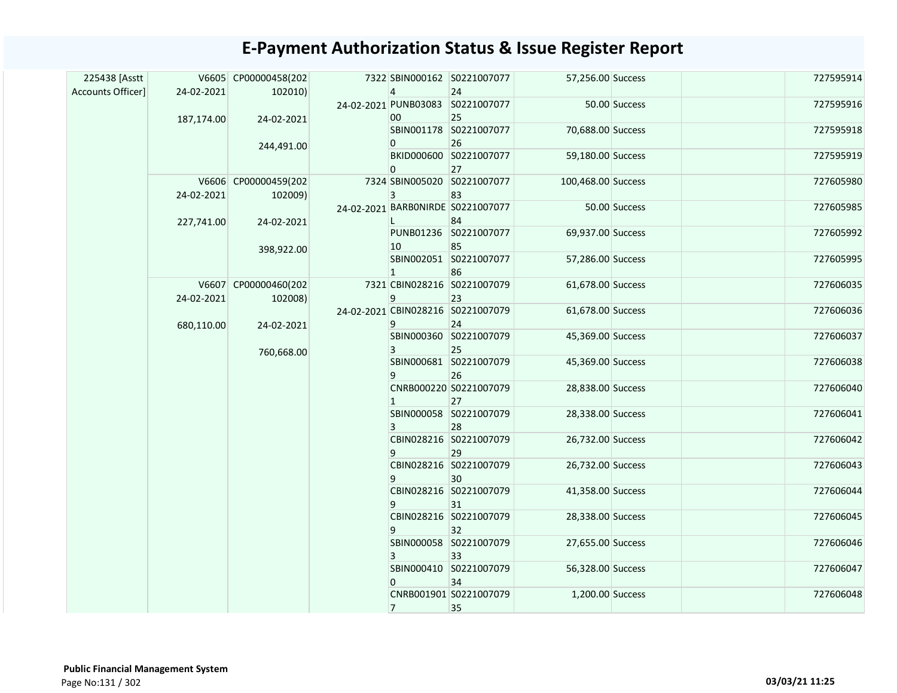#### 7322 SBIN000162 S0221007077 4 24 57,256.00 Success 727595914 PUNB03083 S0221007077 24-02-2021 00 25 50.00 Success 727595916 SBIN001178 S0221007077  $\overline{0}$ 26 70,688.00 Success 727595918 BKID000600 S0221007077  $\overline{0}$ 27 59,180.00 Success 727595919 7324 SBIN005020 S0221007077 3 83 100,468.00 Success 727605980 BARB0NIRDE S0221007077 24-02-2021 L 84 50.00 Success 727605985 PUNB01236 S0221007077 10 85 69,937.00 Success 727605992 SBIN002051 S0221007077 1 86 57,286.00 Success 727605995 CBIN028216 S0221007079 7321 9 23 61,678.00 Success 727606035 CBIN028216 S0221007079 24-02-2021 9 24 61,678.00 Success 727606036 SBIN000360 S0221007079 3 25 45,369.00 Success 727606037 SBIN000681 S0221007079 9 26 45,369.00 Success 727606038 CNRB000220 S0221007079 1 27 28,838.00 Success 727606040 SBIN000058 S0221007079 3 28 28,338.00 Success 727606041 CBIN028216 S0221007079  $\overline{9}$ 29 26,732.00 Success 727606042 CBIN028216 S0221007079  $|q|$ 30 26,732.00 Success 727606043 CBIN028216 S0221007079 9 31 41,358.00 Success 727606044 CBIN028216 S0221007079 9 32 28,338.00 Success 727606045 SBIN000058 S0221007079 3 33 27,655.00 Success 727606046 SBIN000410 S0221007079  $\overline{0}$ 34 56,328.00 Success 727606047 CNRB001901 S0221007079 7 35 1,200.00 Success 727606048 225438 [Asstt Accounts Officer] V6605 CP00000458(202 24-02-2021 187,174.00 102010) 24-02-2021 244,491.00 V6606 CP00000459(202 24-02-2021 227,741.00 102009) 24-02-2021 398,922.00 V6607 CP00000460(202 24-02-2021 680,110.00 102008) 24-02-2021 760,668.00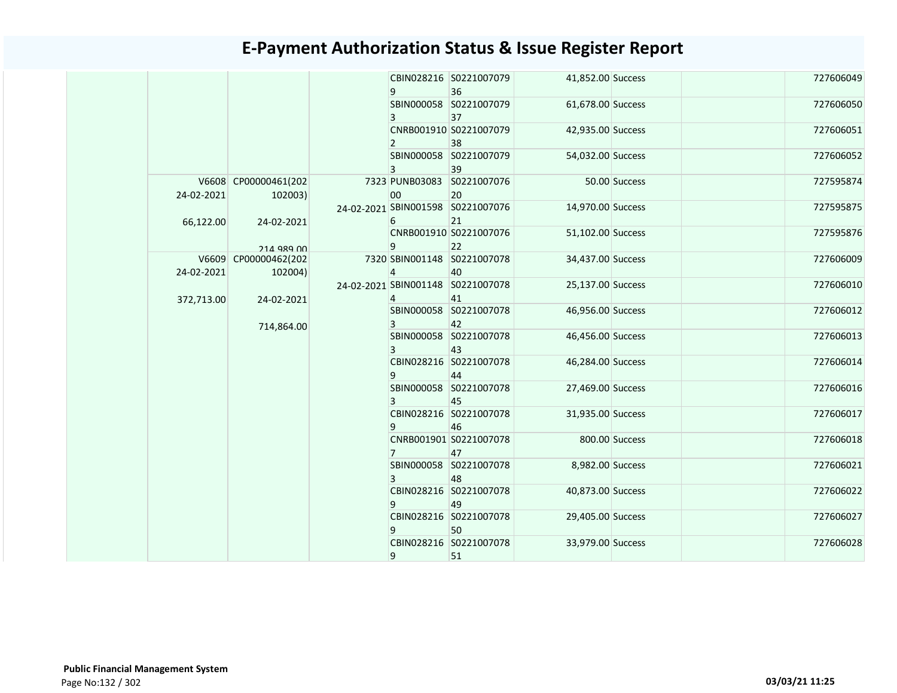|            |                                 |                                    | 9                            | CBIN028216 S0221007079<br>36            | 41,852.00 Success            |                              | 727606049                    |                   |           |           |  |  |  |  |  |                              |                              |                   |           |           |
|------------|---------------------------------|------------------------------------|------------------------------|-----------------------------------------|------------------------------|------------------------------|------------------------------|-------------------|-----------|-----------|--|--|--|--|--|------------------------------|------------------------------|-------------------|-----------|-----------|
|            |                                 |                                    | 3                            | SBIN000058 S0221007079<br>37            | 61,678.00 Success            |                              | 727606050                    |                   |           |           |  |  |  |  |  |                              |                              |                   |           |           |
|            |                                 |                                    | $\overline{2}$               | CNRB001910 S0221007079<br>38            | 42,935.00 Success            |                              | 727606051                    |                   |           |           |  |  |  |  |  |                              |                              |                   |           |           |
|            |                                 |                                    | 3                            | SBIN000058 S0221007079<br>39            | 54,032.00 Success            |                              | 727606052                    |                   |           |           |  |  |  |  |  |                              |                              |                   |           |           |
| 24-02-2021 | V6608 CP00000461(202<br>102003) |                                    | 00                           | 7323 PUNB03083 S0221007076<br>20        |                              | 50.00 Success                | 727595874                    |                   |           |           |  |  |  |  |  |                              |                              |                   |           |           |
| 66,122.00  | 24-02-2021                      |                                    | 6                            | 24-02-2021 SBIN001598 S0221007076<br>21 | 14,970.00 Success            |                              | 727595875                    |                   |           |           |  |  |  |  |  |                              |                              |                   |           |           |
|            | 214 989 00                      |                                    | 9                            | CNRB001910 S0221007076<br>22            | 51,102.00 Success            |                              | 727595876                    |                   |           |           |  |  |  |  |  |                              |                              |                   |           |           |
| 24-02-2021 | V6609 CP00000462(202<br>102004) |                                    | $\overline{4}$               | 7320 SBIN001148 S0221007078<br>40       | 34,437.00 Success            |                              | 727606009                    |                   |           |           |  |  |  |  |  |                              |                              |                   |           |           |
| 372,713.00 | 24-02-2021                      |                                    | 4                            | 24-02-2021 SBIN001148 S0221007078<br>41 | 25,137.00 Success            |                              | 727606010                    |                   |           |           |  |  |  |  |  |                              |                              |                   |           |           |
|            | 714,864.00                      |                                    | 3                            | SBIN000058 S0221007078<br>42            | 46,956.00 Success            |                              | 727606012                    |                   |           |           |  |  |  |  |  |                              |                              |                   |           |           |
|            |                                 |                                    | 3                            | SBIN000058 S0221007078<br>43            | 46,456.00 Success            |                              | 727606013                    |                   |           |           |  |  |  |  |  |                              |                              |                   |           |           |
|            |                                 |                                    | 9                            | CBIN028216 S0221007078<br>44            | 46,284.00 Success            |                              | 727606014                    |                   |           |           |  |  |  |  |  |                              |                              |                   |           |           |
|            |                                 | 9<br>$\overline{7}$<br>3<br>9<br>9 |                              |                                         |                              |                              |                              |                   |           |           |  |  |  |  |  | 3                            | SBIN000058 S0221007078<br>45 | 27,469.00 Success |           | 727606016 |
|            |                                 |                                    |                              |                                         |                              |                              |                              |                   |           |           |  |  |  |  |  | CBIN028216 S0221007078<br>46 | 31,935.00 Success            |                   | 727606017 |           |
|            |                                 |                                    |                              |                                         | CNRB001901 S0221007078<br>47 |                              | 800.00 Success               | 727606018         |           |           |  |  |  |  |  |                              |                              |                   |           |           |
|            |                                 |                                    |                              | SBIN000058 S0221007078<br>48            | 8,982.00 Success             |                              | 727606021                    |                   |           |           |  |  |  |  |  |                              |                              |                   |           |           |
|            |                                 |                                    |                              |                                         |                              |                              | CBIN028216 S0221007078<br>49 | 40,873.00 Success |           | 727606022 |  |  |  |  |  |                              |                              |                   |           |           |
|            |                                 |                                    |                              |                                         |                              | CBIN028216 S0221007078<br>50 | 29,405.00 Success            |                   | 727606027 |           |  |  |  |  |  |                              |                              |                   |           |           |
|            |                                 | 9                                  | CBIN028216 S0221007078<br>51 | 33,979.00 Success                       |                              | 727606028                    |                              |                   |           |           |  |  |  |  |  |                              |                              |                   |           |           |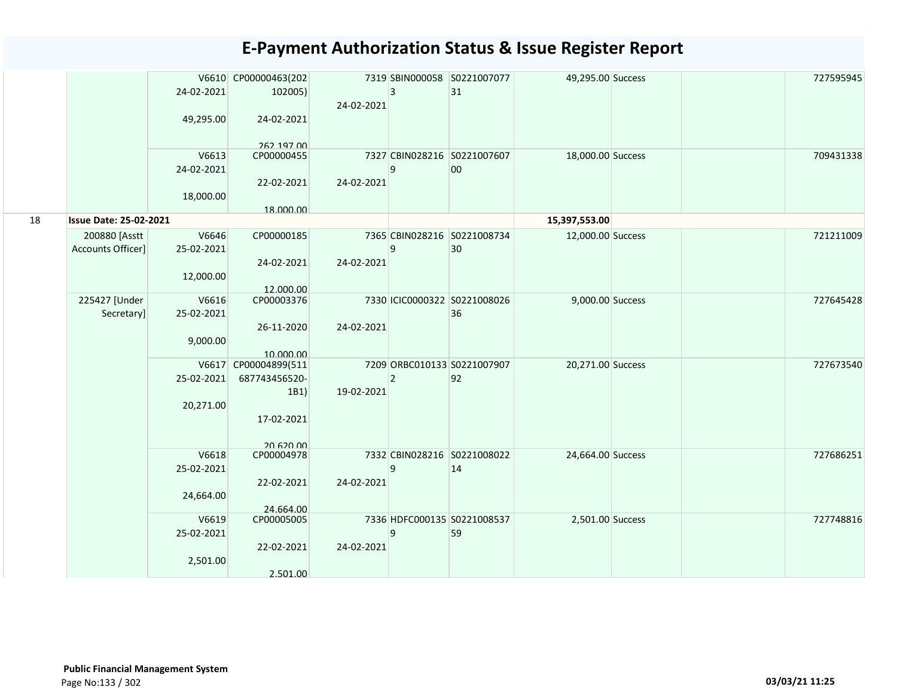|    |                                    | 24-02-2021<br>49,295.00<br>V6613<br>24-02-2021<br>18,000.00 | V6610 CP00000463(202<br>102005)<br>24-02-2021<br>262 197 00<br>CP00000455<br>22-02-2021 | 24-02-2021<br>24-02-2021 | 3<br>9         | 7319 SBIN000058 S0221007077<br>31<br>7327 CBIN028216 S0221007607<br>00 | 49,295.00 Success<br>18,000.00 Success |  | 727595945<br>709431338 |
|----|------------------------------------|-------------------------------------------------------------|-----------------------------------------------------------------------------------------|--------------------------|----------------|------------------------------------------------------------------------|----------------------------------------|--|------------------------|
| 18 | <b>Issue Date: 25-02-2021</b>      |                                                             | 18.000.00                                                                               |                          |                |                                                                        | 15,397,553.00                          |  |                        |
|    | 200880 [Asstt<br>Accounts Officer] | V6646<br>25-02-2021<br>12,000.00                            | CP00000185<br>24-02-2021                                                                | 24-02-2021               | 9              | 7365 CBIN028216 S0221008734<br>30                                      | 12,000.00 Success                      |  | 721211009              |
|    | 225427 [Under<br>Secretary]        | V6616<br>25-02-2021<br>9,000.00                             | 12.000.00<br>CP00003376<br>26-11-2020<br>10.000.00                                      | 24-02-2021               |                | 7330 ICIC0000322 S0221008026<br>36                                     | 9,000.00 Success                       |  | 727645428              |
|    |                                    | 25-02-2021<br>20,271.00                                     | V6617 CP00004899(511<br>687743456520-<br>1B1)<br>17-02-2021<br>20 620 00                | 19-02-2021               | $\overline{2}$ | 7209 ORBC010133 S0221007907<br>92                                      | 20,271.00 Success                      |  | 727673540              |
|    |                                    | V6618<br>25-02-2021<br>24,664.00                            | CP00004978<br>22-02-2021<br>24.664.00                                                   | 24-02-2021               | 9              | 7332 CBIN028216 S0221008022<br>14                                      | 24,664.00 Success                      |  | 727686251              |
|    |                                    | V6619<br>25-02-2021<br>2,501.00                             | CP00005005<br>22-02-2021<br>2.501.00                                                    | 24-02-2021               | 9              | 7336 HDFC000135 S0221008537<br>59                                      | 2,501.00 Success                       |  | 727748816              |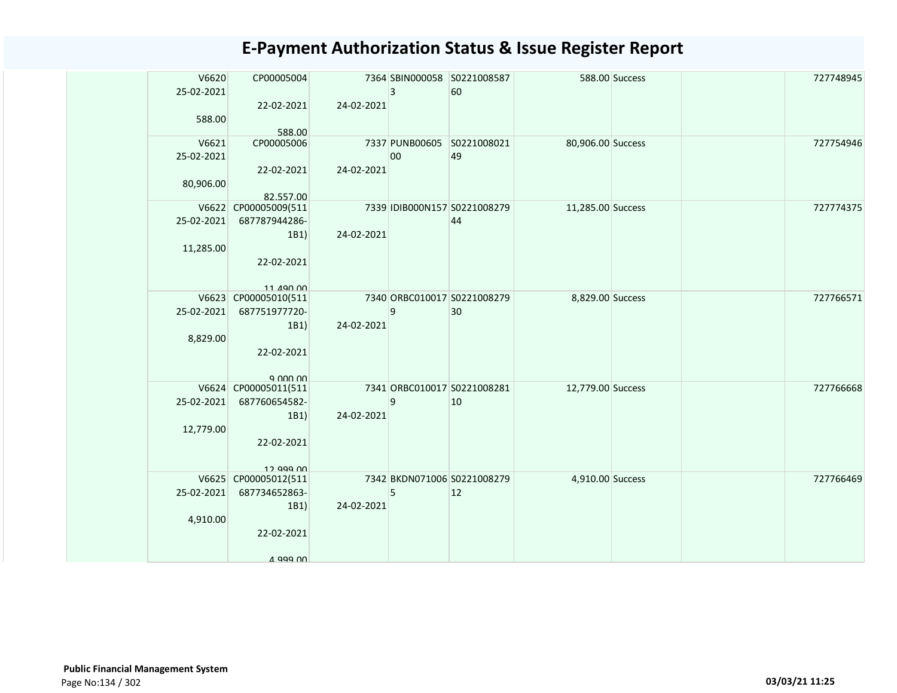| V6620      | CP00005004               |            |                | 7364 SBIN000058 S0221008587  |                   | 588.00 Success | 727748945 |
|------------|--------------------------|------------|----------------|------------------------------|-------------------|----------------|-----------|
| 25-02-2021 |                          |            | $\overline{3}$ | 60                           |                   |                |           |
|            | 22-02-2021               | 24-02-2021 |                |                              |                   |                |           |
| 588.00     |                          |            |                |                              |                   |                |           |
|            | 588.00                   |            |                |                              |                   |                |           |
| V6621      | CP00005006               |            |                | 7337 PUNB00605 S0221008021   | 80,906.00 Success |                | 727754946 |
| 25-02-2021 |                          |            | 00             | 49                           |                   |                |           |
|            | 22-02-2021               | 24-02-2021 |                |                              |                   |                |           |
| 80,906.00  |                          |            |                |                              |                   |                |           |
|            | 82.557.00                |            |                |                              |                   |                |           |
|            | V6622 CP00005009(511     |            |                | 7339 IDIB000N157 S0221008279 | 11,285.00 Success |                | 727774375 |
|            | 25-02-2021 687787944286- |            |                | 44                           |                   |                |           |
|            | 1B1)                     | 24-02-2021 |                |                              |                   |                |           |
| 11,285.00  |                          |            |                |                              |                   |                |           |
|            | 22-02-2021               |            |                |                              |                   |                |           |
|            | 11 490 00                |            |                |                              |                   |                |           |
|            | V6623 CP00005010(511     |            |                | 7340 ORBC010017 S0221008279  | 8,829.00 Success  |                | 727766571 |
| 25-02-2021 | 687751977720-            |            | 9              | 30                           |                   |                |           |
|            | 1B1)                     | 24-02-2021 |                |                              |                   |                |           |
| 8,829.00   |                          |            |                |                              |                   |                |           |
|            | 22-02-2021               |            |                |                              |                   |                |           |
|            |                          |            |                |                              |                   |                |           |
|            | 9.000.00                 |            |                |                              |                   |                |           |
|            | V6624 CP00005011(511     |            |                | 7341 ORBC010017 S0221008281  | 12,779.00 Success |                | 727766668 |
| 25-02-2021 | 687760654582-            |            | 9              | 10                           |                   |                |           |
|            | 1B1)                     | 24-02-2021 |                |                              |                   |                |           |
| 12,779.00  |                          |            |                |                              |                   |                |           |
|            | 22-02-2021               |            |                |                              |                   |                |           |
|            | 12 999 NO                |            |                |                              |                   |                |           |
|            | V6625 CP00005012(511     |            |                | 7342 BKDN071006 S0221008279  | 4,910.00 Success  |                | 727766469 |
|            | 25-02-2021 687734652863- |            | 5              | $ 12\rangle$                 |                   |                |           |
|            | 1B1)                     | 24-02-2021 |                |                              |                   |                |           |
| 4,910.00   |                          |            |                |                              |                   |                |           |
|            | 22-02-2021               |            |                |                              |                   |                |           |
|            |                          |            |                |                              |                   |                |           |
|            | A 999 NO                 |            |                |                              |                   |                |           |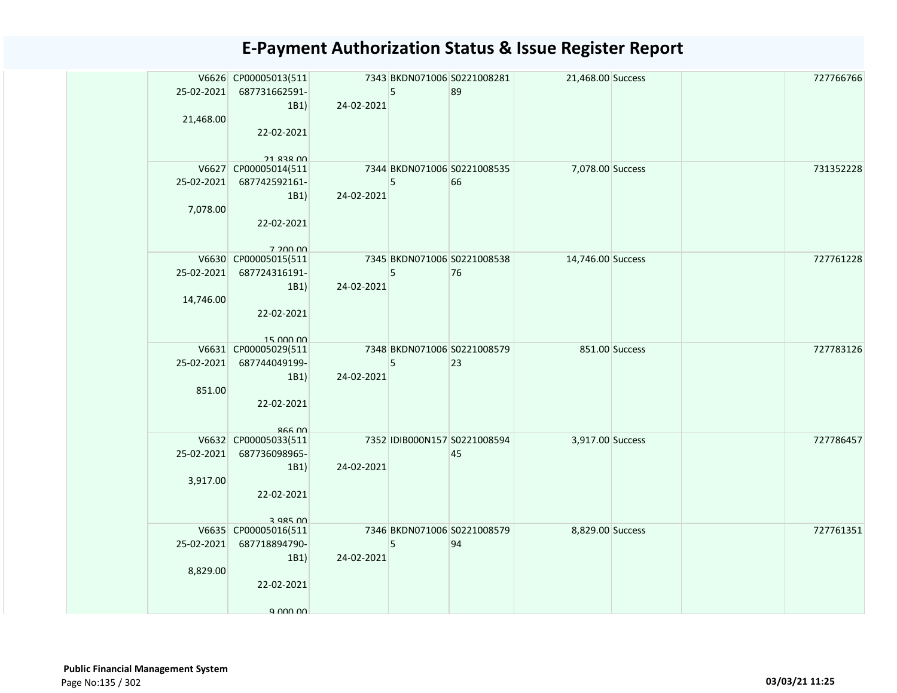|           | V6626 CP00005013(511<br>25-02-2021 687731662591- |            | 5 | 7343 BKDN071006 S0221008281<br>89 | 21,468.00 Success |  | 727766766 |
|-----------|--------------------------------------------------|------------|---|-----------------------------------|-------------------|--|-----------|
|           | 1B1                                              | 24-02-2021 |   |                                   |                   |  |           |
| 21,468.00 |                                                  |            |   |                                   |                   |  |           |
|           | 22-02-2021                                       |            |   |                                   |                   |  |           |
|           |                                                  |            |   |                                   |                   |  |           |
|           | <b>21 838 00</b>                                 |            |   |                                   |                   |  |           |
|           | V6627 CP00005014(511                             |            |   | 7344 BKDN071006 S0221008535       | 7,078.00 Success  |  | 731352228 |
|           | 25-02-2021 687742592161-                         |            | 5 | 66                                |                   |  |           |
|           | 1B1                                              | 24-02-2021 |   |                                   |                   |  |           |
| 7,078.00  |                                                  |            |   |                                   |                   |  |           |
|           | 22-02-2021                                       |            |   |                                   |                   |  |           |
|           |                                                  |            |   |                                   |                   |  |           |
|           | 7 200 00<br>V6630 CP00005015(511                 |            |   | 7345 BKDN071006 S0221008538       | 14,746.00 Success |  | 727761228 |
|           | 25-02-2021 687724316191-                         |            | 5 | 76                                |                   |  |           |
|           | 1B1                                              | 24-02-2021 |   |                                   |                   |  |           |
| 14,746.00 |                                                  |            |   |                                   |                   |  |           |
|           | 22-02-2021                                       |            |   |                                   |                   |  |           |
|           |                                                  |            |   |                                   |                   |  |           |
|           | $15$ $000$ $00$                                  |            |   |                                   |                   |  |           |
|           | V6631 CP00005029(511                             |            |   | 7348 BKDN071006 S0221008579       | 851.00 Success    |  | 727783126 |
|           | 25-02-2021 687744049199-                         |            | 5 | 23                                |                   |  |           |
|           | 1B1)                                             | 24-02-2021 |   |                                   |                   |  |           |
| 851.00    |                                                  |            |   |                                   |                   |  |           |
|           | 22-02-2021                                       |            |   |                                   |                   |  |           |
|           | $RFA$ $M$                                        |            |   |                                   |                   |  |           |
|           | V6632 CP00005033(511                             |            |   | 7352 IDIB000N157 S0221008594      | 3,917.00 Success  |  | 727786457 |
|           | 25-02-2021 687736098965-                         |            |   | 45                                |                   |  |           |
|           | 1B1)                                             | 24-02-2021 |   |                                   |                   |  |           |
| 3,917.00  |                                                  |            |   |                                   |                   |  |           |
|           | 22-02-2021                                       |            |   |                                   |                   |  |           |
|           |                                                  |            |   |                                   |                   |  |           |
|           | 3 985 00                                         |            |   |                                   |                   |  |           |
|           | V6635 CP00005016(511<br>25-02-2021 687718894790- |            |   | 7346 BKDN071006 S0221008579       | 8,829.00 Success  |  | 727761351 |
|           |                                                  | 24-02-2021 | 5 | 94                                |                   |  |           |
| 8,829.00  | 1B1)                                             |            |   |                                   |                   |  |           |
|           | 22-02-2021                                       |            |   |                                   |                   |  |           |
|           |                                                  |            |   |                                   |                   |  |           |
|           | 9 000 00                                         |            |   |                                   |                   |  |           |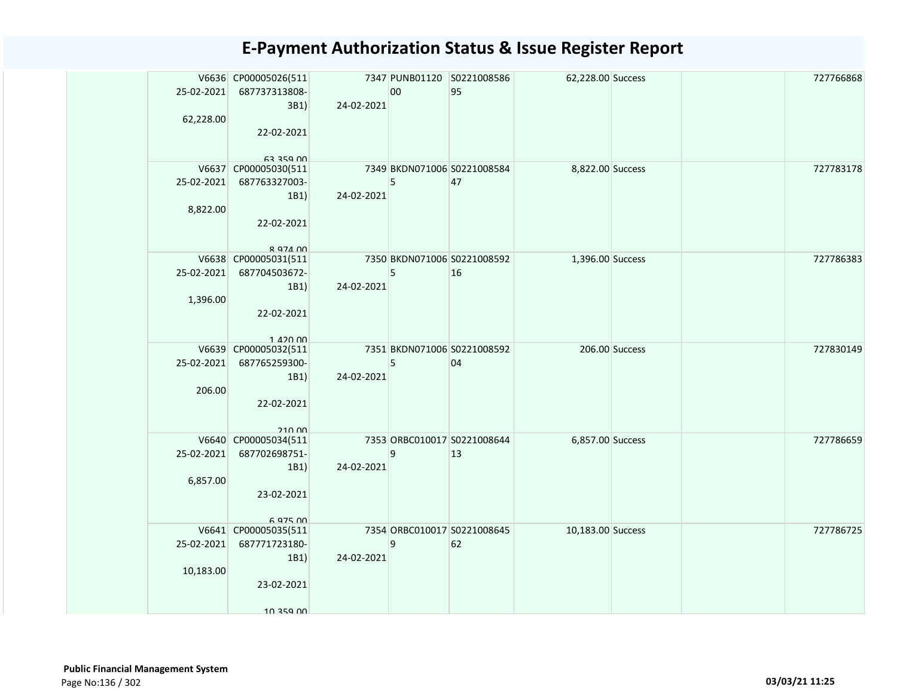| <b>E-Payment Authorization Status &amp; Issue Register Report</b> |  |  |  |
|-------------------------------------------------------------------|--|--|--|
|-------------------------------------------------------------------|--|--|--|

| 62,228.00  | V6636 CP00005026(511<br>25-02-2021 687737313808-<br>3B1 | 24-02-2021 | 00 | 7347 PUNB01120 S0221008586<br>95  | 62,228.00 Success |  | 727766868 |
|------------|---------------------------------------------------------|------------|----|-----------------------------------|-------------------|--|-----------|
|            | 22-02-2021<br><b>63 359 00</b>                          |            |    |                                   |                   |  |           |
|            | V6637 CP00005030(511                                    |            |    | 7349 BKDN071006 S0221008584       | 8,822.00 Success  |  | 727783178 |
|            | 25-02-2021 687763327003-                                |            | 5  | 47                                |                   |  |           |
|            | 1B1                                                     | 24-02-2021 |    |                                   |                   |  |           |
| 8,822.00   |                                                         |            |    |                                   |                   |  |           |
|            | 22-02-2021                                              |            |    |                                   |                   |  |           |
|            | <b>R Q74 00</b>                                         |            |    |                                   |                   |  |           |
|            | V6638 CP00005031(511                                    |            |    | 7350 BKDN071006 S0221008592       | 1,396.00 Success  |  | 727786383 |
|            | 25-02-2021 687704503672-                                |            | 5  | 16                                |                   |  |           |
| 1,396.00   | 1B1                                                     | 24-02-2021 |    |                                   |                   |  |           |
|            | 22-02-2021                                              |            |    |                                   |                   |  |           |
|            |                                                         |            |    |                                   |                   |  |           |
|            | $1.420$ 00                                              |            |    |                                   |                   |  |           |
|            | V6639 CP00005032(511                                    |            |    | 7351 BKDN071006 S0221008592       | 206.00 Success    |  | 727830149 |
| 25-02-2021 | 687765259300-                                           | 24-02-2021 | 5  | 04                                |                   |  |           |
| 206.00     | 1B1                                                     |            |    |                                   |                   |  |           |
|            | 22-02-2021                                              |            |    |                                   |                   |  |           |
|            |                                                         |            |    |                                   |                   |  |           |
|            | 21000                                                   |            |    |                                   |                   |  |           |
|            | V6640 CP00005034(511<br>25-02-2021 687702698751-        |            | 9  | 7353 ORBC010017 S0221008644<br>13 | 6,857.00 Success  |  | 727786659 |
|            | 1B1)                                                    | 24-02-2021 |    |                                   |                   |  |           |
| 6,857.00   |                                                         |            |    |                                   |                   |  |           |
|            | 23-02-2021                                              |            |    |                                   |                   |  |           |
|            |                                                         |            |    |                                   |                   |  |           |
|            | 6 975 00                                                |            |    |                                   |                   |  |           |
|            | V6641 CP00005035(511<br>25-02-2021 687771723180-        |            | 9  | 7354 ORBC010017 S0221008645<br>62 | 10,183.00 Success |  | 727786725 |
|            | 1B1                                                     | 24-02-2021 |    |                                   |                   |  |           |
| 10,183.00  |                                                         |            |    |                                   |                   |  |           |
|            | 23-02-2021                                              |            |    |                                   |                   |  |           |
|            |                                                         |            |    |                                   |                   |  |           |
|            | 10 359 00                                               |            |    |                                   |                   |  |           |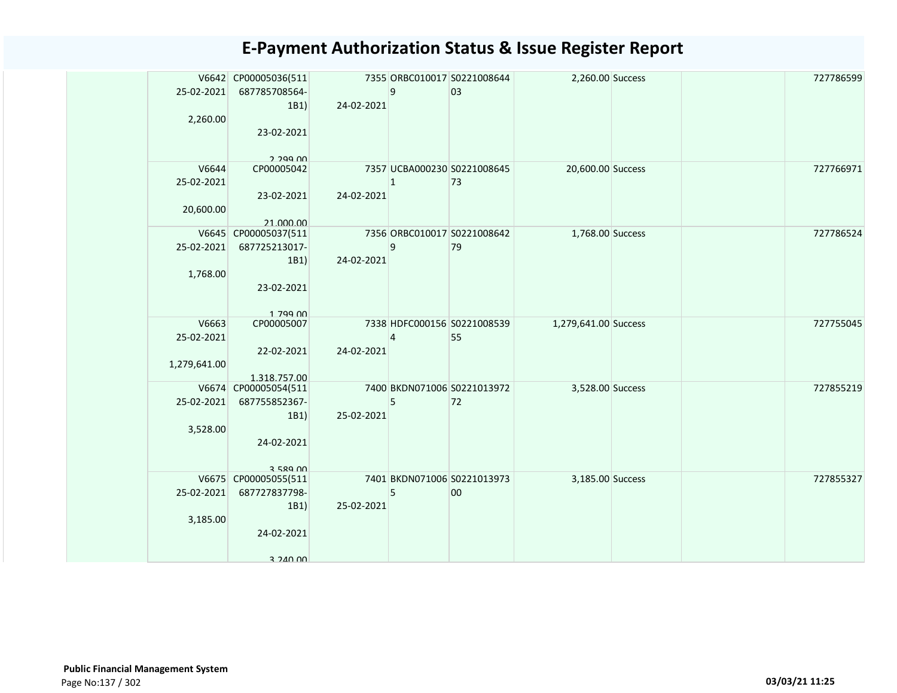| 25-02-2021<br>2,260.00              | V6642 CP00005036(511<br>687785708564-<br>1B1)<br>23-02-2021             | 24-02-2021 | 9            | 7355 ORBC010017 S0221008644<br>03 | 2,260.00 Success     |  | 727786599 |
|-------------------------------------|-------------------------------------------------------------------------|------------|--------------|-----------------------------------|----------------------|--|-----------|
| V6644<br>25-02-2021<br>20,600.00    | 2.299.00<br>CP00005042<br>23-02-2021<br>21.000.00                       | 24-02-2021 | $\mathbf{1}$ | 7357 UCBA000230 S0221008645<br>73 | 20,600.00 Success    |  | 727766971 |
| 25-02-2021<br>1,768.00              | V6645 CP00005037(511<br>687725213017-<br>1B1)<br>23-02-2021<br>1 799 00 | 24-02-2021 | 9            | 7356 ORBC010017 S0221008642<br>79 | 1,768.00 Success     |  | 727786524 |
| V6663<br>25-02-2021<br>1,279,641.00 | CP00005007<br>22-02-2021<br>1.318.757.00                                | 24-02-2021 | 4            | 7338 HDFC000156 S0221008539<br>55 | 1,279,641.00 Success |  | 727755045 |
| 25-02-2021<br>3,528.00              | V6674 CP00005054(511<br>687755852367-<br>1B1)<br>24-02-2021<br>3 589 NO | 25-02-2021 | 5            | 7400 BKDN071006 S0221013972<br>72 | 3,528.00 Success     |  | 727855219 |
| 25-02-2021<br>3,185.00              | V6675 CP00005055(511<br>687727837798-<br>1B1)<br>24-02-2021<br>3 240 00 | 25-02-2021 | 5            | 7401 BKDN071006 S0221013973<br>00 | 3,185.00 Success     |  | 727855327 |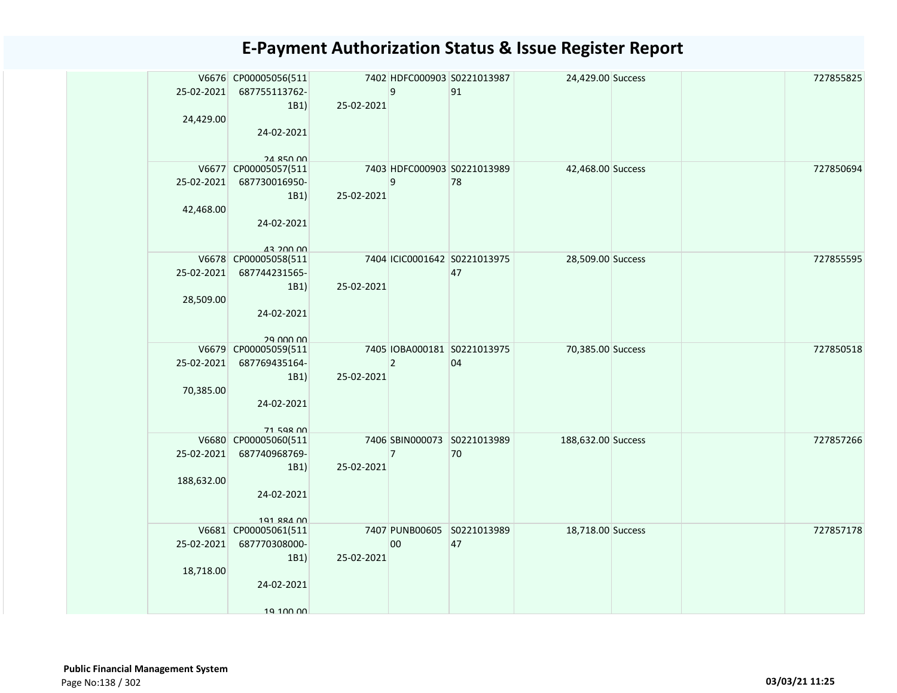| 25-02-2021 | V6676 CP00005056(511<br>687755113762-    |            | 9               | 7402 HDFC000903 S0221013987<br>91 | 24,429.00 Success  |  | 727855825 |
|------------|------------------------------------------|------------|-----------------|-----------------------------------|--------------------|--|-----------|
| 24,429.00  | 1B1)                                     | 25-02-2021 |                 |                                   |                    |  |           |
|            | 24-02-2021                               |            |                 |                                   |                    |  |           |
|            | <b>24 850 00</b><br>V6677 CP00005057(511 |            |                 | 7403 HDFC000903 S0221013989       | 42,468.00 Success  |  | 727850694 |
| 25-02-2021 | 687730016950-                            |            | 9               | 78                                |                    |  |           |
|            | 1B1)                                     | 25-02-2021 |                 |                                   |                    |  |           |
| 42,468.00  |                                          |            |                 |                                   |                    |  |           |
|            | 24-02-2021                               |            |                 |                                   |                    |  |           |
|            |                                          |            |                 |                                   |                    |  |           |
|            | <b>AR 200 00</b>                         |            |                 |                                   |                    |  |           |
|            | V6678 CP00005058(511                     |            |                 | 7404 ICIC0001642 S0221013975      | 28,509.00 Success  |  | 727855595 |
|            | 25-02-2021 687744231565-                 |            |                 | 47                                |                    |  |           |
|            | 1B1)                                     | 25-02-2021 |                 |                                   |                    |  |           |
| 28,509.00  | 24-02-2021                               |            |                 |                                   |                    |  |           |
|            |                                          |            |                 |                                   |                    |  |           |
|            | 29 UUU UU                                |            |                 |                                   |                    |  |           |
|            | V6679 CP00005059(511                     |            |                 | 7405 IOBA000181 S0221013975       | 70,385.00 Success  |  | 727850518 |
| 25-02-2021 | 687769435164-                            |            | $\overline{2}$  | 04                                |                    |  |           |
|            | 1B1)                                     | 25-02-2021 |                 |                                   |                    |  |           |
| 70,385.00  |                                          |            |                 |                                   |                    |  |           |
|            | 24-02-2021                               |            |                 |                                   |                    |  |           |
|            | 71 598 00                                |            |                 |                                   |                    |  |           |
|            | V6680 CP00005060(511                     |            |                 | 7406 SBIN000073 S0221013989       | 188,632.00 Success |  | 727857266 |
| 25-02-2021 | 687740968769-                            |            | $\overline{7}$  | 70                                |                    |  |           |
|            | 1B1)                                     | 25-02-2021 |                 |                                   |                    |  |           |
| 188,632.00 |                                          |            |                 |                                   |                    |  |           |
|            | 24-02-2021                               |            |                 |                                   |                    |  |           |
|            |                                          |            |                 |                                   |                    |  |           |
|            | 191 884 00<br>V6681 CP00005061(511       |            |                 | 7407 PUNB00605 S0221013989        | 18,718.00 Success  |  | 727857178 |
| 25-02-2021 | 687770308000-                            |            | 00 <sub>o</sub> | 47                                |                    |  |           |
|            | 1B1)                                     | 25-02-2021 |                 |                                   |                    |  |           |
| 18,718.00  |                                          |            |                 |                                   |                    |  |           |
|            | 24-02-2021                               |            |                 |                                   |                    |  |           |
|            |                                          |            |                 |                                   |                    |  |           |
|            | 19 100 00                                |            |                 |                                   |                    |  |           |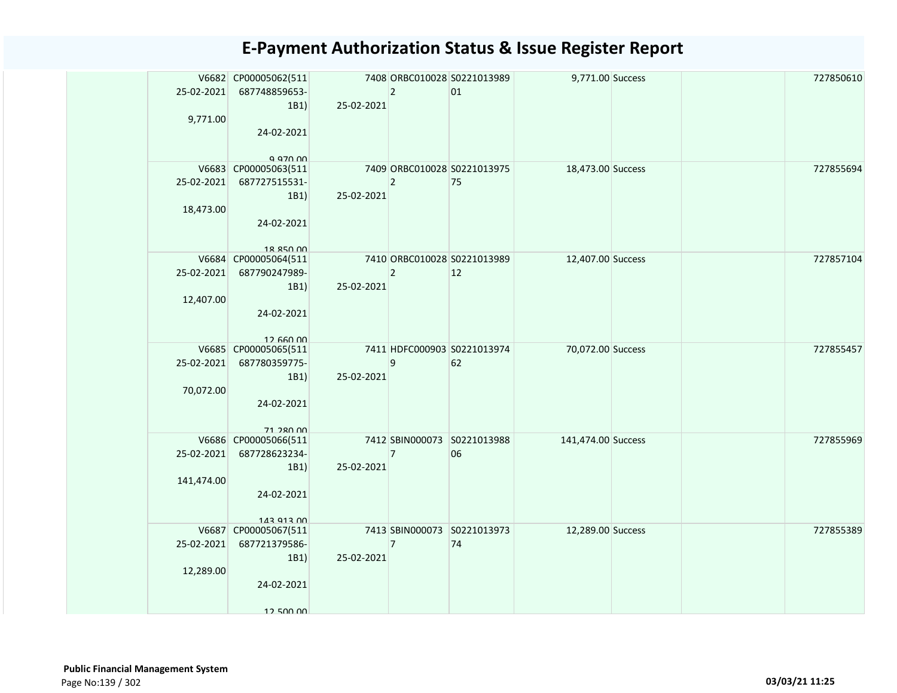| 25-02-2021       | V6682 CP00005062(511<br>687748859653- |            | $ 2\rangle$    | 7408 ORBC010028 S0221013989<br>01 | 9,771.00 Success   |  | 727850610 |
|------------------|---------------------------------------|------------|----------------|-----------------------------------|--------------------|--|-----------|
|                  | 1B1)                                  | 25-02-2021 |                |                                   |                    |  |           |
| 9,771.00         |                                       |            |                |                                   |                    |  |           |
|                  | 24-02-2021                            |            |                |                                   |                    |  |           |
|                  |                                       |            |                |                                   |                    |  |           |
|                  | <b>9 970 PD</b>                       |            |                |                                   |                    |  |           |
| 25-02-2021       | V6683 CP00005063(511                  |            |                | 7409 ORBC010028 S0221013975       | 18,473.00 Success  |  | 727855694 |
|                  | 687727515531-                         |            | $\overline{2}$ | 75                                |                    |  |           |
| 18,473.00        | 1B1)                                  | 25-02-2021 |                |                                   |                    |  |           |
|                  | 24-02-2021                            |            |                |                                   |                    |  |           |
|                  |                                       |            |                |                                   |                    |  |           |
|                  | 18 850 00                             |            |                |                                   |                    |  |           |
|                  | V6684 CP00005064(511                  |            |                | 7410 ORBC010028 S0221013989       | 12,407.00 Success  |  | 727857104 |
|                  | 25-02-2021 687790247989-              |            | $\overline{2}$ | $ 12\rangle$                      |                    |  |           |
|                  | 1B1)                                  | 25-02-2021 |                |                                   |                    |  |           |
| 12,407.00        |                                       |            |                |                                   |                    |  |           |
|                  | 24-02-2021                            |            |                |                                   |                    |  |           |
|                  |                                       |            |                |                                   |                    |  |           |
|                  | 126000<br>V6685 CP00005065(511        |            |                | 7411 HDFC000903 S0221013974       | 70,072.00 Success  |  | 727855457 |
| 25-02-2021       | 687780359775-                         |            | 9              | 62                                |                    |  |           |
|                  | 1B1)                                  | 25-02-2021 |                |                                   |                    |  |           |
| 70,072.00        |                                       |            |                |                                   |                    |  |           |
|                  | 24-02-2021                            |            |                |                                   |                    |  |           |
|                  |                                       |            |                |                                   |                    |  |           |
|                  | 71 280 00                             |            |                |                                   |                    |  |           |
|                  | V6686 CP00005066(511                  |            |                | 7412 SBIN000073 S0221013988       | 141,474.00 Success |  | 727855969 |
| 25-02-2021       | 687728623234-                         |            | $\overline{7}$ | 06                                |                    |  |           |
|                  | 1B1)                                  | 25-02-2021 |                |                                   |                    |  |           |
| 141,474.00       |                                       |            |                |                                   |                    |  |           |
|                  | 24-02-2021                            |            |                |                                   |                    |  |           |
|                  | 143 913 00                            |            |                |                                   |                    |  |           |
|                  | V6687 CP00005067(511                  |            |                | 7413 SBIN000073 S0221013973       | 12,289.00 Success  |  | 727855389 |
| $25 - 02 - 2021$ | 687721379586-                         |            | $\overline{7}$ | 74                                |                    |  |           |
|                  | 1B1)                                  | 25-02-2021 |                |                                   |                    |  |           |
| 12,289.00        |                                       |            |                |                                   |                    |  |           |
|                  | 24-02-2021                            |            |                |                                   |                    |  |           |
|                  |                                       |            |                |                                   |                    |  |           |
|                  | 12 500 00                             |            |                |                                   |                    |  |           |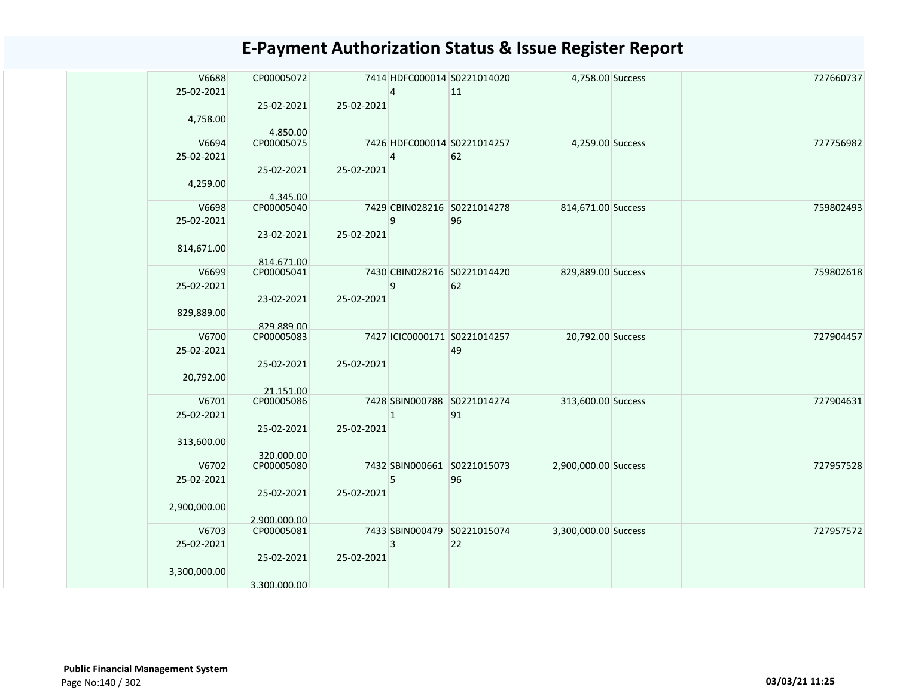| V6688<br>25-02-2021 | CP00005072               |            |   | 7414 HDFC000014 S0221014020<br>11 | 4,758.00 Success     |  | 727660737 |
|---------------------|--------------------------|------------|---|-----------------------------------|----------------------|--|-----------|
| 4,758.00            | 25-02-2021<br>4.850.00   | 25-02-2021 |   |                                   |                      |  |           |
| V6694<br>25-02-2021 | CP00005075               |            | 4 | 7426 HDFC000014 S0221014257<br>62 | 4,259.00 Success     |  | 727756982 |
| 4,259.00            | 25-02-2021               | 25-02-2021 |   |                                   |                      |  |           |
| V6698<br>25-02-2021 | 4.345.00<br>CP00005040   |            | 9 | 7429 CBIN028216 S0221014278<br>96 | 814,671.00 Success   |  | 759802493 |
| 814,671.00          | 23-02-2021               | 25-02-2021 |   |                                   |                      |  |           |
| V6699               | 814.671.00<br>CP00005041 |            |   | 7430 CBIN028216 S0221014420       | 829,889.00 Success   |  | 759802618 |
| 25-02-2021          |                          |            | 9 | 62                                |                      |  |           |
|                     | 23-02-2021               | 25-02-2021 |   |                                   |                      |  |           |
| 829,889.00          | 829.889.00               |            |   |                                   |                      |  |           |
| V6700               | CP00005083               |            |   | 7427 ICIC0000171 S0221014257      | 20,792.00 Success    |  | 727904457 |
| 25-02-2021          |                          |            |   | 49                                |                      |  |           |
|                     | 25-02-2021               | 25-02-2021 |   |                                   |                      |  |           |
| 20,792.00           |                          |            |   |                                   |                      |  |           |
|                     | 21.151.00                |            |   |                                   |                      |  |           |
| V6701               | CP00005086               |            |   | 7428 SBIN000788 S0221014274       | 313,600.00 Success   |  | 727904631 |
| 25-02-2021          |                          |            |   | 91                                |                      |  |           |
|                     | 25-02-2021               | 25-02-2021 |   |                                   |                      |  |           |
| 313,600.00          |                          |            |   |                                   |                      |  |           |
|                     | 320.000.00               |            |   |                                   |                      |  |           |
| V6702               | CP00005080               |            | 5 | 7432 SBIN000661 S0221015073<br>96 | 2,900,000.00 Success |  | 727957528 |
| 25-02-2021          | 25-02-2021               | 25-02-2021 |   |                                   |                      |  |           |
| 2,900,000.00        |                          |            |   |                                   |                      |  |           |
|                     | 2.900.000.00             |            |   |                                   |                      |  |           |
| V6703               | CP00005081               |            |   | 7433 SBIN000479 S0221015074       | 3,300,000.00 Success |  | 727957572 |
| 25-02-2021          |                          |            | 3 | 22                                |                      |  |           |
|                     | 25-02-2021               | 25-02-2021 |   |                                   |                      |  |           |
| 3,300,000.00        |                          |            |   |                                   |                      |  |           |
|                     | 3.300.000.00             |            |   |                                   |                      |  |           |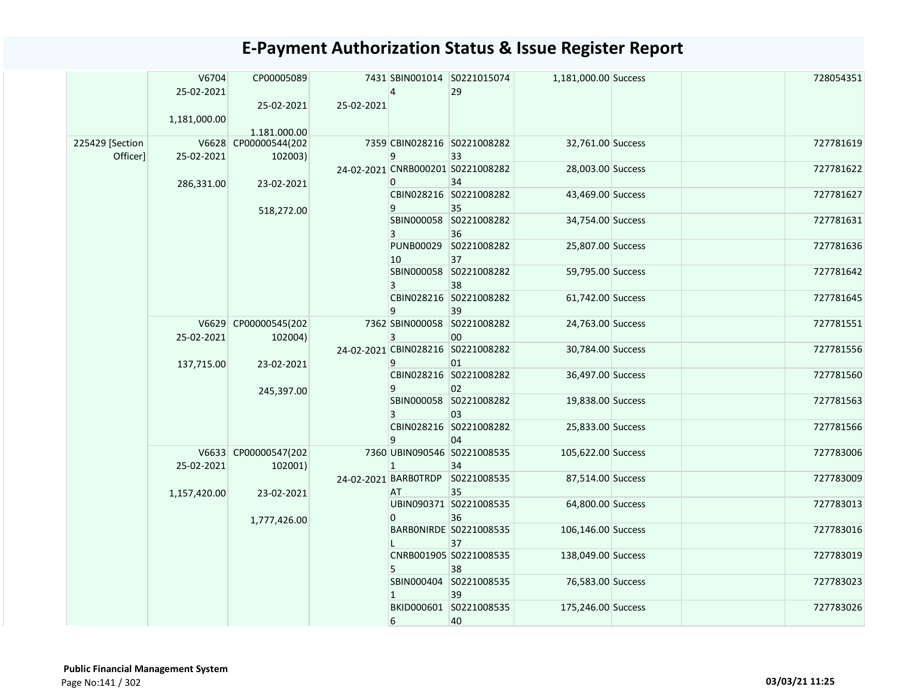|                             | V6704<br>25-02-2021<br>1,181,000.00 | CP00005089<br>25-02-2021<br>1.181.000.00 | 25-02-2021 | $\overline{4}$ | 7431 SBIN001014 S0221015074<br>29       | 1,181,000.00 Success |  | 728054351 |
|-----------------------------|-------------------------------------|------------------------------------------|------------|----------------|-----------------------------------------|----------------------|--|-----------|
| 225429 [Section<br>Officer] | 25-02-2021                          | V6628 CP00000544(202<br>102003)          |            | 9              | 7359 CBIN028216 S0221008282<br>33       | 32,761.00 Success    |  | 727781619 |
|                             | 286,331.00                          | 23-02-2021                               |            | $\Omega$       | 24-02-2021 CNRB000201 S0221008282<br>34 | 28,003.00 Success    |  | 727781622 |
|                             |                                     |                                          |            | 9              | CBIN028216 S0221008282<br>35            | 43,469.00 Success    |  | 727781627 |
|                             |                                     | 518,272.00                               |            |                | SBIN000058 S0221008282<br>36            | 34,754.00 Success    |  | 727781631 |
|                             |                                     |                                          |            | 10             | PUNB00029 S0221008282<br>37             | 25,807.00 Success    |  | 727781636 |
|                             |                                     |                                          |            |                | SBIN000058 S0221008282<br>38            | 59,795.00 Success    |  | 727781642 |
|                             |                                     |                                          |            | 9              | CBIN028216 S0221008282<br>39            | 61,742.00 Success    |  | 727781645 |
|                             | 25-02-2021                          | V6629 CP00000545(202<br>102004)          |            | 3              | 7362 SBIN000058 S0221008282<br>00       | 24,763.00 Success    |  | 727781551 |
|                             | 137,715.00                          | 23-02-2021                               |            | 9              | 24-02-2021 CBIN028216 S0221008282<br>01 | 30,784.00 Success    |  | 727781556 |
|                             |                                     | 245,397.00                               |            | 9              | CBIN028216 S0221008282<br>02            | 36,497.00 Success    |  | 727781560 |
|                             |                                     |                                          |            | 3              | SBIN000058 S0221008282<br>03            | 19,838.00 Success    |  | 727781563 |
|                             |                                     |                                          |            | 9              | CBIN028216 S0221008282<br>04            | 25,833.00 Success    |  | 727781566 |
|                             | 25-02-2021                          | V6633 CP00000547(202<br>102001)          |            | $\mathbf{1}$   | 7360 UBIN090546 S0221008535<br>34       | 105,622.00 Success   |  | 727783006 |
|                             | 1,157,420.00                        | 23-02-2021                               |            | AT             | 24-02-2021 BARBOTRDP S0221008535<br>35  | 87,514.00 Success    |  | 727783009 |
|                             |                                     |                                          |            | 0              | UBIN090371 S0221008535<br>36            | 64,800.00 Success    |  | 727783013 |
|                             |                                     | 1,777,426.00                             |            |                | BARBONIRDE S0221008535<br>37            | 106,146.00 Success   |  | 727783016 |
|                             |                                     |                                          |            |                | CNRB001905 S0221008535<br>38            | 138,049.00 Success   |  | 727783019 |
|                             |                                     |                                          |            |                | SBIN000404 S0221008535<br>39            | 76,583.00 Success    |  | 727783023 |
|                             |                                     |                                          |            | 6              | BKID000601 S0221008535<br>40            | 175,246.00 Success   |  | 727783026 |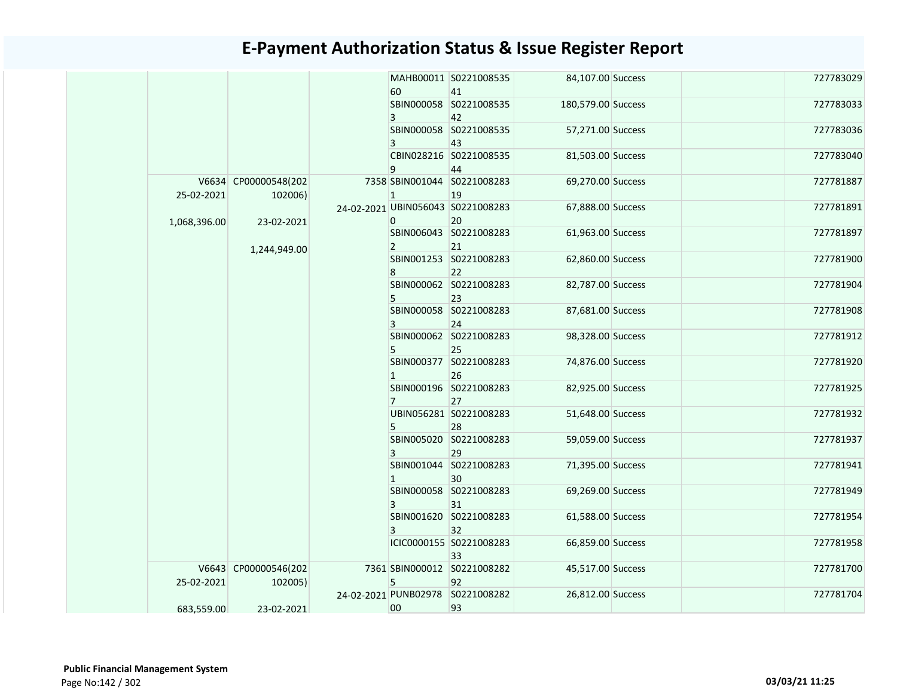|              |                                 | 60             | MAHB00011 S0221008535<br>41             | 84,107.00 Success  |  | 727783029 |
|--------------|---------------------------------|----------------|-----------------------------------------|--------------------|--|-----------|
|              |                                 | 3              | SBIN000058 S0221008535<br>42            | 180,579.00 Success |  | 727783033 |
|              |                                 | 3              | SBIN000058 S0221008535<br>43            | 57,271.00 Success  |  | 727783036 |
|              |                                 | 9              | CBIN028216 S0221008535<br>44            | 81,503.00 Success  |  | 727783040 |
| 25-02-2021   | V6634 CP00000548(202<br>102006) | $\mathbf{1}$   | 7358 SBIN001044 S0221008283<br>19       | 69,270.00 Success  |  | 727781887 |
| 1,068,396.00 | 23-02-2021                      | $\overline{0}$ | 24-02-2021 UBIN056043 S0221008283<br>20 | 67,888.00 Success  |  | 727781891 |
|              |                                 | $\overline{2}$ | SBIN006043 S0221008283<br>21            | 61,963.00 Success  |  | 727781897 |
|              | 1,244,949.00                    | 8              | SBIN001253 S0221008283<br>22            | 62,860.00 Success  |  | 727781900 |
|              |                                 | 5              | SBIN000062 S0221008283<br>23            | 82,787.00 Success  |  | 727781904 |
|              |                                 | 3              | SBIN000058 S0221008283<br>24            | 87,681.00 Success  |  | 727781908 |
|              |                                 | 5              | SBIN000062 S0221008283<br>25            | 98,328.00 Success  |  | 727781912 |
|              |                                 | $\mathbf{1}$   | SBIN000377 S0221008283<br>26            | 74,876.00 Success  |  | 727781920 |
|              |                                 | $\overline{7}$ | SBIN000196 S0221008283<br>27            | 82,925.00 Success  |  | 727781925 |
|              |                                 | 5              | UBIN056281 S0221008283<br>28            | 51,648.00 Success  |  | 727781932 |
|              |                                 | $\mathbf{3}$   | SBIN005020 S0221008283<br>29            | 59,059.00 Success  |  | 727781937 |
|              |                                 | $\mathbf{1}$   | SBIN001044 S0221008283<br>30            | 71,395.00 Success  |  | 727781941 |
|              |                                 | 3              | SBIN000058 S0221008283<br>31            | 69,269.00 Success  |  | 727781949 |
|              |                                 | 3              | SBIN001620 S0221008283<br>32            | 61,588.00 Success  |  | 727781954 |
|              |                                 |                | ICIC0000155 S0221008283<br>33           | 66,859.00 Success  |  | 727781958 |
| 25-02-2021   | V6643 CP00000546(202<br>102005) | 5              | 7361 SBIN000012 S0221008282<br>92       | 45,517.00 Success  |  | 727781700 |
| 683,559.00   | 23-02-2021                      | 00             | 24-02-2021 PUNB02978 S0221008282<br>93  | 26,812.00 Success  |  | 727781704 |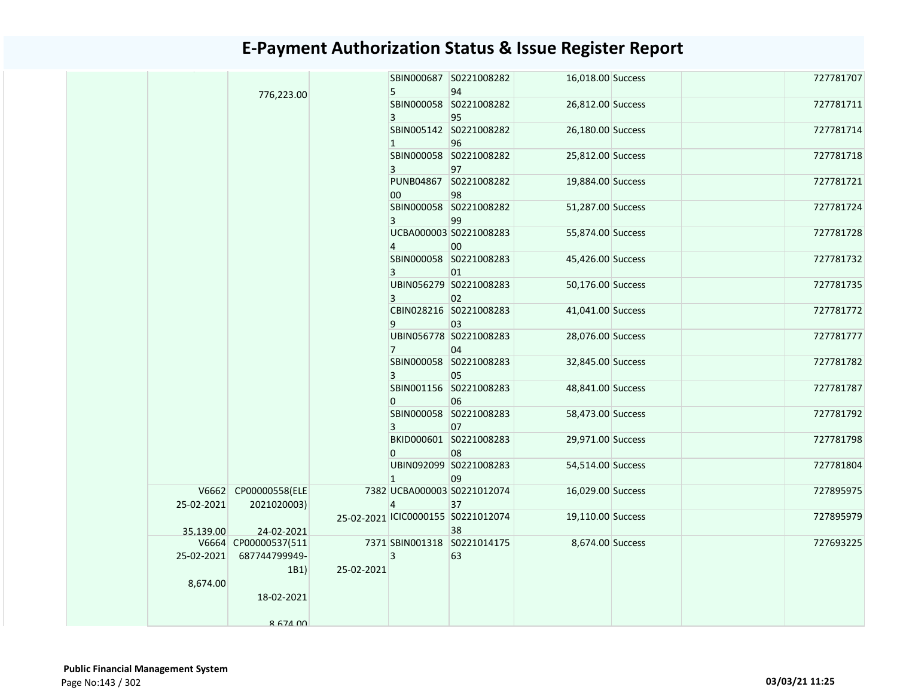|            |                      |            |                | SBIN000687 S0221008282             | 16,018.00 Success |  | 727781707 |
|------------|----------------------|------------|----------------|------------------------------------|-------------------|--|-----------|
|            | 776,223.00           |            | 5              | 94                                 |                   |  |           |
|            |                      |            | 3              | SBIN000058 S0221008282<br>95       | 26,812.00 Success |  | 727781711 |
|            |                      |            | $\overline{1}$ | SBIN005142 S0221008282<br>96       | 26,180.00 Success |  | 727781714 |
|            |                      |            |                | SBIN000058 S0221008282             | 25,812.00 Success |  | 727781718 |
|            |                      |            | 3              | 97<br>PUNB04867 S0221008282        | 19,884.00 Success |  | 727781721 |
|            |                      |            | 00             | 98                                 |                   |  |           |
|            |                      |            | 3              | SBIN000058 S0221008282<br>99       | 51,287.00 Success |  | 727781724 |
|            |                      |            | 4              | UCBA000003 S0221008283<br>00       | 55,874.00 Success |  | 727781728 |
|            |                      |            | 3              | SBIN000058 S0221008283<br>01       | 45,426.00 Success |  | 727781732 |
|            |                      |            | 3              | UBIN056279 S0221008283<br>02       | 50,176.00 Success |  | 727781735 |
|            |                      |            | 9              | CBIN028216 S0221008283<br>03       | 41,041.00 Success |  | 727781772 |
|            |                      |            | $\overline{7}$ | UBIN056778 S0221008283<br>04       | 28,076.00 Success |  | 727781777 |
|            |                      |            | 3              | SBIN000058 S0221008283<br>05       | 32,845.00 Success |  | 727781782 |
|            |                      |            | $\mathbf{0}$   | SBIN001156 S0221008283<br>06       | 48,841.00 Success |  | 727781787 |
|            |                      |            | 3              | SBIN000058 S0221008283<br>07       | 58,473.00 Success |  | 727781792 |
|            |                      |            | $\Omega$       | BKID000601 S0221008283<br>08       | 29,971.00 Success |  | 727781798 |
|            |                      |            | $\overline{1}$ | UBIN092099 S0221008283<br>09       | 54,514.00 Success |  | 727781804 |
|            | V6662 CP00000558(ELE |            |                | 7382 UCBA000003 S0221012074        | 16,029.00 Success |  | 727895975 |
| 25-02-2021 | 2021020003)          |            | $\overline{4}$ | 37                                 |                   |  |           |
|            |                      |            |                | 25-02-2021 ICIC0000155 S0221012074 | 19,110.00 Success |  | 727895979 |
| 35.139.00  | 24-02-2021           |            |                | 38                                 |                   |  |           |
|            | V6664 CP00000537(511 |            |                | 7371 SBIN001318 S0221014175        | 8,674.00 Success  |  | 727693225 |
| 25-02-2021 | 687744799949-        |            | $\overline{3}$ | 63                                 |                   |  |           |
| 8,674.00   | 1B1)                 | 25-02-2021 |                |                                    |                   |  |           |
|            | 18-02-2021           |            |                |                                    |                   |  |           |
|            | 8 674 00             |            |                |                                    |                   |  |           |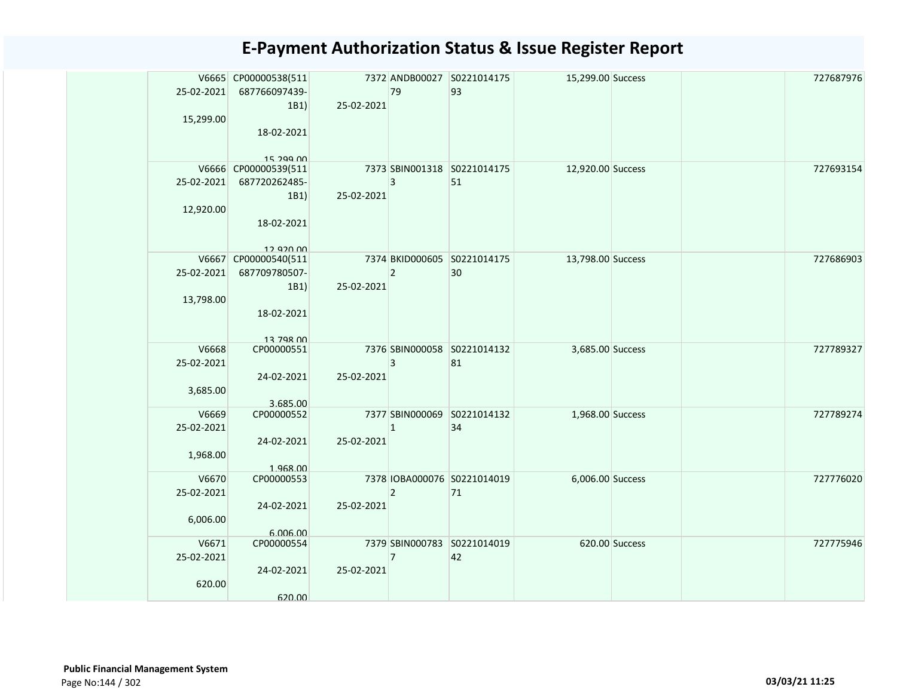|            | V6665 CP00000538(511    |            |                | 7372 ANDB00027 S0221014175  | 15,299.00 Success |                | 727687976 |
|------------|-------------------------|------------|----------------|-----------------------------|-------------------|----------------|-----------|
| 25-02-2021 | 687766097439-           |            | 79             | 93                          |                   |                |           |
|            | 1B1)                    | 25-02-2021 |                |                             |                   |                |           |
| 15,299.00  | 18-02-2021              |            |                |                             |                   |                |           |
|            |                         |            |                |                             |                   |                |           |
|            | 15 299 nn               |            |                |                             |                   |                |           |
|            | V6666 CP00000539(511    |            |                | 7373 SBIN001318 S0221014175 | 12,920.00 Success |                | 727693154 |
| 25-02-2021 | 687720262485-           |            | 3              | 51                          |                   |                |           |
|            | 1B1)                    | 25-02-2021 |                |                             |                   |                |           |
| 12,920.00  |                         |            |                |                             |                   |                |           |
|            | 18-02-2021              |            |                |                             |                   |                |           |
|            | 12 920 00               |            |                |                             |                   |                |           |
|            | V6667 CP00000540(511    |            |                | 7374 BKID000605 S0221014175 | 13,798.00 Success |                | 727686903 |
| 25-02-2021 | 687709780507-           |            | $\overline{2}$ | 30                          |                   |                |           |
|            | 1B1)                    | 25-02-2021 |                |                             |                   |                |           |
| 13,798.00  |                         |            |                |                             |                   |                |           |
|            | 18-02-2021              |            |                |                             |                   |                |           |
|            |                         |            |                |                             |                   |                |           |
| V6668      | 12 708 00<br>CP00000551 |            |                | 7376 SBIN000058 S0221014132 | 3,685.00 Success  |                | 727789327 |
| 25-02-2021 |                         |            | 3              | 81                          |                   |                |           |
|            | 24-02-2021              | 25-02-2021 |                |                             |                   |                |           |
| 3,685.00   |                         |            |                |                             |                   |                |           |
|            | 3.685.00                |            |                |                             |                   |                |           |
| V6669      | CP00000552              |            |                | 7377 SBIN000069 S0221014132 | 1,968.00 Success  |                | 727789274 |
| 25-02-2021 |                         |            | $\mathbf{1}$   | 34                          |                   |                |           |
|            | 24-02-2021              | 25-02-2021 |                |                             |                   |                |           |
| 1,968.00   | 1.968.00                |            |                |                             |                   |                |           |
| V6670      | CP00000553              |            |                | 7378 IOBA000076 S0221014019 | 6,006.00 Success  |                | 727776020 |
| 25-02-2021 |                         |            | $\overline{2}$ | 71                          |                   |                |           |
|            | 24-02-2021              | 25-02-2021 |                |                             |                   |                |           |
| 6,006.00   |                         |            |                |                             |                   |                |           |
|            | 6.006.00                |            |                |                             |                   |                |           |
| V6671      | CP00000554              |            |                | 7379 SBIN000783 S0221014019 |                   | 620.00 Success | 727775946 |
| 25-02-2021 |                         |            | 7              | 42                          |                   |                |           |
| 620.00     | 24-02-2021              | 25-02-2021 |                |                             |                   |                |           |
|            | 620.00                  |            |                |                             |                   |                |           |
|            |                         |            |                |                             |                   |                |           |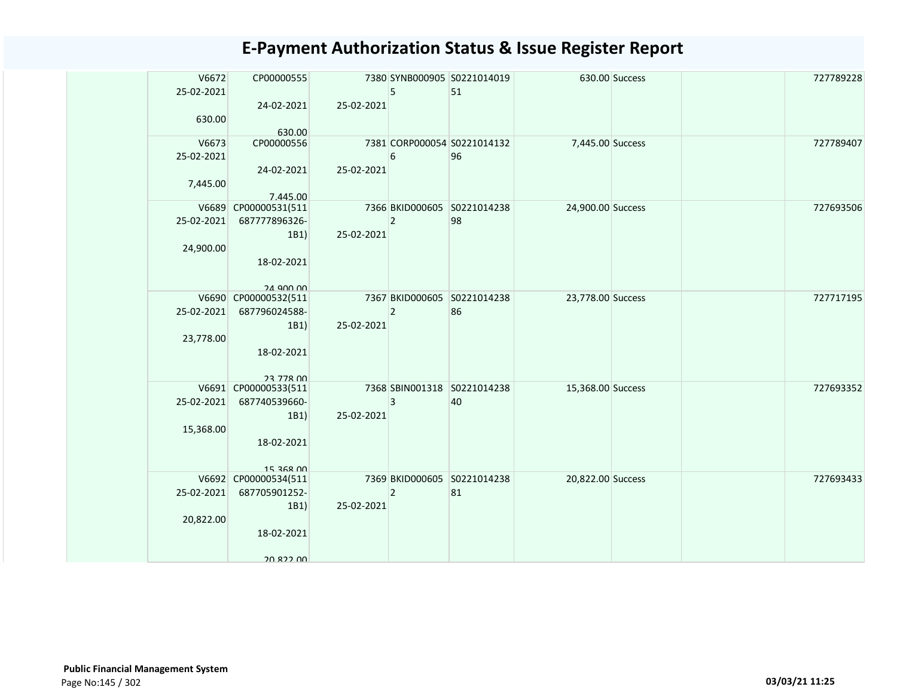| V6672      | CP00000555                            |            |                | 7380 SYNB000905 S0221014019       |                   | 630.00 Success | 727789228 |
|------------|---------------------------------------|------------|----------------|-----------------------------------|-------------------|----------------|-----------|
| 25-02-2021 |                                       |            | 5              | 51                                |                   |                |           |
|            | 24-02-2021                            | 25-02-2021 |                |                                   |                   |                |           |
| 630.00     |                                       |            |                |                                   |                   |                |           |
| V6673      | 630.00<br>CP00000556                  |            |                | 7381 CORP000054 S0221014132       | 7,445.00 Success  |                | 727789407 |
| 25-02-2021 |                                       |            | 6              | 96                                |                   |                |           |
|            | 24-02-2021                            | 25-02-2021 |                |                                   |                   |                |           |
| 7,445.00   |                                       |            |                |                                   |                   |                |           |
|            | 7.445.00                              |            |                |                                   |                   |                |           |
|            | V6689 CP00000531(511                  |            |                | 7366 BKID000605 S0221014238       | 24,900.00 Success |                | 727693506 |
| 25-02-2021 | 687777896326-                         |            | $\overline{2}$ | 98                                |                   |                |           |
| 24,900.00  | 1B1)                                  | 25-02-2021 |                |                                   |                   |                |           |
|            | 18-02-2021                            |            |                |                                   |                   |                |           |
|            |                                       |            |                |                                   |                   |                |           |
|            | $24$ 900 00                           |            |                |                                   |                   |                |           |
|            | V6690 CP00000532(511                  |            |                | 7367 BKID000605 S0221014238       | 23,778.00 Success |                | 727717195 |
| 25-02-2021 | 687796024588-                         |            | $\overline{2}$ | 86                                |                   |                |           |
| 23,778.00  | 1B1)                                  | 25-02-2021 |                |                                   |                   |                |           |
|            | 18-02-2021                            |            |                |                                   |                   |                |           |
|            |                                       |            |                |                                   |                   |                |           |
|            | 23 778 00                             |            |                |                                   |                   |                |           |
| 25-02-2021 | V6691 CP00000533(511                  |            |                | 7368 SBIN001318 S0221014238       | 15,368.00 Success |                | 727693352 |
|            | 687740539660-<br>1B1)                 | 25-02-2021 | 3              | 40                                |                   |                |           |
| 15,368.00  |                                       |            |                |                                   |                   |                |           |
|            | 18-02-2021                            |            |                |                                   |                   |                |           |
|            |                                       |            |                |                                   |                   |                |           |
|            | $15.368$ $00$                         |            |                |                                   |                   |                |           |
| 25-02-2021 | V6692 CP00000534(511<br>687705901252- |            | $\overline{2}$ | 7369 BKID000605 S0221014238<br>81 | 20,822.00 Success |                | 727693433 |
|            | 1B1)                                  | 25-02-2021 |                |                                   |                   |                |           |
| 20,822.00  |                                       |            |                |                                   |                   |                |           |
|            | 18-02-2021                            |            |                |                                   |                   |                |           |
|            |                                       |            |                |                                   |                   |                |           |
|            | 20 822 UU                             |            |                |                                   |                   |                |           |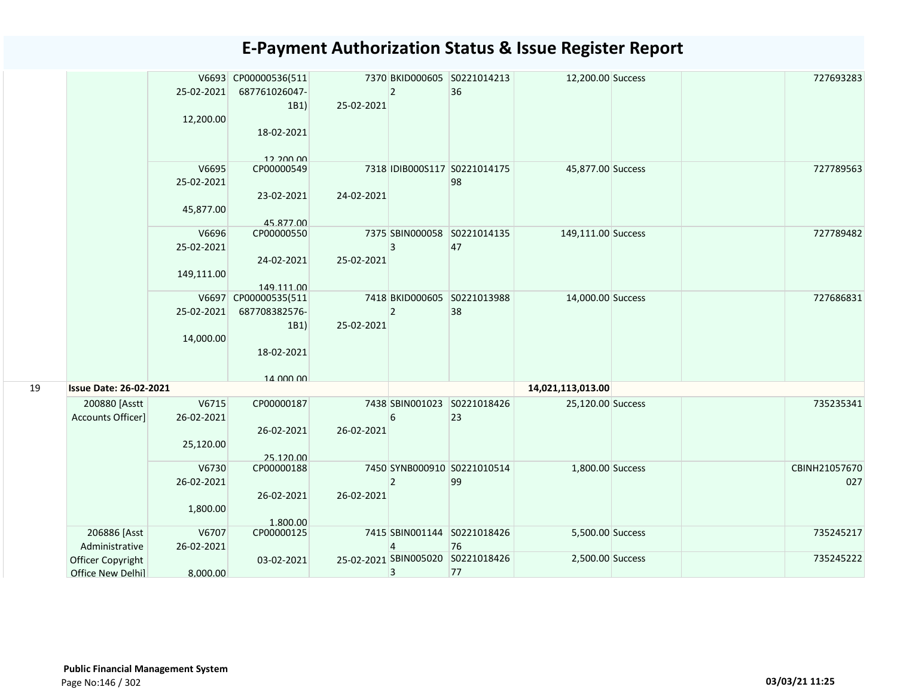|    |                                        | 25-02-2021<br>12,200.00           | V6693 CP00000536(511<br>687761026047-<br>1B1)<br>18-02-2021 | 25-02-2021 | $\overline{2}$ | 7370 BKID000605 S0221014213<br>36       | 12,200.00 Success  |  | 727693283            |
|----|----------------------------------------|-----------------------------------|-------------------------------------------------------------|------------|----------------|-----------------------------------------|--------------------|--|----------------------|
|    |                                        | V6695<br>25-02-2021<br>45,877.00  | 12.200.00<br>CP00000549<br>23-02-2021<br>45.877.00          | 24-02-2021 |                | 7318 IDIB000S117 S0221014175<br>98      | 45,877.00 Success  |  | 727789563            |
|    |                                        | V6696<br>25-02-2021<br>149,111.00 | CP00000550<br>24-02-2021<br>149.111.00                      | 25-02-2021 | 3              | 7375 SBIN000058 S0221014135<br>47       | 149,111.00 Success |  | 727789482            |
|    |                                        | 25-02-2021<br>14,000.00           | V6697 CP00000535(511<br>687708382576-<br>1B1)<br>18-02-2021 | 25-02-2021 | $\overline{2}$ | 7418 BKID000605 S0221013988<br>38       | 14,000.00 Success  |  | 727686831            |
| 19 | <b>Issue Date: 26-02-2021</b>          |                                   | 14 000 00                                                   |            |                |                                         | 14,021,113,013.00  |  |                      |
|    | 200880 [Asstt<br>Accounts Officer]     | V6715<br>26-02-2021<br>25,120.00  | CP00000187<br>26-02-2021<br>25.120.00                       | 26-02-2021 | 6              | 7438 SBIN001023 S0221018426<br>23       | 25,120.00 Success  |  | 735235341            |
|    |                                        | V6730<br>26-02-2021<br>1,800.00   | CP00000188<br>26-02-2021<br>1.800.00                        | 26-02-2021 | $\overline{2}$ | 7450 SYNB000910 S0221010514<br>99       | 1,800.00 Success   |  | CBINH21057670<br>027 |
|    | 206886 [Asst<br>Administrative         | V6707<br>26-02-2021               | CP00000125                                                  |            | 4              | 7415 SBIN001144 S0221018426<br>76       | 5,500.00 Success   |  | 735245217            |
|    | Officer Copyright<br>Office New Delhil | 8.000.00                          | 03-02-2021                                                  |            | 3              | 25-02-2021 SBIN005020 S0221018426<br>77 | 2,500.00 Success   |  | 735245222            |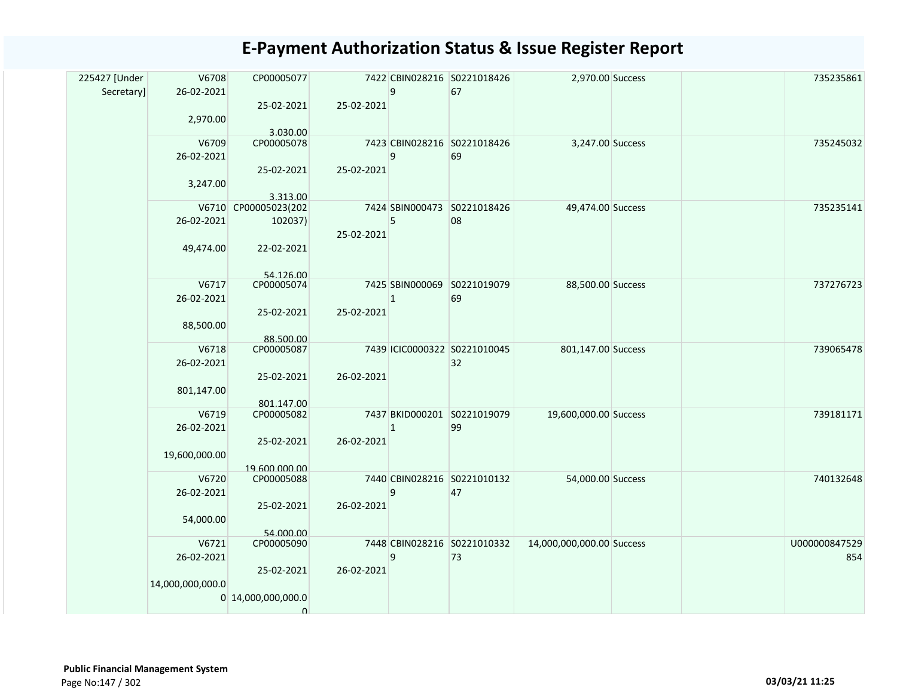| 225427 [Under<br>Secretary] | V6708<br>26-02-2021<br>2,970.00         | CP00005077<br>25-02-2021<br>3.030.00                       | 25-02-2021 | 9            | 7422 CBIN028216 S0221018426<br>67  | 2,970.00 Success          |  | 735235861            |
|-----------------------------|-----------------------------------------|------------------------------------------------------------|------------|--------------|------------------------------------|---------------------------|--|----------------------|
|                             | V6709<br>26-02-2021<br>3,247.00         | CP00005078<br>25-02-2021<br>3.313.00                       | 25-02-2021 | 9            | 7423 CBIN028216 S0221018426<br>69  | 3,247.00 Success          |  | 735245032            |
|                             | 26-02-2021<br>49,474.00                 | V6710 CP00005023(202<br>102037)<br>22-02-2021<br>54 126 00 | 25-02-2021 | 5            | 7424 SBIN000473 S0221018426<br>08  | 49,474.00 Success         |  | 735235141            |
|                             | V6717<br>26-02-2021<br>88,500.00        | CP00005074<br>25-02-2021<br>88.500.00                      | 25-02-2021 | 1            | 7425 SBIN000069 S0221019079<br>69  | 88,500.00 Success         |  | 737276723            |
|                             | V6718<br>26-02-2021<br>801,147.00       | CP00005087<br>25-02-2021<br>801.147.00                     | 26-02-2021 |              | 7439 ICIC0000322 S0221010045<br>32 | 801,147.00 Success        |  | 739065478            |
|                             | V6719<br>26-02-2021<br>19,600,000.00    | CP00005082<br>25-02-2021<br>19.600.000.00                  | 26-02-2021 | $\mathbf{1}$ | 7437 BKID000201 S0221019079<br>99  | 19,600,000.00 Success     |  | 739181171            |
|                             | V6720<br>26-02-2021<br>54,000.00        | CP00005088<br>25-02-2021<br>54.000.00                      | 26-02-2021 | 9            | 7440 CBIN028216 S0221010132<br>47  | 54,000.00 Success         |  | 740132648            |
|                             | V6721<br>26-02-2021<br>14,000,000,000.0 | CP00005090<br>25-02-2021<br>0 14,000,000,000.0<br>$\Omega$ | 26-02-2021 | 9            | 7448 CBIN028216 S0221010332<br>73  | 14,000,000,000.00 Success |  | U000000847529<br>854 |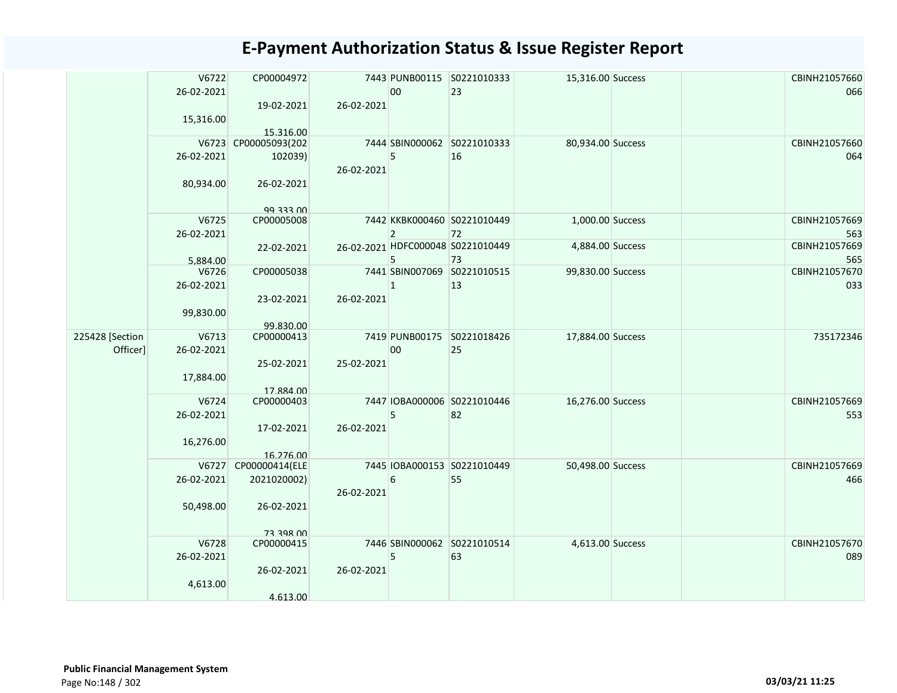|                 | V6722<br>26-02-2021<br>15,316.00 | CP00004972<br>19-02-2021 | 26-02-2021 | 00             | 7443 PUNB00115 S0221010333<br>23  | 15,316.00 Success |  | CBINH21057660<br>066 |
|-----------------|----------------------------------|--------------------------|------------|----------------|-----------------------------------|-------------------|--|----------------------|
|                 |                                  | 15.316.00                |            |                |                                   |                   |  |                      |
|                 |                                  | V6723 CP00005093(202     |            |                | 7444 SBIN000062 S0221010333       | 80,934.00 Success |  | CBINH21057660        |
|                 | 26-02-2021                       | 102039)                  | 26-02-2021 | 5              | 16                                |                   |  | 064                  |
|                 | 80,934.00                        | 26-02-2021               |            |                |                                   |                   |  |                      |
|                 |                                  | 00 233 00                |            |                |                                   |                   |  |                      |
|                 | V6725<br>26-02-2021              | CP00005008               |            | $\overline{2}$ | 7442 KKBK000460 S0221010449<br>72 | 1,000.00 Success  |  | CBINH21057669<br>563 |
|                 |                                  | 22-02-2021               |            |                | 26-02-2021 HDFC000048 S0221010449 | 4,884.00 Success  |  | CBINH21057669        |
|                 | 5.884.00                         |                          |            | 5 <sup>1</sup> | 73                                |                   |  | 565                  |
|                 | V6726                            | CP00005038               |            |                | 7441 SBIN007069 S0221010515       | 99,830.00 Success |  | CBINH21057670        |
|                 | 26-02-2021                       |                          |            | $\mathbf{1}$   | 13                                |                   |  | 033                  |
|                 | 99,830.00                        | 23-02-2021               | 26-02-2021 |                |                                   |                   |  |                      |
| 225428 [Section | V6713                            | 99.830.00<br>CP00000413  |            |                | 7419 PUNB00175 S0221018426        | 17,884.00 Success |  | 735172346            |
| Officer]        | 26-02-2021                       |                          |            | 00             | 25                                |                   |  |                      |
|                 |                                  | 25-02-2021               | 25-02-2021 |                |                                   |                   |  |                      |
|                 | 17,884.00                        | 17.884.00                |            |                |                                   |                   |  |                      |
|                 | V6724                            | CP00000403               |            |                | 7447 IOBA000006 S0221010446       | 16,276.00 Success |  | CBINH21057669        |
|                 | 26-02-2021                       | 17-02-2021               | 26-02-2021 | 5              | 82                                |                   |  | 553                  |
|                 | 16,276.00                        | 16.276.00                |            |                |                                   |                   |  |                      |
|                 |                                  | V6727 CP00000414(ELE     |            |                | 7445 IOBA000153 S0221010449       | 50,498.00 Success |  | CBINH21057669        |
|                 | 26-02-2021                       | 2021020002)              | 26-02-2021 | 6              | 55                                |                   |  | 466                  |
|                 | 50,498.00                        | 26-02-2021               |            |                |                                   |                   |  |                      |
|                 |                                  | 73 398 00                |            |                |                                   |                   |  |                      |
|                 | V6728                            | CP00000415               |            |                | 7446 SBIN000062 S0221010514       | 4,613.00 Success  |  | CBINH21057670        |
|                 | 26-02-2021                       | 26-02-2021               | 26-02-2021 | 5              | 63                                |                   |  | 089                  |
|                 | 4,613.00                         | 4.613.00                 |            |                |                                   |                   |  |                      |
|                 |                                  |                          |            |                |                                   |                   |  |                      |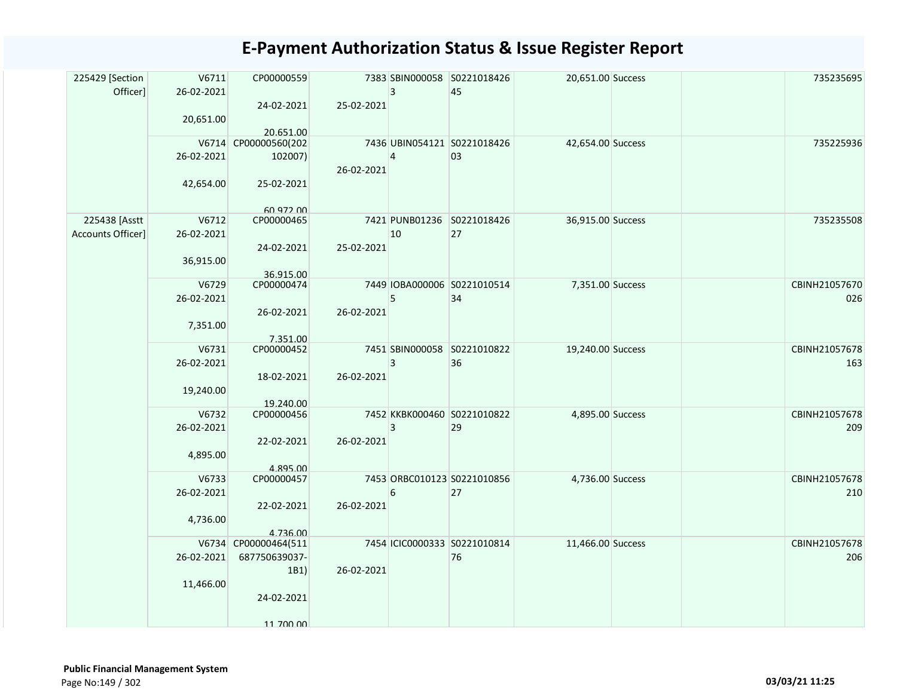| 225429 [Section<br>Officer] | V6711<br>26-02-2021<br>20,651.00 | CP00000559<br>24-02-2021 | 25-02-2021 | 3              | 7383 SBIN000058 S0221018426<br>45 | 20,651.00 Success |  | 735235695            |
|-----------------------------|----------------------------------|--------------------------|------------|----------------|-----------------------------------|-------------------|--|----------------------|
|                             |                                  | 20.651.00                |            |                |                                   |                   |  |                      |
|                             |                                  | V6714 CP00000560(202     |            |                | 7436 UBIN054121 S0221018426       | 42,654.00 Success |  | 735225936            |
|                             | 26-02-2021                       | 102007)                  | 26-02-2021 | $\overline{4}$ | 03                                |                   |  |                      |
|                             | 42,654.00                        | 25-02-2021               |            |                |                                   |                   |  |                      |
| 225438 [Asstt               | V6712                            | 60 972 00<br>CP00000465  |            |                | 7421 PUNB01236 S0221018426        | 36,915.00 Success |  | 735235508            |
| Accounts Officer]           | 26-02-2021                       |                          |            | 10             | 27                                |                   |  |                      |
|                             | 36,915.00                        | 24-02-2021               | 25-02-2021 |                |                                   |                   |  |                      |
|                             |                                  | 36.915.00                |            |                |                                   |                   |  |                      |
|                             | V6729                            | CP00000474               |            |                | 7449 IOBA000006 S0221010514       | 7,351.00 Success  |  | CBINH21057670        |
|                             | 26-02-2021                       |                          |            | 5              | 34                                |                   |  | 026                  |
|                             | 7,351.00                         | 26-02-2021               | 26-02-2021 |                |                                   |                   |  |                      |
|                             | V6731                            | 7.351.00<br>CP00000452   |            |                | 7451 SBIN000058 S0221010822       | 19,240.00 Success |  | CBINH21057678        |
|                             | 26-02-2021                       |                          |            | 3              | 36                                |                   |  | 163                  |
|                             |                                  |                          | 26-02-2021 |                |                                   |                   |  |                      |
|                             | 19,240.00                        | 18-02-2021               |            |                |                                   |                   |  |                      |
|                             |                                  | 19.240.00                |            |                |                                   |                   |  |                      |
|                             | V6732                            | CP00000456               |            |                | 7452 KKBK000460 S0221010822       | 4,895.00 Success  |  | CBINH21057678        |
|                             | 26-02-2021                       |                          |            | 3              | 29                                |                   |  | 209                  |
|                             | 4,895.00                         | 22-02-2021               | 26-02-2021 |                |                                   |                   |  |                      |
|                             |                                  | 4.895.00                 |            |                |                                   |                   |  |                      |
|                             | V6733<br>26-02-2021              | CP00000457               |            | 6              | 7453 ORBC010123 S0221010856<br>27 | 4,736.00 Success  |  | CBINH21057678<br>210 |
|                             |                                  | 22-02-2021               | 26-02-2021 |                |                                   |                   |  |                      |
|                             | 4,736.00                         |                          |            |                |                                   |                   |  |                      |
|                             |                                  | 4.736.00                 |            |                |                                   |                   |  |                      |
|                             |                                  | V6734 CP00000464(511     |            |                | 7454 ICIC0000333 S0221010814      | 11,466.00 Success |  | CBINH21057678        |
|                             | 26-02-2021                       | 687750639037-            |            |                | 76                                |                   |  | 206                  |
|                             |                                  | 1B1)                     | 26-02-2021 |                |                                   |                   |  |                      |
|                             | 11,466.00                        |                          |            |                |                                   |                   |  |                      |
|                             |                                  | 24-02-2021               |            |                |                                   |                   |  |                      |
|                             |                                  | 11 700 00                |            |                |                                   |                   |  |                      |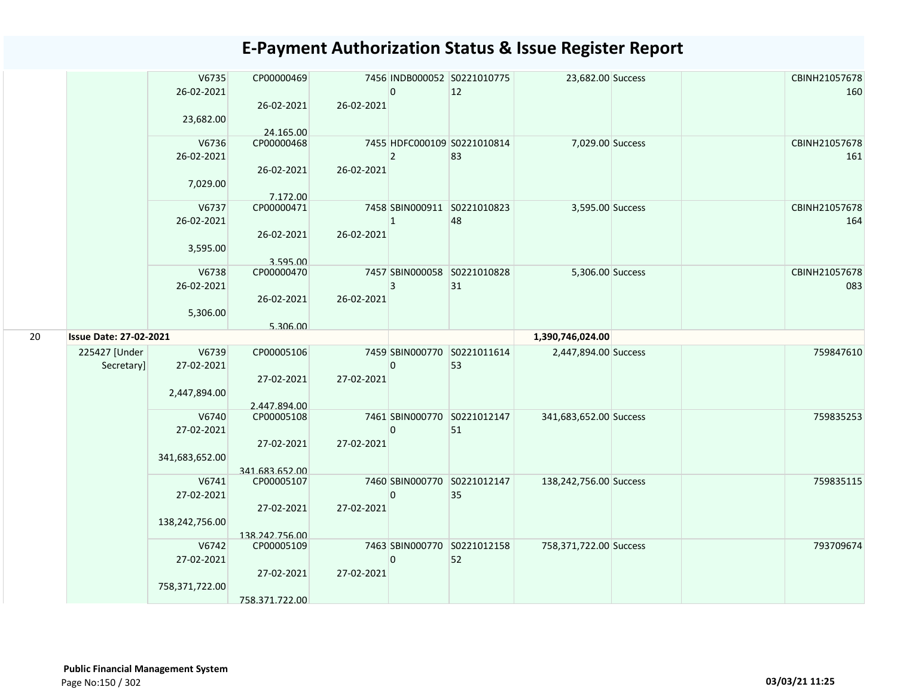|    |                               | V6735<br>26-02-2021<br>23,682.00      | CP00000469<br>26-02-2021<br>24.165.00      | 26-02-2021 | $\overline{0}$ | 7456 INDB000052 S0221010775<br>12 | 23,682.00 Success      | CBINH21057678<br>160 |
|----|-------------------------------|---------------------------------------|--------------------------------------------|------------|----------------|-----------------------------------|------------------------|----------------------|
|    |                               | V6736<br>26-02-2021<br>7,029.00       | CP00000468<br>26-02-2021<br>7.172.00       | 26-02-2021 | $\overline{2}$ | 7455 HDFC000109 S0221010814<br>83 | 7,029.00 Success       | CBINH21057678<br>161 |
|    |                               | V6737<br>26-02-2021<br>3,595.00       | CP00000471<br>26-02-2021<br>3.595.00       | 26-02-2021 | $\overline{1}$ | 7458 SBIN000911 S0221010823<br>48 | 3,595.00 Success       | CBINH21057678<br>164 |
|    |                               | V6738<br>26-02-2021<br>5,306.00       | CP00000470<br>26-02-2021<br>5.306.00       | 26-02-2021 | 3              | 7457 SBIN000058 S0221010828<br>31 | 5,306.00 Success       | CBINH21057678<br>083 |
| 20 | <b>Issue Date: 27-02-2021</b> |                                       |                                            |            |                |                                   | 1,390,746,024.00       |                      |
|    | 225427 [Under<br>Secretary]   | V6739<br>27-02-2021<br>2,447,894.00   | CP00005106<br>27-02-2021<br>2.447.894.00   | 27-02-2021 | $\mathbf 0$    | 7459 SBIN000770 S0221011614<br>53 | 2,447,894.00 Success   | 759847610            |
|    |                               | V6740<br>27-02-2021<br>341,683,652.00 | CP00005108<br>27-02-2021<br>341.683.652.00 | 27-02-2021 | 0              | 7461 SBIN000770 S0221012147<br>51 | 341,683,652.00 Success | 759835253            |
|    |                               | V6741<br>27-02-2021<br>138,242,756.00 | CP00005107<br>27-02-2021<br>138.242.756.00 | 27-02-2021 | $\Omega$       | 7460 SBIN000770 S0221012147<br>35 | 138,242,756.00 Success | 759835115            |
|    |                               | V6742<br>27-02-2021<br>758,371,722.00 | CP00005109<br>27-02-2021<br>758.371.722.00 | 27-02-2021 | $\mathbf 0$    | 7463 SBIN000770 S0221012158<br>52 | 758,371,722.00 Success | 793709674            |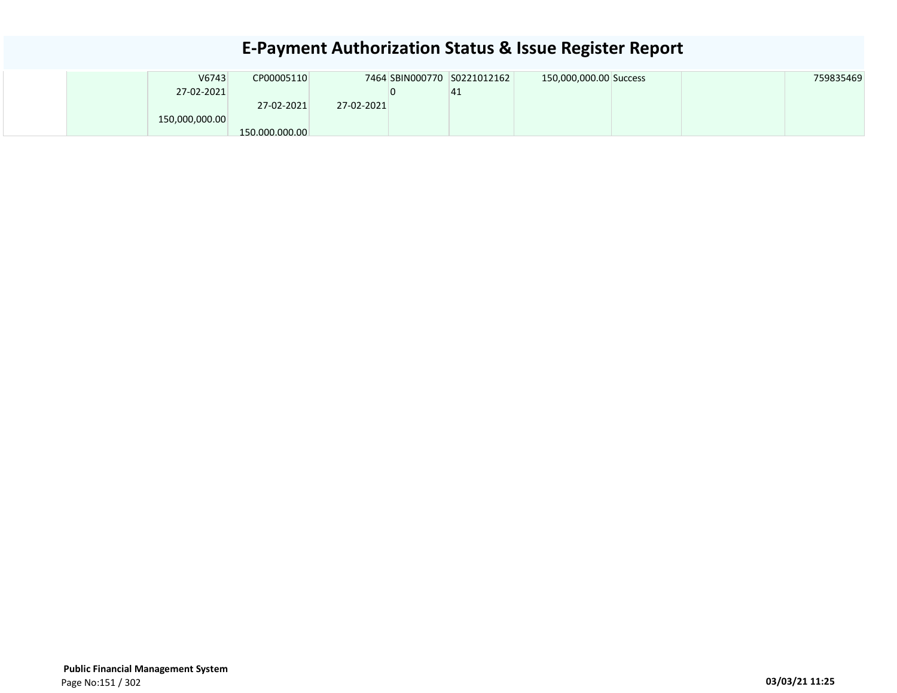|  | V6743          | CP00005110     |            | 7464 SBIN000770 S0221012162 | 150,000,000.00 Success |  | 759835469 |
|--|----------------|----------------|------------|-----------------------------|------------------------|--|-----------|
|  | 27-02-2021     |                |            | 41                          |                        |  |           |
|  |                | 27-02-2021     | 27-02-2021 |                             |                        |  |           |
|  | 150,000,000.00 |                |            |                             |                        |  |           |
|  |                | 150.000.000.00 |            |                             |                        |  |           |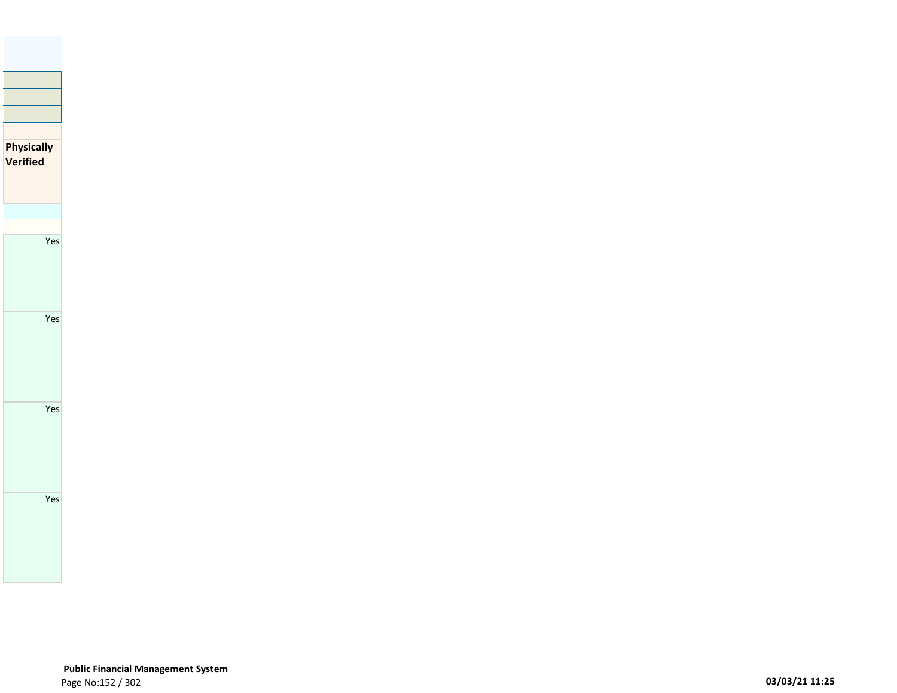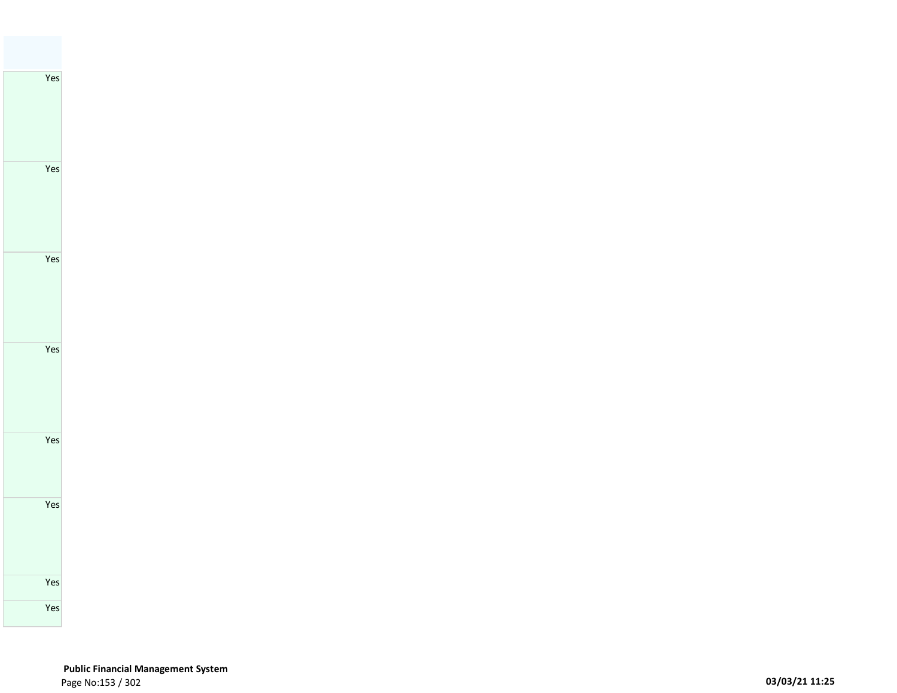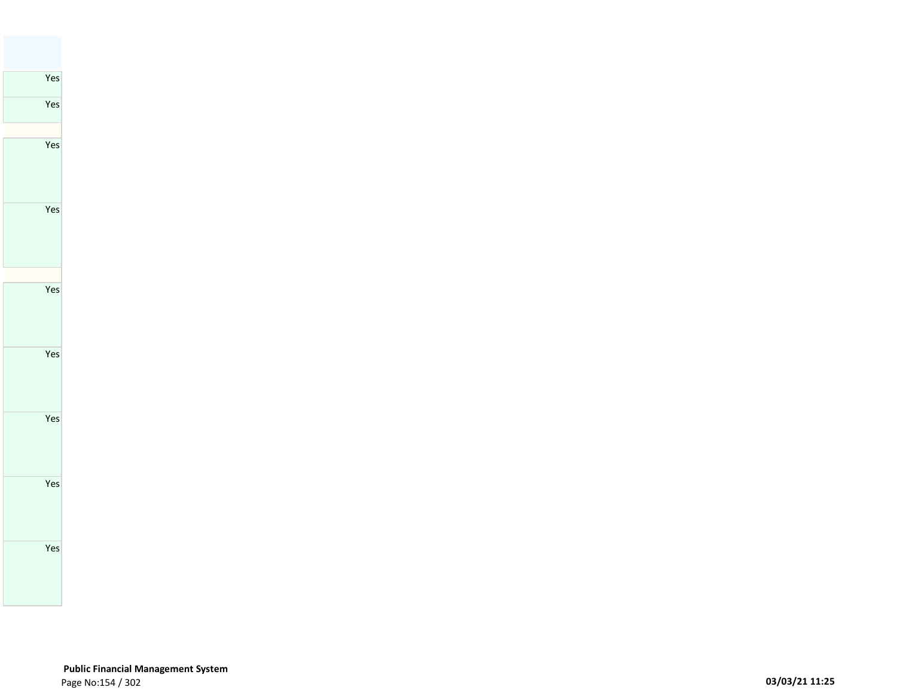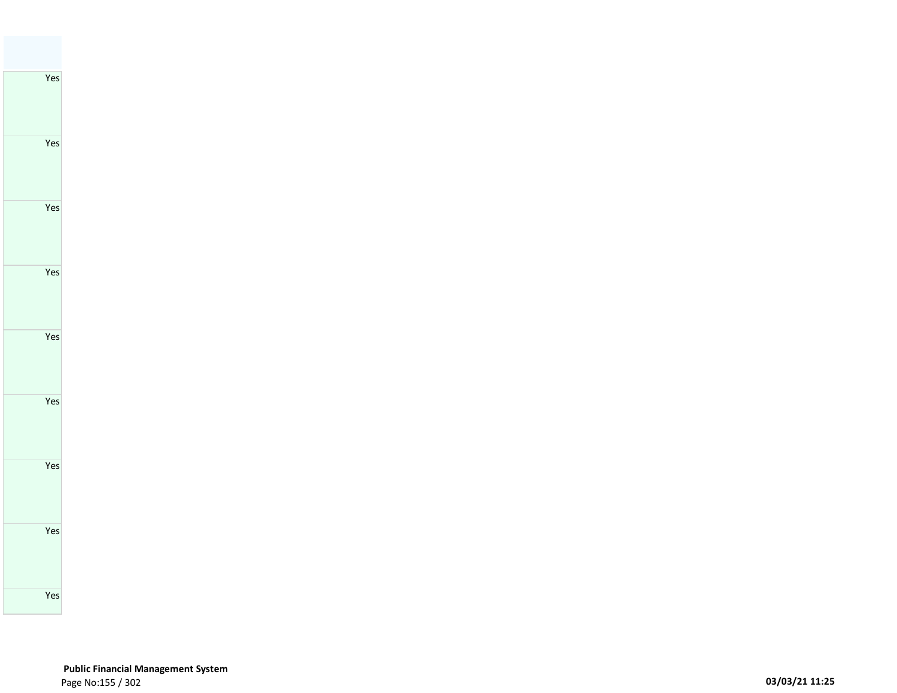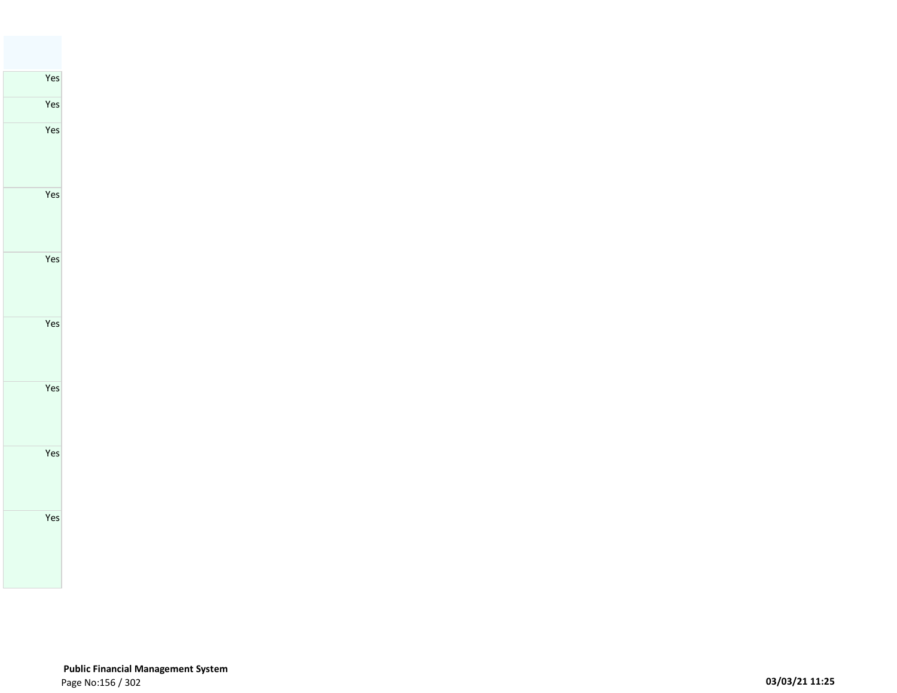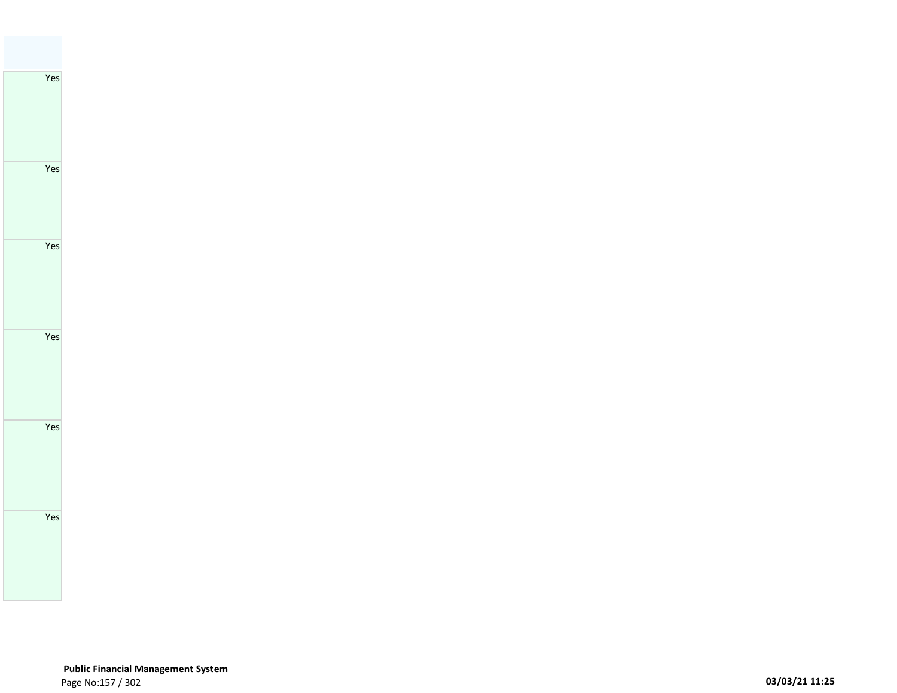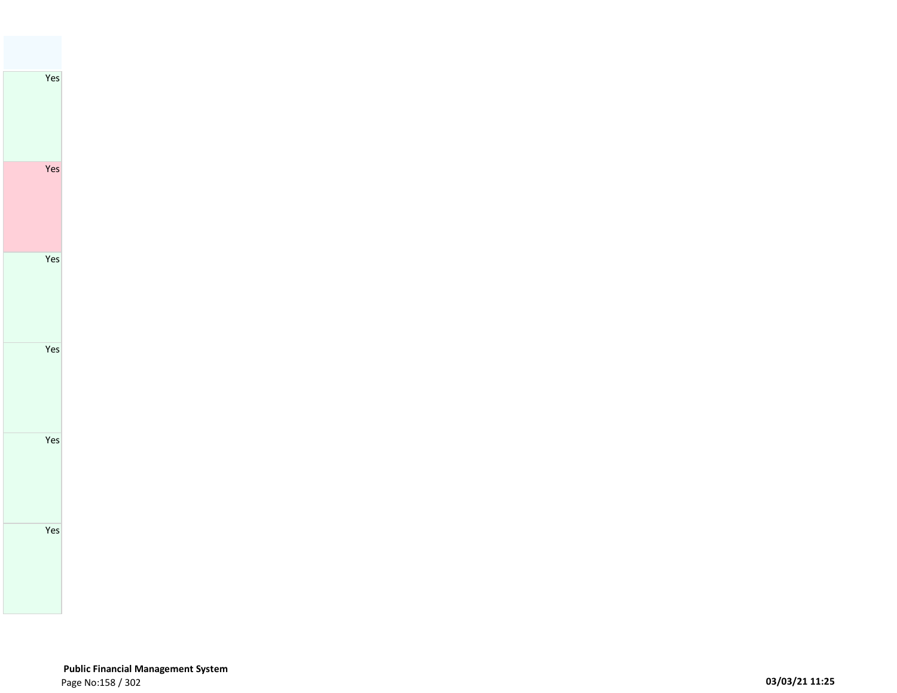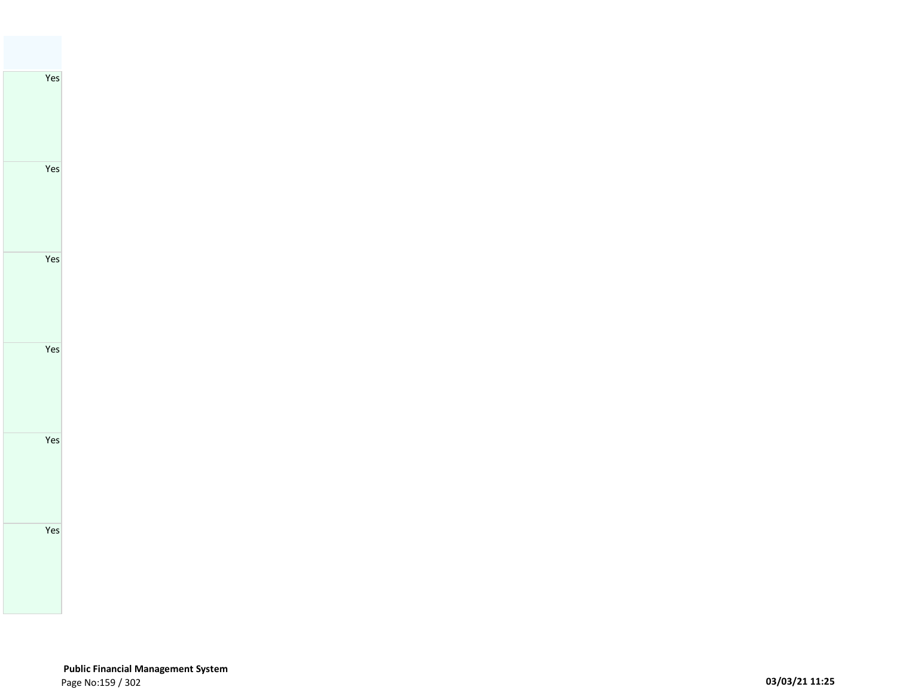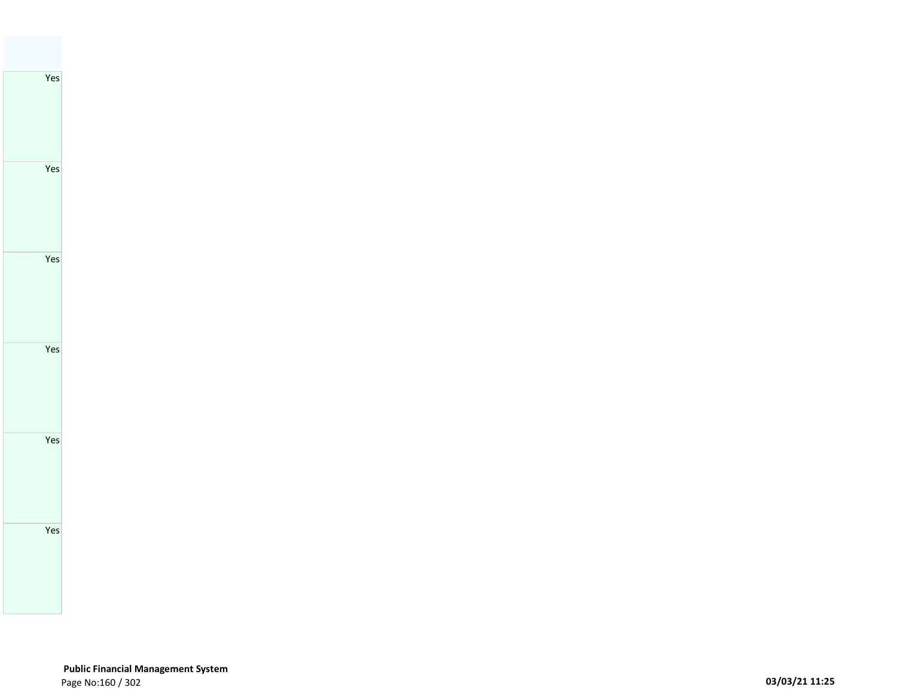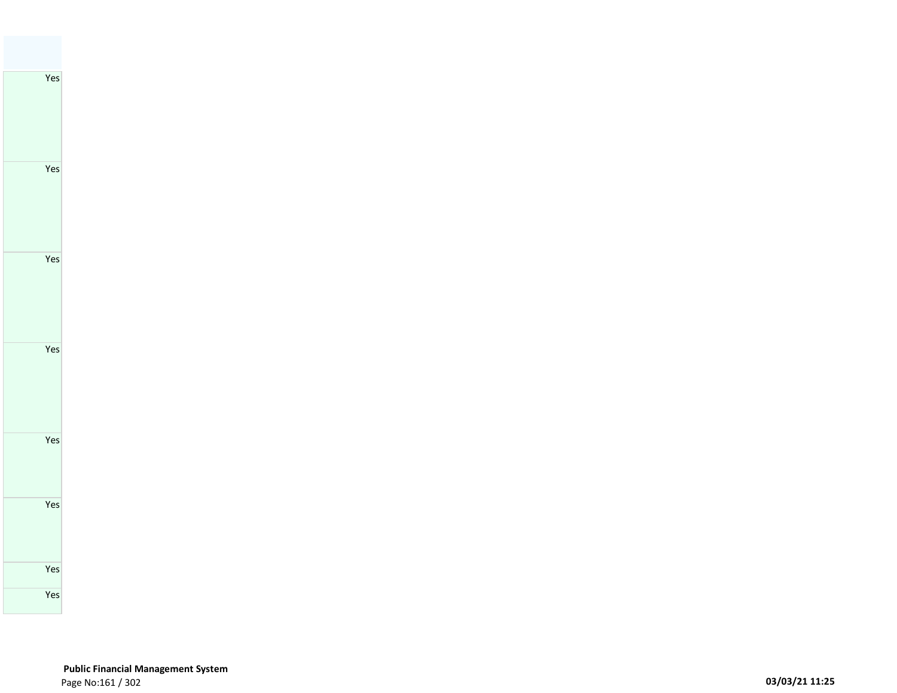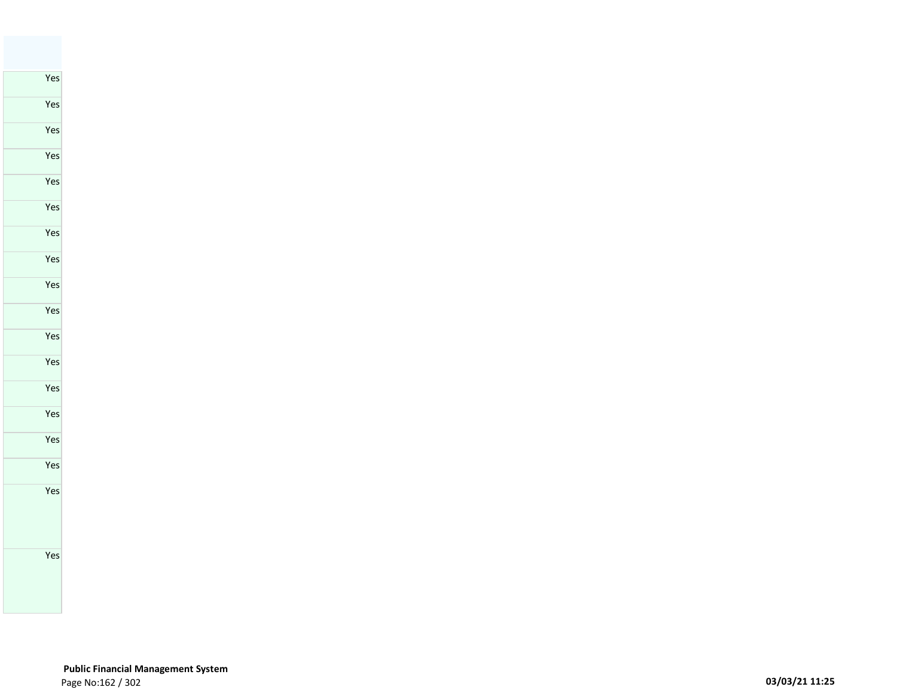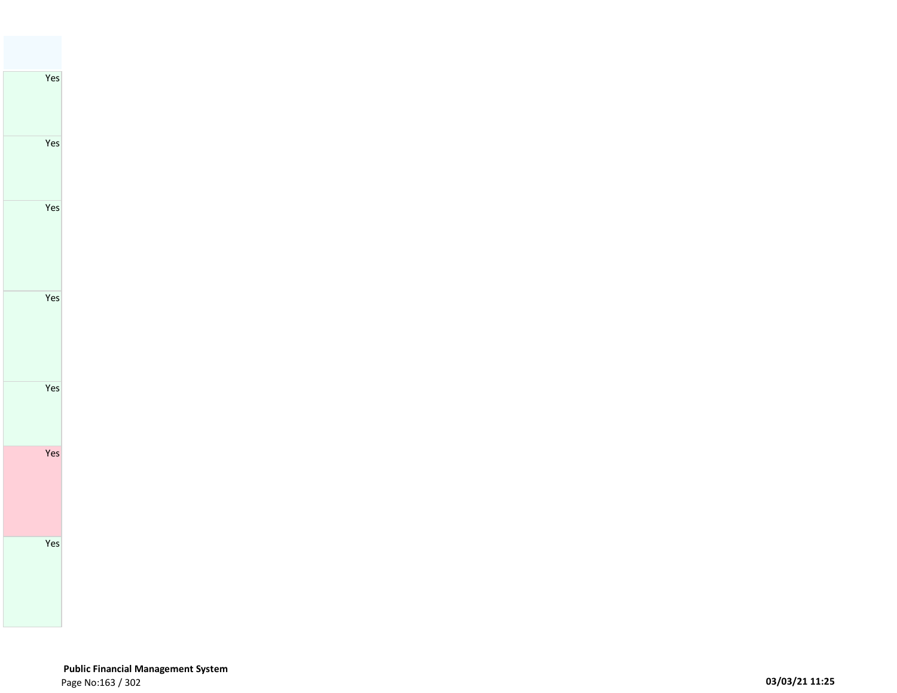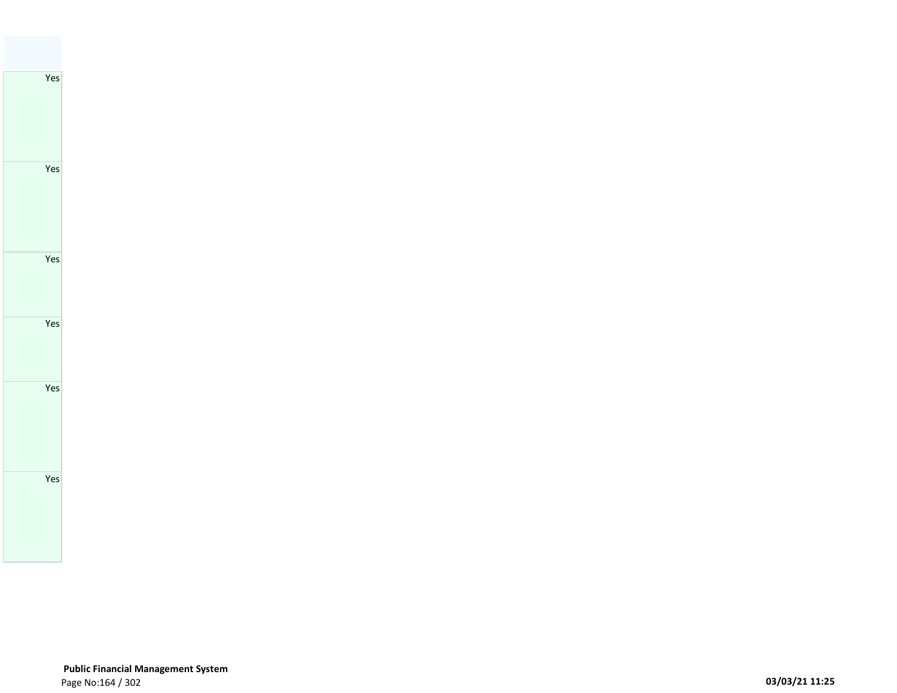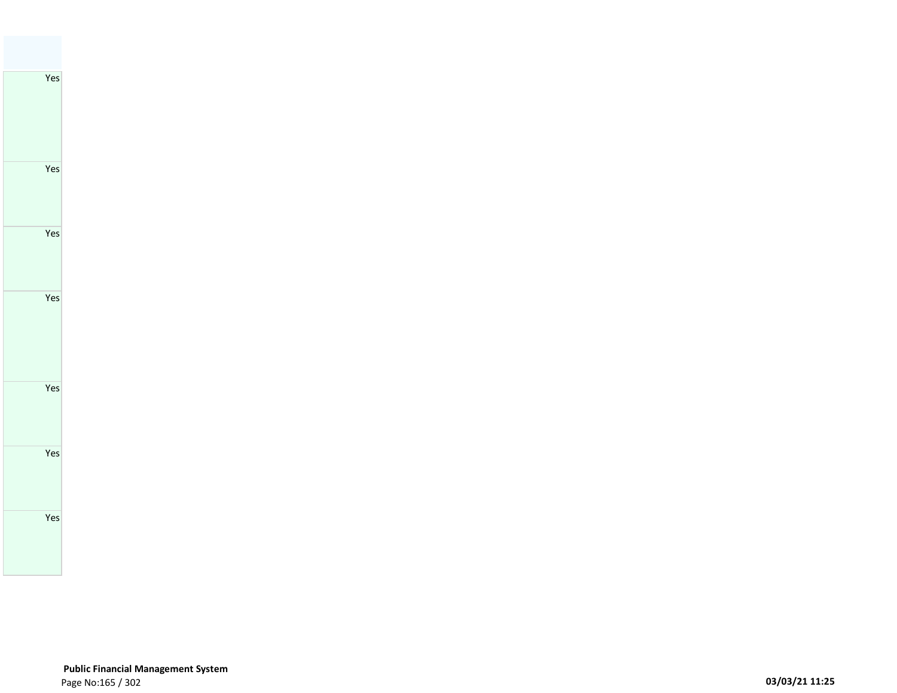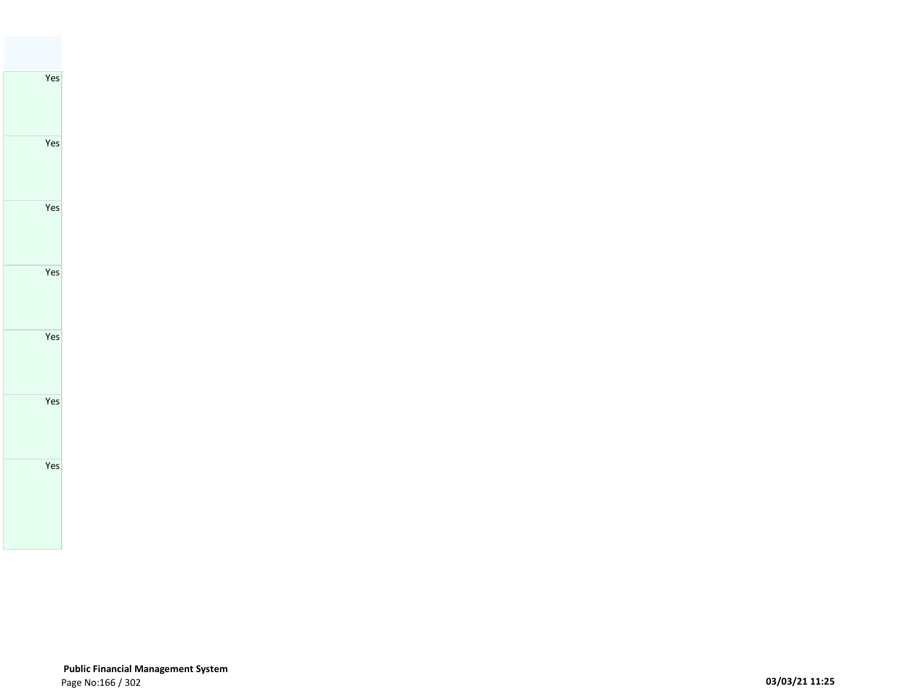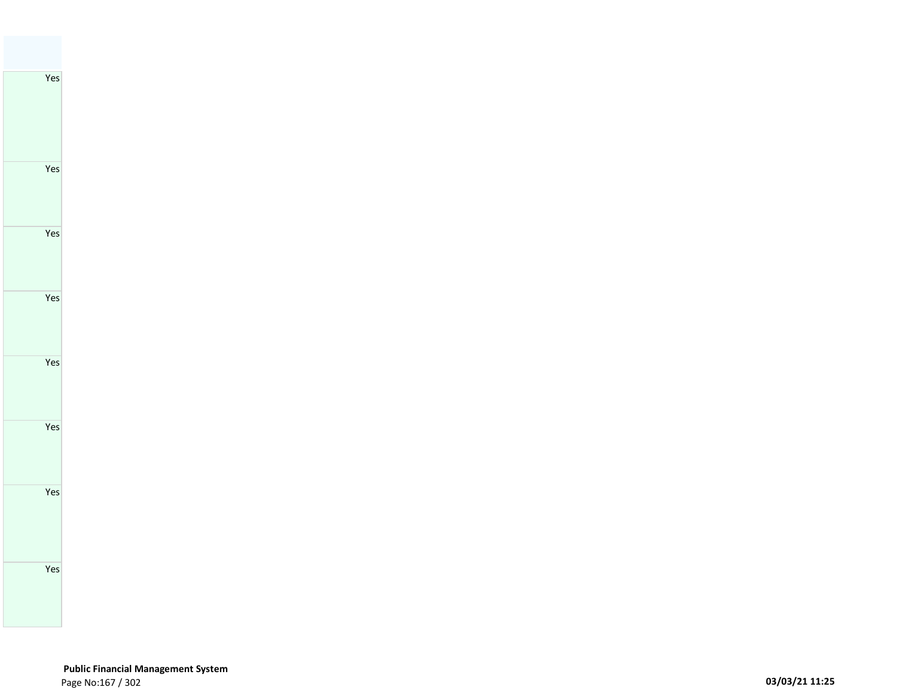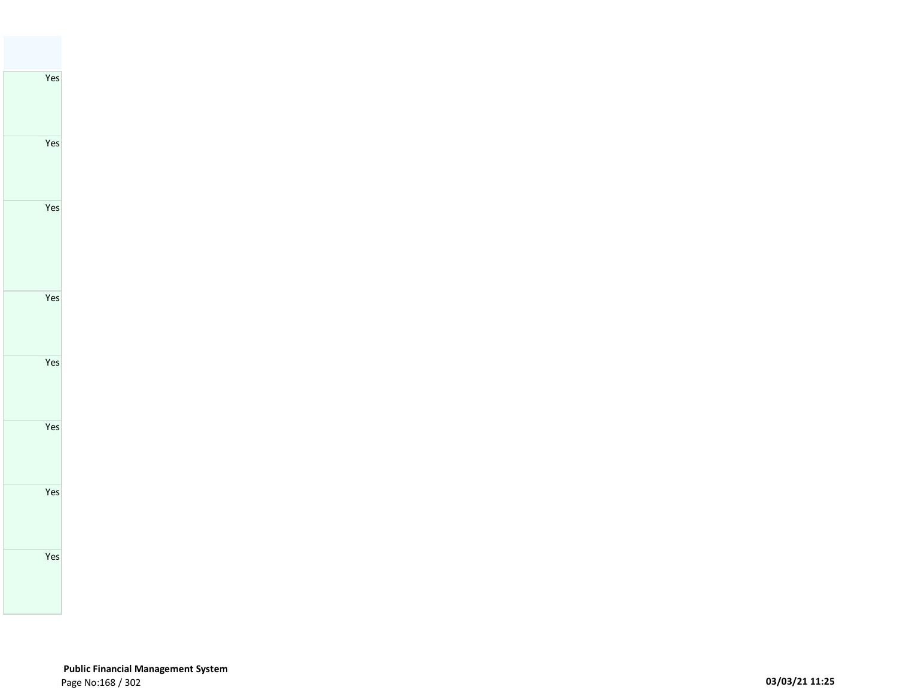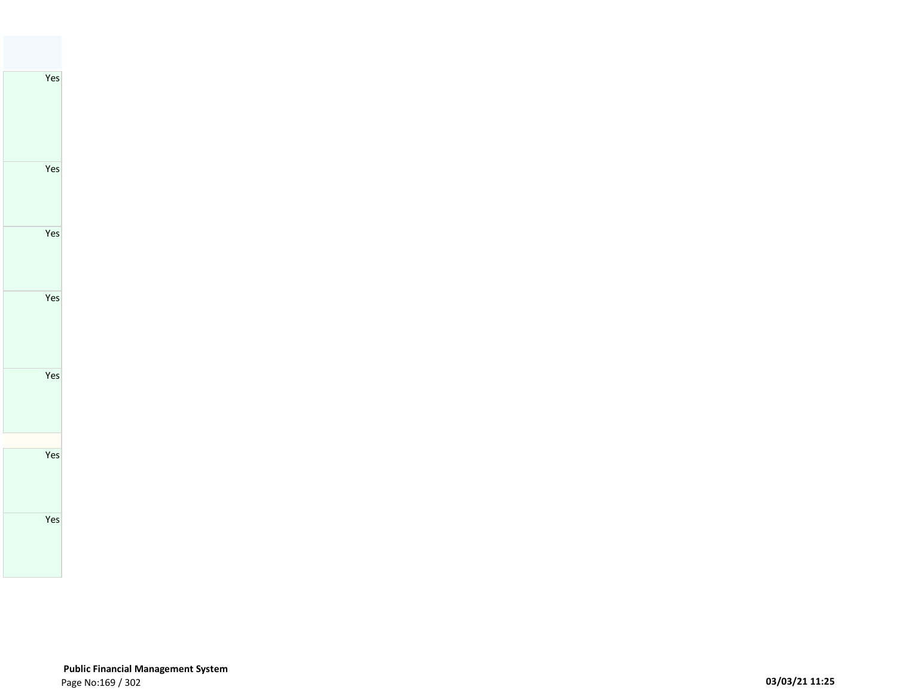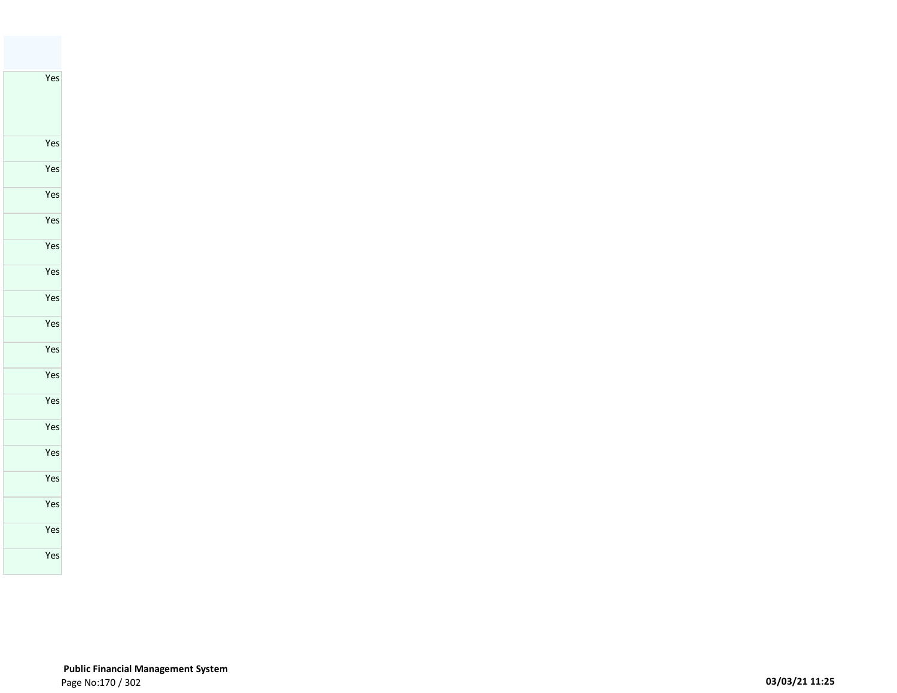Yes

### **Public Financial Management System**  Page No:170 / 302 **03/03/21 11:25**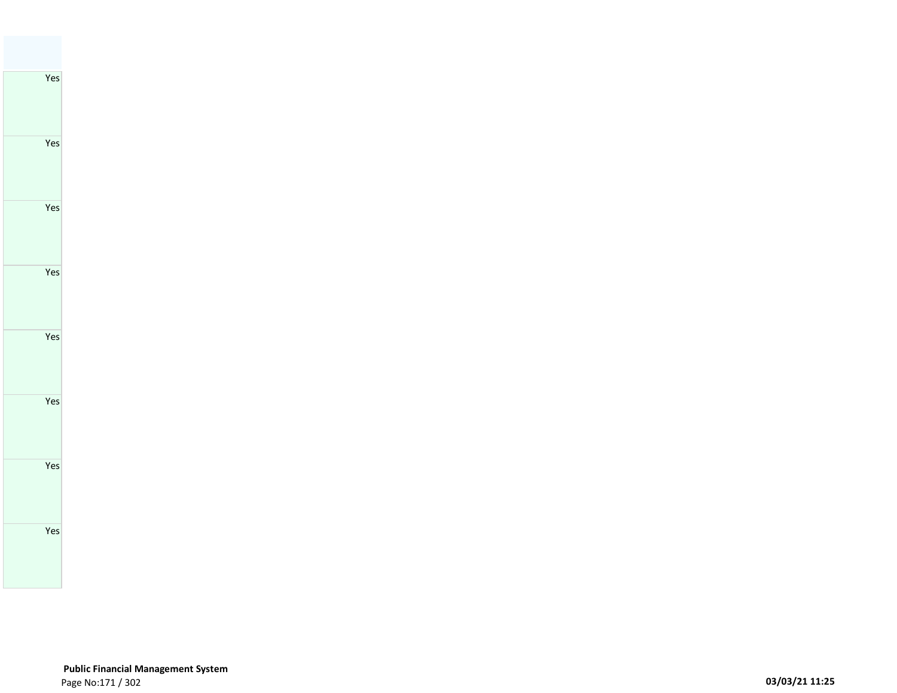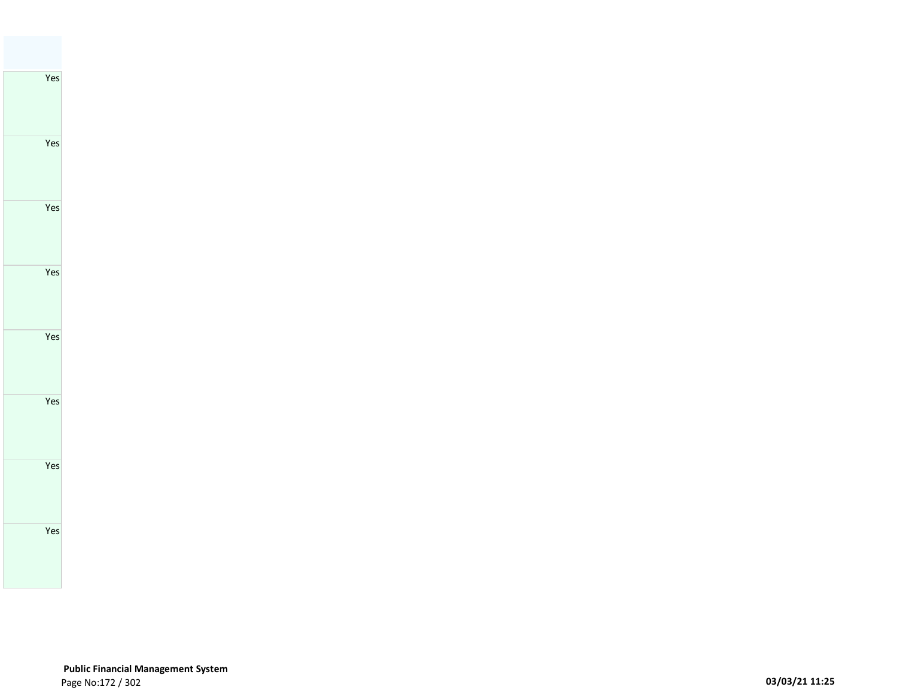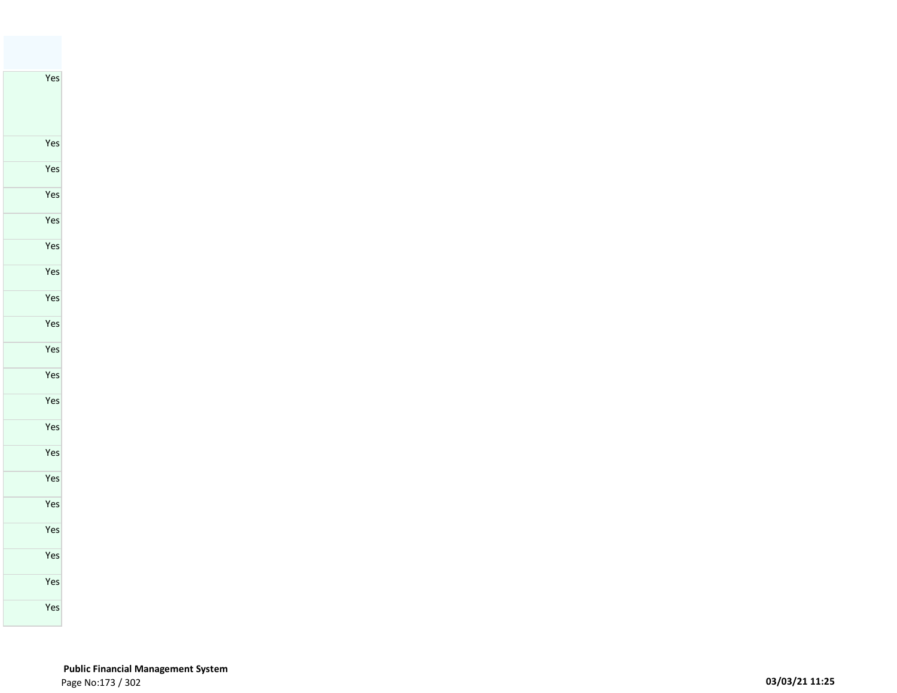Yes

### **Public Financial Management System**  Page No:173 / 302 **03/03/21 11:25**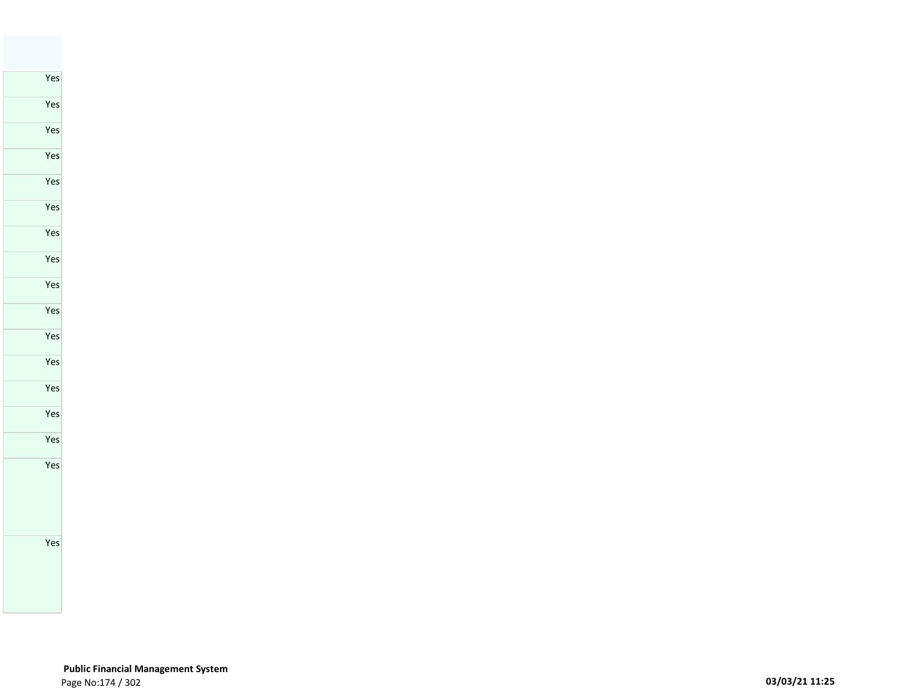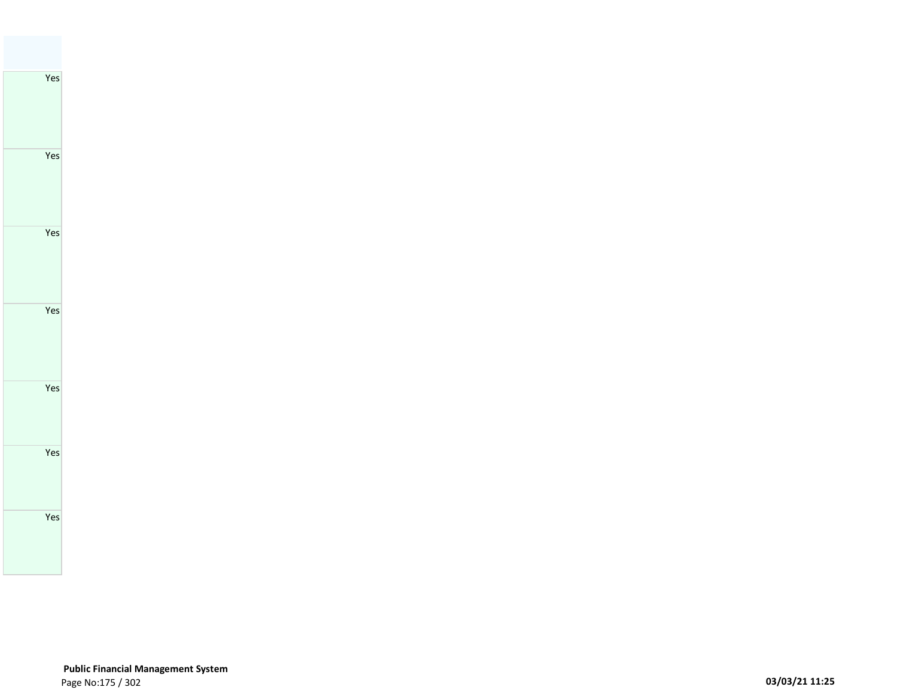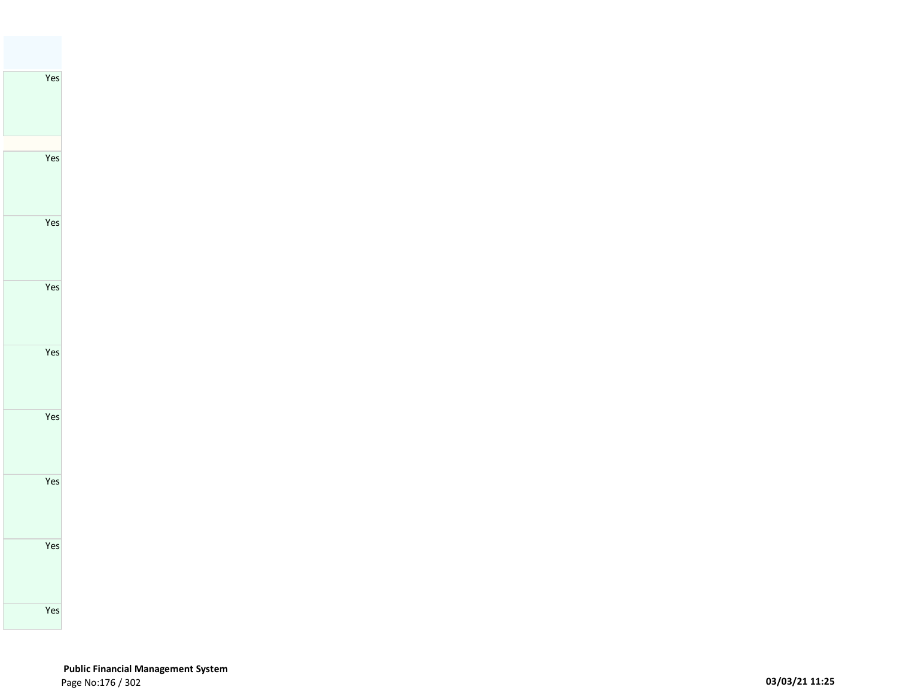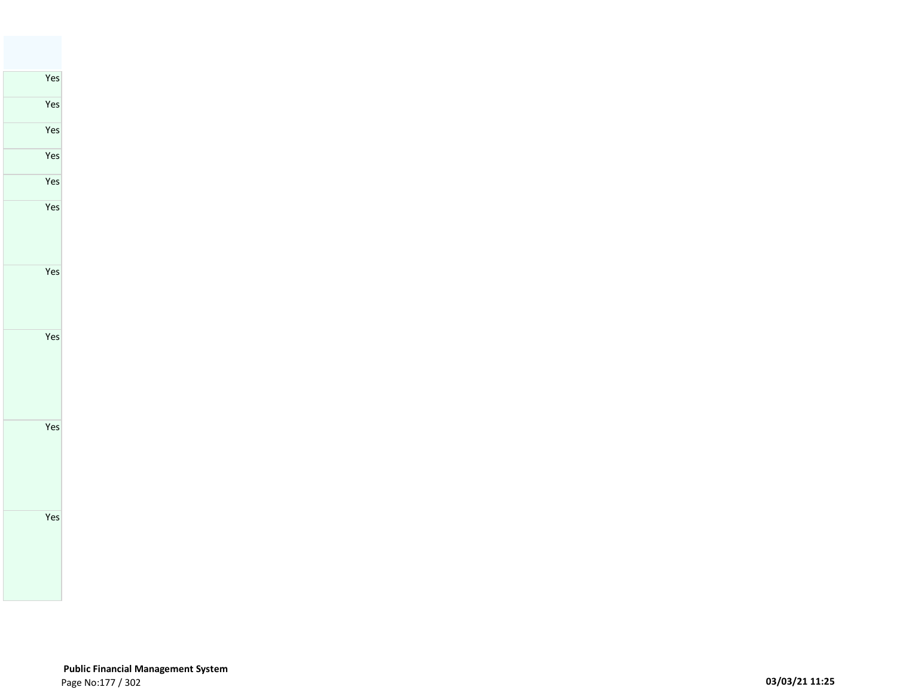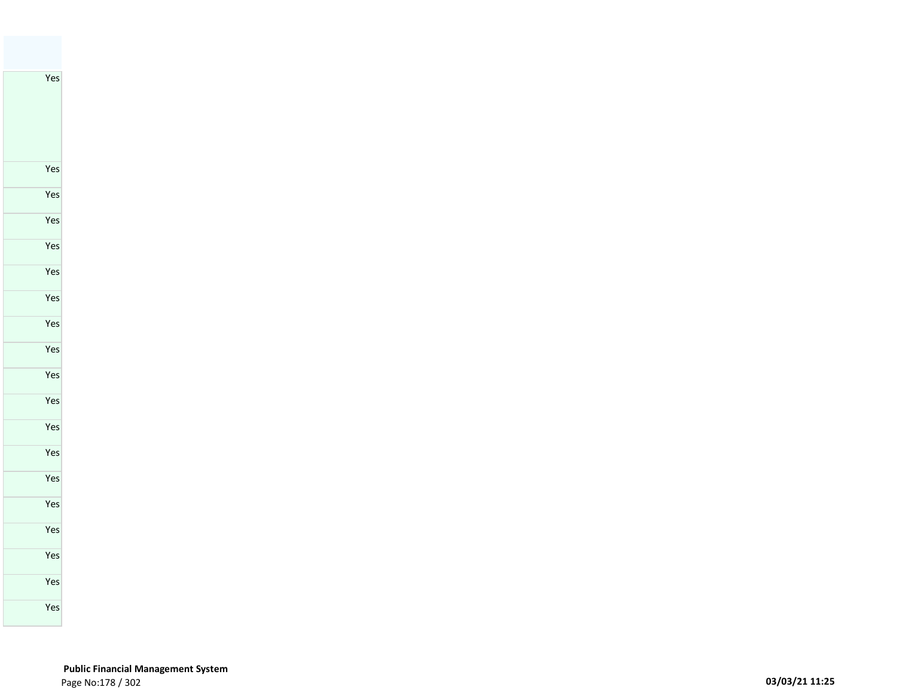Yes

 **Public Financial Management System**  Page No:178 / 302 **03/03/21 11:25**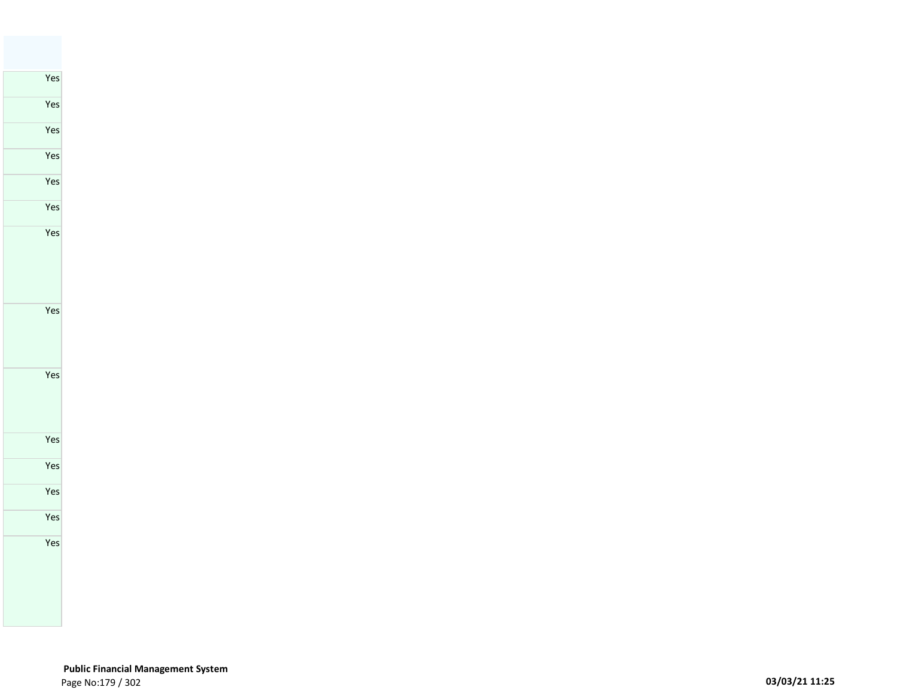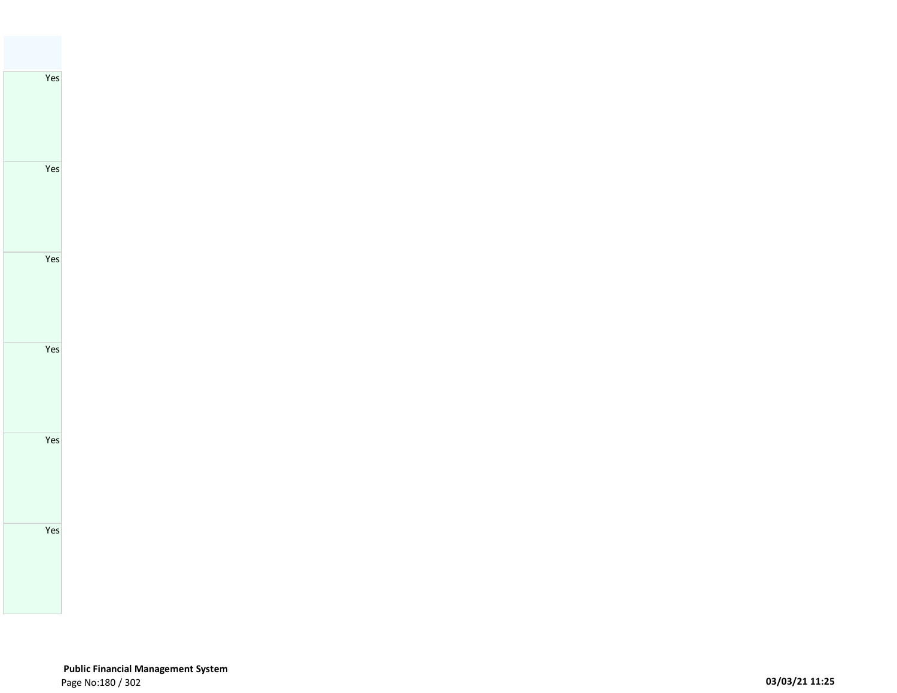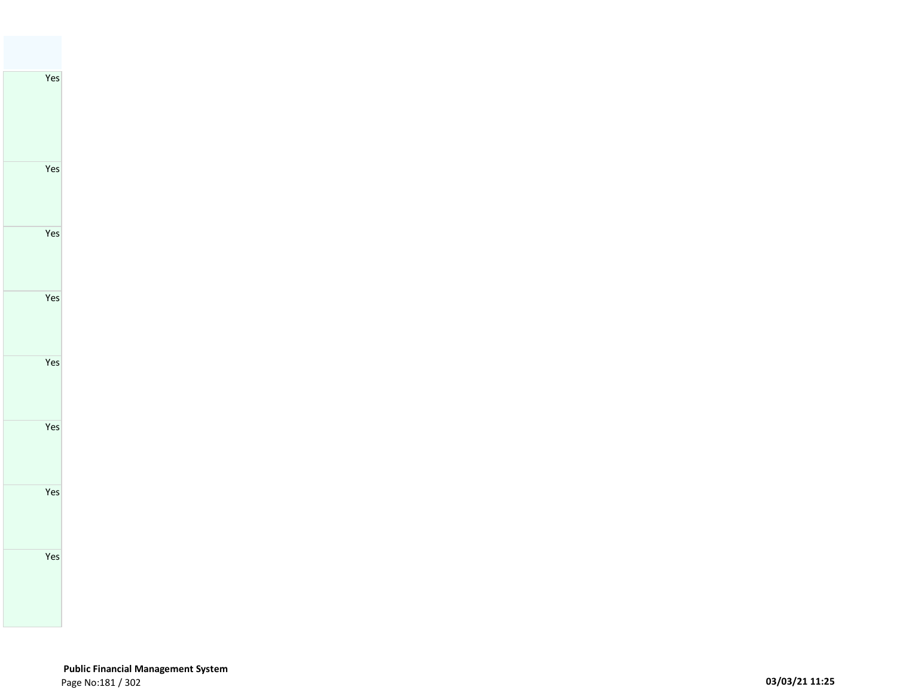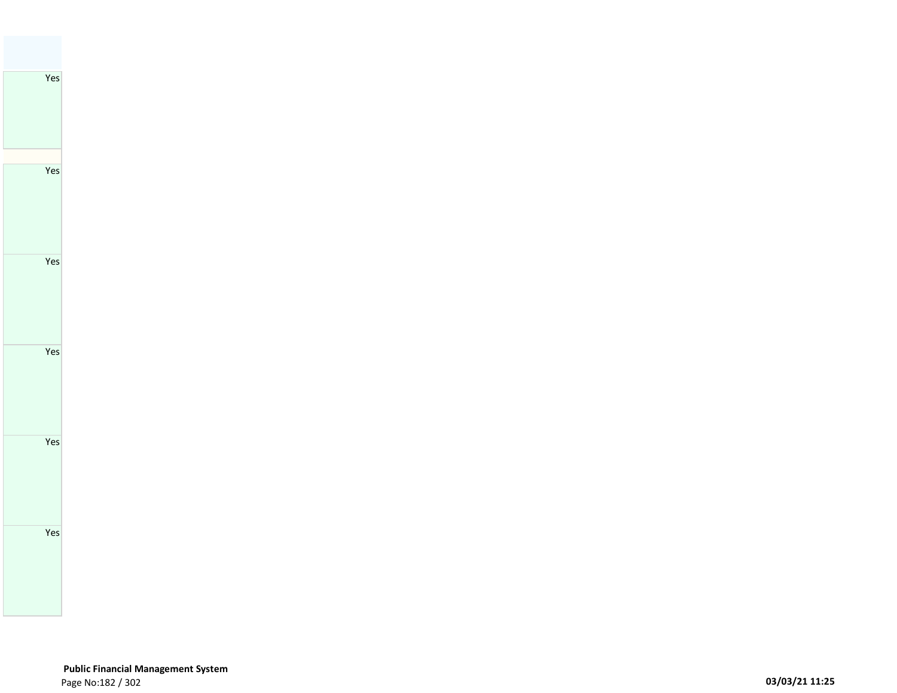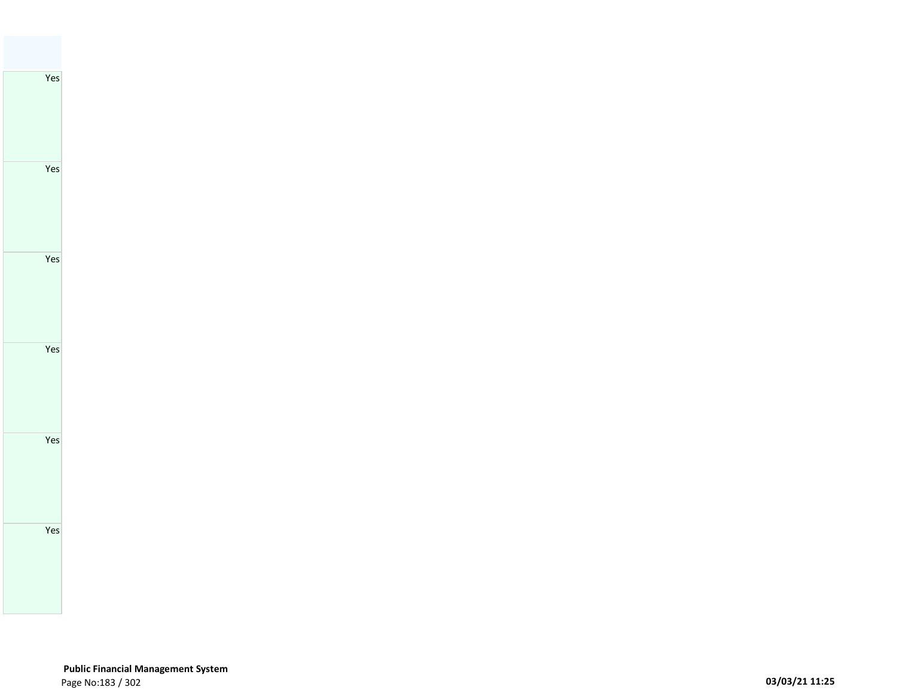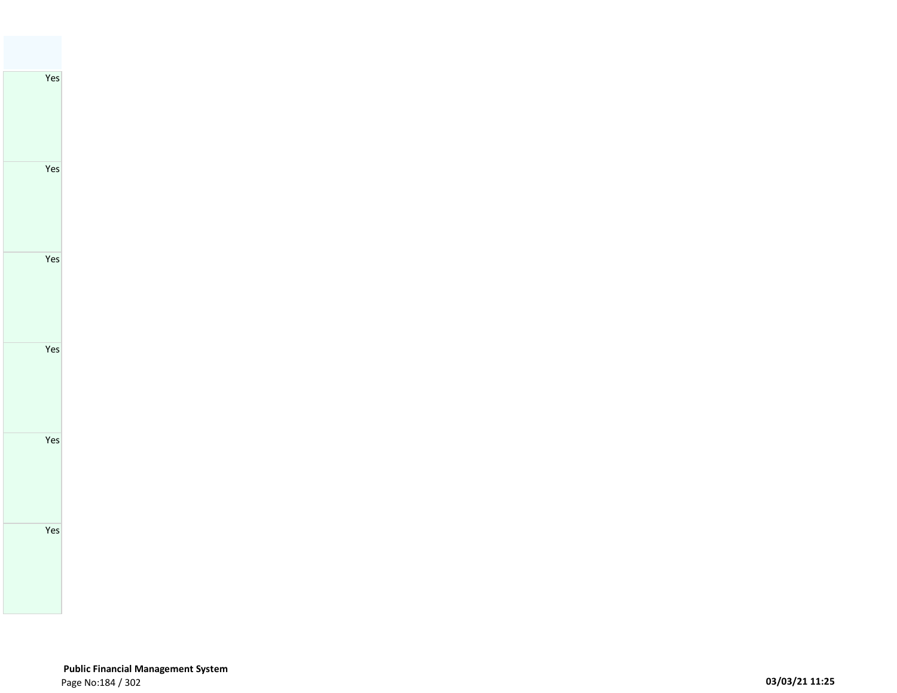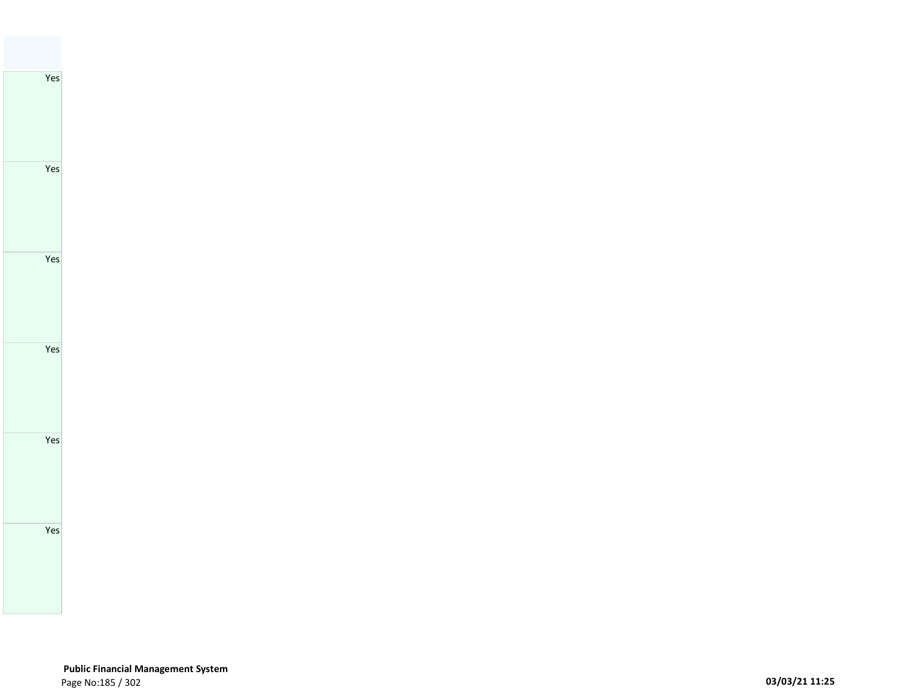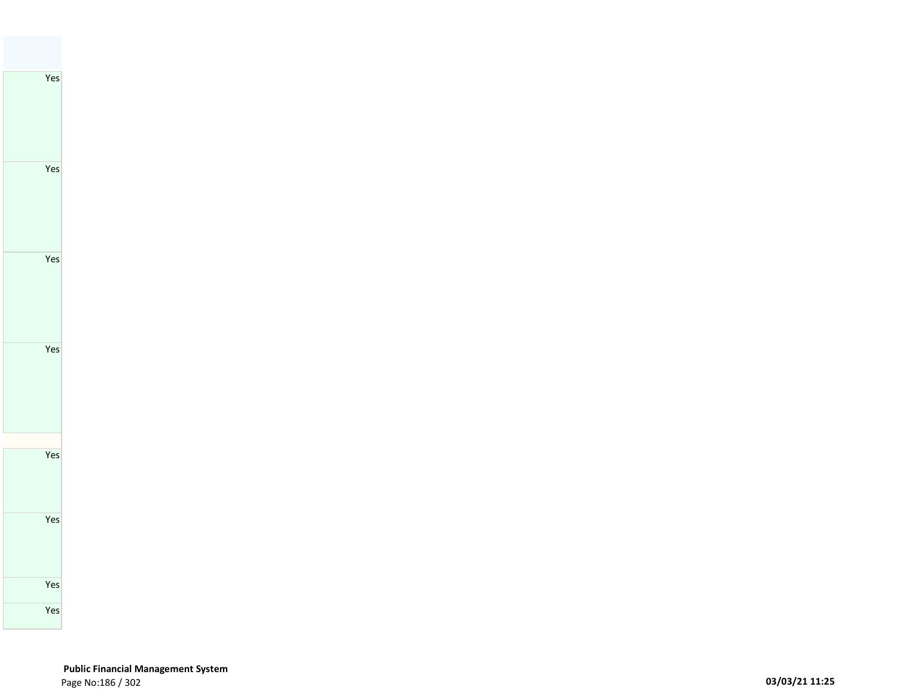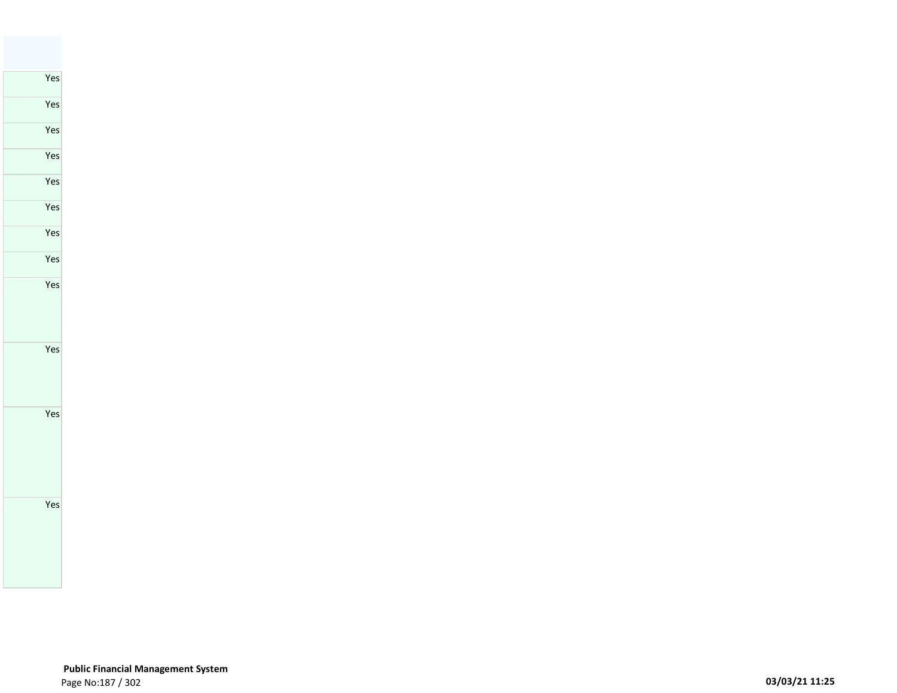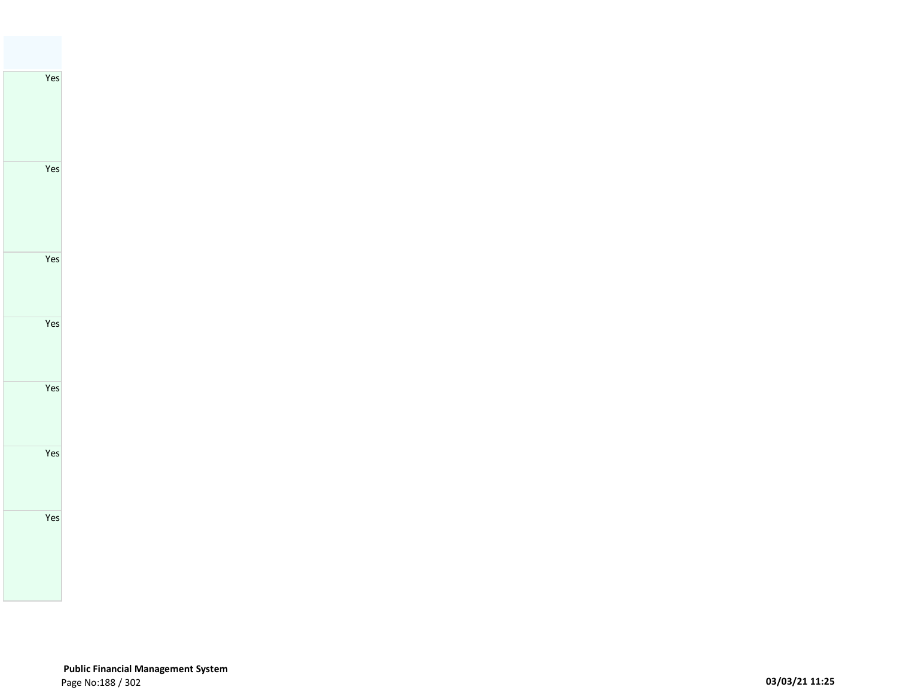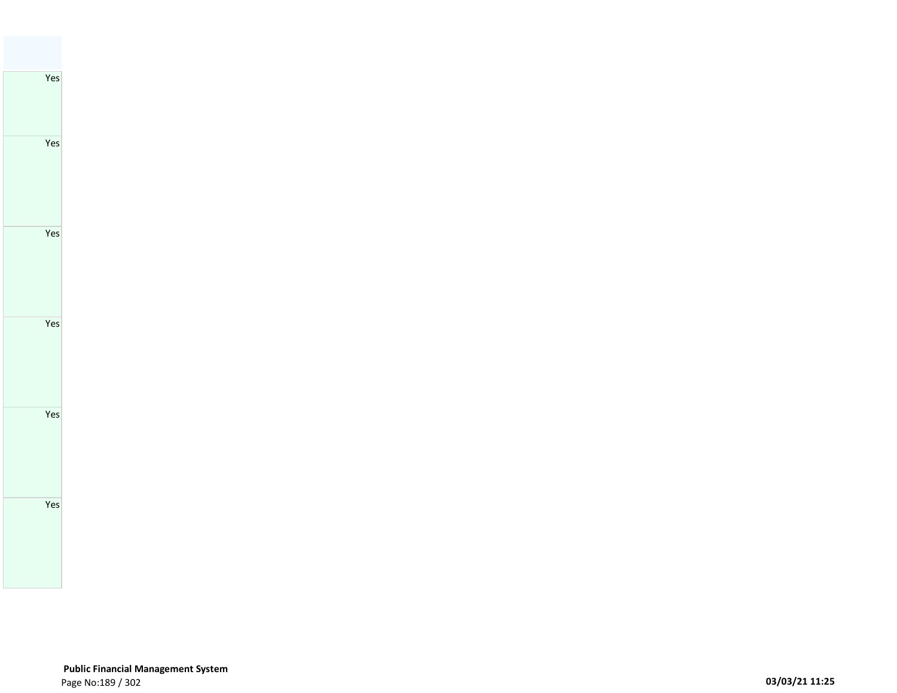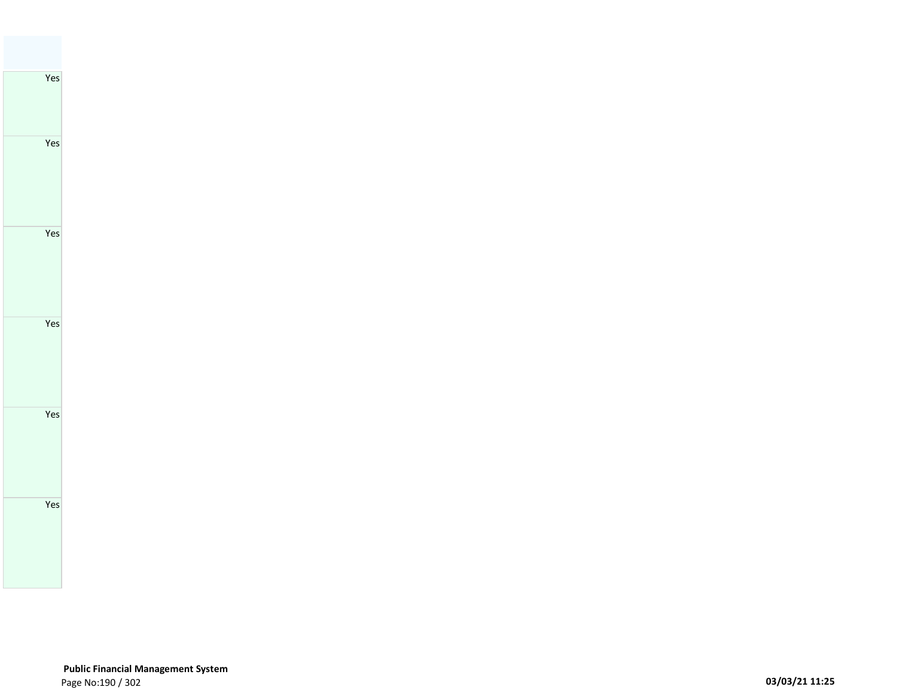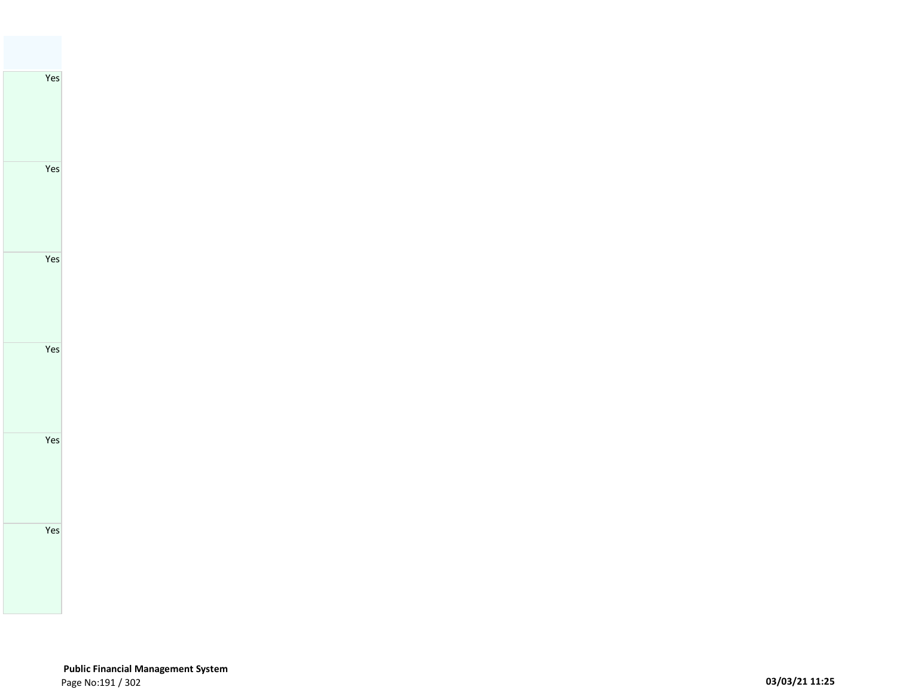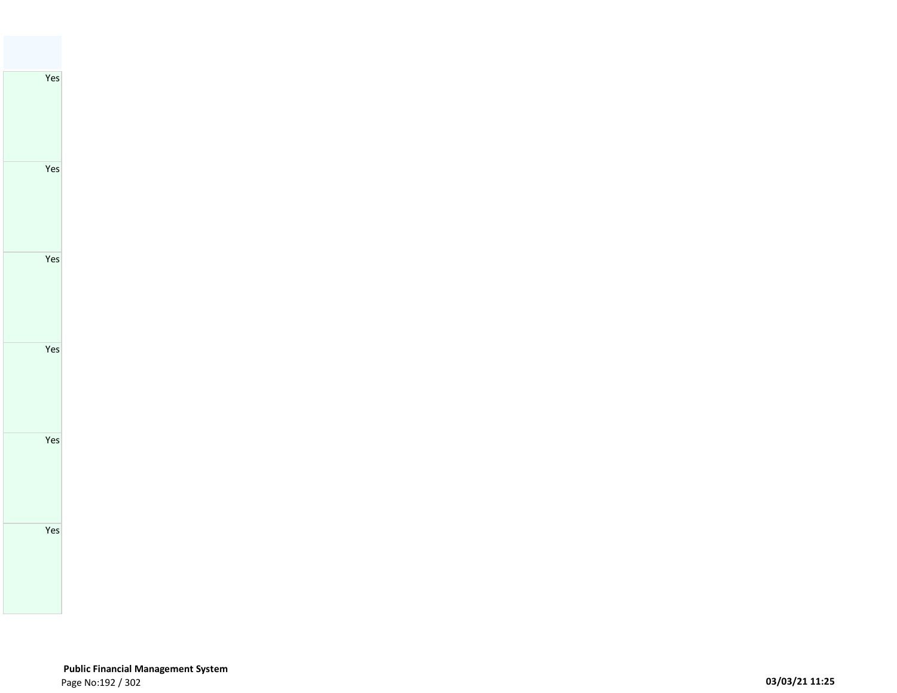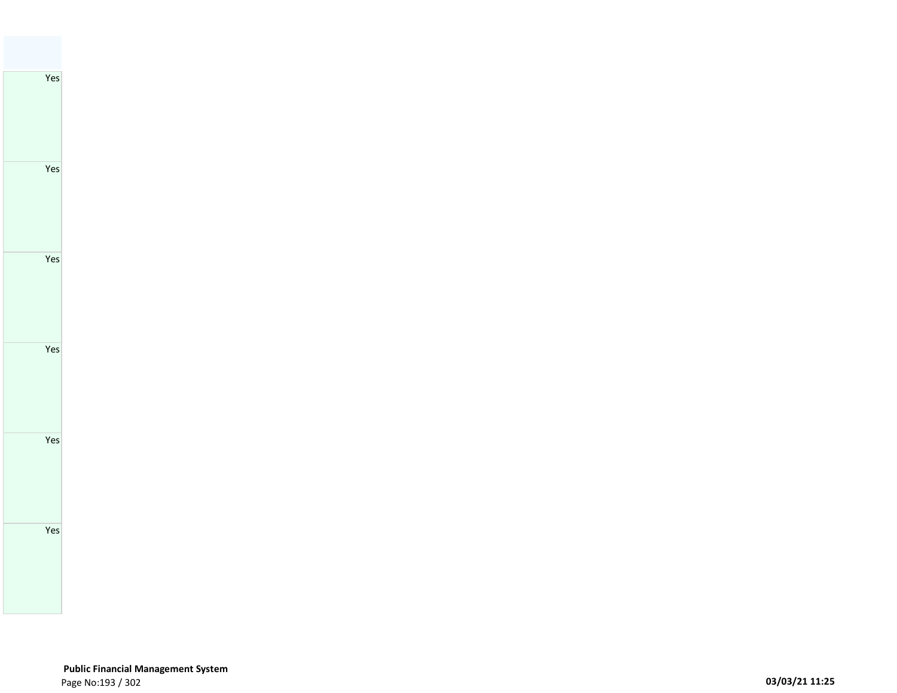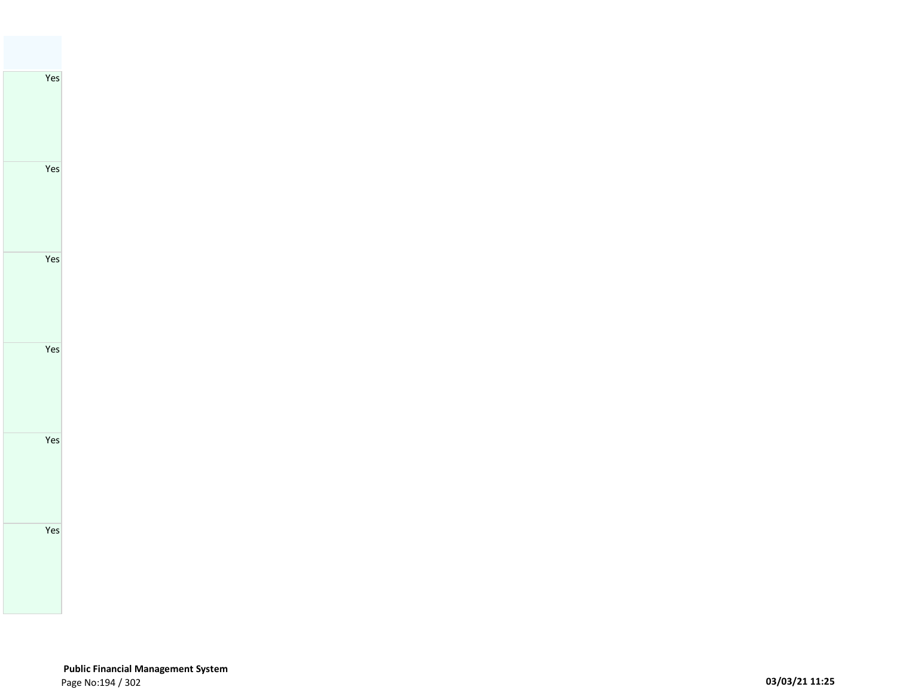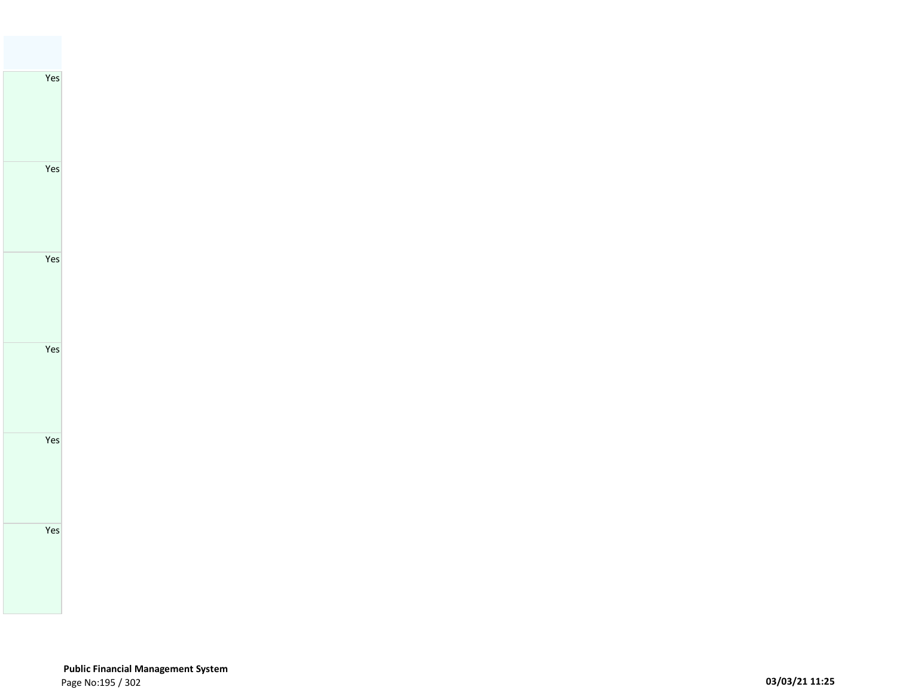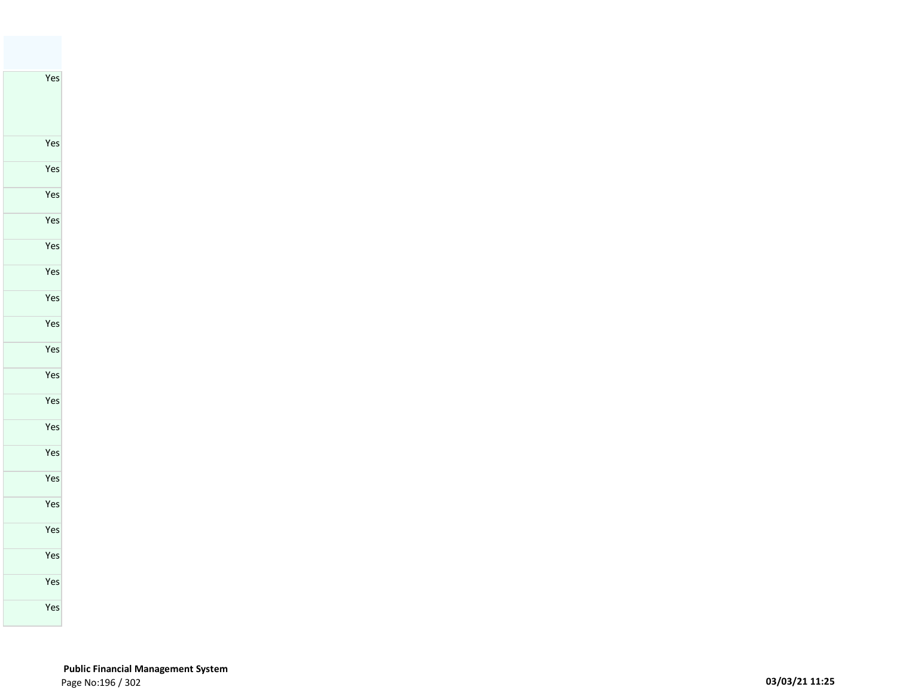Yes

## **Public Financial Management System**  Page No:196 / 302 **03/03/21 11:25**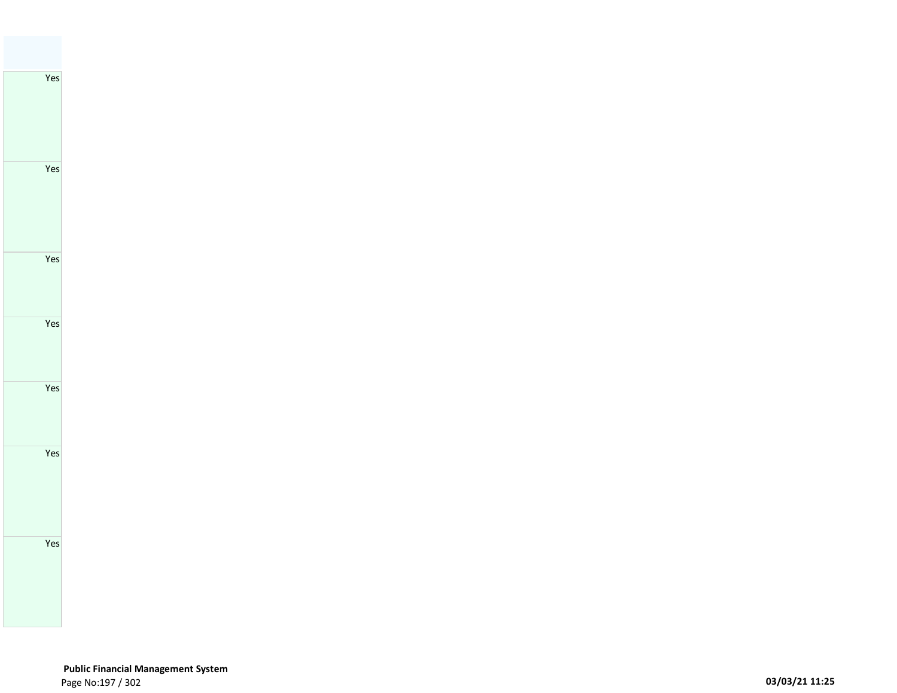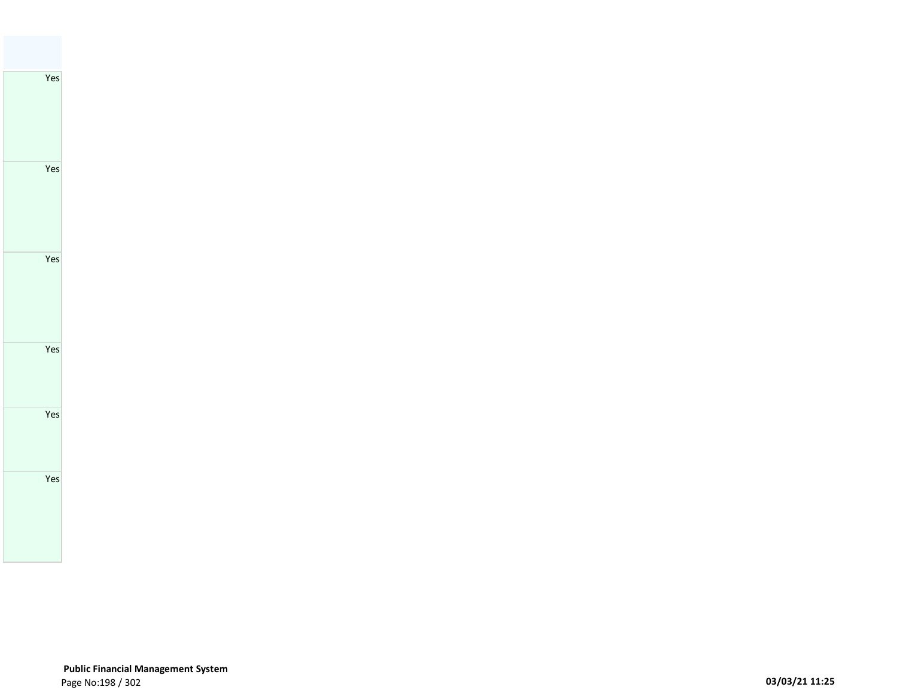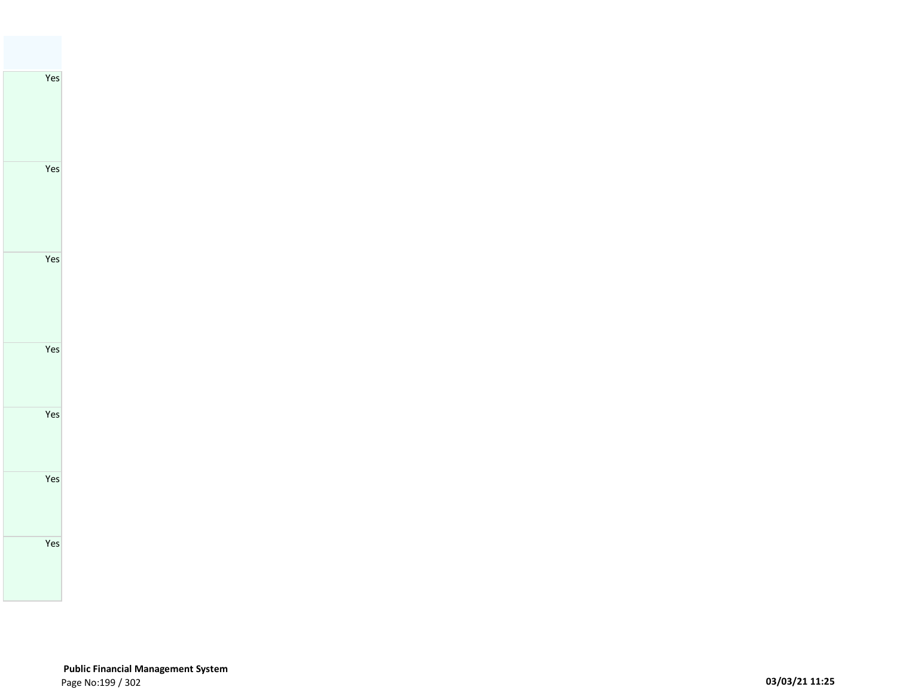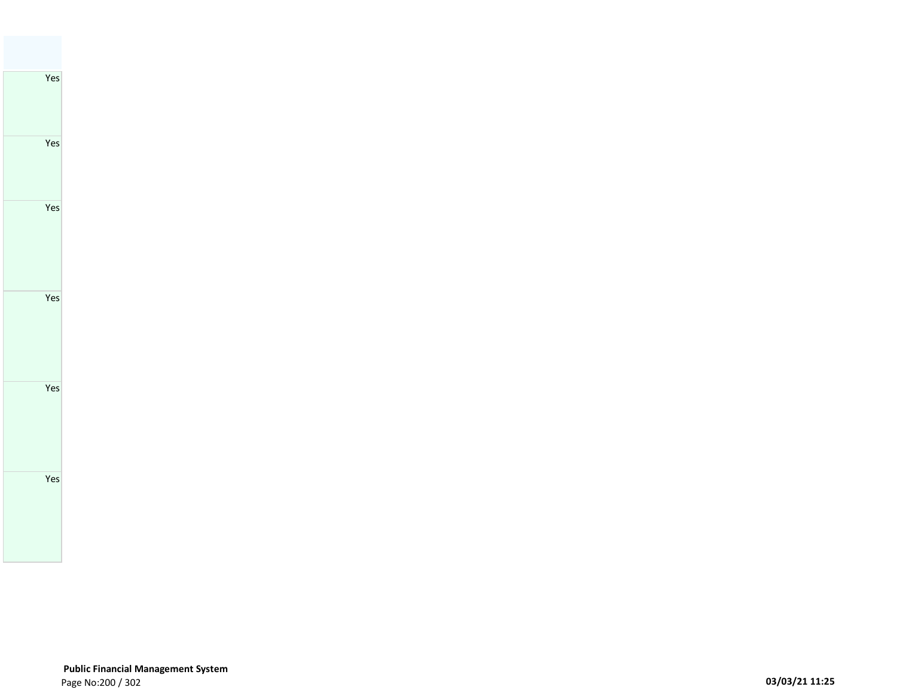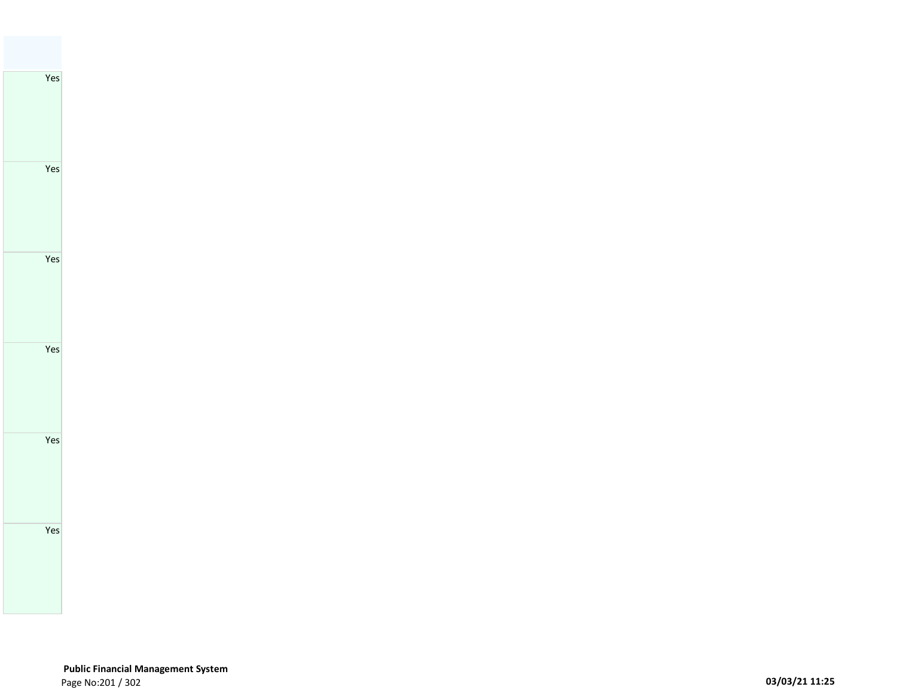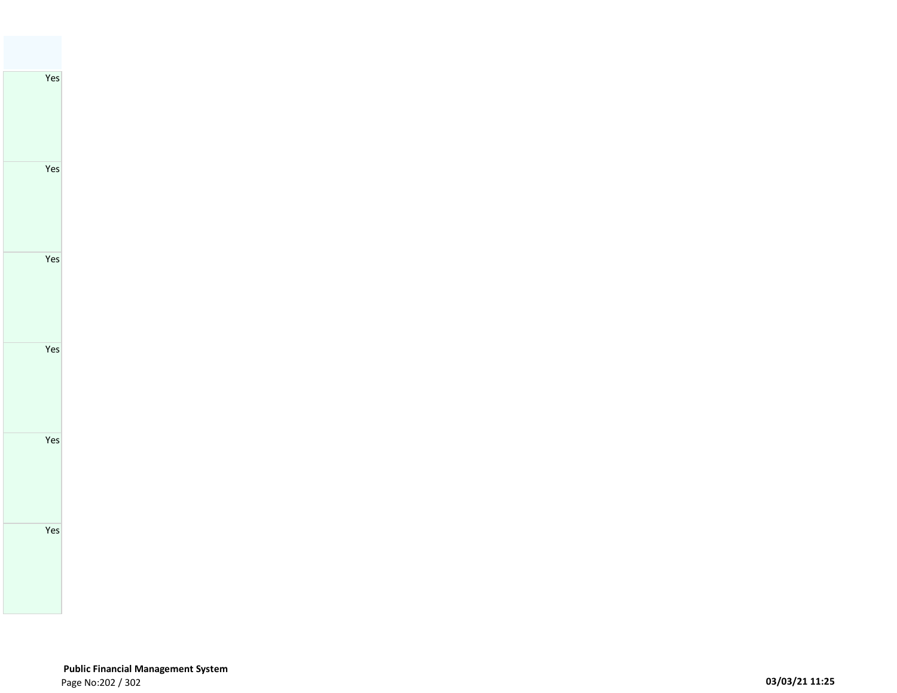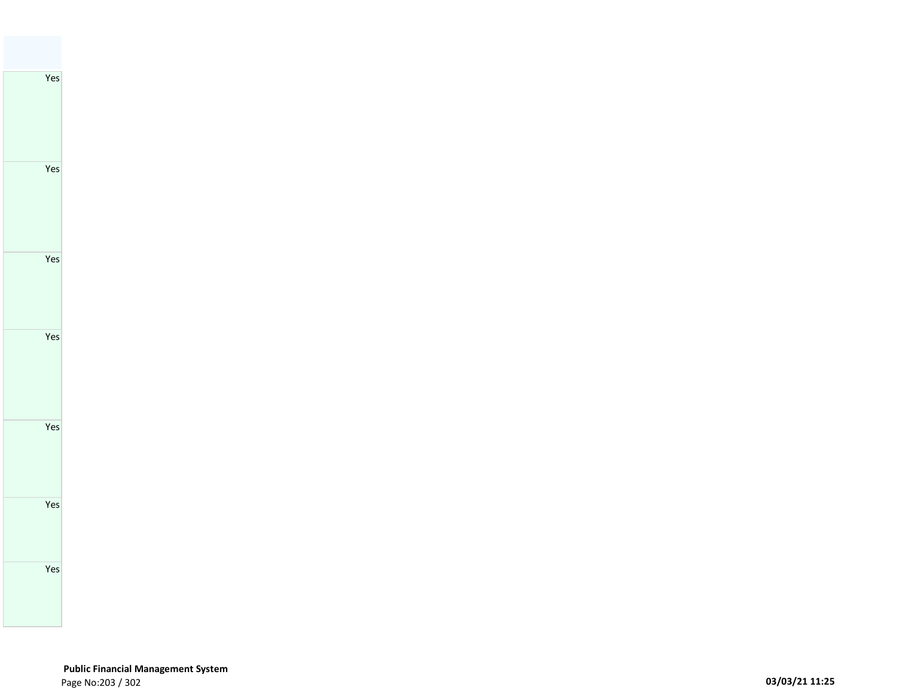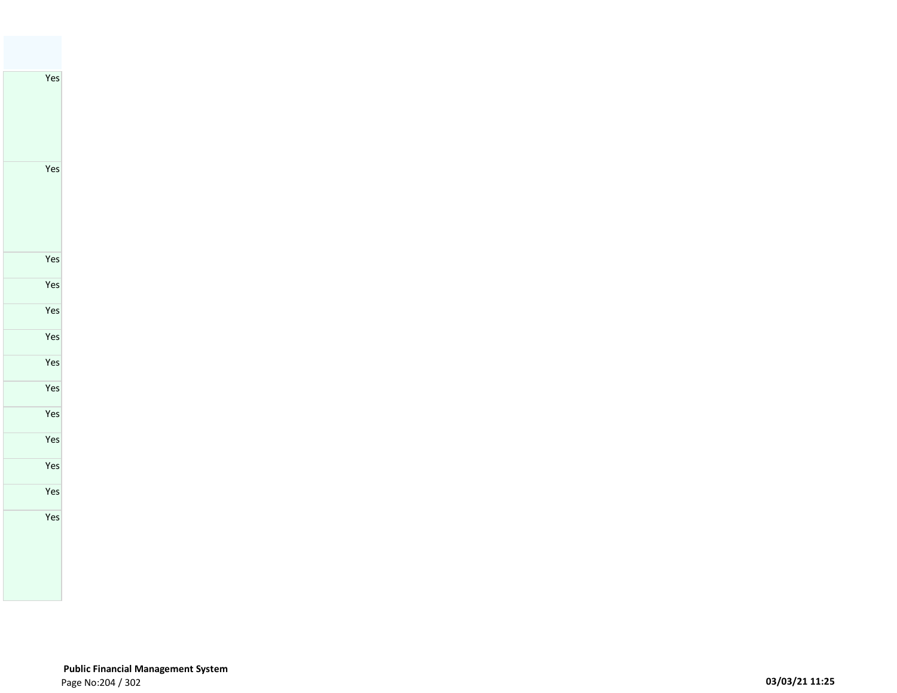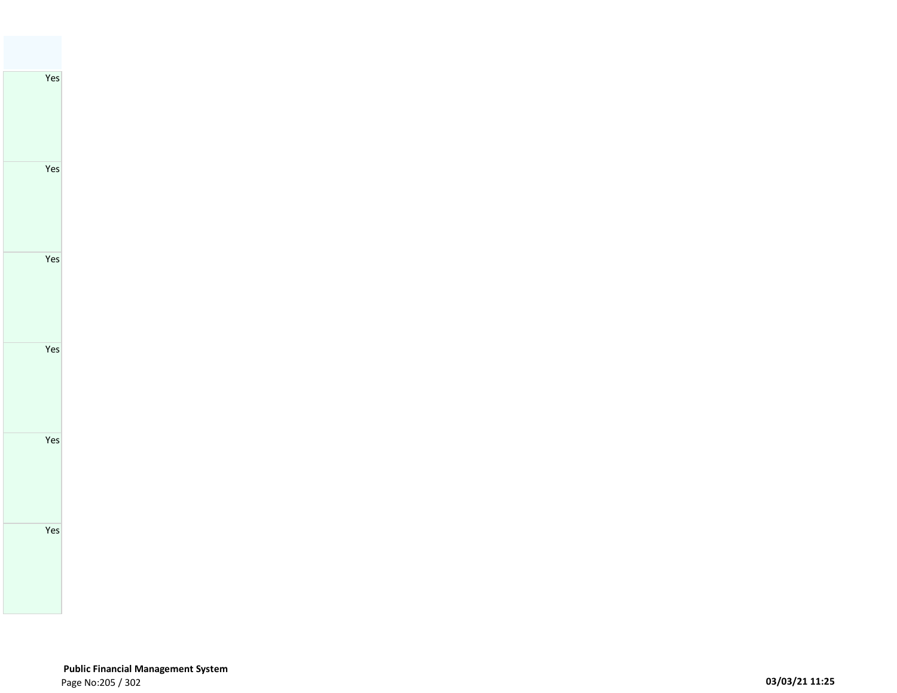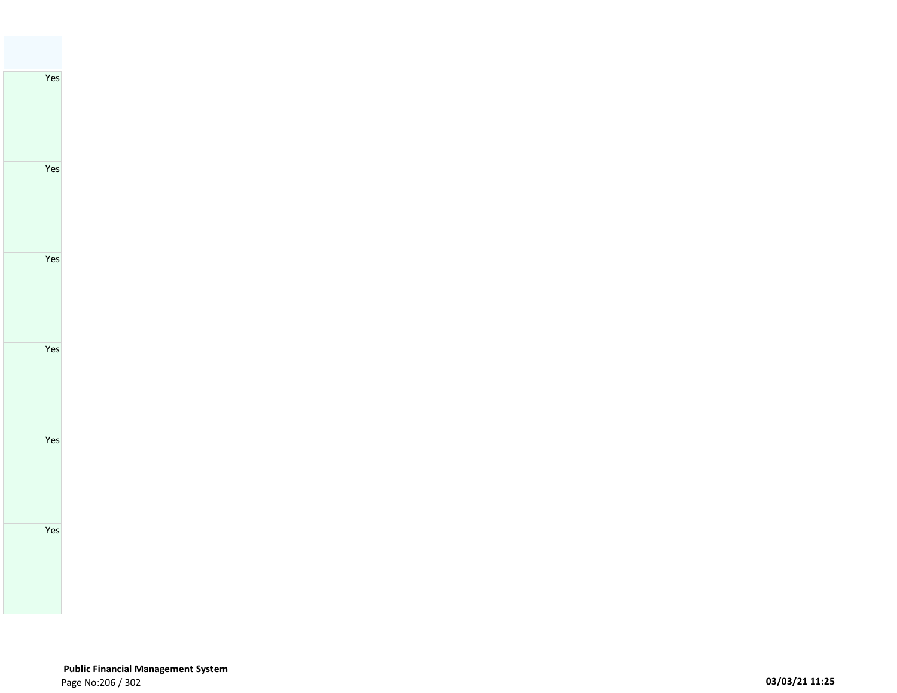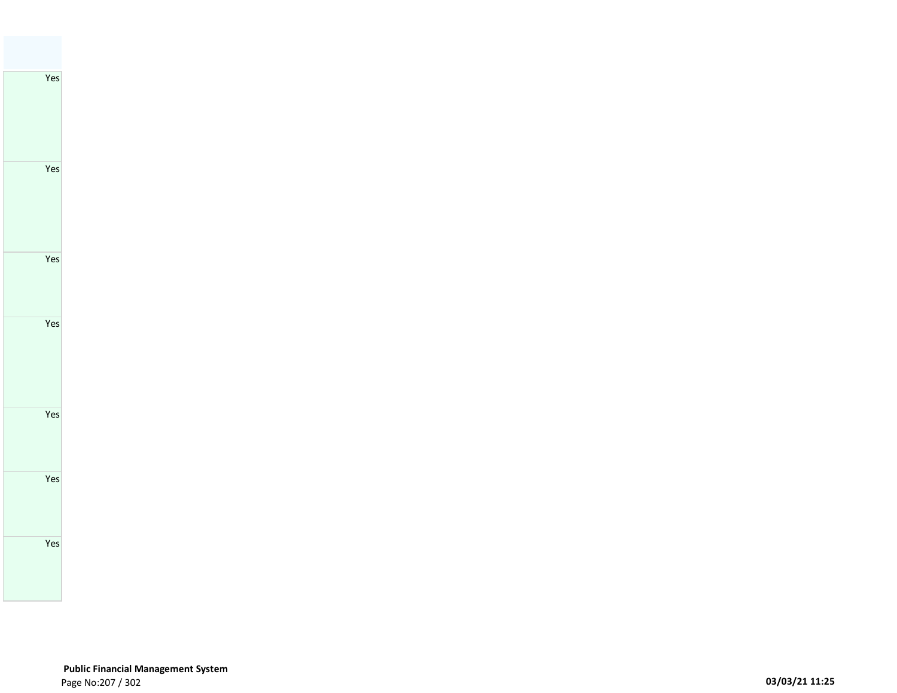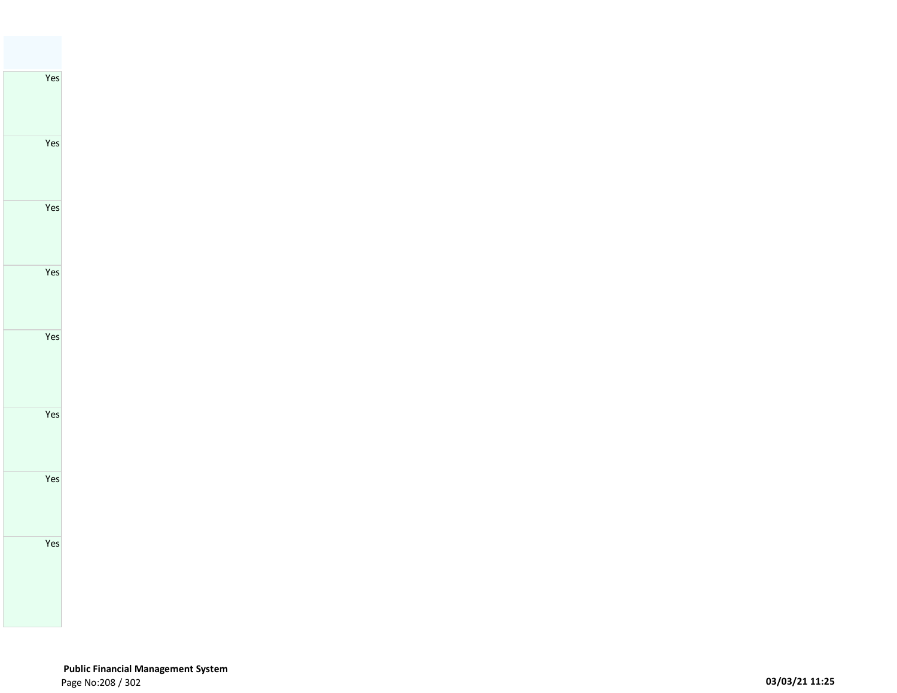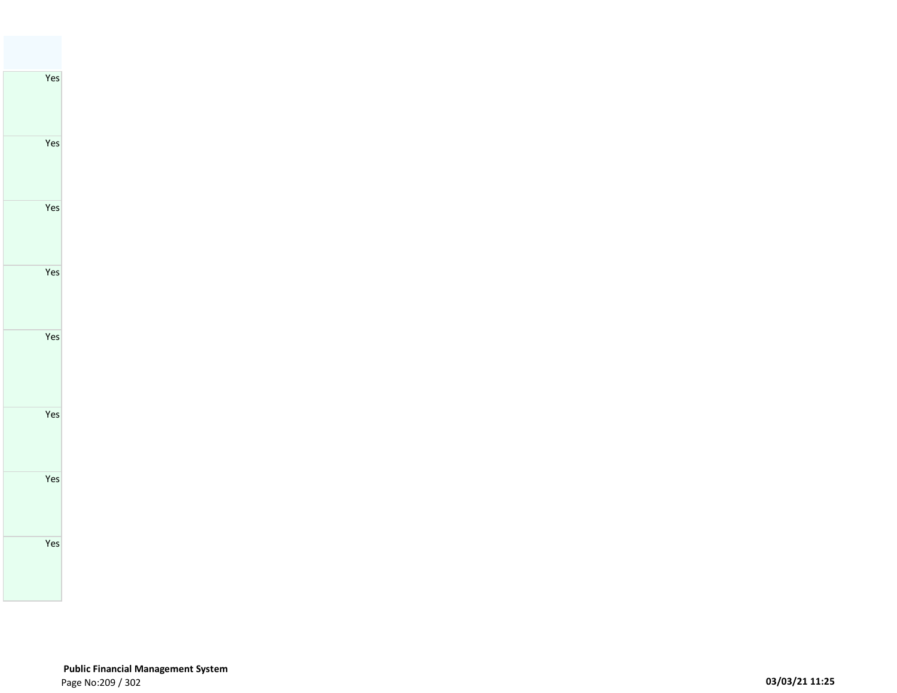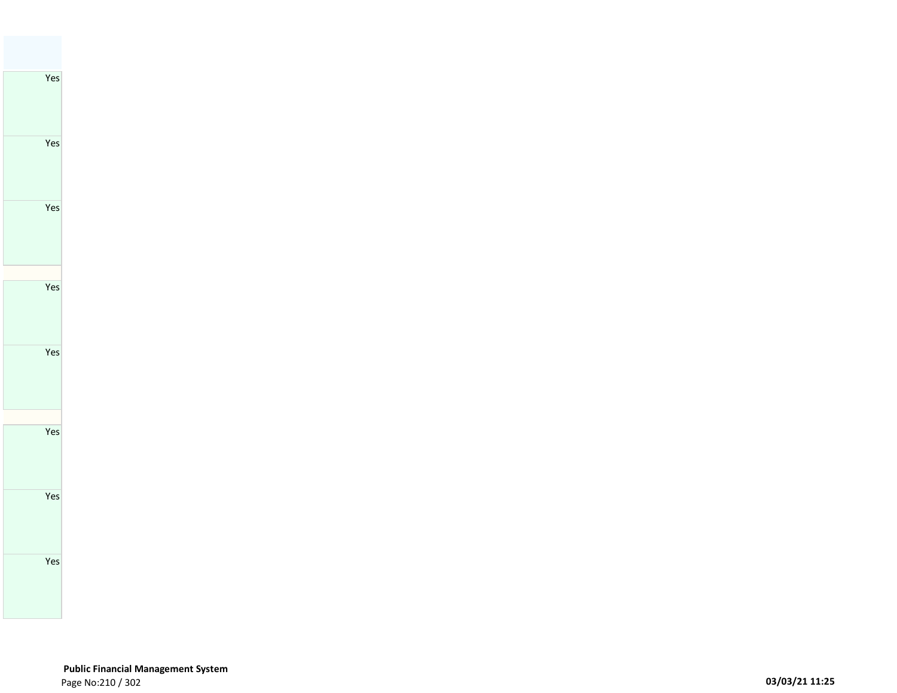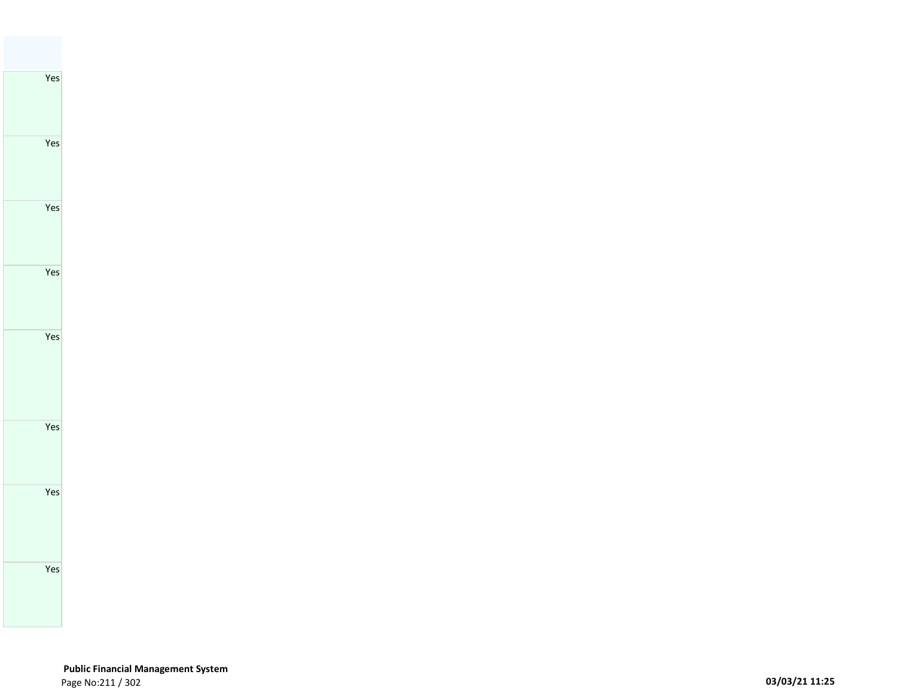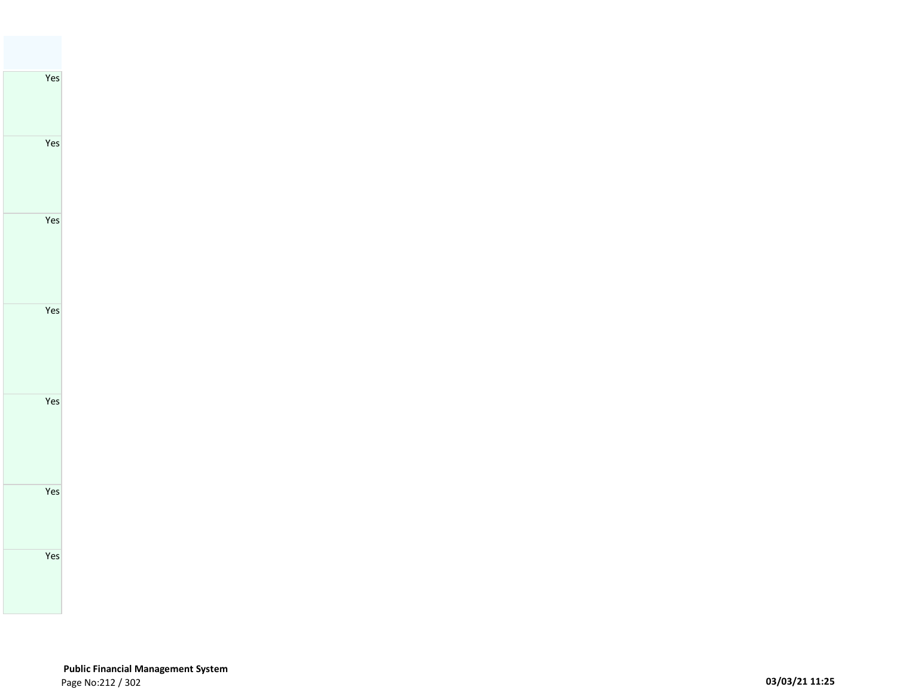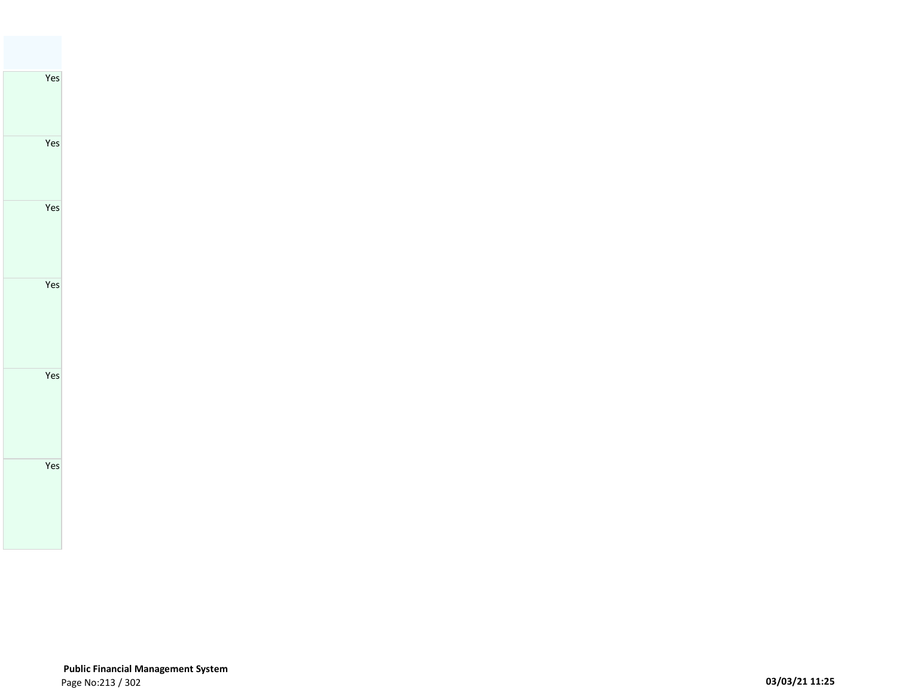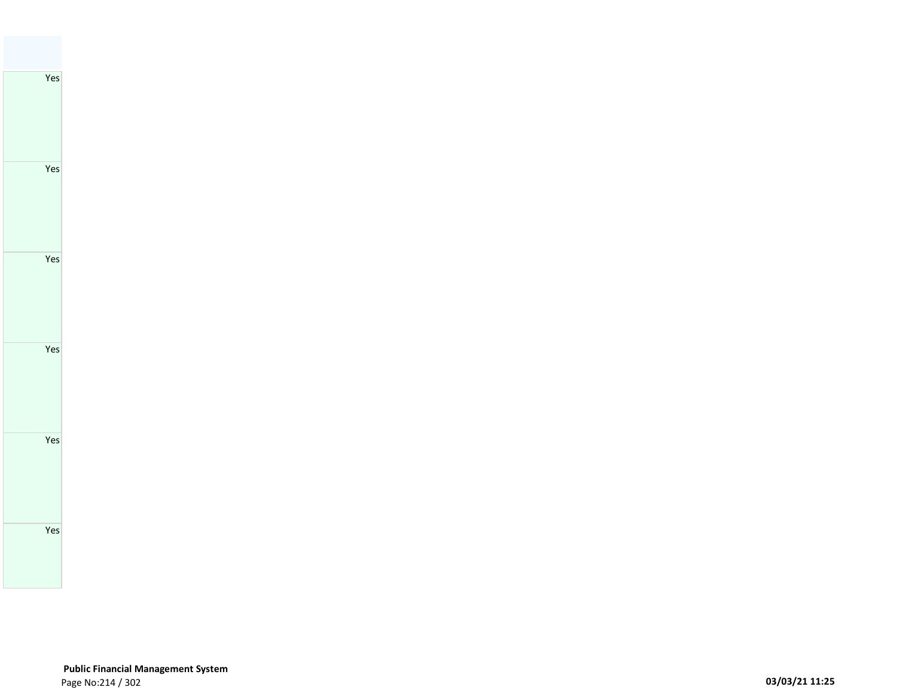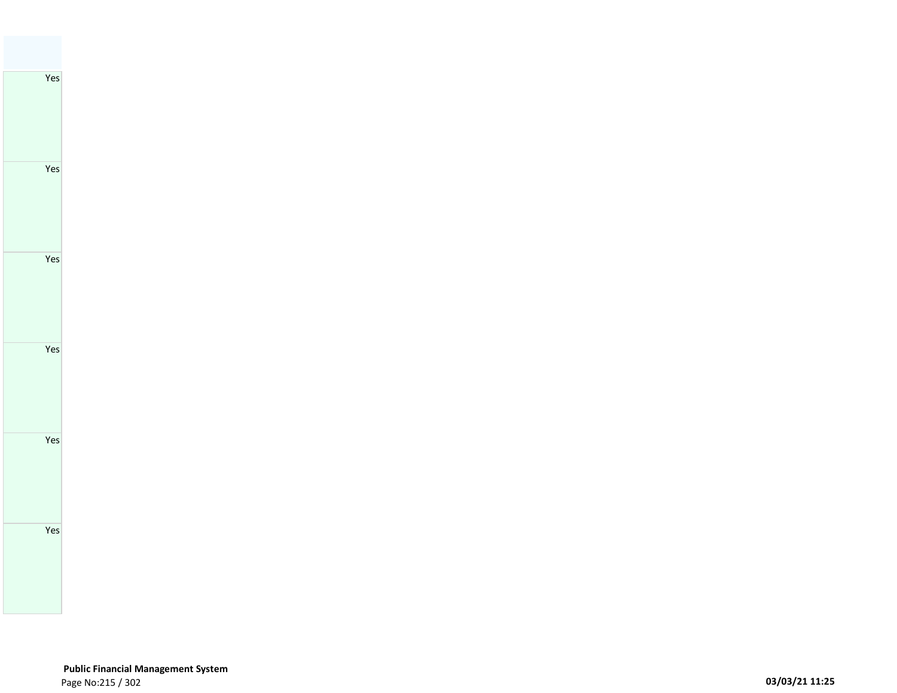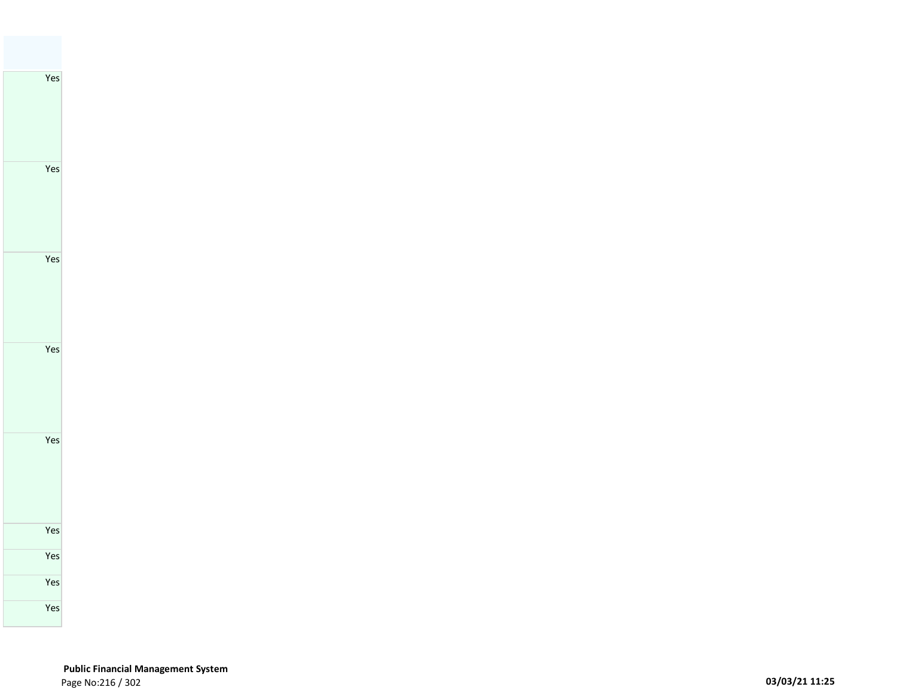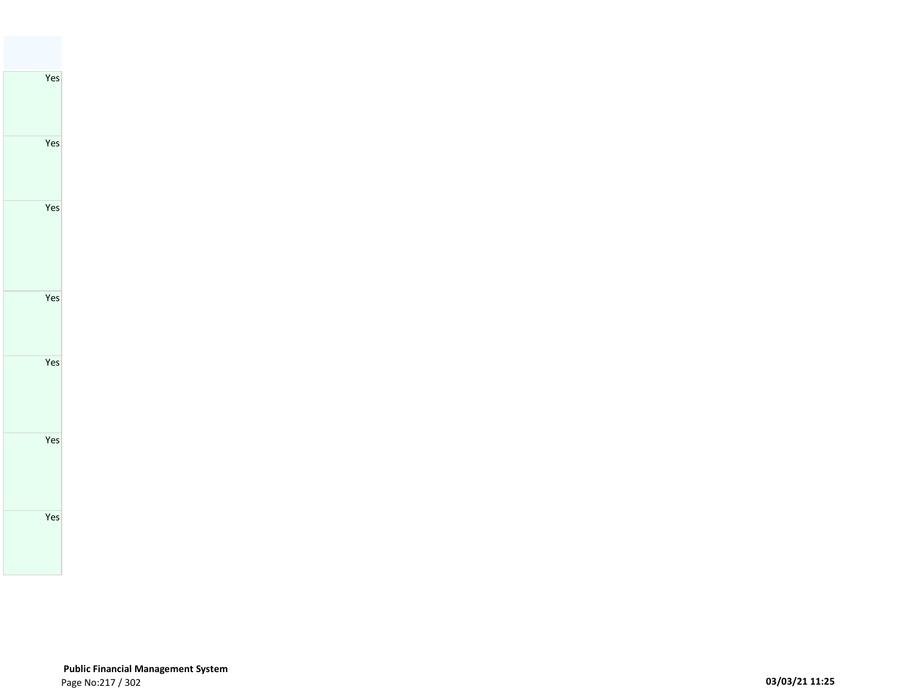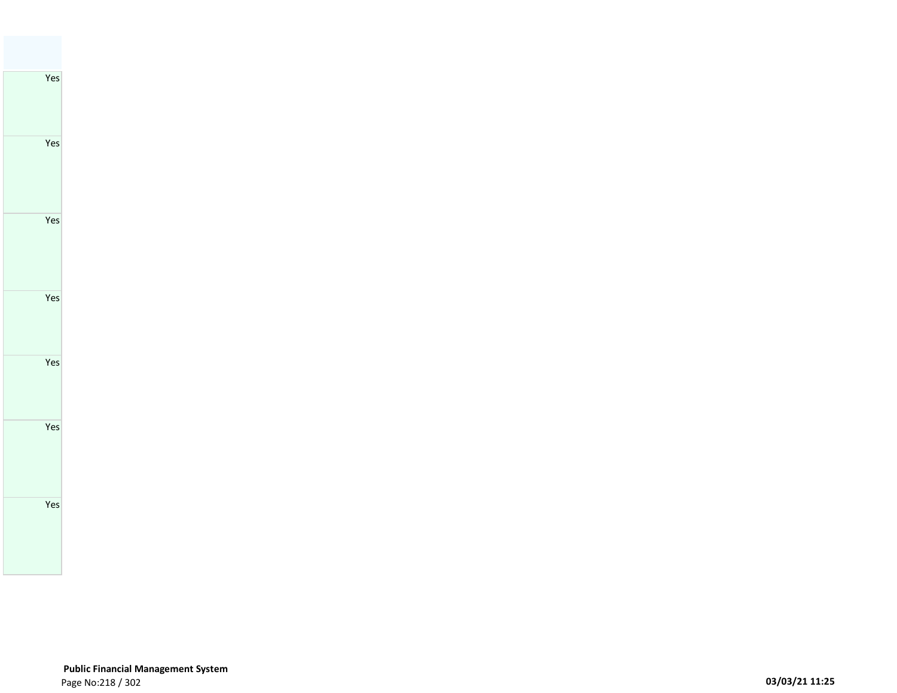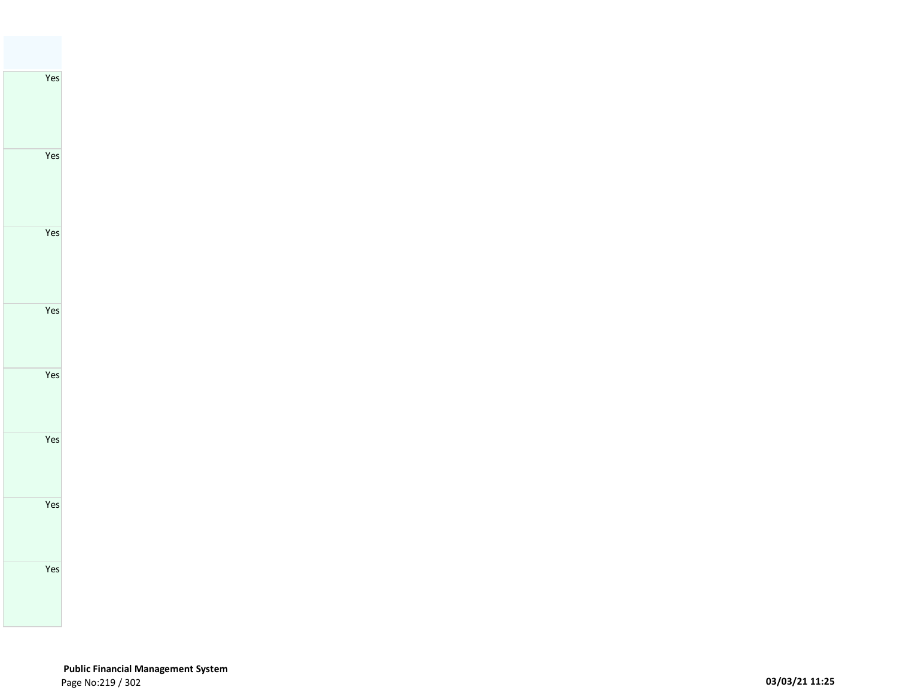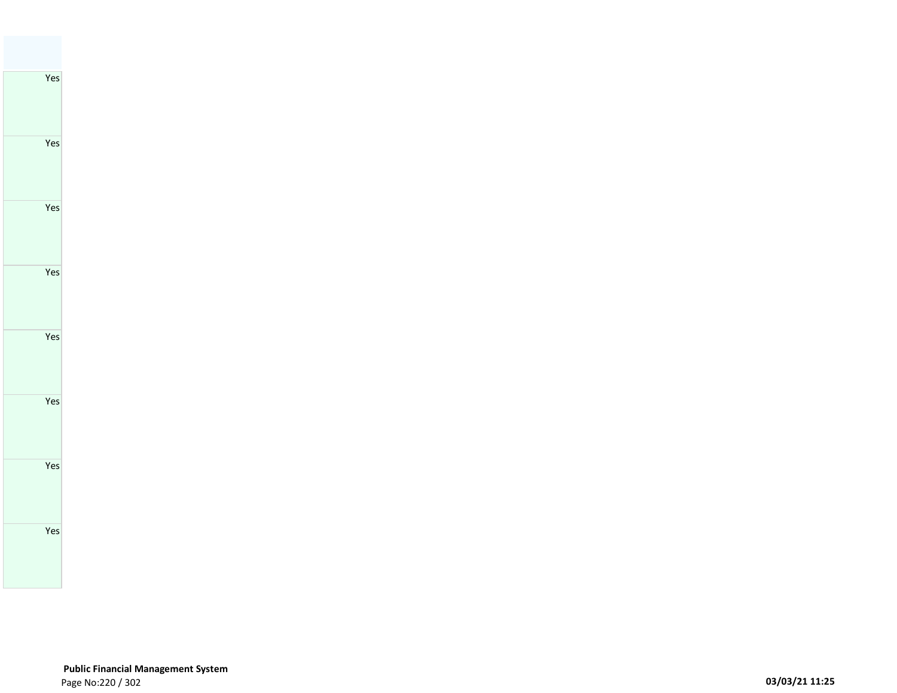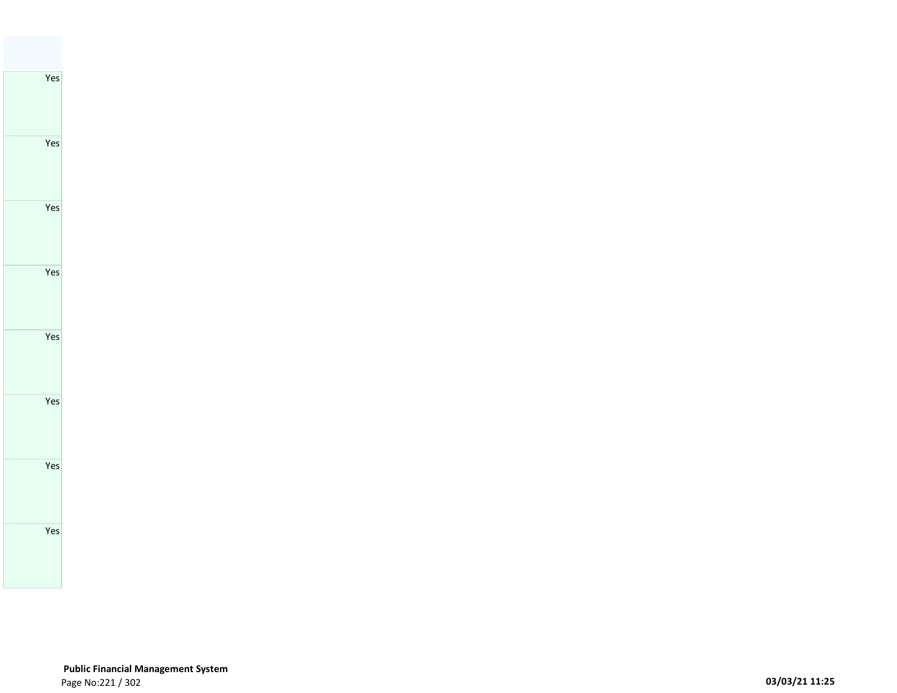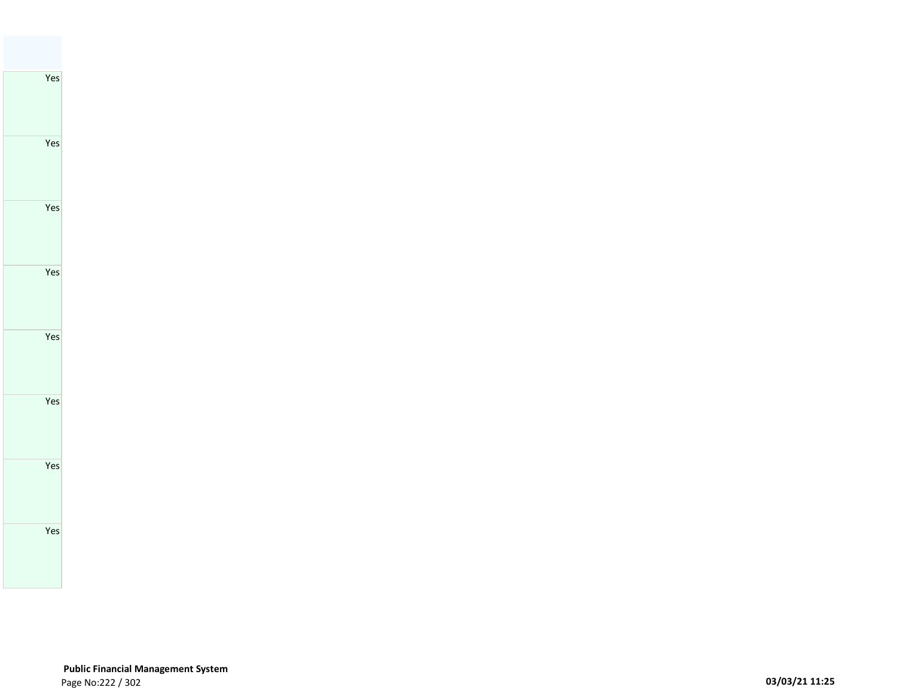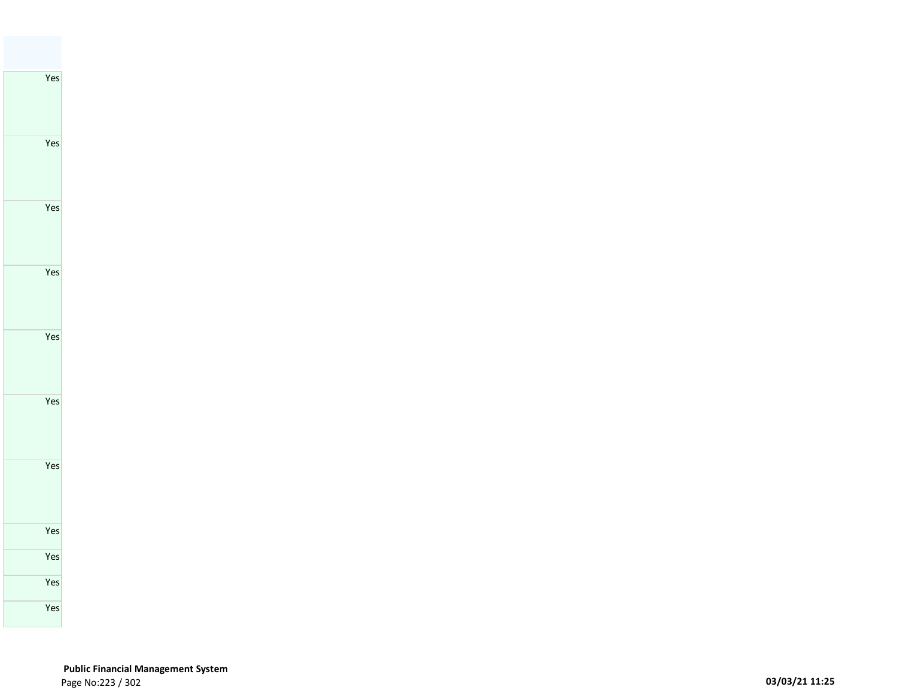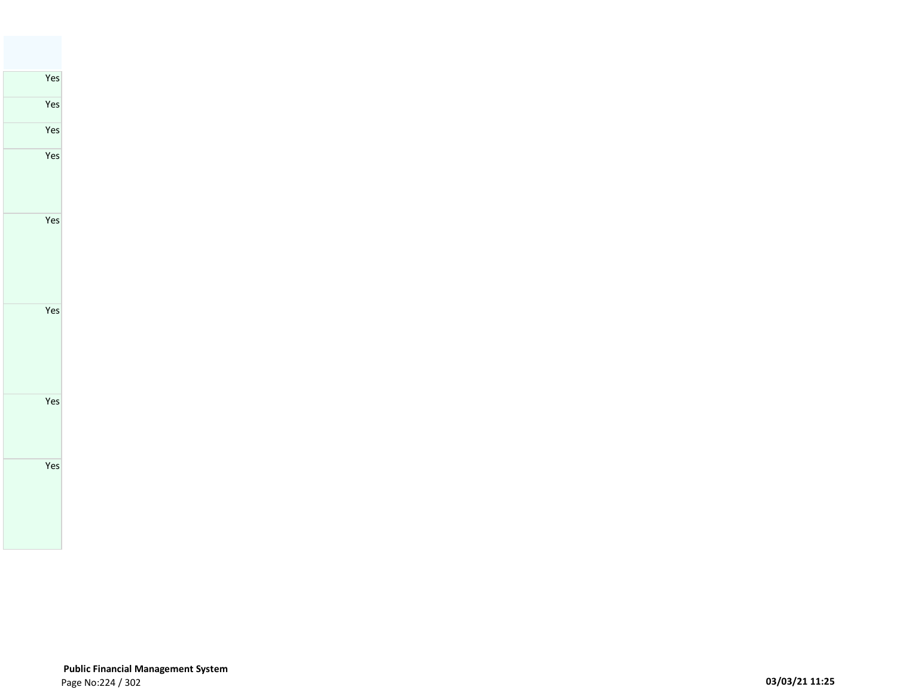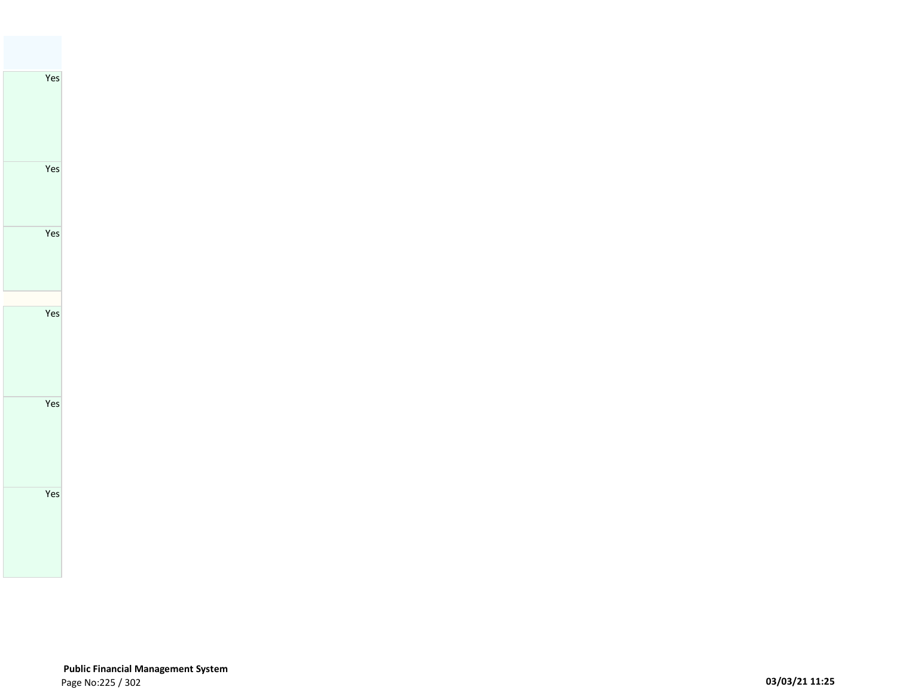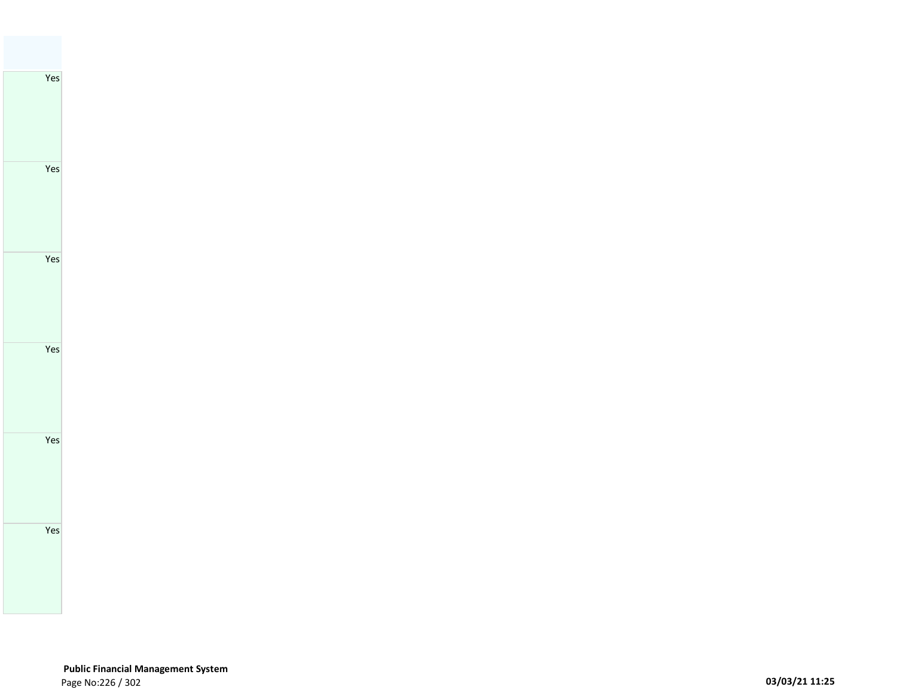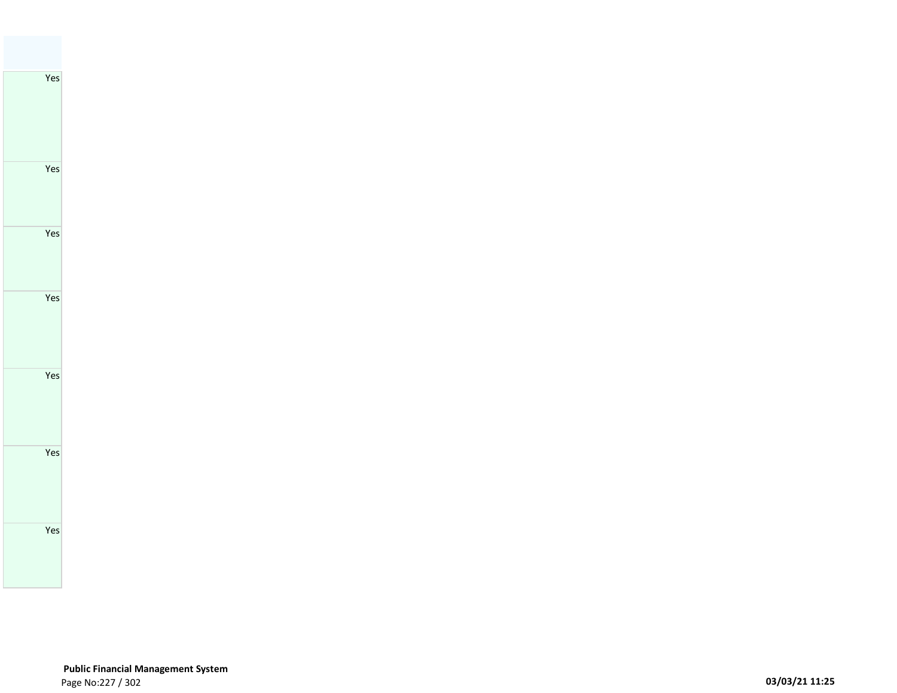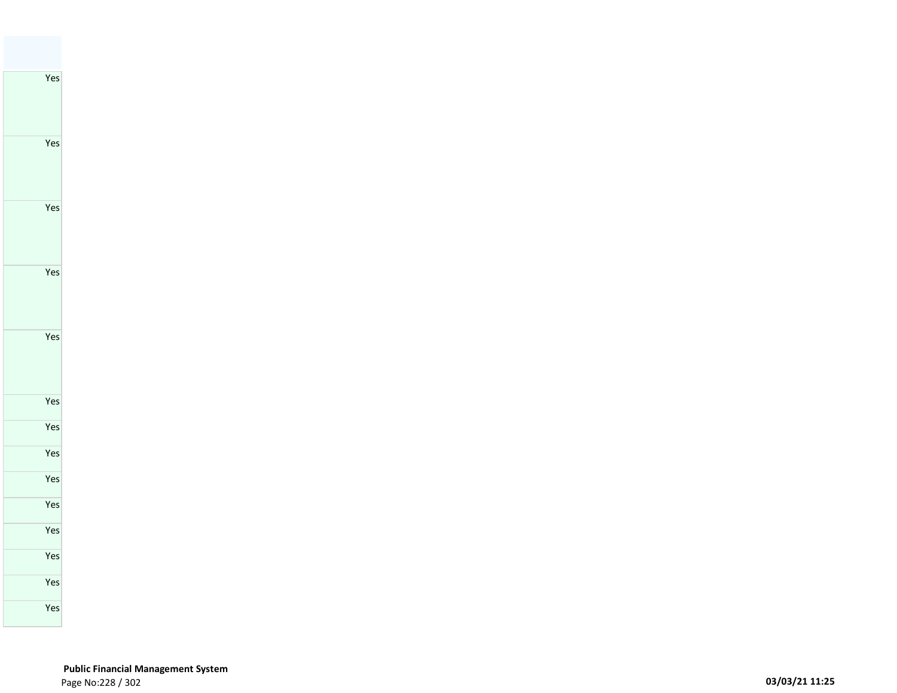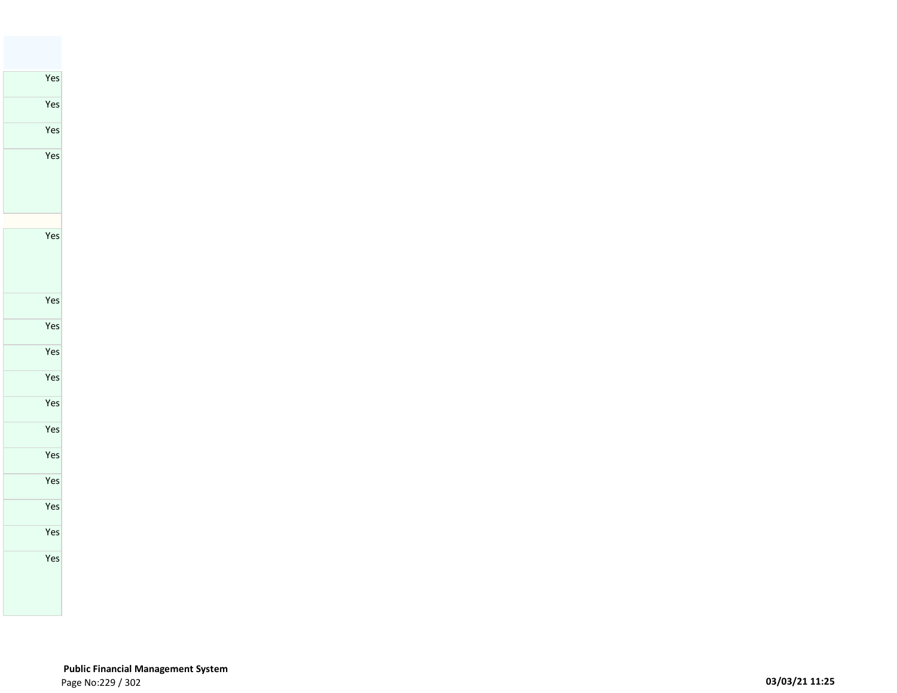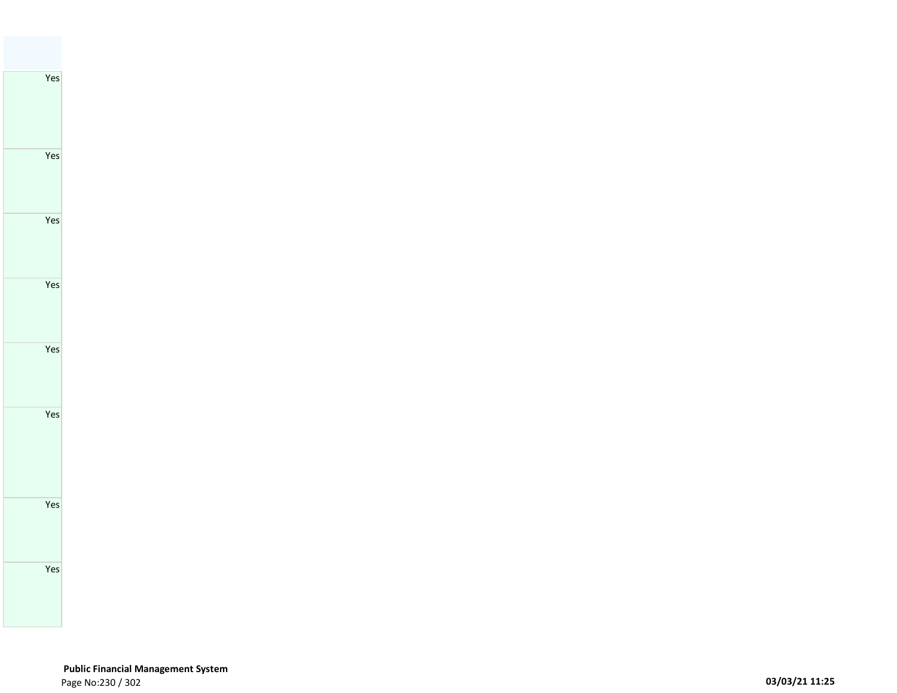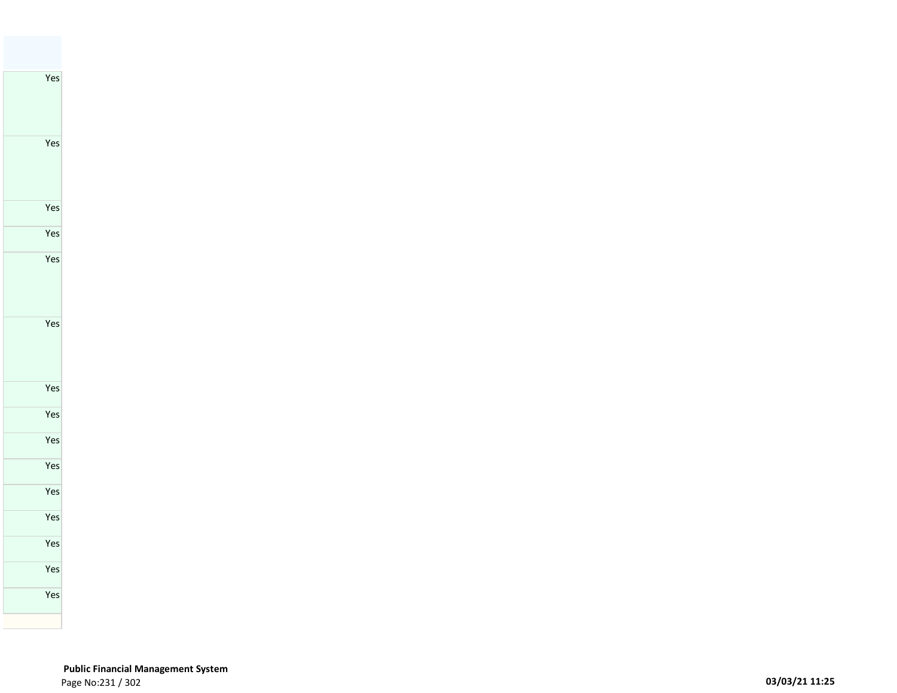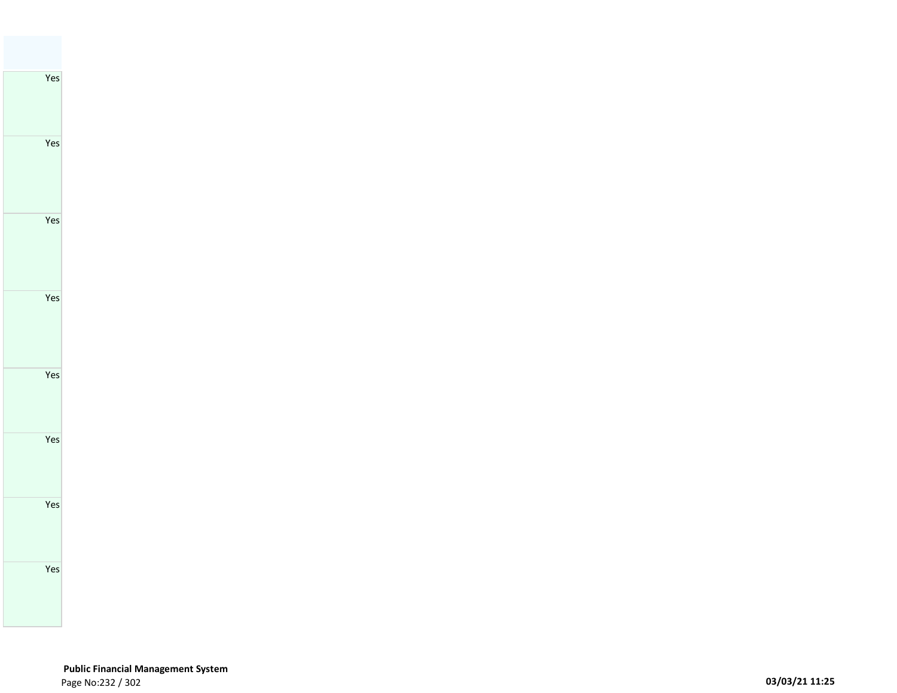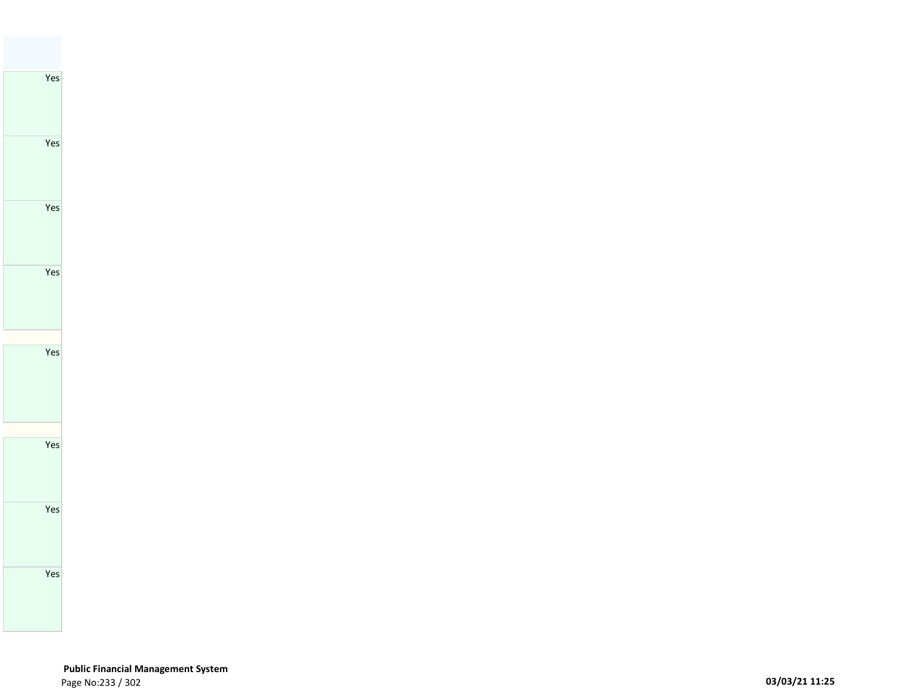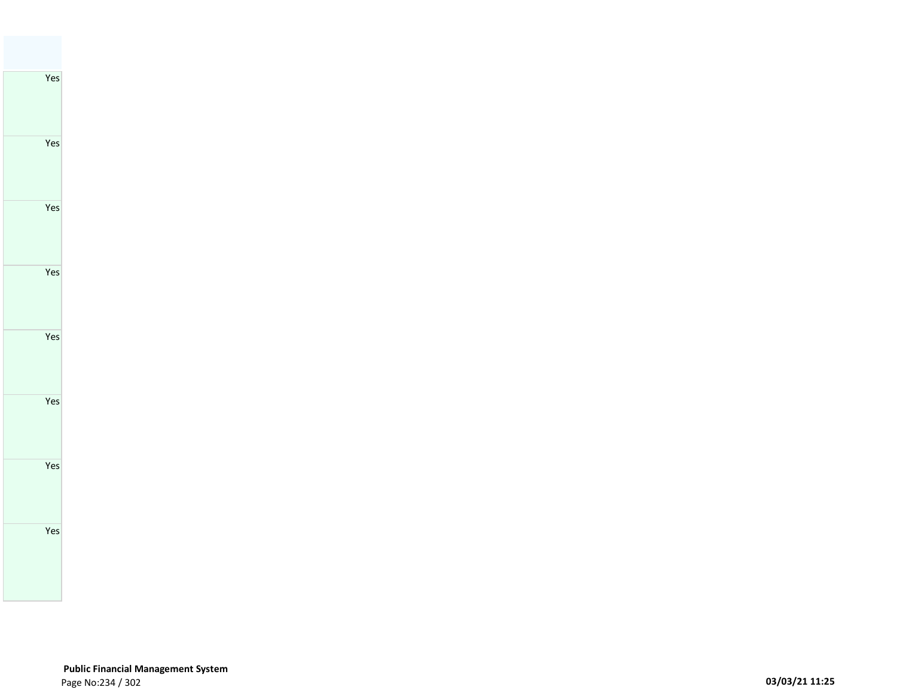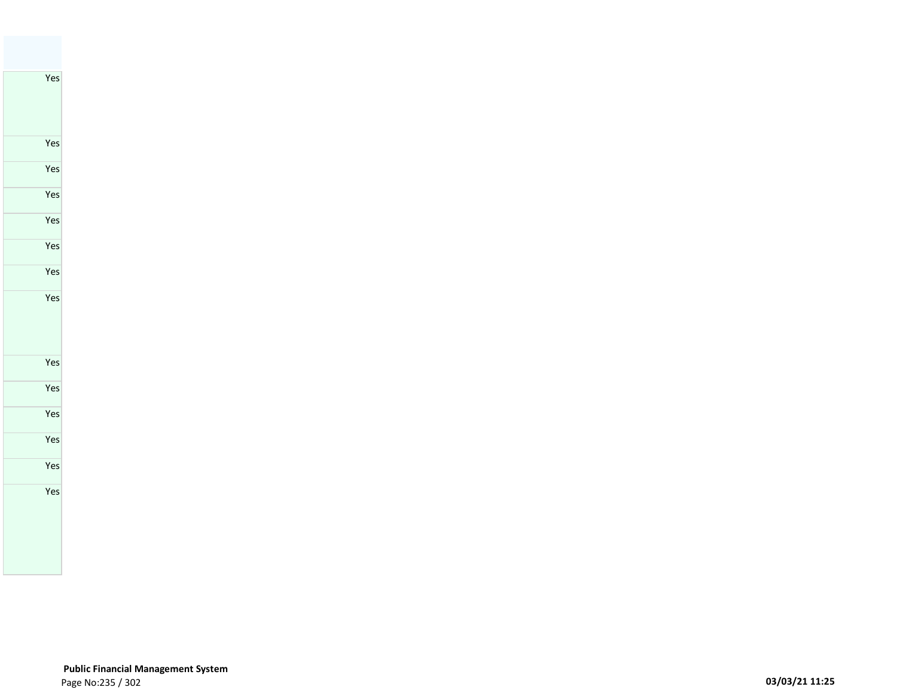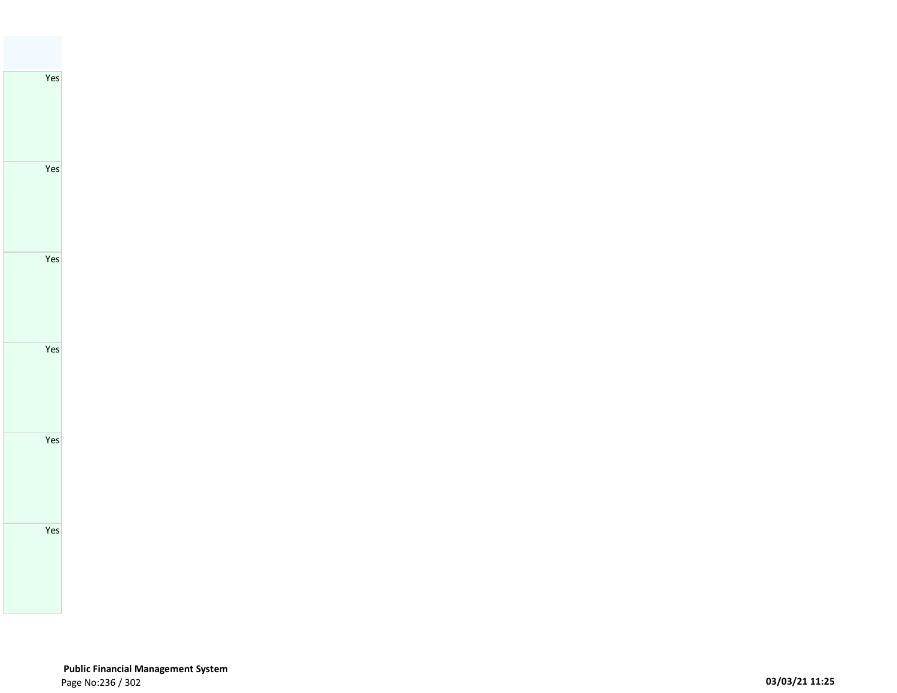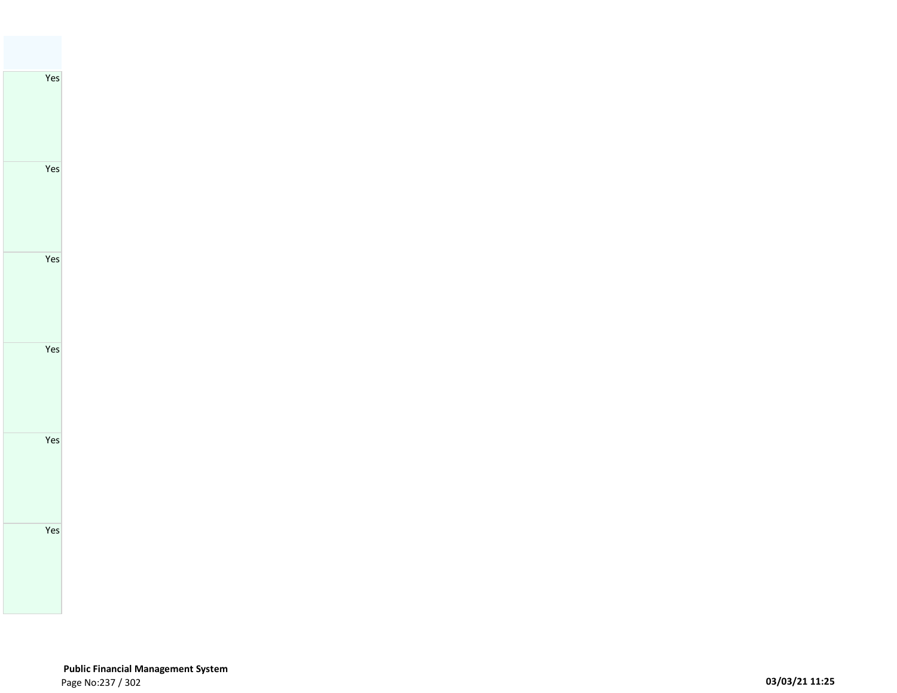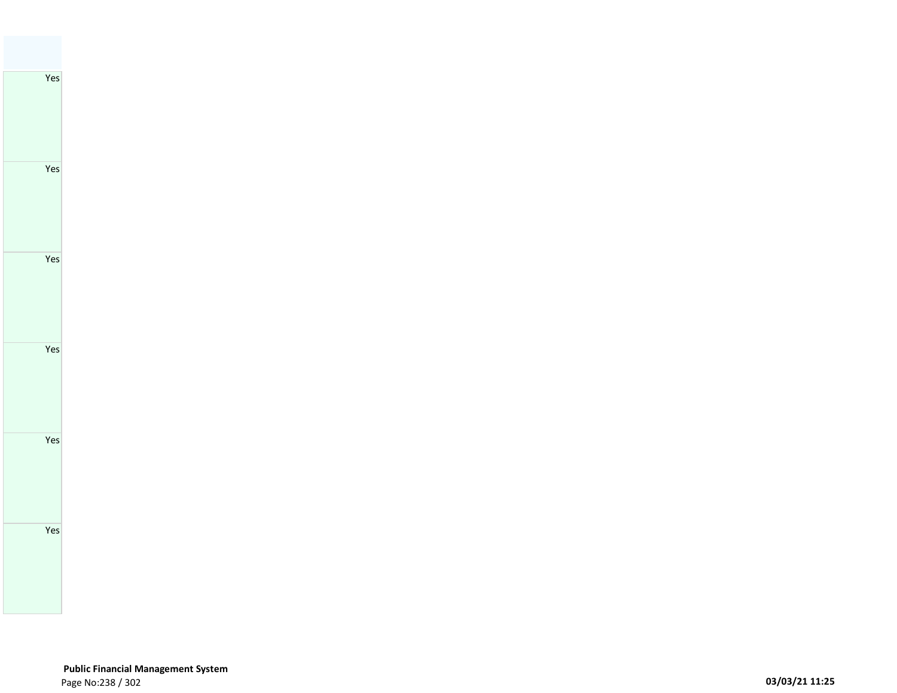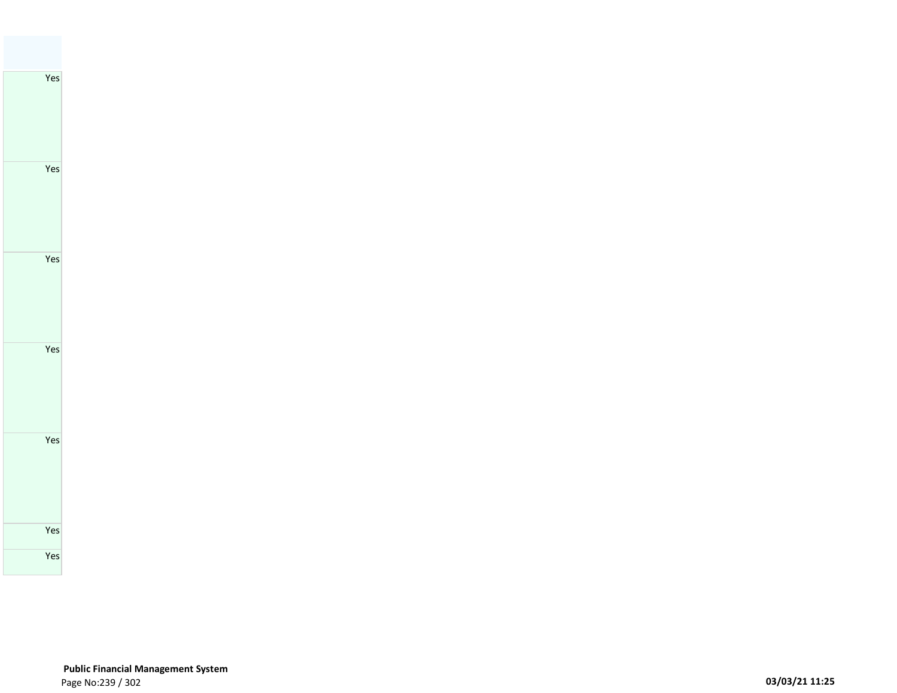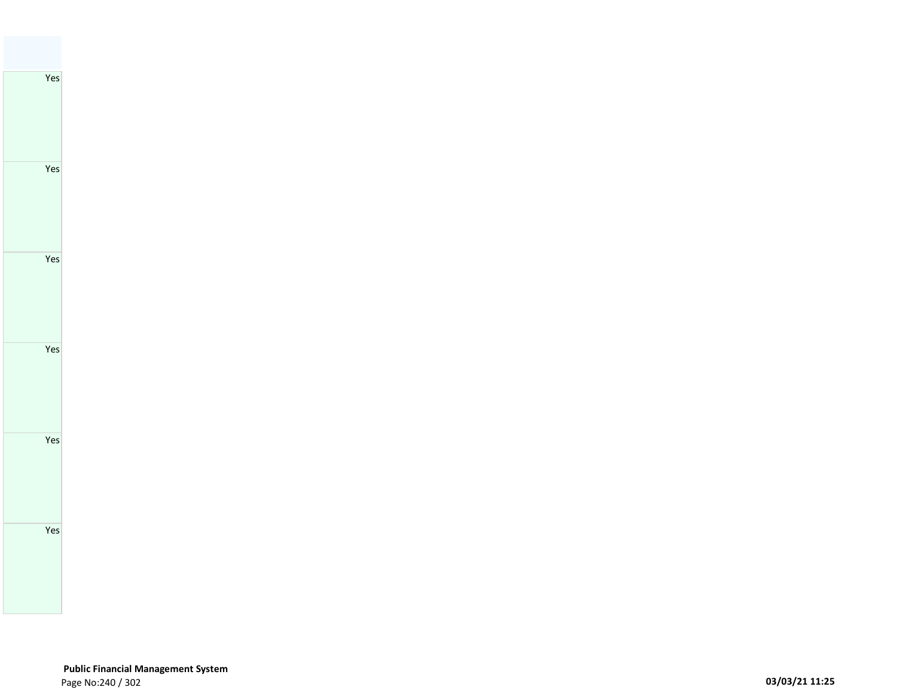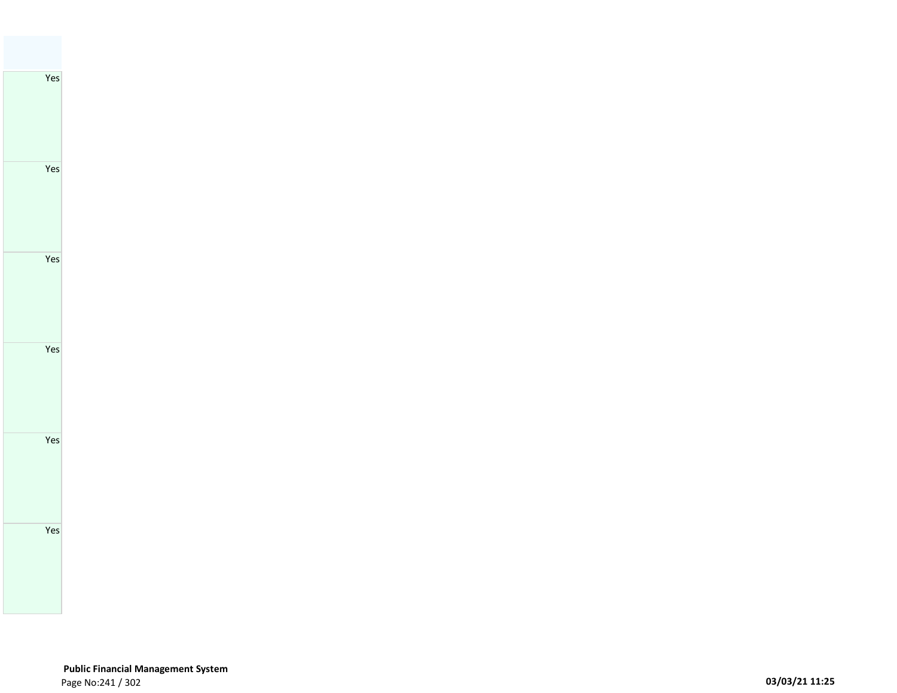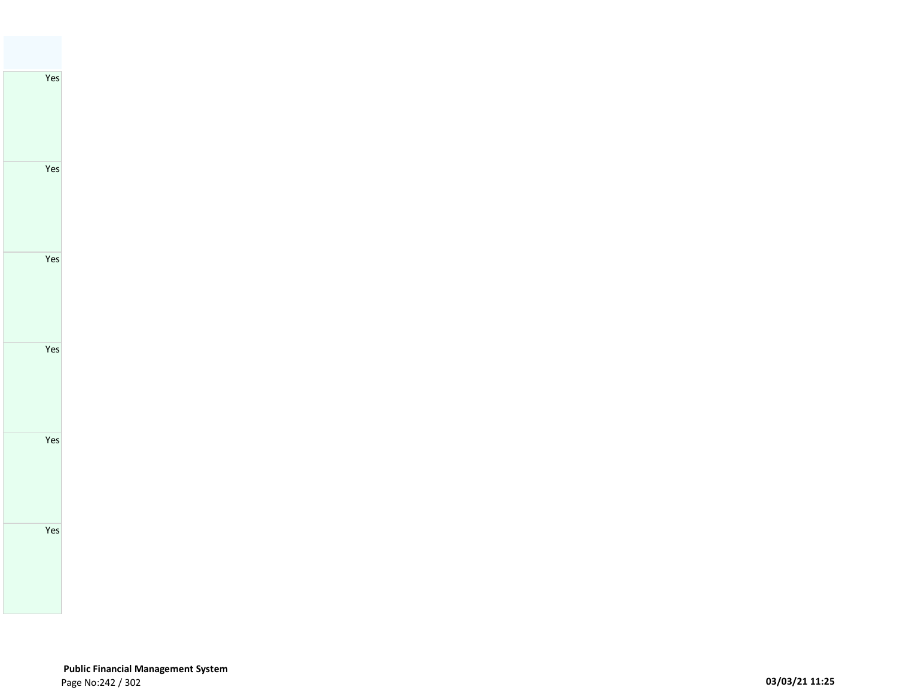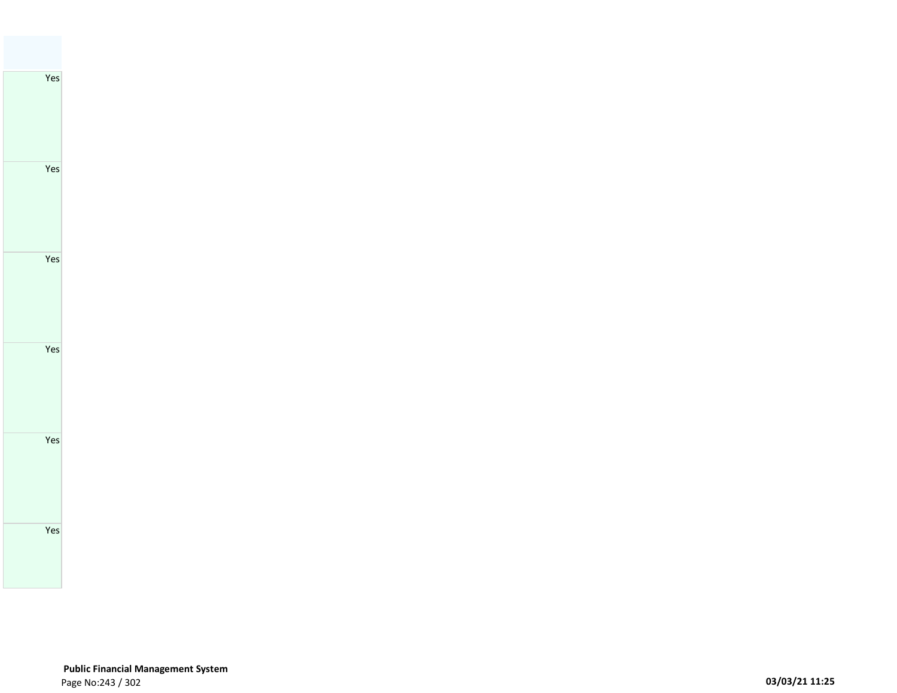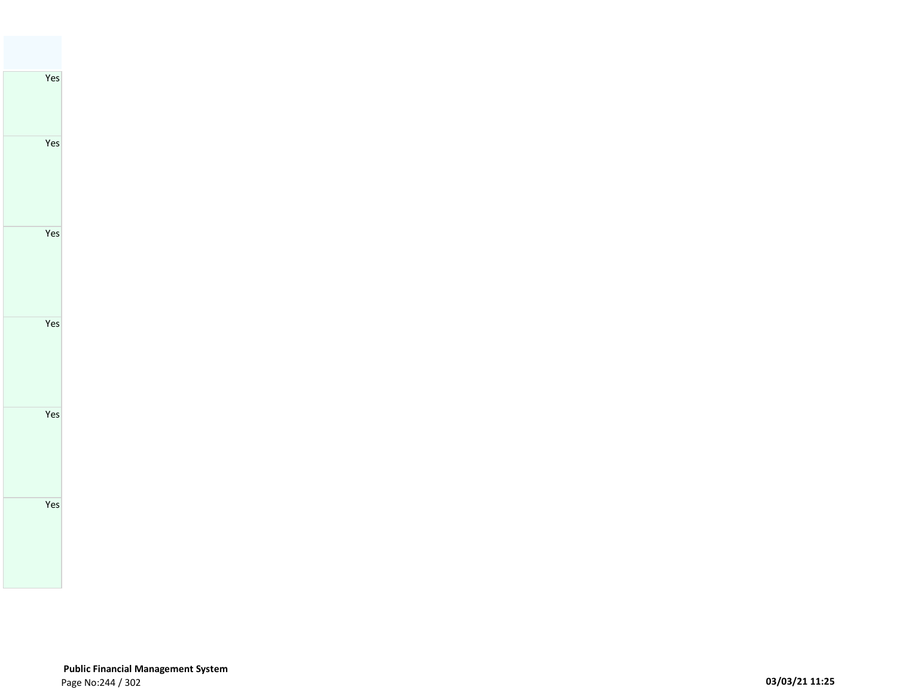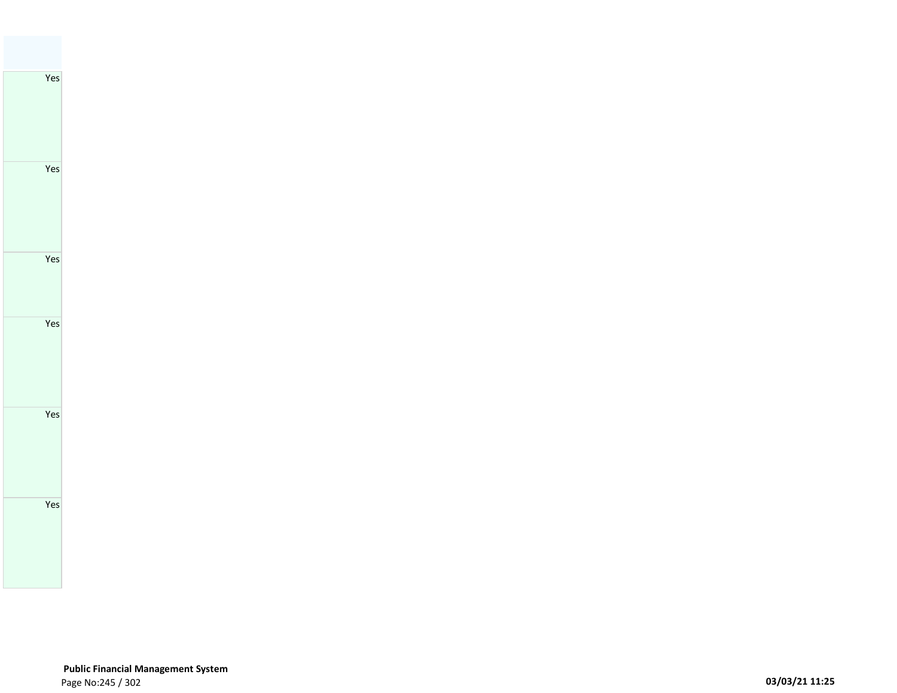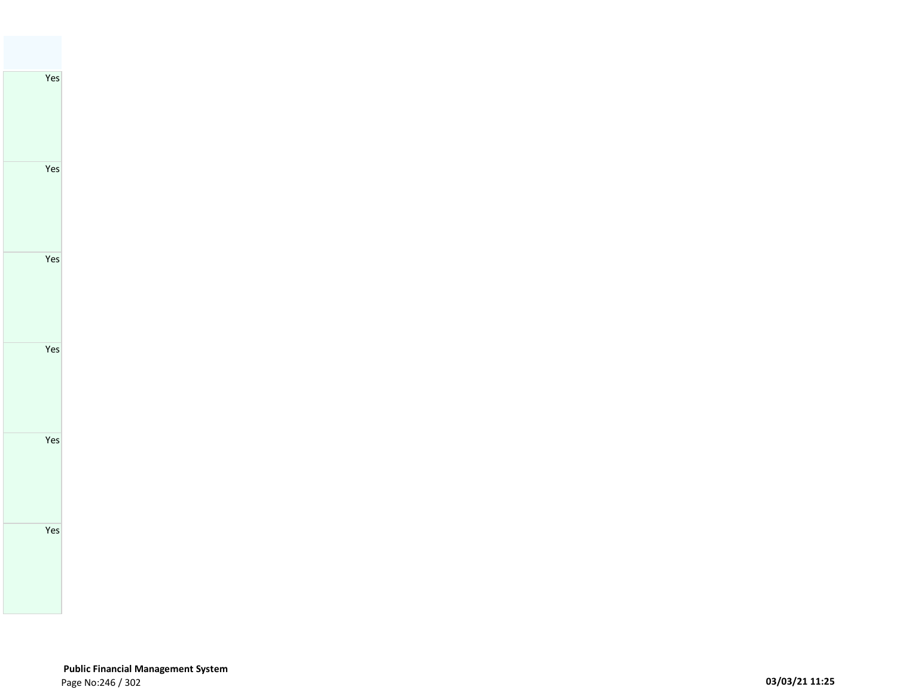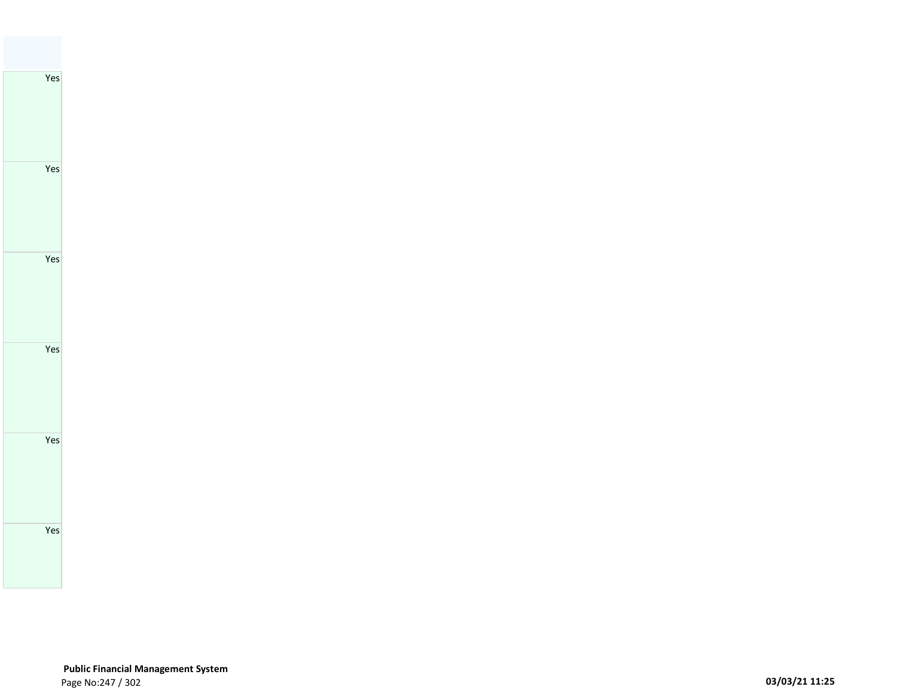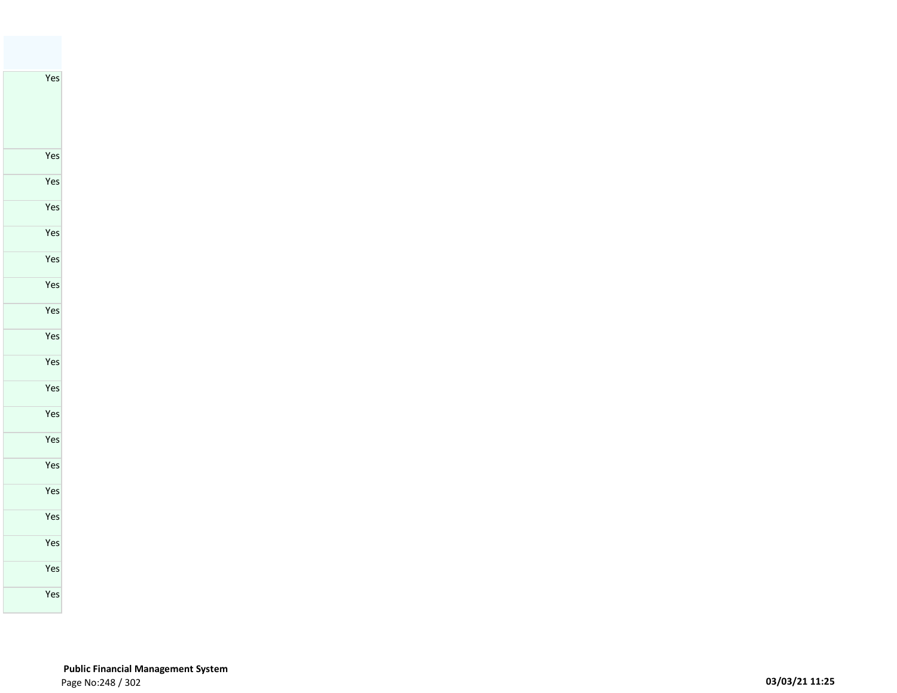Yes

 **Public Financial Management System**  Page No:248 / 302 **03/03/21 11:25**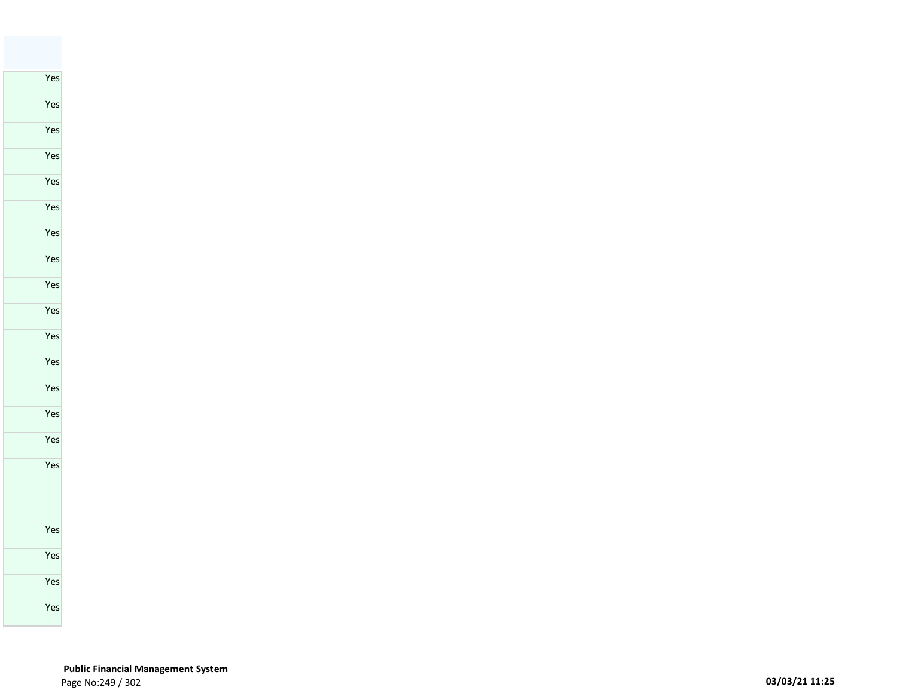## **Public Financial Management System**  Page No:249 / 302 **03/03/21 11:25**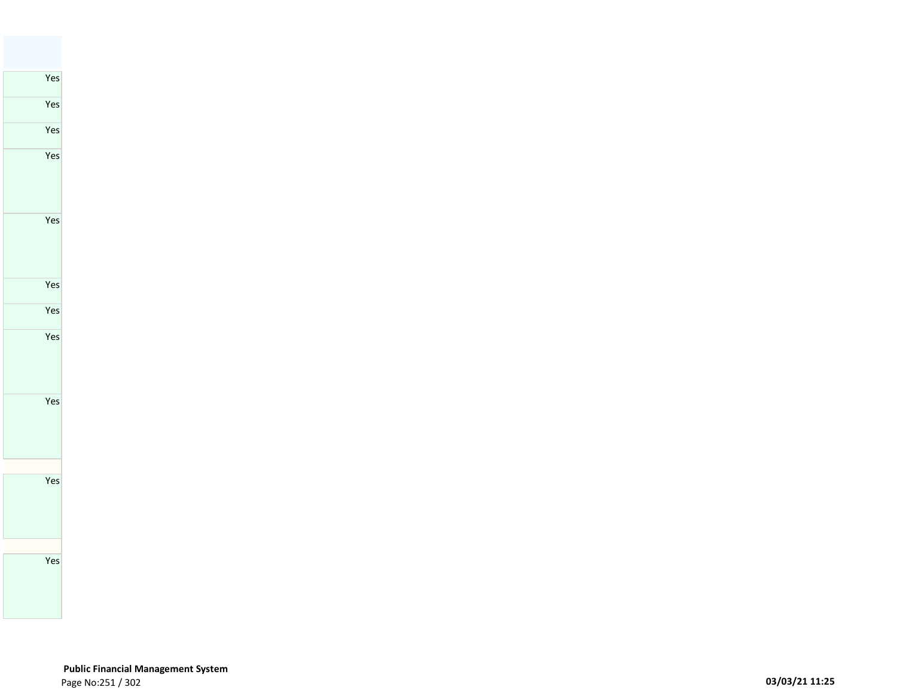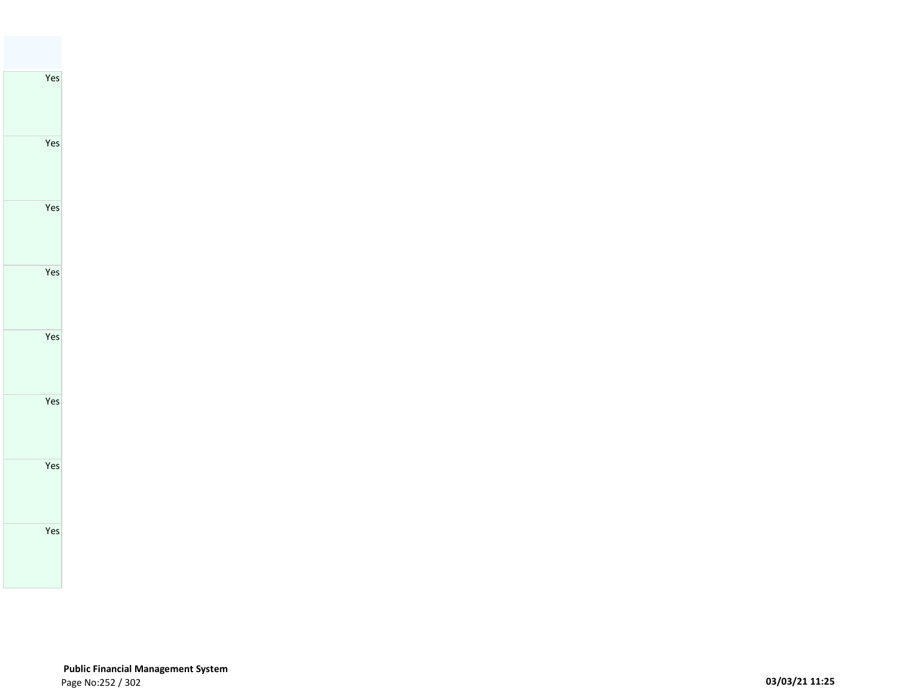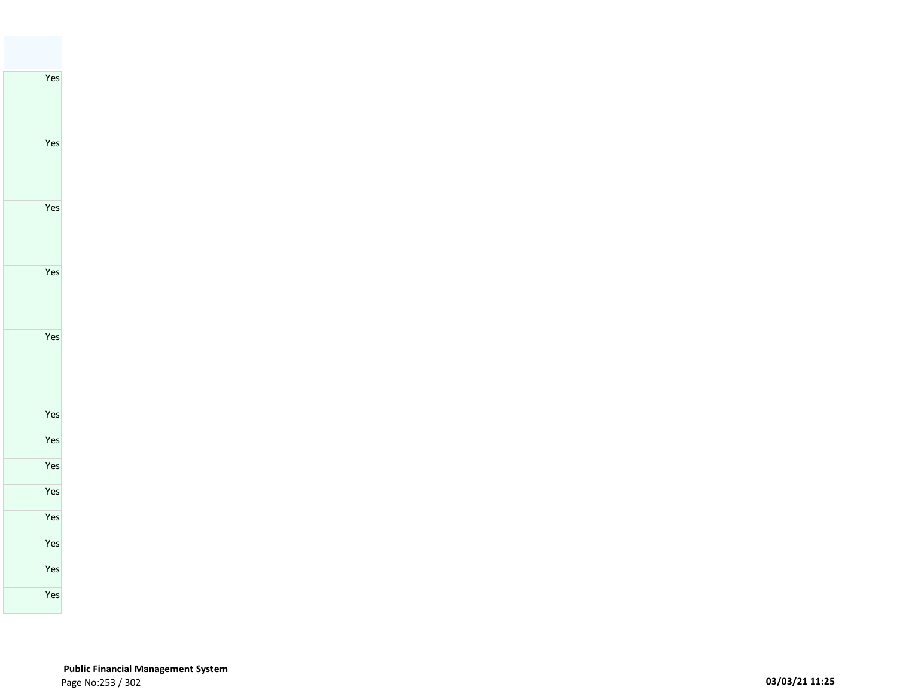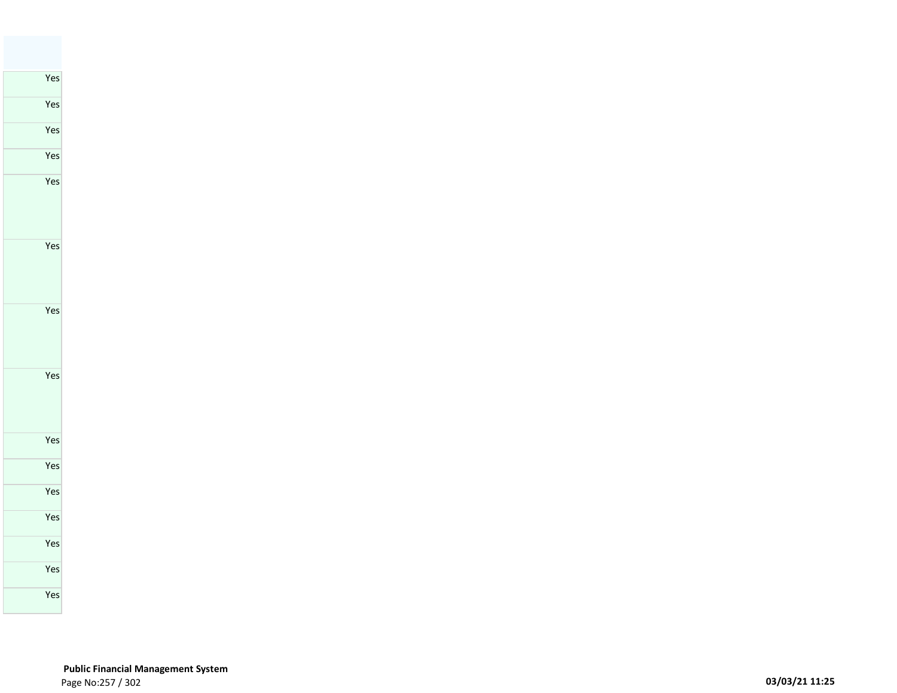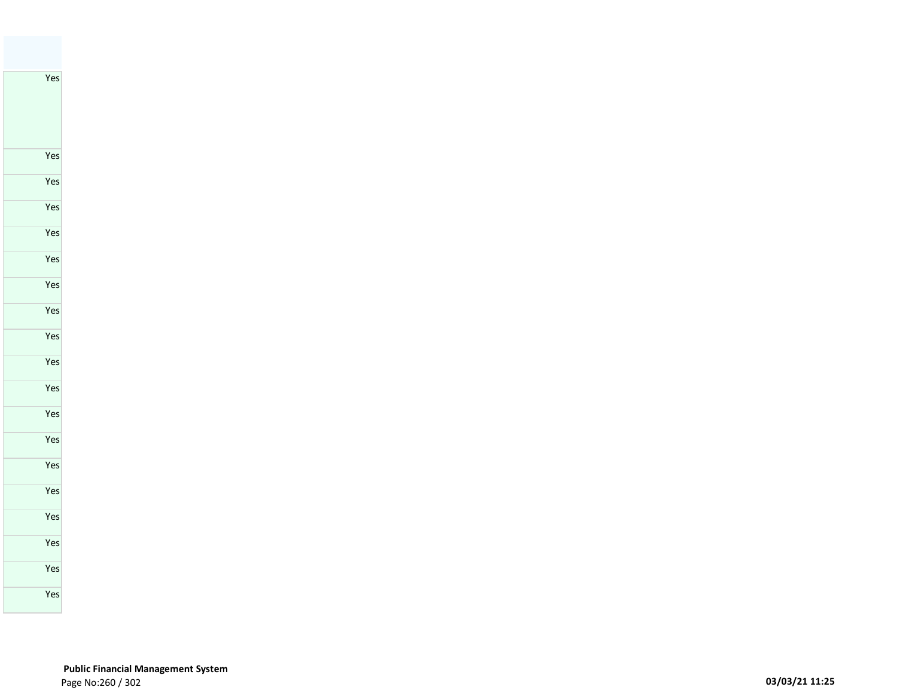Yes

 **Public Financial Management System**  Page No:260 / 302 **03/03/21 11:25**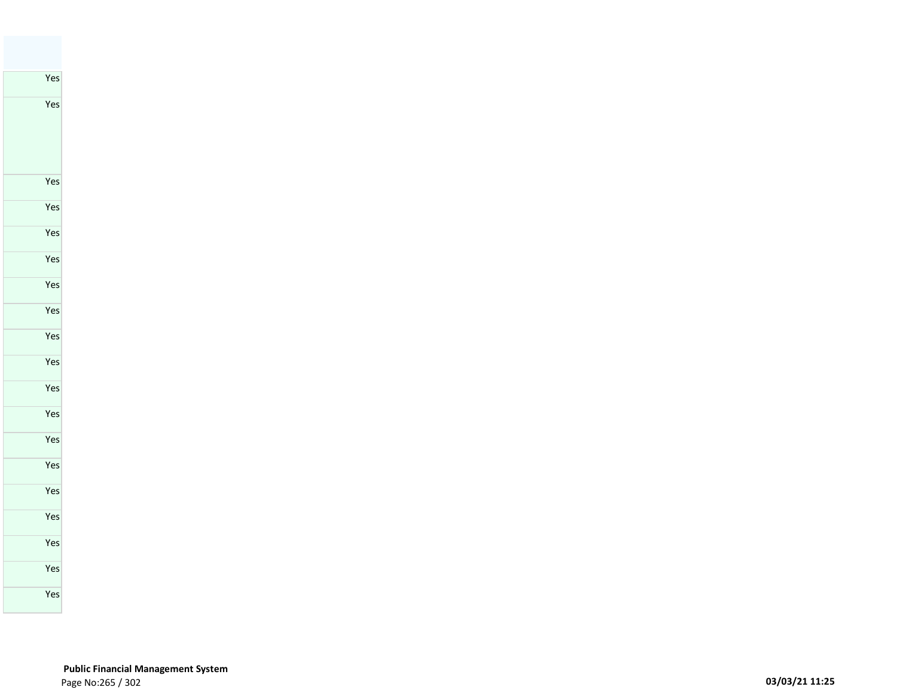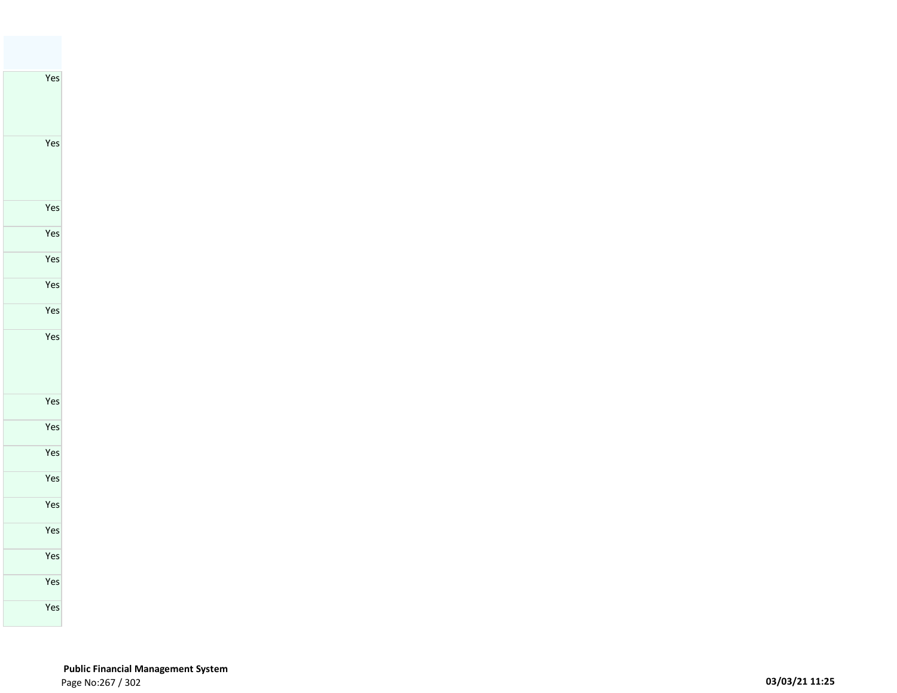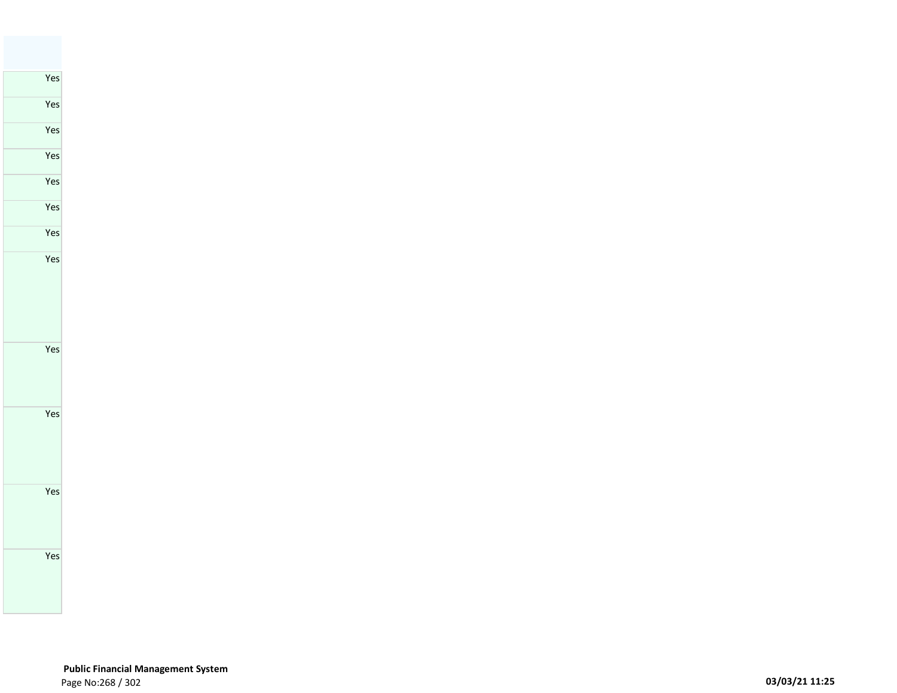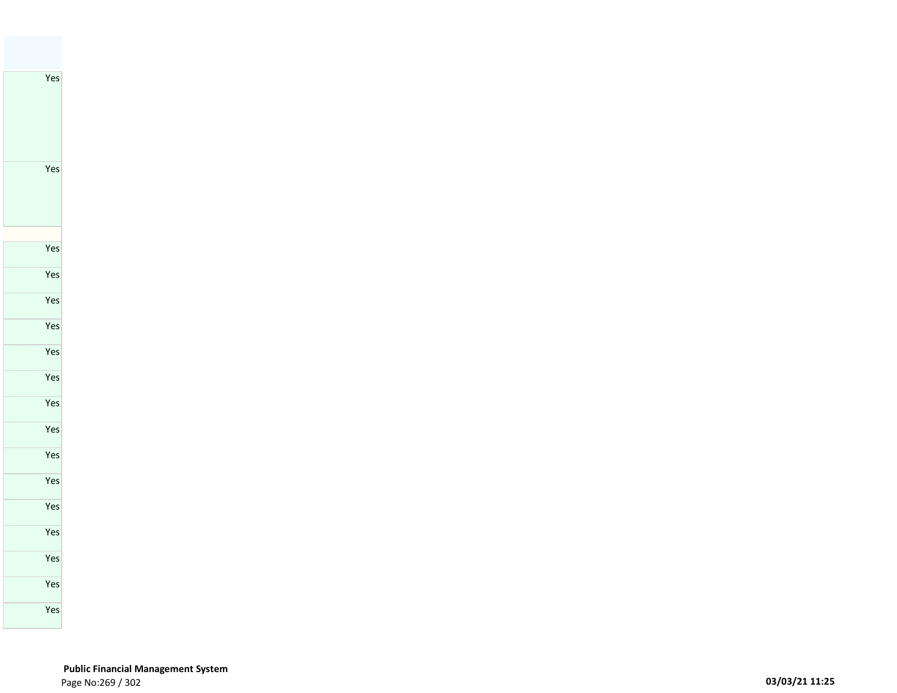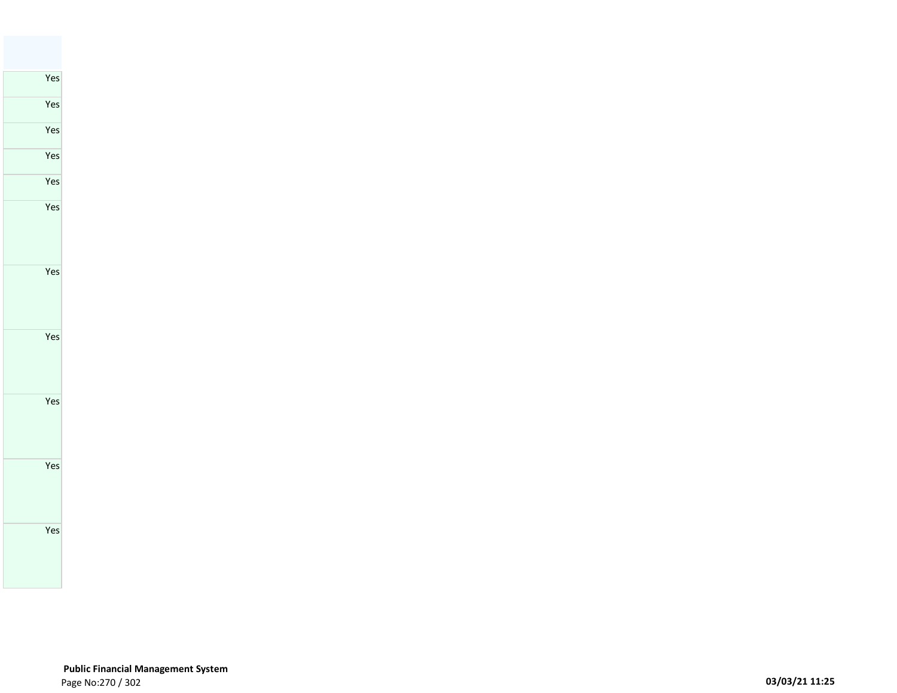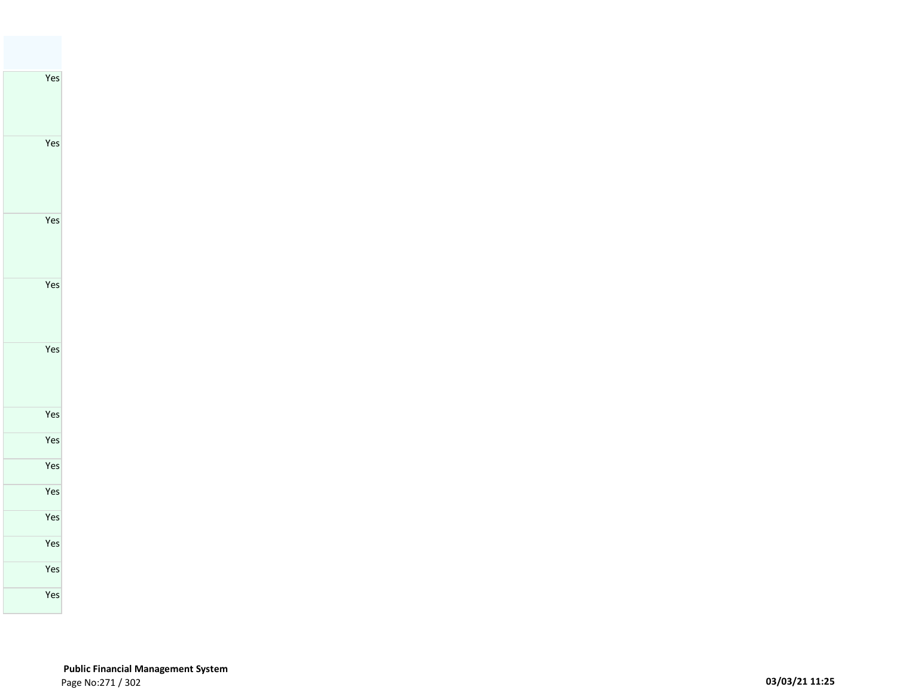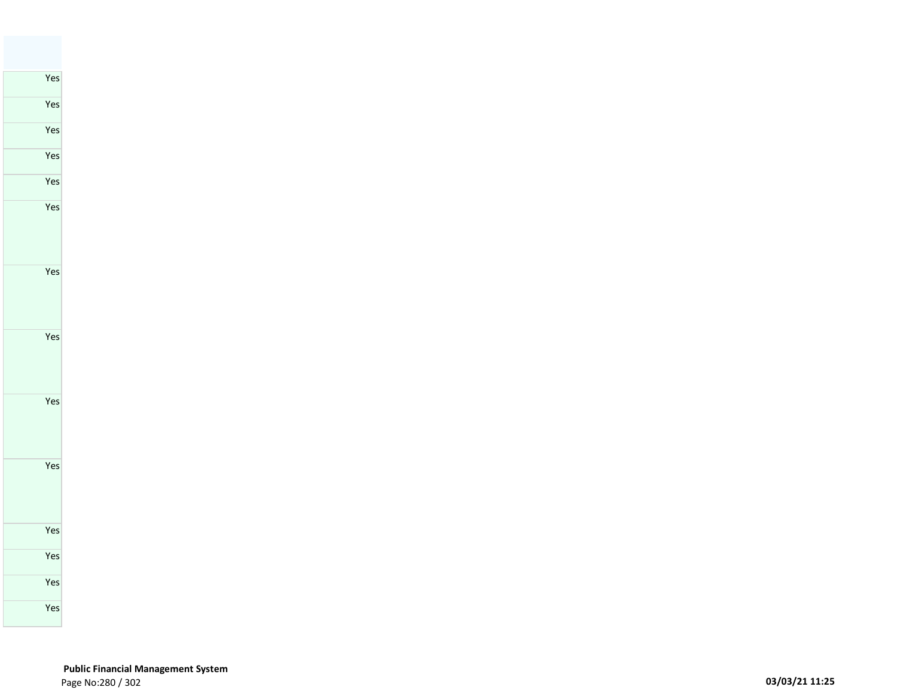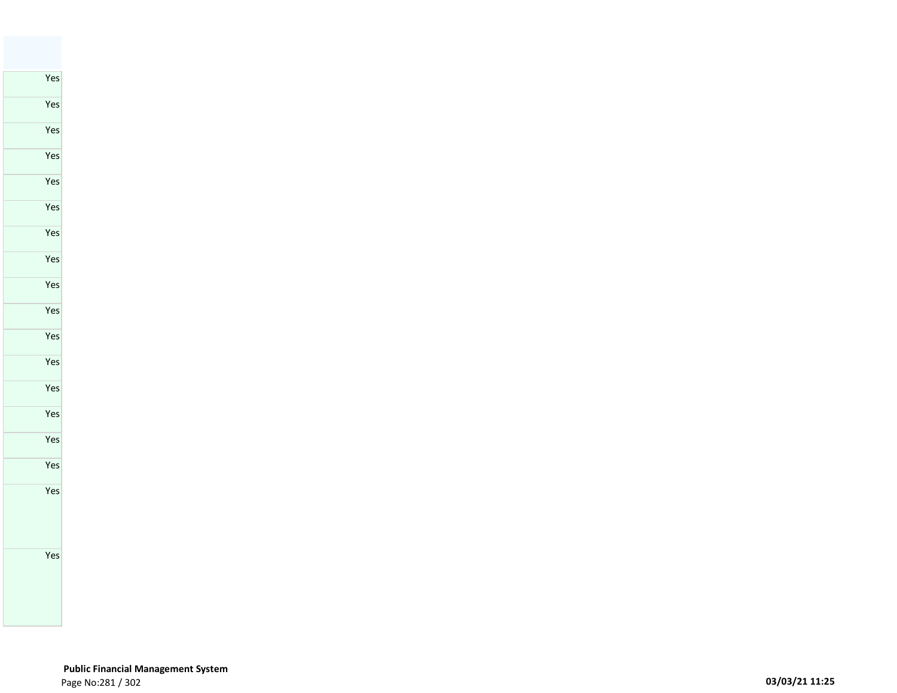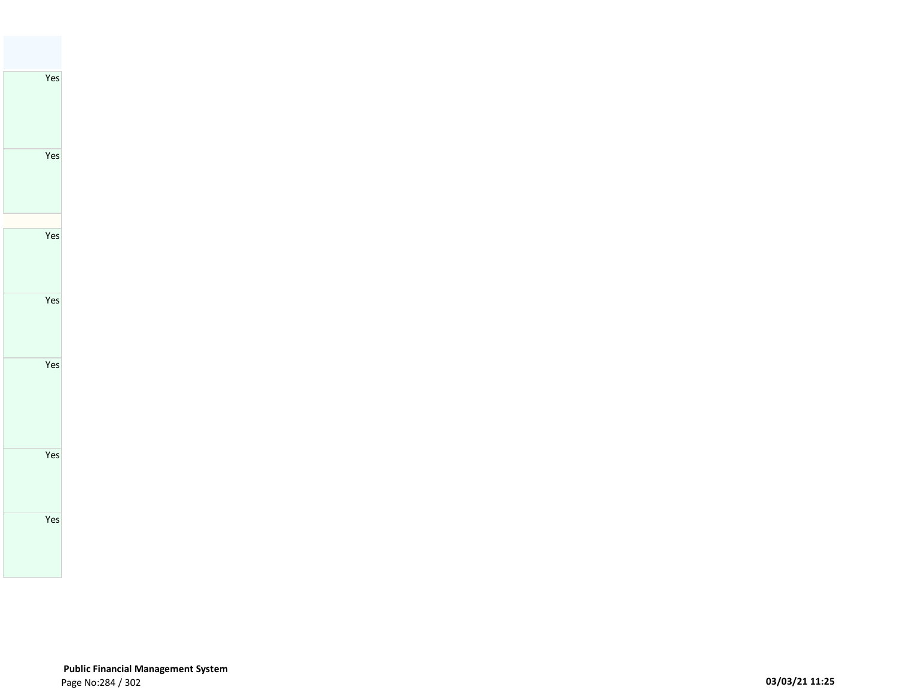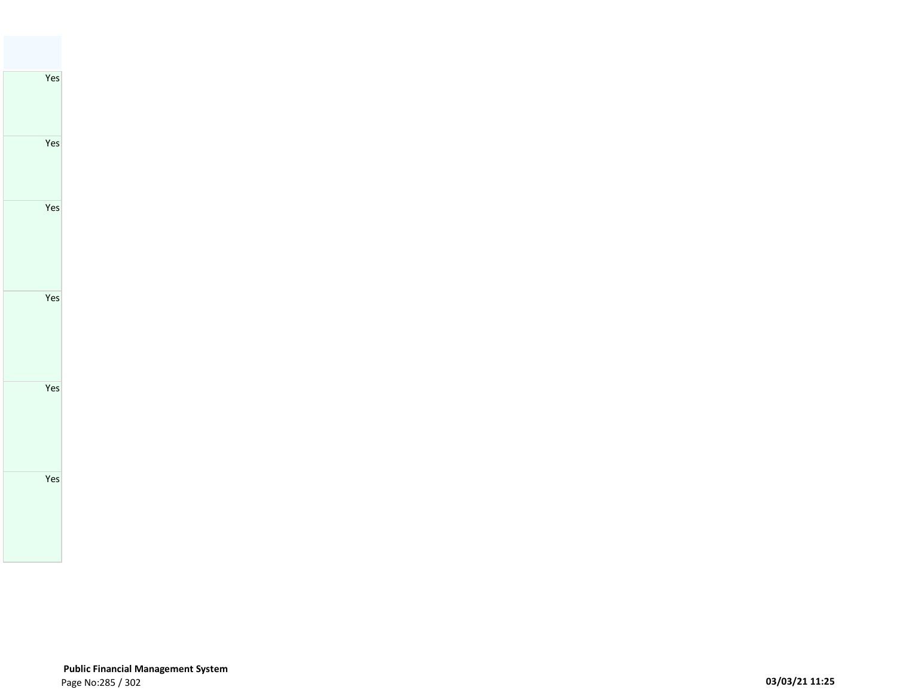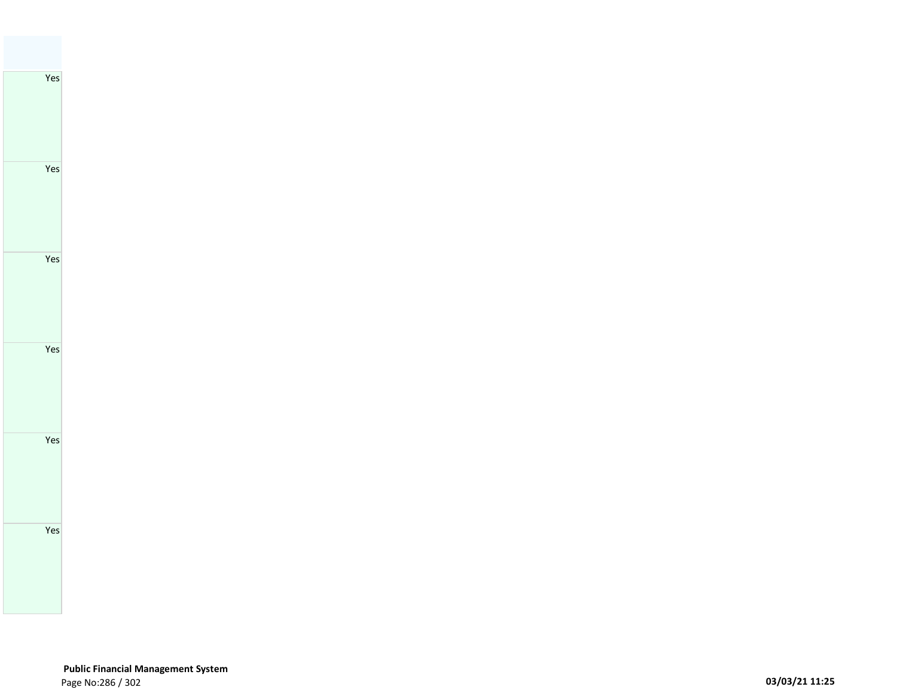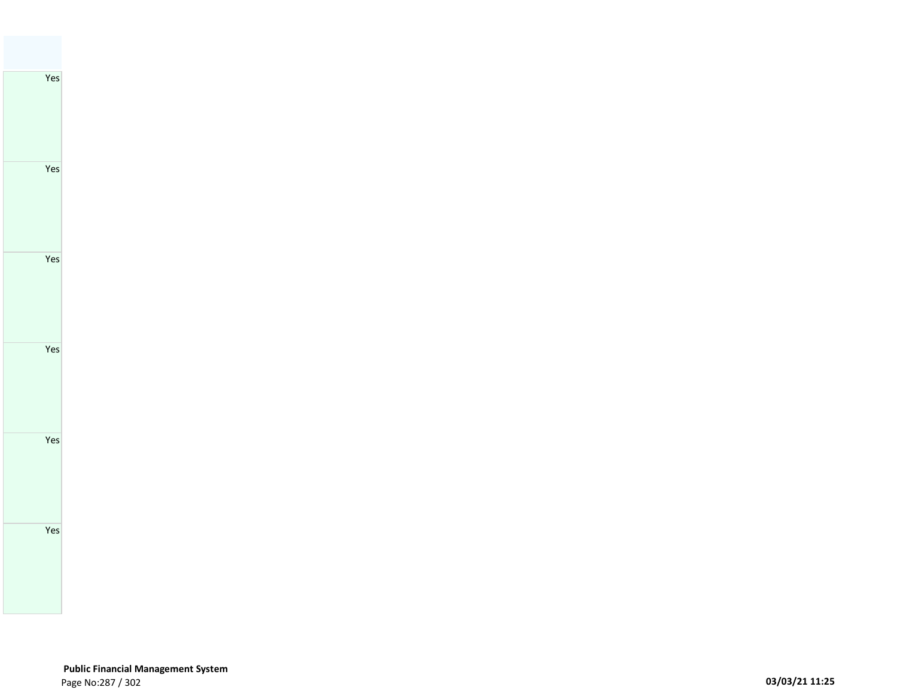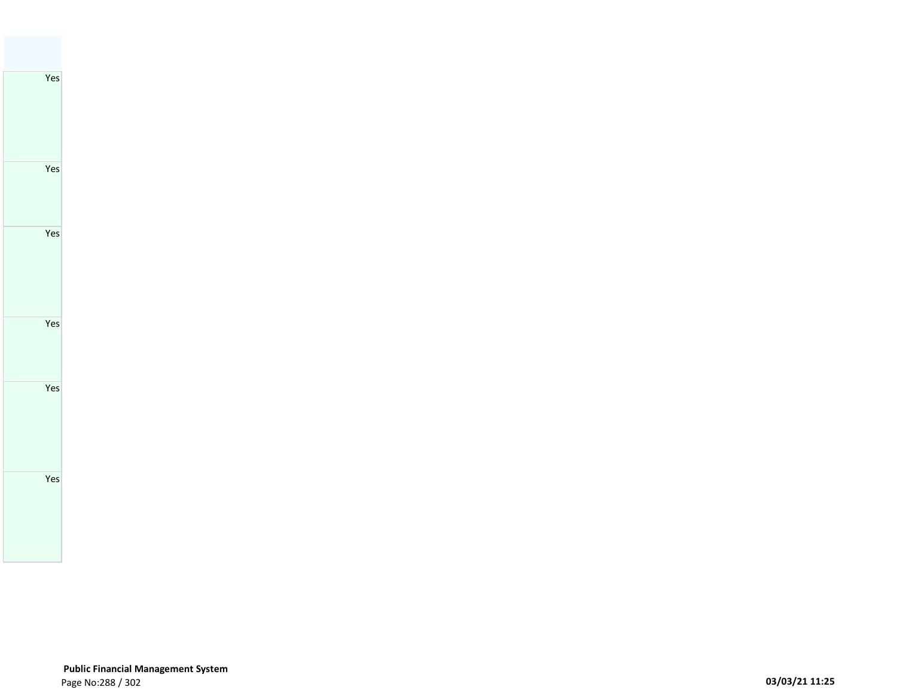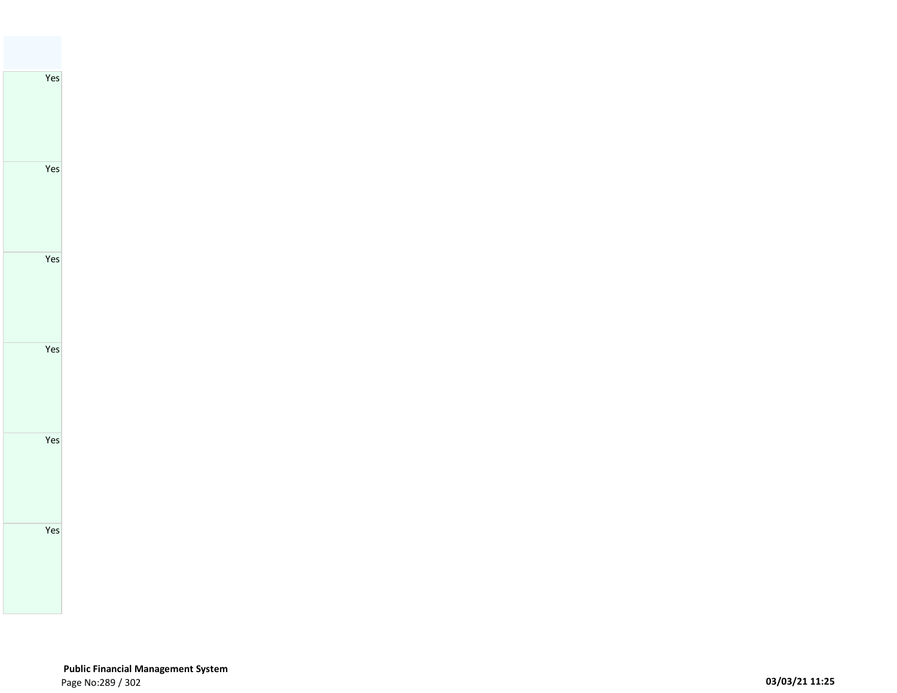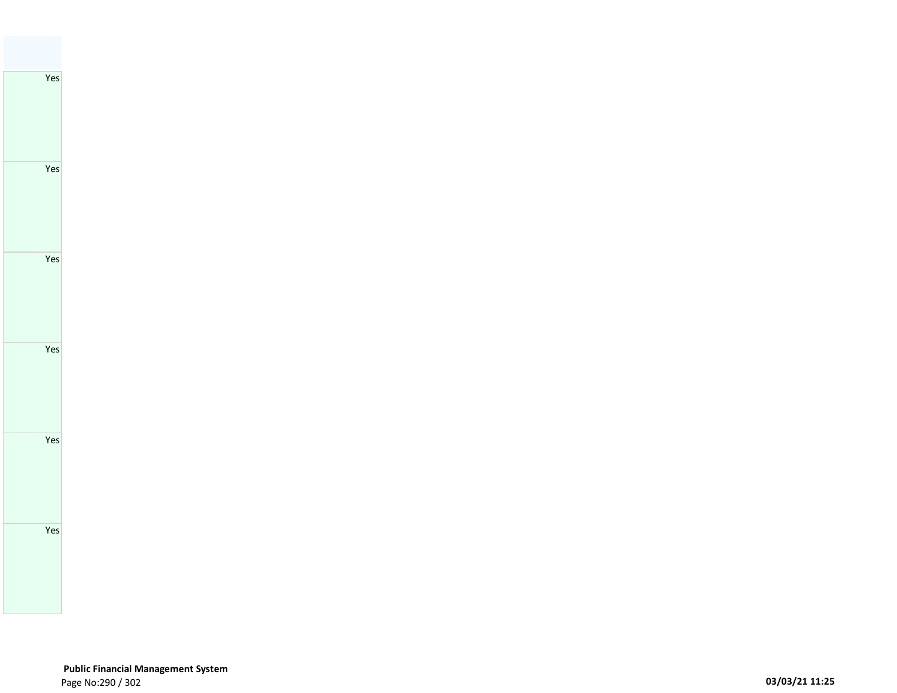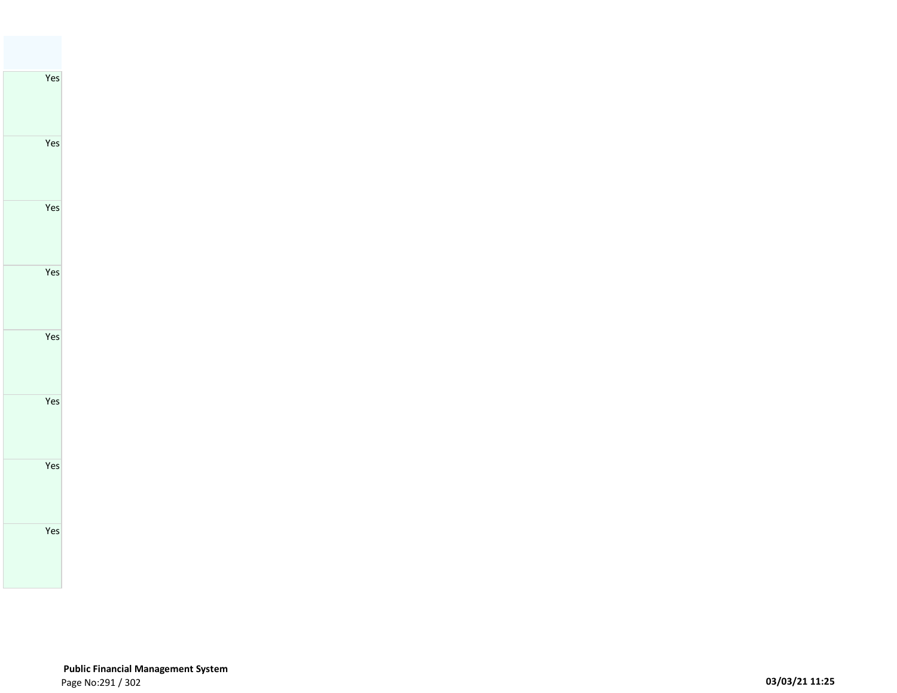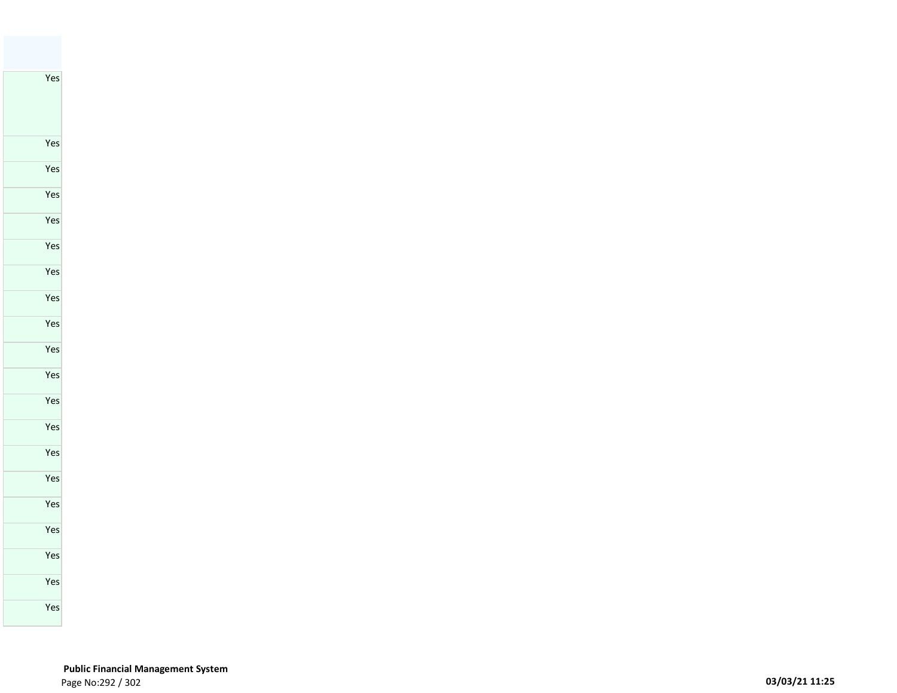Yes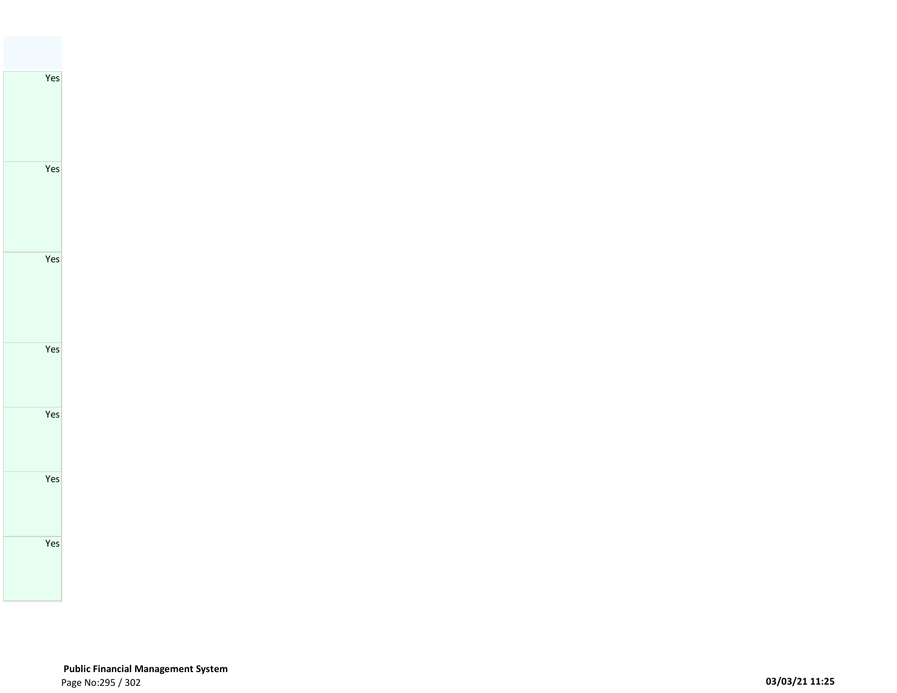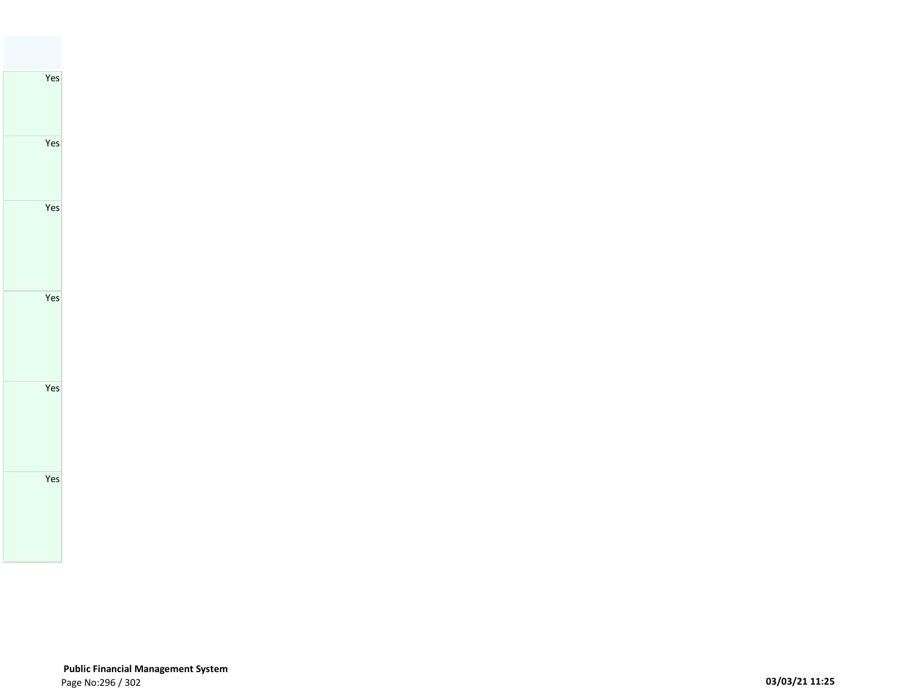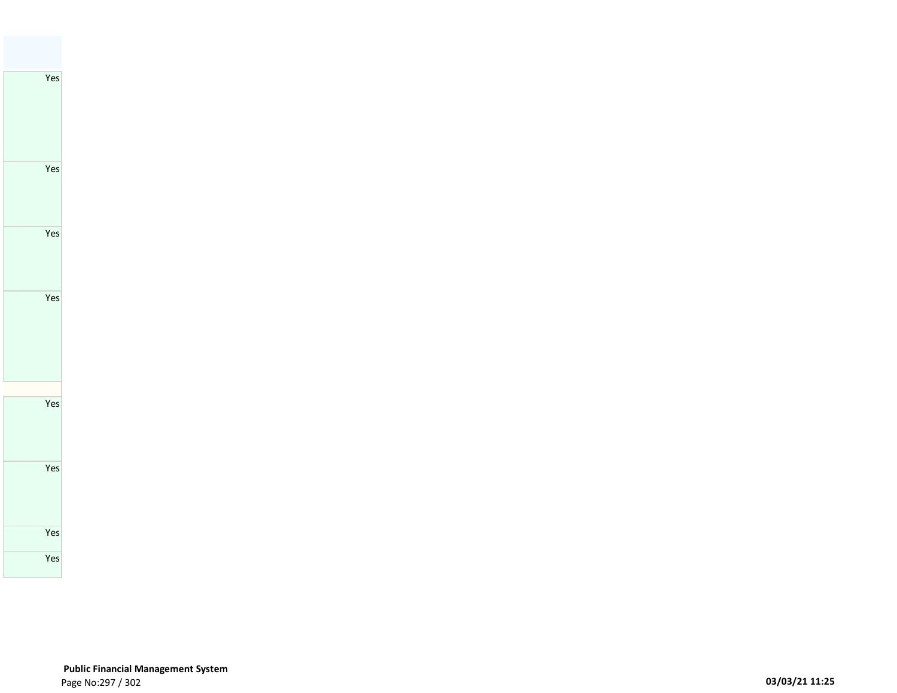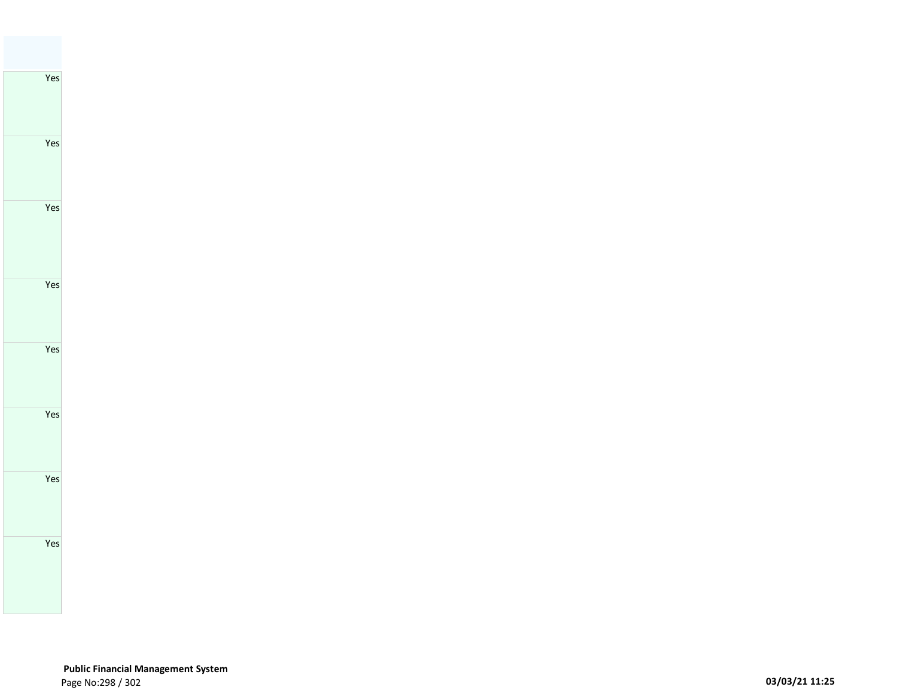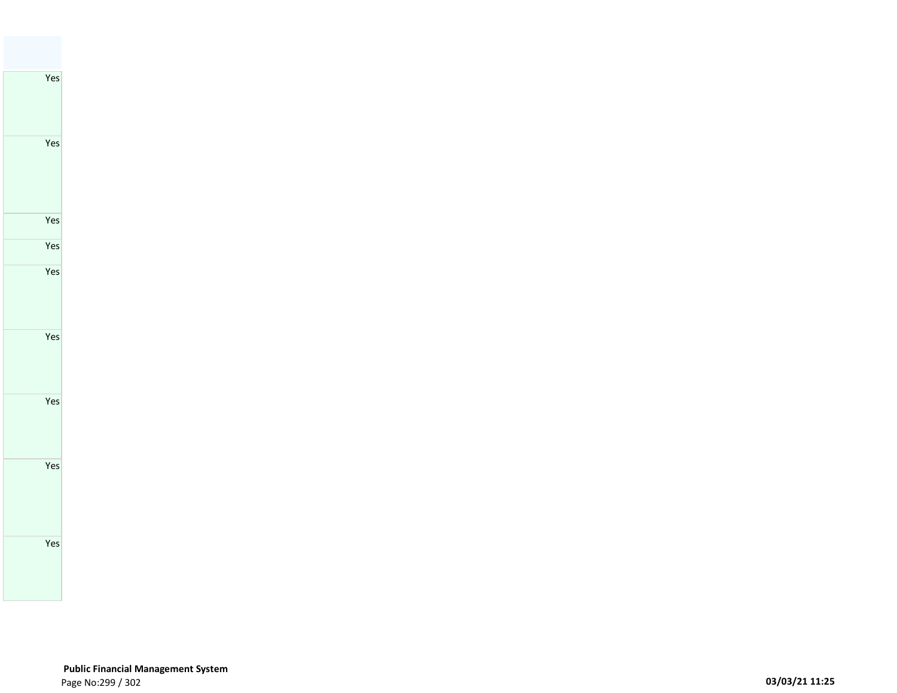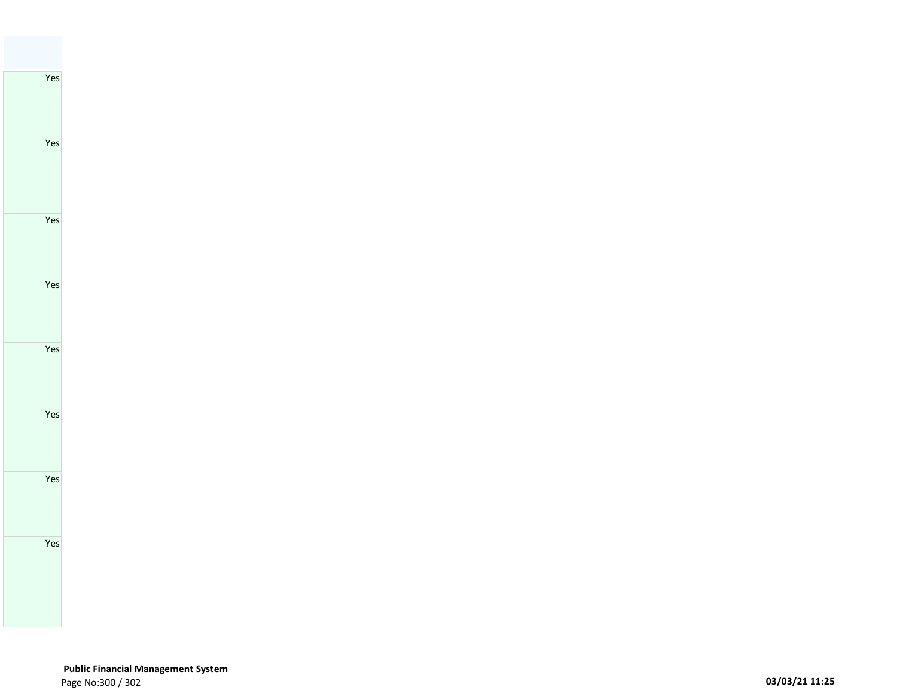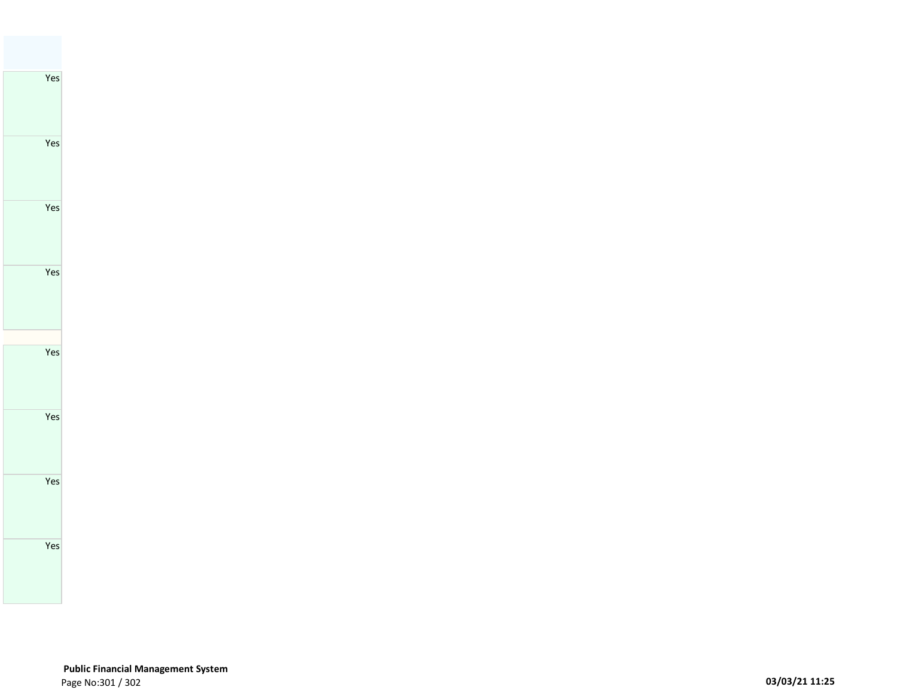